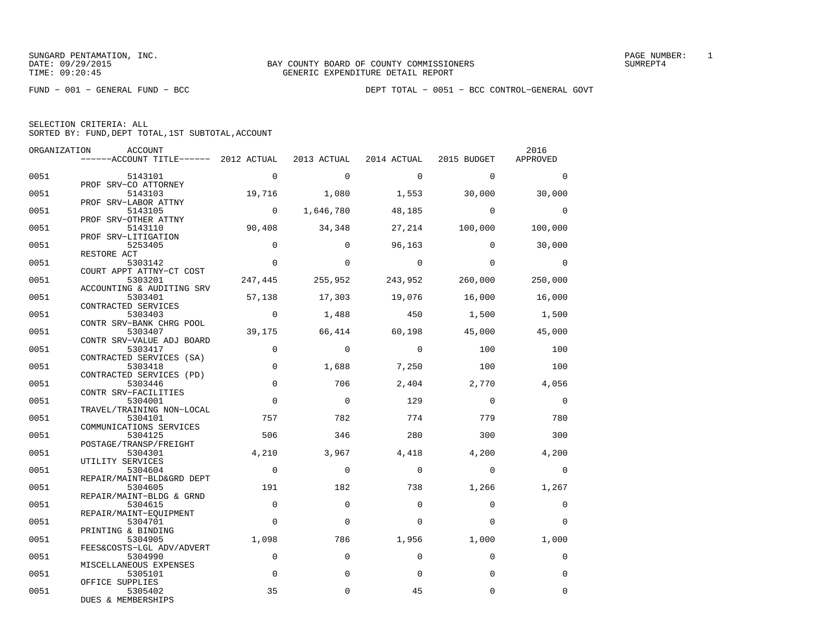| ORGANIZATION | <b>ACCOUNT</b>                                                            |                |                |                |              | 2016           |
|--------------|---------------------------------------------------------------------------|----------------|----------------|----------------|--------------|----------------|
|              | ------ACCOUNT TITLE------ 2012 ACTUAL 2013 ACTUAL 2014 ACTUAL 2015 BUDGET |                |                |                |              | APPROVED       |
| 0051         | 5143101                                                                   | $\overline{0}$ | $\Omega$       | $\overline{a}$ | $\Omega$     | $\Omega$       |
|              | PROF SRV-CO ATTORNEY                                                      |                |                |                |              |                |
| 0051         | 5143103                                                                   | 19,716         | 1,080          | 1,553          | 30,000       | 30,000         |
| 0051         | PROF SRV-LABOR ATTNY<br>5143105                                           | $\overline{0}$ | 1,646,780      | 48,185         | $\mathbf{0}$ | $\overline{0}$ |
|              | PROF SRV-OTHER ATTNY                                                      |                |                |                |              |                |
| 0051         | 5143110                                                                   | 90,408         | 34,348         | 27, 214        | 100,000      | 100,000        |
|              | PROF SRV-LITIGATION                                                       |                |                |                |              |                |
| 0051         | 5253405                                                                   | $\Omega$       | $\Omega$       | 96,163         | $\Omega$     | 30,000         |
| 0051         | RESTORE ACT<br>5303142                                                    | $\Omega$       | $\Omega$       | $\overline{0}$ | $\Omega$     | $\overline{0}$ |
|              | COURT APPT ATTNY-CT COST                                                  |                |                |                |              |                |
| 0051         | 5303201                                                                   | 247,445        | 255,952        | 243,952        | 260,000      | 250,000        |
|              | ACCOUNTING & AUDITING SRV                                                 |                |                |                |              |                |
| 0051         | 5303401                                                                   | 57,138         | 17,303         | 19,076         | 16,000       | 16,000         |
|              | CONTRACTED SERVICES                                                       | $\overline{0}$ |                |                |              |                |
| 0051         | 5303403<br>CONTR SRV-BANK CHRG POOL                                       |                | 1,488          | 450            | 1,500        | 1,500          |
| 0051         | 5303407                                                                   | 39,175         | 66,414         | 60,198         | 45,000       | 45,000         |
|              | CONTR SRV-VALUE ADJ BOARD                                                 |                |                |                |              |                |
| 0051         | 5303417                                                                   | $\Omega$       | $\Omega$       | $\bigcirc$     | 100          | 100            |
|              | CONTRACTED SERVICES (SA)                                                  |                |                |                |              |                |
| 0051         | 5303418                                                                   | $\mathbf 0$    | 1,688          | 7,250          | 100          | 100            |
| 0051         | CONTRACTED SERVICES (PD)<br>5303446                                       | $\mathbf 0$    | 706            | 2,404          | 2,770        | 4,056          |
|              | CONTR SRV-FACILITIES                                                      |                |                |                |              |                |
| 0051         | 5304001                                                                   | $\mathbf 0$    | $\overline{0}$ | 129            | $\mathbf 0$  | $\mathbf 0$    |
|              | TRAVEL/TRAINING NON-LOCAL                                                 |                |                |                |              |                |
| 0051         | 5304101                                                                   | 757            | 782            | 774            | 779          | 780            |
|              | COMMUNICATIONS SERVICES                                                   |                |                |                |              |                |
| 0051         | 5304125<br>POSTAGE/TRANSP/FREIGHT                                         | 506            | 346            | 280            | 300          | 300            |
| 0051         | 5304301                                                                   | 4,210          | 3,967          | 4,418          | 4,200        | 4,200          |
|              | UTILITY SERVICES                                                          |                |                |                |              |                |
| 0051         | 5304604                                                                   | $\overline{0}$ | $\mathbf 0$    | $\mathbf 0$    | $\mathbf 0$  | $\mathbf 0$    |
|              | REPAIR/MAINT-BLD&GRD DEPT                                                 |                |                |                |              |                |
| 0051         | 5304605<br>REPAIR/MAINT-BLDG & GRND                                       | 191            | 182            | 738            | 1,266        | 1,267          |
| 0051         | 5304615                                                                   | $\Omega$       | $\Omega$       | $\Omega$       | $\Omega$     | $\Omega$       |
|              | REPAIR/MAINT-EQUIPMENT                                                    |                |                |                |              |                |
| 0051         | 5304701                                                                   | $\Omega$       | $\Omega$       | $\Omega$       | $\Omega$     | $\Omega$       |
|              | PRINTING & BINDING                                                        |                |                |                |              |                |
| 0051         | 5304905                                                                   | 1,098          | 786            | 1,956          | 1,000        | 1,000          |
| 0051         | FEES&COSTS-LGL ADV/ADVERT<br>5304990                                      | $\mathbf 0$    | $\mathbf 0$    | $\Omega$       | $\Omega$     | $\mathbf 0$    |
|              | MISCELLANEOUS EXPENSES                                                    |                |                |                |              |                |
| 0051         | 5305101                                                                   | $\mathbf 0$    | $\mathbf 0$    | $\Omega$       | $\Omega$     | $\mathbf 0$    |
|              | OFFICE SUPPLIES                                                           |                |                |                |              |                |
| 0051         | 5305402                                                                   | 35             | $\Omega$       | 45             | $\Omega$     | $\Omega$       |
|              | DUES & MEMBERSHIPS                                                        |                |                |                |              |                |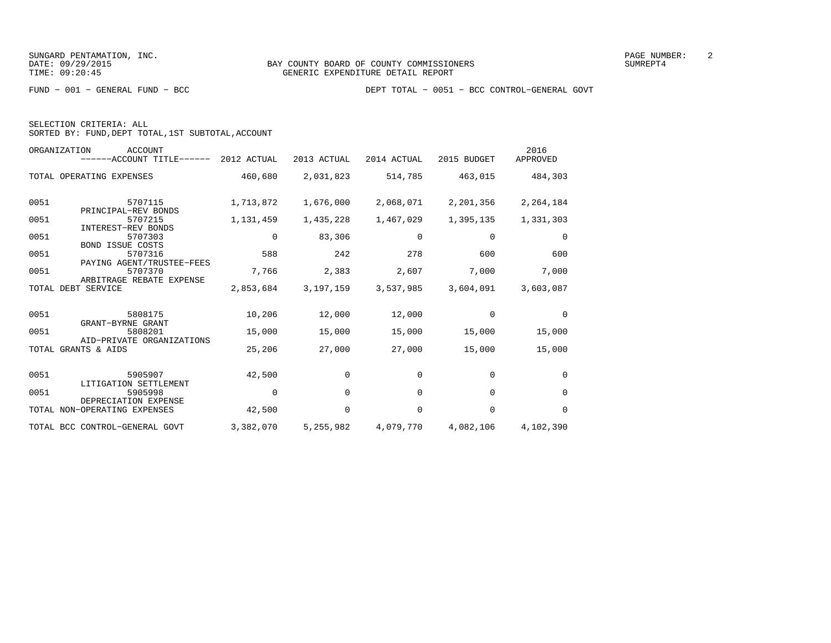|  | SELECTION CRITERIA: ALL |                                                    |
|--|-------------------------|----------------------------------------------------|
|  |                         | SORTED BY: FUND, DEPT TOTAL, 1ST SUBTOTAL, ACCOUNT |

|      | <b>ACCOUNT</b><br>ORGANIZATION<br>------ACCOUNT TITLE------ 2012 ACTUAL |             | 2013 ACTUAL | 2014 ACTUAL | 2015 BUDGET | 2016<br>APPROVED |
|------|-------------------------------------------------------------------------|-------------|-------------|-------------|-------------|------------------|
|      | TOTAL OPERATING EXPENSES                                                | 460,680     | 2,031,823   | 514,785     | 463,015     | 484,303          |
| 0051 | 5707115<br>PRINCIPAL-REV BONDS                                          | 1,713,872   | 1,676,000   | 2,068,071   | 2,201,356   | 2,264,184        |
| 0051 | 5707215                                                                 | 1,131,459   | 1,435,228   | 1,467,029   | 1,395,135   | 1,331,303        |
| 0051 | <b>INTEREST-REV BONDS</b><br>5707303<br><b>BOND ISSUE COSTS</b>         | $\mathbf 0$ | 83,306      | 0           | 0           | $\mathbf 0$      |
| 0051 | 5707316                                                                 | 588         | 242         | 278         | 600         | 600              |
| 0051 | PAYING AGENT/TRUSTEE-FEES<br>5707370<br>ARBITRAGE REBATE EXPENSE        | 7,766       | 2,383       | 2,607       | 7,000       | 7,000            |
|      | TOTAL DEBT SERVICE                                                      | 2,853,684   | 3,197,159   | 3,537,985   | 3,604,091   | 3,603,087        |
|      |                                                                         |             |             |             |             |                  |
| 0051 | 5808175<br>GRANT-BYRNE GRANT                                            | 10,206      | 12,000      | 12,000      | $\Omega$    | $\Omega$         |
| 0051 | 5808201<br>AID-PRIVATE ORGANIZATIONS                                    | 15,000      | 15,000      | 15,000      | 15,000      | 15,000           |
|      | TOTAL GRANTS & AIDS                                                     | 25,206      | 27,000      | 27,000      | 15,000      | 15,000           |
| 0051 |                                                                         |             | $\mathbf 0$ | $\mathbf 0$ |             | $\mathbf 0$      |
|      | 5905907<br>LITIGATION SETTLEMENT                                        | 42,500      |             |             | 0           |                  |
| 0051 | 5905998<br>DEPRECIATION EXPENSE                                         | $\Omega$    | $\Omega$    | $\Omega$    | $\Omega$    | $\Omega$         |
|      | TOTAL NON-OPERATING EXPENSES                                            | 42,500      | $\Omega$    | $\Omega$    | $\Omega$    | $\Omega$         |
|      | TOTAL BCC CONTROL-GENERAL GOVT                                          | 3,382,070   | 5,255,982   | 4,079,770   | 4,082,106   | 4,102,390        |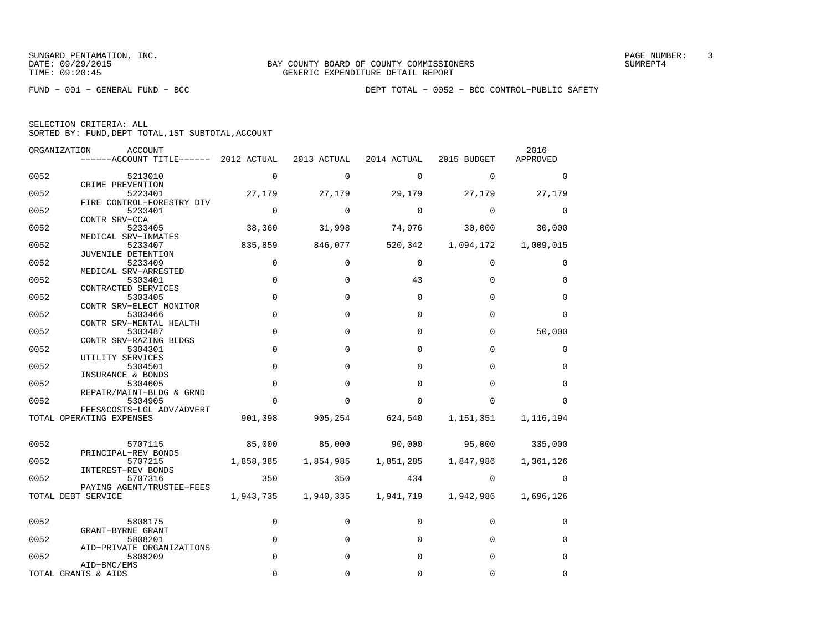FUND − 001 − GENERAL FUND − BCC DEPT TOTAL − 0052 − BCC CONTROL−PUBLIC SAFETY

| SELECTION CRITERIA: ALL |  |  |                                                    |  |
|-------------------------|--|--|----------------------------------------------------|--|
|                         |  |  | SORTED BY: FUND, DEPT TOTAL, 1ST SUBTOTAL, ACCOUNT |  |

|      | ORGANIZATION<br><b>ACCOUNT</b>                  |             |              |             |             | 2016        |
|------|-------------------------------------------------|-------------|--------------|-------------|-------------|-------------|
|      | ------ACCOUNT TITLE------ 2012 ACTUAL           |             | 2013 ACTUAL  | 2014 ACTUAL | 2015 BUDGET | APPROVED    |
| 0052 | 5213010                                         | 0           | $\mathbf 0$  | $\mathbf 0$ | $\mathbf 0$ | 0           |
| 0052 | CRIME PREVENTION<br>5223401                     | 27,179      | 27,179       | 29,179      | 27,179      | 27,179      |
| 0052 | FIRE CONTROL-FORESTRY DIV<br>5233401            | $\mathbf 0$ | $\Omega$     | $\Omega$    | $\Omega$    | $\Omega$    |
| 0052 | CONTR SRV-CCA<br>5233405                        | 38,360      | 31,998       | 74,976      | 30,000      | 30,000      |
| 0052 | MEDICAL SRV-INMATES<br>5233407                  | 835,859     | 846,077      | 520,342     | 1,094,172   | 1,009,015   |
| 0052 | JUVENILE DETENTION<br>5233409                   | $\mathbf 0$ | 0            | $\mathbf 0$ | 0           | 0           |
| 0052 | MEDICAL SRV-ARRESTED<br>5303401                 | $\mathbf 0$ | $\Omega$     | 43          | $\Omega$    | $\Omega$    |
| 0052 | CONTRACTED SERVICES<br>5303405                  | $\Omega$    | $\Omega$     | $\mathbf 0$ | $\Omega$    | $\Omega$    |
| 0052 | CONTR SRV-ELECT MONITOR<br>5303466              | $\Omega$    | $\Omega$     | $\Omega$    | $\Omega$    | $\Omega$    |
|      | CONTR SRV-MENTAL HEALTH                         | $\mathbf 0$ | $\Omega$     | $\mathbf 0$ |             |             |
| 0052 | 5303487<br>CONTR SRV-RAZING BLDGS               |             |              |             | 0           | 50,000      |
| 0052 | 5304301<br>UTILITY SERVICES                     | $\mathbf 0$ | $\Omega$     | $\Omega$    | $\Omega$    | 0           |
| 0052 | 5304501<br>INSURANCE & BONDS                    | $\Omega$    | $\Omega$     | $\Omega$    | $\Omega$    | $\Omega$    |
| 0052 | 5304605<br>REPAIR/MAINT-BLDG & GRND             | $\mathbf 0$ | $\Omega$     | $\Omega$    | $\Omega$    | $\Omega$    |
| 0052 | 5304905<br>FEES&COSTS-LGL ADV/ADVERT            | $\Omega$    | 0            | 0           | O           | $\Omega$    |
|      | TOTAL OPERATING EXPENSES                        | 901,398     | 905,254      | 624,540     | 1,151,351   | 1,116,194   |
| 0052 | 5707115                                         | 85,000      | 85,000       | 90,000      | 95,000      | 335,000     |
| 0052 | PRINCIPAL-REV BONDS<br>5707215                  | 1,858,385   | 1,854,985    | 1,851,285   | 1,847,986   | 1,361,126   |
| 0052 | INTEREST-REV BONDS<br>5707316                   | 350         | 350          | 434         | $\Omega$    | 0           |
|      | PAYING AGENT/TRUSTEE-FEES<br>TOTAL DEBT SERVICE | 1,943,735   | 1,940,335    | 1,941,719   | 1,942,986   | 1,696,126   |
| 0052 | 5808175                                         | $\mathbf 0$ | $\Omega$     | $\Omega$    | $\Omega$    | $\Omega$    |
| 0052 | GRANT-BYRNE GRANT                               | $\mathbf 0$ | $\Omega$     | $\Omega$    | $\Omega$    |             |
|      | 5808201<br>AID-PRIVATE ORGANIZATIONS            |             |              |             |             | $\mathbf 0$ |
| 0052 | 5808209<br>AID-BMC/EMS                          | $\mathbf 0$ | $\Omega$     | $\Omega$    | $\Omega$    | $\mathbf 0$ |
|      | TOTAL GRANTS & AIDS                             | $\Omega$    | <sup>0</sup> | $\Omega$    | $\Omega$    | $\Omega$    |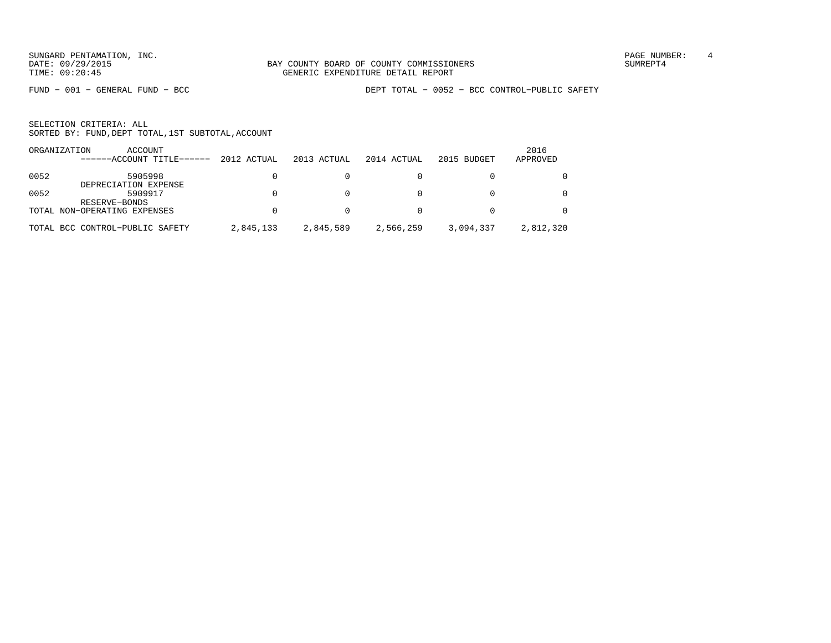FUND − 001 − GENERAL FUND − BCC DEPT TOTAL − 0052 − BCC CONTROL−PUBLIC SAFETY

| ORGANIZATION | ACCOUNT                         |             |             |             |             | 2016      |
|--------------|---------------------------------|-------------|-------------|-------------|-------------|-----------|
|              | ------ACCOUNT TITLE------       | 2012 ACTUAL | 2013 ACTUAL | 2014 ACTUAL | 2015 BUDGET | APPROVED  |
| 0052         | 5905998<br>DEPRECIATION EXPENSE |             |             |             |             |           |
| 0052         | 5909917<br>RESERVE-BONDS        |             |             |             |             |           |
|              | TOTAL NON-OPERATING EXPENSES    |             |             |             |             |           |
|              | TOTAL BCC CONTROL-PUBLIC SAFETY | 2,845,133   | 2,845,589   | 2,566,259   | 3,094,337   | 2,812,320 |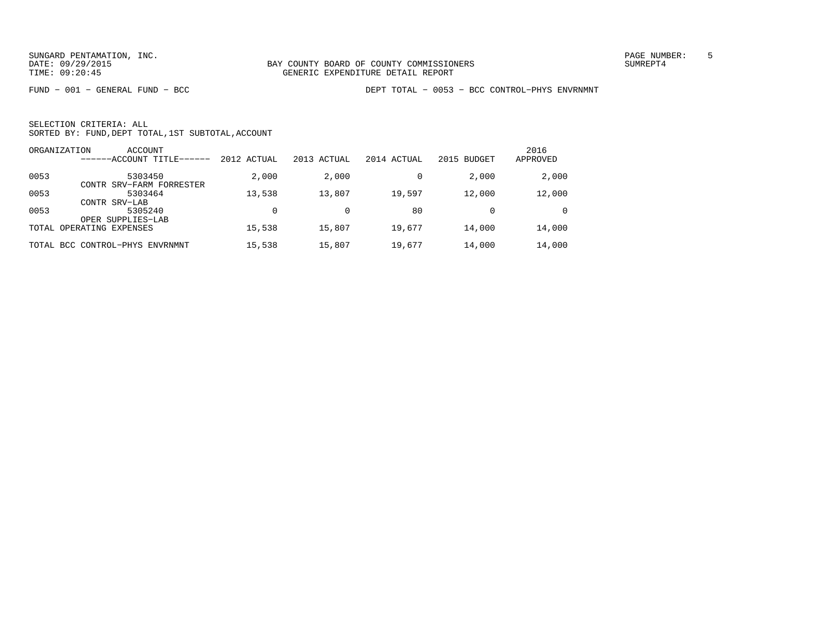FUND − 001 − GENERAL FUND − BCC DEPT TOTAL − 0053 − BCC CONTROL−PHYS ENVRNMNT

|      | ORGANIZATION<br>ACCOUNT<br>------ACCOUNT TITLE- | 2012 ACTUAL | 2013 ACTUAL | 2014 ACTUAL | 2015 BUDGET | 2016<br>APPROVED |
|------|-------------------------------------------------|-------------|-------------|-------------|-------------|------------------|
| 0053 | 5303450<br>CONTR SRV-FARM FORRESTER             | 2,000       | 2,000       |             | 2,000       | 2,000            |
| 0053 | 5303464<br>CONTR SRV-LAB                        | 13,538      | 13,807      | 19,597      | 12,000      | 12,000           |
| 0053 | 5305240<br>OPER SUPPLIES-LAB                    |             |             | 80          |             | $\Omega$         |
|      | TOTAL OPERATING EXPENSES                        | 15,538      | 15,807      | 19,677      | 14,000      | 14,000           |
|      | TOTAL BCC CONTROL-PHYS ENVRNMNT                 | 15,538      | 15,807      | 19,677      | 14,000      | 14,000           |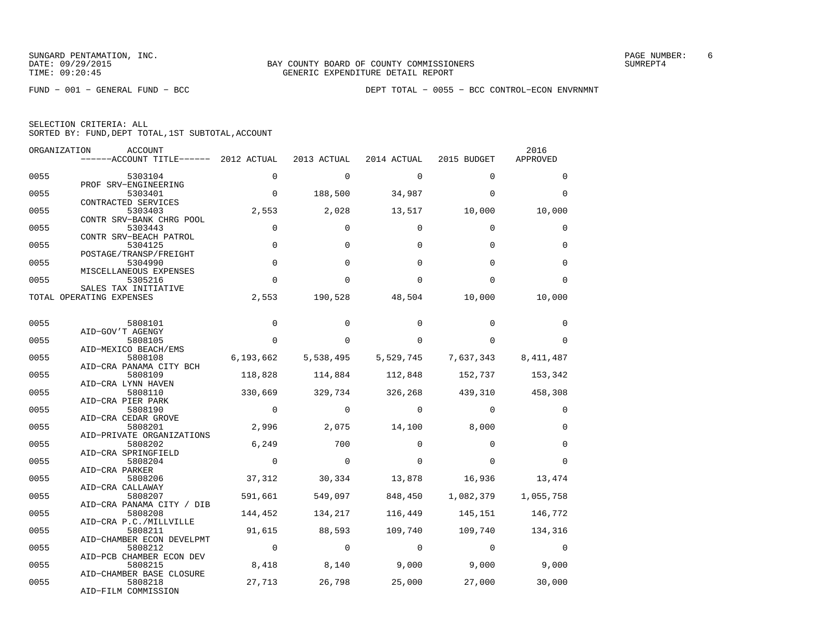FUND − 001 − GENERAL FUND − BCC DEPT TOTAL − 0055 − BCC CONTROL−ECON ENVRNMNT

| ORGANIZATION | ACCOUNT<br>------ACCOUNT TITLE------ 2012 ACTUAL           |                       | 2013 ACTUAL           | 2014 ACTUAL        | 2015 BUDGET                     | 2016<br>APPROVED   |
|--------------|------------------------------------------------------------|-----------------------|-----------------------|--------------------|---------------------------------|--------------------|
| 0055         | 5303104                                                    | $\Omega$              | $\mathbf 0$           | $\mathbf 0$        | $\Omega$                        | $\Omega$           |
| 0055         | PROF SRV-ENGINEERING<br>5303401                            | $\overline{0}$        | 188,500               | 34,987             | $\Omega$                        | $\Omega$           |
| 0055         | CONTRACTED SERVICES<br>5303403<br>CONTR SRV-BANK CHRG POOL | 2,553                 | 2,028                 | 13,517             | 10,000                          | 10,000             |
| 0055         | 5303443<br>CONTR SRV-BEACH PATROL                          | $\Omega$              | $\Omega$              | $\Omega$           | $\Omega$                        | $\Omega$           |
| 0055         | 5304125<br>POSTAGE/TRANSP/FREIGHT                          | $\mathbf 0$           | $\Omega$              | $\Omega$           | $\Omega$                        | 0                  |
| 0055         | 5304990<br>MISCELLANEOUS EXPENSES                          | $\mathbf 0$           | $\Omega$              | $\Omega$           | $\Omega$                        | $\mathbf 0$        |
| 0055         | 5305216<br>SALES TAX INITIATIVE                            | $\Omega$              | $\Omega$              | $\Omega$           | $\cap$                          | $\Omega$           |
|              | TOTAL OPERATING EXPENSES                                   | 2,553                 | 190,528               | 48,504             | 10,000                          | 10,000             |
| 0055         | 5808101                                                    | $\mathbf 0$           | $\Omega$              | $\Omega$           | $\Omega$                        | $\mathbf 0$        |
| 0055         | AID-GOV'T AGENGY<br>5808105<br>AID-MEXICO BEACH/EMS        | $\Omega$              | 0                     | $\Omega$           | $\Omega$                        | $\Omega$           |
| 0055         | 5808108<br>AID-CRA PANAMA CITY BCH                         | 6,193,662             | 5,538,495             | 5,529,745          | 7,637,343                       | 8, 411, 487        |
| 0055         | 5808109<br>AID-CRA LYNN HAVEN                              | 118,828               | 114,884               | 112,848 152,737    |                                 | 153,342            |
| 0055         | 5808110<br>AID-CRA PIER PARK                               | 330,669               |                       |                    | 329,734 326,268 439,310 458,308 |                    |
| 0055         | 5808190<br>AID-CRA CEDAR GROVE                             | $\overline{0}$        | $\circ$               | $\mathbf 0$        | $\Omega$                        | 0                  |
| 0055         | 5808201<br>AID-PRIVATE ORGANIZATIONS                       | 2,996                 | 2,075                 | 14,100             | 8,000                           | $\mathbf 0$        |
| 0055         | 5808202<br>AID-CRA SPRINGFIELD                             | 6,249                 | 700                   | $\Omega$           | $\Omega$                        | $\Omega$           |
| 0055<br>0055 | 5808204<br>AID-CRA PARKER<br>5808206                       | $\mathbf 0$<br>37,312 | $\mathbf 0$<br>30,334 | $\Omega$<br>13,878 | $\Omega$<br>16,936              | $\Omega$<br>13,474 |
| 0055         | AID-CRA CALLAWAY<br>5808207                                | 591,661               | 549,097               | 848,450            | 1,082,379                       | 1,055,758          |
| 0055         | AID-CRA PANAMA CITY / DIB<br>5808208                       | 144,452               | 134,217               | 116,449            | 145,151                         | 146,772            |
| 0055         | AID-CRA P.C./MILLVILLE<br>5808211                          | 91,615                | 88,593                |                    | 109,740 109,740                 | 134,316            |
| 0055         | AID-CHAMBER ECON DEVELPMT<br>5808212                       | $\overline{0}$        | $\Omega$              | $\Omega$           | $\Omega$                        | $\Omega$           |
| 0055         | AID-PCB CHAMBER ECON DEV<br>5808215                        | 8,418                 | 8,140                 | 9,000              | 9,000                           | 9,000              |
| 0055         | AID-CHAMBER BASE CLOSURE<br>5808218<br>AID-FILM COMMISSION | 27,713                | 26,798                | 25,000             | 27,000                          | 30,000             |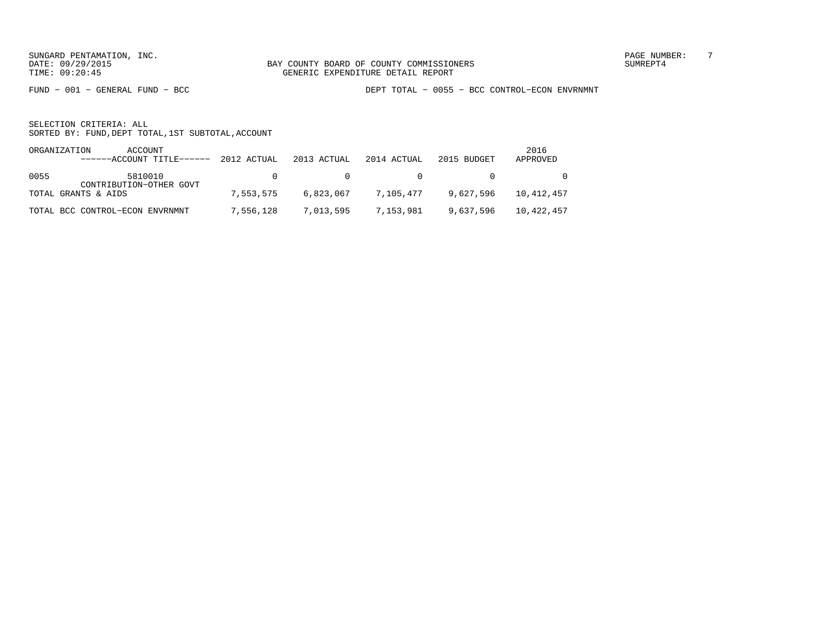FUND − 001 − GENERAL FUND − BCC DEPT TOTAL − 0055 − BCC CONTROL−ECON ENVRNMNT

|      | ORGANIZATION<br>ACCOUNT<br>------ACCOUNT TITLE------ 2012 ACTUAL |           | 2013 ACTUAL | 2014 ACTUAL                                  | 2015 BUDGET | 2016<br>APPROVED |
|------|------------------------------------------------------------------|-----------|-------------|----------------------------------------------|-------------|------------------|
| 0055 | 5810010<br>CONTRIBUTION-OTHER GOVT                               |           |             | $\begin{array}{ccc}\n0 & & & 0\n\end{array}$ | $\sim$ 0    | $\overline{0}$   |
|      | TOTAL GRANTS & AIDS                                              | 7,553,575 |             | 6,823,067 7,105,477                          | 9,627,596   | 10,412,457       |
|      | TOTAL BCC CONTROL-ECON ENVRNMNT                                  | 7,556,128 |             | 7,013,595   7,153,981                        | 9,637,596   | 10,422,457       |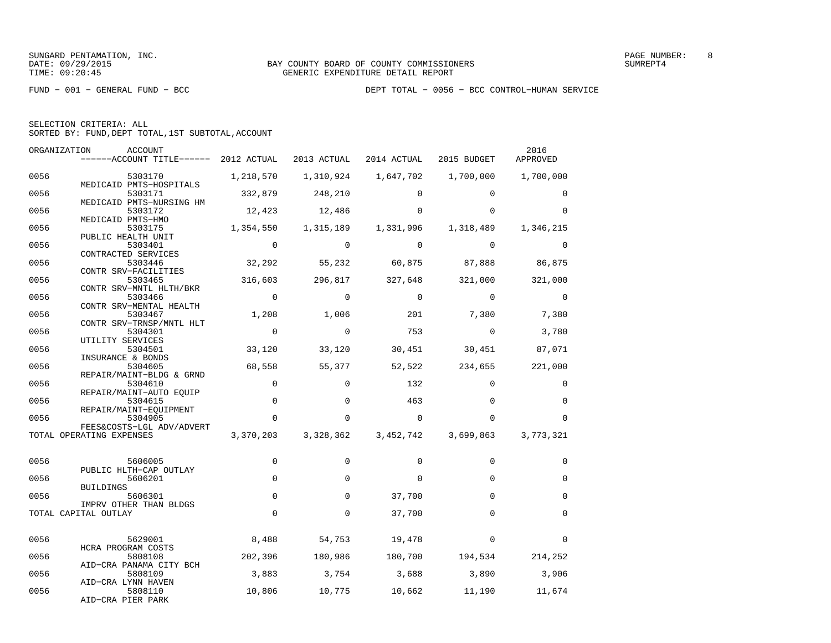FUND − 001 − GENERAL FUND − BCC DEPT TOTAL − 0056 − BCC CONTROL−HUMAN SERVICE

| SELECTION CRITERIA: ALL |  |                                                    |
|-------------------------|--|----------------------------------------------------|
|                         |  | SORTED BY: FUND, DEPT TOTAL, 1ST SUBTOTAL, ACCOUNT |

| ORGANIZATION | ACCOUNT<br>------ACCOUNT TITLE------ 2012 ACTUAL               |                | 2013 ACTUAL         | 2014 ACTUAL 2015 BUDGET |                                    | 2016<br>APPROVED |
|--------------|----------------------------------------------------------------|----------------|---------------------|-------------------------|------------------------------------|------------------|
| 0056         | 5303170                                                        | 1,218,570      | 1,310,924           | 1,647,702               | 1,700,000                          | 1,700,000        |
| 0056         | MEDICAID PMTS-HOSPITALS<br>5303171<br>MEDICAID PMTS-NURSING HM | 332,879        | 248,210             | $\Omega$                | $\Omega$                           | $\Omega$         |
| 0056         | 5303172<br>MEDICAID PMTS-HMO                                   | 12,423         | 12,486              | 0                       | $\Omega$                           | $\Omega$         |
| 0056         | 5303175<br>PUBLIC HEALTH UNIT                                  | 1,354,550      | 1,315,189           | 1,331,996               | 1,318,489                          | 1,346,215        |
| 0056         | 5303401<br>CONTRACTED SERVICES                                 | $\Omega$       | $\Omega$            | $\mathbf 0$             | $\Omega$                           | 0                |
| 0056         | 5303446<br>CONTR SRV-FACILITIES                                |                |                     |                         | 32,292 55,232 60,875 87,888 86,875 |                  |
| 0056         | 5303465<br>CONTR SRV-MNTL HLTH/BKR                             | 316,603        | 296,817             | 327,648                 | 321,000                            | 321,000          |
| 0056         | 5303466<br>CONTR SRV-MENTAL HEALTH                             | $\overline{0}$ | $\mathbf 0$         | $\mathbf 0$             | $\mathbf 0$                        | 0                |
| 0056         | 5303467<br>CONTR SRV-TRNSP/MNTL HLT                            | 1,208          | 1,006               | 201                     | 7,380                              | 7,380            |
| 0056         | 5304301<br>UTILITY SERVICES                                    | $\overline{0}$ | $\Omega$            | 753                     | $\mathbf 0$                        | 3,780            |
| 0056         | 5304501<br>INSURANCE & BONDS                                   | 33,120         | 33,120              | 30,451                  | 30,451                             | 87,071           |
| 0056         | 5304605<br>REPAIR/MAINT-BLDG & GRND                            | 68,558         | 55,377              | 52,522                  | 234,655                            | 221,000          |
| 0056         | 5304610<br>REPAIR/MAINT-AUTO EQUIP                             | $\mathbf 0$    | $\Omega$            | 132                     | $\Omega$                           | 0                |
| 0056         | 5304615<br>REPAIR/MAINT-EQUIPMENT                              | $\mathsf 0$    | $\mathbf 0$         | 463                     | $\Omega$                           | $\mathbf 0$      |
| 0056         | 5304905<br>FEES&COSTS-LGL ADV/ADVERT                           | $\mathbf 0$    | 0                   | $\mathbf 0$             | $\Omega$                           | $\Omega$         |
|              | TOTAL OPERATING EXPENSES                                       |                | 3,370,203 3,328,362 | 3,452,742               | 3,699,863                          | 3,773,321        |
| 0056         | 5606005<br>PUBLIC HLTH-CAP OUTLAY                              | 0              | $\Omega$            | $\Omega$                | $\Omega$                           | $\Omega$         |
| 0056         | 5606201<br>BUILDINGS                                           | $\mathbf 0$    | $\Omega$            | 0                       | $\Omega$                           | $\Omega$         |
| 0056         | 5606301<br>IMPRV OTHER THAN BLDGS                              | $\mathbf 0$    | $\mathbf 0$         | 37,700                  | $\Omega$                           | $\mathbf 0$      |
|              | TOTAL CAPITAL OUTLAY                                           | $\Omega$       | $\mathbf 0$         | 37,700                  | $\Omega$                           | $\Omega$         |
| 0056         | 5629001<br>HCRA PROGRAM COSTS                                  |                | 8,488 54,753        | 19,478                  | $\Omega$                           | $\Omega$         |
| 0056         | 5808108<br>AID-CRA PANAMA CITY BCH                             | 202,396        |                     |                         | 180,986 180,700 194,534 214,252    |                  |
| 0056         | 5808109<br>AID-CRA LYNN HAVEN                                  | 3,883          | 3,754               | 3,688                   | 3,890                              | 3,906            |
| 0056         | 5808110<br>AID-CRA PIER PARK                                   | 10,806         | 10,775              | 10,662                  | 11,190                             | 11,674           |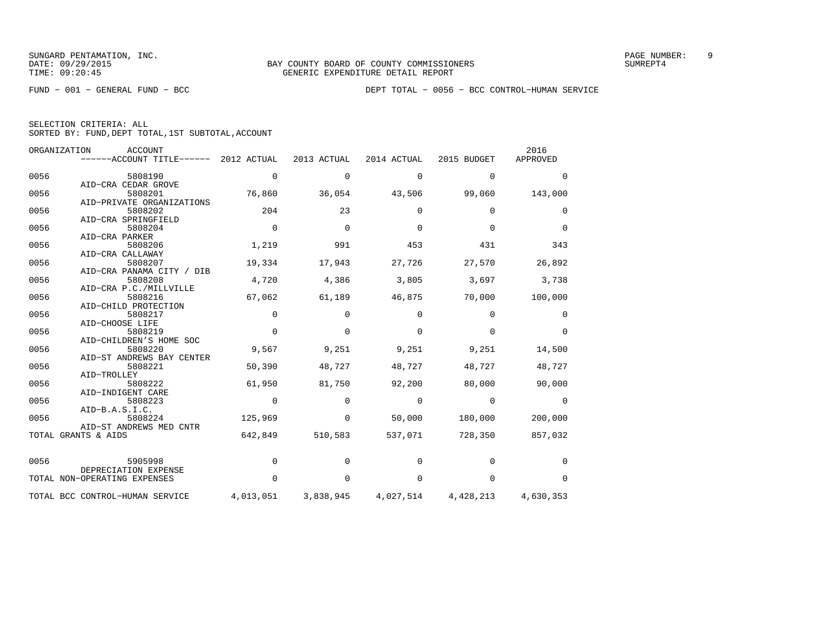FUND − 001 − GENERAL FUND − BCC DEPT TOTAL − 0056 − BCC CONTROL−HUMAN SERVICE

| SELECTION CRITERIA: ALL |  |  |                                                    |  |
|-------------------------|--|--|----------------------------------------------------|--|
|                         |  |  | SORTED BY: FUND, DEPT TOTAL, 1ST SUBTOTAL, ACCOUNT |  |

|      | ORGANIZATION<br>ACCOUNT         |             |             |             |             | 2016      |
|------|---------------------------------|-------------|-------------|-------------|-------------|-----------|
|      | ------ACCOUNT TITLE------       | 2012 ACTUAL | 2013 ACTUAL | 2014 ACTUAL | 2015 BUDGET | APPROVED  |
| 0056 | 5808190                         | $\mathbf 0$ | 0           | $\mathbf 0$ | 0           | $\Omega$  |
|      | AID-CRA CEDAR GROVE             |             |             |             |             |           |
| 0056 | 5808201                         | 76,860      | 36,054      | 43,506      | 99,060      | 143,000   |
|      | AID-PRIVATE ORGANIZATIONS       |             |             |             |             |           |
| 0056 | 5808202                         | 204         | 23          | $\Omega$    | $\Omega$    | $\Omega$  |
|      | AID-CRA SPRINGFIELD             |             |             |             |             |           |
| 0056 | 5808204                         | $\Omega$    | $\Omega$    | $\Omega$    | $\Omega$    | $\Omega$  |
|      | AID-CRA PARKER                  |             |             |             |             |           |
| 0056 | 5808206                         | 1,219       | 991         | 453         | 431         | 343       |
|      | AID-CRA CALLAWAY                |             |             |             |             |           |
| 0056 | 5808207                         | 19,334      | 17,943      | 27,726      | 27,570      | 26,892    |
|      | AID-CRA PANAMA CITY / DIB       |             |             |             |             |           |
| 0056 | 5808208                         | 4,720       | 4,386       | 3,805       | 3,697       | 3,738     |
|      | AID-CRA P.C./MILLVILLE          |             |             |             |             |           |
| 0056 | 5808216                         | 67,062      | 61,189      | 46,875      | 70,000      | 100,000   |
|      | AID-CHILD PROTECTION            |             |             |             |             |           |
| 0056 | 5808217                         | $\Omega$    | $\Omega$    | $\Omega$    | $\Omega$    | $\Omega$  |
|      | AID-CHOOSE LIFE                 |             |             |             |             |           |
| 0056 | 5808219                         | $\Omega$    | $\Omega$    | $\Omega$    | $\Omega$    | $\Omega$  |
|      | AID-CHILDREN'S HOME SOC         |             |             |             |             |           |
| 0056 | 5808220                         | 9,567       | 9,251       | 9,251       | 9,251       | 14,500    |
|      | AID-ST ANDREWS BAY CENTER       |             |             |             |             |           |
| 0056 | 5808221                         | 50,390      | 48,727      | 48,727      | 48,727      | 48,727    |
|      | AID-TROLLEY                     |             |             |             |             |           |
| 0056 | 5808222                         | 61,950      | 81,750      | 92,200      | 80,000      | 90,000    |
|      | AID-INDIGENT CARE               |             |             |             |             |           |
| 0056 | 5808223                         | $\mathbf 0$ | $\mathbf 0$ | $\mathbf 0$ | $\mathbf 0$ | 0         |
|      | AID-B.A.S.I.C.                  |             |             |             |             |           |
| 0056 | 5808224                         | 125,969     | $\mathbf 0$ | 50,000      | 180,000     | 200,000   |
|      | AID-ST ANDREWS MED CNTR         |             |             |             |             |           |
|      | TOTAL GRANTS & AIDS             | 642,849     | 510,583     | 537,071     | 728,350     | 857,032   |
| 0056 | 5905998                         | $\mathbf 0$ | $\Omega$    | $\Omega$    | $\Omega$    | $\Omega$  |
|      | DEPRECIATION EXPENSE            |             |             |             |             |           |
|      | TOTAL NON-OPERATING EXPENSES    | $\Omega$    | $\Omega$    | $\Omega$    | $\Omega$    | $\Omega$  |
|      | TOTAL BCC CONTROL-HUMAN SERVICE | 4,013,051   | 3,838,945   | 4,027,514   | 4,428,213   | 4,630,353 |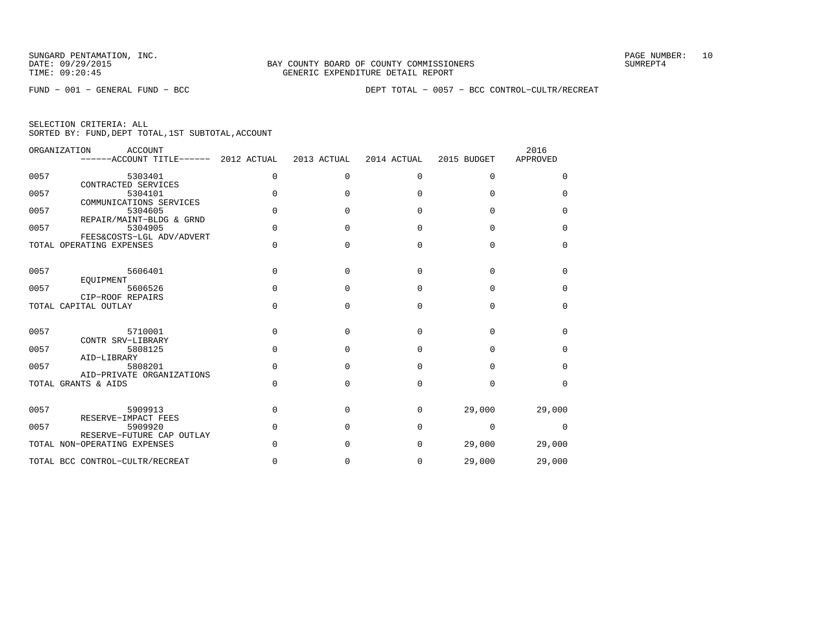FUND − 001 − GENERAL FUND − BCC DEPT TOTAL − 0057 − BCC CONTROL−CULTR/RECREAT

|      | ORGANIZATION<br>ACCOUNT<br>------ACCOUNT TITLE------      | 2012 ACTUAL | 2013 ACTUAL  | 2014 ACTUAL | 2015 BUDGET | 2016<br>APPROVED |
|------|-----------------------------------------------------------|-------------|--------------|-------------|-------------|------------------|
| 0057 | 5303401                                                   | 0           | $\Omega$     | $\Omega$    | $\Omega$    | $\Omega$         |
| 0057 | CONTRACTED SERVICES<br>5304101<br>COMMUNICATIONS SERVICES | $\Omega$    |              | $\Omega$    | $\Omega$    | 0                |
| 0057 | 5304605<br>REPAIR/MAINT-BLDG & GRND                       | $\Omega$    | $\cap$       | $\Omega$    | $\Omega$    | $\Omega$         |
| 0057 | 5304905<br>FEES&COSTS-LGL ADV/ADVERT                      | $\Omega$    | $\Omega$     | $\Omega$    | $\Omega$    | $\Omega$         |
|      | TOTAL OPERATING EXPENSES                                  | $\Omega$    | $\Omega$     | $\Omega$    | $\Omega$    | $\Omega$         |
| 0057 | 5606401                                                   | $\Omega$    | <sup>0</sup> | $\Omega$    | $\Omega$    | 0                |
| 0057 | EOUIPMENT<br>5606526                                      | $\Omega$    | <sup>0</sup> | $\Omega$    | $\Omega$    | $\Omega$         |
|      | CIP-ROOF REPAIRS<br>TOTAL CAPITAL OUTLAY                  | $\Omega$    | $\Omega$     | $\Omega$    | $\Omega$    | $\Omega$         |
| 0057 | 5710001                                                   | $\Omega$    | ∩            | $\Omega$    | $\Omega$    | $\Omega$         |
| 0057 | CONTR SRV-LIBRARY<br>5808125                              | $\Omega$    | U            | $\Omega$    | $\Omega$    | $\Omega$         |
| 0057 | AID-LIBRARY<br>5808201<br>AID-PRIVATE ORGANIZATIONS       | $\Omega$    | U            | $\Omega$    | $\Omega$    | $\Omega$         |
|      | TOTAL GRANTS & AIDS                                       | $\Omega$    | $\Omega$     | $\Omega$    | $\Omega$    | $\Omega$         |
| 0057 | 5909913                                                   | 0           | <sup>0</sup> | $\Omega$    | 29,000      | 29,000           |
| 0057 | RESERVE-IMPACT FEES<br>5909920                            | $\Omega$    | n            | $\Omega$    | $\Omega$    | $\Omega$         |
|      | RESERVE-FUTURE CAP OUTLAY<br>TOTAL NON-OPERATING EXPENSES | $\Omega$    |              | 0           | 29,000      | 29,000           |
|      | TOTAL BCC CONTROL-CULTR/RECREAT                           | O           |              | 0           | 29,000      | 29,000           |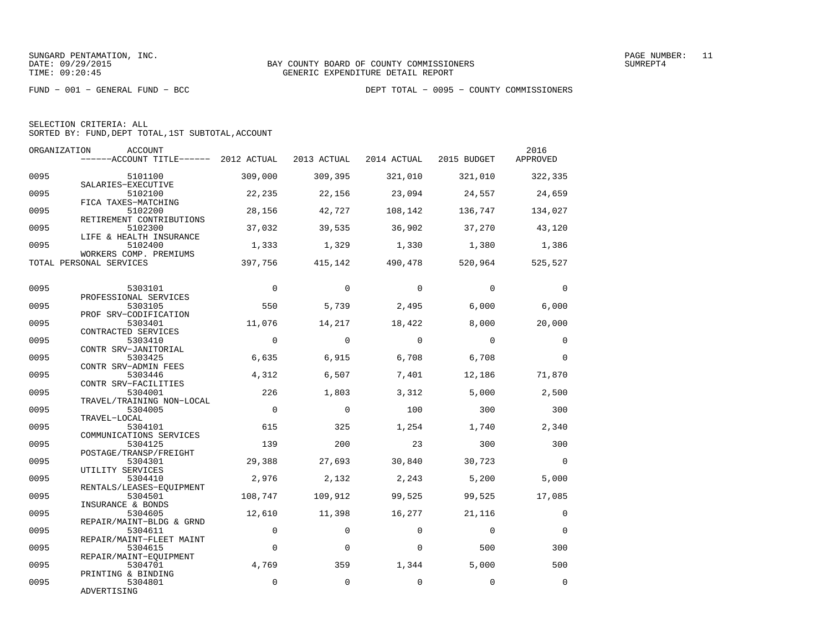| SELECTION CRITERIA: ALL |  |                                                    |  |
|-------------------------|--|----------------------------------------------------|--|
|                         |  | SORTED BY: FUND, DEPT TOTAL, 1ST SUBTOTAL, ACCOUNT |  |

|      | ORGANIZATION<br><b>ACCOUNT</b><br>------ACCOUNT TITLE------ 2012 ACTUAL |                | 2013 ACTUAL | 2014 ACTUAL | 2015 BUDGET    | 2016<br>APPROVED |
|------|-------------------------------------------------------------------------|----------------|-------------|-------------|----------------|------------------|
| 0095 | 5101100<br>SALARIES-EXECUTIVE                                           | 309,000        | 309,395     | 321,010     | 321,010        | 322,335          |
| 0095 | 5102100<br>FICA TAXES-MATCHING                                          | 22,235         | 22,156      | 23,094      | 24,557         | 24,659           |
| 0095 | 5102200<br>RETIREMENT CONTRIBUTIONS                                     | 28,156         | 42,727      | 108,142     | 136,747        | 134,027          |
| 0095 | 5102300<br>LIFE & HEALTH INSURANCE                                      | 37,032         | 39,535      | 36,902      | 37,270         | 43,120           |
| 0095 | 5102400<br>WORKERS COMP. PREMIUMS                                       | 1,333          | 1,329       | 1,330       | 1,380          | 1,386            |
|      | TOTAL PERSONAL SERVICES                                                 | 397,756        | 415,142     | 490,478     | 520,964        | 525,527          |
| 0095 | 5303101                                                                 | $\overline{0}$ | $\Omega$    | $\Omega$    | $\Omega$       | $\Omega$         |
| 0095 | PROFESSIONAL SERVICES<br>5303105                                        | 550            | 5,739       | 2,495       | 6,000          | 6,000            |
| 0095 | PROF SRV-CODIFICATION<br>5303401                                        | 11,076         | 14,217      | 18,422      | 8,000          | 20,000           |
| 0095 | CONTRACTED SERVICES<br>5303410<br>CONTR SRV-JANITORIAL                  | $\Omega$       | $\Omega$    | $\Omega$    | $\Omega$       | $\Omega$         |
| 0095 | 5303425<br>CONTR SRV-ADMIN FEES                                         | 6,635          | 6,915       | 6,708       | 6,708          | $\Omega$         |
| 0095 | 5303446<br>CONTR SRV-FACILITIES                                         | 4,312          | 6,507       | 7,401       | 12,186         | 71,870           |
| 0095 | 5304001<br>TRAVEL/TRAINING NON-LOCAL                                    | 226            | 1,803       | 3,312       | 5,000          | 2,500            |
| 0095 | 5304005<br>TRAVEL-LOCAL                                                 | $\overline{0}$ | $\mathbf 0$ | 100         | 300            | 300              |
| 0095 | 5304101<br>COMMUNICATIONS SERVICES                                      | 615            | 325         | 1,254       | 1,740          | 2,340            |
| 0095 | 5304125<br>POSTAGE/TRANSP/FREIGHT                                       | 139            | 200         | 23          | 300            | 300              |
| 0095 | 5304301<br>UTILITY SERVICES                                             | 29,388         | 27,693      | 30,840      | 30,723         | $\Omega$         |
| 0095 | 5304410<br>RENTALS/LEASES-EOUIPMENT                                     | 2,976          | 2,132       | 2,243       | 5,200          | 5,000            |
| 0095 | 5304501<br>INSURANCE & BONDS                                            | 108,747        | 109,912     | 99,525      | 99,525         | 17,085           |
| 0095 | 5304605<br>REPAIR/MAINT-BLDG & GRND                                     | 12,610         | 11,398      | 16,277      | 21,116         | $\Omega$         |
| 0095 | 5304611<br>REPAIR/MAINT-FLEET MAINT                                     | $\Omega$       | $\Omega$    | $\Omega$    | $\overline{0}$ | $\Omega$         |
| 0095 | 5304615<br>REPAIR/MAINT-EOUIPMENT                                       | $\mathbf 0$    | $\Omega$    | $\Omega$    | 500            | 300              |
| 0095 | 5304701<br>PRINTING & BINDING                                           | 4,769          | 359         | 1,344       | 5,000          | 500              |
| 0095 | 5304801<br>ADVERTISING                                                  | 0              | $\Omega$    | $\Omega$    | $\Omega$       | $\Omega$         |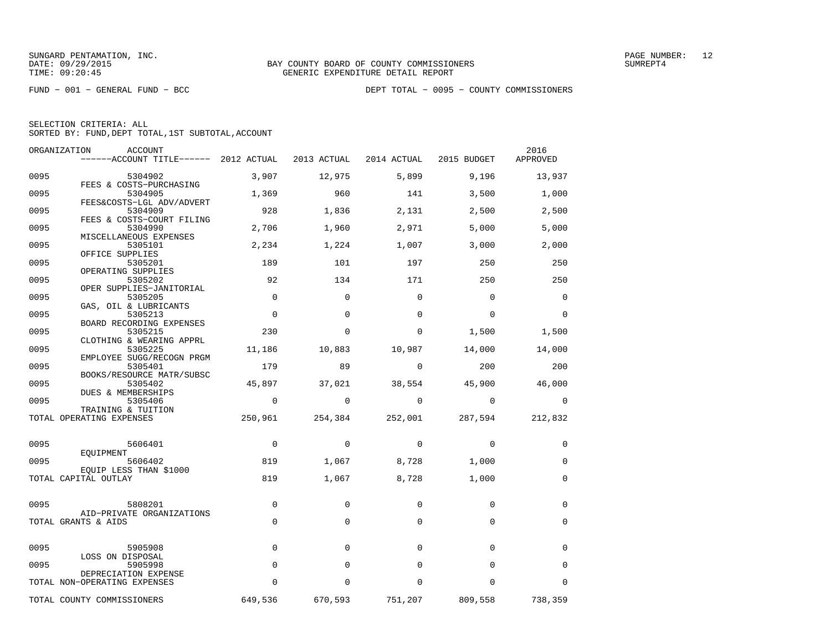|  | SELECTION CRITERIA: ALL                            |  |  |
|--|----------------------------------------------------|--|--|
|  | SORTED BY: FUND, DEPT TOTAL, 1ST SUBTOTAL, ACCOUNT |  |  |

| ORGANIZATION | <b>ACCOUNT</b><br>------ACCOUNT TITLE------ 2012 ACTUAL |             | 2013 ACTUAL  | 2014 ACTUAL | 2015 BUDGET | 2016<br>APPROVED |
|--------------|---------------------------------------------------------|-------------|--------------|-------------|-------------|------------------|
| 0095         | 5304902                                                 | 3,907       | 12,975       | 5,899       | 9,196       | 13,937           |
| 0095         | FEES & COSTS-PURCHASING<br>5304905                      | 1,369       | 960          | 141         | 3,500       | 1,000            |
| 0095         | FEES&COSTS-LGL ADV/ADVERT<br>5304909                    | 928         | 1,836        | 2,131       | 2,500       | 2,500            |
| 0095         | FEES & COSTS-COURT FILING<br>5304990                    | 2,706       | 1,960        | 2,971       | 5,000       | 5,000            |
| 0095         | MISCELLANEOUS EXPENSES<br>5305101                       | 2,234       | 1,224        | 1,007       | 3,000       | 2,000            |
| 0095         | OFFICE SUPPLIES<br>5305201                              | 189         | 101          | 197         | 250         | 250              |
| 0095         | OPERATING SUPPLIES<br>5305202                           | 92          | 134          | 171         | 250         | 250              |
| 0095         | OPER SUPPLIES-JANITORIAL<br>5305205                     | $\mathbf 0$ | $\Omega$     | $\Omega$    | $\mathbf 0$ | $\mathbf 0$      |
| 0095         | GAS, OIL & LUBRICANTS<br>5305213                        | $\mathbf 0$ | $\mathbf{0}$ | 0           | $\mathbf 0$ | 0                |
| 0095         | BOARD RECORDING EXPENSES<br>5305215                     | 230         | $\Omega$     | 0           | 1,500       | 1,500            |
| 0095         | CLOTHING & WEARING APPRL<br>5305225                     | 11,186      | 10,883       | 10,987      | 14,000      | 14,000           |
| 0095         | EMPLOYEE SUGG/RECOGN PRGM<br>5305401                    | 179         | 89           | $\mathbf 0$ | 200         | 200              |
| 0095         | BOOKS/RESOURCE MATR/SUBSC<br>5305402                    | 45,897      | 37,021       | 38,554      | 45,900      | 46,000           |
|              | DUES & MEMBERSHIPS                                      | $\mathbf 0$ | $\mathbf 0$  | $\Omega$    | $\mathbf 0$ |                  |
| 0095         | 5305406<br>TRAINING & TUITION                           |             |              |             |             | 0                |
|              | TOTAL OPERATING EXPENSES                                | 250,961     | 254,384      | 252,001     | 287,594     | 212,832          |
| 0095         | 5606401                                                 | 0           | 0            | 0           | 0           | 0                |
| 0095         | EQUIPMENT<br>5606402                                    | 819         | 1,067        | 8,728       | 1,000       | 0                |
|              | EQUIP LESS THAN \$1000<br>TOTAL CAPITAL OUTLAY          | 819         | 1,067        | 8,728       | 1,000       | $\mathbf 0$      |
|              |                                                         |             |              |             |             |                  |
| 0095         | 5808201<br>AID-PRIVATE ORGANIZATIONS                    | $\mathbf 0$ | $\Omega$     | $\Omega$    | $\Omega$    | 0                |
|              | TOTAL GRANTS & AIDS                                     | $\mathbf 0$ | $\Omega$     | $\Omega$    | $\mathbf 0$ | 0                |
| 0095         | 5905908                                                 | $\mathbf 0$ | $\Omega$     | $\Omega$    | $\Omega$    | $\Omega$         |
| 0095         | LOSS ON DISPOSAL<br>5905998                             | $\Omega$    | $\Omega$     | $\Omega$    | $\Omega$    | $\Omega$         |
|              | DEPRECIATION EXPENSE<br>TOTAL NON-OPERATING EXPENSES    | $\mathbf 0$ | $\Omega$     | $\Omega$    | $\Omega$    | $\Omega$         |
|              | TOTAL COUNTY COMMISSIONERS                              | 649,536     | 670,593      | 751,207     | 809,558     | 738,359          |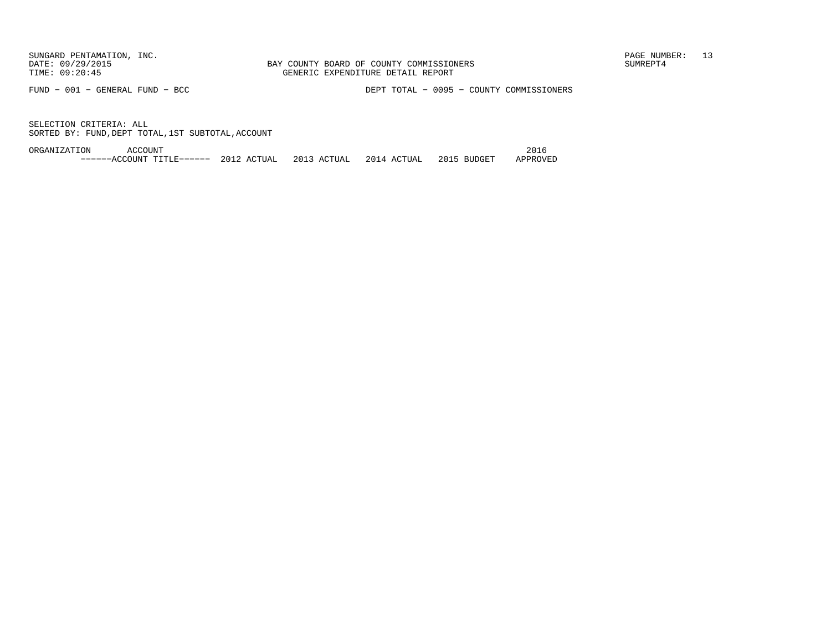FUND − 001 − GENERAL FUND − BCC DEPT TOTAL − 0095 − COUNTY COMMISSIONERS

SELECTION CRITERIA: ALLSORTED BY: FUND,DEPT TOTAL,1ST SUBTOTAL,ACCOUNT

ORGANIZATION ACCOUNT 2016−−−−−−ACCOUNT TITLE−−−−−− 2012 ACTUAL 2013 ACTUAL 2014 ACTUAL 2015 BUDGET APPROVED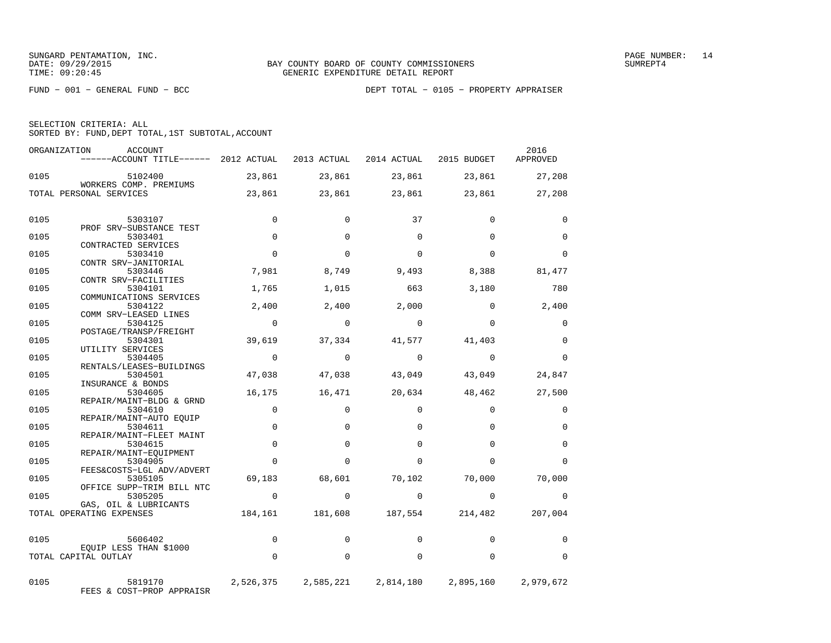|  | SELECTION CRITERIA: ALL |                                                    |  |
|--|-------------------------|----------------------------------------------------|--|
|  |                         | SORTED BY: FUND, DEPT TOTAL, 1ST SUBTOTAL, ACCOUNT |  |

|      | ORGANIZATION<br><b>ACCOUNT</b><br>------ACCOUNT TITLE------ 2012 ACTUAL |                | 2013 ACTUAL 2014 ACTUAL |           | 2015 BUDGET     | 2016<br>APPROVED |
|------|-------------------------------------------------------------------------|----------------|-------------------------|-----------|-----------------|------------------|
| 0105 | 5102400<br>WORKERS COMP. PREMIUMS                                       | 23,861         | 23,861                  | 23,861    | 23,861          | 27,208           |
|      | TOTAL PERSONAL SERVICES                                                 | 23,861         | 23,861                  | 23,861    | 23,861          | 27,208           |
| 0105 | 5303107                                                                 | $\Omega$       | $\Omega$                | 37        | $\mathbf 0$     | 0                |
| 0105 | PROF SRV-SUBSTANCE TEST<br>5303401                                      | $\Omega$       | $\Omega$                | $\Omega$  | $\Omega$        | $\Omega$         |
|      | CONTRACTED SERVICES                                                     |                |                         |           |                 |                  |
| 0105 | 5303410                                                                 | $\Omega$       | $\Omega$                | $\Omega$  | $\Omega$        | $\Omega$         |
| 0105 | CONTR SRV-JANITORIAL<br>5303446                                         | 7,981          | 8,749                   | 9,493     | 8,388           | 81,477           |
|      | CONTR SRV-FACILITIES                                                    |                |                         |           |                 |                  |
| 0105 | 5304101<br>COMMUNICATIONS SERVICES                                      | 1,765          | 1,015                   | 663       | 3,180           | 780              |
| 0105 | 5304122                                                                 | 2,400          | 2,400                   | 2,000     | $\mathbf 0$     | 2,400            |
|      | COMM SRV-LEASED LINES                                                   | $\overline{0}$ | $\Omega$                | $\Omega$  | $\Omega$        | $\Omega$         |
| 0105 | 5304125<br>POSTAGE/TRANSP/FREIGHT                                       |                |                         |           |                 |                  |
| 0105 | 5304301                                                                 | 39,619         | 37,334                  | 41,577    | 41,403          | $\Omega$         |
| 0105 | UTILITY SERVICES<br>5304405                                             | $\Omega$       | $\Omega$                | $\Omega$  | $\Omega$        | $\Omega$         |
|      | RENTALS/LEASES-BUILDINGS                                                |                |                         |           |                 |                  |
| 0105 | 5304501<br>INSURANCE & BONDS                                            | 47,038         | 47,038                  | 43,049    | 43,049          | 24,847           |
| 0105 | 5304605                                                                 | 16,175         | 16,471                  | 20,634    | 48,462          | 27,500           |
|      | REPAIR/MAINT-BLDG & GRND                                                |                |                         |           |                 |                  |
| 0105 | 5304610<br>REPAIR/MAINT-AUTO EQUIP                                      | $\Omega$       | $\Omega$                | $\Omega$  | $\Omega$        | $\mathbf 0$      |
| 0105 | 5304611                                                                 | $\mathbf 0$    | $\Omega$                | $\Omega$  | $\Omega$        | 0                |
| 0105 | REPAIR/MAINT-FLEET MAINT<br>5304615                                     | $\mathbf 0$    | $\Omega$                | $\Omega$  | $\Omega$        | $\mathbf 0$      |
|      | REPAIR/MAINT-EQUIPMENT                                                  |                |                         |           |                 |                  |
| 0105 | 5304905                                                                 | $\Omega$       | $\Omega$                | $\Omega$  | $\Omega$        | $\Omega$         |
| 0105 | FEES&COSTS-LGL ADV/ADVERT<br>5305105                                    | 69,183         | 68,601                  | 70,102    | 70,000          | 70,000           |
|      | OFFICE SUPP-TRIM BILL NTC                                               |                |                         |           |                 |                  |
| 0105 | 5305205<br>GAS, OIL & LUBRICANTS                                        | $\mathbf 0$    | $\Omega$                | $\Omega$  | $\mathbf 0$     | $\mathbf 0$      |
|      | TOTAL OPERATING EXPENSES                                                |                | 184,161 181,608         |           | 187,554 214,482 | 207,004          |
| 0105 | 5606402                                                                 | $\Omega$       | $\Omega$                | $\Omega$  | $\Omega$        | $\Omega$         |
|      | EQUIP LESS THAN \$1000<br>TOTAL CAPITAL OUTLAY                          | $\Omega$       | $\Omega$                | $\Omega$  | $\Omega$        | $\Omega$         |
|      |                                                                         |                |                         |           |                 |                  |
| 0105 | 5819170<br>FEES & COST-PROP APPRAISR                                    |                | 2,526,375 2,585,221     | 2,814,180 | 2,895,160       | 2,979,672        |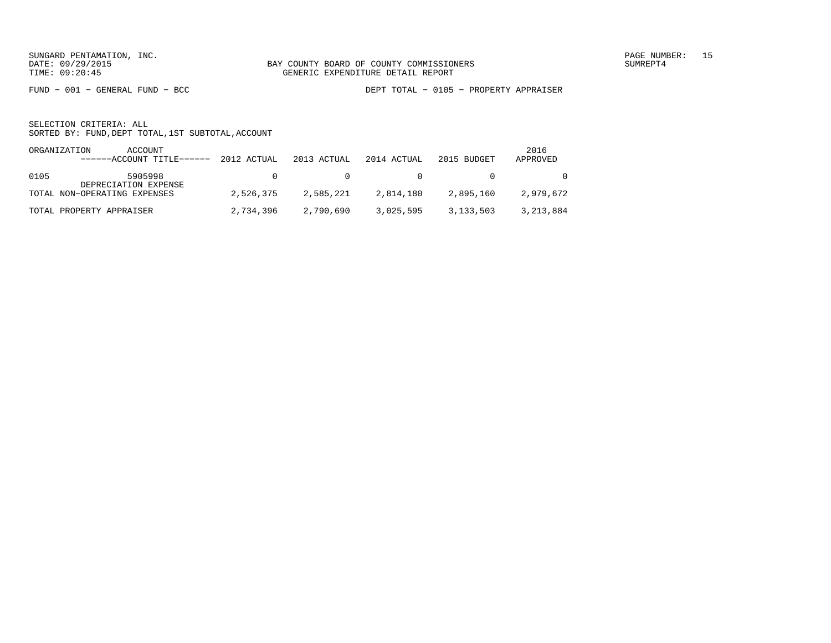FUND − 001 − GENERAL FUND − BCC DEPT TOTAL − 0105 − PROPERTY APPRAISER

| ORGANIZATION | ACCOUNT<br>------ACCOUNT TITLE------ 2012 ACTUAL |           | 2013 ACTUAL | 2014 ACTUAL           | 2015 BUDGET | 2016<br>APPROVED |
|--------------|--------------------------------------------------|-----------|-------------|-----------------------|-------------|------------------|
| 0105         | 5905998<br>DEPRECIATION EXPENSE                  | $\cap$    |             | $\Omega$ and $\Omega$ |             | $\Omega$         |
|              | TOTAL NON-OPERATING EXPENSES                     | 2,526,375 | 2,585,221   | 2,814,180             | 2,895,160   | 2,979,672        |
|              | TOTAL PROPERTY APPRAISER                         | 2,734,396 | 2,790,690   | 3,025,595             | 3,133,503   | 3,213,884        |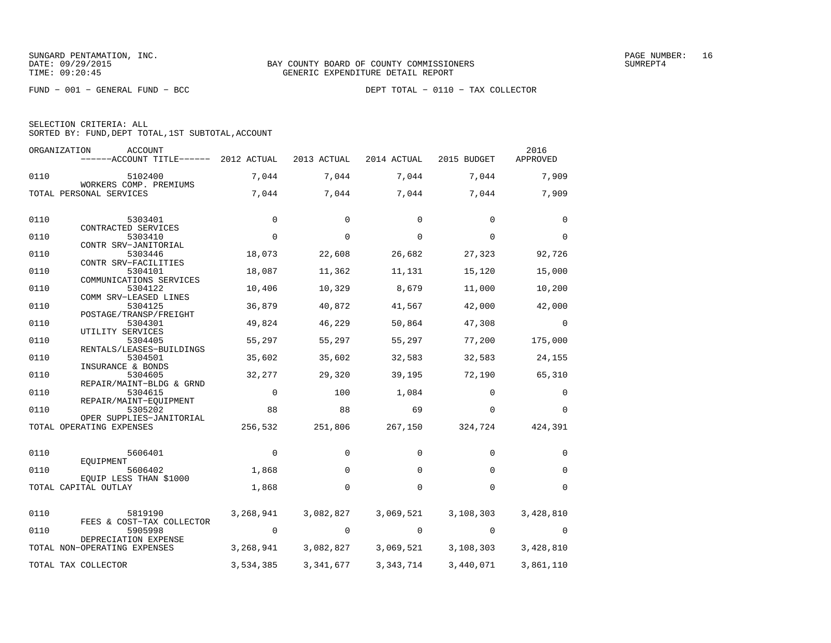FUND − 001 − GENERAL FUND − BCC DEPT TOTAL − 0110 − TAX COLLECTOR

|  | SELECTION CRITERIA: ALL |                                                    |  |
|--|-------------------------|----------------------------------------------------|--|
|  |                         | SORTED BY: FUND, DEPT TOTAL, 1ST SUBTOTAL, ACCOUNT |  |

|      | ORGANIZATION<br><b>ACCOUNT</b><br>------ACCOUNT TITLE------ | 2012 ACTUAL | 2013 ACTUAL | 2014 ACTUAL | 2015 BUDGET | 2016<br>APPROVED |
|------|-------------------------------------------------------------|-------------|-------------|-------------|-------------|------------------|
| 0110 | 5102400                                                     | 7,044       | 7,044       | 7,044       | 7,044       | 7,909            |
|      | WORKERS COMP. PREMIUMS<br>TOTAL PERSONAL SERVICES           | 7,044       | 7,044       | 7,044       | 7,044       | 7,909            |
| 0110 | 5303401                                                     | 0           | 0           | 0           | 0           | 0                |
|      | CONTRACTED SERVICES                                         |             |             |             |             |                  |
| 0110 | 5303410<br>CONTR SRV-JANITORIAL                             | $\mathbf 0$ | 0           | 0           | 0           | $\mathbf 0$      |
| 0110 | 5303446                                                     | 18,073      | 22,608      | 26,682      | 27,323      | 92,726           |
|      | CONTR SRV-FACILITIES                                        |             |             |             |             |                  |
| 0110 | 5304101<br>COMMUNICATIONS SERVICES                          | 18,087      | 11,362      | 11,131      | 15,120      | 15,000           |
| 0110 | 5304122                                                     | 10,406      | 10,329      | 8,679       | 11,000      | 10,200           |
|      | COMM SRV-LEASED LINES                                       |             |             |             |             |                  |
| 0110 | 5304125<br>POSTAGE/TRANSP/FREIGHT                           | 36,879      | 40,872      | 41,567      | 42,000      | 42,000           |
| 0110 | 5304301                                                     | 49,824      | 46,229      | 50,864      | 47,308      | $\Omega$         |
|      | UTILITY SERVICES                                            |             |             |             |             |                  |
| 0110 | 5304405<br>RENTALS/LEASES-BUILDINGS                         | 55,297      | 55,297      | 55,297      | 77,200      | 175,000          |
| 0110 | 5304501                                                     | 35,602      | 35,602      | 32,583      | 32,583      | 24,155           |
|      | INSURANCE & BONDS                                           |             |             |             |             |                  |
| 0110 | 5304605                                                     | 32,277      | 29,320      | 39,195      | 72,190      | 65,310           |
| 0110 | REPAIR/MAINT-BLDG & GRND<br>5304615                         | $\mathbf 0$ | 100         | 1,084       | $\Omega$    | 0                |
| 0110 | REPAIR/MAINT-EQUIPMENT<br>5305202                           | 88          | 88          | 69          | $\Omega$    | $\Omega$         |
|      | OPER SUPPLIES-JANITORIAL                                    |             |             |             |             |                  |
|      | TOTAL OPERATING EXPENSES                                    | 256,532     | 251,806     | 267,150     | 324,724     | 424,391          |
| 0110 | 5606401                                                     | 0           | 0           | $\Omega$    | $\Omega$    | $\Omega$         |
| 0110 | EOUIPMENT<br>5606402                                        | 1,868       | $\Omega$    | $\Omega$    | $\Omega$    | $\Omega$         |
|      | EQUIP LESS THAN \$1000                                      |             |             |             |             |                  |
|      | TOTAL CAPITAL OUTLAY                                        | 1,868       | $\Omega$    | $\Omega$    | $\Omega$    | $\Omega$         |
| 0110 | 5819190                                                     | 3,268,941   | 3,082,827   | 3,069,521   | 3,108,303   | 3,428,810        |
|      | FEES & COST-TAX COLLECTOR                                   |             |             |             |             |                  |
| 0110 | 5905998<br>DEPRECIATION EXPENSE                             | 0           | 0           | 0           | 0           | 0                |
|      | TOTAL NON-OPERATING EXPENSES                                | 3,268,941   | 3,082,827   | 3,069,521   | 3,108,303   | 3,428,810        |
|      | TOTAL TAX COLLECTOR                                         | 3,534,385   | 3, 341, 677 | 3, 343, 714 | 3,440,071   | 3,861,110        |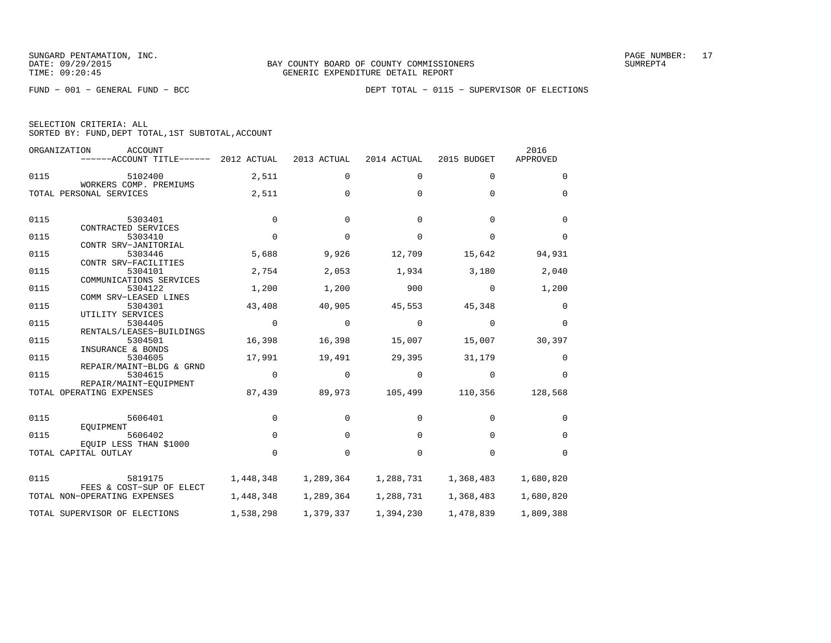|  | SELECTION CRITERIA: ALL |                                                    |  |
|--|-------------------------|----------------------------------------------------|--|
|  |                         | SORTED BY: FUND, DEPT TOTAL, 1ST SUBTOTAL, ACCOUNT |  |

|      | ORGANIZATION<br><b>ACCOUNT</b><br>$----ACCOUNT$ TITLE $----2012$ ACTUAL |             | 2013 ACTUAL | 2014 ACTUAL | 2015 BUDGET | 2016<br>APPROVED |
|------|-------------------------------------------------------------------------|-------------|-------------|-------------|-------------|------------------|
| 0115 | 5102400<br>WORKERS COMP. PREMIUMS                                       | 2,511       | 0           | 0           | $\mathbf 0$ | 0                |
|      | TOTAL PERSONAL SERVICES                                                 | 2,511       | $\Omega$    | $\Omega$    | $\Omega$    | $\Omega$         |
| 0115 | 5303401<br>CONTRACTED SERVICES                                          | $\Omega$    | $\mathbf 0$ | $\Omega$    | $\Omega$    | $\mathbf 0$      |
| 0115 | 5303410                                                                 | $\Omega$    | $\Omega$    | $\Omega$    | $\Omega$    | $\Omega$         |
| 0115 | CONTR SRV-JANITORIAL<br>5303446<br>CONTR SRV-FACILITIES                 | 5,688       | 9,926       | 12,709      | 15,642      | 94,931           |
| 0115 | 5304101<br>COMMUNICATIONS SERVICES                                      | 2,754       | 2,053       | 1,934       | 3,180       | 2,040            |
| 0115 | 5304122<br>COMM SRV-LEASED LINES                                        | 1,200       | 1,200       | 900         | $\Omega$    | 1,200            |
| 0115 | 5304301<br>UTILITY SERVICES                                             | 43,408      | 40,905      | 45,553      | 45,348      | 0                |
| 0115 | 5304405<br>RENTALS/LEASES-BUILDINGS                                     | $\mathbf 0$ | $\mathbf 0$ | $\mathbf 0$ | $\Omega$    | $\Omega$         |
| 0115 | 5304501                                                                 | 16,398      | 16,398      | 15,007      | 15,007      | 30,397           |
| 0115 | INSURANCE & BONDS<br>5304605                                            | 17,991      | 19,491      | 29,395      | 31,179      | 0                |
| 0115 | REPAIR/MAINT-BLDG & GRND<br>5304615                                     | $\Omega$    | $\Omega$    | $\Omega$    | $\Omega$    | $\Omega$         |
|      | REPAIR/MAINT-EOUIPMENT<br>TOTAL OPERATING EXPENSES                      | 87,439      | 89,973      | 105,499     | 110,356     | 128,568          |
| 0115 | 5606401                                                                 | $\mathbf 0$ | 0           | $\Omega$    | $\Omega$    | $\Omega$         |
| 0115 | EQUIPMENT<br>5606402                                                    | $\Omega$    | $\Omega$    | $\Omega$    | $\Omega$    | $\Omega$         |
|      | EOUIP LESS THAN \$1000<br>TOTAL CAPITAL OUTLAY                          | $\Omega$    | $\mathbf 0$ | 0           | $\Omega$    | $\Omega$         |
| 0115 | 5819175                                                                 | 1,448,348   | 1,289,364   | 1,288,731   | 1,368,483   | 1,680,820        |
|      | FEES & COST-SUP OF ELECT<br>TOTAL NON-OPERATING EXPENSES                | 1,448,348   | 1,289,364   | 1,288,731   | 1,368,483   | 1,680,820        |
|      | TOTAL SUPERVISOR OF ELECTIONS                                           | 1,538,298   | 1,379,337   | 1,394,230   | 1,478,839   | 1,809,388        |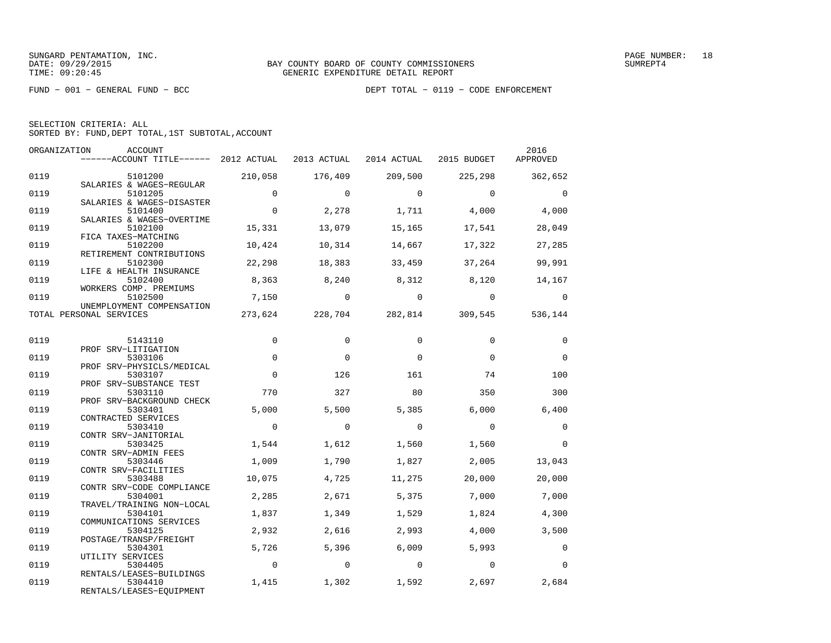| SELECTION CRITERIA: ALL |                                                    |  |
|-------------------------|----------------------------------------------------|--|
|                         | SORTED BY: FUND, DEPT TOTAL, 1ST SUBTOTAL, ACCOUNT |  |

|      | ORGANIZATION<br>ACCOUNT               |                |                |                |                 | 2016           |
|------|---------------------------------------|----------------|----------------|----------------|-----------------|----------------|
|      | ------ACCOUNT TITLE------ 2012 ACTUAL |                | 2013 ACTUAL    | 2014 ACTUAL    | 2015 BUDGET     | APPROVED       |
| 0119 | 5101200                               | 210,058        | 176,409        | 209,500        | 225,298         | 362,652        |
|      | SALARIES & WAGES-REGULAR              |                |                |                |                 |                |
| 0119 | 5101205                               | $\mathbf 0$    | $\Omega$       | $\Omega$       | $\Omega$        | $\overline{0}$ |
|      | SALARIES & WAGES-DISASTER             |                |                |                |                 |                |
| 0119 | 5101400                               | $\mathbf 0$    | 2,278          | 1,711          | 4,000           | 4,000          |
|      | SALARIES & WAGES-OVERTIME             |                |                |                |                 |                |
| 0119 | 5102100                               | 15,331         | 13,079         | 15,165         | 17,541          | 28,049         |
|      | FICA TAXES-MATCHING                   |                |                |                |                 |                |
| 0119 | 5102200                               | 10,424         | 10,314         | 14,667         | 17,322          | 27,285         |
| 0119 | RETIREMENT CONTRIBUTIONS<br>5102300   | 22,298         | 18,383         | 33,459         | 37,264          | 99,991         |
|      | LIFE & HEALTH INSURANCE               |                |                |                |                 |                |
| 0119 | 5102400                               | 8,363          | 8,240          | 8,312          | 8,120           | 14,167         |
|      | WORKERS COMP. PREMIUMS                |                |                |                |                 |                |
| 0119 | 5102500                               | 7,150          | $\overline{0}$ | $\overline{0}$ | $\overline{0}$  | $\Omega$       |
|      | UNEMPLOYMENT COMPENSATION             |                |                |                |                 |                |
|      | TOTAL PERSONAL SERVICES               | 273,624        | 228,704        |                | 282,814 309,545 | 536,144        |
|      |                                       |                |                |                |                 |                |
|      |                                       |                |                |                |                 |                |
| 0119 | 5143110<br>PROF SRV-LITIGATION        | 0              | $\Omega$       | $\Omega$       | $\Omega$        | 0              |
| 0119 | 5303106                               | $\Omega$       | $\Omega$       | $\Omega$       | $\Omega$        | $\Omega$       |
|      | PROF SRV-PHYSICLS/MEDICAL             |                |                |                |                 |                |
| 0119 | 5303107                               | $\Omega$       | 126            | 161            | 74              | 100            |
|      | PROF SRV-SUBSTANCE TEST               |                |                |                |                 |                |
| 0119 | 5303110                               | 770            | 327            | 80             | 350             | 300            |
|      | PROF SRV-BACKGROUND CHECK             |                |                |                |                 |                |
| 0119 | 5303401                               | 5,000          | 5,500          | 5,385          | 6,000           | 6,400          |
|      | CONTRACTED SERVICES                   |                |                |                |                 |                |
| 0119 | 5303410                               | $\mathbf 0$    | $\mathbf 0$    | $\Omega$       | $\Omega$        | $\mathbf 0$    |
|      | CONTR SRV-JANITORIAL                  |                |                |                |                 |                |
| 0119 | 5303425                               | 1,544          | 1,612          | 1,560          | 1,560           | $\overline{0}$ |
| 0119 | CONTR SRV-ADMIN FEES<br>5303446       |                |                |                |                 |                |
|      | CONTR SRV-FACILITIES                  | 1,009          | 1,790          | 1,827          | 2,005           | 13,043         |
| 0119 | 5303488                               | 10,075         | 4,725          | 11,275         | 20,000          | 20,000         |
|      | CONTR SRV-CODE COMPLIANCE             |                |                |                |                 |                |
| 0119 | 5304001                               | 2,285          | 2,671          | 5,375          | 7,000           | 7,000          |
|      | TRAVEL/TRAINING NON-LOCAL             |                |                |                |                 |                |
| 0119 | 5304101                               | 1,837          | 1,349          | 1,529          | 1,824           | 4,300          |
|      | COMMUNICATIONS SERVICES               |                |                |                |                 |                |
| 0119 | 5304125                               | 2,932          | 2,616          | 2,993          | 4,000           | 3,500          |
|      | POSTAGE/TRANSP/FREIGHT                |                |                |                |                 |                |
| 0119 | 5304301                               | 5,726          | 5,396          | 6.009          | 5,993           | $\mathbf 0$    |
|      | UTILITY SERVICES                      | $\overline{0}$ | $\overline{0}$ | $\overline{0}$ | $\Omega$        | $\Omega$       |
| 0119 | 5304405<br>RENTALS/LEASES-BUILDINGS   |                |                |                |                 |                |
| 0119 | 5304410                               | 1,415          | 1,302          | 1,592          | 2,697           | 2,684          |
|      | RENTALS/LEASES-EQUIPMENT              |                |                |                |                 |                |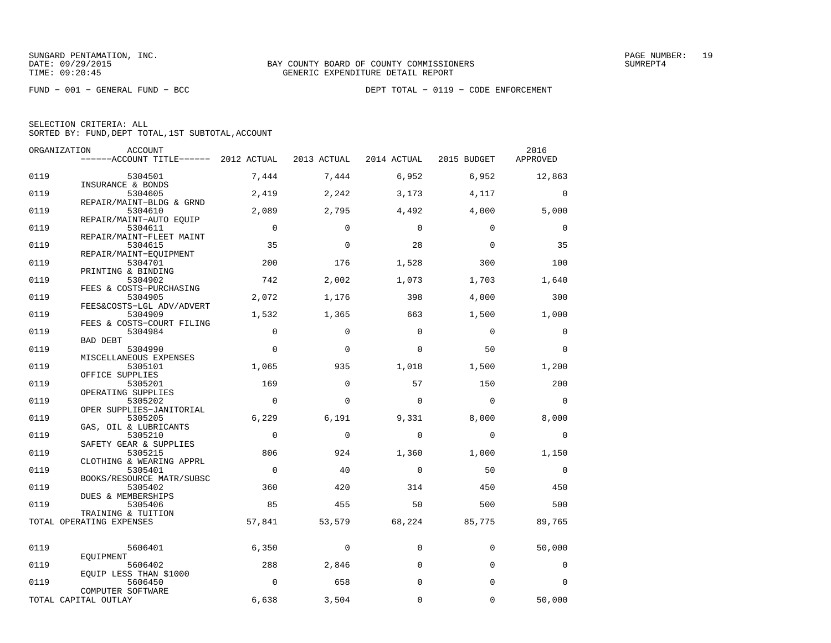|      | ORGANIZATION<br><b>ACCOUNT</b>        |             |             |             |                | 2016        |
|------|---------------------------------------|-------------|-------------|-------------|----------------|-------------|
|      | ------ACCOUNT TITLE------ 2012 ACTUAL |             | 2013 ACTUAL | 2014 ACTUAL | 2015 BUDGET    | APPROVED    |
| 0119 | 5304501                               | 7,444       | 7,444       | 6,952       | 6,952          | 12,863      |
|      | INSURANCE & BONDS                     |             |             |             |                |             |
| 0119 | 5304605                               | 2,419       | 2,242       | 3,173       | 4,117          | $\mathbf 0$ |
|      | REPAIR/MAINT-BLDG & GRND              |             |             |             |                |             |
| 0119 | 5304610                               | 2,089       | 2,795       | 4,492       | 4,000          | 5,000       |
|      | REPAIR/MAINT-AUTO EOUIP               |             |             |             |                |             |
| 0119 | 5304611                               | $\mathbf 0$ | $\mathbf 0$ | $\Omega$    | $\Omega$       | $\mathbf 0$ |
| 0119 | REPAIR/MAINT-FLEET MAINT<br>5304615   | 35          | $\Omega$    | 28          | $\Omega$       | 35          |
|      | REPAIR/MAINT-EOUIPMENT                |             |             |             |                |             |
| 0119 | 5304701                               | 200         | 176         | 1,528       | 300            | 100         |
|      | PRINTING & BINDING                    |             |             |             |                |             |
| 0119 | 5304902                               | 742         | 2,002       | 1,073       | 1,703          | 1,640       |
|      | FEES & COSTS-PURCHASING               |             |             |             |                |             |
| 0119 | 5304905                               | 2,072       | 1,176       | 398         | 4,000          | 300         |
|      | FEES&COSTS-LGL ADV/ADVERT             |             |             |             |                |             |
| 0119 | 5304909                               | 1,532       | 1,365       | 663         | 1,500          | 1,000       |
| 0119 | FEES & COSTS-COURT FILING<br>5304984  | $\mathbf 0$ | $\mathbf 0$ | $\mathbf 0$ | $\overline{0}$ | 0           |
|      | <b>BAD DEBT</b>                       |             |             |             |                |             |
| 0119 | 5304990                               | $\Omega$    | $\Omega$    | $\Omega$    | 50             | $\Omega$    |
|      | MISCELLANEOUS EXPENSES                |             |             |             |                |             |
| 0119 | 5305101                               | 1,065       | 935         | 1,018       | 1,500          | 1,200       |
|      | OFFICE SUPPLIES                       |             |             |             |                |             |
| 0119 | 5305201                               | 169         | $\mathbf 0$ | 57          | 150            | 200         |
|      | OPERATING SUPPLIES                    |             |             |             |                |             |
| 0119 | 5305202                               | $\Omega$    | $\Omega$    | $\Omega$    | $\Omega$       | $\Omega$    |
| 0119 | OPER SUPPLIES-JANITORIAL<br>5305205   | 6,229       | 6,191       |             |                |             |
|      | GAS, OIL & LUBRICANTS                 |             |             | 9,331       | 8,000          | 8,000       |
| 0119 | 5305210                               | $\mathbf 0$ | $\mathbf 0$ | $\mathbf 0$ | $\mathbf 0$    | 0           |
|      | SAFETY GEAR & SUPPLIES                |             |             |             |                |             |
| 0119 | 5305215                               | 806         | 924         | 1,360       | 1,000          | 1,150       |
|      | CLOTHING & WEARING APPRL              |             |             |             |                |             |
| 0119 | 5305401                               | $\mathbf 0$ | 40          | $\mathbf 0$ | 50             | $\mathbf 0$ |
|      | BOOKS/RESOURCE MATR/SUBSC             |             |             |             |                |             |
| 0119 | 5305402                               | 360         | 420         | 314         | 450            | 450         |
| 0119 | DUES & MEMBERSHIPS<br>5305406         | 85          | 455         | 50          | 500            | 500         |
|      | TRAINING & TUITION                    |             |             |             |                |             |
|      | TOTAL OPERATING EXPENSES              | 57,841      | 53,579      | 68,224      | 85,775         | 89,765      |
|      |                                       |             |             |             |                |             |
|      |                                       |             |             |             |                |             |
| 0119 | 5606401                               | 6,350       | 0           | $\mathbf 0$ | $\mathbf 0$    | 50,000      |
| 0119 | EOUIPMENT<br>5606402                  | 288         |             | $\Omega$    | $\Omega$       | 0           |
|      | EQUIP LESS THAN \$1000                |             | 2,846       |             |                |             |
| 0119 | 5606450                               | $\mathbf 0$ | 658         | $\Omega$    | $\Omega$       | 0           |
|      | COMPUTER SOFTWARE                     |             |             |             |                |             |
|      | TOTAL CAPITAL OUTLAY                  | 6,638       | 3,504       | $\mathbf 0$ | $\Omega$       | 50,000      |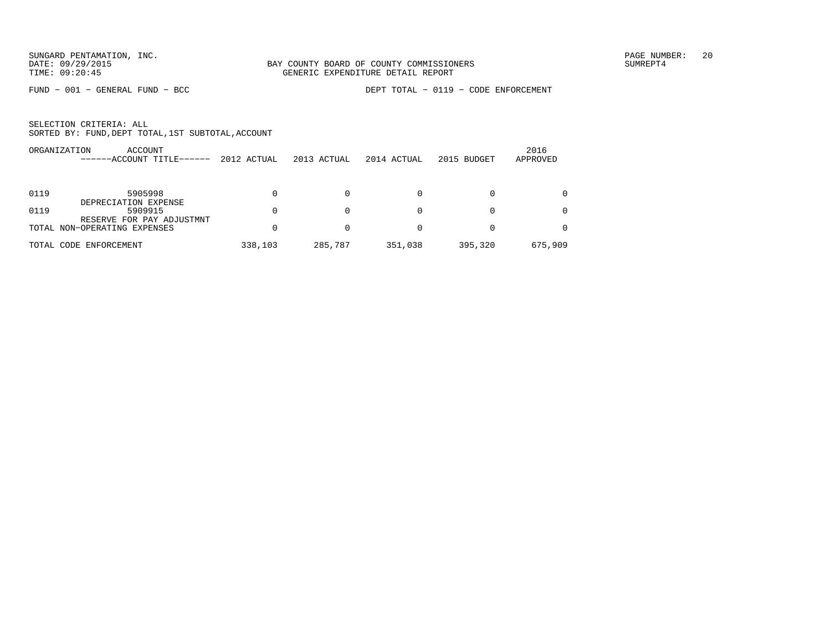FUND − 001 − GENERAL FUND − BCC DEPT TOTAL − 0119 − CODE ENFORCEMENT

|            | ACCOUNT<br>ORGANIZATION<br>-ACCOUNT TITLE------ | 2012 ACTUAL | 2013 ACTUAL | 2014 ACTUAL | 2015 BUDGET | 2016<br>APPROVED |
|------------|-------------------------------------------------|-------------|-------------|-------------|-------------|------------------|
|            |                                                 |             |             |             |             |                  |
| 0119       | 5905998                                         |             |             |             |             |                  |
|            | DEPRECIATION EXPENSE                            |             |             |             |             |                  |
| 0119       | 5909915                                         |             |             | 0           | $\Omega$    |                  |
|            | RESERVE FOR PAY ADJUSTMNT                       |             |             |             |             |                  |
|            | TOTAL NON-OPERATING EXPENSES                    |             |             |             |             |                  |
| TOTAL CODE | ENFORCEMENT                                     | 338,103     | 285,787     | 351,038     | 395,320     | 675,909          |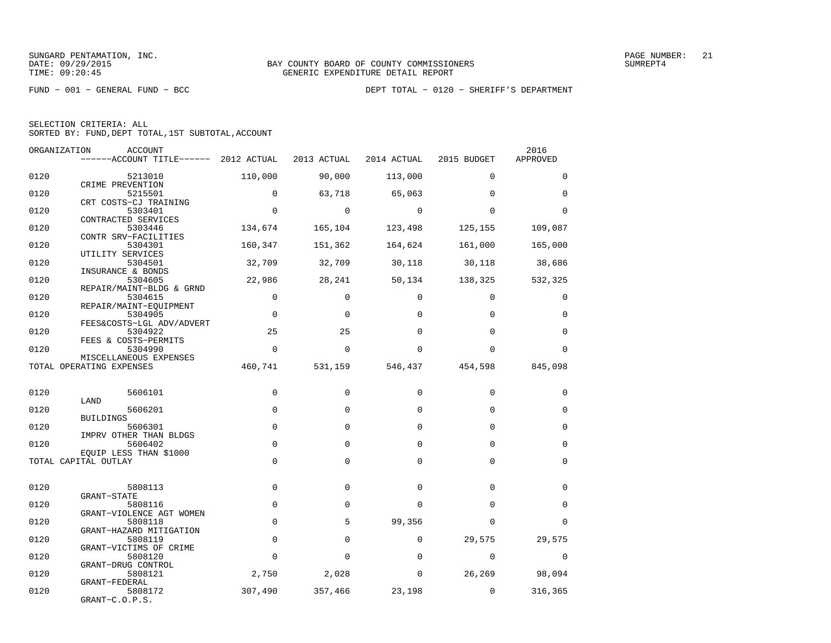FUND − 001 − GENERAL FUND − BCC DEPT TOTAL − 0120 − SHERIFF'S DEPARTMENT

| SELECTION CRITERIA: ALL |  |  |                                                    |  |
|-------------------------|--|--|----------------------------------------------------|--|
|                         |  |  | SORTED BY: FUND, DEPT TOTAL, 1ST SUBTOTAL, ACCOUNT |  |

| ORGANIZATION | ACCOUNT                               |             |             |             |               | 2016        |
|--------------|---------------------------------------|-------------|-------------|-------------|---------------|-------------|
|              | ------ACCOUNT TITLE------ 2012 ACTUAL |             | 2013 ACTUAL | 2014 ACTUAL | 2015 BUDGET   | APPROVED    |
| 0120         | 5213010                               | 110,000     | 90,000      | 113,000     | $\Omega$      | $\Omega$    |
|              | CRIME PREVENTION                      |             |             |             |               |             |
| 0120         | 5215501                               | $\Omega$    | 63,718      | 65,063      | $\Omega$      | $\Omega$    |
| 0120         | CRT COSTS-CJ TRAINING<br>5303401      | $\Omega$    | $\Omega$    | $\Omega$    | $\Omega$      | $\Omega$    |
|              | CONTRACTED SERVICES                   |             |             |             |               |             |
| 0120         | 5303446                               | 134,674     | 165,104     | 123,498     | 125,155       | 109,087     |
|              | CONTR SRV-FACILITIES                  |             |             |             |               |             |
| 0120         | 5304301                               | 160,347     | 151,362     | 164,624     | 161,000       | 165,000     |
|              | UTILITY SERVICES                      |             |             |             |               |             |
| 0120         | 5304501<br>INSURANCE & BONDS          | 32,709      | 32,709      |             | 30,118 30,118 | 38,686      |
| 0120         | 5304605                               | 22,986      | 28,241      | 50,134      | 138,325       | 532,325     |
|              | REPAIR/MAINT-BLDG & GRND              |             |             |             |               |             |
| 0120         | 5304615                               | $\mathbf 0$ | $\mathbf 0$ | $\Omega$    | $\Omega$      | $\Omega$    |
|              | REPAIR/MAINT-EQUIPMENT                |             |             |             |               |             |
| 0120         | 5304905                               | $\Omega$    | $\Omega$    | $\Omega$    | $\Omega$      | $\Omega$    |
| 0120         | FEES&COSTS-LGL ADV/ADVERT             | 25          | 25          | $\Omega$    | $\Omega$      | $\Omega$    |
|              | 5304922<br>FEES & COSTS-PERMITS       |             |             |             |               |             |
| 0120         | 5304990                               | $\Omega$    | $\Omega$    | $\Omega$    | $\Omega$      | $\Omega$    |
|              | MISCELLANEOUS EXPENSES                |             |             |             |               |             |
|              | TOTAL OPERATING EXPENSES              | 460,741     | 531,159     | 546,437     | 454,598       | 845,098     |
|              |                                       |             |             |             |               |             |
| 0120         | 5606101                               | $\mathbf 0$ | $\mathbf 0$ | $\Omega$    | $\Omega$      | $\mathbf 0$ |
|              | LAND                                  |             |             |             |               |             |
| 0120         | 5606201                               | $\Omega$    | $\Omega$    | $\Omega$    | $\Omega$      | $\mathbf 0$ |
|              | <b>BUILDINGS</b>                      |             |             |             |               |             |
| 0120         | 5606301                               | 0           | $\mathbf 0$ | 0           | $\Omega$      | $\mathbf 0$ |
| 0120         | IMPRV OTHER THAN BLDGS<br>5606402     | $\mathbf 0$ | $\mathbf 0$ | $\Omega$    | $\Omega$      | $\mathbf 0$ |
|              | EQUIP LESS THAN \$1000                |             |             |             |               |             |
|              | TOTAL CAPITAL OUTLAY                  | $\mathbf 0$ | $\mathbf 0$ | $\Omega$    | $\Omega$      | $\mathbf 0$ |
|              |                                       |             |             |             |               |             |
|              |                                       |             |             |             |               |             |
| 0120         | 5808113<br><b>GRANT-STATE</b>         | 0           | $\mathbf 0$ | $\Omega$    | $\Omega$      | $\mathbf 0$ |
| 0120         | 5808116                               | $\mathbf 0$ | $\mathbf 0$ | 0           | $\Omega$      | $\mathbf 0$ |
|              | GRANT-VIOLENCE AGT WOMEN              |             |             |             |               |             |
| 0120         | 5808118                               | $\mathbf 0$ | 5           | 99,356      | $\Omega$      | $\Omega$    |
|              | GRANT-HAZARD MITIGATION               |             |             |             |               |             |
| 0120         | 5808119                               | $\mathbf 0$ | 0           | $\mathbf 0$ | 29,575        | 29,575      |
| 0120         | GRANT-VICTIMS OF CRIME<br>5808120     | $\Omega$    | $\Omega$    | $\Omega$    | $\Omega$      | $\Omega$    |
|              | GRANT-DRUG CONTROL                    |             |             |             |               |             |
| 0120         | 5808121                               | 2,750       | 2,028       | 0           | 26,269        | 98,094      |
|              | GRANT-FEDERAL                         |             |             |             |               |             |
| 0120         | 5808172                               | 307,490     | 357,466     | 23,198      | $\mathbf{0}$  | 316,365     |
|              | GRANT-C.O.P.S.                        |             |             |             |               |             |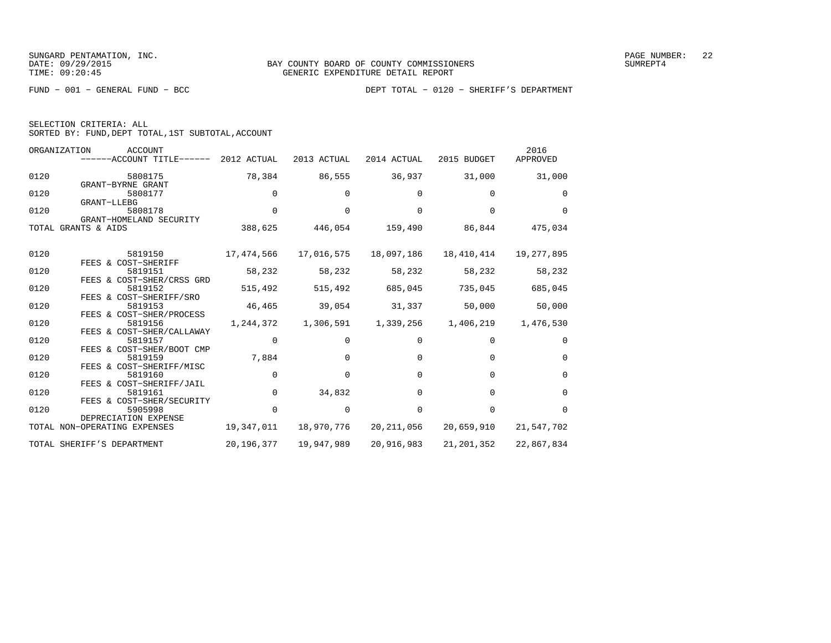SELECTION CRITERIA: ALL

SORTED BY: FUND,DEPT TOTAL,1ST SUBTOTAL,ACCOUNT

| ORGANIZATION | ACCOUNT<br>------ACCOUNT TITLE-<br>$-----$ | 2012 ACTUAL | 2013 ACTUAL | 2014 ACTUAL | 2015 BUDGET | 2016<br>APPROVED |
|--------------|--------------------------------------------|-------------|-------------|-------------|-------------|------------------|
| 0120         | 5808175                                    | 78,384      | 86,555      | 36,937      | 31,000      | 31,000           |
|              | GRANT-BYRNE GRANT                          |             |             |             |             |                  |
| 0120         | 5808177                                    | 0           | 0           |             | $\mathbf 0$ | $\Omega$         |
|              | GRANT-LLEBG                                |             |             |             |             |                  |
| 0120         | 5808178                                    | 0           | 0           |             | 0           | $\Omega$         |
|              | GRANT-HOMELAND SECURITY                    |             |             |             |             |                  |
| TOTAL        | GRANTS & AIDS                              | 388,625     | 446,054     | 159,490     | 86,844      | 475,034          |
|              |                                            |             |             |             |             |                  |
| 0120         | 5819150<br>& COST-SHERIFF<br>FEES          | 17,474,566  | 17,016,575  | 18,097,186  | 18,410,414  | 19,277,895       |

|      | TOTAL GRANTS & AIDS                                  | 388,625    | 446,054    | 159,490    | 86,844       | 475,034     |
|------|------------------------------------------------------|------------|------------|------------|--------------|-------------|
| 0120 | 5819150                                              | 17,474,566 | 17,016,575 | 18,097,186 | 18,410,414   | 19,277,895  |
| 0120 | FEES & COST-SHERIFF<br>5819151                       | 58,232     | 58,232     | 58,232     | 58,232       | 58,232      |
| 0120 | FEES & COST-SHER/CRSS GRD<br>5819152                 | 515,492    | 515,492    | 685,045    | 735,045      | 685,045     |
| 0120 | FEES & COST-SHERIFF/SRO<br>5819153                   | 46,465     | 39,054     | 31,337     | 50,000       | 50,000      |
| 0120 | FEES & COST-SHER/PROCESS<br>5819156                  | 1,244,372  | 1,306,591  | 1,339,256  | 1,406,219    | 1,476,530   |
| 0120 | FEES & COST-SHER/CALLAWAY<br>5819157                 |            |            |            |              | $\Omega$    |
| 0120 | FEES & COST-SHER/BOOT CMP<br>5819159                 | 7,884      |            |            |              | $\Omega$    |
| 0120 | FEES & COST-SHERIFF/MISC<br>5819160                  |            |            | $\Omega$   | $\Omega$     | $\mathbf 0$ |
| 0120 | FEES & COST-SHERIFF/JAIL<br>5819161                  |            | 34,832     | $\Omega$   | $\Omega$     | $\Omega$    |
| 0120 | FEES & COST-SHER/SECURITY<br>5905998                 |            | $\Omega$   | $\Omega$   | $\Omega$     | $\Omega$    |
|      | DEPRECIATION EXPENSE<br>TOTAL NON-OPERATING EXPENSES | 19,347,011 | 18,970,776 | 20,211,056 | 20,659,910   | 21,547,702  |
|      | TOTAL SHERIFF'S DEPARTMENT                           | 20,196,377 | 19,947,989 | 20,916,983 | 21, 201, 352 | 22,867,834  |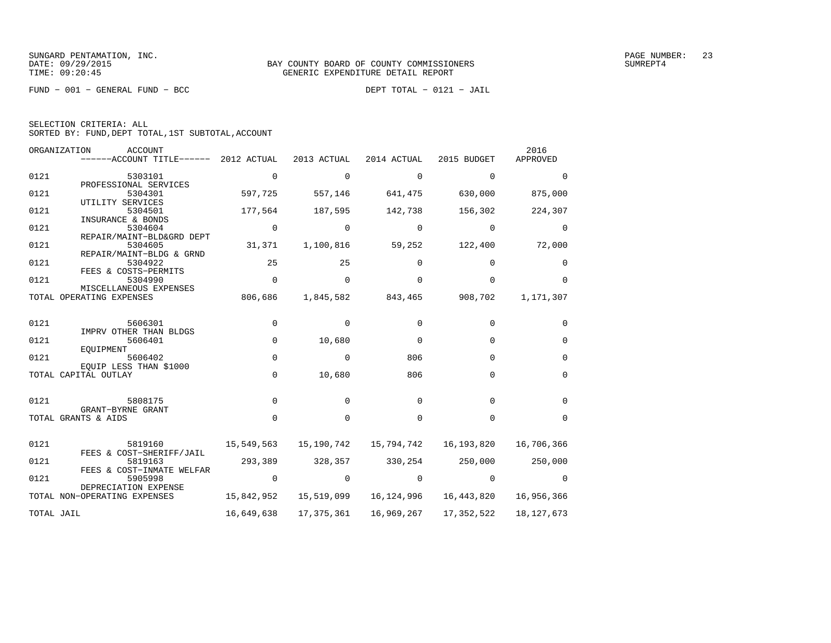FUND − 001 − GENERAL FUND − BCC DEPT TOTAL − 0121 − JAIL

| SELECTION CRITERIA: ALL |                                                    |
|-------------------------|----------------------------------------------------|
|                         | SORTED BY: FUND, DEPT TOTAL, 1ST SUBTOTAL, ACCOUNT |

| ORGANIZATION | <b>ACCOUNT</b><br>------ACCOUNT TITLE------               | 2012 ACTUAL | 2013 ACTUAL | 2014 ACTUAL | 2015 BUDGET | 2016<br>APPROVED |
|--------------|-----------------------------------------------------------|-------------|-------------|-------------|-------------|------------------|
| 0121         | 5303101                                                   | $\Omega$    | $\Omega$    | $\Omega$    | $\Omega$    | $\Omega$         |
| 0121         | PROFESSIONAL SERVICES<br>5304301                          | 597,725     | 557,146     | 641,475     | 630,000     | 875,000          |
| 0121         | UTILITY SERVICES<br>5304501                               | 177,564     | 187,595     | 142,738     | 156,302     | 224,307          |
| 0121         | INSURANCE & BONDS<br>5304604                              | 0           | 0           | 0           | $\Omega$    | 0                |
| 0121         | REPAIR/MAINT-BLD&GRD DEPT<br>5304605                      | 31,371      | 1,100,816   | 59,252      | 122,400     | 72,000           |
| 0121         | REPAIR/MAINT-BLDG & GRND<br>5304922                       | 25          | 25          | $\Omega$    | $\Omega$    | $\Omega$         |
| 0121         | FEES & COSTS-PERMITS<br>5304990<br>MISCELLANEOUS EXPENSES | $\mathbf 0$ | $\Omega$    | $\Omega$    | $\Omega$    | $\Omega$         |
|              | TOTAL OPERATING EXPENSES                                  | 806,686     | 1,845,582   | 843,465     | 908,702     | 1,171,307        |
| 0121         | 5606301                                                   | 0           | $\Omega$    | $\Omega$    | $\Omega$    | $\Omega$         |
| 0121         | IMPRV OTHER THAN BLDGS<br>5606401                         | $\mathbf 0$ | 10,680      | 0           | $\Omega$    | $\Omega$         |
| 0121         | EOUIPMENT<br>5606402                                      | $\Omega$    | $\Omega$    | 806         | $\Omega$    | $\Omega$         |
|              | EOUIP LESS THAN \$1000<br>TOTAL CAPITAL OUTLAY            | $\mathbf 0$ | 10,680      | 806         | $\Omega$    | $\Omega$         |
|              |                                                           |             |             |             |             |                  |
| 0121         | 5808175<br>GRANT-BYRNE GRANT                              | $\Omega$    | $\Omega$    | $\Omega$    | $\Omega$    | $\Omega$         |
|              | TOTAL GRANTS & AIDS                                       | $\Omega$    | $\Omega$    | $\Omega$    | $\Omega$    | $\Omega$         |
| 0121         | 5819160                                                   | 15,549,563  | 15,190,742  | 15,794,742  | 16,193,820  | 16,706,366       |
| 0121         | FEES & COST-SHERIFF/JAIL<br>5819163                       | 293,389     | 328,357     | 330,254     | 250,000     | 250,000          |
| 0121         | FEES & COST-INMATE WELFAR<br>5905998                      | $\mathbf 0$ | $\Omega$    | $\Omega$    | 0           | $\Omega$         |
|              | DEPRECIATION EXPENSE<br>TOTAL NON-OPERATING EXPENSES      | 15,842,952  | 15,519,099  | 16,124,996  | 16,443,820  | 16,956,366       |
| TOTAL JAIL   |                                                           | 16,649,638  | 17,375,361  | 16,969,267  | 17,352,522  | 18, 127, 673     |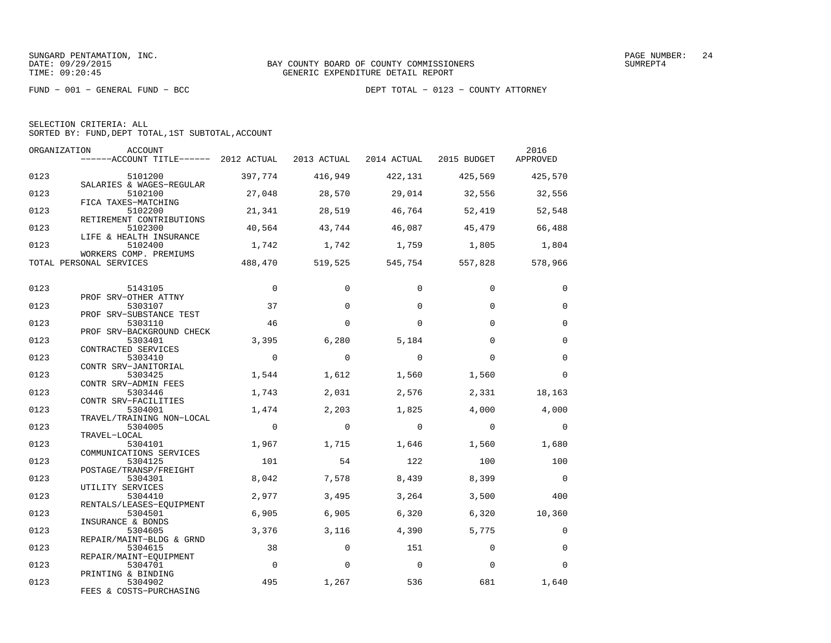FUND − 001 − GENERAL FUND − BCC DEPT TOTAL − 0123 − COUNTY ATTORNEY

SELECTION CRITERIA: ALL

SORTED BY: FUND,DEPT TOTAL,1ST SUBTOTAL,ACCOUNT

| ORGANIZATION | <b>ACCOUNT</b><br>------ACCOUNT TITLE------ 2012 ACTUAL      |             | 2013 ACTUAL | 2014 ACTUAL 2015 BUDGET |          | 2016<br>APPROVED |
|--------------|--------------------------------------------------------------|-------------|-------------|-------------------------|----------|------------------|
| 0123         | 5101200<br>SALARIES & WAGES-REGULAR                          | 397,774     | 416,949     | 422,131                 | 425,569  | 425,570          |
| 0123         | 5102100<br>FICA TAXES-MATCHING                               | 27,048      | 28,570      | 29,014                  | 32,556   | 32,556           |
| 0123         | 5102200<br>RETIREMENT CONTRIBUTIONS                          | 21,341      | 28,519      | 46,764                  | 52,419   | 52,548           |
| 0123         | 5102300<br>LIFE & HEALTH INSURANCE                           | 40,564      | 43,744      | 46,087                  | 45,479   | 66,488           |
| 0123         | 5102400<br>WORKERS COMP. PREMIUMS                            | 1,742       | 1,742       | 1,759                   | 1,805    | 1,804            |
|              | TOTAL PERSONAL SERVICES                                      | 488,470     | 519,525     | 545,754                 | 557,828  | 578,966          |
| 0123         | 5143105                                                      | $\mathbf 0$ | $\Omega$    | $\Omega$                | $\Omega$ | $\mathbf 0$      |
| 0123         | PROF SRV-OTHER ATTNY<br>5303107                              | 37          | $\Omega$    | $\Omega$                | $\Omega$ | $\Omega$         |
| 0123         | PROF SRV-SUBSTANCE TEST<br>5303110                           | 46          | $\Omega$    | $\Omega$                | $\Omega$ | $\Omega$         |
| 0123         | PROF SRV-BACKGROUND CHECK<br>5303401                         | 3,395       | 6,280       | 5,184                   | $\Omega$ | $\mathbf 0$      |
| 0123         | CONTRACTED SERVICES<br>5303410                               | $\Omega$    | $\Omega$    | $\Omega$                | $\Omega$ | $\Omega$         |
| 0123         | CONTR SRV-JANITORIAL<br>5303425                              | 1,544       | 1,612       | 1,560                   | 1,560    | $\mathbf 0$      |
| 0123         | CONTR SRV-ADMIN FEES<br>5303446                              | 1,743       | 2,031       | 2,576                   | 2,331    | 18,163           |
| 0123         | CONTR SRV-FACILITIES<br>5304001                              | 1,474       | 2,203       | 1,825                   | 4,000    | 4,000            |
| 0123         | TRAVEL/TRAINING NON-LOCAL<br>5304005                         | $\mathbf 0$ | $\Omega$    | $\Omega$                | $\Omega$ | $\Omega$         |
| 0123         | TRAVEL-LOCAL<br>5304101                                      | 1,967       | 1,715       | 1,646                   | 1,560    | 1,680            |
| 0123         | COMMUNICATIONS SERVICES<br>5304125<br>POSTAGE/TRANSP/FREIGHT | 101         | 54          | 122                     | 100      | 100              |
| 0123         | 5304301<br>UTILITY SERVICES                                  | 8,042       | 7,578       | 8,439                   | 8,399    | $\overline{0}$   |
| 0123         | 5304410<br>RENTALS/LEASES-EQUIPMENT                          | 2,977       | 3,495       | 3,264                   | 3,500    | 400              |
| 0123         | 5304501<br>INSURANCE & BONDS                                 | 6,905       | 6,905       | 6,320                   | 6,320    | 10,360           |
| 0123         | 5304605<br>REPAIR/MAINT-BLDG & GRND                          | 3,376       | 3,116       | 4,390                   | 5,775    | $\Omega$         |
| 0123         | 5304615<br>REPAIR/MAINT-EOUIPMENT                            | 38          | $\Omega$    | 151                     | $\Omega$ | $\Omega$         |
| 0123         | 5304701<br>PRINTING & BINDING                                | $\Omega$    | $\Omega$    | $\overline{0}$          | $\Omega$ | $\Omega$         |
| 0123         | 5304902<br>FEES & COSTS-PURCHASING                           | 495         | 1,267       | 536                     | 681      | 1,640            |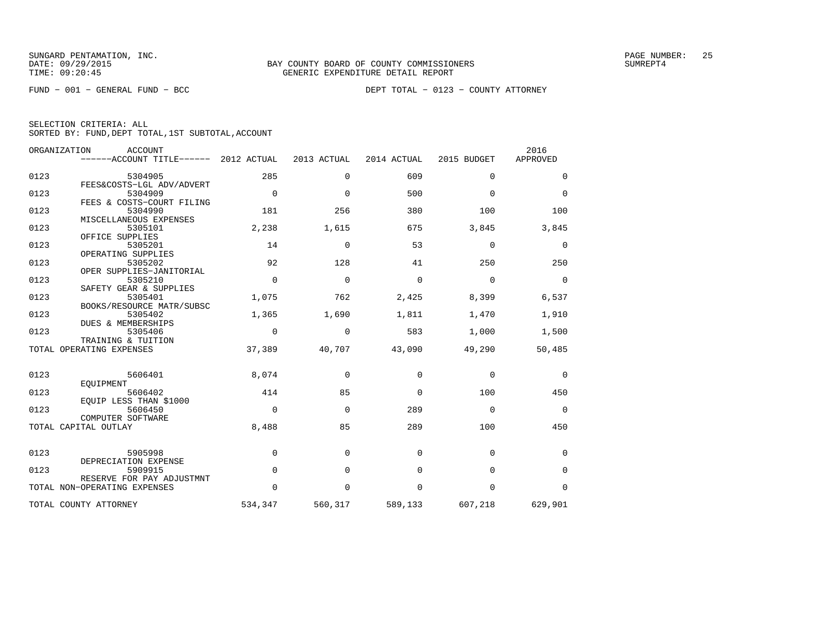FUND − 001 − GENERAL FUND − BCC DEPT TOTAL − 0123 − COUNTY ATTORNEY

| SELECTION CRITERIA: ALL |  |  |                                                    |  |
|-------------------------|--|--|----------------------------------------------------|--|
|                         |  |  | SORTED BY: FUND, DEPT TOTAL, 1ST SUBTOTAL, ACCOUNT |  |

| ORGANIZATION | <b>ACCOUNT</b><br>------ACCOUNT TITLE------                       | 2012 ACTUAL | 2013 ACTUAL | 2014 ACTUAL | 2015 BUDGET | 2016<br>APPROVED |
|--------------|-------------------------------------------------------------------|-------------|-------------|-------------|-------------|------------------|
| 0123         | 5304905                                                           | 285         | $\mathbf 0$ | 609         | 0           | 0                |
| 0123         | FEES&COSTS-LGL ADV/ADVERT<br>5304909<br>FEES & COSTS-COURT FILING | $\mathbf 0$ | $\Omega$    | 500         | $\Omega$    | $\Omega$         |
| 0123         | 5304990<br>MISCELLANEOUS EXPENSES                                 | 181         | 256         | 380         | 100         | 100              |
| 0123         | 5305101<br>OFFICE SUPPLIES                                        | 2,238       | 1,615       | 675         | 3,845       | 3,845            |
| 0123         | 5305201<br>OPERATING SUPPLIES                                     | 14          | $\Omega$    | 53          | $\Omega$    | 0                |
| 0123         | 5305202<br>OPER SUPPLIES-JANITORIAL                               | 92          | 128         | 41          | 250         | 250              |
| 0123         | 5305210<br>SAFETY GEAR & SUPPLIES                                 | $\mathbf 0$ | $\mathbf 0$ | $\Omega$    | $\Omega$    | $\mathbf 0$      |
| 0123         | 5305401<br>BOOKS/RESOURCE MATR/SUBSC                              | 1,075       | 762         | 2,425       | 8,399       | 6,537            |
| 0123         | 5305402<br>DUES & MEMBERSHIPS                                     | 1,365       | 1,690       | 1,811       | 1,470       | 1,910            |
| 0123         | 5305406<br>TRAINING & TUITION                                     | $\Omega$    | 0           | 583         | 1,000       | 1,500            |
|              | TOTAL OPERATING EXPENSES                                          | 37,389      | 40,707      | 43,090      | 49,290      | 50,485           |
| 0123         | 5606401<br>EOUIPMENT                                              | 8,074       | $\Omega$    | $\Omega$    | $\Omega$    | 0                |
| 0123         | 5606402<br>EOUIP LESS THAN \$1000                                 | 414         | 85          | $\Omega$    | 100         | 450              |
| 0123         | 5606450<br>COMPUTER SOFTWARE                                      | $\Omega$    | $\Omega$    | 289         | $\Omega$    | $\mathbf 0$      |
|              | TOTAL CAPITAL OUTLAY                                              | 8,488       | 85          | 289         | 100         | 450              |
| 0123         | 5905998<br>DEPRECIATION EXPENSE                                   | $\mathbf 0$ | $\mathbf 0$ | $\Omega$    | 0           | 0                |
| 0123         | 5909915<br>RESERVE FOR PAY ADJUSTMNT                              | $\mathbf 0$ | $\mathbf 0$ | $\mathbf 0$ | $\mathbf 0$ | $\mathbf 0$      |
|              | TOTAL NON-OPERATING EXPENSES                                      | $\Omega$    | $\Omega$    | $\Omega$    | $\Omega$    | $\Omega$         |
|              | TOTAL COUNTY ATTORNEY                                             | 534,347     | 560,317     | 589,133     | 607,218     | 629,901          |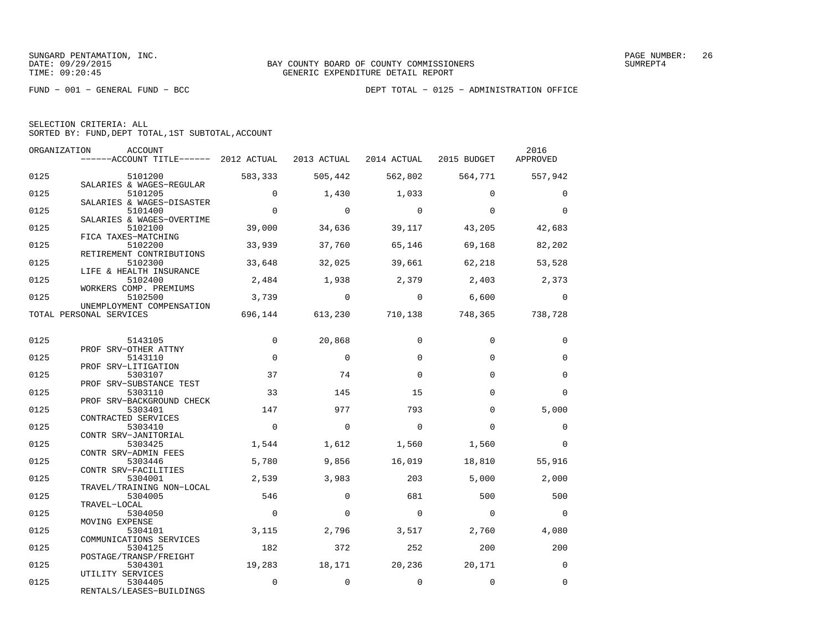|  | SELECTION CRITERIA: ALL                            |  |  |
|--|----------------------------------------------------|--|--|
|  | SORTED BY: FUND, DEPT TOTAL, 1ST SUBTOTAL, ACCOUNT |  |  |

| ORGANIZATION | ACCOUNT                                                                   |                |                |                |                                         | 2016                     |
|--------------|---------------------------------------------------------------------------|----------------|----------------|----------------|-----------------------------------------|--------------------------|
|              | $---$ ACCOUNT TITLE------ 2012 ACTUAL 2013 ACTUAL 2014 ACTUAL 2015 BUDGET |                |                |                |                                         | APPROVED                 |
|              |                                                                           |                |                |                |                                         |                          |
| 0125         | 5101200<br>SALARIES & WAGES-REGULAR                                       | 583,333        |                |                | 505,442 562,802 564,771 557,942         |                          |
| 0125         | 5101205                                                                   | $\Omega$       | 1,430          | 1,033          | $\Omega$                                | $\Omega$                 |
|              | SALARIES & WAGES-DISASTER                                                 |                |                |                |                                         |                          |
| 0125         | 5101400                                                                   | $\Omega$       | $\overline{0}$ | $\bigcirc$     | $\Omega$                                | $\Omega$                 |
|              | SALARIES & WAGES-OVERTIME                                                 |                |                |                |                                         |                          |
| 0125         | 5102100                                                                   | 39,000         | 34,636         | 39,117         | 43,205                                  | 42,683                   |
|              | FICA TAXES-MATCHING                                                       |                |                |                |                                         |                          |
| 0125         | 5102200                                                                   | 33,939         | 37,760         | 65,146         | 69,168                                  | 82,202                   |
|              | RETIREMENT CONTRIBUTIONS                                                  |                |                |                |                                         |                          |
| 0125         | 5102300                                                                   | 33,648         | 32,025         | 39,661         | 62,218                                  | 53,528                   |
|              | LIFE & HEALTH INSURANCE                                                   |                |                |                |                                         |                          |
| 0125         | 5102400                                                                   | 2,484          | 1,938          |                | 2,379 2,403 2,373                       |                          |
|              | WORKERS COMP. PREMIUMS                                                    |                |                |                |                                         |                          |
| 0125         | 5102500                                                                   |                | $3,739$ 0      | $\overline{0}$ | 6,600                                   | $\overline{0}$           |
|              | UNEMPLOYMENT COMPENSATION                                                 |                |                |                |                                         |                          |
|              | TOTAL PERSONAL SERVICES                                                   |                |                |                | 696,144 613,230 710,138 748,365 738,728 |                          |
|              |                                                                           |                |                |                |                                         |                          |
| 0125         | 5143105                                                                   | $\mathbf{0}$   | 20,868         | $\Omega$       | $\mathbf 0$                             | 0                        |
|              | PROF SRV-OTHER ATTNY                                                      |                |                |                |                                         |                          |
| 0125         | 5143110                                                                   | $\Omega$       | $\Omega$       | $\Omega$       | $\Omega$                                | $\Omega$                 |
|              | PROF SRV-LITIGATION                                                       |                |                |                |                                         |                          |
| 0125         | 5303107                                                                   | 37             | 74             | $\Omega$       | $\Omega$                                | $\mathbf 0$              |
|              | PROF SRV-SUBSTANCE TEST                                                   |                |                |                |                                         |                          |
| 0125         | 5303110                                                                   | 33             | 145            | 15             | $\Omega$                                | $\Omega$                 |
|              | PROF SRV-BACKGROUND CHECK                                                 |                |                |                |                                         |                          |
| 0125         | 5303401                                                                   | 147            | 977            | 793            | $\Omega$                                | 5,000                    |
|              | CONTRACTED SERVICES                                                       |                |                |                |                                         |                          |
| 0125         | 5303410                                                                   | $\mathbf 0$    | $\Omega$       | $\Omega$       | $\Omega$                                | $\mathbf 0$              |
|              | CONTR SRV-JANITORIAL                                                      |                |                |                |                                         |                          |
| 0125         | 5303425                                                                   | 1,544          | 1,612          | 1,560          | 1,560                                   | $\Omega$                 |
| 0125         | CONTR SRV-ADMIN FEES                                                      | 5,780          |                |                |                                         |                          |
|              | 5303446<br>CONTR SRV-FACILITIES                                           |                | 9,856          | 16,019         | 18,810                                  | 55,916                   |
| 0125         | 5304001                                                                   | 2,539          | 3,983          | 203            | 5,000                                   | 2,000                    |
|              | TRAVEL/TRAINING NON-LOCAL                                                 |                |                |                |                                         |                          |
| 0125         | 5304005                                                                   | 546            | $\Omega$       | 681            | 500                                     | 500                      |
|              | TRAVEL-LOCAL                                                              |                |                |                |                                         |                          |
| 0125         | 5304050                                                                   | $\overline{0}$ | $\Omega$       | $\overline{0}$ | $\overline{0}$                          | $\overline{\phantom{0}}$ |
|              | MOVING EXPENSE                                                            |                |                |                |                                         |                          |
| 0125         | 5304101                                                                   | 3,115          | 2,796          | 3,517          | 2,760                                   | 4,080                    |
|              | COMMUNICATIONS SERVICES                                                   |                |                |                |                                         |                          |
| 0125         | 5304125                                                                   | 182            | 372            | 252            | 200                                     | 200                      |
|              | POSTAGE/TRANSP/FREIGHT                                                    |                |                |                |                                         |                          |
| 0125         | 5304301                                                                   | 19,283         | 18,171         | 20,236         | 20,171                                  | $\overline{0}$           |
|              | UTILITY SERVICES                                                          |                |                |                |                                         |                          |
| 0125         | 5304405                                                                   | $\mathbf 0$    | $\mathbf 0$    | $\mathbf 0$    | $\mathbf 0$                             | $\mathbf 0$              |
|              | RENTALS/LEASES-BUILDINGS                                                  |                |                |                |                                         |                          |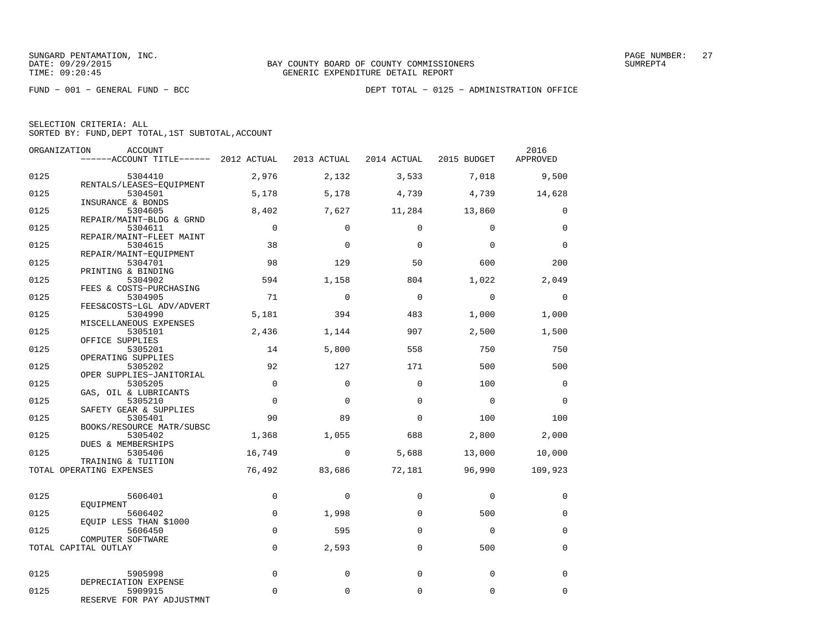FUND − 001 − GENERAL FUND − BCC DEPT TOTAL − 0125 − ADMINISTRATION OFFICE

| SELECTION CRITERIA: ALL |  |  |                                                    |  |
|-------------------------|--|--|----------------------------------------------------|--|
|                         |  |  | SORTED BY: FUND, DEPT TOTAL, 1ST SUBTOTAL, ACCOUNT |  |

| ORGANIZATION | ACCOUNT<br>------ACCOUNT TITLE------ 2012 ACTUAL                |                         | 2013 ACTUAL     | 2014 ACTUAL     | 2015 BUDGET     | 2016<br>APPROVED        |
|--------------|-----------------------------------------------------------------|-------------------------|-----------------|-----------------|-----------------|-------------------------|
| 0125         | 5304410                                                         | 2,976                   | 2,132           | 3,533           | 7,018           | 9,500                   |
| 0125         | RENTALS/LEASES-EQUIPMENT<br>5304501                             | 5,178                   | 5,178           | 4,739           | 4,739           | 14,628                  |
| 0125         | INSURANCE & BONDS<br>5304605                                    | 8,402                   | 7,627           | 11,284          | 13,860          | $\mathbf 0$             |
| 0125         | REPAIR/MAINT-BLDG & GRND<br>5304611<br>REPAIR/MAINT-FLEET MAINT | $\overline{0}$          | $\Omega$        | $\Omega$        | $\Omega$        | $\mathbf 0$             |
| 0125         | 5304615<br>REPAIR/MAINT-EQUIPMENT                               | 38                      | $\mathbf 0$     | $\mathbf 0$     | $\mathbf 0$     | $\mathbf 0$             |
| 0125         | 5304701<br>PRINTING & BINDING                                   | 98                      | 129             | 50              | 600             | 200                     |
| 0125         | 5304902<br>FEES & COSTS-PURCHASING                              | 594                     | 1,158           | 804             | 1,022           | 2,049                   |
| 0125         | 5304905<br>FEES&COSTS-LGL ADV/ADVERT                            | 71                      | $\mathbf 0$     | $\mathbf 0$     | $\mathbf 0$     | $\mathbf 0$             |
| 0125         | 5304990<br>MISCELLANEOUS EXPENSES                               | 5,181                   | 394             | 483             | 1,000           | 1,000                   |
| 0125         | 5305101<br>OFFICE SUPPLIES                                      | 2,436                   | 1,144           | 907             | 2,500           | 1,500                   |
| 0125         | 5305201<br>OPERATING SUPPLIES                                   | 14                      | 5,800           | 558             | 750             | 750                     |
| 0125         | 5305202<br>OPER SUPPLIES-JANITORIAL                             | 92                      | 127<br>$\Omega$ | 171<br>$\Omega$ | 500             | 500                     |
| 0125<br>0125 | 5305205<br>GAS, OIL & LUBRICANTS<br>5305210                     | $\mathbf 0$<br>$\Omega$ | $\Omega$        | $\Omega$        | 100<br>$\Omega$ | $\mathbf 0$<br>$\Omega$ |
| 0125         | SAFETY GEAR & SUPPLIES<br>5305401                               | 90                      | 89              | $\Omega$        | 100             | 100                     |
| 0125         | BOOKS/RESOURCE MATR/SUBSC<br>5305402                            | 1,368                   | 1,055           | 688             | 2,800           | 2,000                   |
| 0125         | DUES & MEMBERSHIPS<br>5305406                                   | 16,749                  | $\mathbf 0$     | 5,688           | 13,000          | 10,000                  |
|              | TRAINING & TUITION<br>TOTAL OPERATING EXPENSES                  | 76,492                  | 83,686          | 72,181          | 96,990          | 109,923                 |
|              |                                                                 |                         |                 |                 |                 |                         |
| 0125         | 5606401<br>EOUIPMENT                                            | $\mathbf 0$             | $\mathbf 0$     | $\mathbf 0$     | $\mathbf 0$     | $\mathbf 0$             |
| 0125         | 5606402<br>EQUIP LESS THAN \$1000                               | $\mathbf 0$             | 1,998           | 0               | 500             | $\mathbf 0$             |
| 0125         | 5606450<br>COMPUTER SOFTWARE                                    | $\Omega$                | 595             | $\Omega$        | $\Omega$        | $\mathbf 0$             |
|              | TOTAL CAPITAL OUTLAY                                            | $\mathbf 0$             | 2,593           | $\mathbf 0$     | 500             | $\mathbf 0$             |
| 0125         | 5905998<br>DEPRECIATION EXPENSE                                 | $\mathbf 0$             | $\mathbf 0$     | $\Omega$        | $\mathbf 0$     | $\mathbf 0$             |
| 0125         | 5909915<br>RESERVE FOR PAY ADJUSTMNT                            | $\Omega$                | $\Omega$        | $\Omega$        | $\Omega$        | $\Omega$                |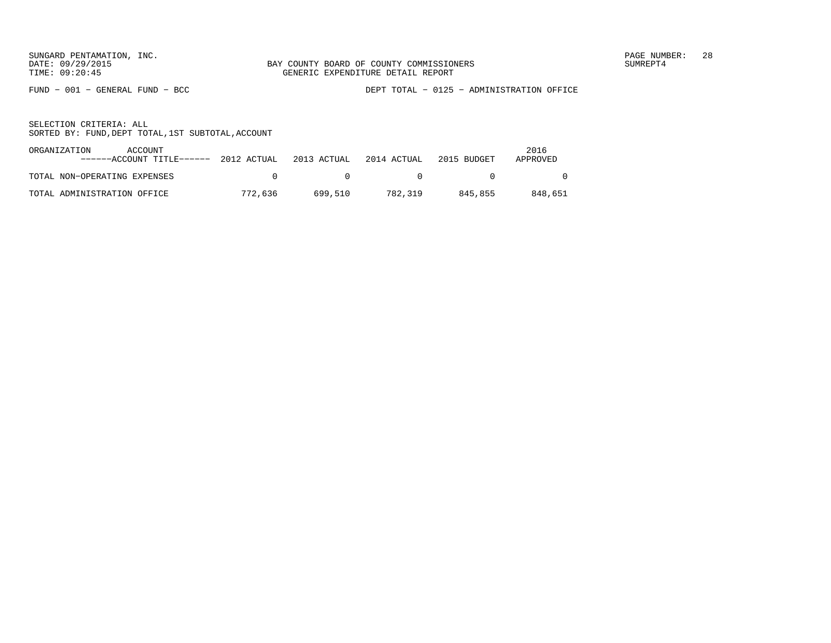FUND − 001 − GENERAL FUND − BCC DEPT TOTAL − 0125 − ADMINISTRATION OFFICE

| ORGANIZATION<br>ACCOUNT<br>------ACCOUNT TITLE------ 2012 ACTUAL |         | 2013 ACTUAL | 2014 ACTUAL | 2015 BUDGET | 2016<br>APPROVED |
|------------------------------------------------------------------|---------|-------------|-------------|-------------|------------------|
| TOTAL NON-OPERATING EXPENSES                                     |         |             |             |             |                  |
| TOTAL ADMINISTRATION OFFICE                                      | 772,636 | 699.510     | 782,319     | 845.855     | 848,651          |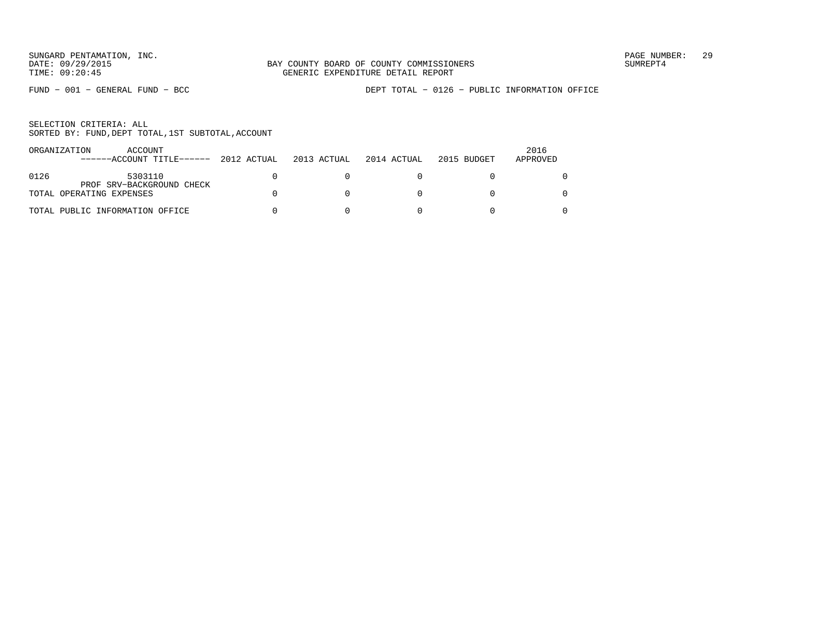FUND − 001 − GENERAL FUND − BCC DEPT TOTAL − 0126 − PUBLIC INFORMATION OFFICE

|      | ORGANIZATION<br>ACCOUNT<br>------ACCOUNT TITLE------  | 2012 ACTUAL | 2013 ACTUAL | 2014 ACTUAL | 2015 BUDGET | 2016<br>APPROVED |
|------|-------------------------------------------------------|-------------|-------------|-------------|-------------|------------------|
| 0126 | 5303110                                               |             |             |             |             |                  |
|      | PROF SRV-BACKGROUND CHECK<br>TOTAL OPERATING EXPENSES |             |             |             |             |                  |
|      | TOTAL PUBLIC INFORMATION OFFICE                       |             |             |             |             |                  |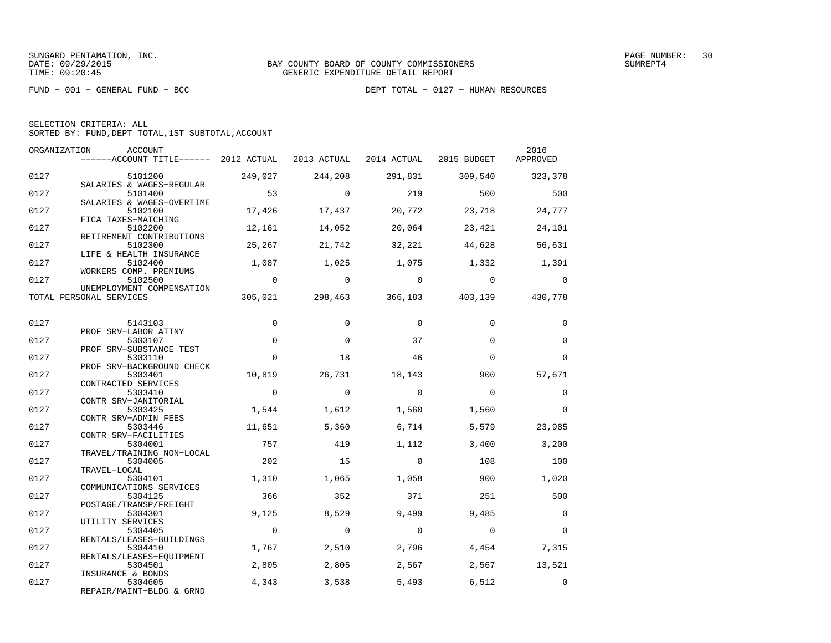FUND − 001 − GENERAL FUND − BCC DEPT TOTAL − 0127 − HUMAN RESOURCES

|  | SELECTION CRITERIA: ALL |                                                    |  |
|--|-------------------------|----------------------------------------------------|--|
|  |                         | SORTED BY: FUND, DEPT TOTAL, 1ST SUBTOTAL, ACCOUNT |  |

| ORGANIZATION | ACCOUNT<br>------ACCOUNT TITLE------ 2012 ACTUAL |                |                |                | 2013 ACTUAL 2014 ACTUAL 2015 BUDGET APPROVED | 2016            |
|--------------|--------------------------------------------------|----------------|----------------|----------------|----------------------------------------------|-----------------|
|              |                                                  |                |                |                |                                              |                 |
| 0127         | 5101200                                          | 249,027        | 244,208        | 291,831        |                                              | 309,540 323,378 |
|              | SALARIES & WAGES-REGULAR                         |                |                |                |                                              |                 |
| 0127         | 5101400<br>SALARIES & WAGES-OVERTIME             | 53             | $\overline{a}$ | 219            | 500                                          | 500             |
| 0127         | 5102100                                          | 17,426         | 17,437         | 20,772         | 23,718                                       | 24,777          |
|              | FICA TAXES-MATCHING                              |                |                |                |                                              |                 |
| 0127         | 5102200                                          | 12,161         | 14,052         | 20,064         | 23,421                                       | 24,101          |
|              | RETIREMENT CONTRIBUTIONS                         |                |                |                |                                              |                 |
| 0127         | 5102300<br>LIFE & HEALTH INSURANCE               | 25,267         | 21,742         | 32,221         | 44,628                                       | 56,631          |
| 0127         | 5102400                                          | 1,087          | 1,025          | 1,075          | 1,332                                        | 1,391           |
|              | WORKERS COMP. PREMIUMS                           |                |                |                |                                              |                 |
| 0127         | 5102500                                          | $\overline{0}$ | $\overline{0}$ | $\overline{0}$ | $\overline{0}$                               | $\bigcirc$      |
|              | UNEMPLOYMENT COMPENSATION                        |                |                |                |                                              |                 |
|              | TOTAL PERSONAL SERVICES                          |                |                |                | 305,021 298,463 366,183 403,139 430,778      |                 |
|              |                                                  |                |                |                |                                              |                 |
| 0127         | 5143103                                          | $\mathbf 0$    | $\mathbf 0$    | $\Omega$       | $\Omega$                                     | $\mathbf 0$     |
|              | PROF SRV-LABOR ATTNY                             |                |                |                |                                              |                 |
| 0127         | 5303107                                          | $\mathbf 0$    | $\Omega$       | 37             | $\Omega$                                     | $\mathbf 0$     |
|              | PROF SRV-SUBSTANCE TEST                          |                |                |                |                                              |                 |
| 0127         | 5303110                                          | $\Omega$       | 18             | 46             | $\Omega$                                     | $\Omega$        |
| 0127         | PROF SRV-BACKGROUND CHECK<br>5303401             | 10,819         | 26,731         | 18,143         | 900                                          | 57,671          |
|              | CONTRACTED SERVICES                              |                |                |                |                                              |                 |
| 0127         | 5303410                                          | $\overline{0}$ | $\bigcirc$     | $\Omega$       | $\Omega$                                     | $\Omega$        |
|              | CONTR SRV-JANITORIAL                             |                |                |                |                                              |                 |
| 0127         | 5303425                                          | 1,544          | 1,612          | 1,560          | 1,560                                        | $\overline{0}$  |
|              | CONTR SRV-ADMIN FEES                             |                |                |                |                                              |                 |
| 0127         | 5303446                                          | 11,651         | 5,360          | 6,714          | 5,579                                        | 23,985          |
| 0127         | CONTR SRV-FACILITIES<br>5304001                  | 757            | 419            | 1,112          | 3,400                                        | 3,200           |
|              | TRAVEL/TRAINING NON-LOCAL                        |                |                |                |                                              |                 |
| 0127         | 5304005                                          | 202            | 15             | $\Omega$       | 108                                          | 100             |
|              | TRAVEL-LOCAL                                     |                |                |                |                                              |                 |
| 0127         | 5304101                                          | 1,310          | 1,065          | 1,058          | 900                                          | 1,020           |
|              | COMMUNICATIONS SERVICES                          |                |                |                |                                              |                 |
| 0127         | 5304125<br>POSTAGE/TRANSP/FREIGHT                | 366            | 352            | 371            | 251                                          | 500             |
| 0127         | 5304301                                          | 9.125          | 8,529          | 9,499          | 9,485                                        | $\Omega$        |
|              | UTILITY SERVICES                                 |                |                |                |                                              |                 |
| 0127         | 5304405                                          | $\overline{0}$ | $\overline{0}$ | $\overline{0}$ | $\overline{0}$                               | $\Omega$        |
|              | RENTALS/LEASES-BUILDINGS                         |                |                |                |                                              |                 |
| 0127         | 5304410                                          | 1,767          | 2,510          | 2,796          | 4,454                                        | 7,315           |
|              | RENTALS/LEASES-EOUIPMENT                         |                |                |                |                                              |                 |
| 0127         | 5304501                                          | 2,805          | 2,805          | 2,567          | 2,567                                        | 13,521          |
| 0127         | INSURANCE & BONDS<br>5304605                     | 4,343          | 3,538          | 5,493          | 6,512                                        | $\overline{0}$  |
|              | REPAIR/MAINT-BLDG & GRND                         |                |                |                |                                              |                 |
|              |                                                  |                |                |                |                                              |                 |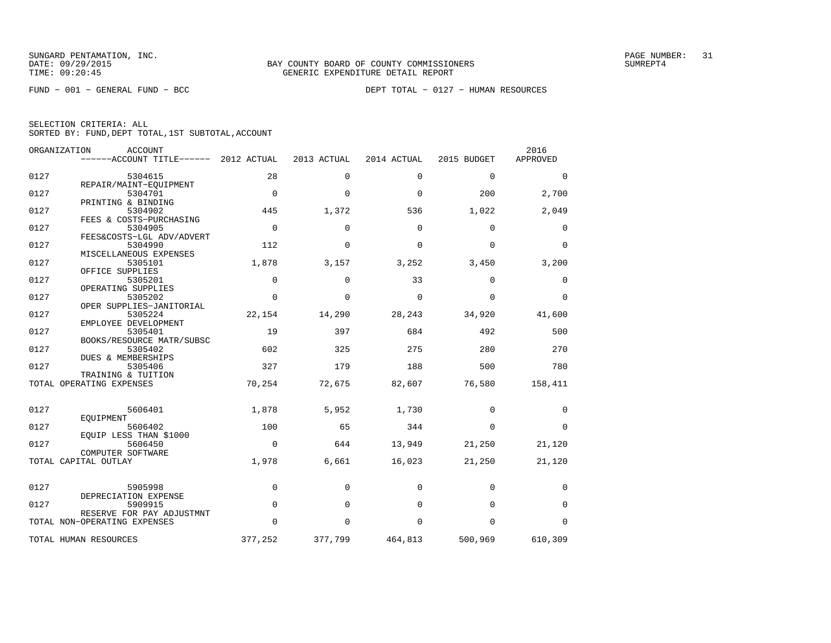FUND − 001 − GENERAL FUND − BCC DEPT TOTAL − 0127 − HUMAN RESOURCES

| SELECTION CRITERIA: ALL |  |  |                                                    |  |
|-------------------------|--|--|----------------------------------------------------|--|
|                         |  |  | SORTED BY: FUND, DEPT TOTAL, 1ST SUBTOTAL, ACCOUNT |  |

| ORGANIZATION | <b>ACCOUNT</b><br>------ACCOUNT TITLE------               | 2012 ACTUAL | 2013 ACTUAL | 2014 ACTUAL | 2015 BUDGET | 2016<br>APPROVED |
|--------------|-----------------------------------------------------------|-------------|-------------|-------------|-------------|------------------|
| 0127         | 5304615                                                   | 28          | $\Omega$    | $\Omega$    | $\Omega$    | $\Omega$         |
| 0127         | REPAIR/MAINT-EQUIPMENT<br>5304701                         | $\Omega$    | $\Omega$    | $\Omega$    | 200         | 2,700            |
|              | PRINTING & BINDING                                        |             |             |             |             |                  |
| 0127         | 5304902<br>FEES & COSTS-PURCHASING                        | 445         | 1,372       | 536         | 1,022       | 2,049            |
| 0127         | 5304905<br>FEES&COSTS-LGL ADV/ADVERT                      | $\Omega$    | $\Omega$    | $\Omega$    | $\Omega$    | $\Omega$         |
| 0127         | 5304990                                                   | 112         | $\Omega$    | $\Omega$    | $\Omega$    | $\Omega$         |
| 0127         | MISCELLANEOUS EXPENSES<br>5305101                         | 1,878       | 3,157       | 3,252       | 3,450       | 3,200            |
| 0127         | OFFICE SUPPLIES<br>5305201                                | 0           | $\Omega$    | 33          | $\Omega$    | 0                |
|              | OPERATING SUPPLIES                                        |             |             |             |             |                  |
| 0127         | 5305202<br>OPER SUPPLIES-JANITORIAL                       | $\Omega$    | $\Omega$    | $\Omega$    | $\Omega$    | $\Omega$         |
| 0127         | 5305224<br>EMPLOYEE DEVELOPMENT                           | 22,154      | 14,290      | 28,243      | 34,920      | 41,600           |
| 0127         | 5305401                                                   | 19          | 397         | 684         | 492         | 500              |
| 0127         | BOOKS/RESOURCE MATR/SUBSC<br>5305402                      | 602         | 325         | 275         | 280         | 270              |
| 0127         | <b>DUES &amp; MEMBERSHIPS</b><br>5305406                  | 327         | 179         | 188         | 500         | 780              |
|              | TRAINING & TUITION                                        |             |             |             |             |                  |
|              | TOTAL OPERATING EXPENSES                                  | 70,254      | 72,675      | 82,607      | 76,580      | 158,411          |
| 0127         | 5606401                                                   | 1,878       | 5,952       | 1,730       | $\Omega$    | $\Omega$         |
| 0127         | EOUIPMENT<br>5606402                                      | 100         | 65          | 344         | $\Omega$    | $\Omega$         |
| 0127         | EQUIP LESS THAN \$1000<br>5606450                         | $\Omega$    | 644         | 13,949      | 21,250      | 21,120           |
|              | COMPUTER SOFTWARE<br>TOTAL CAPITAL OUTLAY                 | 1,978       | 6,661       | 16,023      | 21,250      | 21,120           |
|              |                                                           |             |             |             |             |                  |
| 0127         | 5905998                                                   | $\mathbf 0$ | $\mathbf 0$ | $\mathbf 0$ | $\mathbf 0$ | 0                |
| 0127         | DEPRECIATION EXPENSE<br>5909915                           | $\mathbf 0$ | $\Omega$    | $\Omega$    | $\Omega$    | $\Omega$         |
|              | RESERVE FOR PAY ADJUSTMNT<br>TOTAL NON-OPERATING EXPENSES | $\Omega$    | $\Omega$    | $\Omega$    | $\Omega$    | $\Omega$         |
|              | TOTAL HUMAN RESOURCES                                     | 377,252     | 377,799     | 464,813     | 500,969     | 610,309          |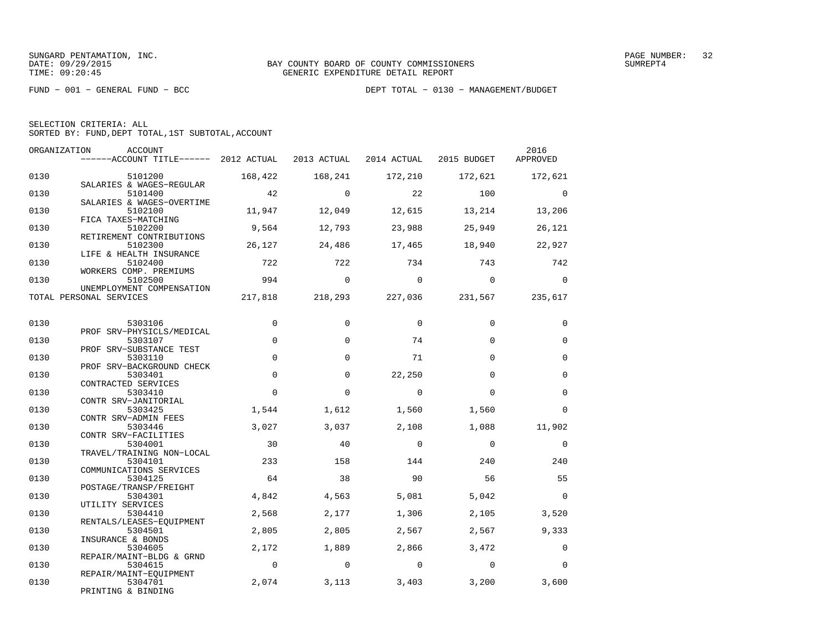|  | SELECTION CRITERIA: ALL |  |                                                    |  |
|--|-------------------------|--|----------------------------------------------------|--|
|  |                         |  | SORTED BY: FUND, DEPT TOTAL, 1ST SUBTOTAL, ACCOUNT |  |

| ORGANIZATION | ACCOUNT<br>------ACCOUNT TITLE------ 2012 ACTUAL            |                | 2013 ACTUAL       | 2014 ACTUAL    | 2015 BUDGET       | 2016<br>APPROVED  |
|--------------|-------------------------------------------------------------|----------------|-------------------|----------------|-------------------|-------------------|
| 0130         | 5101200                                                     | 168,422        | 168,241           | 172,210        | 172,621           | 172,621           |
| 0130         | SALARIES & WAGES-REGULAR<br>5101400                         | 42             | $\Omega$          | 22             | 100               | $\Omega$          |
| 0130         | SALARIES & WAGES-OVERTIME<br>5102100<br>FICA TAXES-MATCHING | 11,947         | 12,049            | 12,615         | 13,214            | 13,206            |
| 0130         | 5102200<br>RETIREMENT CONTRIBUTIONS                         | 9,564          | 12,793            | 23,988         | 25,949            | 26,121            |
| 0130         | 5102300<br>LIFE & HEALTH INSURANCE                          | 26,127         | 24,486            | 17,465         | 18,940            | 22,927            |
| 0130         | 5102400<br>WORKERS COMP. PREMIUMS                           | 722            | 722               | 734            | 743               | 742               |
| 0130         | 5102500<br>UNEMPLOYMENT COMPENSATION                        | 994            | $\mathbf 0$       | $\Omega$       | $\Omega$          | $\Omega$          |
|              | TOTAL PERSONAL SERVICES                                     | 217,818        | 218,293           | 227,036        | 231,567           | 235,617           |
| 0130         | 5303106<br>PROF SRV-PHYSICLS/MEDICAL                        | $\mathbf 0$    | $\Omega$          | $\Omega$       | $\Omega$          | $\Omega$          |
| 0130         | 5303107<br>PROF SRV-SUBSTANCE TEST                          | $\mathbf 0$    | $\Omega$          | 74             | $\Omega$          | $\Omega$          |
| 0130         | 5303110<br>PROF SRV-BACKGROUND CHECK                        | $\mathbf 0$    | $\Omega$          | 71             | $\Omega$          | $\mathbf 0$       |
| 0130         | 5303401<br>CONTRACTED SERVICES                              | $\mathbf 0$    | $\Omega$          | 22,250         | $\Omega$          | $\mathbf 0$       |
| 0130         | 5303410<br>CONTR SRV-JANITORIAL                             | $\mathbf 0$    | $\mathbf 0$       | $\mathbf 0$    | $\Omega$          | $\mathbf 0$       |
| 0130         | 5303425<br>CONTR SRV-ADMIN FEES                             | 1,544          | 1,612             | 1,560          | 1,560             | $\mathbf 0$       |
| 0130         | 5303446<br>CONTR SRV-FACILITIES                             | 3,027          | 3,037             | 2,108          | 1,088             | 11,902            |
| 0130         | 5304001<br>TRAVEL/TRAINING NON-LOCAL                        | 30             | 40                | $\Omega$       | $\Omega$          | $\Omega$          |
| 0130         | 5304101<br>COMMUNICATIONS SERVICES                          | 233            | 158               | 144            | 240               | 240               |
| 0130         | 5304125<br>POSTAGE/TRANSP/FREIGHT                           | 64             | 38                | 90             | 56                | 55                |
| 0130         | 5304301<br>UTILITY SERVICES                                 | 4,842          | 4,563             | 5,081          | 5,042             | $\mathbf 0$       |
| 0130         | 5304410<br>RENTALS/LEASES-EOUIPMENT                         | 2,568          | 2,177             | 1,306          | 2,105             | 3,520             |
| 0130         | 5304501<br>INSURANCE & BONDS                                | 2,805<br>2,172 | 2,805             | 2,567<br>2,866 | 2,567             | 9,333<br>$\Omega$ |
| 0130<br>0130 | 5304605<br>REPAIR/MAINT-BLDG & GRND                         | $\mathbf 0$    | 1,889<br>$\Omega$ | $\Omega$       | 3,472<br>$\Omega$ | $\Omega$          |
| 0130         | 5304615<br>REPAIR/MAINT-EQUIPMENT<br>5304701                | 2,074          | 3,113             | 3,403          | 3,200             | 3,600             |
|              | PRINTING & BINDING                                          |                |                   |                |                   |                   |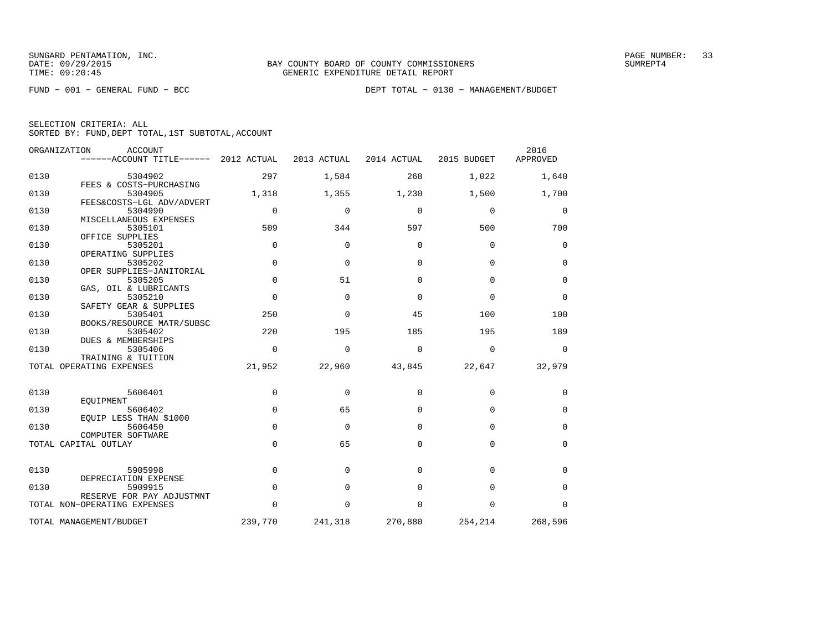FUND − 001 − GENERAL FUND − BCC DEPT TOTAL − 0130 − MANAGEMENT/BUDGET

SELECTION CRITERIA: ALL

SORTED BY: FUND,DEPT TOTAL,1ST SUBTOTAL,ACCOUNT

| ORGANIZATION             | <b>ACCOUNT</b><br>------ACCOUNT TITLE------ 2012 ACTUAL    |             | 2013 ACTUAL  | 2014 ACTUAL | 2015 BUDGET | 2016<br>APPROVED |
|--------------------------|------------------------------------------------------------|-------------|--------------|-------------|-------------|------------------|
| 0130                     | 5304902                                                    | 297         | 1,584        | 268         | 1,022       | 1,640            |
| 0130                     | FEES & COSTS-PURCHASING<br>5304905                         | 1,318       | 1,355        | 1,230       | 1,500       | 1,700            |
| 0130                     | FEES&COSTS-LGL ADV/ADVERT<br>5304990                       | 0           | $\Omega$     | $\mathbf 0$ | $\mathbf 0$ | 0                |
| 0130                     | MISCELLANEOUS EXPENSES<br>5305101                          | 509         | 344          | 597         | 500         | 700              |
| 0130                     | OFFICE SUPPLIES<br>5305201                                 | $\Omega$    | $\Omega$     | $\Omega$    | $\Omega$    | 0                |
| 0130                     | OPERATING SUPPLIES<br>5305202                              | $\mathbf 0$ | $\mathbf{0}$ | 0           | $\mathbf 0$ | $\mathbf 0$      |
| 0130                     | OPER SUPPLIES-JANITORIAL<br>5305205                        | $\Omega$    | 51           | $\Omega$    | $\Omega$    | $\Omega$         |
| 0130                     | GAS, OIL & LUBRICANTS<br>5305210<br>SAFETY GEAR & SUPPLIES | $\mathbf 0$ | $\Omega$     | $\Omega$    | $\Omega$    | $\mathbf 0$      |
| 0130                     | 5305401<br>BOOKS/RESOURCE MATR/SUBSC                       | 250         | $\Omega$     | 45          | 100         | 100              |
| 0130                     | 5305402<br>DUES & MEMBERSHIPS                              | 220         | 195          | 185         | 195         | 189              |
| 0130                     | 5305406<br>TRAINING & TUITION                              | $\Omega$    | 0            | 0           | $\mathbf 0$ | 0                |
| TOTAL OPERATING EXPENSES |                                                            | 21,952      | 22,960       | 43,845      | 22,647      | 32,979           |
| 0130                     | 5606401                                                    | $\mathbf 0$ | $\Omega$     | $\mathbf 0$ | 0           | 0                |
| 0130                     | EOUIPMENT<br>5606402                                       | $\mathbf 0$ | 65           | $\Omega$    | $\Omega$    | 0                |
| 0130                     | EOUIP LESS THAN \$1000<br>5606450                          | $\Omega$    | $\Omega$     | $\Omega$    | $\Omega$    | 0                |
|                          | COMPUTER SOFTWARE<br>TOTAL CAPITAL OUTLAY                  | $\Omega$    | 65           | $\Omega$    | $\Omega$    | 0                |
|                          |                                                            |             |              |             |             |                  |
| 0130                     | 5905998<br>DEPRECIATION EXPENSE                            | $\mathbf 0$ | $\Omega$     | $\Omega$    | $\mathbf 0$ | 0                |
| 0130                     | 5909915<br>RESERVE FOR PAY ADJUSTMNT                       | $\mathbf 0$ | $\Omega$     | $\Omega$    | $\Omega$    | $\mathbf 0$      |
|                          | TOTAL NON-OPERATING EXPENSES                               | $\Omega$    | $\Omega$     | $\Omega$    | $\Omega$    | $\Omega$         |
|                          | TOTAL MANAGEMENT/BUDGET                                    | 239,770     | 241,318      | 270,880     | 254,214     | 268,596          |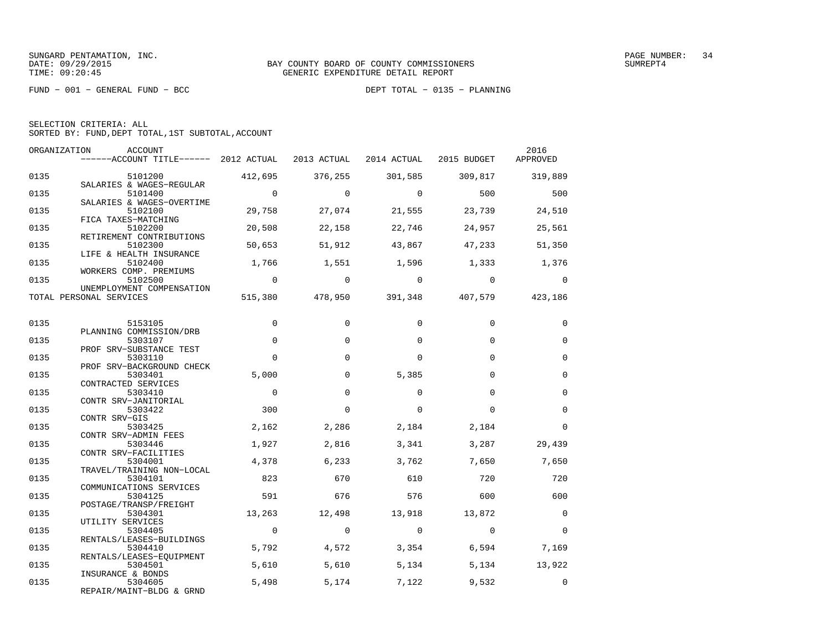FUND − 001 − GENERAL FUND − BCC DEPT TOTAL − 0135 − PLANNING

| SELECTION CRITERIA: ALL |  |  |                                                    |  |
|-------------------------|--|--|----------------------------------------------------|--|
|                         |  |  | SORTED BY: FUND, DEPT TOTAL, 1ST SUBTOTAL, ACCOUNT |  |

| ORGANIZATION | ACCOUNT                                                  |                |             |                                         |                | 2016           |
|--------------|----------------------------------------------------------|----------------|-------------|-----------------------------------------|----------------|----------------|
|              | ------ACCOUNT TITLE------ 2012 ACTUAL                    |                | 2013 ACTUAL | 2014 ACTUAL                             | 2015 BUDGET    | APPROVED       |
| 0135         | 5101200                                                  | 412,695        | 376,255     | 301,585                                 | 309,817        | 319,889        |
| 0135         | SALARIES & WAGES-REGULAR<br>5101400                      | $\overline{0}$ | $\Omega$    | $\Omega$                                | 500            | 500            |
| 0135         | SALARIES & WAGES-OVERTIME<br>5102100                     | 29,758         | 27,074      | 21,555                                  | 23,739         | 24,510         |
| 0135         | FICA TAXES-MATCHING<br>5102200                           | 20,508         | 22,158      | 22,746                                  | 24,957         | 25,561         |
| 0135         | RETIREMENT CONTRIBUTIONS<br>5102300                      | 50,653         | 51,912      | 43,867                                  | 47,233         | 51,350         |
| 0135         | LIFE & HEALTH INSURANCE<br>5102400                       | 1,766          | 1,551       | 1,596                                   | 1,333          | 1,376          |
| 0135         | WORKERS COMP. PREMIUMS<br>5102500                        | $\overline{0}$ | $\mathbf 0$ | $\overline{0}$                          | $\overline{0}$ | $\overline{0}$ |
|              | UNEMPLOYMENT COMPENSATION<br>TOTAL PERSONAL SERVICES     |                |             | 515,380 478,950 391,348 407,579 423,186 |                |                |
|              |                                                          |                |             |                                         |                |                |
| 0135         | 5153105                                                  | 0              | $\Omega$    | $\Omega$                                | $\Omega$       | $\Omega$       |
| 0135         | PLANNING COMMISSION/DRB<br>5303107                       | $\Omega$       | $\Omega$    | $\Omega$                                | $\Omega$       | $\Omega$       |
| 0135         | PROF SRV-SUBSTANCE TEST<br>5303110                       | $\Omega$       | $\Omega$    | $\Omega$                                | $\Omega$       | $\mathbf 0$    |
| 0135         | PROF SRV-BACKGROUND CHECK<br>5303401                     | 5,000          | $\Omega$    | 5,385                                   | $\Omega$       | $\mathbf 0$    |
| 0135         | CONTRACTED SERVICES<br>5303410                           | $\mathbf 0$    | 0           | $\Omega$                                | $\Omega$       | $\mathbf 0$    |
| 0135         | CONTR SRV-JANITORIAL<br>5303422                          | 300            | $\mathbf 0$ | $\Omega$                                | $\Omega$       | $\mathbf 0$    |
| 0135         | CONTR SRV-GIS<br>5303425                                 | 2,162          | 2,286       | 2,184                                   | 2,184          | $\Omega$       |
| 0135         | CONTR SRV-ADMIN FEES<br>5303446                          | 1,927          | 2,816       | 3,341                                   | 3,287          | 29,439         |
| 0135         | CONTR SRV-FACILITIES<br>5304001                          | 4,378          | 6,233       | 3,762                                   | 7,650          | 7,650          |
| 0135         | TRAVEL/TRAINING NON-LOCAL<br>5304101                     | 823            | 670         | 610                                     | 720            | 720            |
| 0135         | COMMUNICATIONS SERVICES<br>5304125                       | 591            | 676         | 576                                     | 600            | 600            |
| 0135         | POSTAGE/TRANSP/FREIGHT<br>5304301                        | 13,263         | 12,498      | 13,918                                  | 13,872         | $\mathbf 0$    |
| 0135         | UTILITY SERVICES<br>5304405                              | $\overline{0}$ | $\Omega$    | $\overline{0}$                          | $\Omega$       | $\Omega$       |
| 0135         | RENTALS/LEASES-BUILDINGS<br>5304410                      | 5,792          | 4,572       | 3,354                                   | 6,594          | 7,169          |
| 0135         | RENTALS/LEASES-EOUIPMENT<br>5304501                      | 5,610          | 5,610       | 5,134                                   | 5,134          | 13,922         |
| 0135         | INSURANCE & BONDS<br>5304605<br>REPAIR/MAINT-BLDG & GRND | 5,498          | 5,174       | 7,122                                   | 9,532          | $\mathbf 0$    |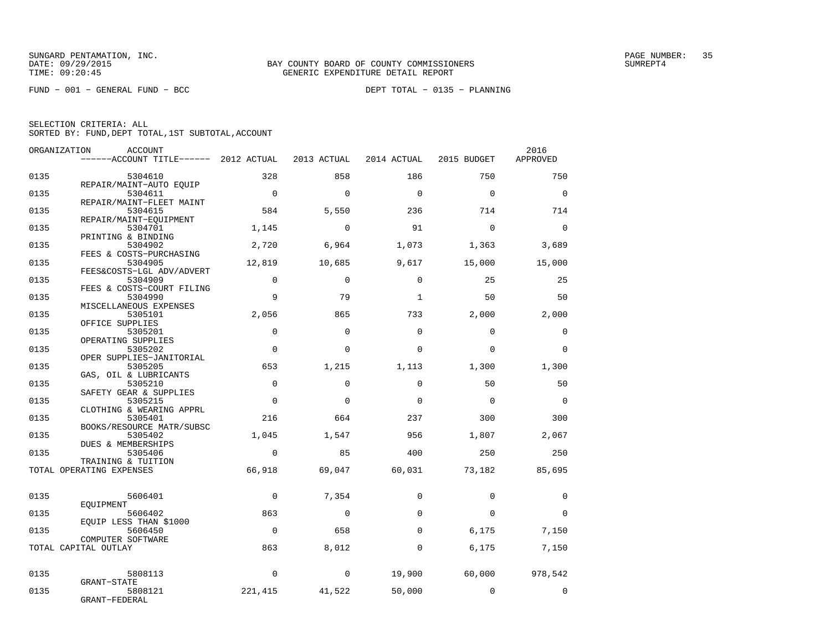FUND − 001 − GENERAL FUND − BCC DEPT TOTAL − 0135 − PLANNING

| ORGANIZATION | <b>ACCOUNT</b>                        |              |             |              |             | 2016     |
|--------------|---------------------------------------|--------------|-------------|--------------|-------------|----------|
|              | ------ACCOUNT TITLE------ 2012 ACTUAL |              | 2013 ACTUAL | 2014 ACTUAL  | 2015 BUDGET | APPROVED |
| 0135         | 5304610                               | 328          | 858         | 186          | 750         | 750      |
|              | REPAIR/MAINT-AUTO EOUIP               |              |             |              |             |          |
| 0135         | 5304611                               | $\bigcirc$   | $\Omega$    | $\Omega$     | $\Omega$    | $\Omega$ |
| 0135         | REPAIR/MAINT-FLEET MAINT<br>5304615   | 584          | 5,550       | 236          | 714         | 714      |
|              | REPAIR/MAINT-EOUIPMENT                |              |             |              |             |          |
| 0135         | 5304701                               | 1,145        | $\mathbf 0$ | 91           | $\mathbf 0$ | $\Omega$ |
| 0135         | PRINTING & BINDING<br>5304902         | 2,720        | 6,964       | 1,073        | 1,363       | 3,689    |
|              | FEES & COSTS-PURCHASING               |              |             |              |             |          |
| 0135         | 5304905                               | 12,819       | 10,685      | 9,617        | 15,000      | 15,000   |
| 0135         | FEES&COSTS-LGL ADV/ADVERT<br>5304909  | $\Omega$     | $\Omega$    | $\Omega$     | 25          | 25       |
|              | FEES & COSTS-COURT FILING             |              |             |              |             |          |
| 0135         | 5304990                               | 9            | 79          | $\mathbf{1}$ | 50          | 50       |
| 0135         | MISCELLANEOUS EXPENSES<br>5305101     | 2,056        | 865         | 733          | 2,000       | 2,000    |
|              | OFFICE SUPPLIES                       |              |             |              |             |          |
| 0135         | 5305201                               | $\Omega$     | $\Omega$    | $\Omega$     | $\Omega$    | $\Omega$ |
| 0135         | OPERATING SUPPLIES<br>5305202         | $\Omega$     | $\Omega$    | $\Omega$     | $\Omega$    | $\Omega$ |
|              | OPER SUPPLIES-JANITORIAL              |              |             |              |             |          |
| 0135         | 5305205                               | 653          | 1,215       | 1,113        | 1,300       | 1,300    |
| 0135         | GAS, OIL & LUBRICANTS<br>5305210      | $\Omega$     | $\Omega$    | $\Omega$     | 50          | 50       |
|              | SAFETY GEAR & SUPPLIES                |              |             |              |             |          |
| 0135         | 5305215                               | $\mathbf 0$  | $\Omega$    | $\Omega$     | $\Omega$    | $\Omega$ |
| 0135         | CLOTHING & WEARING APPRL<br>5305401   | 216          | 664         | 237          | 300         | 300      |
|              | BOOKS/RESOURCE MATR/SUBSC             |              |             |              |             |          |
| 0135         | 5305402                               | 1,045        | 1,547       | 956          | 1,807       | 2,067    |
| 0135         | DUES & MEMBERSHIPS<br>5305406         | $\Omega$     | 85          | 400          | 250         | 250      |
|              | TRAINING & TUITION                    |              |             |              |             |          |
|              | TOTAL OPERATING EXPENSES              | 66,918       | 69,047      | 60,031       | 73,182      | 85,695   |
|              |                                       |              |             |              |             |          |
| 0135         | 5606401                               | $\Omega$     | 7,354       | $\Omega$     | $\Omega$    | $\Omega$ |
|              | EOUIPMENT                             |              |             |              |             |          |
| 0135         | 5606402                               | 863          | $\mathbf 0$ | $\Omega$     | $\Omega$    | $\Omega$ |
| 0135         | EQUIP LESS THAN \$1000<br>5606450     | $\Omega$     | 658         | $\Omega$     | 6,175       | 7,150    |
|              | COMPUTER SOFTWARE                     |              |             |              |             |          |
|              | TOTAL CAPITAL OUTLAY                  | 863          | 8,012       | $\mathbf 0$  | 6,175       | 7,150    |
|              |                                       |              |             |              |             |          |
| 0135         | 5808113                               | $\mathbf{0}$ | $\mathbf 0$ | 19,900       | 60,000      | 978,542  |
|              | GRANT-STATE                           |              |             |              |             |          |
| 0135         | 5808121<br>GRANT-FEDERAL              | 221,415      | 41,522      | 50,000       | $\Omega$    | $\Omega$ |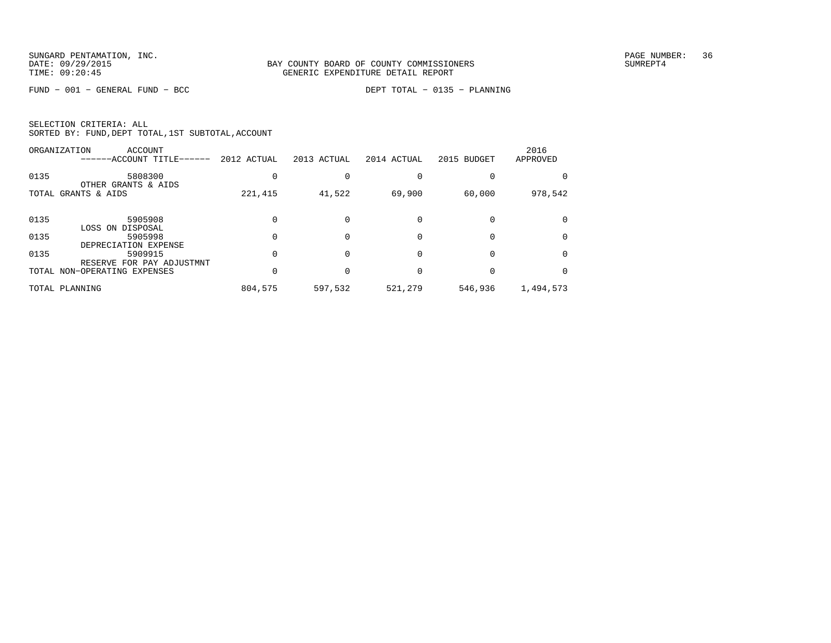FUND − 001 − GENERAL FUND − BCC DEPT TOTAL − 0135 − PLANNING

| SELECTION CRITERIA: ALL |  |  |                                                    |  |
|-------------------------|--|--|----------------------------------------------------|--|
|                         |  |  | SORTED BY: FUND, DEPT TOTAL, 1ST SUBTOTAL, ACCOUNT |  |

|      | ORGANIZATION<br>ACCOUNT<br>------ACCOUNT TITLE------ | 2012 ACTUAL | 2013 ACTUAL | 2014 ACTUAL | 2015 BUDGET | 2016<br>APPROVED |
|------|------------------------------------------------------|-------------|-------------|-------------|-------------|------------------|
| 0135 | 5808300<br>OTHER GRANTS & AIDS                       |             |             |             |             |                  |
|      | TOTAL GRANTS & AIDS                                  | 221,415     | 41,522      | 69,900      | 60,000      | 978,542          |
| 0135 | 5905908<br>LOSS ON DISPOSAL                          |             |             |             |             |                  |
| 0135 | 5905998<br>DEPRECIATION EXPENSE                      |             |             |             |             |                  |
| 0135 | 5909915<br>RESERVE FOR PAY ADJUSTMNT                 |             |             |             |             |                  |
|      | TOTAL NON-OPERATING EXPENSES                         |             |             |             |             |                  |
|      | TOTAL PLANNING                                       | 804,575     | 597,532     | 521,279     | 546,936     | 1,494,573        |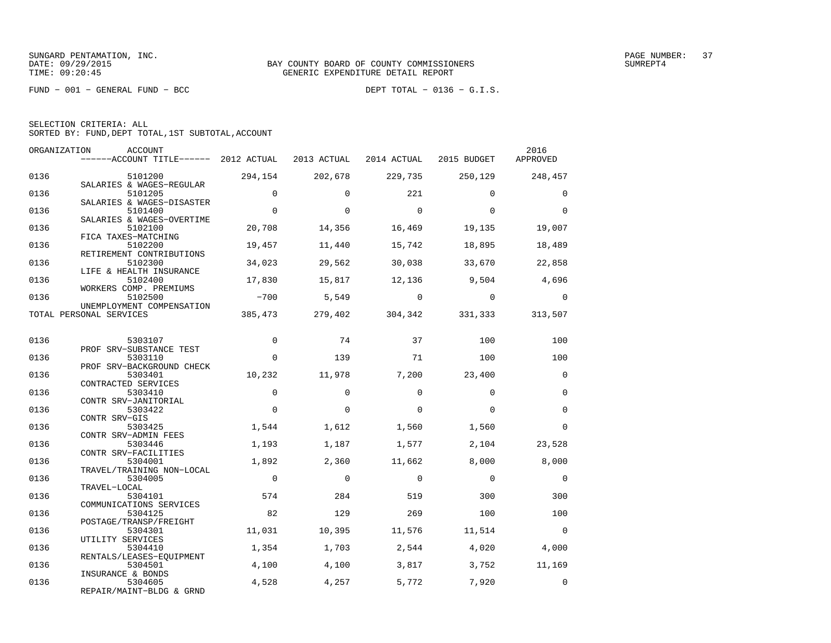FUND − 001 − GENERAL FUND − BCC DEPT TOTAL − 0136 − G.I.S.

|  | SELECTION CRITERIA: ALL                            |  |  |
|--|----------------------------------------------------|--|--|
|  | SORTED BY: FUND, DEPT TOTAL, 1ST SUBTOTAL, ACCOUNT |  |  |

| ORGANIZATION | ACCOUNT                              |             |             |                |                | 2016           |
|--------------|--------------------------------------|-------------|-------------|----------------|----------------|----------------|
|              | $---ACCOUNT$ TITLE $---2012$ ACTUAL  |             | 2013 ACTUAL | 2014 ACTUAL    | 2015 BUDGET    | APPROVED       |
| 0136         | 5101200                              | 294,154     | 202,678     | 229,735        | 250,129        | 248,457        |
|              | SALARIES & WAGES-REGULAR             |             |             |                |                |                |
| 0136         | 5101205<br>SALARIES & WAGES-DISASTER | $\Omega$    | $\Omega$    | 221            | $\Omega$       | $\mathbf 0$    |
| 0136         | 5101400                              | $\mathbf 0$ | $\Omega$    | $\mathbf 0$    | $\Omega$       | $\mathbf 0$    |
|              | SALARIES & WAGES-OVERTIME            |             |             |                |                |                |
| 0136         | 5102100                              | 20,708      | 14,356      | 16,469         | 19,135         | 19,007         |
|              | FICA TAXES-MATCHING                  |             |             |                |                |                |
| 0136         | 5102200                              | 19,457      | 11,440      | 15,742         | 18,895         | 18,489         |
|              | RETIREMENT CONTRIBUTIONS             |             |             |                |                |                |
| 0136         | 5102300                              | 34,023      | 29,562      | 30,038         | 33,670         | 22,858         |
| 0136         | LIFE & HEALTH INSURANCE<br>5102400   | 17,830      | 15,817      | 12,136         | 9,504          | 4,696          |
|              | WORKERS COMP. PREMIUMS               |             |             |                |                |                |
| 0136         | 5102500                              | $-700$      | 5,549       | $\overline{0}$ | $\overline{0}$ | $\Omega$       |
|              | UNEMPLOYMENT COMPENSATION            |             |             |                |                |                |
|              | TOTAL PERSONAL SERVICES              | 385,473     | 279,402     | 304,342        | 331,333        | 313,507        |
|              |                                      |             |             |                |                |                |
|              |                                      |             |             |                |                |                |
| 0136         | 5303107                              | $\Omega$    | 74          | 37             | 100            | 100            |
| 0136         | PROF SRV-SUBSTANCE TEST<br>5303110   | $\Omega$    | 139         | 71             | 100            | 100            |
|              | PROF SRV-BACKGROUND CHECK            |             |             |                |                |                |
| 0136         | 5303401                              | 10,232      | 11,978      | 7,200          | 23,400         | $\mathbf 0$    |
|              | CONTRACTED SERVICES                  |             |             |                |                |                |
| 0136         | 5303410                              | $\Omega$    | $\Omega$    | $\Omega$       | $\Omega$       | $\Omega$       |
|              | CONTR SRV-JANITORIAL                 |             |             |                |                |                |
| 0136         | 5303422                              | $\Omega$    | $\Omega$    | $\Omega$       | $\Omega$       | $\mathbf 0$    |
|              | CONTR SRV-GIS                        |             |             |                |                |                |
| 0136         | 5303425                              | 1,544       | 1,612       | 1,560          | 1,560          | $\mathbf 0$    |
|              | CONTR SRV-ADMIN FEES                 |             |             |                |                |                |
| 0136         | 5303446                              | 1,193       | 1,187       | 1,577          | 2,104          | 23,528         |
|              | CONTR SRV-FACILITIES                 |             |             |                |                |                |
| 0136         | 5304001                              | 1,892       | 2,360       | 11,662         | 8,000          | 8,000          |
|              | TRAVEL/TRAINING NON-LOCAL            | $\Omega$    | $\Omega$    | $\Omega$       | $\Omega$       |                |
| 0136         | 5304005<br>TRAVEL-LOCAL              |             |             |                |                | $\mathbf 0$    |
| 0136         | 5304101                              | 574         | 284         | 519            | 300            | 300            |
|              | COMMUNICATIONS SERVICES              |             |             |                |                |                |
| 0136         | 5304125                              | 82          | 129         | 269            | 100            | 100            |
|              | POSTAGE/TRANSP/FREIGHT               |             |             |                |                |                |
| 0136         | 5304301                              | 11,031      | 10,395      | 11,576         | 11,514         | $\overline{0}$ |
|              | UTILITY SERVICES                     |             |             |                |                |                |
| 0136         | 5304410                              | 1,354       | 1,703       | 2,544          | 4,020          | 4,000          |
|              | RENTALS/LEASES-EQUIPMENT             |             |             |                |                |                |
| 0136         | 5304501                              | 4,100       | 4,100       | 3,817          | 3,752          | 11,169         |
|              | INSURANCE & BONDS                    |             |             |                |                |                |
| 0136         | 5304605                              | 4,528       | 4,257       | 5,772          | 7,920          | $\mathbf 0$    |
|              | REPAIR/MAINT-BLDG & GRND             |             |             |                |                |                |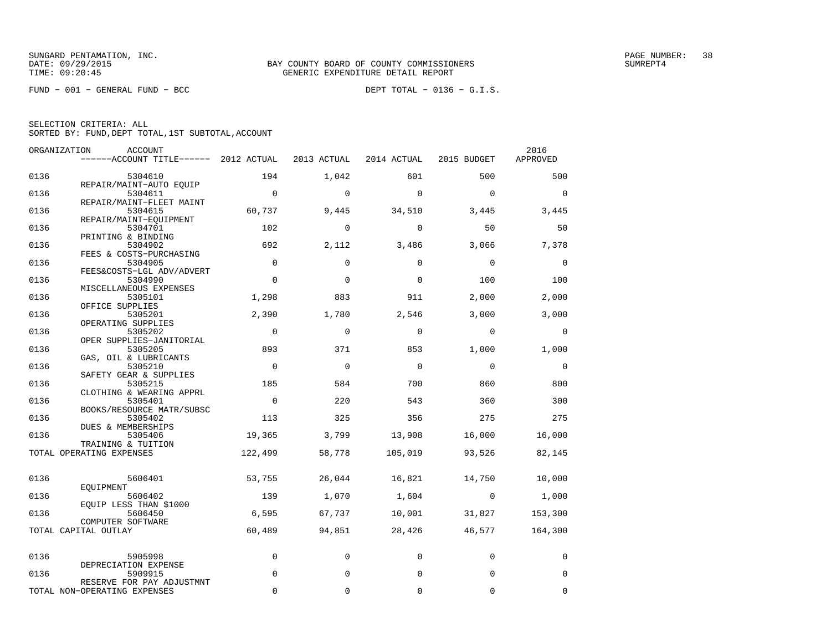FUND − 001 − GENERAL FUND − BCC DEPT TOTAL − 0136 − G.I.S.

| ORGANIZATION | <b>ACCOUNT</b><br>$---ACCOUNT$ TITLE $--- 2012$ ACTUAL |                | 2013 ACTUAL | 2014 ACTUAL | 2015 BUDGET    | 2016<br>APPROVED |
|--------------|--------------------------------------------------------|----------------|-------------|-------------|----------------|------------------|
| 0136         | 5304610                                                | 194            | 1,042       | 601         | 500            | 500              |
|              | REPAIR/MAINT-AUTO EQUIP                                |                |             |             |                |                  |
| 0136         | 5304611                                                | $\overline{0}$ | $\mathbf 0$ | $\Omega$    | $\Omega$       | $\Omega$         |
| 0136         | REPAIR/MAINT-FLEET MAINT<br>5304615                    | 60,737         | 9,445       | 34,510      | 3,445          | 3,445            |
| 0136         | REPAIR/MAINT-EOUIPMENT<br>5304701                      | 102            | $\mathbf 0$ | $\mathbf 0$ | 50             | 50               |
|              | PRINTING & BINDING                                     |                |             |             |                |                  |
| 0136         | 5304902<br>FEES & COSTS-PURCHASING                     | 692            | 2,112       | 3,486       | 3,066          | 7,378            |
| 0136         | 5304905                                                | $\mathbf 0$    | $\mathbf 0$ | $\Omega$    | $\mathbf 0$    | $\mathbf 0$      |
|              | FEES&COSTS-LGL ADV/ADVERT                              |                |             |             |                |                  |
| 0136         | 5304990                                                | $\Omega$       | $\mathbf 0$ | $\Omega$    | 100            | 100              |
|              | MISCELLANEOUS EXPENSES                                 |                |             |             |                |                  |
| 0136         | 5305101                                                | 1,298          | 883         | 911         | 2,000          | 2,000            |
|              | OFFICE SUPPLIES                                        |                |             |             |                |                  |
| 0136         | 5305201                                                | 2,390          | 1,780       | 2,546       | 3,000          | 3,000            |
|              | OPERATING SUPPLIES                                     |                |             |             |                |                  |
| 0136         | 5305202                                                | $\mathbf 0$    | $\mathbf 0$ | 0           | $\Omega$       | $\mathbf 0$      |
|              | OPER SUPPLIES-JANITORIAL                               |                |             |             |                |                  |
| 0136         | 5305205                                                | 893            | 371         | 853         | 1,000          | 1,000            |
|              | GAS, OIL & LUBRICANTS                                  |                |             |             |                |                  |
| 0136         | 5305210                                                | $\overline{0}$ | $\mathbf 0$ | $\Omega$    | $\mathbf 0$    | $\mathbf 0$      |
| 0136         | SAFETY GEAR & SUPPLIES<br>5305215                      | 185            | 584         | 700         | 860            | 800              |
|              | CLOTHING & WEARING APPRL                               |                |             |             |                |                  |
| 0136         | 5305401                                                | $\overline{0}$ | 220         | 543         | 360            | 300              |
|              | BOOKS/RESOURCE MATR/SUBSC                              |                |             |             |                |                  |
| 0136         | 5305402                                                | 113            | 325         | 356         | 275            | 275              |
|              | DUES & MEMBERSHIPS                                     |                |             |             |                |                  |
| 0136         | 5305406                                                | 19,365         | 3,799       | 13,908      | 16,000         | 16,000           |
|              | TRAINING & TUITION<br>TOTAL OPERATING EXPENSES         | 122,499        | 58,778      | 105,019     | 93,526         | 82,145           |
|              |                                                        |                |             |             |                |                  |
| 0136         | 5606401                                                | 53,755         | 26,044      | 16,821      | 14,750         | 10,000           |
|              | EOUIPMENT                                              |                |             |             |                |                  |
| 0136         | 5606402                                                | 139            | 1,070       | 1,604       | $\overline{0}$ | 1,000            |
| 0136         | EQUIP LESS THAN \$1000<br>5606450                      | 6,595          | 67,737      | 10,001      | 31,827         | 153,300          |
|              | COMPUTER SOFTWARE                                      |                |             |             |                |                  |
|              | TOTAL CAPITAL OUTLAY                                   | 60,489         | 94,851      | 28,426      | 46,577         | 164,300          |
|              |                                                        |                |             |             |                |                  |
| 0136         | 5905998<br>DEPRECIATION EXPENSE                        | $\mathbf 0$    | 0           | $\Omega$    | $\mathbf 0$    | 0                |
| 0136         | 5909915<br>RESERVE FOR PAY ADJUSTMNT                   | $\mathbf 0$    | 0           | $\mathbf 0$ | $\mathbf 0$    | 0                |
|              | TOTAL NON-OPERATING EXPENSES                           | $\Omega$       | $\Omega$    | $\Omega$    | $\Omega$       | $\Omega$         |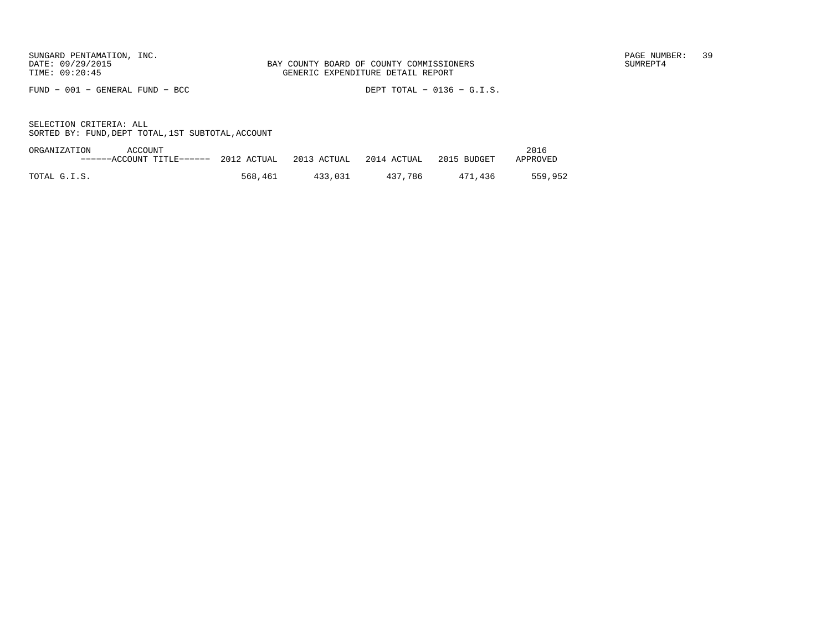FUND − 001 − GENERAL FUND − BCC DEPT TOTAL − 0136 − G.I.S.

| ORGANIZATION<br>ACCOUNT |                                    |             |             |             | 2016     |
|-------------------------|------------------------------------|-------------|-------------|-------------|----------|
|                         | $---ACCcolINT TITLE---2012$ ACTUAL | 2013 ACTUAL | 2014 ACTUAL | 2015 BUDGET | APPROVED |
|                         |                                    |             |             |             |          |
| TOTAL G.I.S.            | 568,461                            | 433,031     | 437.786     | 471.436     | 559,952  |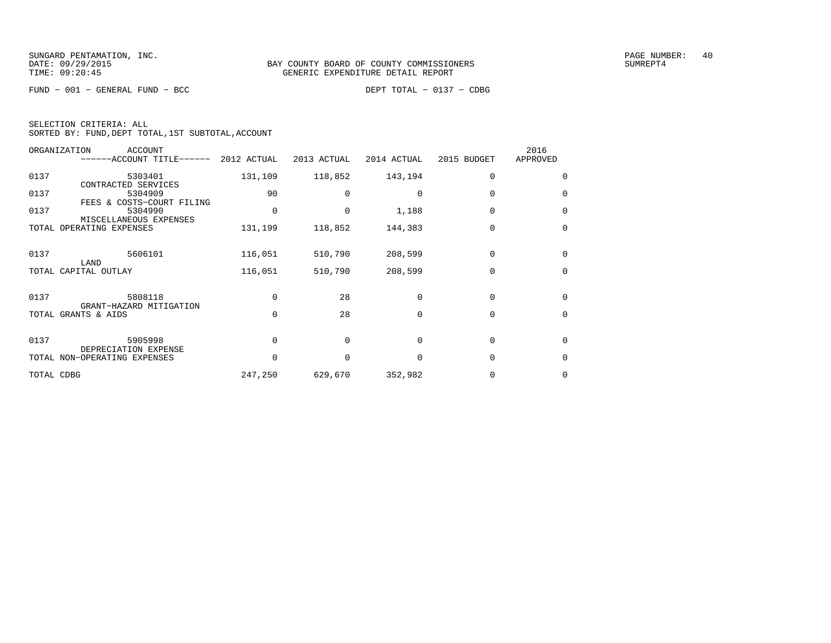FUND − 001 − GENERAL FUND − BCC DEPT TOTAL − 0137 − CDBG

| SELECTION CRITERIA: ALL |  |  |                                                    |  |
|-------------------------|--|--|----------------------------------------------------|--|
|                         |  |  | SORTED BY: FUND, DEPT TOTAL, 1ST SUBTOTAL, ACCOUNT |  |

|            | ORGANIZATION<br><b>ACCOUNT</b><br>------ACCOUNT TITLE------ 2012 ACTUAL |          | 2013 ACTUAL | 2014 ACTUAL | 2015 BUDGET | 2016<br>APPROVED |
|------------|-------------------------------------------------------------------------|----------|-------------|-------------|-------------|------------------|
| 0137       | 5303401<br>CONTRACTED SERVICES                                          | 131,109  | 118,852     | 143,194     | $\Omega$    | $\Omega$         |
| 0137       | 5304909<br>FEES & COSTS-COURT FILING                                    | 90       |             | $\Omega$    | $\Omega$    | $\Omega$         |
| 0137       | 5304990<br>MISCELLANEOUS EXPENSES                                       | 0        | $\Omega$    | 1,188       | $\mathbf 0$ | $\Omega$         |
|            | TOTAL OPERATING EXPENSES                                                | 131,199  | 118,852     | 144,383     | $\Omega$    | $\Omega$         |
| 0137       | 5606101<br>LAND                                                         | 116,051  | 510,790     | 208,599     | $\Omega$    | $\Omega$         |
|            | TOTAL CAPITAL OUTLAY                                                    | 116,051  | 510,790     | 208,599     | $\Omega$    | $\Omega$         |
| 0137       | 5808118<br>GRANT-HAZARD MITIGATION                                      | $\Omega$ | 28          | $\Omega$    | $\Omega$    | $\Omega$         |
|            | TOTAL GRANTS & AIDS                                                     | $\Omega$ | 28          | $\Omega$    | $\Omega$    | $\Omega$         |
| 0137       | 5905998<br>DEPRECIATION EXPENSE                                         | $\Omega$ | $\Omega$    | $\Omega$    | $\Omega$    | $\Omega$         |
|            | TOTAL NON-OPERATING EXPENSES                                            |          | $\Omega$    | $\Omega$    | $\Omega$    | $\Omega$         |
| TOTAL CDBG |                                                                         | 247,250  | 629,670     | 352,982     |             | 0                |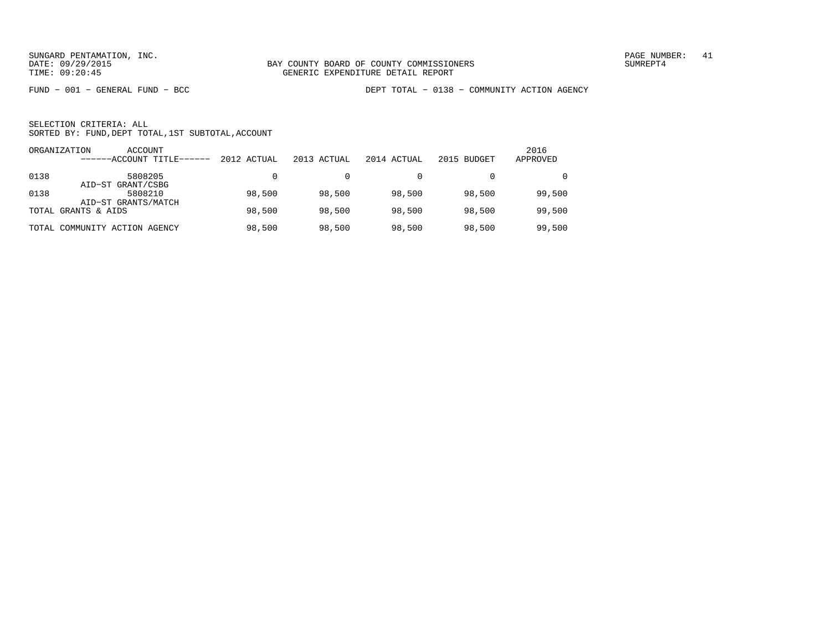FUND − 001 − GENERAL FUND − BCC DEPT TOTAL − 0138 − COMMUNITY ACTION AGENCY

|      | ACCOUNT<br>ORGANIZATION<br>------ACCOUNT TITLE------ | 2012 ACTUAL | 2013 ACTUAL | 2014 ACTUAL | 2015 BUDGET | 2016<br>APPROVED |
|------|------------------------------------------------------|-------------|-------------|-------------|-------------|------------------|
| 0138 | 5808205<br>AID-ST GRANT/CSBG                         |             |             |             |             | $\Omega$         |
| 0138 | 5808210<br>AID-ST GRANTS/MATCH                       | 98,500      | 98,500      | 98,500      | 98,500      | 99,500           |
|      | TOTAL GRANTS & AIDS                                  | 98,500      | 98,500      | 98,500      | 98,500      | 99,500           |
|      | TOTAL COMMUNITY ACTION AGENCY                        | 98,500      | 98,500      | 98,500      | 98,500      | 99,500           |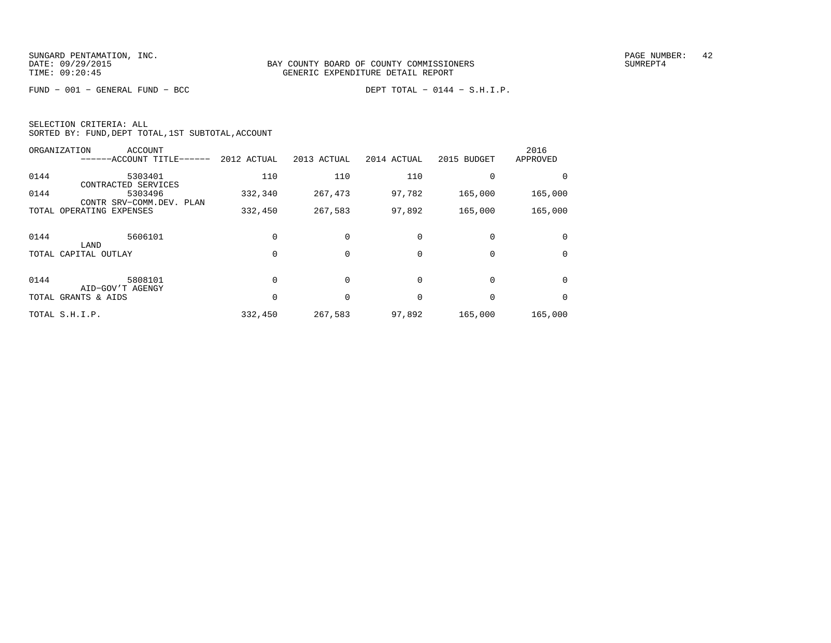FUND − 001 − GENERAL FUND − BCC DEPT TOTAL − 0144 − S.H.I.P.

| SELECTION CRITERIA: ALL |  |  |                                                    |  |
|-------------------------|--|--|----------------------------------------------------|--|
|                         |  |  | SORTED BY: FUND, DEPT TOTAL, 1ST SUBTOTAL, ACCOUNT |  |

|      | ORGANIZATION<br><b>ACCOUNT</b><br>------ACCOUNT TITLE------ | 2012 ACTUAL | 2013 ACTUAL | 2014 ACTUAL | 2015 BUDGET | 2016<br>APPROVED |
|------|-------------------------------------------------------------|-------------|-------------|-------------|-------------|------------------|
|      |                                                             |             |             |             |             |                  |
| 0144 | 5303401<br>CONTRACTED SERVICES                              | 110         | 110         | 110         |             |                  |
| 0144 | 5303496<br>CONTR SRV-COMM.DEV. PLAN                         | 332,340     | 267,473     | 97,782      | 165,000     | 165,000          |
|      | TOTAL OPERATING EXPENSES                                    | 332,450     | 267,583     | 97,892      | 165,000     | 165,000          |
|      |                                                             |             |             |             |             |                  |
| 0144 | 5606101                                                     |             |             |             |             |                  |
|      | LAND<br>TOTAL CAPITAL OUTLAY                                |             |             |             | 0           | $\Omega$         |
|      |                                                             |             |             |             |             |                  |
| 0144 | 5808101<br>AID-GOV'T AGENGY                                 |             |             |             | $\Omega$    | $\Omega$         |
|      | TOTAL GRANTS & AIDS                                         |             |             |             | $\Omega$    | $\Omega$         |
|      | TOTAL S.H.I.P.                                              | 332,450     | 267,583     | 97,892      | 165,000     | 165,000          |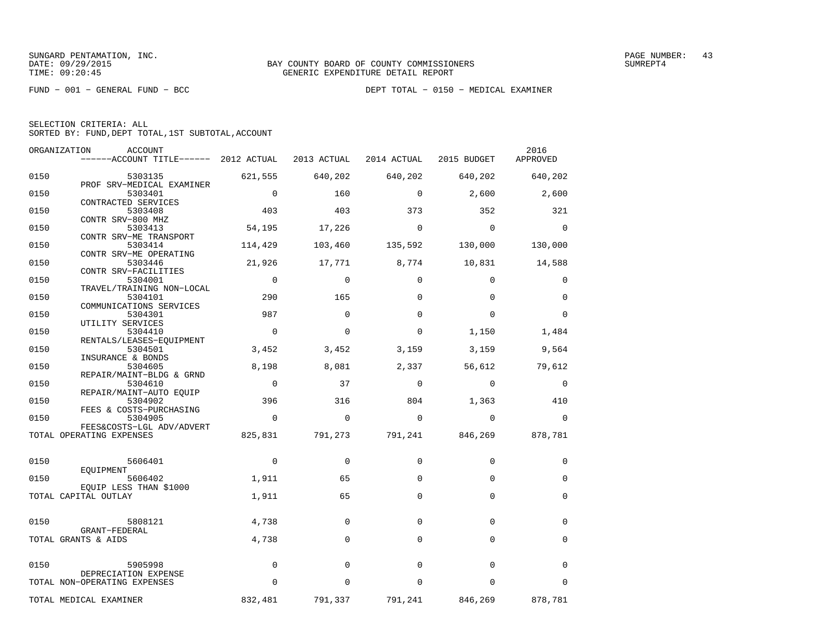| SELECTION CRITERIA: ALL |                                                    |  |
|-------------------------|----------------------------------------------------|--|
|                         | SORTED BY: FUND, DEPT TOTAL, 1ST SUBTOTAL, ACCOUNT |  |

| ORGANIZATION | ACCOUNT                                                                   |                |             |             |                         | 2016        |
|--------------|---------------------------------------------------------------------------|----------------|-------------|-------------|-------------------------|-------------|
|              | ------ACCOUNT TITLE------ 2012 ACTUAL 2013 ACTUAL 2014 ACTUAL 2015 BUDGET |                |             |             |                         | APPROVED    |
| 0150         | 5303135                                                                   | 621,555        | 640,202     | 640,202     | 640,202 640,202         |             |
| 0150         | PROF SRV-MEDICAL EXAMINER<br>5303401                                      | $\overline{0}$ | 160         | $\Omega$    | 2,600                   | 2,600       |
| 0150         | CONTRACTED SERVICES<br>5303408                                            | 403            | 403         | 373         | 352                     | 321         |
| 0150         | CONTR SRV-800 MHZ<br>5303413                                              | 54,195         | 17,226      | $\Omega$    | $\overline{0}$          | $\Omega$    |
| 0150         | CONTR SRV-ME TRANSPORT<br>5303414                                         | 114,429        | 103,460     | 135,592     | 130,000                 | 130,000     |
| 0150         | CONTR SRV-ME OPERATING<br>5303446                                         | 21,926         | 17,771      |             | 8,774 10,831 14,588     |             |
| 0150         | CONTR SRV-FACILITIES<br>5304001                                           | $\overline{0}$ | $\mathbf 0$ | $\mathbf 0$ | $\mathbf 0$             | 0           |
| 0150         | TRAVEL/TRAINING NON-LOCAL<br>5304101                                      | 290            | 165         | $\Omega$    | $\Omega$                | 0           |
| 0150         | COMMUNICATIONS SERVICES<br>5304301                                        | 987            | $\mathbf 0$ | $\mathbf 0$ | $\mathbf 0$             | $\mathbf 0$ |
| 0150         | UTILITY SERVICES<br>5304410                                               | $\Omega$       | $\Omega$    | $\Omega$    |                         |             |
|              | RENTALS/LEASES-EOUIPMENT                                                  |                |             |             | 1,150                   | 1,484       |
| 0150         | 5304501<br>INSURANCE & BONDS                                              | 3,452          | 3,452       | 3,159       | 3,159                   | 9,564       |
| 0150         | 5304605<br>REPAIR/MAINT-BLDG & GRND                                       | 8,198          | 8,081       | 2,337       | 56,612                  | 79,612      |
| 0150         | 5304610<br>REPAIR/MAINT-AUTO EQUIP                                        | $\overline{0}$ | 37          | $\mathbf 0$ | $\overline{0}$          | $\mathbf 0$ |
| 0150         | 5304902<br>FEES & COSTS-PURCHASING                                        | 396            | 316         | 804         | 1,363                   | 410         |
| 0150         | 5304905<br>FEES&COSTS-LGL ADV/ADVERT                                      | $\Omega$       | $\Omega$    | $\Omega$    | $\Omega$                | $\Omega$    |
|              | TOTAL OPERATING EXPENSES                                                  | 825,831        | 791,273     |             | 791,241 846,269 878,781 |             |
| 0150         | 5606401                                                                   | $\overline{0}$ | $\mathbf 0$ | $\mathbf 0$ | $\mathbf 0$             | 0           |
| 0150         | EQUIPMENT<br>5606402                                                      | 1,911          | 65          | $\Omega$    | $\Omega$                | $\mathbf 0$ |
|              | EQUIP LESS THAN \$1000<br>TOTAL CAPITAL OUTLAY                            | 1,911          | 65          | $\mathbf 0$ | $\Omega$                | $\mathbf 0$ |
|              |                                                                           |                |             |             | $\Omega$                | $\Omega$    |
| 0150         | 5808121<br>GRANT-FEDERAL                                                  | 4,738          | $\Omega$    | $\Omega$    |                         |             |
|              | TOTAL GRANTS & AIDS                                                       | 4,738          | $\Omega$    | $\Omega$    | $\Omega$                | $\mathbf 0$ |
| 0150         | 5905998                                                                   | 0              | $\mathbf 0$ | $\Omega$    | $\Omega$                | $\mathbf 0$ |
|              | DEPRECIATION EXPENSE<br>TOTAL NON-OPERATING EXPENSES                      | $\mathbf 0$    | $\Omega$    | $\Omega$    | 0                       | $\Omega$    |
|              | TOTAL MEDICAL EXAMINER                                                    | 832,481        | 791,337     | 791,241     | 846,269                 | 878,781     |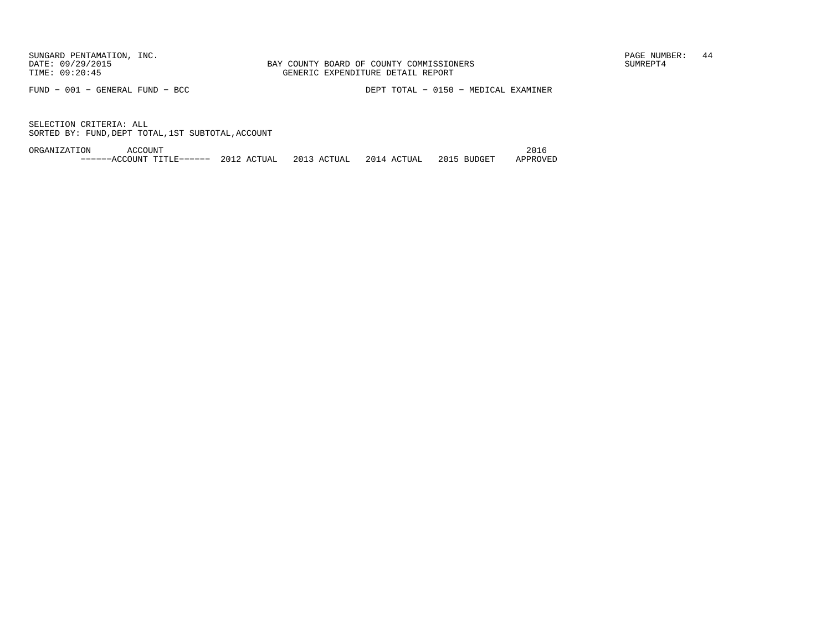FUND − 001 − GENERAL FUND − BCC DEPT TOTAL − 0150 − MEDICAL EXAMINER

SELECTION CRITERIA: ALLSORTED BY: FUND,DEPT TOTAL,1ST SUBTOTAL,ACCOUNT

ORGANIZATION ACCOUNT 2016−−−−−−ACCOUNT TITLE−−−−−− 2012 ACTUAL 2013 ACTUAL 2014 ACTUAL 2015 BUDGET APPROVED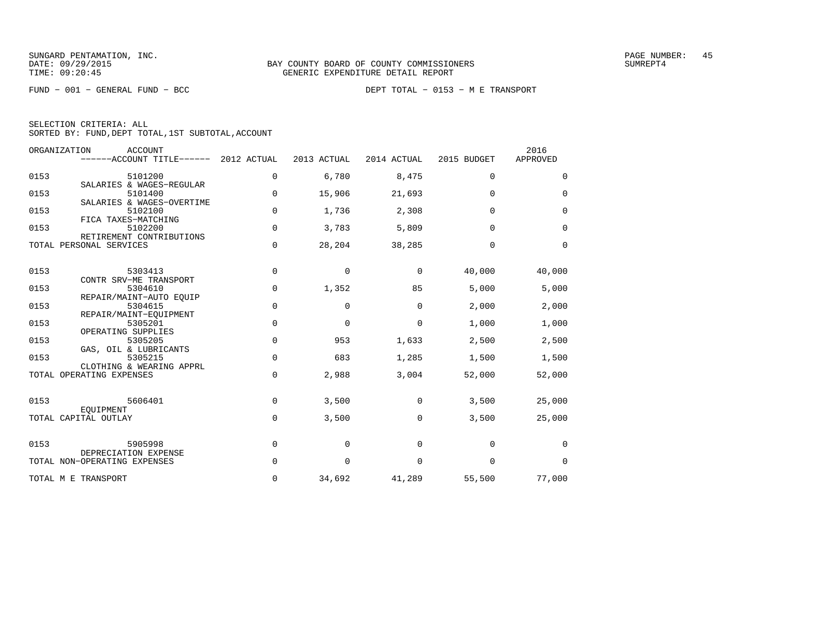FUND − 001 − GENERAL FUND − BCC DEPT TOTAL − 0153 − M E TRANSPORT

| SELECTION CRITERIA: ALL                            |  |
|----------------------------------------------------|--|
| SORTED BY: FUND, DEPT TOTAL, 1ST SUBTOTAL, ACCOUNT |  |

| ORGANIZATION                 | <b>ACCOUNT</b><br>------ACCOUNT TITLE------ 2012 ACTUAL      |             | 2013 ACTUAL | 2014 ACTUAL | 2015 BUDGET | 2016<br>APPROVED |
|------------------------------|--------------------------------------------------------------|-------------|-------------|-------------|-------------|------------------|
| 0153                         | 5101200<br>SALARIES & WAGES-REGULAR                          | 0           | 6,780       | 8,475       | $\mathbf 0$ | $\mathbf 0$      |
| 0153                         | 5101400<br>SALARIES & WAGES-OVERTIME                         | 0           | 15,906      | 21,693      | $\Omega$    | $\Omega$         |
| 0153<br>FICA TAXES-MATCHING  | 5102100                                                      | $\mathbf 0$ | 1,736       | 2,308       | $\Omega$    | $\mathbf 0$      |
| 0153                         | 5102200<br>RETIREMENT CONTRIBUTIONS                          | $\Omega$    | 3,783       | 5,809       | $\Omega$    | $\Omega$         |
| TOTAL PERSONAL SERVICES      |                                                              | 0           | 28,204      | 38,285      | $\Omega$    | $\mathbf 0$      |
| 0153                         | 5303413                                                      | 0           | $\mathbf 0$ | $\mathbf 0$ | 40,000      | 40,000           |
| 0153                         | CONTR SRV-ME TRANSPORT<br>5304610                            | 0           | 1,352       | 85          | 5,000       | 5,000            |
| 0153                         | REPAIR/MAINT-AUTO EOUIP<br>5304615<br>REPAIR/MAINT-EQUIPMENT | $\mathbf 0$ | 0           | $\Omega$    | 2,000       | 2,000            |
| 0153<br>OPERATING SUPPLIES   | 5305201                                                      | $\mathbf 0$ | $\Omega$    | $\Omega$    | 1,000       | 1,000            |
| 0153                         | 5305205<br>GAS, OIL & LUBRICANTS                             | $\mathbf 0$ | 953         | 1,633       | 2,500       | 2,500            |
| 0153                         | 5305215<br>CLOTHING & WEARING APPRL                          | 0           | 683         | 1,285       | 1,500       | 1,500            |
| TOTAL OPERATING EXPENSES     |                                                              | $\mathbf 0$ | 2,988       | 3,004       | 52,000      | 52,000           |
| 0153<br>EOUIPMENT            | 5606401                                                      | 0           | 3,500       | 0           | 3,500       | 25,000           |
| TOTAL CAPITAL OUTLAY         |                                                              | $\Omega$    | 3,500       | $\Omega$    | 3,500       | 25,000           |
| 0153                         | 5905998<br>DEPRECIATION EXPENSE                              | $\mathbf 0$ | $\Omega$    | $\Omega$    | $\Omega$    | $\Omega$         |
| TOTAL NON-OPERATING EXPENSES |                                                              | 0           | $\mathbf 0$ | $\mathbf 0$ | $\mathbf 0$ | $\mathbf 0$      |
| TOTAL M E TRANSPORT          |                                                              | 0           | 34,692      | 41,289      | 55,500      | 77,000           |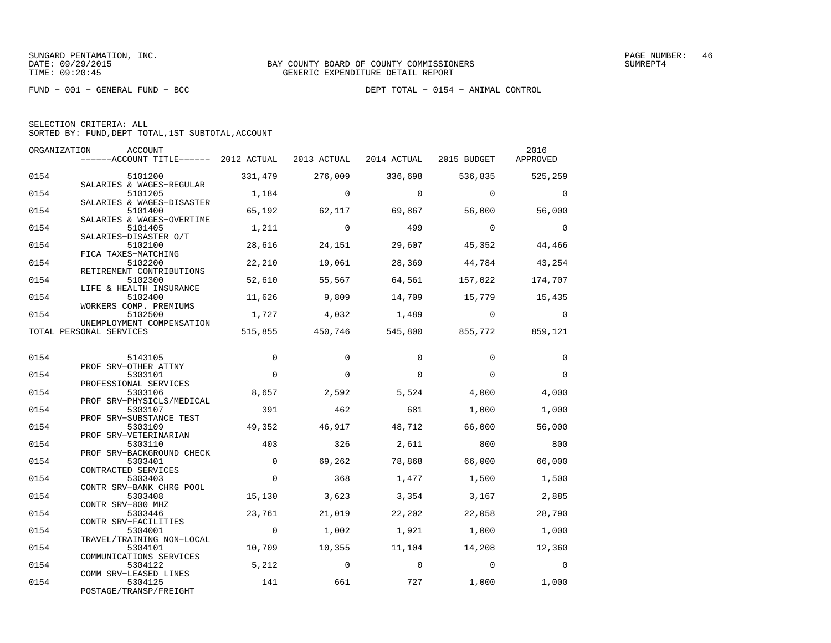FUND − 001 − GENERAL FUND − BCC DEPT TOTAL − 0154 − ANIMAL CONTROL

|  | SELECTION CRITERIA: ALL                            |  |  |
|--|----------------------------------------------------|--|--|
|  | SORTED BY: FUND, DEPT TOTAL, 1ST SUBTOTAL, ACCOUNT |  |  |

| ORGANIZATION | ACCOUNT<br>------ACCOUNT TITLE------ 2012 ACTUAL              |          | 2013 ACTUAL | 2014 ACTUAL 2015 BUDGET |                                         | 2016<br>APPROVED         |
|--------------|---------------------------------------------------------------|----------|-------------|-------------------------|-----------------------------------------|--------------------------|
| 0154         | 5101200                                                       | 331,479  | 276,009     | 336,698                 |                                         | 536,835 525,259          |
| 0154         | SALARIES & WAGES-REGULAR<br>5101205                           | 1,184    | $\Omega$    | $\Omega$                | $\Omega$                                | $\Omega$                 |
| 0154         | SALARIES & WAGES-DISASTER<br>5101400                          | 65,192   | 62,117      | 69,867                  | 56,000                                  | 56,000                   |
| 0154         | SALARIES & WAGES-OVERTIME<br>5101405<br>SALARIES-DISASTER O/T | 1,211    | $\Omega$    | 499                     | $\overline{0}$                          | $\overline{\phantom{0}}$ |
| 0154         | 5102100<br>FICA TAXES-MATCHING                                | 28,616   | 24,151      | 29,607                  | 45,352                                  | 44,466                   |
| 0154         | 5102200<br>RETIREMENT CONTRIBUTIONS                           | 22,210   | 19,061      | 28,369                  | 44,784                                  | 43,254                   |
| 0154         | 5102300<br>LIFE & HEALTH INSURANCE                            | 52,610   | 55,567      | 64,561                  | 157,022                                 | 174,707                  |
| 0154         | 5102400<br>WORKERS COMP. PREMIUMS                             | 11,626   | 9,809       | 14,709                  | 15,779 15,435                           |                          |
| 0154         | 5102500<br>UNEMPLOYMENT COMPENSATION                          | 1,727    | 4,032       | 1,489                   | $\overline{0}$                          | $\Omega$                 |
|              | TOTAL PERSONAL SERVICES                                       |          |             |                         | 515,855 450,746 545,800 855,772 859,121 |                          |
| 0154         | 5143105                                                       | $\Omega$ | $\Omega$    | $\Omega$                | $\Omega$                                | $\Omega$                 |
| 0154         | PROF SRV-OTHER ATTNY<br>5303101                               | $\Omega$ | $\Omega$    | $\Omega$                | $\Omega$                                | $\Omega$                 |
| 0154         | PROFESSIONAL SERVICES<br>5303106<br>PROF SRV-PHYSICLS/MEDICAL | 8,657    | 2,592       | 5,524                   | 4,000                                   | 4,000                    |
| 0154         | 5303107<br>PROF SRV-SUBSTANCE TEST                            | 391      | 462         | 681                     | 1,000                                   | 1,000                    |
| 0154         | 5303109<br>PROF SRV-VETERINARIAN                              | 49,352   | 46,917      | 48,712                  | 66,000                                  | 56,000                   |
| 0154         | 5303110<br>PROF SRV-BACKGROUND CHECK                          | 403      | 326         | 2,611                   | 800                                     | 800                      |
| 0154         | 5303401<br>CONTRACTED SERVICES                                | $\Omega$ | 69,262      | 78,868                  | 66,000                                  | 66,000                   |
| 0154         | 5303403<br>CONTR SRV-BANK CHRG POOL                           | $\Omega$ | 368         | 1,477                   | 1,500                                   | 1,500                    |
| 0154         | 5303408<br>CONTR SRV-800 MHZ                                  | 15,130   | 3,623       | 3,354                   | 3,167                                   | 2,885                    |
| 0154         | 5303446<br>CONTR SRV-FACILITIES                               | 23,761   | 21,019      | 22,202                  | 22,058                                  | 28,790                   |
| 0154         | 5304001<br>TRAVEL/TRAINING NON-LOCAL                          | $\sim$ 0 | 1,002       | 1,921                   | 1,000                                   | 1,000                    |
| 0154         | 5304101<br>COMMUNICATIONS SERVICES                            | 10,709   | 10,355      | 11,104                  | 14,208                                  | 12,360                   |
| 0154         | 5304122<br>COMM SRV-LEASED LINES                              | 5,212    | $\mathbf 0$ | $\bigcirc$              | $\overline{0}$                          | $\Omega$                 |
| 0154         | 5304125<br>POSTAGE/TRANSP/FREIGHT                             | 141      | 661         | 727                     | 1,000                                   | 1,000                    |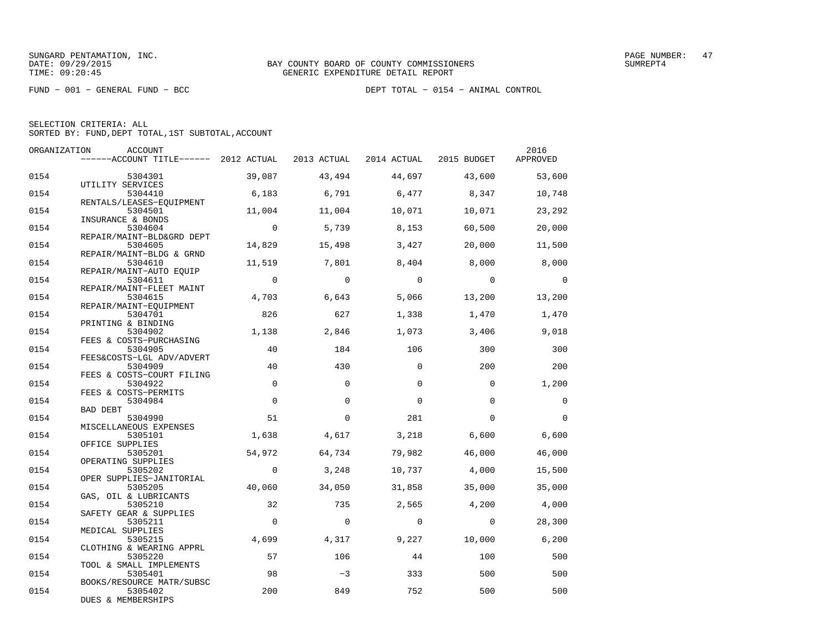FUND − 001 − GENERAL FUND − BCC DEPT TOTAL − 0154 − ANIMAL CONTROL

|  | SELECTION CRITERIA: ALL                            |  |  |
|--|----------------------------------------------------|--|--|
|  | SORTED BY: FUND, DEPT TOTAL, 1ST SUBTOTAL, ACCOUNT |  |  |

| ORGANIZATION | ACCOUNT                               |                |             |             |                | 2016     |
|--------------|---------------------------------------|----------------|-------------|-------------|----------------|----------|
|              | ------ACCOUNT TITLE------ 2012 ACTUAL |                | 2013 ACTUAL | 2014 ACTUAL | 2015 BUDGET    | APPROVED |
| 0154         | 5304301                               | 39,087         | 43,494      | 44,697      | 43,600         | 53,600   |
|              | UTILITY SERVICES                      |                |             |             |                |          |
| 0154         | 5304410                               | 6,183          | 6,791       | 6,477       | 8,347          | 10,748   |
|              | RENTALS/LEASES-EQUIPMENT              |                |             |             |                |          |
| 0154         | 5304501<br>INSURANCE & BONDS          | 11,004         | 11,004      | 10,071      | 10,071         | 23,292   |
| 0154         | 5304604                               | $\overline{0}$ | 5,739       | 8,153       | 60,500         | 20,000   |
|              | REPAIR/MAINT-BLD&GRD DEPT             |                |             |             |                |          |
| 0154         | 5304605                               | 14,829         | 15,498      | 3,427       | 20,000         | 11,500   |
|              | REPAIR/MAINT-BLDG & GRND              |                |             |             |                |          |
| 0154         | 5304610<br>REPAIR/MAINT-AUTO EQUIP    | 11,519         | 7,801       | 8,404       | 8.000          | 8,000    |
| 0154         | 5304611                               | $\overline{0}$ | $\Omega$    | $\Omega$    | $\overline{0}$ | $\Omega$ |
|              | REPAIR/MAINT-FLEET MAINT              |                |             |             |                |          |
| 0154         | 5304615                               | 4,703          | 6,643       | 5,066       | 13,200         | 13,200   |
|              | REPAIR/MAINT-EOUIPMENT                |                |             |             |                |          |
| 0154         | 5304701                               | 826            | 627         | 1,338       | 1,470          | 1,470    |
|              | PRINTING & BINDING                    |                |             |             |                |          |
| 0154         | 5304902                               | 1,138          | 2,846       | 1,073       | 3,406          | 9,018    |
|              | FEES & COSTS-PURCHASING               |                |             |             |                |          |
| 0154         | 5304905                               | 40             | 184         | 106         | 300            | 300      |
| 0154         | FEES&COSTS-LGL ADV/ADVERT<br>5304909  | 40             | 430         | $\Omega$    | 200            | 200      |
|              | FEES & COSTS-COURT FILING             |                |             |             |                |          |
| 0154         | 5304922                               | $\Omega$       | $\Omega$    | $\Omega$    | $\Omega$       | 1,200    |
|              | FEES & COSTS-PERMITS                  |                |             |             |                |          |
| 0154         | 5304984                               | $\Omega$       | $\Omega$    | $\Omega$    | $\Omega$       | $\Omega$ |
|              | <b>BAD DEBT</b>                       |                |             |             |                |          |
| 0154         | 5304990                               | 51             | $\Omega$    | 281         | $\Omega$       | $\Omega$ |
|              | MISCELLANEOUS EXPENSES                |                |             |             |                |          |
| 0154         | 5305101                               | 1,638          | 4,617       | 3,218       | 6,600          | 6,600    |
|              | OFFICE SUPPLIES                       |                |             |             |                |          |
| 0154         | 5305201                               | 54,972         | 64,734      | 79,982      | 46,000         | 46,000   |
| 0154         | OPERATING SUPPLIES<br>5305202         | $\Omega$       | 3,248       | 10,737      | 4,000          | 15,500   |
|              | OPER SUPPLIES-JANITORIAL              |                |             |             |                |          |
| 0154         | 5305205                               | 40,060         | 34,050      | 31,858      | 35,000         | 35,000   |
|              | GAS, OIL & LUBRICANTS                 |                |             |             |                |          |
| 0154         | 5305210                               | 32             | 735         | 2,565       | 4,200          | 4,000    |
|              | SAFETY GEAR & SUPPLIES                |                |             |             |                |          |
| 0154         | 5305211                               | $\Omega$       | $\Omega$    | $\Omega$    | $\Omega$       | 28,300   |
|              | MEDICAL SUPPLIES                      |                |             |             |                |          |
| 0154         | 5305215                               | 4,699          | 4,317       | 9,227       | 10,000         | 6,200    |
|              | CLOTHING & WEARING APPRL<br>5305220   | 57             | 106         | 44          | 100            | 500      |
| 0154         | TOOL & SMALL IMPLEMENTS               |                |             |             |                |          |
| 0154         | 5305401                               | 98             | $-3$        | 333         | 500            | 500      |
|              | BOOKS/RESOURCE MATR/SUBSC             |                |             |             |                |          |
| 0154         | 5305402                               | 200            | 849         | 752         | 500            | 500      |
|              | DUES & MEMBERSHIPS                    |                |             |             |                |          |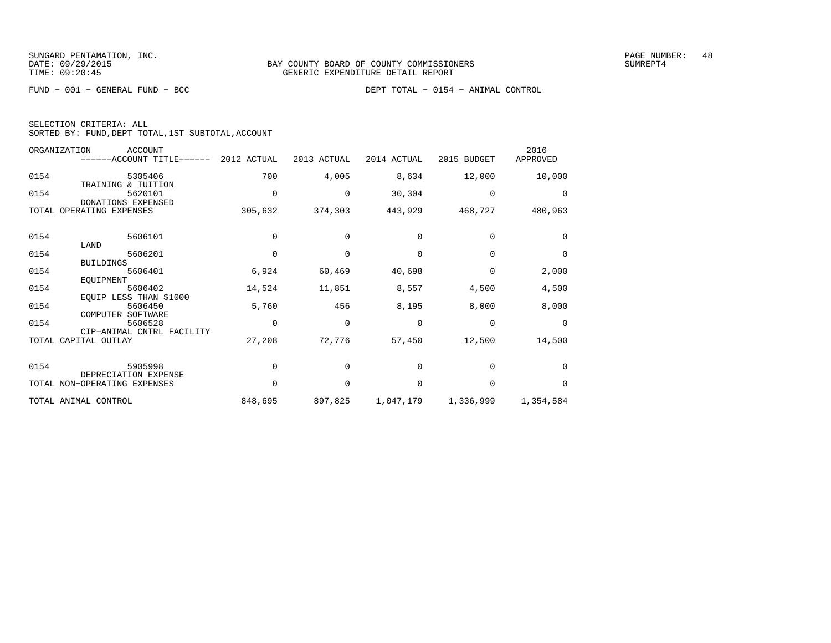FUND − 001 − GENERAL FUND − BCC DEPT TOTAL − 0154 − ANIMAL CONTROL

| SELECTION CRITERIA: ALL |  |  |                                                    |  |
|-------------------------|--|--|----------------------------------------------------|--|
|                         |  |  | SORTED BY: FUND, DEPT TOTAL, 1ST SUBTOTAL, ACCOUNT |  |

| ORGANIZATION | <b>ACCOUNT</b><br>------ACCOUNT TITLE------            | 2012 ACTUAL | 2013 ACTUAL | 2014 ACTUAL | 2015 BUDGET | 2016<br>APPROVED |
|--------------|--------------------------------------------------------|-------------|-------------|-------------|-------------|------------------|
| 0154         | 5305406                                                | 700         | 4,005       | 8,634       | 12,000      | 10,000           |
| 0154         | TRAINING<br>& TUITION<br>5620101<br>DONATIONS EXPENSED | 0           | 0           | 30,304      | 0           | $\Omega$         |
| TOTAL        | OPERATING EXPENSES                                     | 305,632     | 374,303     | 443,929     | 468,727     | 480,963          |
| 0154         | 5606101                                                | $\Omega$    | $\Omega$    | $\Omega$    | $\Omega$    | $\Omega$         |
| 0154         | LAND<br>5606201                                        | $\Omega$    | $\Omega$    | $\Omega$    | $\Omega$    | 0                |
| 0154         | <b>BUILDINGS</b><br>5606401                            | 6,924       | 60,469      | 40,698      | 0           | 2,000            |
| 0154         | EQUIPMENT<br>5606402                                   | 14,524      | 11,851      | 8,557       | 4,500       | 4,500            |
| 0154         | EQUIP LESS THAN \$1000<br>5606450<br>COMPUTER SOFTWARE | 5,760       | 456         | 8,195       | 8,000       | 8,000            |
| 0154         | 5606528<br>CIP-ANIMAL CNTRL FACILITY                   | $\Omega$    | $\Omega$    | $\Omega$    | $\Omega$    | $\Omega$         |
| TOTAL        | CAPITAL OUTLAY                                         | 27,208      | 72,776      | 57,450      | 12,500      | 14,500           |
| 0154         | 5905998                                                | $\Omega$    | $\Omega$    | $\Omega$    | $\Omega$    | 0                |
|              | DEPRECIATION EXPENSE<br>TOTAL NON-OPERATING EXPENSES   | 0           | $\Omega$    | $\Omega$    | $\Omega$    | $\Omega$         |
|              | TOTAL ANIMAL CONTROL                                   | 848,695     | 897,825     | 1,047,179   | 1,336,999   | 1,354,584        |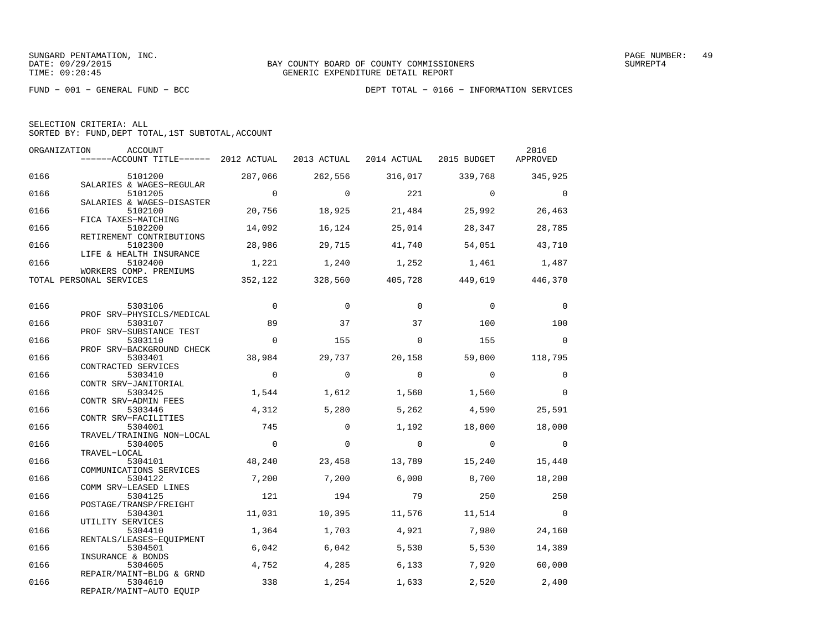| SELECTION CRITERIA: ALL |  |  |                                                    |  |
|-------------------------|--|--|----------------------------------------------------|--|
|                         |  |  | SORTED BY: FUND, DEPT TOTAL, 1ST SUBTOTAL, ACCOUNT |  |

| ORGANIZATION | ACCOUNT<br>$---$ ACCOUNT TITLE------ 2012 ACTUAL 2013 ACTUAL 2014 ACTUAL 2015 BUDGET |                 |                 |                 |                         | 2016<br>APPROVED         |
|--------------|--------------------------------------------------------------------------------------|-----------------|-----------------|-----------------|-------------------------|--------------------------|
| 0166         | 5101200                                                                              | 287,066         | 262,556         |                 | 316,017 339,768         | 345,925                  |
| 0166         | SALARIES & WAGES-REGULAR<br>5101205<br>SALARIES & WAGES-DISASTER                     | $\overline{0}$  | $\Omega$        | 221             | $\overline{0}$          | $\overline{0}$           |
| 0166         | 5102100<br>FICA TAXES-MATCHING                                                       | 20,756          | 18,925          | 21,484          | 25,992                  | 26,463                   |
| 0166         | 5102200<br>RETIREMENT CONTRIBUTIONS                                                  | 14,092          | 16,124          | 25,014          | 28,347                  | 28,785                   |
| 0166         | 5102300<br>LIFE & HEALTH INSURANCE                                                   | 28,986          | 29,715          | 41,740          | 54,051                  | 43,710                   |
| 0166         | 5102400<br>WORKERS COMP. PREMIUMS                                                    | 1,221           | 1,240           |                 | 1,252 1,461             | 1,487                    |
|              | TOTAL PERSONAL SERVICES                                                              |                 | 352,122 328,560 |                 | 405,728 449,619 446,370 |                          |
| 0166         | 5303106                                                                              | $\overline{0}$  | $\Omega$        | $\Omega$        | $\Omega$                | $\Omega$                 |
| 0166         | PROF SRV-PHYSICLS/MEDICAL<br>5303107                                                 | 89              | 37              | 37              | 100                     | 100                      |
| 0166         | PROF SRV-SUBSTANCE TEST<br>5303110<br>PROF SRV-BACKGROUND CHECK                      | $\Omega$        | 155             | $\mathbf 0$     | 155                     | $\overline{0}$           |
| 0166         | 5303401<br>CONTRACTED SERVICES                                                       | 38,984          | 29,737          | 20,158          | 59,000                  | 118,795                  |
| 0166         | 5303410<br>CONTR SRV-JANITORIAL                                                      | $\overline{0}$  | $\overline{0}$  | $\Omega$        | $\overline{0}$          | $\Omega$                 |
| 0166         | 5303425<br>CONTR SRV-ADMIN FEES                                                      | 1,544           | 1,612           | 1,560           | 1,560                   | $\Omega$                 |
| 0166         | 5303446<br>CONTR SRV-FACILITIES                                                      | 4,312           | 5,280           | 5,262           | 4,590                   | 25,591                   |
| 0166         | 5304001<br>TRAVEL/TRAINING NON-LOCAL                                                 | 745             | $\Omega$        | 1,192           | 18,000                  | 18,000                   |
| 0166         | 5304005<br>TRAVEL-LOCAL                                                              | $\overline{0}$  | $\Omega$        | $\overline{0}$  | $\overline{0}$          | $\overline{0}$           |
| 0166         | 5304101<br>COMMUNICATIONS SERVICES                                                   | 48,240          | 23,458          | 13,789          | 15,240                  | 15,440                   |
| 0166         | 5304122<br>COMM SRV-LEASED LINES                                                     | 7,200           | 7,200           | 6,000           | 8,700                   | 18,200                   |
| 0166         | 5304125<br>POSTAGE/TRANSP/FREIGHT                                                    | 121             | 194             | 79              | 250                     | 250                      |
| 0166<br>0166 | 5304301<br>UTILITY SERVICES                                                          | 11,031<br>1,364 | 10,395          | 11,576<br>4,921 | 11,514                  | $\overline{\phantom{0}}$ |
| 0166         | 5304410<br>RENTALS/LEASES-EOUIPMENT<br>5304501                                       | 6,042           | 1,703<br>6,042  | 5,530           | 7,980<br>5,530          | 24,160<br>14,389         |
| 0166         | INSURANCE & BONDS<br>5304605                                                         | 4,752           | 4,285           | 6,133           | 7,920                   | 60,000                   |
| 0166         | REPAIR/MAINT-BLDG & GRND<br>5304610                                                  | 338             | 1,254           | 1,633           | 2,520                   | 2,400                    |
|              | REPAIR/MAINT-AUTO EQUIP                                                              |                 |                 |                 |                         |                          |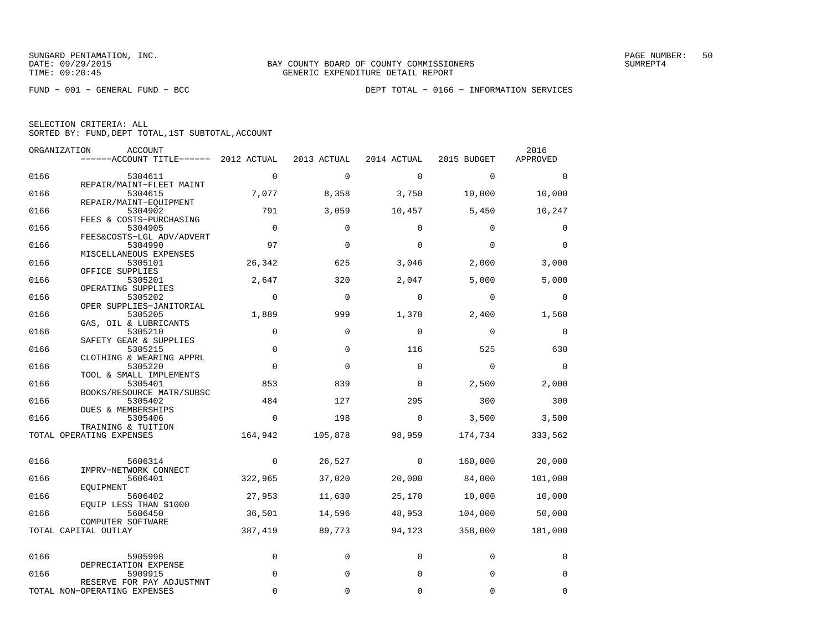|  | SELECTION CRITERIA: ALL |                                                    |  |
|--|-------------------------|----------------------------------------------------|--|
|  |                         | SORTED BY: FUND, DEPT TOTAL, 1ST SUBTOTAL, ACCOUNT |  |

|      | ORGANIZATION<br>ACCOUNT                        |             |             |             |             | 2016        |
|------|------------------------------------------------|-------------|-------------|-------------|-------------|-------------|
|      | $----ACCOUNT$ TITLE $--- 2012$ ACTUAL          |             | 2013 ACTUAL | 2014 ACTUAL | 2015 BUDGET | APPROVED    |
| 0166 | 5304611                                        | $\mathbf 0$ | $\mathbf 0$ | $\Omega$    | $\mathbf 0$ | $\Omega$    |
| 0166 | REPAIR/MAINT-FLEET MAINT<br>5304615            | 7,077       | 8,358       | 3,750       | 10,000      | 10,000      |
| 0166 | REPAIR/MAINT-EOUIPMENT<br>5304902              | 791         | 3,059       | 10,457      | 5,450       | 10,247      |
| 0166 | FEES & COSTS-PURCHASING<br>5304905             | $\Omega$    | $\Omega$    | $\Omega$    | $\Omega$    | 0           |
|      | FEES&COSTS-LGL ADV/ADVERT                      |             |             |             |             |             |
| 0166 | 5304990<br>MISCELLANEOUS EXPENSES              | 97          | $\Omega$    | $\Omega$    | $\Omega$    | $\Omega$    |
| 0166 | 5305101<br>OFFICE SUPPLIES                     | 26,342      | 625         | 3,046       | 2,000       | 3,000       |
| 0166 | 5305201                                        | 2,647       | 320         | 2,047       | 5,000       | 5,000       |
| 0166 | OPERATING SUPPLIES<br>5305202                  | $\Omega$    | $\Omega$    | $\Omega$    | $\mathbf 0$ | 0           |
| 0166 | OPER SUPPLIES-JANITORIAL<br>5305205            | 1,889       | 999         | 1,378       | 2,400       | 1,560       |
| 0166 | GAS, OIL & LUBRICANTS<br>5305210               | $\mathbf 0$ | $\Omega$    | $\mathbf 0$ | $\mathbf 0$ | $\mathbf 0$ |
| 0166 | SAFETY GEAR & SUPPLIES<br>5305215              | $\mathbf 0$ | 0           | 116         | 525         | 630         |
| 0166 | CLOTHING & WEARING APPRL<br>5305220            | $\mathbf 0$ | $\Omega$    | $\mathbf 0$ | $\mathbf 0$ | $\mathbf 0$ |
| 0166 | TOOL & SMALL IMPLEMENTS<br>5305401             | 853         | 839         | $\mathbf 0$ | 2,500       | 2,000       |
| 0166 | BOOKS/RESOURCE MATR/SUBSC<br>5305402           | 484         | 127         | 295         | 300         | 300         |
| 0166 | <b>DUES &amp; MEMBERSHIPS</b><br>5305406       | $\mathbf 0$ | 198         | $\Omega$    | 3,500       | 3,500       |
|      | TRAINING & TUITION<br>TOTAL OPERATING EXPENSES | 164,942     | 105,878     | 98,959      | 174,734     | 333,562     |
|      |                                                |             |             |             |             |             |
| 0166 | 5606314<br>IMPRV-NETWORK CONNECT               | $\mathbf 0$ | 26,527      | 0           | 160,000     | 20,000      |
| 0166 | 5606401                                        | 322,965     | 37,020      | 20,000      | 84,000      | 101,000     |
| 0166 | EOUIPMENT<br>5606402                           | 27,953      | 11,630      | 25,170      | 10,000      | 10,000      |
| 0166 | EQUIP LESS THAN \$1000<br>5606450              | 36,501      | 14,596      | 48,953      | 104,000     | 50,000      |
|      | COMPUTER SOFTWARE<br>TOTAL CAPITAL OUTLAY      | 387,419     | 89,773      | 94,123      | 358,000     | 181,000     |
| 0166 | 5905998                                        | $\mathbf 0$ | 0           | 0           | $\mathbf 0$ | 0           |
| 0166 | DEPRECIATION EXPENSE<br>5909915                | $\mathbf 0$ | $\mathbf 0$ | 0           | $\mathbf 0$ | 0           |
|      | RESERVE FOR PAY ADJUSTMNT                      |             |             |             |             |             |
|      | TOTAL NON-OPERATING EXPENSES                   | $\Omega$    | 0           | 0           | $\mathbf 0$ | 0           |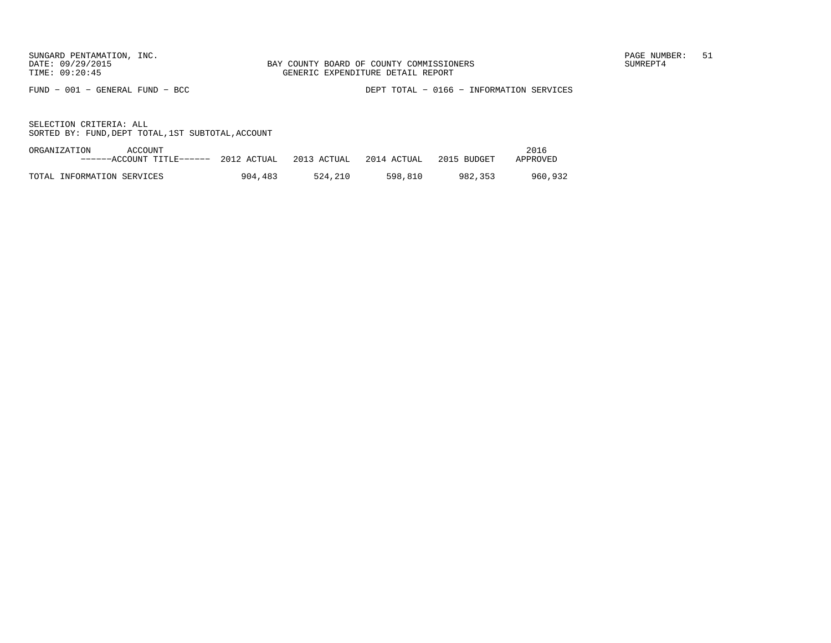FUND − 001 − GENERAL FUND − BCC DEPT TOTAL − 0166 − INFORMATION SERVICES

| ORGANIZATION | ACCOUNT                               |         |                                     |         |         | 2016     |
|--------------|---------------------------------------|---------|-------------------------------------|---------|---------|----------|
|              | ------ACCOUNT TITLE------ 2012 ACTUAL |         | 2013 ACTUAL 2014 ACTUAL 2015 BUDGET |         |         | APPROVED |
|              |                                       |         |                                     |         |         |          |
|              | TOTAL INFORMATION SERVICES            | 904,483 | 524.210                             | 598.810 | 982.353 | 960.932  |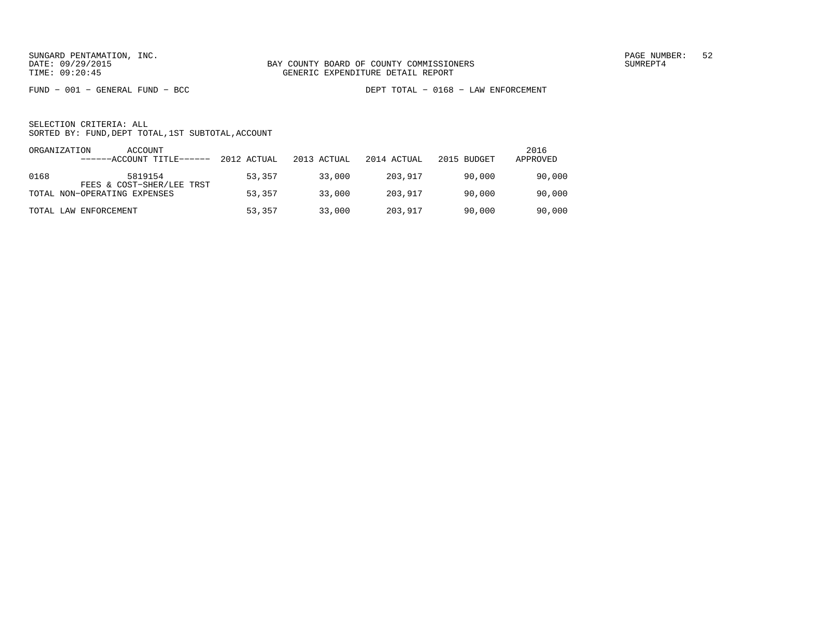FUND − 001 − GENERAL FUND − BCC DEPT TOTAL − 0168 − LAW ENFORCEMENT

| ORGANIZATION | ACCOUNT<br>------ACCOUNT TITLE------ | 2012 ACTUAL | 2013 ACTUAL | 2014 ACTUAL | 2015 BUDGET | 2016<br>APPROVED |
|--------------|--------------------------------------|-------------|-------------|-------------|-------------|------------------|
| 0168         | 5819154<br>FEES & COST-SHER/LEE TRST | 53,357      | 33,000      | 203,917     | 90,000      | 90,000           |
|              | TOTAL NON-OPERATING EXPENSES         | 53,357      | 33,000      | 203.917     | 90,000      | 90,000           |
|              | TOTAL LAW ENFORCEMENT                | 53,357      | 33,000      | 203,917     | 90,000      | 90,000           |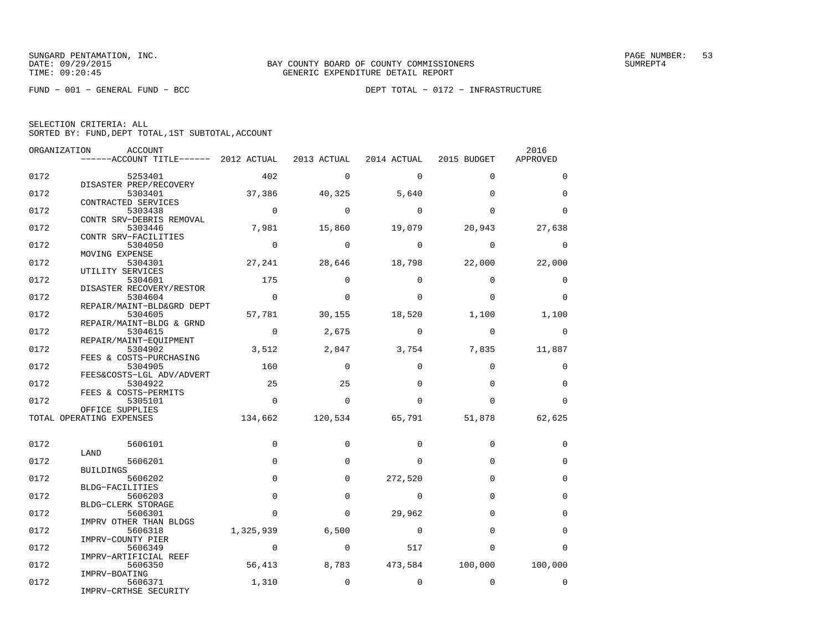FUND − 001 − GENERAL FUND − BCC DEPT TOTAL − 0172 − INFRASTRUCTURE

SELECTION CRITERIA: ALL

SORTED BY: FUND,DEPT TOTAL,1ST SUBTOTAL,ACCOUNT

| ORGANIZATION | ACCOUNT<br>------ACCOUNT TITLE------ 2012 ACTUAL 2013 ACTUAL 2014 ACTUAL 2015 BUDGET |                |             |                |             | 2016<br>APPROVED |
|--------------|--------------------------------------------------------------------------------------|----------------|-------------|----------------|-------------|------------------|
|              |                                                                                      |                |             |                |             |                  |
| 0172         | 5253401                                                                              | 402            | $\Omega$    | $\Omega$       | $\Omega$    | $\Omega$         |
| 0172         | DISASTER PREP/RECOVERY<br>5303401                                                    | 37,386         | 40,325      | 5,640          | $\Omega$    | $\Omega$         |
|              | CONTRACTED SERVICES                                                                  |                |             |                |             |                  |
| 0172         | 5303438                                                                              | $\overline{0}$ | $\bigcirc$  | $\mathbf 0$    | $\Omega$    | $\Omega$         |
|              | CONTR SRV-DEBRIS REMOVAL                                                             |                |             |                |             |                  |
| 0172         | 5303446<br>CONTR SRV-FACILITIES                                                      | 7,981          | 15,860      | 19,079         | 20,943      | 27,638           |
| 0172         | 5304050                                                                              | $\overline{0}$ | $\mathbf 0$ | $\mathbf 0$    | $\mathbf 0$ | $\mathbf 0$      |
|              | MOVING EXPENSE                                                                       |                |             |                |             |                  |
| 0172         | 5304301                                                                              | 27,241         | 28,646      | 18,798         | 22,000      | 22,000           |
| 0172         | UTILITY SERVICES<br>5304601                                                          | 175            | $\Omega$    | $\Omega$       | $\Omega$    | $\Omega$         |
|              | DISASTER RECOVERY/RESTOR                                                             |                |             |                |             |                  |
| 0172         | 5304604                                                                              | $\overline{0}$ | $\Omega$    | $\Omega$       | $\Omega$    | $\Omega$         |
|              | REPAIR/MAINT-BLD&GRD DEPT                                                            |                |             |                |             |                  |
| 0172         | 5304605                                                                              | 57,781         | 30,155      | 18,520         | 1,100       | 1,100            |
| 0172         | REPAIR/MAINT-BLDG & GRND<br>5304615                                                  | $\overline{0}$ | 2,675       | $\Omega$       | $\Omega$    | $\Omega$         |
|              | REPAIR/MAINT-EQUIPMENT                                                               |                |             |                |             |                  |
| 0172         | 5304902                                                                              | 3,512          | 2,847       | 3,754          | 7,835       | 11,887           |
|              | FEES & COSTS-PURCHASING                                                              |                |             |                |             |                  |
| 0172         | 5304905                                                                              | 160            | $\mathbf 0$ | $\Omega$       | $\Omega$    | $\mathbf 0$      |
| 0172         | FEES&COSTS-LGL ADV/ADVERT<br>5304922                                                 | 25             | 25          | $\Omega$       | $\Omega$    | $\mathbf 0$      |
|              | FEES & COSTS-PERMITS                                                                 |                |             |                |             |                  |
| 0172         | 5305101                                                                              | $\Omega$       | $\Omega$    | $\Omega$       | $\Omega$    | $\Omega$         |
|              | OFFICE SUPPLIES                                                                      |                |             |                |             |                  |
|              | TOTAL OPERATING EXPENSES                                                             | 134,662        | 120,534     | 65,791         | 51,878      | 62,625           |
| 0172         | 5606101                                                                              | $\Omega$       | $\Omega$    | $\Omega$       | $\Omega$    | $\mathbf 0$      |
|              | LAND                                                                                 |                |             |                |             |                  |
| 0172         | 5606201                                                                              | $\mathbf 0$    | $\Omega$    | $\Omega$       | $\Omega$    | $\mathbf 0$      |
| 0172         | BUILDINGS                                                                            | 0              | $\Omega$    |                | $\Omega$    | $\mathbf 0$      |
|              | 5606202<br>BLDG-FACILITIES                                                           |                |             | 272,520        |             |                  |
| 0172         | 5606203                                                                              | 0              | $\mathbf 0$ | $\mathbf 0$    | $\Omega$    | $\mathbf 0$      |
|              | BLDG-CLERK STORAGE                                                                   |                |             |                |             |                  |
| 0172         | 5606301                                                                              | $\Omega$       | $\Omega$    | 29,962         | $\Omega$    | $\Omega$         |
|              | IMPRV OTHER THAN BLDGS                                                               |                |             | $\overline{0}$ | $\Omega$    | $\Omega$         |
| 0172         | 5606318<br>IMPRV-COUNTY PIER                                                         | 1,325,939      | 6,500       |                |             |                  |
| 0172         | 5606349                                                                              | $\Omega$       | $\Omega$    | 517            | $\Omega$    | $\Omega$         |
|              | IMPRV-ARTIFICIAL REEF                                                                |                |             |                |             |                  |
| 0172         | 5606350                                                                              | 56,413         | 8,783       | 473,584        | 100,000     | 100,000          |
| 0172         | IMPRV-BOATING<br>5606371                                                             | 1,310          | $\mathbf 0$ | $\mathbf 0$    | $\Omega$    | $\mathbf 0$      |
|              | IMPRV-CRTHSE SECURITY                                                                |                |             |                |             |                  |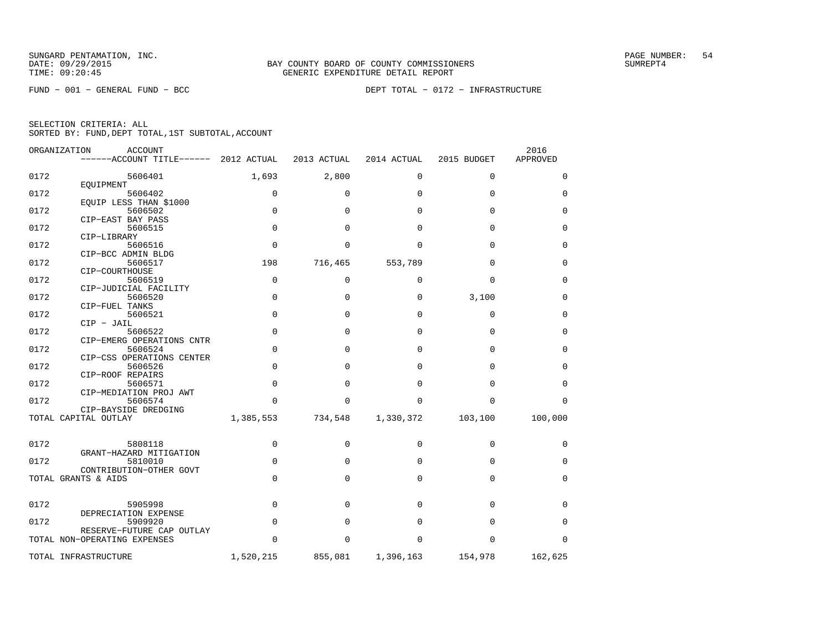FUND − 001 − GENERAL FUND − BCC DEPT TOTAL − 0172 − INFRASTRUCTURE

| SELECTION CRITERIA: ALL |  |  |                                                    |  |
|-------------------------|--|--|----------------------------------------------------|--|
|                         |  |  | SORTED BY: FUND, DEPT TOTAL, 1ST SUBTOTAL, ACCOUNT |  |

|      | ORGANIZATION<br><b>ACCOUNT</b>        |             |             |             |             | 2016            |
|------|---------------------------------------|-------------|-------------|-------------|-------------|-----------------|
|      | ------ACCOUNT TITLE------ 2012 ACTUAL |             | 2013 ACTUAL | 2014 ACTUAL | 2015 BUDGET | <b>APPROVED</b> |
| 0172 | 5606401                               | 1,693       | 2,800       | 0           | $\mathbf 0$ | 0               |
|      | EQUIPMENT                             |             |             |             |             |                 |
| 0172 | 5606402                               | $\mathbf 0$ | 0           | $\Omega$    | $\Omega$    | 0               |
|      | EOUIP LESS THAN \$1000                |             |             |             |             |                 |
| 0172 | 5606502                               | $\mathbf 0$ | $\Omega$    | $\Omega$    | $\mathbf 0$ | 0               |
| 0172 | CIP-EAST BAY PASS<br>5606515          | $\Omega$    | $\Omega$    | $\Omega$    | $\Omega$    | $\Omega$        |
|      | CIP-LIBRARY                           |             |             |             |             |                 |
| 0172 | 5606516                               | $\Omega$    | $\Omega$    | $\Omega$    | $\Omega$    | 0               |
|      | CIP-BCC ADMIN BLDG                    |             |             |             |             |                 |
| 0172 | 5606517                               | 198         | 716,465     | 553,789     | $\Omega$    | 0               |
|      | CIP-COURTHOUSE                        |             |             |             |             |                 |
| 0172 | 5606519                               | 0           | 0           | 0           | 0           | 0               |
|      | CIP-JUDICIAL FACILITY                 |             |             |             |             |                 |
| 0172 | 5606520                               | $\Omega$    | $\Omega$    | $\Omega$    | 3,100       | $\Omega$        |
| 0172 | CIP-FUEL TANKS<br>5606521             | $\mathbf 0$ | $\Omega$    | $\Omega$    | $\mathbf 0$ | $\Omega$        |
|      | $CIP - JAIL$                          |             |             |             |             |                 |
| 0172 | 5606522                               | $\mathbf 0$ | $\Omega$    | $\Omega$    | $\Omega$    | $\mathbf 0$     |
|      | CIP-EMERG OPERATIONS CNTR             |             |             |             |             |                 |
| 0172 | 5606524                               | 0           | $\Omega$    | $\Omega$    | $\Omega$    | 0               |
|      | CIP-CSS OPERATIONS CENTER             |             |             |             |             |                 |
| 0172 | 5606526                               | 0           | $\Omega$    | $\Omega$    | $\Omega$    | 0               |
|      | CIP-ROOF REPAIRS                      |             |             |             |             |                 |
| 0172 | 5606571                               | $\Omega$    | $\Omega$    | $\Omega$    | $\Omega$    | $\mathbf 0$     |
| 0172 | CIP-MEDIATION PROJ AWT<br>5606574     | $\Omega$    | $\Omega$    | $\Omega$    | $\Omega$    | $\Omega$        |
|      | CIP-BAYSIDE DREDGING                  |             |             |             |             |                 |
|      | TOTAL CAPITAL OUTLAY                  | 1,385,553   | 734,548     | 1,330,372   | 103,100     | 100,000         |
|      |                                       |             |             |             |             |                 |
| 0172 | 5808118                               | $\Omega$    | $\Omega$    | $\Omega$    | $\Omega$    | 0               |
|      | GRANT-HAZARD MITIGATION               |             |             |             |             |                 |
| 0172 | 5810010                               | $\mathbf 0$ | $\Omega$    | $\Omega$    | $\Omega$    | 0               |
|      | CONTRIBUTION-OTHER GOVT               |             |             |             |             |                 |
|      | TOTAL GRANTS & AIDS                   | $\mathbf 0$ | $\Omega$    | $\Omega$    | $\Omega$    | 0               |
| 0172 | 5905998                               | 0           | $\Omega$    | $\Omega$    | 0           | 0               |
|      | DEPRECIATION EXPENSE                  |             |             |             |             |                 |
| 0172 | 5909920                               | $\Omega$    | $\Omega$    | $\Omega$    | $\Omega$    | 0               |
|      | RESERVE-FUTURE CAP OUTLAY             |             |             |             |             |                 |
|      | TOTAL NON-OPERATING EXPENSES          | $\Omega$    | $\Omega$    | $\Omega$    | $\Omega$    | $\Omega$        |
|      | TOTAL INFRASTRUCTURE                  | 1,520,215   | 855,081     | 1,396,163   | 154,978     | 162,625         |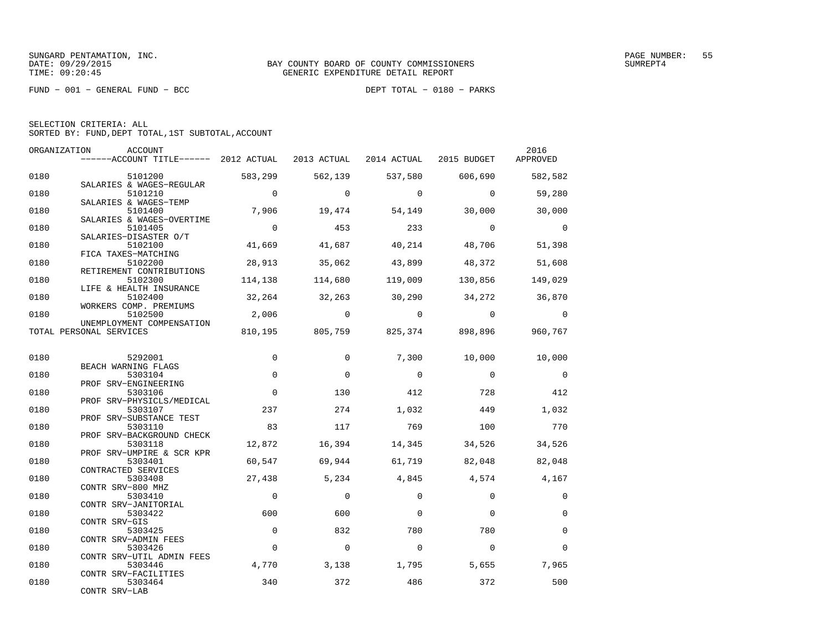FUND − 001 − GENERAL FUND − BCC DEPT TOTAL − 0180 − PARKS

| ORGANIZATION | <b>ACCOUNT</b><br>------ACCOUNT TITLE------ 2012 ACTUAL |                | 2013 ACTUAL  | 2014 ACTUAL | 2015 BUDGET                     | 2016<br>APPROVED |
|--------------|---------------------------------------------------------|----------------|--------------|-------------|---------------------------------|------------------|
| 0180         | 5101200                                                 | 583,299        | 562,139      | 537,580     | 606,690                         | 582,582          |
| 0180         | SALARIES & WAGES-REGULAR<br>5101210                     | $\overline{0}$ | $\Omega$     | $\Omega$    | $\Omega$                        | 59,280           |
| 0180         | SALARIES & WAGES-TEMP<br>5101400                        | 7,906          | 19,474       | 54,149      | 30,000                          | 30,000           |
|              | SALARIES & WAGES-OVERTIME                               |                |              |             |                                 |                  |
| 0180         | 5101405<br>SALARIES-DISASTER O/T                        | $\overline{0}$ | 453          | 233         | $\overline{0}$                  | $\Omega$         |
| 0180         | 5102100<br>FICA TAXES-MATCHING                          | 41,669         | 41,687       | 40,214      | 48,706                          | 51,398           |
| 0180         | 5102200                                                 | 28,913         | 35,062       | 43,899      | 48,372                          | 51,608           |
| 0180         | RETIREMENT CONTRIBUTIONS<br>5102300                     | 114,138        | 114,680      | 119,009     | 130,856                         | 149,029          |
| 0180         | LIFE & HEALTH INSURANCE<br>5102400                      | 32,264         | 32,263       | 30,290      | 34,272                          | 36,870           |
|              | WORKERS COMP. PREMIUMS                                  |                |              |             |                                 |                  |
| 0180         | 5102500<br>UNEMPLOYMENT COMPENSATION                    | 2,006          | $\mathbf{0}$ | $\bigcirc$  | $\overline{0}$                  | $\Omega$         |
|              | TOTAL PERSONAL SERVICES                                 |                |              |             | 810,195 805,759 825,374 898,896 | 960,767          |
| 0180         | 5292001                                                 | $\mathbf 0$    | $\Omega$     | 7,300       | 10,000                          | 10,000           |
|              | BEACH WARNING FLAGS                                     |                |              |             |                                 |                  |
| 0180         | 5303104<br>PROF SRV-ENGINEERING                         | $\Omega$       | $\Omega$     | $\Omega$    | $\Omega$                        | $\overline{0}$   |
| 0180         | 5303106<br>PROF SRV-PHYSICLS/MEDICAL                    | $\Omega$       | 130          | 412         | 728                             | 412              |
| 0180         | 5303107                                                 | 237            | 274          | 1,032       | 449                             | 1,032            |
| 0180         | PROF SRV-SUBSTANCE TEST<br>5303110                      | 83             | 117          | 769         | 100                             | 770              |
| 0180         | PROF SRV-BACKGROUND CHECK<br>5303118                    | 12,872         | 16,394       | 14,345      | 34,526                          | 34,526           |
| 0180         | PROF SRV-UMPIRE & SCR KPR<br>5303401                    | 60,547         | 69,944       | 61,719      | 82,048                          | 82,048           |
|              | CONTRACTED SERVICES                                     |                |              |             |                                 |                  |
| 0180         | 5303408<br>CONTR SRV-800 MHZ                            | 27,438         | 5,234        | 4,845       | 4,574                           | 4,167            |
| 0180         | 5303410<br>CONTR SRV-JANITORIAL                         | $\mathbf 0$    | $\Omega$     | $\Omega$    | $\Omega$                        | $\mathbf 0$      |
| 0180         | 5303422                                                 | 600            | 600          | $\Omega$    | $\Omega$                        | $\Omega$         |
| 0180         | CONTR SRV-GIS<br>5303425                                | $\Omega$       | 832          | 780         | 780                             | $\Omega$         |
| 0180         | CONTR SRV-ADMIN FEES<br>5303426                         | $\mathbf 0$    | $\mathbf 0$  | $\Omega$    | $\Omega$                        | $\mathbf 0$      |
|              | CONTR SRV-UTIL ADMIN FEES                               |                |              |             |                                 |                  |
| 0180         | 5303446<br>CONTR SRV-FACILITIES                         | 4,770          | 3,138        | 1,795       | 5,655                           | 7,965            |
| 0180         | 5303464<br>CONTR SRV-LAB                                | 340            | 372          | 486         | 372                             | 500              |
|              |                                                         |                |              |             |                                 |                  |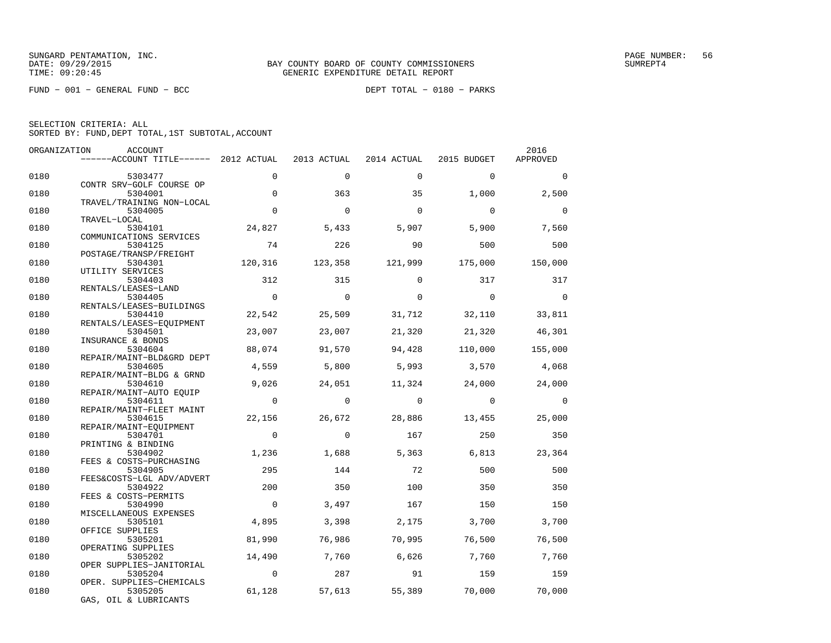FUND − 001 − GENERAL FUND − BCC DEPT TOTAL − 0180 − PARKS

| ORGANIZATION | ACCOUNT                               |                |             |             |             | 2016     |
|--------------|---------------------------------------|----------------|-------------|-------------|-------------|----------|
|              | ------ACCOUNT TITLE------ 2012 ACTUAL |                | 2013 ACTUAL | 2014 ACTUAL | 2015 BUDGET | APPROVED |
| 0180         | 5303477                               | $\Omega$       | $\Omega$    | $\Omega$    | $\Omega$    | $\Omega$ |
| 0180         | CONTR SRV-GOLF COURSE OP<br>5304001   | $\mathbf 0$    | 363         | 35          | 1,000       | 2,500    |
|              | TRAVEL/TRAINING NON-LOCAL             |                |             |             |             |          |
| 0180         | 5304005<br>TRAVEL-LOCAL               | $\Omega$       | $\Omega$    | $\Omega$    | $\Omega$    | $\Omega$ |
| 0180         | 5304101                               | 24,827         | 5,433       | 5,907       | 5,900       | 7,560    |
| 0180         | COMMUNICATIONS SERVICES<br>5304125    | 74             | 226         | 90          | 500         | 500      |
|              | POSTAGE/TRANSP/FREIGHT                |                |             |             |             |          |
| 0180         | 5304301                               | 120,316        | 123,358     | 121,999     | 175,000     | 150,000  |
| 0180         | UTILITY SERVICES<br>5304403           | 312            | 315         | $\Omega$    | 317         | 317      |
| 0180         | RENTALS/LEASES-LAND<br>5304405        | $\overline{0}$ | $\Omega$    | $\Omega$    | $\Omega$    | $\Omega$ |
|              | RENTALS/LEASES-BUILDINGS              |                |             |             |             |          |
| 0180         | 5304410<br>RENTALS/LEASES-EQUIPMENT   | 22,542         | 25,509      | 31,712      | 32,110      | 33,811   |
| 0180         | 5304501                               | 23,007         | 23,007      | 21,320      | 21,320      | 46,301   |
| 0180         | INSURANCE & BONDS<br>5304604          | 88,074         | 91,570      | 94,428      | 110,000     | 155,000  |
|              | REPAIR/MAINT-BLD&GRD DEPT             |                |             |             |             |          |
| 0180         | 5304605<br>REPAIR/MAINT-BLDG & GRND   | 4,559          | 5,800       | 5,993       | 3,570       | 4,068    |
| 0180         | 5304610                               | 9,026          | 24,051      | 11,324      | 24,000      | 24,000   |
| 0180         | REPAIR/MAINT-AUTO EQUIP<br>5304611    | $\Omega$       | $\Omega$    | $\Omega$    | $\Omega$    | $\Omega$ |
|              | REPAIR/MAINT-FLEET MAINT              |                |             |             |             |          |
| 0180         | 5304615<br>REPAIR/MAINT-EOUIPMENT     | 22,156         | 26,672      | 28,886      | 13,455      | 25,000   |
| 0180         | 5304701                               | $\Omega$       | $\Omega$    | 167         | 250         | 350      |
| 0180         | PRINTING & BINDING<br>5304902         | 1,236          | 1,688       | 5,363       | 6,813       | 23,364   |
|              | FEES & COSTS-PURCHASING               |                |             |             |             |          |
| 0180         | 5304905<br>FEES&COSTS-LGL ADV/ADVERT  | 295            | 144         | 72          | 500         | 500      |
| 0180         | 5304922                               | 200            | 350         | 100         | 350         | 350      |
| 0180         | FEES & COSTS-PERMITS<br>5304990       | $\Omega$       | 3,497       | 167         | 150         | 150      |
| 0180         | MISCELLANEOUS EXPENSES<br>5305101     | 4,895          | 3,398       | 2,175       | 3,700       | 3,700    |
|              | OFFICE SUPPLIES                       |                |             |             |             |          |
| 0180         | 5305201<br>OPERATING SUPPLIES         | 81,990         | 76,986      | 70,995      | 76,500      | 76,500   |
| 0180         | 5305202                               | 14,490         | 7,760       | 6,626       | 7,760       | 7,760    |
| 0180         | OPER SUPPLIES-JANITORIAL<br>5305204   | $\overline{0}$ | 287         | 91          | 159         | 159      |
|              | OPER. SUPPLIES-CHEMICALS              |                |             |             |             |          |
| 0180         | 5305205<br>GAS, OIL & LUBRICANTS      | 61,128         |             |             |             |          |
|              |                                       |                | 57,613      | 55,389      | 70,000      | 70,000   |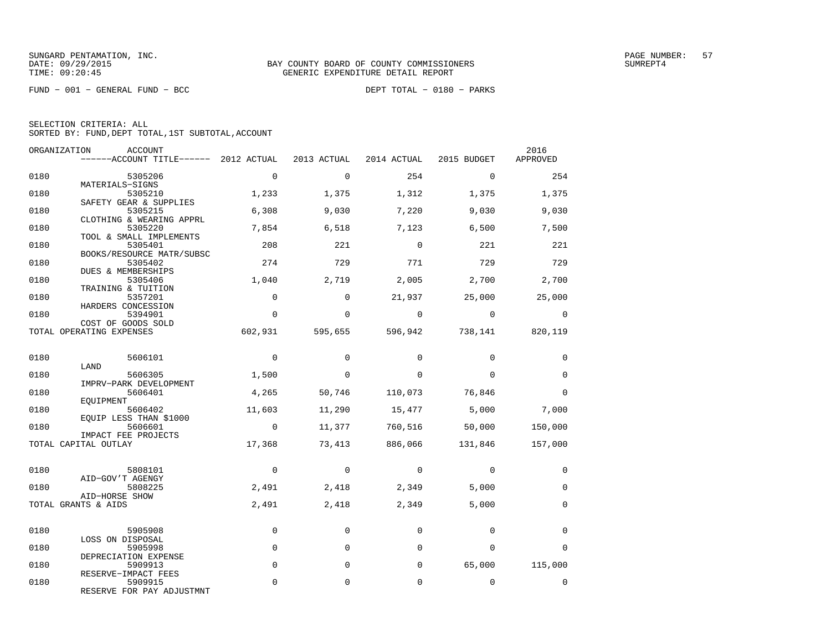FUND − 001 − GENERAL FUND − BCC DEPT TOTAL − 0180 − PARKS

| ORGANIZATION | ACCOUNT<br>------ACCOUNT TITLE------ 2012 ACTUAL            |                | 2013 ACTUAL | 2014 ACTUAL  | 2015 BUDGET | 2016<br>APPROVED |
|--------------|-------------------------------------------------------------|----------------|-------------|--------------|-------------|------------------|
| 0180         | 5305206                                                     | $\mathbf 0$    | $\Omega$    | 254          | $\Omega$    | 254              |
| 0180         | MATERIALS-SIGNS<br>5305210<br>SAFETY GEAR & SUPPLIES        | 1,233          | 1,375       | 1,312        | 1,375       | 1,375            |
| 0180         | 5305215<br>CLOTHING & WEARING APPRL                         | 6,308          | 9,030       | 7,220        | 9,030       | 9,030            |
| 0180         | 5305220<br>TOOL & SMALL IMPLEMENTS                          | 7,854          | 6,518       | 7,123        | 6,500       | 7,500            |
| 0180         | 5305401<br>BOOKS/RESOURCE MATR/SUBSC                        | 208            | 221         | $\Omega$     | 221         | 221              |
| 0180         | 5305402<br>DUES & MEMBERSHIPS                               | 274            | 729         | 771          | 729         | 729              |
| 0180         | 5305406<br>TRAINING & TUITION                               | 1,040          | 2,719       | 2,005        | 2,700       | 2,700            |
| 0180         | 5357201<br>HARDERS CONCESSION                               | $\Omega$       | $\Omega$    | 21,937       | 25,000      | 25,000           |
| 0180         | 5394901<br>COST OF GOODS SOLD                               | $\Omega$       | $\mathbf 0$ | $\mathbf{0}$ | $\mathbf 0$ | 0                |
|              | TOTAL OPERATING EXPENSES                                    | 602,931        | 595,655     | 596,942      | 738,141     | 820,119          |
| 0180         | 5606101<br>LAND                                             | $\overline{0}$ | $\Omega$    | $\Omega$     | $\Omega$    | 0                |
| 0180         | 5606305<br>IMPRV-PARK DEVELOPMENT                           | 1,500          | $\mathbf 0$ | $\Omega$     | $\Omega$    | $\mathbf 0$      |
| 0180         | 5606401<br>EOUIPMENT                                        | 4,265          | 50,746      | 110,073      | 76,846      | $\Omega$         |
| 0180         | 5606402<br>EQUIP LESS THAN \$1000                           | 11,603         | 11,290      | 15,477       | 5,000       | 7,000            |
| 0180         | 5606601<br>IMPACT FEE PROJECTS                              | $\overline{0}$ | 11,377      | 760,516      | 50,000      | 150,000          |
|              | TOTAL CAPITAL OUTLAY                                        | 17,368         | 73,413      | 886,066      | 131,846     | 157,000          |
| 0180         | 5808101<br>AID-GOV'T AGENGY                                 | $\mathbf 0$    | $\mathbf 0$ | $\mathbf 0$  | $\Omega$    | $\Omega$         |
| 0180         | 5808225<br>AID-HORSE SHOW                                   | 2,491          | 2,418       | 2,349        | 5,000       | $\Omega$         |
|              | TOTAL GRANTS & AIDS                                         | 2,491          | 2,418       | 2,349        | 5,000       | $\mathbf 0$      |
| 0180         | 5905908                                                     | $\mathbf{0}$   | $\mathbf 0$ | $\mathbf 0$  | $\mathbf 0$ | $\Omega$         |
| 0180         | LOSS ON DISPOSAL<br>5905998                                 | $\mathbf 0$    | $\mathbf 0$ | $\mathbf 0$  | $\Omega$    | $\Omega$         |
| 0180         | DEPRECIATION EXPENSE<br>5909913                             | $\mathbf 0$    | $\mathbf 0$ | $\mathbf 0$  | 65,000      | 115,000          |
| 0180         | RESERVE-IMPACT FEES<br>5909915<br>RESERVE FOR PAY ADJUSTMNT | 0              | 0           | $\mathbf 0$  | 0           | 0                |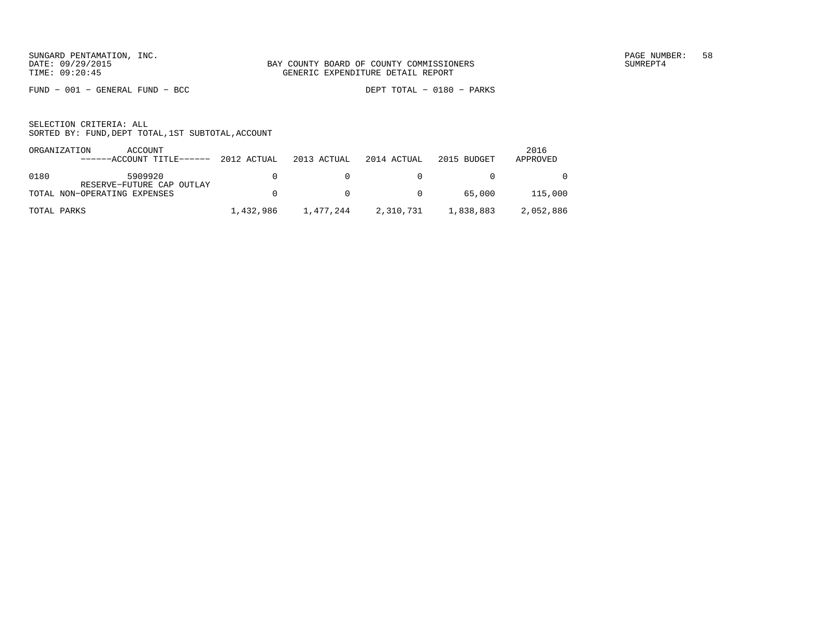FUND − 001 − GENERAL FUND − BCC DEPT TOTAL − 0180 − PARKS

|             | ORGANIZATION<br>ACCOUNT               |           |             |                |             | 2016      |
|-------------|---------------------------------------|-----------|-------------|----------------|-------------|-----------|
|             | ------ACCOUNT TITLE------ 2012 ACTUAL |           | 2013 ACTUAL | 2014 ACTUAL    | 2015 BUDGET | APPROVED  |
|             |                                       |           |             |                |             |           |
| 0180        | 5909920                               | n.        | n.          |                |             | $\Omega$  |
|             | RESERVE-FUTURE CAP OUTLAY             |           |             |                |             |           |
|             | TOTAL NON-OPERATING EXPENSES          | n.        | $\cap$      | $\overline{0}$ | 65,000      | 115,000   |
|             |                                       |           |             |                |             |           |
| TOTAL PARKS |                                       | 1,432,986 | 1,477,244   | 2,310,731      | 1,838,883   | 2,052,886 |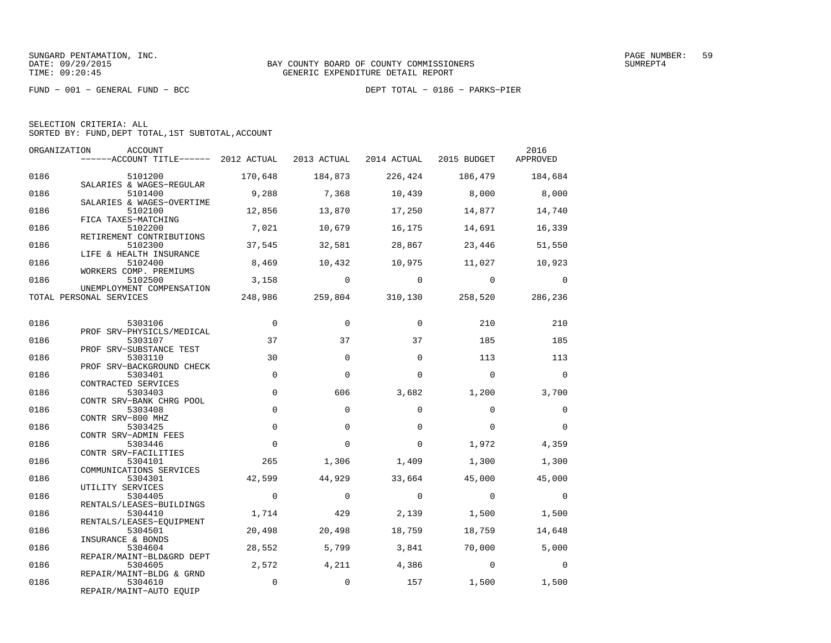FUND − 001 − GENERAL FUND − BCC DEPT TOTAL − 0186 − PARKS−PIER

| ORGANIZATION | ACCOUNT<br>$----ACCOUNT$ TITLE $---$ 2012 ACTUAL 2013 ACTUAL 2014 ACTUAL 2015 BUDGET |                 |                         |                 |                         | 2016<br>APPROVED |
|--------------|--------------------------------------------------------------------------------------|-----------------|-------------------------|-----------------|-------------------------|------------------|
| 0186         | 5101200                                                                              | 170,648         | 184,873                 |                 | 226,424 186,479 184,684 |                  |
| 0186         | SALARIES & WAGES-REGULAR<br>5101400<br>SALARIES & WAGES-OVERTIME                     | 9,288           | 7,368                   | 10,439          | 8,000                   | 8,000            |
| 0186         | 5102100<br>FICA TAXES-MATCHING                                                       | 12,856          | 13,870                  | 17,250          | 14,877                  | 14,740           |
| 0186         | 5102200<br>RETIREMENT CONTRIBUTIONS                                                  | 7,021           | 10,679                  | 16,175          | 14,691                  | 16,339           |
| 0186         | 5102300<br>LIFE & HEALTH INSURANCE                                                   | 37,545          | 32,581                  | 28,867          | 23,446                  | 51,550           |
| 0186         | 5102400<br>WORKERS COMP. PREMIUMS                                                    | 8,469           | 10,432                  | 10,975          | 11,027                  | 10,923           |
| 0186         | 5102500<br>UNEMPLOYMENT COMPENSATION                                                 | 3,158           | $\overline{0}$          | $\mathbf 0$     | $\overline{0}$          | $\overline{0}$   |
|              | TOTAL PERSONAL SERVICES                                                              |                 | 248,986 259,804 310,130 |                 | 258,520                 | 286,236          |
| 0186         | 5303106                                                                              | $\mathbf 0$     | $\Omega$                | $\Omega$        | 210                     | 210              |
| 0186         | PROF SRV-PHYSICLS/MEDICAL<br>5303107<br>PROF SRV-SUBSTANCE TEST                      | 37              | 37                      | 37              | 185                     | 185              |
| 0186         | 5303110<br>PROF SRV-BACKGROUND CHECK                                                 | 30              | $\Omega$                | $\Omega$        | 113                     | 113              |
| 0186         | 5303401<br>CONTRACTED SERVICES                                                       | $\mathbf 0$     | $\Omega$                | $\Omega$        | $\Omega$                | $\Omega$         |
| 0186         | 5303403<br>CONTR SRV-BANK CHRG POOL                                                  | $\mathbf 0$     | 606                     | 3,682           | 1,200                   | 3,700            |
| 0186         | 5303408<br>CONTR SRV-800 MHZ                                                         | $\Omega$        | $\Omega$                | $\Omega$        | $\Omega$                | $\Omega$         |
| 0186         | 5303425<br>CONTR SRV-ADMIN FEES                                                      | $\Omega$        | $\Omega$                | $\Omega$        | $\Omega$                | $\Omega$         |
| 0186         | 5303446<br>CONTR SRV-FACILITIES                                                      | $\mathbf 0$     | $\mathbf 0$             | 0               | 1,972                   | 4,359            |
| 0186         | 5304101<br>COMMUNICATIONS SERVICES                                                   | 265             | 1,306                   | 1,409           | 1,300                   | 1,300            |
| 0186         | 5304301<br>UTILITY SERVICES                                                          | 42,599          | 44,929                  | 33,664          | 45,000                  | 45,000           |
| 0186         | 5304405<br>RENTALS/LEASES-BUILDINGS                                                  | $\Omega$        | $\Omega$                | $\Omega$        | $\Omega$                | $\Omega$         |
| 0186<br>0186 | 5304410<br>RENTALS/LEASES-EQUIPMENT                                                  | 1,714<br>20,498 | 429                     | 2,139<br>18,759 | 1,500<br>18,759         | 1,500<br>14,648  |
| 0186         | 5304501<br>INSURANCE & BONDS<br>5304604                                              | 28,552          | 20,498<br>5,799         | 3,841           | 70,000                  | 5,000            |
| 0186         | REPAIR/MAINT-BLD&GRD DEPT<br>5304605                                                 | 2,572           | 4,211                   | 4,386           | $\sim$ 0                | $\Omega$         |
| 0186         | REPAIR/MAINT-BLDG & GRND<br>5304610                                                  | $\mathbf 0$     | $\mathbf 0$             | 157             | 1,500                   | 1,500            |
|              | REPAIR/MAINT-AUTO EQUIP                                                              |                 |                         |                 |                         |                  |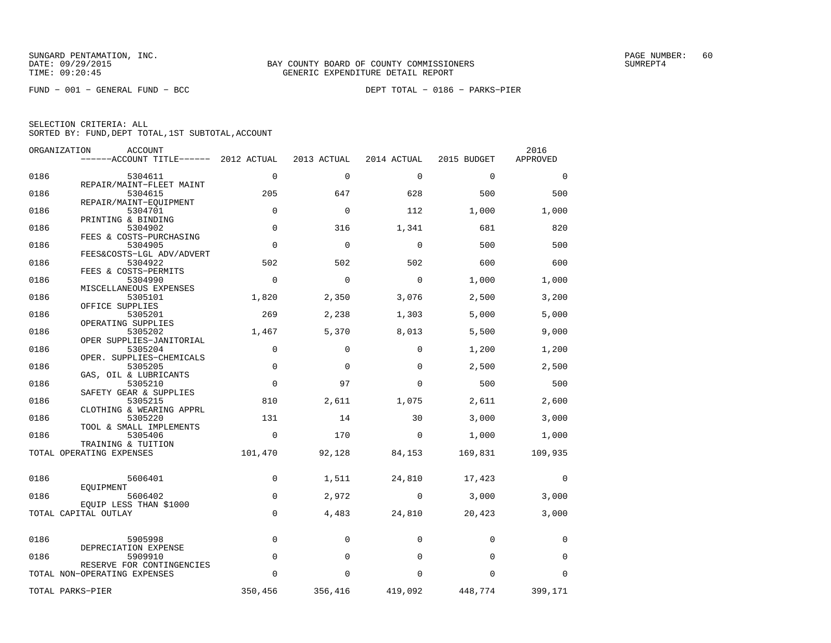| ORGANIZATION | ACCOUNT                               |             |             |             |             | 2016     |
|--------------|---------------------------------------|-------------|-------------|-------------|-------------|----------|
|              | ------ACCOUNT TITLE------ 2012 ACTUAL |             | 2013 ACTUAL | 2014 ACTUAL | 2015 BUDGET | APPROVED |
| 0186         | 5304611                               | $\Omega$    | $\Omega$    | $\mathbf 0$ | $\Omega$    | $\Omega$ |
|              | REPAIR/MAINT-FLEET MAINT              |             |             |             |             |          |
| 0186         | 5304615                               | 205         | 647         | 628         | 500         | 500      |
|              | REPAIR/MAINT-EOUIPMENT                |             |             |             |             |          |
| 0186         | 5304701                               | $\mathbf 0$ | $\mathbf 0$ | 112         | 1,000       | 1,000    |
| 0186         | PRINTING & BINDING<br>5304902         | $\mathbf 0$ | 316         | 1,341       | 681         | 820      |
|              | FEES & COSTS-PURCHASING               |             |             |             |             |          |
| 0186         | 5304905                               | $\mathbf 0$ | $\mathbf 0$ | $\mathbf 0$ | 500         | 500      |
|              | FEES&COSTS-LGL ADV/ADVERT             |             |             |             |             |          |
| 0186         | 5304922                               | 502         | 502         | 502         | 600         | 600      |
|              | FEES & COSTS-PERMITS                  |             |             |             |             |          |
| 0186         | 5304990<br>MISCELLANEOUS EXPENSES     | $\mathbf 0$ | $\mathbf 0$ | $\mathbf 0$ | 1,000       | 1,000    |
| 0186         | 5305101                               | 1,820       | 2,350       | 3,076       | 2,500       | 3,200    |
|              | OFFICE SUPPLIES                       |             |             |             |             |          |
| 0186         | 5305201                               | 269         | 2,238       | 1,303       | 5,000       | 5,000    |
|              | OPERATING SUPPLIES                    |             |             |             |             |          |
| 0186         | 5305202                               | 1,467       | 5,370       | 8,013       | 5,500       | 9,000    |
|              | OPER SUPPLIES-JANITORIAL              | $\mathbf 0$ |             | $\Omega$    |             |          |
| 0186         | 5305204<br>OPER. SUPPLIES-CHEMICALS   |             | $\mathbf 0$ |             | 1,200       | 1,200    |
| 0186         | 5305205                               | $\mathbf 0$ | $\Omega$    | $\Omega$    | 2,500       | 2,500    |
|              | GAS, OIL & LUBRICANTS                 |             |             |             |             |          |
| 0186         | 5305210                               | $\mathbf 0$ | 97          | $\Omega$    | 500         | 500      |
|              | SAFETY GEAR & SUPPLIES                |             |             |             |             |          |
| 0186         | 5305215                               | 810         | 2,611       | 1,075       | 2,611       | 2,600    |
|              | CLOTHING & WEARING APPRL              |             |             |             |             |          |
| 0186         | 5305220<br>TOOL & SMALL IMPLEMENTS    | 131         | 14          | 30          | 3,000       | 3,000    |
| 0186         | 5305406                               | $\mathbf 0$ | 170         | $\mathbf 0$ | 1,000       | 1,000    |
|              | TRAINING & TUITION                    |             |             |             |             |          |
|              | TOTAL OPERATING EXPENSES              | 101,470     | 92,128      | 84,153      | 169,831     | 109,935  |
|              |                                       |             |             |             |             |          |
|              |                                       |             |             |             |             |          |
| 0186         | 5606401<br>EOUIPMENT                  | 0           | 1,511       | 24,810      | 17,423      | 0        |
| 0186         | 5606402                               | $\mathbf 0$ | 2,972       | 0           | 3,000       | 3,000    |
|              | EQUIP LESS THAN \$1000                |             |             |             |             |          |
|              | TOTAL CAPITAL OUTLAY                  | $\mathbf 0$ | 4,483       | 24,810      | 20,423      | 3,000    |
|              |                                       |             |             |             |             |          |
|              |                                       |             |             | $\Omega$    |             |          |
| 0186         | 5905998<br>DEPRECIATION EXPENSE       | $\mathbf 0$ | $\mathbf 0$ |             | $\Omega$    | $\Omega$ |
| 0186         | 5909910                               | $\mathbf 0$ | 0           | $\Omega$    | $\Omega$    | $\Omega$ |
|              | RESERVE FOR CONTINGENCIES             |             |             |             |             |          |
|              | TOTAL NON-OPERATING EXPENSES          | 0           | 0           | $\Omega$    | $\Omega$    | $\Omega$ |
|              |                                       |             |             |             |             |          |
|              | TOTAL PARKS-PIER                      | 350,456     | 356,416     | 419,092     | 448,774     | 399,171  |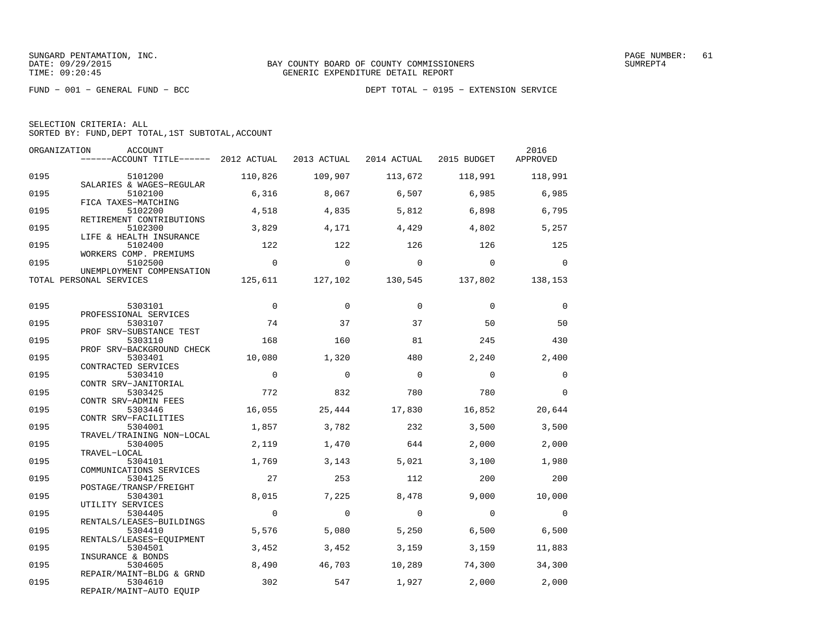|  | SELECTION CRITERIA: ALL                            |  |  |
|--|----------------------------------------------------|--|--|
|  | SORTED BY: FUND, DEPT TOTAL, 1ST SUBTOTAL, ACCOUNT |  |  |

| ORGANIZATION | ACCOUNT<br>------ACCOUNT TITLE------ 2012 ACTUAL            |                |            | 2013 ACTUAL 2014 ACTUAL 2015 BUDGET |                                         | 2016<br>APPROVED |
|--------------|-------------------------------------------------------------|----------------|------------|-------------------------------------|-----------------------------------------|------------------|
| 0195         | 5101200<br>SALARIES & WAGES-REGULAR                         | 110,826        | 109,907    | 113,672                             | 118,991                                 | 118,991          |
| 0195         | 5102100<br>FICA TAXES-MATCHING                              | 6,316          | 8,067      | 6,507                               | 6,985                                   | 6,985            |
| 0195         | 5102200<br>RETIREMENT CONTRIBUTIONS                         | 4,518          | 4,835      | 5,812                               | 6,898                                   | 6,795            |
| 0195         | 5102300<br>LIFE & HEALTH INSURANCE                          | 3,829          | 4,171      | 4,429                               | 4,802                                   | 5,257            |
| 0195         | 5102400<br>WORKERS COMP. PREMIUMS                           | 122            | 122        | 126                                 | 126                                     | 125              |
| 0195         | 5102500<br>UNEMPLOYMENT COMPENSATION                        | $\overline{0}$ | $\bigcirc$ | $\overline{0}$                      | $\overline{0}$                          | $\Omega$         |
|              | TOTAL PERSONAL SERVICES                                     |                |            |                                     | 125,611 127,102 130,545 137,802 138,153 |                  |
| 0195         | 5303101                                                     | $\overline{0}$ | $\Omega$   | $\Omega$                            | $\Omega$                                | $\Omega$         |
| 0195         | PROFESSIONAL SERVICES<br>5303107                            | 74             | 37         | 37                                  | 50                                      | 50               |
| 0195         | PROF SRV-SUBSTANCE TEST<br>5303110                          | 168            | 160        | 81                                  | 245                                     | 430              |
| 0195         | PROF SRV-BACKGROUND CHECK<br>5303401<br>CONTRACTED SERVICES | 10,080         | 1,320      | 480                                 | 2,240                                   | 2,400            |
| 0195         | 5303410<br>CONTR SRV-JANITORIAL                             | $\Omega$       | $\Omega$   | $\bigcirc$                          | $\bigcirc$                              | $\Omega$         |
| 0195         | 5303425<br>CONTR SRV-ADMIN FEES                             | 772            | 832        | 780                                 | 780                                     | $\Omega$         |
| 0195         | 5303446<br>CONTR SRV-FACILITIES                             | 16,055         | 25,444     | 17,830                              | 16,852                                  | 20,644           |
| 0195         | 5304001<br>TRAVEL/TRAINING NON-LOCAL                        | 1,857          | 3,782      | 232                                 | 3,500                                   | 3,500            |
| 0195         | 5304005<br>TRAVEL-LOCAL                                     | 2,119          | 1,470      | 644                                 | 2,000                                   | 2,000            |
| 0195         | 5304101<br>COMMUNICATIONS SERVICES                          | 1,769          | 3,143      | 5.021                               | 3,100                                   | 1,980            |
| 0195         | 5304125<br>POSTAGE/TRANSP/FREIGHT                           | 2.7            | 253        | 112                                 | 200                                     | 200              |
| 0195         | 5304301<br>UTILITY SERVICES                                 | 8,015          | 7,225      | 8,478                               | 9,000                                   | 10,000           |
| 0195         | 5304405<br>RENTALS/LEASES-BUILDINGS                         | $\mathbf{0}$   | $\Omega$   | $\mathbf 0$                         | $\overline{0}$                          | $\Omega$         |
| 0195         | 5304410<br>RENTALS/LEASES-EOUIPMENT                         | 5,576          | 5,080      | 5,250                               | 6,500                                   | 6,500            |
| 0195         | 5304501<br>INSURANCE & BONDS                                | 3,452          | 3,452      | 3,159                               | 3,159                                   | 11,883           |
| 0195         | 5304605<br>REPAIR/MAINT-BLDG & GRND                         | 8,490          | 46,703     | 10,289                              | 74,300                                  | 34,300           |
| 0195         | 5304610<br>REPAIR/MAINT-AUTO EQUIP                          | 302            | 547        |                                     | 1,927 2,000                             | 2,000            |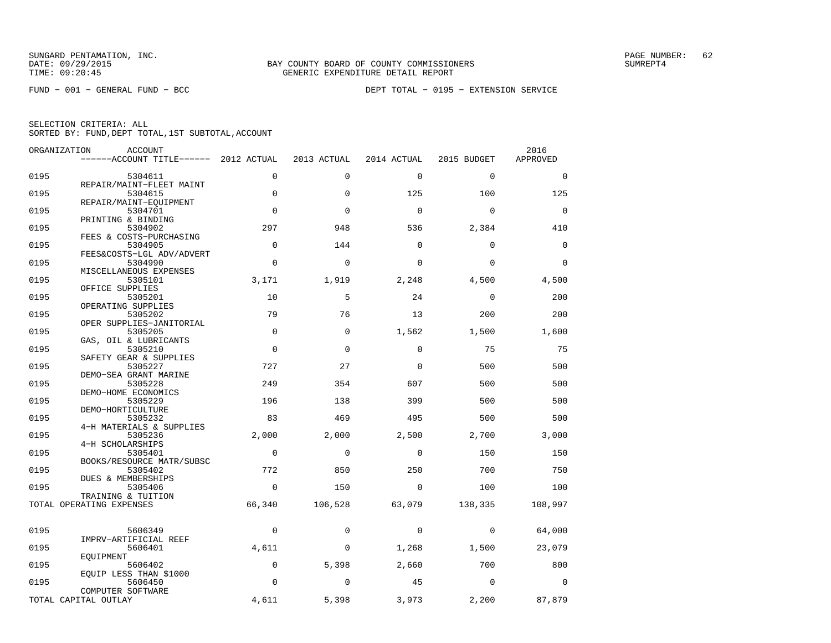| SELECTION CRITERIA: ALL |  |  |                                                    |  |
|-------------------------|--|--|----------------------------------------------------|--|
|                         |  |  | SORTED BY: FUND, DEPT TOTAL, 1ST SUBTOTAL, ACCOUNT |  |

| ORGANIZATION | ACCOUNT                               |             |             |             |             | 2016        |
|--------------|---------------------------------------|-------------|-------------|-------------|-------------|-------------|
|              | ------ACCOUNT TITLE------ 2012 ACTUAL |             | 2013 ACTUAL | 2014 ACTUAL | 2015 BUDGET | APPROVED    |
| 0195         | 5304611                               | $\mathbf 0$ | $\mathbf 0$ | $\mathbf 0$ | $\mathbf 0$ | $\mathbf 0$ |
| 0195         | REPAIR/MAINT-FLEET MAINT<br>5304615   | $\mathbf 0$ | $\Omega$    | 125         | 100         | 125         |
|              | REPAIR/MAINT-EQUIPMENT                |             |             |             |             |             |
| 0195         | 5304701                               | $\Omega$    | $\Omega$    | $\Omega$    | $\Omega$    | $\mathbf 0$ |
| 0195         | PRINTING & BINDING<br>5304902         | 297         | 948         | 536         | 2,384       | 410         |
|              | FEES & COSTS-PURCHASING               |             |             |             |             |             |
| 0195         | 5304905                               | $\mathbf 0$ | 144         | $\mathbf 0$ | $\mathbf 0$ | 0           |
| 0195         | FEES&COSTS-LGL ADV/ADVERT<br>5304990  | $\mathbf 0$ | 0           | $\mathbf 0$ | $\mathbf 0$ | $\mathbf 0$ |
|              | MISCELLANEOUS EXPENSES                |             |             |             |             |             |
| 0195         | 5305101                               | 3,171       | 1,919       | 2,248       | 4,500       | 4,500       |
| 0195         | OFFICE SUPPLIES<br>5305201            | 10          | 5           | 24          | $\mathbf 0$ | 200         |
|              | OPERATING SUPPLIES                    |             |             |             |             |             |
| 0195         | 5305202                               | 79          | 76          | 13          | 200         | 200         |
|              | OPER SUPPLIES-JANITORIAL              |             |             |             |             |             |
| 0195         | 5305205                               | $\mathbf 0$ | $\mathbf 0$ | 1,562       | 1,500       | 1,600       |
| 0195         | GAS, OIL & LUBRICANTS<br>5305210      | $\Omega$    | $\Omega$    | $\Omega$    | 75          | 75          |
|              | SAFETY GEAR & SUPPLIES                |             |             |             |             |             |
| 0195         | 5305227                               | 727         | 27          | $\mathbf 0$ | 500         | 500         |
| 0195         | DEMO-SEA GRANT MARINE<br>5305228      | 249         | 354         | 607         | 500         | 500         |
|              | DEMO-HOME ECONOMICS                   |             |             |             |             |             |
| 0195         | 5305229<br>DEMO-HORTICULTURE          | 196         | 138         | 399         | 500         | 500         |
| 0195         | 5305232                               | 83          | 469         | 495         | 500         | 500         |
|              | 4-H MATERIALS & SUPPLIES              |             |             |             |             |             |
| 0195         | 5305236                               | 2,000       | 2,000       | 2,500       | 2,700       | 3,000       |
| 0195         | 4-H SCHOLARSHIPS<br>5305401           | $\mathbf 0$ | $\mathbf 0$ | $\mathbf 0$ | 150         | 150         |
|              | BOOKS/RESOURCE MATR/SUBSC             |             |             |             |             |             |
| 0195         | 5305402                               | 772         | 850         | 250         | 700         | 750         |
|              | DUES & MEMBERSHIPS                    |             |             |             |             |             |
| 0195         | 5305406<br>TRAINING & TUITION         | $\mathbf 0$ | 150         | $\mathbf 0$ | 100         | 100         |
|              | TOTAL OPERATING EXPENSES              | 66,340      | 106,528     | 63,079      | 138,335     | 108,997     |
|              |                                       |             |             |             |             |             |
| 0195         | 5606349                               | 0           | 0           | 0           | $\mathbf 0$ | 64,000      |
|              | IMPRV-ARTIFICIAL REEF                 |             |             |             |             |             |
| 0195         | 5606401                               | 4,611       | 0           | 1,268       | 1,500       | 23,079      |
| 0195         | EQUIPMENT<br>5606402                  | 0           | 5,398       | 2,660       | 700         | 800         |
|              | EQUIP LESS THAN \$1000                |             |             |             |             |             |
| 0195         | 5606450                               | 0           | 0           | 45          | $\mathbf 0$ | $\mathbf 0$ |
|              | COMPUTER SOFTWARE                     |             |             |             |             |             |
|              | TOTAL CAPITAL OUTLAY                  | 4,611       | 5,398       | 3,973       | 2,200       | 87,879      |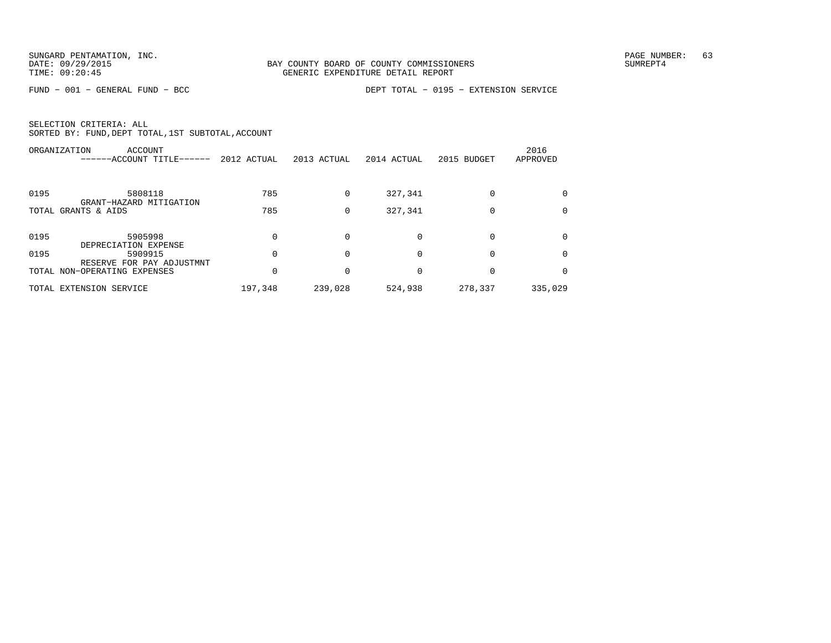FUND − 001 − GENERAL FUND − BCC DEPT TOTAL − 0195 − EXTENSION SERVICE

|      | ORGANIZATION<br>ACCOUNT<br>------ACCOUNT TITLE------      | 2012 ACTUAL | 2013 ACTUAL | 2014 ACTUAL | 2015 BUDGET | 2016<br>APPROVED |
|------|-----------------------------------------------------------|-------------|-------------|-------------|-------------|------------------|
| 0195 | 5808118<br>GRANT-HAZARD MITIGATION                        | 785         | $\Omega$    | 327,341     | $\Omega$    | $\Omega$         |
|      | TOTAL GRANTS & AIDS                                       | 785         | 0           | 327,341     | $\Omega$    |                  |
| 0195 | 5905998<br>DEPRECIATION EXPENSE                           |             | $\Omega$    | $\Omega$    | 0           |                  |
| 0195 | 5909915                                                   |             | $\Omega$    | $\Omega$    | $\Omega$    | $\Omega$         |
|      | RESERVE FOR PAY ADJUSTMNT<br>TOTAL NON-OPERATING EXPENSES |             | $\Omega$    |             | 0           |                  |
|      | TOTAL EXTENSION SERVICE                                   | 197,348     | 239,028     | 524,938     | 278,337     | 335,029          |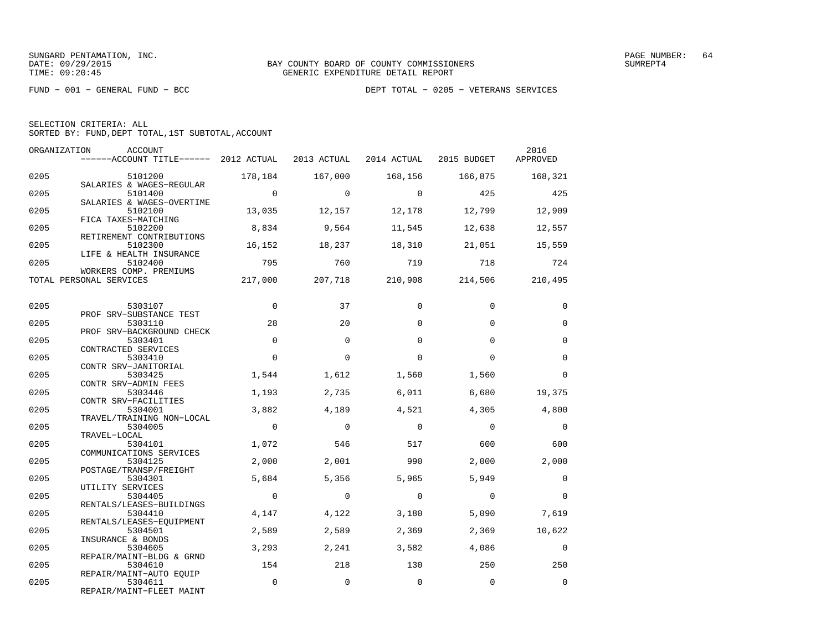FUND − 001 − GENERAL FUND − BCC DEPT TOTAL − 0205 − VETERANS SERVICES

|  |  |  |  | DEPT TOTAL - 0205 - VETERANS SERVICE |  |
|--|--|--|--|--------------------------------------|--|
|--|--|--|--|--------------------------------------|--|

| SELECTION CRITERIA: ALL |  |  |                                                    |  |
|-------------------------|--|--|----------------------------------------------------|--|
|                         |  |  | SORTED BY: FUND, DEPT TOTAL, 1ST SUBTOTAL, ACCOUNT |  |

| ORGANIZATION | ACCOUNT<br>------ACCOUNT TITLE------ 2012 ACTUAL 2013 ACTUAL 2014 ACTUAL 2015 BUDGET |                |                 |                 |                         | 2016<br>APPROVED |
|--------------|--------------------------------------------------------------------------------------|----------------|-----------------|-----------------|-------------------------|------------------|
| 0205         | 5101200                                                                              |                | 178,184 167,000 |                 | 168,156 166,875 168,321 |                  |
| 0205         | SALARIES & WAGES-REGULAR<br>5101400                                                  | $\overline{0}$ | $\overline{0}$  | $\overline{0}$  | 425                     | 425              |
| 0205         | SALARIES & WAGES-OVERTIME<br>5102100<br>FICA TAXES-MATCHING                          | 13,035         | 12,157          | 12,178          | 12,799                  | 12,909           |
| 0205         | 5102200<br>RETIREMENT CONTRIBUTIONS                                                  | 8,834          | 9,564           | 11,545          | 12,638                  | 12,557           |
| 0205         | 5102300<br>LIFE & HEALTH INSURANCE                                                   | 16,152         | 18,237          | 18,310          | 21,051                  | 15,559           |
| 0205         | 5102400<br>WORKERS COMP. PREMIUMS                                                    | 795            | 760             | 719             | 718                     | 724              |
|              | TOTAL PERSONAL SERVICES                                                              | 217,000        |                 | 207,718 210,908 | 214,506                 | 210,495          |
| 0205         | 5303107                                                                              | $\overline{0}$ | 37              | $\Omega$        | $\Omega$                | 0                |
| 0205         | PROF SRV-SUBSTANCE TEST<br>5303110                                                   | 28             | 20              | $\Omega$        | $\Omega$                | $\mathbf 0$      |
| 0205         | PROF SRV-BACKGROUND CHECK<br>5303401<br>CONTRACTED SERVICES                          | $\Omega$       | $\Omega$        | $\Omega$        | $\Omega$                | $\mathbf 0$      |
| 0205         | 5303410<br>CONTR SRV-JANITORIAL                                                      | $\Omega$       | $\Omega$        | $\Omega$        | $\Omega$                | $\Omega$         |
| 0205         | 5303425<br>CONTR SRV-ADMIN FEES                                                      | 1,544          | 1,612           | 1,560           | 1,560                   | 0                |
| 0205         | 5303446<br>CONTR SRV-FACILITIES                                                      | 1,193          | 2,735           | 6.011           | 6,680                   | 19,375           |
| 0205         | 5304001<br>TRAVEL/TRAINING NON-LOCAL                                                 | 3,882          | 4,189           | 4,521           | 4,305                   | 4,800            |
| 0205         | 5304005<br>TRAVEL-LOCAL                                                              | $\overline{0}$ | $\overline{0}$  | $\overline{0}$  | $\overline{0}$          | $\overline{0}$   |
| 0205         | 5304101<br>COMMUNICATIONS SERVICES                                                   | 1,072          | 546             | 517             | 600                     | 600              |
| 0205         | 5304125<br>POSTAGE/TRANSP/FREIGHT                                                    | 2,000          | 2,001           | 990             | 2,000                   | 2,000            |
| 0205         | 5304301<br>UTILITY SERVICES                                                          | 5,684          | 5,356           | 5,965           | 5,949                   | $\overline{0}$   |
| 0205         | 5304405<br>RENTALS/LEASES-BUILDINGS                                                  | $\overline{0}$ | $\Omega$        | $\Omega$        | $\Omega$                | $\Omega$         |
| 0205         | 5304410<br>RENTALS/LEASES-EOUIPMENT                                                  | 4,147          | 4,122           | 3,180           | 5,090                   | 7,619            |
| 0205         | 5304501<br>INSURANCE & BONDS                                                         | 2,589          | 2,589           | 2,369           | 2,369                   | 10,622           |
| 0205         | 5304605<br>REPAIR/MAINT-BLDG & GRND                                                  | 3,293          | 2,241           | 3,582           | 4,086                   | $\overline{0}$   |
| 0205         | 5304610<br>REPAIR/MAINT-AUTO EOUIP                                                   | 154            | 218             | 130             | 250                     | 250              |
| 0205         | 5304611<br>REPAIR/MAINT-FLEET MAINT                                                  | $\mathbb O$    | $\mathbf 0$     | $\mathbf 0$     | $\mathbf 0$             | $\mathbf 0$      |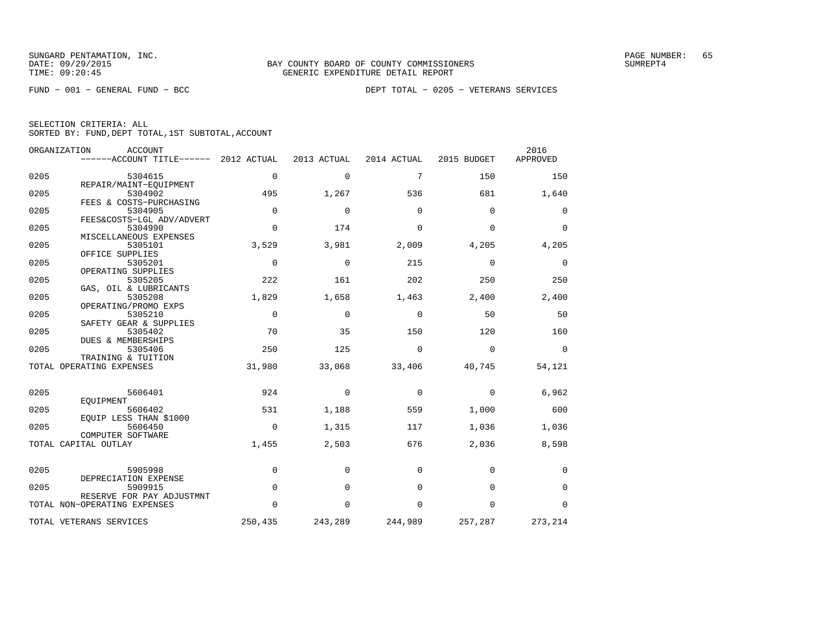|  | SELECTION CRITERIA: ALL |                                                    |
|--|-------------------------|----------------------------------------------------|
|  |                         | SORTED BY: FUND, DEPT TOTAL, 1ST SUBTOTAL, ACCOUNT |

|      | ORGANIZATION<br><b>ACCOUNT</b><br>------ACCOUNT TITLE------ | 2012 ACTUAL | 2013 ACTUAL | 2014 ACTUAL | 2015 BUDGET | 2016<br>APPROVED |
|------|-------------------------------------------------------------|-------------|-------------|-------------|-------------|------------------|
|      |                                                             |             |             |             |             |                  |
| 0205 | 5304615                                                     | $\Omega$    | $\Omega$    | 7           | 150         | 150              |
| 0205 | REPAIR/MAINT-EQUIPMENT<br>5304902                           | 495         | 1,267       | 536         | 681         | 1,640            |
|      | FEES & COSTS-PURCHASING                                     |             |             |             |             |                  |
| 0205 | 5304905                                                     | $\Omega$    | $\Omega$    | $\Omega$    | $\Omega$    | 0                |
| 0205 | FEES&COSTS-LGL ADV/ADVERT<br>5304990                        | $\Omega$    | 174         | $\Omega$    | $\Omega$    | $\Omega$         |
|      | MISCELLANEOUS EXPENSES                                      |             |             |             |             |                  |
| 0205 | 5305101                                                     | 3,529       | 3,981       | 2,009       | 4,205       | 4,205            |
|      | OFFICE SUPPLIES                                             |             |             |             |             |                  |
| 0205 | 5305201<br>OPERATING SUPPLIES                               | $\Omega$    | $\mathbf 0$ | 215         | $\mathbf 0$ | $\mathbf 0$      |
| 0205 | 5305205                                                     | 222         | 161         | 202         | 250         | 250              |
|      | GAS, OIL & LUBRICANTS                                       |             |             |             |             |                  |
| 0205 | 5305208                                                     | 1,829       | 1,658       | 1,463       | 2,400       | 2,400            |
| 0205 | OPERATING/PROMO EXPS<br>5305210                             | $\mathbf 0$ | $\Omega$    | $\Omega$    | 50          | 50               |
|      | SAFETY GEAR & SUPPLIES                                      |             |             |             |             |                  |
| 0205 | 5305402                                                     | 70          | 35          | 150         | 120         | 160              |
| 0205 | DUES & MEMBERSHIPS<br>5305406                               | 250         | 125         | $\mathbf 0$ | $\mathbf 0$ | 0                |
|      | TRAINING & TUITION                                          |             |             |             |             |                  |
|      | TOTAL OPERATING EXPENSES                                    | 31,980      | 33,068      | 33,406      | 40,745      | 54,121           |
|      |                                                             |             |             |             |             |                  |
| 0205 | 5606401                                                     | 924         | 0           | 0           | $\mathbf 0$ | 6,962            |
|      | EQUIPMENT                                                   |             |             |             |             |                  |
| 0205 | 5606402                                                     | 531         | 1,188       | 559         | 1,000       | 600              |
| 0205 | EOUIP LESS THAN \$1000<br>5606450                           | $\mathbf 0$ | 1,315       | 117         | 1,036       | 1,036            |
|      | COMPUTER SOFTWARE                                           |             |             |             |             |                  |
|      | TOTAL CAPITAL OUTLAY                                        | 1,455       | 2,503       | 676         | 2,036       | 8,598            |
|      |                                                             |             |             |             |             |                  |
| 0205 | 5905998                                                     | $\mathbf 0$ | $\Omega$    | $\Omega$    | $\Omega$    | 0                |
|      | DEPRECIATION EXPENSE                                        |             |             |             |             |                  |
| 0205 | 5909915<br>RESERVE FOR PAY ADJUSTMNT                        | $\Omega$    | $\Omega$    | $\Omega$    | $\Omega$    | $\mathbf 0$      |
|      | TOTAL NON-OPERATING EXPENSES                                | 0           | 0           | 0           | $\mathbf 0$ | $\mathbf 0$      |
|      | TOTAL VETERANS SERVICES                                     | 250,435     | 243,289     | 244,989     | 257,287     | 273,214          |
|      |                                                             |             |             |             |             |                  |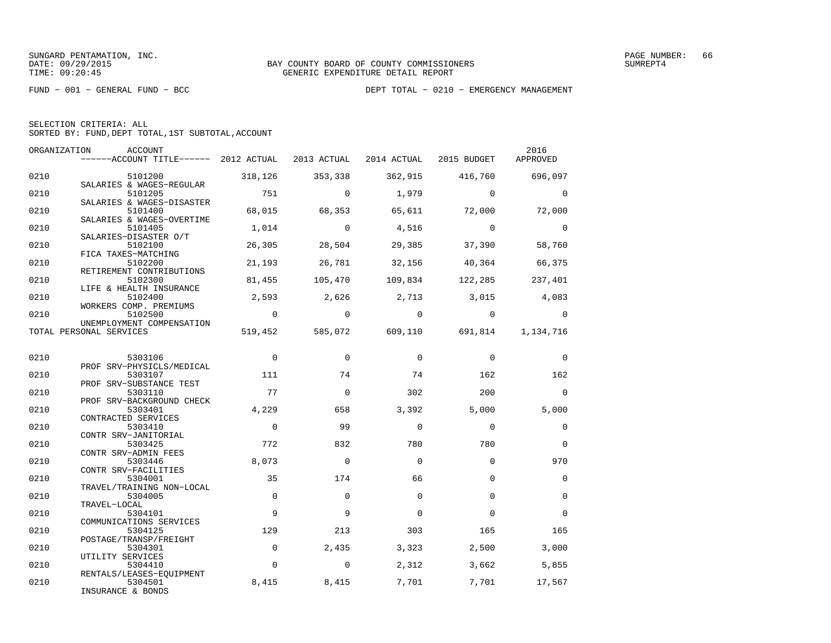|  | SELECTION CRITERIA: ALL                            |  |  |
|--|----------------------------------------------------|--|--|
|  | SORTED BY: FUND, DEPT TOTAL, 1ST SUBTOTAL, ACCOUNT |  |  |

| ORGANIZATION | ACCOUNT<br>------ACCOUNT TITLE------ 2012 ACTUAL 2013 ACTUAL 2014 ACTUAL 2015 BUDGET |                          |                |                                           |                         | 2016<br>APPROVED |
|--------------|--------------------------------------------------------------------------------------|--------------------------|----------------|-------------------------------------------|-------------------------|------------------|
| 0210         | 5101200                                                                              | 318,126                  | 353,338        | 362,915 416,760                           |                         | 696,097          |
| 0210         | SALARIES & WAGES-REGULAR<br>5101205                                                  | 751                      | $\overline{0}$ | 1,979                                     | $\overline{0}$          | $\mathbf 0$      |
| 0210         | SALARIES & WAGES-DISASTER<br>5101400                                                 | 68,015                   | 68,353         | 65,611                                    | 72,000                  | 72,000           |
| 0210         | SALARIES & WAGES-OVERTIME<br>5101405                                                 | 1,014                    | $\overline{0}$ | 4,516                                     | $\overline{0}$          | $\overline{0}$   |
| 0210         | SALARIES-DISASTER O/T<br>5102100                                                     | 26,305                   | 28,504         | 29,385                                    | 37,390                  | 58,760           |
| 0210         | FICA TAXES-MATCHING<br>5102200                                                       | 21,193                   | 26,781         |                                           | 32,156 40,364           | 66,375           |
| 0210         | RETIREMENT CONTRIBUTIONS<br>5102300<br>LIFE & HEALTH INSURANCE                       | 81,455                   | 105,470        |                                           | 109,834 122,285 237,401 |                  |
| 0210         | 5102400<br>WORKERS COMP. PREMIUMS                                                    | 2,593                    | 2,626          | 2,713 3,015                               |                         | 4,083            |
| 0210         | 5102500<br>UNEMPLOYMENT COMPENSATION                                                 | $\overline{0}$           | $\overline{0}$ | $\overline{0}$                            | $\overline{0}$          | $\mathbf 0$      |
|              | TOTAL PERSONAL SERVICES                                                              |                          |                | 519,452 585,072 609,110 691,814 1,134,716 |                         |                  |
| 0210         | 5303106                                                                              | $\overline{0}$           | $\Omega$       | $\mathbf 0$                               | $\overline{0}$          | $\mathbf 0$      |
| 0210         | PROF SRV-PHYSICLS/MEDICAL<br>5303107                                                 | 111                      | 74             | 74                                        | 162                     | 162              |
| 0210         | PROF SRV-SUBSTANCE TEST<br>5303110                                                   | 77                       | $\mathbf 0$    | 302                                       | 200                     | $\mathbf 0$      |
| 0210         | PROF SRV-BACKGROUND CHECK<br>5303401                                                 | 4,229                    | 658            | 3,392                                     | 5,000                   | 5,000            |
| 0210         | CONTRACTED SERVICES<br>5303410                                                       | $\overline{\phantom{0}}$ | - 99           | $\mathbf 0$                               | $\Omega$                | 0                |
| 0210         | CONTR SRV-JANITORIAL<br>5303425                                                      | 772                      | 832            | 780                                       | 780                     | $\mathbf 0$      |
| 0210         | CONTR SRV-ADMIN FEES<br>5303446                                                      | 8,073                    | $\Omega$       | $\Omega$                                  | $\Omega$                | 970              |
| 0210         | CONTR SRV-FACILITIES<br>5304001<br>TRAVEL/TRAINING NON-LOCAL                         | 35                       | 174            | 66                                        | $\Omega$                | $\mathbf 0$      |
| 0210         | 5304005<br>TRAVEL-LOCAL                                                              | $\Omega$                 | $\Omega$       | $\Omega$                                  | $\Omega$                | $\mathbf 0$      |
| 0210         | 5304101<br>COMMUNICATIONS SERVICES                                                   | 9                        | 9              | $\Omega$                                  | $\Omega$                | $\mathbf 0$      |
| 0210         | 5304125<br>POSTAGE/TRANSP/FREIGHT                                                    | 129                      | 213            | 303                                       | 165                     | 165              |
| 0210         | 5304301<br>UTILITY SERVICES                                                          | $\mathbf{0}$             | 2,435          | 3,323                                     | 2,500                   | 3,000            |
| 0210         | 5304410<br>RENTALS/LEASES-EQUIPMENT                                                  | $\Omega$                 | $\overline{0}$ | 2,312                                     | 3,662                   | 5,855            |
| 0210         | 5304501<br>INSURANCE & BONDS                                                         | 8,415                    | 8,415          | 7,701                                     | 7,701                   | 17,567           |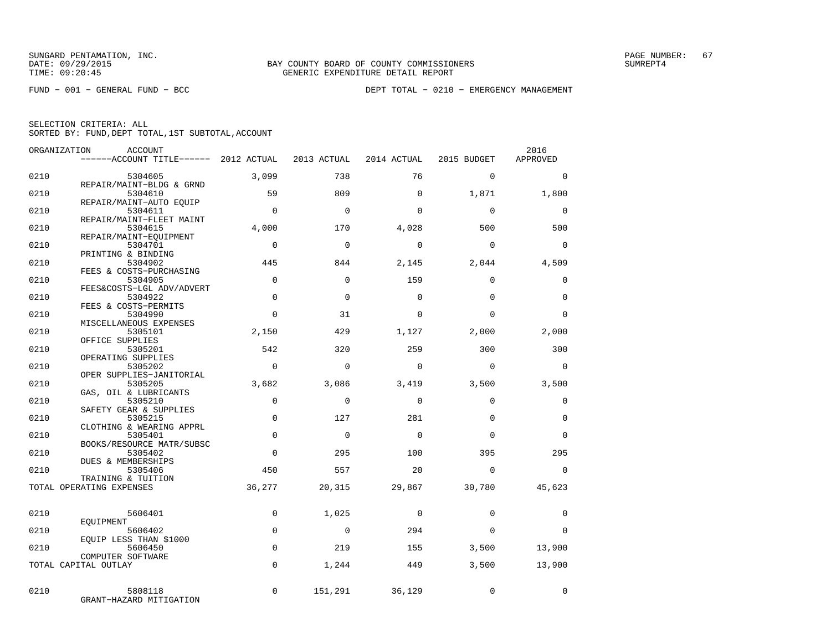FUND − 001 − GENERAL FUND − BCC DEPT TOTAL − 0210 − EMERGENCY MANAGEMENT

| ORGANIZATION | ACCOUNT                               |                |             |                |             | 2016        |
|--------------|---------------------------------------|----------------|-------------|----------------|-------------|-------------|
|              | ------ACCOUNT TITLE------ 2012 ACTUAL |                | 2013 ACTUAL | 2014 ACTUAL    | 2015 BUDGET | APPROVED    |
| 0210         | 5304605                               | 3,099          | 738         | 76             | $\mathbf 0$ | $\mathbf 0$ |
|              | REPAIR/MAINT-BLDG & GRND              |                |             |                |             |             |
| 0210         | 5304610                               | 59             | 809         | $\Omega$       | 1,871       | 1,800       |
| 0210         | REPAIR/MAINT-AUTO EOUIP<br>5304611    | $\Omega$       | $\Omega$    | $\Omega$       | $\Omega$    | $\mathbf 0$ |
|              | REPAIR/MAINT-FLEET MAINT              |                |             |                |             |             |
| 0210         | 5304615                               | 4,000          | 170         | 4,028          | 500         | 500         |
|              | REPAIR/MAINT-EQUIPMENT                |                |             |                |             |             |
| 0210         | 5304701                               | $\Omega$       | $\Omega$    | $\Omega$       | $\Omega$    | $\Omega$    |
| 0210         | PRINTING & BINDING<br>5304902         | 445            | 844         | 2,145          | 2,044       | 4,509       |
|              | FEES & COSTS-PURCHASING               |                |             |                |             |             |
| 0210         | 5304905                               | $\Omega$       | $\Omega$    | 159            | $\Omega$    | $\mathbf 0$ |
|              | FEES&COSTS-LGL ADV/ADVERT             |                |             |                |             |             |
| 0210         | 5304922                               | $\Omega$       | $\Omega$    | $\Omega$       | $\Omega$    | $\Omega$    |
| 0210         | FEES & COSTS-PERMITS                  | $\Omega$       | 31          | $\Omega$       | $\Omega$    | $\Omega$    |
|              | 5304990<br>MISCELLANEOUS EXPENSES     |                |             |                |             |             |
| 0210         | 5305101                               | 2,150          | 429         | 1,127          | 2,000       | 2,000       |
|              | OFFICE SUPPLIES                       |                |             |                |             |             |
| 0210         | 5305201                               | 542            | 320         | 259            | 300         | 300         |
|              | OPERATING SUPPLIES                    | $\overline{0}$ |             |                |             |             |
| 0210         | 5305202<br>OPER SUPPLIES-JANITORIAL   |                | $\mathbf 0$ | $\Omega$       | $\Omega$    | $\mathbf 0$ |
| 0210         | 5305205                               | 3,682          | 3,086       | 3,419          | 3,500       | 3,500       |
|              | GAS, OIL & LUBRICANTS                 |                |             |                |             |             |
| 0210         | 5305210                               | $\mathbf 0$    | $\Omega$    | $\Omega$       | $\Omega$    | $\mathbf 0$ |
|              | SAFETY GEAR & SUPPLIES                |                |             |                |             |             |
| 0210         | 5305215<br>CLOTHING & WEARING APPRL   | $\Omega$       | 127         | 281            | $\Omega$    | $\mathbf 0$ |
| 0210         | 5305401                               | $\mathbf 0$    | $\mathbf 0$ | $\Omega$       | $\Omega$    | $\mathbf 0$ |
|              | BOOKS/RESOURCE MATR/SUBSC             |                |             |                |             |             |
| 0210         | 5305402                               | $\Omega$       | 295         | 100            | 395         | 295         |
|              | <b>DUES &amp; MEMBERSHIPS</b>         |                |             |                |             |             |
| 0210         | 5305406<br>TRAINING & TUITION         | 450            | 557         | 20             | $\Omega$    | $\Omega$    |
|              | TOTAL OPERATING EXPENSES              | 36,277         | 20,315      | 29,867         | 30,780      | 45,623      |
|              |                                       |                |             |                |             |             |
|              |                                       |                |             |                |             |             |
| 0210         | 5606401                               | $\mathbf 0$    | 1,025       | $\mathbf 0$    | $\Omega$    | $\mathbf 0$ |
| 0210         | EOUIPMENT<br>5606402                  | $\mathbf 0$    | $\mathbf 0$ | 294            | $\Omega$    | $\Omega$    |
|              | EQUIP LESS THAN \$1000                |                |             |                |             |             |
| 0210         | 5606450                               | $\mathbf 0$    | 219         | 155            | 3,500       | 13,900      |
|              | COMPUTER SOFTWARE                     |                |             |                |             |             |
|              | TOTAL CAPITAL OUTLAY                  | $\mathbf 0$    | 1,244       | 449            | 3,500       | 13,900      |
|              |                                       |                |             |                |             |             |
| 0210         | 5808118                               | $\Omega$       |             | 151,291 36,129 | $\mathbf 0$ | $\Omega$    |
|              | GRANT-HAZARD MITIGATION               |                |             |                |             |             |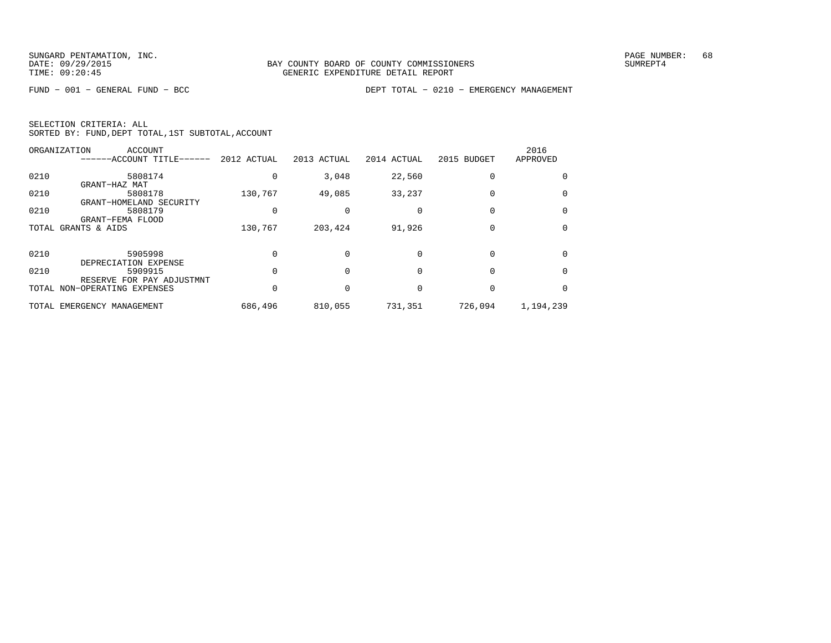FUND − 001 − GENERAL FUND − BCC DEPT TOTAL − 0210 − EMERGENCY MANAGEMENT

| SELECTION CRITERIA: ALL |                                                    |
|-------------------------|----------------------------------------------------|
|                         | SORTED BY: FUND, DEPT TOTAL, 1ST SUBTOTAL, ACCOUNT |

|      | ORGANIZATION<br>ACCOUNT<br>------ACCOUNT TITLE------ | 2012 ACTUAL | 2013 ACTUAL | 2014 ACTUAL | 2015 BUDGET | 2016<br>APPROVED |
|------|------------------------------------------------------|-------------|-------------|-------------|-------------|------------------|
| 0210 | 5808174                                              |             | 3,048       | 22,560      |             |                  |
|      | GRANT-HAZ MAT                                        |             |             |             |             |                  |
| 0210 | 5808178<br>GRANT-HOMELAND SECURITY                   | 130,767     | 49,085      | 33,237      |             | $\Omega$         |
| 0210 | 5808179<br>GRANT-FEMA FLOOD                          |             |             |             |             | $\Omega$         |
|      | TOTAL GRANTS & AIDS                                  | 130,767     | 203,424     | 91,926      |             | 0                |
| 0210 | 5905998<br>DEPRECIATION EXPENSE                      |             |             |             |             | 0                |
| 0210 | 5909915<br>RESERVE FOR PAY ADJUSTMNT                 |             |             |             |             | $\Omega$         |
|      | TOTAL NON-OPERATING EXPENSES                         |             |             |             |             | $\Omega$         |
|      | TOTAL EMERGENCY MANAGEMENT                           | 686,496     | 810,055     | 731,351     | 726,094     | 1,194,239        |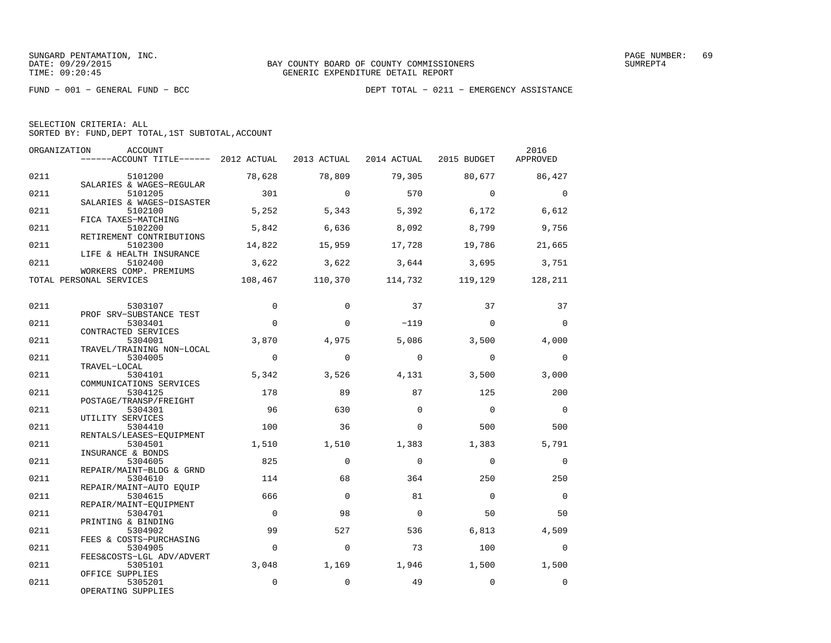| SELECTION CRITERIA: ALL |  |  |                                                    |  |
|-------------------------|--|--|----------------------------------------------------|--|
|                         |  |  | SORTED BY: FUND, DEPT TOTAL, 1ST SUBTOTAL, ACCOUNT |  |

| ORGANIZATION | ACCOUNT<br>------ACCOUNT TITLE------ 2012 ACTUAL          |                   | 2013 ACTUAL |             | 2014 ACTUAL 2015 BUDGET | 2016<br>APPROVED  |
|--------------|-----------------------------------------------------------|-------------------|-------------|-------------|-------------------------|-------------------|
| 0211         | 5101200<br>SALARIES & WAGES-REGULAR                       | 78,628            | 78,809      | 79,305      | 80,677                  | 86,427            |
| 0211         | 5101205<br>SALARIES & WAGES-DISASTER                      | 301               | $\Omega$    | 570         | $\Omega$                | $\Omega$          |
| 0211         | 5102100<br>FICA TAXES-MATCHING                            | 5,252             | 5,343       | 5,392       | 6,172                   | 6,612             |
| 0211         | 5102200<br>RETIREMENT CONTRIBUTIONS                       | 5,842             | 6,636       | 8,092       | 8,799                   | 9,756             |
| 0211         | 5102300<br>LIFE & HEALTH INSURANCE                        | 14,822            | 15,959      | 17,728      | 19,786                  | 21,665            |
| 0211         | 5102400<br>WORKERS COMP. PREMIUMS                         | 3,622             | 3,622       | 3,644       | 3,695                   | 3,751             |
|              | TOTAL PERSONAL SERVICES                                   | 108,467           | 110,370     | 114,732     | 119,129                 | 128,211           |
| 0211         | 5303107                                                   | $\Omega$          | $\Omega$    | 37          | 37                      | 37                |
| 0211         | PROF SRV-SUBSTANCE TEST<br>5303401<br>CONTRACTED SERVICES | $\Omega$          | $\Omega$    | $-119$      | $\Omega$                | $\Omega$          |
| 0211         | 5304001<br>TRAVEL/TRAINING NON-LOCAL                      | 3,870             | 4,975       | 5,086       | 3,500                   | 4,000             |
| 0211         | 5304005<br>TRAVEL-LOCAL                                   | $\Omega$          | $\Omega$    | $\Omega$    | $\Omega$                | $\Omega$          |
| 0211         | 5304101<br>COMMUNICATIONS SERVICES                        | 5,342             | 3,526       | 4,131       | 3,500                   | 3,000             |
| 0211         | 5304125<br>POSTAGE/TRANSP/FREIGHT                         | 178               | 89          | 87          | 125                     | 200               |
| 0211         | 5304301<br>UTILITY SERVICES                               | 96                | 630         | $\Omega$    | $\overline{0}$          | $\overline{0}$    |
| 0211         | 5304410<br>RENTALS/LEASES-EQUIPMENT                       | 100               | 36          | $\Omega$    | 500                     | 500               |
| 0211         | 5304501<br>INSURANCE & BONDS                              | 1,510             | 1,510       | 1,383       | 1,383                   | 5,791             |
| 0211         | 5304605<br>REPAIR/MAINT-BLDG & GRND                       | 825               | $\Omega$    | $\Omega$    | $\Omega$                | $\Omega$          |
| 0211         | 5304610<br>REPAIR/MAINT-AUTO EOUIP                        | 114               | 68          | 364         | 250                     | 250               |
| 0211         | 5304615<br>REPAIR/MAINT-EOUIPMENT                         | 666               | $\Omega$    | 81          | $\Omega$                | $\Omega$          |
| 0211         | 5304701<br>PRINTING & BINDING                             | $\Omega$          | 98          | $\Omega$    | 50                      | 50                |
| 0211         | 5304902<br>FEES & COSTS-PURCHASING                        | 99                | 527         | 536         | 6,813                   | 4,509             |
| 0211         | 5304905<br>FEES&COSTS-LGL ADV/ADVERT                      | $\mathbf 0$       | $\Omega$    | 73          | 100                     | $\Omega$          |
| 0211         | 5305101<br>OFFICE SUPPLIES                                | 3,048<br>$\Omega$ | 1,169       | 1,946<br>49 | 1,500                   | 1,500<br>$\Omega$ |
| 0211         | 5305201<br>OPERATING SUPPLIES                             |                   | $\mathbf 0$ |             | $\mathbf 0$             |                   |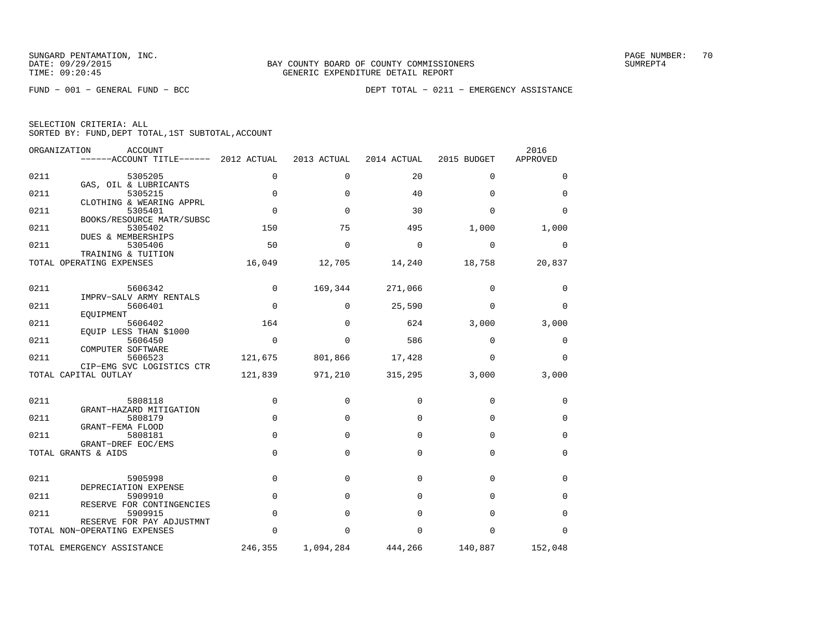| SELECTION CRITERIA: ALL |  |  |                                                    |  |
|-------------------------|--|--|----------------------------------------------------|--|
|                         |  |  | SORTED BY: FUND, DEPT TOTAL, 1ST SUBTOTAL, ACCOUNT |  |

| ORGANIZATION | ACCOUNT<br>------ACCOUNT TITLE------ 2012 ACTUAL |             | 2013 ACTUAL | 2014 ACTUAL | 2015 BUDGET | 2016<br>APPROVED |
|--------------|--------------------------------------------------|-------------|-------------|-------------|-------------|------------------|
| 0211         | 5305205                                          | 0           | $\Omega$    | 20          | $\Omega$    | $\Omega$         |
| 0211         | GAS, OIL & LUBRICANTS<br>5305215                 | $\mathbf 0$ | $\Omega$    | 40          | $\Omega$    | $\mathbf 0$      |
| 0211         | CLOTHING & WEARING APPRL<br>5305401              | $\mathbf 0$ | $\Omega$    | 30          | $\Omega$    | $\Omega$         |
| 0211         | BOOKS/RESOURCE MATR/SUBSC<br>5305402             | 150         | 75          | 495         | 1,000       | 1,000            |
| 0211         | DUES & MEMBERSHIPS<br>5305406                    | 50          | $\Omega$    | $\Omega$    | $\mathbf 0$ | 0                |
|              | TRAINING & TUITION<br>TOTAL OPERATING EXPENSES   | 16,049      | 12,705      | 14,240      | 18,758      | 20,837           |
| 0211         | 5606342                                          | $\mathbf 0$ | 169,344     | 271,066     | $\mathbf 0$ | 0                |
|              | IMPRV-SALV ARMY RENTALS                          |             |             |             |             |                  |
| 0211         | 5606401<br>EOUIPMENT                             | $\mathbf 0$ | $\Omega$    | 25,590      | $\Omega$    | $\mathbf 0$      |
| 0211         | 5606402<br>EQUIP LESS THAN \$1000                | 164         | $\Omega$    | 624         | 3,000       | 3,000            |
| 0211         | 5606450<br>COMPUTER SOFTWARE                     | $\Omega$    | $\Omega$    | 586         | $\Omega$    | 0                |
| 0211         | 5606523<br>CIP-EMG SVC LOGISTICS CTR             | 121,675     | 801,866     | 17,428      | $\Omega$    | $\Omega$         |
|              | TOTAL CAPITAL OUTLAY                             | 121,839     | 971,210     | 315,295     | 3,000       | 3,000            |
| 0211         | 5808118                                          | 0           | $\mathbf 0$ | $\Omega$    | $\Omega$    | $\mathbf 0$      |
|              | GRANT-HAZARD MITIGATION                          |             |             |             |             |                  |
| 0211         | 5808179<br>GRANT-FEMA FLOOD                      | $\mathbf 0$ | $\mathbf 0$ | $\Omega$    | $\mathbf 0$ | 0                |
| 0211         | 5808181<br>GRANT-DREF EOC/EMS                    | 0           | $\Omega$    | $\Omega$    | $\Omega$    | $\mathbf 0$      |
|              | TOTAL GRANTS & AIDS                              | $\Omega$    | $\Omega$    | $\Omega$    | $\Omega$    | $\Omega$         |
| 0211         | 5905998                                          | 0           | 0           | 0           | $\mathbf 0$ | 0                |
| 0211         | DEPRECIATION EXPENSE<br>5909910                  | $\Omega$    | $\Omega$    | $\Omega$    | $\Omega$    | $\Omega$         |
|              | RESERVE FOR CONTINGENCIES                        |             |             |             |             |                  |
| 0211         | 5909915<br>RESERVE FOR PAY ADJUSTMNT             | $\mathbf 0$ | $\Omega$    | $\Omega$    | $\Omega$    | $\mathbf 0$      |
|              | TOTAL NON-OPERATING EXPENSES                     | 0           | $\Omega$    | $\Omega$    | $\Omega$    | $\Omega$         |
|              | TOTAL EMERGENCY ASSISTANCE                       | 246,355     | 1,094,284   | 444,266     | 140,887     | 152,048          |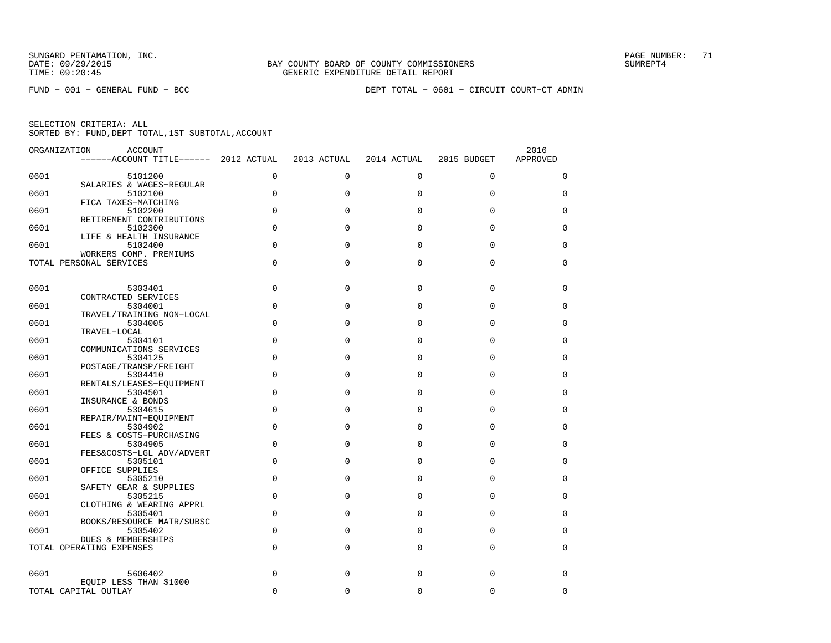|      | ORGANIZATION<br><b>ACCOUNT</b><br>------ACCOUNT TITLE------ 2012 ACTUAL |             | 2013 ACTUAL | 2014 ACTUAL | 2015 BUDGET | 2016<br>APPROVED |
|------|-------------------------------------------------------------------------|-------------|-------------|-------------|-------------|------------------|
| 0601 | 5101200                                                                 | $\Omega$    | $\Omega$    | $\Omega$    | $\Omega$    | $\Omega$         |
| 0601 | SALARIES & WAGES-REGULAR<br>5102100                                     | $\mathbf 0$ | $\Omega$    | $\Omega$    | $\mathbf 0$ | $\Omega$         |
| 0601 | FICA TAXES-MATCHING<br>5102200                                          | $\Omega$    | $\Omega$    | $\Omega$    | $\Omega$    | 0                |
| 0601 | RETIREMENT CONTRIBUTIONS<br>5102300                                     | $\mathbf 0$ | $\Omega$    | $\mathbf 0$ | 0           | 0                |
| 0601 | LIFE & HEALTH INSURANCE<br>5102400                                      | $\Omega$    | $\Omega$    | $\Omega$    | $\Omega$    | 0                |
|      | WORKERS COMP. PREMIUMS<br>TOTAL PERSONAL SERVICES                       | $\Omega$    | $\Omega$    | $\Omega$    | $\Omega$    | $\Omega$         |
| 0601 | 5303401                                                                 | $\Omega$    | $\Omega$    | $\Omega$    | $\Omega$    | $\Omega$         |
| 0601 | CONTRACTED SERVICES<br>5304001                                          | $\Omega$    | $\Omega$    | $\Omega$    | $\Omega$    | 0                |
| 0601 | TRAVEL/TRAINING NON-LOCAL<br>5304005                                    | $\Omega$    | $\Omega$    | $\Omega$    | $\Omega$    | $\Omega$         |
| 0601 | TRAVEL-LOCAL<br>5304101                                                 | $\mathbf 0$ | $\Omega$    | $\mathbf 0$ | 0           | 0                |
| 0601 | COMMUNICATIONS SERVICES<br>5304125                                      | $\Omega$    | $\Omega$    | $\Omega$    | $\Omega$    | $\Omega$         |
| 0601 | POSTAGE/TRANSP/FREIGHT<br>5304410                                       | $\Omega$    | $\Omega$    | $\Omega$    | $\Omega$    | $\Omega$         |
| 0601 | RENTALS/LEASES-EOUIPMENT<br>5304501                                     | $\Omega$    | $\Omega$    | $\Omega$    | $\Omega$    | $\Omega$         |
| 0601 | INSURANCE & BONDS<br>5304615                                            | $\mathbf 0$ | $\Omega$    | $\mathbf 0$ | 0           | 0                |
| 0601 | REPAIR/MAINT-EQUIPMENT<br>5304902                                       | $\mathbf 0$ | $\Omega$    | $\Omega$    | 0           | 0                |
| 0601 | FEES & COSTS-PURCHASING<br>5304905<br>FEES&COSTS-LGL ADV/ADVERT         | $\Omega$    | $\Omega$    | $\Omega$    | $\Omega$    | $\Omega$         |
| 0601 | 5305101<br>OFFICE SUPPLIES                                              | $\Omega$    | $\Omega$    | $\Omega$    | $\Omega$    | 0                |
| 0601 | 5305210<br>SAFETY GEAR & SUPPLIES                                       | $\Omega$    | $\Omega$    | $\Omega$    | 0           | 0                |
| 0601 | 5305215<br>CLOTHING & WEARING APPRL                                     | $\Omega$    | $\Omega$    | $\Omega$    | $\Omega$    | 0                |
| 0601 | 5305401<br>BOOKS/RESOURCE MATR/SUBSC                                    | 0           | $\Omega$    | $\mathbf 0$ | 0           | 0                |
| 0601 | 5305402<br><b>DUES &amp; MEMBERSHIPS</b>                                | 0           | $\Omega$    | $\Omega$    | $\Omega$    | $\Omega$         |
|      | TOTAL OPERATING EXPENSES                                                | $\Omega$    | $\Omega$    | $\Omega$    | $\Omega$    | $\Omega$         |
| 0601 | 5606402                                                                 | $\Omega$    | $\Omega$    | $\mathbf 0$ | $\Omega$    | 0                |
|      | EQUIP LESS THAN \$1000<br>TOTAL CAPITAL OUTLAY                          | $\Omega$    | 0           | 0           | $\Omega$    | 0                |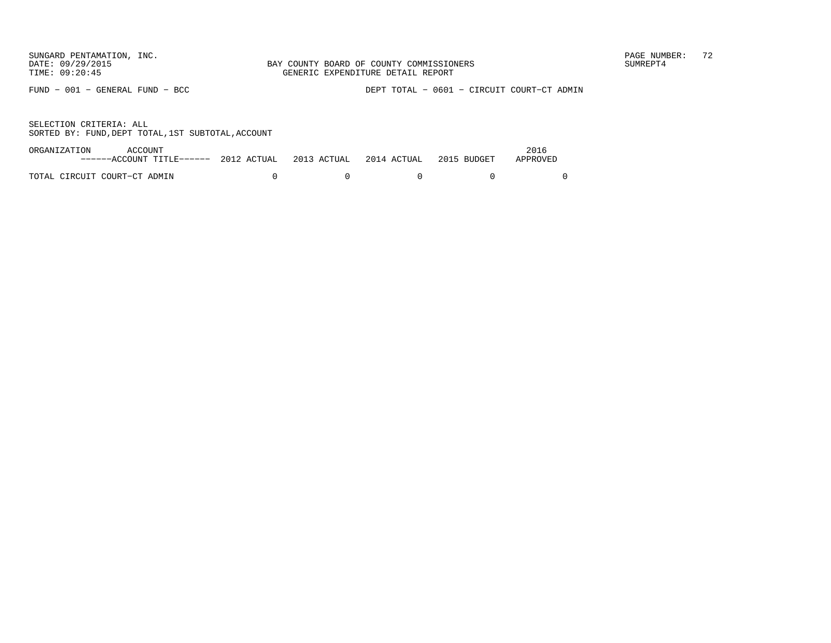FUND − 001 − GENERAL FUND − BCC DEPT TOTAL − 0601 − CIRCUIT COURT−CT ADMIN

| ORGANIZATION                 | ACCOUNT                                                                   |  |  | 2016     |
|------------------------------|---------------------------------------------------------------------------|--|--|----------|
|                              | ------ACCOUNT TITLE------ 2012 ACTUAL 2013 ACTUAL 2014 ACTUAL 2015 BUDGET |  |  | APPROVED |
|                              |                                                                           |  |  |          |
| TOTAL CIRCUIT COURT-CT ADMIN |                                                                           |  |  |          |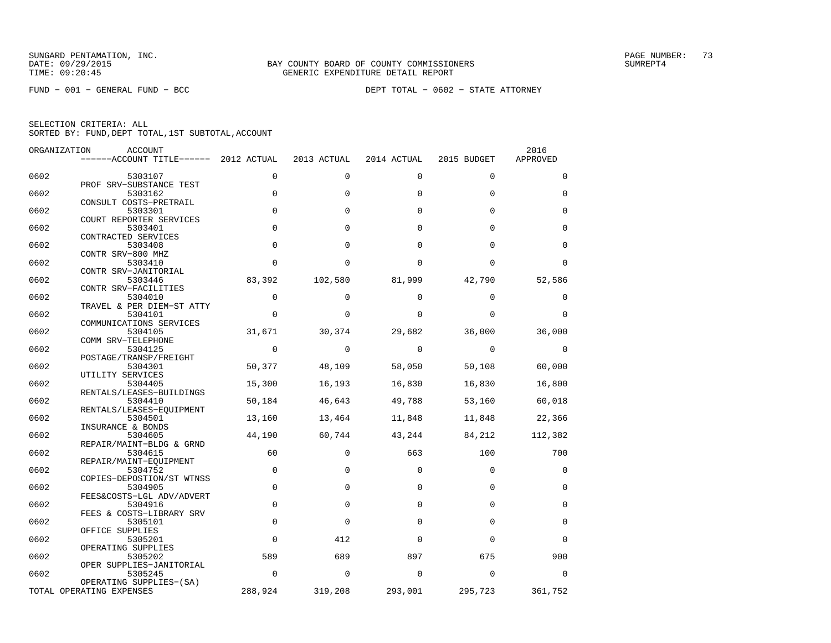FUND − 001 − GENERAL FUND − BCC DEPT TOTAL − 0602 − STATE ATTORNEY

| ORGANIZATION | <b>ACCOUNT</b>                        |             |             |             |             | 2016        |
|--------------|---------------------------------------|-------------|-------------|-------------|-------------|-------------|
|              | ------ACCOUNT TITLE------ 2012 ACTUAL |             | 2013 ACTUAL | 2014 ACTUAL | 2015 BUDGET | APPROVED    |
| 0602         | 5303107                               | $\Omega$    | $\Omega$    | $\Omega$    | $\Omega$    | $\Omega$    |
|              | PROF SRV-SUBSTANCE TEST               |             |             |             |             |             |
| 0602         | 5303162                               | $\mathbf 0$ | $\Omega$    | $\Omega$    | $\Omega$    | $\Omega$    |
|              | CONSULT COSTS-PRETRAIL                |             |             |             |             |             |
| 0602         | 5303301                               | $\Omega$    | $\Omega$    | $\Omega$    | $\Omega$    | $\Omega$    |
| 0602         | COURT REPORTER SERVICES<br>5303401    | $\mathbf 0$ | $\Omega$    | $\Omega$    | $\Omega$    | $\mathbf 0$ |
|              | CONTRACTED SERVICES                   |             |             |             |             |             |
| 0602         | 5303408                               | $\Omega$    | $\Omega$    | $\Omega$    | $\Omega$    | $\Omega$    |
|              | CONTR SRV-800 MHZ                     |             |             |             |             |             |
| 0602         | 5303410                               | $\mathbf 0$ | $\Omega$    | $\Omega$    | $\Omega$    | $\mathbf 0$ |
| 0602         | CONTR SRV-JANITORIAL<br>5303446       | 83,392      | 102,580     | 81,999      | 42,790      | 52,586      |
|              | CONTR SRV-FACILITIES                  |             |             |             |             |             |
| 0602         | 5304010                               | $\Omega$    | $\Omega$    | $\Omega$    | $\Omega$    | $\Omega$    |
|              | TRAVEL & PER DIEM-ST ATTY             |             |             |             |             |             |
| 0602         | 5304101                               | $\Omega$    | $\Omega$    | $\Omega$    | $\Omega$    | $\Omega$    |
|              | COMMUNICATIONS SERVICES               |             |             |             |             |             |
| 0602         | 5304105<br>COMM SRV-TELEPHONE         | 31,671      | 30,374      | 29,682      | 36,000      | 36,000      |
| 0602         | 5304125                               | $\mathbf 0$ | $\Omega$    | $\Omega$    | $\Omega$    | 0           |
|              | POSTAGE/TRANSP/FREIGHT                |             |             |             |             |             |
| 0602         | 5304301                               | 50,377      | 48,109      | 58,050      | 50,108      | 60,000      |
|              | UTILITY SERVICES                      |             |             |             |             |             |
| 0602         | 5304405                               | 15,300      | 16,193      | 16,830      | 16,830      | 16,800      |
| 0602         | RENTALS/LEASES-BUILDINGS<br>5304410   | 50,184      | 46,643      | 49,788      | 53,160      | 60,018      |
|              | RENTALS/LEASES-EOUIPMENT              |             |             |             |             |             |
| 0602         | 5304501                               | 13,160      | 13,464      | 11,848      | 11,848      | 22,366      |
|              | INSURANCE & BONDS                     |             |             |             |             |             |
| 0602         | 5304605                               | 44,190      | 60,744      | 43,244      | 84,212      | 112,382     |
| 0602         | REPAIR/MAINT-BLDG & GRND<br>5304615   | 60          | $\Omega$    | 663         | 100         | 700         |
|              | REPAIR/MAINT-EQUIPMENT                |             |             |             |             |             |
| 0602         | 5304752                               | $\mathbf 0$ | 0           | $\Omega$    | $\Omega$    | 0           |
|              | COPIES-DEPOSTION/ST WTNSS             |             |             |             |             |             |
| 0602         | 5304905                               | $\mathbf 0$ | $\Omega$    | $\Omega$    | $\Omega$    | 0           |
| 0602         | FEES&COSTS-LGL ADV/ADVERT<br>5304916  | $\mathbf 0$ | $\mathbf 0$ | $\Omega$    | $\Omega$    | $\mathbf 0$ |
|              | FEES & COSTS-LIBRARY SRV              |             |             |             |             |             |
| 0602         | 5305101                               | $\mathbf 0$ | $\Omega$    | $\Omega$    | $\Omega$    | $\mathbf 0$ |
|              | OFFICE SUPPLIES                       |             |             |             |             |             |
| 0602         | 5305201                               | $\Omega$    | 412         | $\Omega$    | $\Omega$    | $\Omega$    |
|              | OPERATING SUPPLIES                    |             |             |             |             |             |
| 0602         | 5305202<br>OPER SUPPLIES-JANITORIAL   | 589         | 689         | 897         | 675         | 900         |
| 0602         | 5305245                               | $\mathbf 0$ | $\Omega$    | $\Omega$    | $\Omega$    | $\Omega$    |
|              | OPERATING SUPPLIES-(SA)               |             |             |             |             |             |
|              | TOTAL OPERATING EXPENSES              | 288,924     | 319,208     | 293,001     | 295,723     | 361,752     |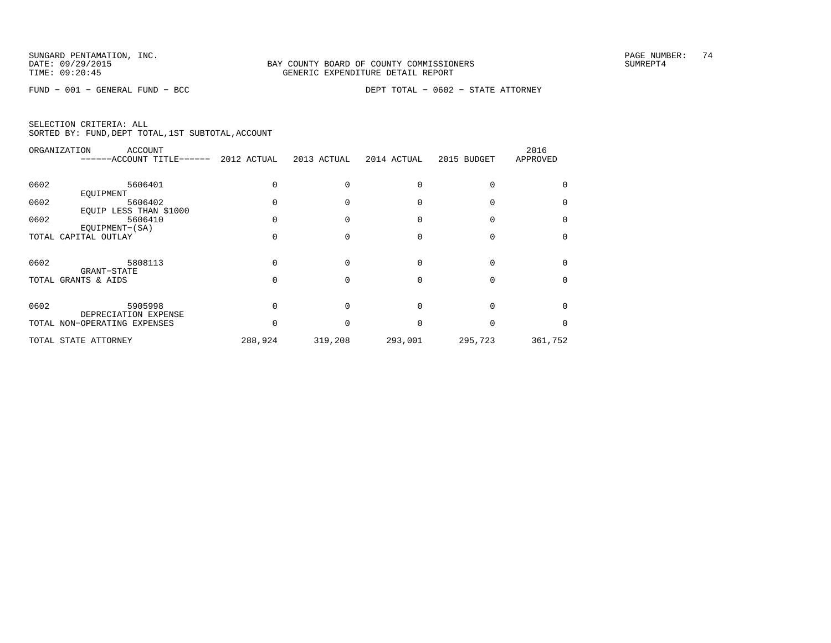FUND − 001 − GENERAL FUND − BCC DEPT TOTAL − 0602 − STATE ATTORNEY

|      | ORGANIZATION<br><b>ACCOUNT</b><br>------ACCOUNT TITLE------ | 2012 ACTUAL | 2013 ACTUAL | 2014 ACTUAL | 2015 BUDGET | 2016<br>APPROVED |
|------|-------------------------------------------------------------|-------------|-------------|-------------|-------------|------------------|
| 0602 | 5606401                                                     |             |             |             |             |                  |
|      | EOUIPMENT                                                   |             |             |             |             |                  |
| 0602 | 5606402                                                     |             |             |             |             |                  |
|      | EQUIP LESS THAN \$1000                                      |             |             |             |             |                  |
| 0602 | 5606410                                                     |             |             |             |             | <sup>0</sup>     |
|      | EOUIPMENT-(SA)                                              |             |             |             |             |                  |
|      | TOTAL CAPITAL OUTLAY                                        |             |             |             |             | $\Omega$         |
|      |                                                             |             |             |             |             |                  |
| 0602 | 5808113                                                     |             |             |             |             |                  |
|      | GRANT-STATE                                                 |             |             |             |             |                  |
|      | TOTAL GRANTS & AIDS                                         |             |             |             |             | $\Omega$         |
|      |                                                             |             |             |             |             |                  |
| 0602 | 5905998                                                     |             |             |             |             | <sup>0</sup>     |
|      | DEPRECIATION EXPENSE                                        |             |             |             |             |                  |
|      | TOTAL NON-OPERATING EXPENSES                                |             |             | U           |             | <sup>0</sup>     |
|      | TOTAL STATE ATTORNEY                                        | 288,924     | 319,208     | 293,001     | 295,723     | 361,752          |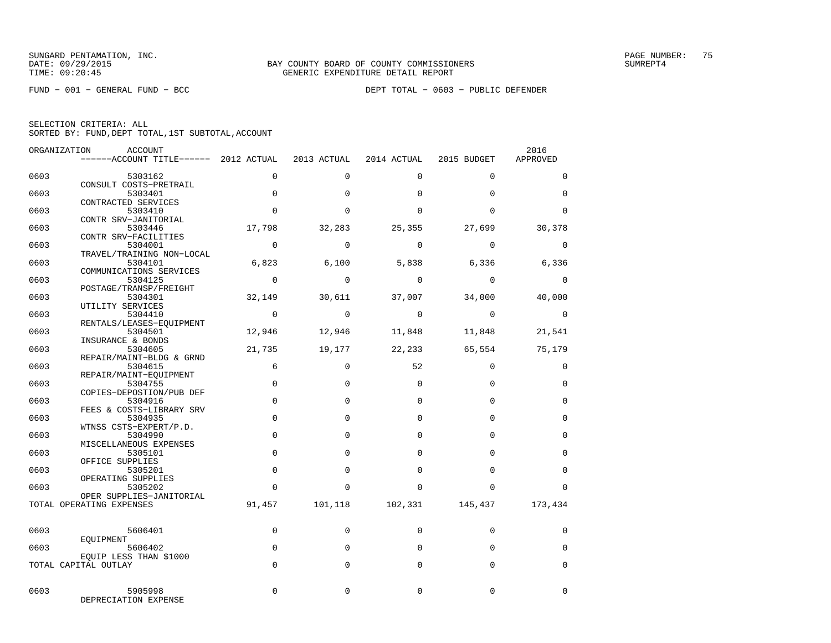|  | SELECTION CRITERIA: ALL |                                                    |
|--|-------------------------|----------------------------------------------------|
|  |                         | SORTED BY: FUND, DEPT TOTAL, 1ST SUBTOTAL, ACCOUNT |

|      | ORGANIZATION<br>ACCOUNT               |                |             |                   |                 | 2016        |
|------|---------------------------------------|----------------|-------------|-------------------|-----------------|-------------|
|      | ------ACCOUNT TITLE------ 2012 ACTUAL |                | 2013 ACTUAL | 2014 ACTUAL       | 2015 BUDGET     | APPROVED    |
| 0603 | 5303162                               | $\Omega$       | $\Omega$    | $\Omega$          | $\mathbf 0$     | $\mathbf 0$ |
| 0603 | CONSULT COSTS-PRETRAIL<br>5303401     | $\Omega$       | $\Omega$    | $\Omega$          | $\Omega$        | $\Omega$    |
| 0603 | CONTRACTED SERVICES<br>5303410        | $\Omega$       | $\Omega$    | $\Omega$          | $\Omega$        | $\Omega$    |
| 0603 | CONTR SRV-JANITORIAL<br>5303446       | 17,798         | 32,283      | 25,355            | 27,699          | 30,378      |
|      | CONTR SRV-FACILITIES                  |                |             |                   |                 |             |
| 0603 | 5304001<br>TRAVEL/TRAINING NON-LOCAL  | $\overline{0}$ | $\Omega$    | $\Omega$          | $\Omega$        | $\mathbf 0$ |
| 0603 | 5304101<br>COMMUNICATIONS SERVICES    |                |             | 6,823 6,100 5,838 | 6,336           | 6,336       |
| 0603 | 5304125                               | $\overline{0}$ | $\Omega$    | $\overline{0}$    | $\Omega$        | $\Omega$    |
| 0603 | POSTAGE/TRANSP/FREIGHT<br>5304301     | 32,149         | 30,611      | 37,007            | 34,000          | 40,000      |
| 0603 | UTILITY SERVICES<br>5304410           | $\overline{0}$ | $\Omega$    | $\Omega$          | $\Omega$        | $\Omega$    |
| 0603 | RENTALS/LEASES-EQUIPMENT<br>5304501   | 12,946         | 12,946      | 11,848            | 11,848          | 21,541      |
|      | INSURANCE & BONDS                     |                |             |                   |                 |             |
| 0603 | 5304605<br>REPAIR/MAINT-BLDG & GRND   | 21,735         | 19,177      | 22,233            | 65,554          | 75,179      |
| 0603 | 5304615<br>REPAIR/MAINT-EQUIPMENT     | 6              | $\mathbf 0$ | 52                | $\Omega$        | $\mathbf 0$ |
| 0603 | 5304755<br>COPIES-DEPOSTION/PUB DEF   | $\mathbf 0$    | $\mathbf 0$ | $\Omega$          | $\Omega$        | 0           |
| 0603 | 5304916                               | $\Omega$       | $\Omega$    | $\Omega$          | $\Omega$        | $\Omega$    |
| 0603 | FEES & COSTS-LIBRARY SRV<br>5304935   | $\Omega$       | $\Omega$    | $\Omega$          | $\Omega$        | $\mathbf 0$ |
| 0603 | WTNSS CSTS-EXPERT/P.D.<br>5304990     | $\Omega$       | $\Omega$    | $\Omega$          | $\Omega$        | $\Omega$    |
| 0603 | MISCELLANEOUS EXPENSES<br>5305101     | $\Omega$       | $\Omega$    | $\Omega$          | $\Omega$        | $\mathbf 0$ |
|      | OFFICE SUPPLIES                       | $\Omega$       | $\Omega$    | $\Omega$          | $\Omega$        |             |
| 0603 | 5305201<br>OPERATING SUPPLIES         |                |             |                   |                 | $\Omega$    |
| 0603 | 5305202<br>OPER SUPPLIES-JANITORIAL   | $\Omega$       | $\Omega$    | $\Omega$          | $\Omega$        | $\Omega$    |
|      | TOTAL OPERATING EXPENSES              | 91,457         | 101,118     |                   | 102,331 145,437 | 173,434     |
| 0603 | 5606401                               | $\mathbf 0$    | 0           | $\Omega$          | $\Omega$        | $\mathbf 0$ |
| 0603 | EQUIPMENT<br>5606402                  | $\mathbf 0$    | $\Omega$    | $\Omega$          | $\Omega$        | $\Omega$    |
|      | EOUIP LESS THAN \$1000                |                |             |                   |                 |             |
|      | TOTAL CAPITAL OUTLAY                  | $\Omega$       | $\Omega$    | $\Omega$          | $\Omega$        | $\mathbf 0$ |
| 0603 | 5905998<br>DEPRECIATION EXPENSE       | $\Omega$       | $\Omega$    | $\Omega$          | $\Omega$        | $\Omega$    |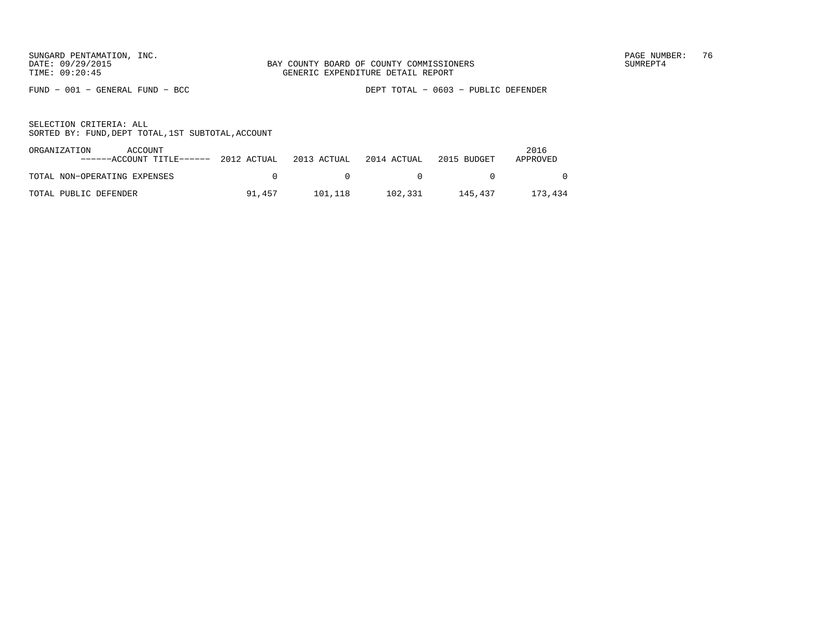FUND − 001 − GENERAL FUND − BCC DEPT TOTAL − 0603 − PUBLIC DEFENDER

| ORGANIZATION<br>ACCOUNT<br>$----ACCOUNT$ TITLE------ 2012 ACTUAL 2013 ACTUAL 2014 ACTUAL |        |              |         | 2015 BUDGET | 2016<br>APPROVED |
|------------------------------------------------------------------------------------------|--------|--------------|---------|-------------|------------------|
| TOTAL NON-OPERATING EXPENSES                                                             |        | $\mathbf{a}$ | $\Box$  |             |                  |
| TOTAL PUBLIC DEFENDER                                                                    | 91.457 | 101.118      | 102,331 | 145.437     | 173,434          |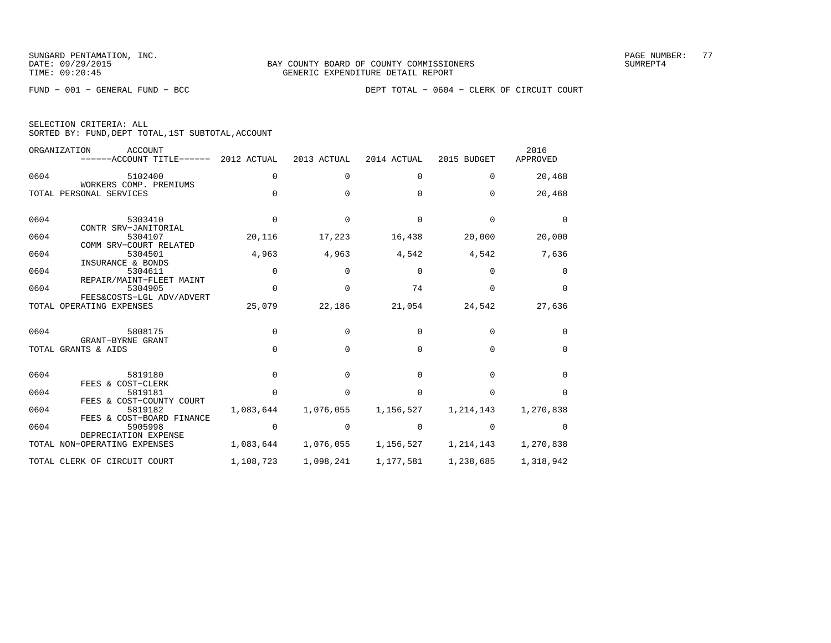SELECTION CRITERIA: ALL

SORTED BY: FUND,DEPT TOTAL,1ST SUBTOTAL,ACCOUNT

FUND − 001 − GENERAL FUND − BCC DEPT TOTAL − 0604 − CLERK OF CIRCUIT COURT

|      | ORGANIZATION<br>ACCOUNT<br>------ACCOUNT TITLE------             | 2012 ACTUAL  | 2013 ACTUAL  | 2014 ACTUAL  | 2015 BUDGET  | 2016<br>APPROVED |
|------|------------------------------------------------------------------|--------------|--------------|--------------|--------------|------------------|
| 0604 | 5102400                                                          | $\mathbf 0$  | $\Omega$     | 0            | $\Omega$     | 20,468           |
|      | WORKERS COMP. PREMIUMS<br>TOTAL PERSONAL SERVICES                | $\Omega$     | $\Omega$     | 0            | $\Omega$     | 20,468           |
| 0604 | 5303410                                                          | $\Omega$     | $\Omega$     | $\Omega$     | $\Omega$     | $\Omega$         |
| 0604 | CONTR SRV-JANITORIAL<br>5304107<br>COMM SRV-COURT RELATED        | 20,116       | 17,223       | 16,438       | 20,000       | 20,000           |
| 0604 | 5304501                                                          | 4,963        | 4,963        | 4,542        | 4,542        | 7,636            |
| 0604 | INSURANCE & BONDS<br>5304611<br>REPAIR/MAINT-FLEET MAINT         | $\Omega$     | 0            | $\mathbf 0$  | $\Omega$     | 0                |
| 0604 | 5304905                                                          | $\Omega$     | $\Omega$     | 74           | $\Omega$     | $\Omega$         |
|      | FEES&COSTS-LGL ADV/ADVERT<br>TOTAL OPERATING EXPENSES            | 25,079       | 22,186       | 21,054       | 24,542       | 27,636           |
| 0604 | 5808175<br>GRANT-BYRNE GRANT                                     | $\Omega$     | $\Omega$     | $\Omega$     | $\Omega$     | $\Omega$         |
|      | TOTAL GRANTS & AIDS                                              | $\Omega$     | $\Omega$     | <sup>0</sup> | $\Omega$     | $\Omega$         |
| 0604 | 5819180<br>FEES & COST-CLERK                                     | $\Omega$     | <sup>0</sup> | $\Omega$     | <sup>n</sup> | $\Omega$         |
| 0604 | 5819181                                                          | <sup>n</sup> | <sup>n</sup> | U            | <sup>n</sup> | <sup>n</sup>     |
| 0604 | FEES & COST-COUNTY COURT<br>5819182<br>FEES & COST-BOARD FINANCE | 1,083,644    | 1,076,055    | 1,156,527    | 1,214,143    | 1,270,838        |
| 0604 | 5905998                                                          | $\Omega$     | $\Omega$     | $\Omega$     | $\Omega$     | <sup>0</sup>     |
|      | DEPRECIATION EXPENSE<br>TOTAL NON-OPERATING EXPENSES             | 1,083,644    | 1,076,055    | 1,156,527    | 1,214,143    | 1,270,838        |
|      | TOTAL CLERK OF CIRCUIT COURT                                     | 1,108,723    | 1,098,241    | 1,177,581    | 1,238,685    | 1,318,942        |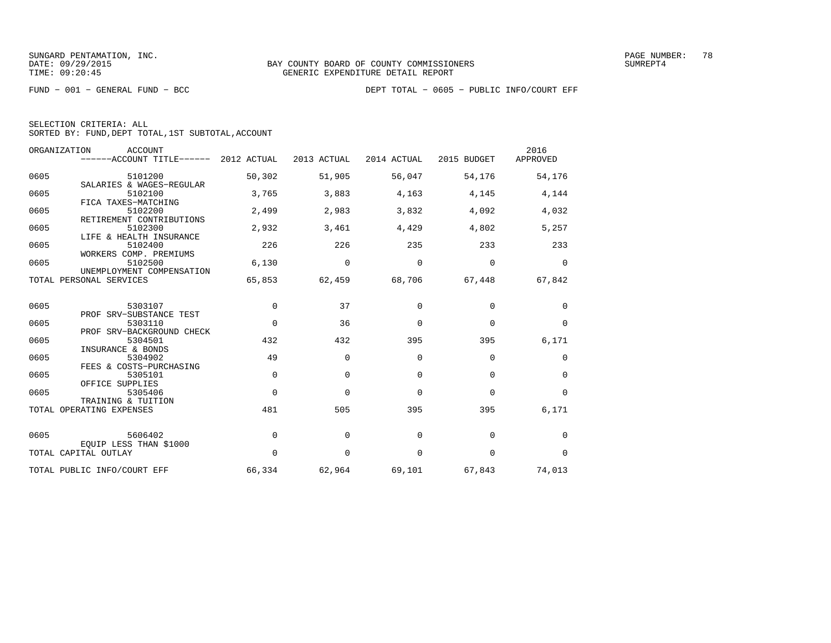| SELECTION CRITERIA: ALL |  |  |                                                    |  |
|-------------------------|--|--|----------------------------------------------------|--|
|                         |  |  | SORTED BY: FUND, DEPT TOTAL, 1ST SUBTOTAL, ACCOUNT |  |

| ORGANIZATION<br><b>ACCOUNT</b>               | ------ACCOUNT TITLE------ 2012 ACTUAL |             | 2013 ACTUAL | 2014 ACTUAL | 2015 BUDGET | 2016<br>APPROVED |
|----------------------------------------------|---------------------------------------|-------------|-------------|-------------|-------------|------------------|
| 0605<br>5101200<br>SALARIES & WAGES-REGULAR  |                                       | 50,302      | 51,905      | 56,047      | 54,176      | 54,176           |
| 0605<br>5102100<br>FICA TAXES-MATCHING       |                                       | 3,765       | 3,883       | 4,163       | 4,145       | 4,144            |
| 0605<br>5102200<br>RETIREMENT CONTRIBUTIONS  |                                       | 2,499       | 2,983       | 3,832       | 4,092       | 4,032            |
| 5102300<br>0605<br>LIFE & HEALTH INSURANCE   |                                       | 2,932       | 3,461       | 4,429       | 4,802       | 5,257            |
| 0605<br>5102400<br>WORKERS COMP. PREMIUMS    |                                       | 226         | 226         | 235         | 233         | 233              |
| 0605<br>5102500<br>UNEMPLOYMENT COMPENSATION |                                       | 6,130       | 0           | 0           | 0           | $\mathbf 0$      |
| TOTAL PERSONAL SERVICES                      |                                       | 65,853      | 62,459      | 68,706      | 67,448      | 67,842           |
| 0605<br>5303107<br>PROF SRV-SUBSTANCE TEST   |                                       | $\Omega$    | 37          | $\Omega$    | 0           | 0                |
| 0605<br>5303110<br>PROF SRV-BACKGROUND CHECK |                                       | $\mathbf 0$ | 36          | 0           | 0           | 0                |
| 0605<br>5304501<br>INSURANCE & BONDS         |                                       | 432         | 432         | 395         | 395         | 6,171            |
| 0605<br>5304902<br>FEES & COSTS-PURCHASING   |                                       | 49          | $\Omega$    | 0           | 0           | 0                |
| 0605<br>5305101<br>OFFICE SUPPLIES           |                                       | $\Omega$    | $\Omega$    | $\Omega$    | $\Omega$    | 0                |
| 0605<br>5305406<br>TRAINING & TUITION        |                                       | $\Omega$    | $\Omega$    | $\Omega$    | $\Omega$    | $\mathbf 0$      |
| TOTAL OPERATING EXPENSES                     |                                       | 481         | 505         | 395         | 395         | 6,171            |
| 0605<br>5606402<br>EQUIP LESS THAN \$1000    |                                       | $\mathbf 0$ | 0           | 0           | $\mathbf 0$ | 0                |
| TOTAL CAPITAL OUTLAY                         |                                       | $\Omega$    | $\mathbf 0$ | $\mathbf 0$ | $\mathbf 0$ | $\mathbf 0$      |
| TOTAL PUBLIC INFO/COURT EFF                  |                                       | 66,334      | 62,964      | 69,101      | 67,843      | 74,013           |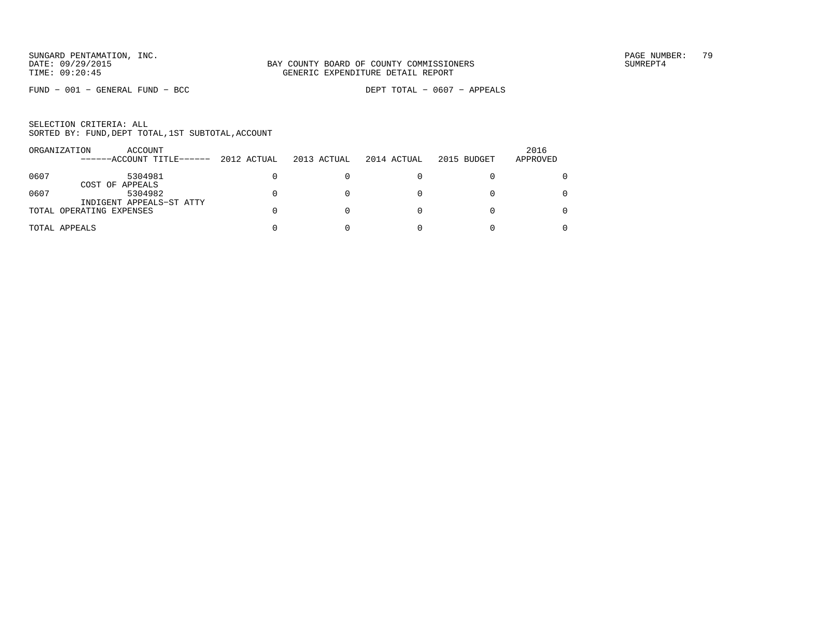FUND − 001 − GENERAL FUND − BCC DEPT TOTAL − 0607 − APPEALS

|      | ORGANIZATION<br>ACCOUNT<br>------ACCOUNT TITLE------ | 2012 ACTUAL | 2013 ACTUAL | 2014 ACTUAL | 2015 BUDGET | 2016<br>APPROVED |
|------|------------------------------------------------------|-------------|-------------|-------------|-------------|------------------|
| 0607 | 5304981<br>COST OF APPEALS                           |             |             |             |             |                  |
| 0607 | 5304982<br>INDIGENT APPEALS-ST ATTY                  |             |             |             |             | 0                |
|      | TOTAL OPERATING EXPENSES                             |             |             |             |             | 0                |
|      | TOTAL APPEALS                                        |             |             |             |             | 0                |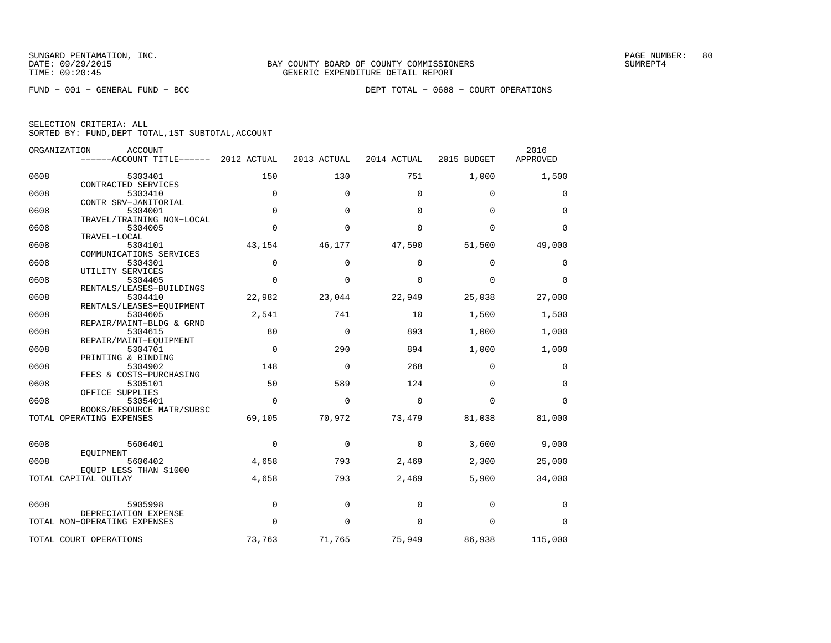| ORGANIZATION | <b>ACCOUNT</b><br>------ACCOUNT TITLE------ | 2012 ACTUAL | 2013 ACTUAL | 2014 ACTUAL | 2015 BUDGET | 2016<br>APPROVED |
|--------------|---------------------------------------------|-------------|-------------|-------------|-------------|------------------|
| 0608         | 5303401                                     | 150         | 130         | 751         | 1,000       | 1,500            |
|              | CONTRACTED SERVICES                         |             |             |             |             |                  |
| 0608         | 5303410                                     | $\mathbf 0$ | $\mathbf 0$ | $\mathbf 0$ | $\mathbf 0$ | 0                |
|              | CONTR SRV-JANITORIAL                        |             |             |             |             |                  |
| 0608         | 5304001                                     | $\mathbf 0$ | $\mathbf 0$ | $\mathbf 0$ | $\mathbf 0$ | $\mathbf 0$      |
|              | TRAVEL/TRAINING NON-LOCAL                   |             |             |             |             |                  |
| 0608         | 5304005<br>TRAVEL-LOCAL                     | $\Omega$    | $\Omega$    | $\Omega$    | $\Omega$    | $\Omega$         |
| 0608         | 5304101                                     | 43,154      | 46,177      | 47,590      | 51,500      | 49,000           |
|              | COMMUNICATIONS SERVICES                     |             |             |             |             |                  |
| 0608         | 5304301                                     | $\Omega$    | $\Omega$    | $\Omega$    | $\Omega$    | 0                |
|              | UTILITY SERVICES                            |             |             |             |             |                  |
| 0608         | 5304405                                     | $\Omega$    | $\Omega$    | $\Omega$    | $\Omega$    | $\Omega$         |
|              | RENTALS/LEASES-BUILDINGS                    |             |             |             |             |                  |
| 0608         | 5304410                                     | 22,982      | 23,044      | 22,949      | 25,038      | 27,000           |
|              | RENTALS/LEASES-EQUIPMENT                    |             |             |             |             |                  |
| 0608         | 5304605                                     | 2,541       | 741         | 10          | 1,500       | 1,500            |
|              | REPAIR/MAINT-BLDG & GRND                    |             |             |             |             |                  |
| 0608         | 5304615                                     | 80          | 0           | 893         | 1,000       | 1,000            |
|              | REPAIR/MAINT-EOUIPMENT                      |             |             |             |             |                  |
| 0608         | 5304701                                     | $\mathbf 0$ | 290         | 894         | 1,000       | 1,000            |
|              | PRINTING & BINDING                          |             |             |             |             |                  |
| 0608         | 5304902                                     | 148         | $\mathbf 0$ | 268         | $\mathbf 0$ | 0                |
| 0608         | FEES & COSTS-PURCHASING<br>5305101          | 50          | 589         | 124         | $\Omega$    | $\mathbf 0$      |
|              | OFFICE SUPPLIES                             |             |             |             |             |                  |
| 0608         | 5305401                                     | $\Omega$    | $\Omega$    | $\Omega$    | $\Omega$    | $\Omega$         |
|              | BOOKS/RESOURCE MATR/SUBSC                   |             |             |             |             |                  |
|              | TOTAL OPERATING EXPENSES                    | 69,105      | 70,972      | 73,479      | 81,038      | 81,000           |
|              |                                             |             |             |             |             |                  |
| 0608         | 5606401                                     | $\Omega$    | 0           | $\Omega$    | 3,600       | 9,000            |
|              | EOUIPMENT                                   |             |             |             |             |                  |
| 0608         | 5606402                                     | 4,658       | 793         | 2,469       | 2,300       | 25,000           |
|              | EQUIP LESS THAN \$1000                      |             |             |             |             |                  |
|              | TOTAL CAPITAL OUTLAY                        | 4,658       | 793         | 2,469       | 5,900       | 34,000           |
|              |                                             |             |             |             |             |                  |
| 0608         | 5905998                                     | $\mathbf 0$ | 0           | 0           | $\mathbf 0$ | 0                |
|              | DEPRECIATION EXPENSE                        |             |             |             |             |                  |
|              | TOTAL NON-OPERATING EXPENSES                | $\Omega$    | $\Omega$    | $\Omega$    | $\mathbf 0$ | $\Omega$         |
|              |                                             |             |             |             |             |                  |
|              | TOTAL COURT OPERATIONS                      | 73,763      | 71,765      | 75,949      | 86,938      | 115,000          |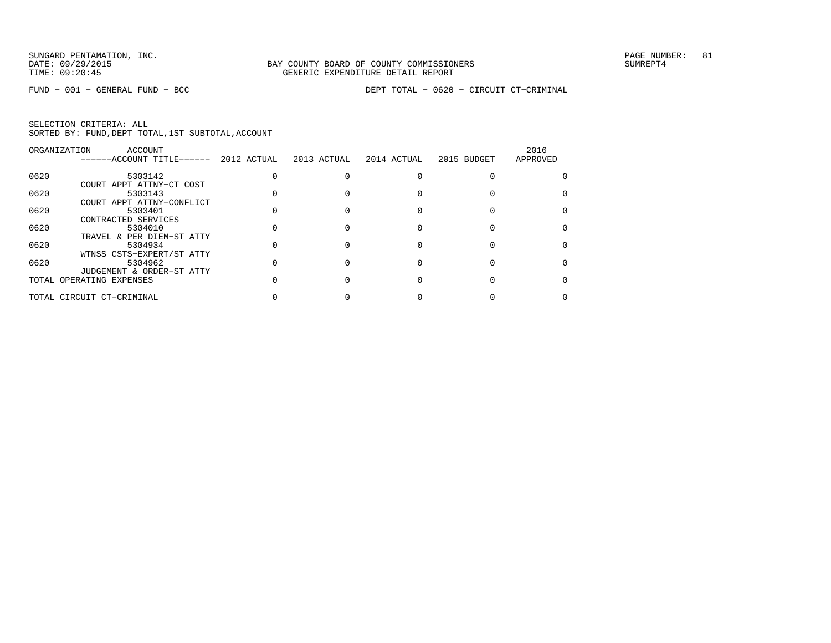|      | ORGANIZATION<br>ACCOUNT   |             |             |             |             | 2016     |
|------|---------------------------|-------------|-------------|-------------|-------------|----------|
|      | ------ACCOUNT TITLE------ | 2012 ACTUAL | 2013 ACTUAL | 2014 ACTUAL | 2015 BUDGET | APPROVED |
| 0620 | 5303142                   |             |             |             |             |          |
|      | COURT APPT ATTNY-CT COST  |             |             |             |             |          |
| 0620 | 5303143                   |             |             |             |             |          |
|      | COURT APPT ATTNY-CONFLICT |             |             |             |             |          |
| 0620 | 5303401                   |             |             |             |             |          |
|      | CONTRACTED SERVICES       |             |             |             |             |          |
| 0620 | 5304010                   |             |             |             |             |          |
|      | TRAVEL & PER DIEM-ST ATTY |             |             |             |             |          |
| 0620 | 5304934                   |             |             |             |             |          |
|      | WTNSS CSTS-EXPERT/ST ATTY |             |             |             |             |          |
| 0620 | 5304962                   |             |             |             |             |          |
|      | JUDGEMENT & ORDER-ST ATTY |             |             |             |             |          |
|      | TOTAL OPERATING EXPENSES  |             |             |             |             |          |
|      |                           |             |             |             |             |          |
|      | TOTAL CIRCUIT CT-CRIMINAL |             |             |             |             |          |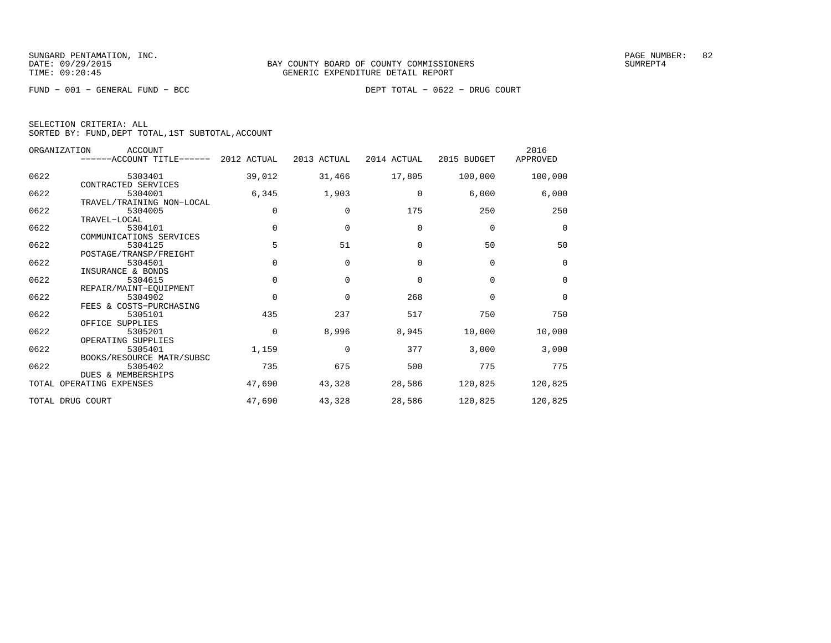FUND − 001 − GENERAL FUND − BCC DEPT TOTAL − 0622 − DRUG COURT

| SELECTION CRITERIA: ALL                            |  |  |
|----------------------------------------------------|--|--|
| SORTED BY: FUND. DEPT TOTAL. 1ST SUBTOTAL. ACCOUNT |  |  |

|      | ORGANIZATION<br><b>ACCOUNT</b><br>------ACCOUNT TITLE------ 2012 ACTUAL |             | 2013 ACTUAL | 2014 ACTUAL | 2015 BUDGET | 2016<br>APPROVED |
|------|-------------------------------------------------------------------------|-------------|-------------|-------------|-------------|------------------|
| 0622 | 5303401                                                                 | 39,012      | 31,466      | 17,805      | 100,000     | 100,000          |
|      | CONTRACTED SERVICES                                                     |             |             |             |             |                  |
| 0622 | 5304001                                                                 | 6,345       | 1,903       | 0           | 6,000       | 6,000            |
|      | TRAVEL/TRAINING NON-LOCAL                                               |             |             |             |             |                  |
| 0622 | 5304005                                                                 | $\Omega$    | $\Omega$    | 175         | 250         | 250              |
|      | TRAVEL-LOCAL                                                            |             |             |             |             |                  |
| 0622 | 5304101                                                                 | $\Omega$    | $\mathbf 0$ | 0           | $\mathbf 0$ | $\mathbf 0$      |
|      | COMMUNICATIONS SERVICES                                                 |             |             |             |             |                  |
| 0622 | 5304125                                                                 | 5           | 51          | $\Omega$    | 50          | 50               |
|      | POSTAGE/TRANSP/FREIGHT                                                  |             |             |             |             |                  |
| 0622 | 5304501                                                                 | $\Omega$    | $\Omega$    | $\Omega$    | $\mathbf 0$ | $\mathbf 0$      |
|      | INSURANCE & BONDS                                                       |             |             |             |             |                  |
| 0622 | 5304615                                                                 | $\Omega$    | $\Omega$    | $\Omega$    | $\Omega$    | $\Omega$         |
|      | REPAIR/MAINT-EOUIPMENT                                                  |             |             |             |             |                  |
| 0622 | 5304902                                                                 | $\Omega$    | $\mathbf 0$ | 268         | $\mathbf 0$ | $\mathbf 0$      |
|      | FEES & COSTS-PURCHASING                                                 |             |             |             |             |                  |
| 0622 | 5305101                                                                 | 435         | 237         | 517         | 750         | 750              |
|      | OFFICE SUPPLIES                                                         |             |             |             |             |                  |
| 0622 | 5305201                                                                 | $\mathbf 0$ | 8,996       | 8,945       | 10,000      | 10,000           |
|      | OPERATING SUPPLIES                                                      |             |             |             |             |                  |
| 0622 | 5305401                                                                 | 1,159       | $\Omega$    | 377         | 3,000       | 3,000            |
|      | BOOKS/RESOURCE MATR/SUBSC                                               |             |             |             |             |                  |
| 0622 | 5305402                                                                 | 735         | 675         | 500         | 775         | 775              |
|      | <b>DUES &amp; MEMBERSHIPS</b>                                           |             |             |             |             |                  |
|      | TOTAL OPERATING EXPENSES                                                | 47,690      | 43,328      | 28,586      | 120,825     | 120,825          |
|      | TOTAL DRUG COURT                                                        | 47,690      | 43,328      | 28,586      | 120,825     | 120,825          |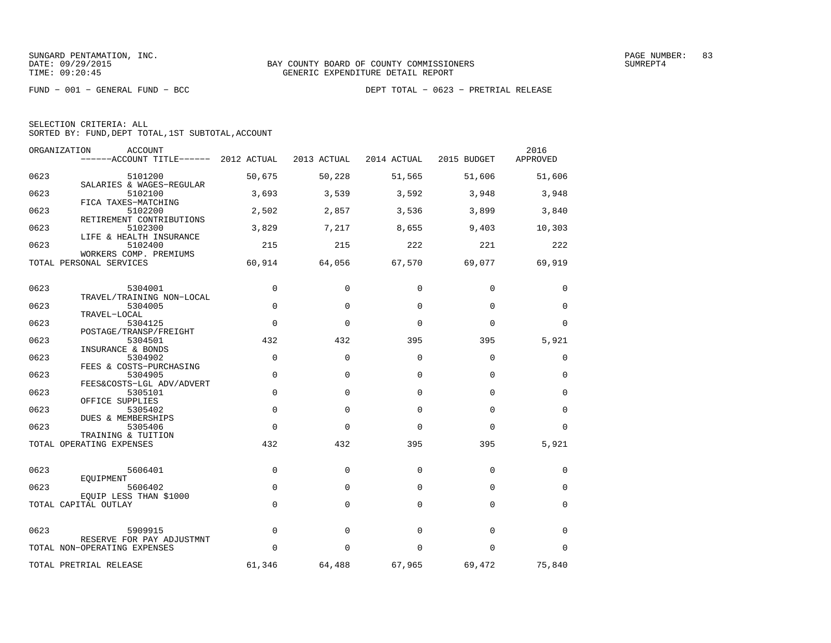|  | SELECTION CRITERIA: ALL                            |  |  |
|--|----------------------------------------------------|--|--|
|  | SORTED BY: FUND, DEPT TOTAL, 1ST SUBTOTAL, ACCOUNT |  |  |

| ORGANIZATION | <b>ACCOUNT</b><br>------ACCOUNT TITLE------ 2012 ACTUAL        |             | 2013 ACTUAL | 2014 ACTUAL | 2015 BUDGET | 2016<br>APPROVED |
|--------------|----------------------------------------------------------------|-------------|-------------|-------------|-------------|------------------|
| 0623         | 5101200                                                        | 50,675      | 50,228      | 51,565      | 51,606      | 51,606           |
| 0623         | SALARIES & WAGES-REGULAR<br>5102100                            | 3,693       | 3,539       | 3,592       | 3,948       | 3,948            |
| 0623         | FICA TAXES-MATCHING<br>5102200                                 | 2,502       | 2,857       | 3,536       | 3,899       | 3,840            |
| 0623         | RETIREMENT CONTRIBUTIONS<br>5102300<br>LIFE & HEALTH INSURANCE | 3,829       | 7,217       | 8,655       | 9,403       | 10,303           |
| 0623         | 5102400<br>WORKERS COMP. PREMIUMS                              | 215         | 215         | 222         | 221         | 222              |
|              | TOTAL PERSONAL SERVICES                                        | 60,914      | 64,056      | 67,570      | 69,077      | 69,919           |
| 0623         | 5304001                                                        | $\mathbf 0$ | $\Omega$    | $\Omega$    | 0           | 0                |
| 0623         | TRAVEL/TRAINING NON-LOCAL<br>5304005                           | $\Omega$    | $\Omega$    | $\Omega$    | $\Omega$    | $\Omega$         |
| 0623         | TRAVEL-LOCAL<br>5304125<br>POSTAGE/TRANSP/FREIGHT              | $\Omega$    | $\Omega$    | $\Omega$    | $\Omega$    | $\Omega$         |
| 0623         | 5304501<br>INSURANCE & BONDS                                   | 432         | 432         | 395         | 395         | 5,921            |
| 0623         | 5304902<br>FEES & COSTS-PURCHASING                             | $\Omega$    | $\Omega$    | $\Omega$    | $\Omega$    | 0                |
| 0623         | 5304905<br>FEES&COSTS-LGL ADV/ADVERT                           | $\Omega$    | $\Omega$    | $\Omega$    | $\Omega$    | $\Omega$         |
| 0623         | 5305101<br>OFFICE SUPPLIES                                     | $\mathbf 0$ | $\Omega$    | $\Omega$    | $\Omega$    | $\mathbf 0$      |
| 0623         | 5305402<br>DUES & MEMBERSHIPS                                  | $\mathbf 0$ | $\Omega$    | $\Omega$    | $\Omega$    | $\mathbf 0$      |
| 0623         | 5305406<br>TRAINING & TUITION                                  | $\Omega$    | $\Omega$    | $\Omega$    | $\Omega$    | $\Omega$         |
|              | TOTAL OPERATING EXPENSES                                       | 432         | 432         | 395         | 395         | 5,921            |
| 0623         | 5606401                                                        | $\mathbf 0$ | 0           | $\mathbf 0$ | $\mathbf 0$ | 0                |
| 0623         | EOUIPMENT<br>5606402<br>EQUIP LESS THAN \$1000                 | $\mathbf 0$ | $\mathbf 0$ | $\Omega$    | $\mathbf 0$ | $\mathbf 0$      |
|              | TOTAL CAPITAL OUTLAY                                           | $\mathbf 0$ | $\mathbf 0$ | $\Omega$    | $\Omega$    | $\mathbf 0$      |
| 0623         | 5909915                                                        | $\mathbf 0$ | $\mathbf 0$ | $\Omega$    | $\Omega$    | $\mathbf 0$      |
|              | RESERVE FOR PAY ADJUSTMNT<br>TOTAL NON-OPERATING EXPENSES      | $\Omega$    | $\Omega$    | $\Omega$    | $\Omega$    | 0                |
|              | TOTAL PRETRIAL RELEASE                                         | 61,346      | 64,488      | 67,965      | 69,472      | 75,840           |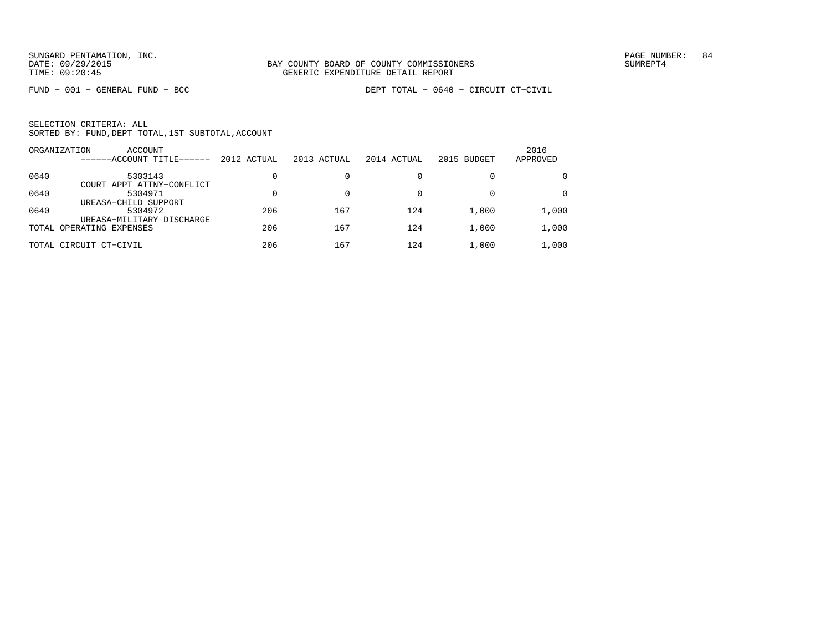|      | ORGANIZATION<br><b>ACCOUNT</b><br>------ACCOUNT TITLE-<br>$- - - - -$ | 2012 ACTUAL | 2013 ACTUAL | 2014 ACTUAL | 2015 BUDGET | 2016<br>APPROVED |
|------|-----------------------------------------------------------------------|-------------|-------------|-------------|-------------|------------------|
| 0640 | 5303143<br>COURT APPT ATTNY-CONFLICT                                  |             |             |             |             | $\Omega$         |
| 0640 | 5304971                                                               |             |             |             |             | $\Omega$         |
| 0640 | UREASA-CHILD SUPPORT<br>5304972<br>UREASA-MILITARY DISCHARGE          | 206         | 167         | 124         | 1,000       | 1,000            |
|      | TOTAL OPERATING EXPENSES                                              | 206         | 167         | 124         | 1,000       | 1,000            |
|      | TOTAL CIRCUIT CT-CIVIL                                                | 206         | 167         | 124         | 1,000       | 1,000            |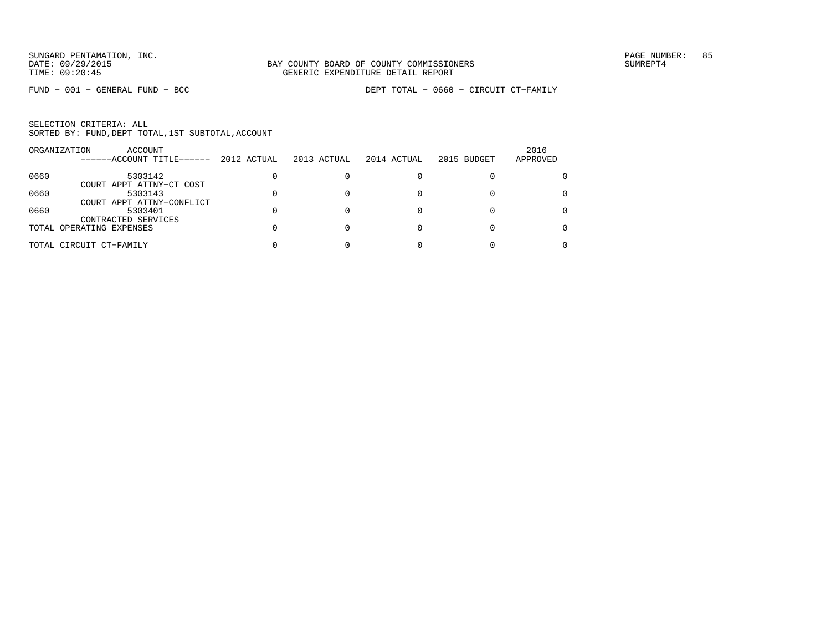|      | ACCOUNT<br>ORGANIZATION<br>------ACCOUNT TITLE------ | 2012 ACTUAL | 2013 ACTUAL | 2014 ACTUAL | 2015 BUDGET | 2016<br>APPROVED |
|------|------------------------------------------------------|-------------|-------------|-------------|-------------|------------------|
| 0660 | 5303142<br>COURT APPT ATTNY-CT COST                  |             |             |             |             | 0                |
| 0660 | 5303143<br>COURT APPT ATTNY-CONFLICT                 |             |             |             |             | 0                |
| 0660 | 5303401<br>CONTRACTED SERVICES                       |             |             |             |             | 0                |
|      | TOTAL OPERATING EXPENSES                             |             |             |             |             | 0                |
|      | TOTAL CIRCUIT CT-FAMILY                              |             |             |             |             |                  |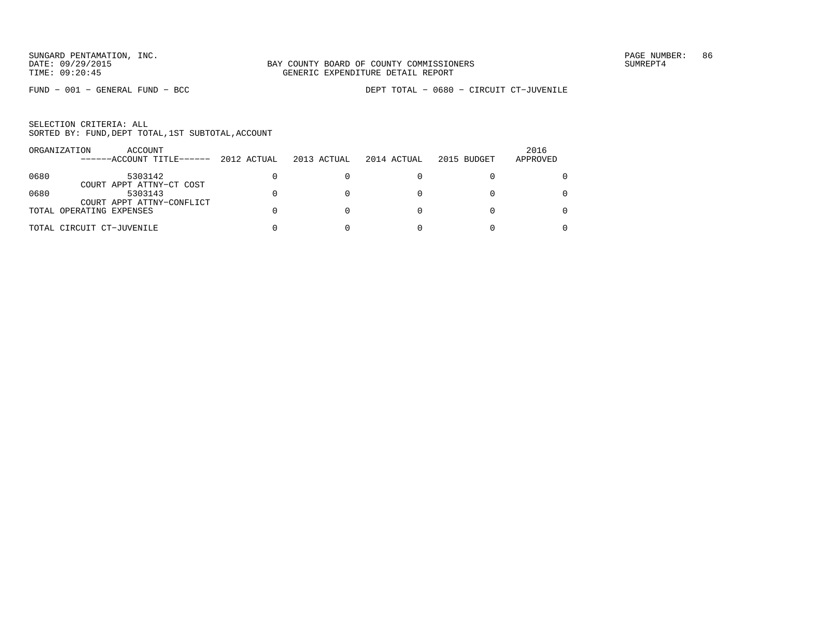| ORGANIZATION | ACCOUNT<br>------ACCOUNT TITLE------                  | 2012 ACTUAL | 2013 ACTUAL | 2014 ACTUAL | 2015 BUDGET | 2016<br>APPROVED |
|--------------|-------------------------------------------------------|-------------|-------------|-------------|-------------|------------------|
| 0680         | 5303142                                               |             |             |             |             |                  |
| 0680         | COURT APPT ATTNY-CT COST<br>5303143                   |             |             |             |             | 0                |
|              | COURT APPT ATTNY-CONFLICT<br>TOTAL OPERATING EXPENSES |             |             |             |             |                  |
|              | TOTAL CIRCUIT CT-JUVENILE                             |             |             |             |             |                  |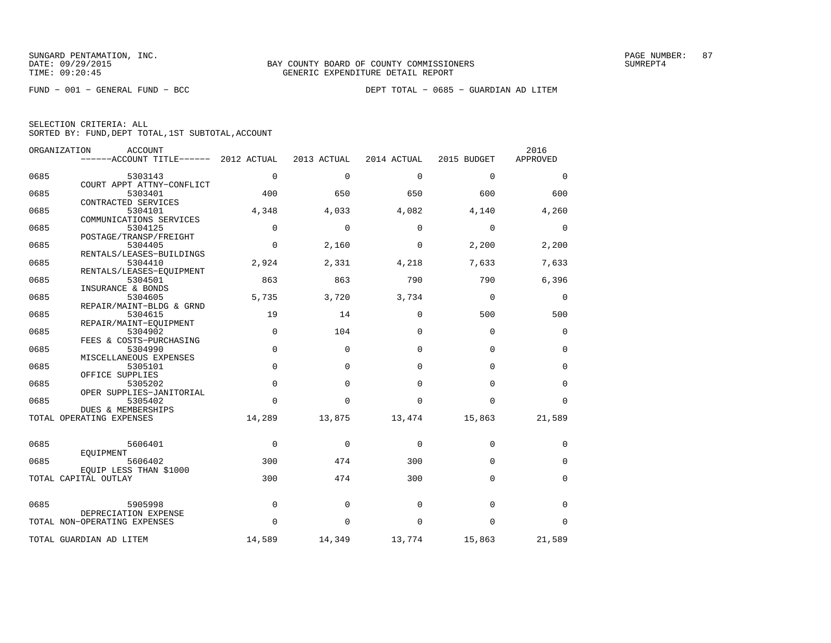|  | SELECTION CRITERIA: ALL |  |                                                    |  |
|--|-------------------------|--|----------------------------------------------------|--|
|  |                         |  | SORTED BY: FUND, DEPT TOTAL, 1ST SUBTOTAL, ACCOUNT |  |

|      | ORGANIZATION<br>ACCOUNT<br>$----ACCOUNT$ TITLE $----2012$ ACTUAL |             | 2013 ACTUAL | 2014 ACTUAL | 2015 BUDGET | 2016<br>APPROVED |
|------|------------------------------------------------------------------|-------------|-------------|-------------|-------------|------------------|
| 0685 | 5303143                                                          | $\mathbf 0$ | $\mathbf 0$ | $\mathbf 0$ | $\mathbf 0$ | 0                |
|      | COURT APPT ATTNY-CONFLICT                                        |             |             |             |             |                  |
| 0685 | 5303401                                                          | 400         | 650         | 650         | 600         | 600              |
| 0685 | CONTRACTED SERVICES<br>5304101                                   | 4,348       | 4,033       | 4,082       | 4,140       | 4,260            |
|      | COMMUNICATIONS SERVICES                                          |             |             |             |             |                  |
| 0685 | 5304125                                                          | $\Omega$    | $\Omega$    | $\Omega$    | $\Omega$    | 0                |
|      | POSTAGE/TRANSP/FREIGHT                                           |             |             |             |             |                  |
| 0685 | 5304405                                                          | $\Omega$    | 2,160       | $\Omega$    | 2,200       | 2,200            |
|      | RENTALS/LEASES-BUILDINGS                                         |             |             |             |             |                  |
| 0685 | 5304410                                                          | 2,924       | 2,331       | 4,218       | 7,633       | 7,633            |
|      | RENTALS/LEASES-EQUIPMENT                                         | 863         |             |             |             |                  |
| 0685 | 5304501<br>INSURANCE & BONDS                                     |             | 863         | 790         | 790         | 6,396            |
| 0685 | 5304605                                                          | 5,735       | 3,720       | 3,734       | $\mathbf 0$ | 0                |
|      | REPAIR/MAINT-BLDG & GRND                                         |             |             |             |             |                  |
| 0685 | 5304615                                                          | 19          | 14          | $\Omega$    | 500         | 500              |
|      | REPAIR/MAINT-EQUIPMENT                                           |             |             |             |             |                  |
| 0685 | 5304902                                                          | $\mathbf 0$ | 104         | $\Omega$    | $\Omega$    | $\mathbf 0$      |
|      | FEES & COSTS-PURCHASING                                          |             |             |             |             |                  |
| 0685 | 5304990                                                          | $\mathbf 0$ | 0           | $\mathbf 0$ | $\mathbf 0$ | 0                |
| 0685 | MISCELLANEOUS EXPENSES<br>5305101                                | $\mathbf 0$ | $\mathbf 0$ | $\Omega$    | $\Omega$    | $\mathbf 0$      |
|      | OFFICE SUPPLIES                                                  |             |             |             |             |                  |
| 0685 | 5305202                                                          | $\Omega$    | $\Omega$    | $\Omega$    | $\Omega$    | $\Omega$         |
|      | OPER SUPPLIES-JANITORIAL                                         |             |             |             |             |                  |
| 0685 | 5305402                                                          | $\Omega$    | $\Omega$    | $\Omega$    | $\Omega$    | $\Omega$         |
|      | DUES & MEMBERSHIPS                                               |             |             |             |             |                  |
|      | TOTAL OPERATING EXPENSES                                         | 14,289      | 13,875      | 13,474      | 15,863      | 21,589           |
|      |                                                                  |             |             |             |             |                  |
| 0685 | 5606401                                                          | 0           | 0           | 0           | 0           | 0                |
|      | EQUIPMENT                                                        |             |             |             |             |                  |
| 0685 | 5606402                                                          | 300         | 474         | 300         | $\Omega$    | $\mathbf 0$      |
|      | EQUIP LESS THAN \$1000                                           |             |             |             |             |                  |
|      | TOTAL CAPITAL OUTLAY                                             | 300         | 474         | 300         | $\Omega$    | 0                |
|      |                                                                  |             |             |             |             |                  |
| 0685 | 5905998                                                          | 0           | 0           | 0           | $\mathbf 0$ | 0                |
|      | DEPRECIATION EXPENSE                                             |             |             |             |             |                  |
|      | TOTAL NON-OPERATING EXPENSES                                     | $\Omega$    | 0           | $\Omega$    | $\mathbf 0$ | 0                |
|      |                                                                  |             |             |             |             |                  |
|      | TOTAL GUARDIAN AD LITEM                                          | 14,589      | 14,349      | 13,774      | 15,863      | 21,589           |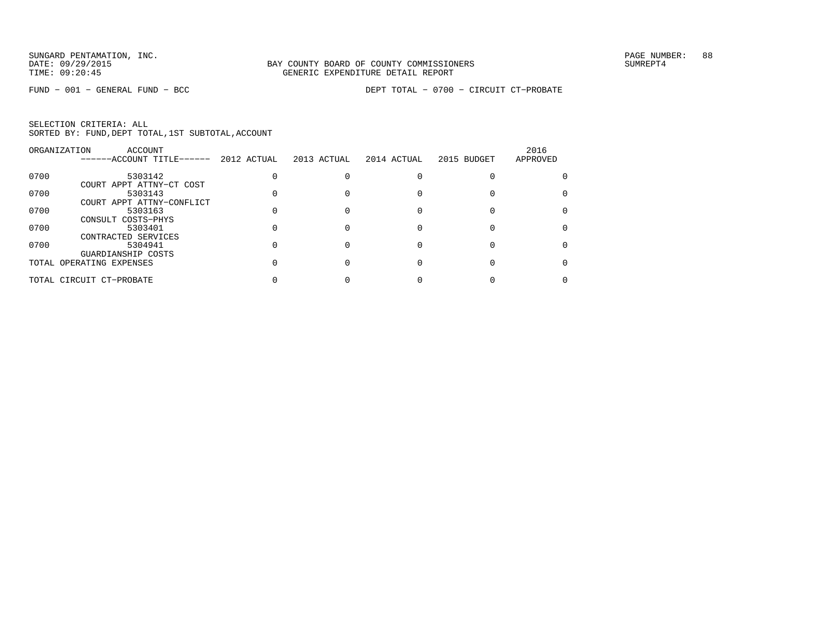|      | ORGANIZATION<br>ACCOUNT                        |             |             |             |             | 2016     |
|------|------------------------------------------------|-------------|-------------|-------------|-------------|----------|
|      | ------ACCOUNT TITLE------                      | 2012 ACTUAL | 2013 ACTUAL | 2014 ACTUAL | 2015 BUDGET | APPROVED |
| 0700 | 5303142                                        |             |             |             |             |          |
| 0700 | COURT APPT ATTNY-CT COST<br>5303143            |             |             |             |             |          |
| 0700 | COURT APPT ATTNY-CONFLICT<br>5303163           |             |             |             |             |          |
| 0700 | CONSULT COSTS-PHYS<br>5303401                  |             |             |             |             |          |
| 0700 | CONTRACTED SERVICES<br>5304941                 |             |             |             |             |          |
|      | GUARDIANSHIP COSTS<br>TOTAL OPERATING EXPENSES |             |             |             |             |          |
|      | TOTAL CIRCUIT CT-PROBATE                       |             |             |             |             |          |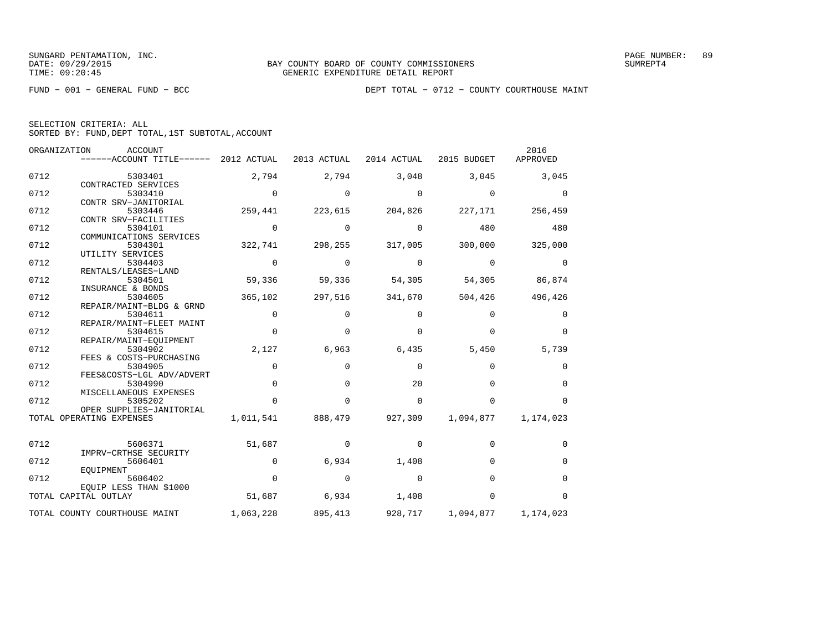|  | SELECTION CRITERIA: ALL |                                                    |  |
|--|-------------------------|----------------------------------------------------|--|
|  |                         | SORTED BY: FUND, DEPT TOTAL, 1ST SUBTOTAL, ACCOUNT |  |

|      | ORGANIZATION<br><b>ACCOUNT</b><br>------ACCOUNT TITLE------ | 2012 ACTUAL | 2013 ACTUAL | 2014 ACTUAL | 2015 BUDGET | 2016<br>APPROVED |
|------|-------------------------------------------------------------|-------------|-------------|-------------|-------------|------------------|
| 0712 | 5303401<br>CONTRACTED SERVICES                              | 2,794       | 2,794       | 3,048       | 3,045       | 3,045            |
| 0712 | 5303410                                                     | $\Omega$    | $\Omega$    | $\Omega$    | $\Omega$    | $\Omega$         |
| 0712 | CONTR SRV-JANITORIAL<br>5303446<br>CONTR SRV-FACILITIES     | 259,441     | 223,615     | 204,826     | 227,171     | 256,459          |
| 0712 | 5304101<br>COMMUNICATIONS SERVICES                          | $\Omega$    | $\Omega$    | $\Omega$    | 480         | 480              |
| 0712 | 5304301<br>UTILITY SERVICES                                 | 322,741     | 298,255     | 317,005     | 300,000     | 325,000          |
| 0712 | 5304403<br>RENTALS/LEASES-LAND                              | $\Omega$    | $\Omega$    | $\Omega$    | $\Omega$    | $\Omega$         |
| 0712 | 5304501<br>INSURANCE & BONDS                                | 59,336      | 59,336      | 54,305      | 54,305      | 86,874           |
| 0712 | 5304605<br>REPAIR/MAINT-BLDG & GRND                         | 365,102     | 297,516     | 341,670     | 504,426     | 496,426          |
| 0712 | 5304611<br>REPAIR/MAINT-FLEET MAINT                         | 0           | $\Omega$    | $\Omega$    | $\Omega$    | $\Omega$         |
| 0712 | 5304615<br>REPAIR/MAINT-EQUIPMENT                           | $\Omega$    | $\Omega$    | $\Omega$    | $\Omega$    | $\Omega$         |
| 0712 | 5304902<br>FEES & COSTS-PURCHASING                          | 2,127       | 6,963       | 6,435       | 5,450       | 5,739            |
| 0712 | 5304905<br>FEES&COSTS-LGL ADV/ADVERT                        | 0           | $\mathbf 0$ | $\mathbf 0$ | 0           | 0                |
| 0712 | 5304990<br>MISCELLANEOUS EXPENSES                           | $\Omega$    | $\Omega$    | 20          | $\Omega$    | $\Omega$         |
| 0712 | 5305202<br>OPER SUPPLIES-JANITORIAL                         | $\Omega$    | $\Omega$    | $\Omega$    | $\Omega$    | $\Omega$         |
|      | TOTAL OPERATING EXPENSES                                    | 1,011,541   | 888,479     | 927,309     | 1,094,877   | 1,174,023        |
| 0712 | 5606371<br>IMPRV-CRTHSE SECURITY                            | 51,687      | $\mathbf 0$ | 0           | 0           | $\Omega$         |
| 0712 | 5606401<br>EOUIPMENT                                        | $\Omega$    | 6,934       | 1,408       | $\Omega$    | $\Omega$         |
| 0712 | 5606402<br>EOUIP LESS THAN \$1000                           | $\Omega$    | $\Omega$    | $\Omega$    | $\Omega$    | $\Omega$         |
|      | TOTAL CAPITAL OUTLAY                                        | 51,687      | 6,934       | 1,408       | $\Omega$    | $\Omega$         |
|      | TOTAL COUNTY COURTHOUSE MAINT                               | 1,063,228   | 895,413     | 928,717     | 1,094,877   | 1,174,023        |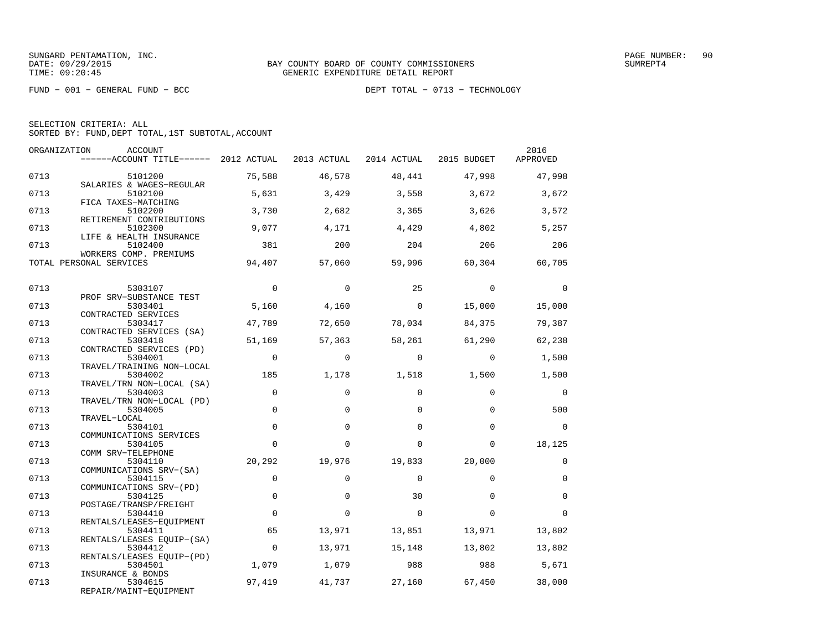FUND − 001 − GENERAL FUND − BCC DEPT TOTAL − 0713 − TECHNOLOGY

SELECTION CRITERIA: ALL

SORTED BY: FUND,DEPT TOTAL,1ST SUBTOTAL,ACCOUNT

|      | ORGANIZATION<br><b>ACCOUNT</b><br>------ACCOUNT TITLE------ 2012 ACTUAL |             | 2013 ACTUAL | 2014 ACTUAL  | 2015 BUDGET | 2016<br>APPROVED |
|------|-------------------------------------------------------------------------|-------------|-------------|--------------|-------------|------------------|
| 0713 | 5101200                                                                 | 75,588      | 46,578      | 48,441       | 47,998      | 47,998           |
| 0713 | SALARIES & WAGES-REGULAR<br>5102100                                     | 5,631       | 3,429       | 3,558        | 3,672       | 3,672            |
| 0713 | FICA TAXES-MATCHING<br>5102200                                          | 3,730       | 2,682       | 3,365        | 3,626       | 3,572            |
| 0713 | RETIREMENT CONTRIBUTIONS<br>5102300                                     | 9,077       | 4,171       | 4,429        | 4,802       | 5,257            |
| 0713 | LIFE & HEALTH INSURANCE<br>5102400                                      | 381         | 200         | 204          | 206         | 206              |
|      | WORKERS COMP. PREMIUMS<br>TOTAL PERSONAL SERVICES                       | 94,407      | 57,060      | 59,996       | 60,304      | 60,705           |
| 0713 | 5303107                                                                 | $\mathbf 0$ | $\mathbf 0$ | 25           | $\mathbf 0$ | 0                |
| 0713 | PROF SRV-SUBSTANCE TEST<br>5303401                                      | 5,160       | 4,160       | $\mathbf{0}$ | 15,000      | 15,000           |
|      | CONTRACTED SERVICES                                                     |             |             |              |             |                  |
| 0713 | 5303417<br>CONTRACTED SERVICES (SA)                                     | 47,789      | 72,650      | 78,034       | 84,375      | 79,387           |
| 0713 | 5303418<br>CONTRACTED SERVICES (PD)                                     | 51,169      | 57,363      | 58,261       | 61,290      | 62,238           |
| 0713 | 5304001<br>TRAVEL/TRAINING NON-LOCAL                                    | $\mathbf 0$ | $\Omega$    | $\Omega$     | $\Omega$    | 1,500            |
| 0713 | 5304002<br>TRAVEL/TRN NON-LOCAL (SA)                                    | 185         | 1,178       | 1,518        | 1,500       | 1,500            |
| 0713 | 5304003<br>TRAVEL/TRN NON-LOCAL (PD)                                    | $\mathbf 0$ | $\mathbf 0$ | $\Omega$     | $\Omega$    | 0                |
| 0713 | 5304005<br>TRAVEL-LOCAL                                                 | $\Omega$    | $\Omega$    | $\Omega$     | $\Omega$    | 500              |
| 0713 | 5304101                                                                 | $\mathbf 0$ | 0           | 0            | $\Omega$    | $\Omega$         |
| 0713 | COMMUNICATIONS SERVICES<br>5304105                                      | $\Omega$    | $\Omega$    | $\Omega$     | $\Omega$    | 18,125           |
| 0713 | COMM SRV-TELEPHONE<br>5304110                                           | 20,292      | 19,976      | 19,833       | 20,000      | $\mathbf 0$      |
| 0713 | COMMUNICATIONS SRV-(SA)<br>5304115                                      | $\mathbf 0$ | $\mathbf 0$ | $\Omega$     | $\Omega$    | $\mathbf 0$      |
| 0713 | COMMUNICATIONS SRV-(PD)<br>5304125                                      | $\mathbf 0$ | $\Omega$    | 30           | $\Omega$    | $\Omega$         |
| 0713 | POSTAGE/TRANSP/FREIGHT<br>5304410                                       | $\mathbf 0$ | $\mathbf 0$ | $\mathbf 0$  | $\Omega$    | $\Omega$         |
| 0713 | RENTALS/LEASES-EOUIPMENT<br>5304411                                     | 65          | 13,971      | 13,851       | 13,971      | 13,802           |
| 0713 | RENTALS/LEASES EQUIP-(SA)<br>5304412                                    | $\mathbf 0$ | 13,971      | 15,148       | 13,802      | 13,802           |
| 0713 | RENTALS/LEASES EQUIP-(PD)<br>5304501                                    | 1,079       | 1,079       | 988          | 988         | 5,671            |
| 0713 | INSURANCE & BONDS<br>5304615                                            | 97,419      | 41,737      | 27,160       | 67,450      | 38,000           |
|      | DEDATE (MATNE BOUTDMENE                                                 |             |             |              |             |                  |

REPAIR/MAINT−EQUIPMENT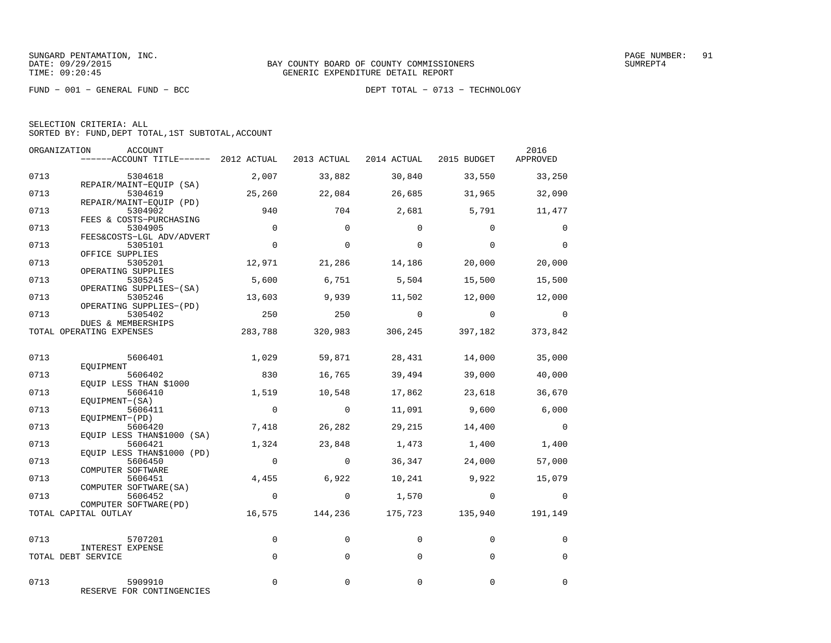FUND − 001 − GENERAL FUND − BCC DEPT TOTAL − 0713 − TECHNOLOGY

| SELECTION CRITERIA: ALL |  |  |                                                    |  |
|-------------------------|--|--|----------------------------------------------------|--|
|                         |  |  | SORTED BY: FUND, DEPT TOTAL, 1ST SUBTOTAL, ACCOUNT |  |

| ORGANIZATION | ACCOUNT<br>------ACCOUNT TITLE------ 2012 ACTUAL 2013 ACTUAL 2014 ACTUAL 2015 BUDGET APPROVED |                         |                          |                 |                                        | 2016                     |
|--------------|-----------------------------------------------------------------------------------------------|-------------------------|--------------------------|-----------------|----------------------------------------|--------------------------|
| 0713         | 5304618                                                                                       | 2,007                   | 33,882                   | 30,840          | 33,550                                 | 33,250                   |
| 0713         | REPAIR/MAINT-EQUIP (SA)<br>5304619<br>REPAIR/MAINT-EOUIP (PD)                                 | 25,260                  | 22,084                   | 26,685          | 31,965                                 | 32,090                   |
| 0713         | 5304902<br>FEES & COSTS-PURCHASING                                                            | 940                     | 704                      | 2,681           | 5,791                                  | 11,477                   |
| 0713         | 5304905<br>FEES&COSTS-LGL ADV/ADVERT                                                          | $\Omega$                | $\Omega$                 | $\Omega$        | $\Omega$                               | $\Omega$                 |
| 0713         | 5305101<br>OFFICE SUPPLIES                                                                    | $\mathbf 0$             | $\Omega$                 | $\mathbf 0$     | $\Omega$                               | $\Omega$                 |
| 0713         | 5305201<br>OPERATING SUPPLIES                                                                 | 12,971                  | 21,286                   | 14,186          | 20,000                                 | 20,000                   |
| 0713         | 5305245<br>OPERATING SUPPLIES-(SA)                                                            | 5,600                   | 6,751                    | 5,504           | 15,500                                 | 15,500                   |
| 0713         | 5305246<br>OPERATING SUPPLIES-(PD)                                                            | 13,603                  | 9,939                    | 11,502          | 12,000                                 | 12,000                   |
| 0713         | 5305402<br>DUES & MEMBERSHIPS                                                                 | 250                     | 250                      | $\overline{0}$  | $\overline{0}$                         | $\overline{0}$           |
|              | TOTAL OPERATING EXPENSES                                                                      | 283,788                 |                          | 320,983 306,245 | 397,182                                | 373,842                  |
| 0713         | 5606401<br>EOUIPMENT                                                                          | 1,029                   | 59,871                   | 28,431          | 14,000                                 | 35,000                   |
| 0713         | 5606402<br>EQUIP LESS THAN \$1000                                                             | 830                     | 16,765                   | 39,494          | 39,000                                 | 40,000                   |
| 0713         | 5606410<br>EOUIPMENT-(SA)                                                                     | 1,519                   | 10,548                   | 17,862          | 23,618                                 | 36,670                   |
| 0713         | 5606411<br>EQUIPMENT-(PD)                                                                     | $\overline{0}$          | $\overline{0}$           | 11,091          | 9,600                                  | 6,000                    |
| 0713         | 5606420<br>EQUIP LESS THAN\$1000 (SA)                                                         | 7,418                   | 26,282                   | 29,215          | 14,400                                 | $\overline{\phantom{0}}$ |
| 0713<br>0713 | 5606421<br>EQUIP LESS THAN\$1000 (PD)<br>5606450                                              | 1,324<br>$\overline{0}$ | 23,848<br>$\overline{0}$ | 1,473<br>36,347 | 1,400<br>24,000                        | 1,400<br>57,000          |
| 0713         | COMPUTER SOFTWARE<br>5606451                                                                  | 4,455                   | 6,922                    |                 | 10,241 9,922                           | 15,079                   |
| 0713         | COMPUTER SOFTWARE (SA)<br>5606452                                                             | $\overline{0}$          | $\circ$                  |                 | 1,570 0                                | $\overline{0}$           |
|              | COMPUTER SOFTWARE (PD)<br>TOTAL CAPITAL OUTLAY                                                |                         |                          |                 | 16,575 144,236 175,723 135,940 191,149 |                          |
|              |                                                                                               |                         |                          |                 |                                        |                          |
| 0713         | 5707201<br>INTEREST EXPENSE                                                                   | $\mathbf 0$             | $\Omega$                 | $\mathbf 0$     | $\Omega$                               | 0                        |
|              | TOTAL DEBT SERVICE                                                                            | $\Omega$                | $\Omega$                 | $\Omega$        | $\Omega$                               | $\Omega$                 |
| 0713         | 5909910<br>RESERVE FOR CONTINGENCIES                                                          | 0                       | 0                        | 0               | 0                                      | $\mathbf 0$              |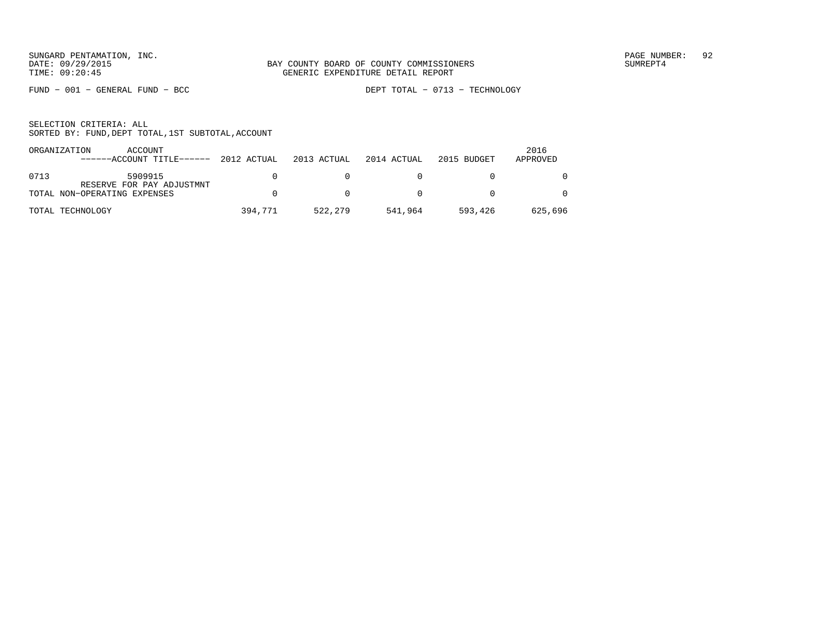FUND − 001 − GENERAL FUND − BCC DEPT TOTAL − 0713 − TECHNOLOGY

|      | ORGANIZATION<br>ACCOUNT<br>$---ACCOUNT$ TITLE $---2012$ ACTUAL 2013 ACTUAL |         |         | 2014 ACTUAL  | 2015 BUDGET | 2016<br>APPROVED |
|------|----------------------------------------------------------------------------|---------|---------|--------------|-------------|------------------|
| 0713 | 5909915                                                                    |         |         |              |             |                  |
|      | RESERVE FOR PAY ADJUSTMNT<br>TOTAL NON-OPERATING EXPENSES                  |         | n       | $\mathsf{D}$ |             | $\Omega$         |
|      | TOTAL TECHNOLOGY                                                           | 394,771 | 522,279 | 541,964      | 593,426     | 625,696          |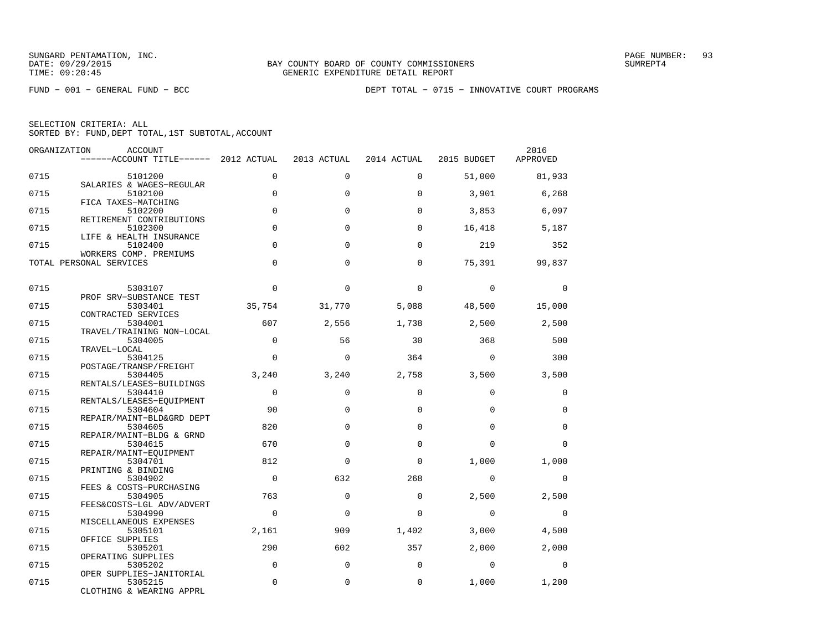FUND − 001 − GENERAL FUND − BCC DEPT TOTAL − 0715 − INNOVATIVE COURT PROGRAMS

| ORGANIZATION | <b>ACCOUNT</b><br>------ACCOUNT TITLE------ 2012 ACTUAL |             | 2013 ACTUAL  | 2014 ACTUAL | 2015 BUDGET | 2016<br>APPROVED |
|--------------|---------------------------------------------------------|-------------|--------------|-------------|-------------|------------------|
| 0715         | 5101200<br>SALARIES & WAGES-REGULAR                     | $\Omega$    | $\Omega$     | $\Omega$    | 51,000      | 81,933           |
| 0715         | 5102100<br>FICA TAXES-MATCHING                          | $\mathbf 0$ | $\Omega$     | $\Omega$    | 3,901       | 6,268            |
| 0715         | 5102200<br>RETIREMENT CONTRIBUTIONS                     | $\Omega$    | $\Omega$     | $\Omega$    | 3,853       | 6,097            |
| 0715         | 5102300<br>LIFE & HEALTH INSURANCE                      | $\Omega$    | $\Omega$     | $\Omega$    | 16,418      | 5,187            |
| 0715         | 5102400<br>WORKERS COMP. PREMIUMS                       | $\Omega$    | $\Omega$     | $\Omega$    | 219         | 352              |
|              | TOTAL PERSONAL SERVICES                                 | $\Omega$    | $\Omega$     | $\Omega$    | 75,391      | 99,837           |
| 0715         | 5303107<br>PROF SRV-SUBSTANCE TEST                      | $\Omega$    | $\Omega$     | $\Omega$    | $\mathbf 0$ | $\Omega$         |
| 0715         | 5303401<br>CONTRACTED SERVICES                          | 35,754      | 31,770       | 5,088       | 48,500      | 15,000           |
| 0715         | 5304001<br>TRAVEL/TRAINING NON-LOCAL                    | 607         | 2,556        | 1,738       | 2,500       | 2,500            |
| 0715         | 5304005<br>TRAVEL-LOCAL                                 | $\Omega$    | 56           | 30          | 368         | 500              |
| 0715         | 5304125<br>POSTAGE/TRANSP/FREIGHT                       | $\Omega$    | $\Omega$     | 364         | $\Omega$    | 300              |
| 0715         | 5304405<br>RENTALS/LEASES-BUILDINGS                     | 3,240       | 3,240        | 2,758       | 3,500       | 3,500            |
| 0715         | 5304410<br>RENTALS/LEASES-EOUIPMENT                     | $\mathbf 0$ | $\mathbf 0$  | $\Omega$    | $\mathbf 0$ | 0                |
| 0715         | 5304604<br>REPAIR/MAINT-BLD&GRD DEPT                    | 90          | $\Omega$     | $\Omega$    | $\Omega$    | $\Omega$         |
| 0715         | 5304605<br>REPAIR/MAINT-BLDG & GRND                     | 820         | $\Omega$     | $\Omega$    | $\Omega$    | $\Omega$         |
| 0715         | 5304615<br>REPAIR/MAINT-EOUIPMENT                       | 670         | $\Omega$     | $\Omega$    | $\Omega$    | $\Omega$         |
| 0715         | 5304701<br>PRINTING & BINDING                           | 812         | $\Omega$     | $\Omega$    | 1,000       | 1,000            |
| 0715         | 5304902<br>FEES & COSTS-PURCHASING                      | $\Omega$    | 632          | 268         | $\Omega$    | $\Omega$         |
| 0715         | 5304905<br>FEES&COSTS-LGL ADV/ADVERT                    | 763         | $\Omega$     | $\mathbf 0$ | 2,500       | 2,500            |
| 0715         | 5304990<br>MISCELLANEOUS EXPENSES                       | $\Omega$    | $\Omega$     | $\Omega$    | $\Omega$    | $\Omega$         |
| 0715         | 5305101<br>OFFICE SUPPLIES                              | 2,161       | 909          | 1,402       | 3,000       | 4,500            |
| 0715         | 5305201<br>OPERATING SUPPLIES                           | 290         | 602          | 357         | 2,000       | 2,000            |
| 0715         | 5305202<br>OPER SUPPLIES-JANITORIAL                     | $\Omega$    | $\Omega$     | $\Omega$    | $\Omega$    | $\Omega$         |
| 0715         | 5305215<br>CLOTHING & WEARING APPRL                     | $\mathbf 0$ | $\mathbf{0}$ | $\mathbf 0$ | 1,000       | 1,200            |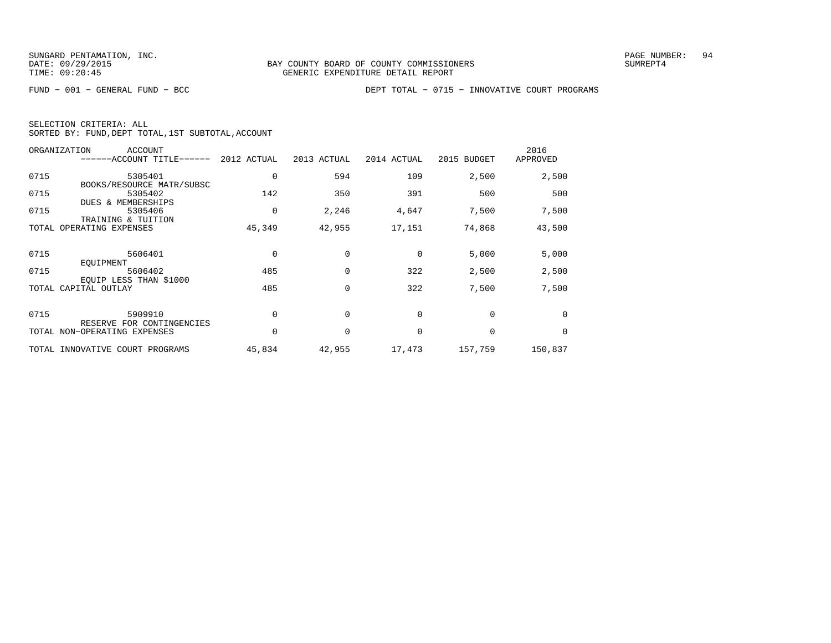|  | SELECTION CRITERIA: ALL |                                                    |  |
|--|-------------------------|----------------------------------------------------|--|
|  |                         | SORTED BY: FUND, DEPT TOTAL, 1ST SUBTOTAL, ACCOUNT |  |

|      | ORGANIZATION<br><b>ACCOUNT</b><br>------ACCOUNT TITLE------ | 2012 ACTUAL | 2013 ACTUAL | 2014 ACTUAL | 2015 BUDGET | 2016<br>APPROVED |
|------|-------------------------------------------------------------|-------------|-------------|-------------|-------------|------------------|
| 0715 | 5305401                                                     | 0           | 594         | 109         | 2,500       | 2,500            |
|      | BOOKS/RESOURCE MATR/SUBSC                                   |             |             |             |             |                  |
| 0715 | 5305402                                                     | 142         | 350         | 391         | 500         | 500              |
|      | <b>DUES &amp; MEMBERSHIPS</b>                               |             |             |             |             |                  |
| 0715 | 5305406                                                     | 0           | 2,246       | 4,647       | 7,500       | 7,500            |
|      | TRAINING & TUITION                                          |             |             |             |             |                  |
|      | TOTAL OPERATING EXPENSES                                    | 45,349      | 42,955      | 17,151      | 74,868      | 43,500           |
|      |                                                             |             |             |             |             |                  |
| 0715 | 5606401                                                     | $\Omega$    | $\Omega$    | $\Omega$    | 5,000       | 5,000            |
|      | EOUIPMENT                                                   |             |             |             |             |                  |
| 0715 | 5606402                                                     | 485         | 0           | 322         | 2,500       | 2,500            |
|      | EQUIP LESS THAN \$1000                                      |             |             |             |             |                  |
|      | TOTAL CAPITAL OUTLAY                                        | 485         | $\mathbf 0$ | 322         | 7,500       | 7,500            |
|      |                                                             |             |             |             |             |                  |
| 0715 | 5909910                                                     | $\Omega$    | $\Omega$    | $\Omega$    | $\Omega$    | $\Omega$         |
|      | RESERVE FOR CONTINGENCIES                                   |             |             |             |             |                  |
|      | TOTAL NON-OPERATING EXPENSES                                | 0           | $\mathbf 0$ | 0           | 0           | 0                |
|      | TOTAL INNOVATIVE COURT PROGRAMS                             | 45,834      | 42,955      | 17,473      | 157,759     | 150,837          |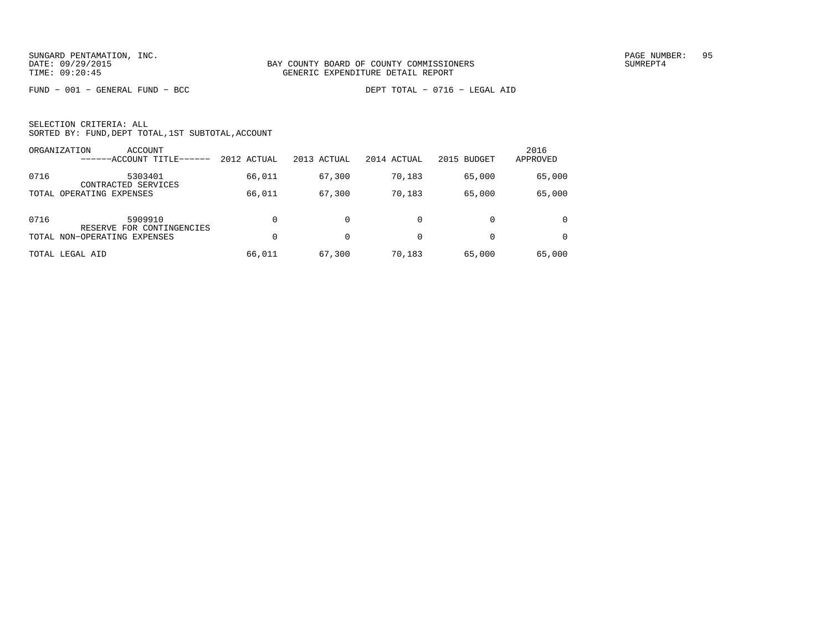FUND − 001 − GENERAL FUND − BCC DEPT TOTAL − 0716 − LEGAL AID

|      | ORGANIZATION<br>ACCOUNT<br>------ACCOUNT TITLE- | 2012 ACTUAL | 2013 ACTUAL | 2014 ACTUAL | 2015 BUDGET | 2016<br>APPROVED |
|------|-------------------------------------------------|-------------|-------------|-------------|-------------|------------------|
| 0716 | 5303401<br>CONTRACTED SERVICES                  | 66,011      | 67,300      | 70,183      | 65,000      | 65,000           |
|      | TOTAL OPERATING EXPENSES                        | 66,011      | 67,300      | 70,183      | 65,000      | 65,000           |
| 0716 | 5909910<br>RESERVE FOR CONTINGENCIES            | $\Omega$    |             | 0           |             | $\Omega$         |
|      | TOTAL NON-OPERATING EXPENSES                    | $\Omega$    | 0           | $\Omega$    | $\Omega$    |                  |
|      | TOTAL LEGAL AID                                 | 66,011      | 67,300      | 70,183      | 65,000      | 65,000           |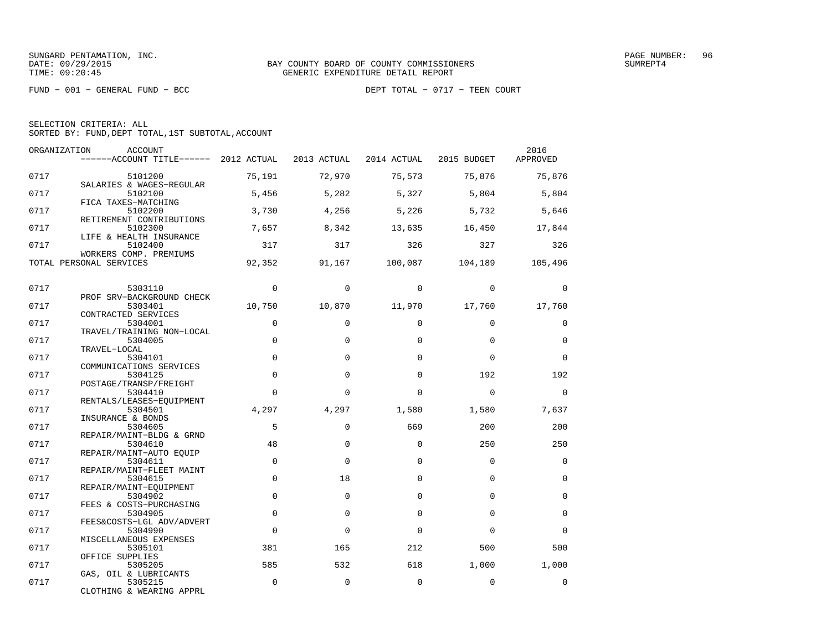FUND − 001 − GENERAL FUND − BCC DEPT TOTAL − 0717 − TEEN COURT

SELECTION CRITERIA: ALL

SORTED BY: FUND,DEPT TOTAL,1ST SUBTOTAL,ACCOUNT

| ORGANIZATION | <b>ACCOUNT</b><br>------ACCOUNT TITLE------ 2012 ACTUAL        |                | 2013 ACTUAL | 2014 ACTUAL | 2015 BUDGET | 2016<br>APPROVED |
|--------------|----------------------------------------------------------------|----------------|-------------|-------------|-------------|------------------|
| 0717         | 5101200                                                        | 75,191         | 72,970      | 75,573      | 75,876      | 75,876           |
| 0717         | SALARIES & WAGES-REGULAR<br>5102100                            | 5,456          | 5,282       | 5,327       | 5,804       | 5,804            |
| 0717         | FICA TAXES-MATCHING<br>5102200                                 | 3,730          | 4,256       | 5,226       | 5,732       | 5,646            |
| 0717         | RETIREMENT CONTRIBUTIONS<br>5102300                            | 7,657          | 8,342       | 13,635      | 16,450      | 17,844           |
| 0717         | LIFE & HEALTH INSURANCE<br>5102400                             | 317            | 317         | 326         | 327         | 326              |
|              | WORKERS COMP. PREMIUMS<br>TOTAL PERSONAL SERVICES              | 92,352         | 91,167      | 100,087     | 104,189     | 105,496          |
| 0717         | 5303110                                                        | $\Omega$       | $\Omega$    | $\Omega$    | $\Omega$    | $\Omega$         |
| 0717         | PROF SRV-BACKGROUND CHECK<br>5303401                           | 10,750         | 10,870      | 11,970      | 17,760      | 17,760           |
| 0717         | CONTRACTED SERVICES<br>5304001                                 | $\mathbf 0$    | $\Omega$    | $\Omega$    | $\Omega$    | 0                |
| 0717         | TRAVEL/TRAINING NON-LOCAL<br>5304005                           | $\mathbf 0$    | $\Omega$    | $\Omega$    | $\Omega$    | $\Omega$         |
| 0717         | TRAVEL-LOCAL<br>5304101                                        | $\Omega$       | $\Omega$    | $\Omega$    | $\Omega$    | $\Omega$         |
| 0717         | COMMUNICATIONS SERVICES<br>5304125                             | $\Omega$       | $\Omega$    | $\Omega$    | 192         | 192              |
| 0717         | POSTAGE/TRANSP/FREIGHT<br>5304410                              | $\Omega$       | $\Omega$    | $\Omega$    | $\Omega$    | $\Omega$         |
| 0717         | RENTALS/LEASES-EQUIPMENT<br>5304501                            | 4,297          | 4,297       | 1,580       | 1,580       | 7,637            |
| 0717         | INSURANCE & BONDS<br>5304605                                   | 5              | $\Omega$    | 669         | 200         | 200              |
| 0717         | REPAIR/MAINT-BLDG & GRND<br>5304610                            | 48             | $\mathbf 0$ | $\Omega$    | 250         | 250              |
| 0717         | REPAIR/MAINT-AUTO EQUIP<br>5304611<br>REPAIR/MAINT-FLEET MAINT | $\mathbf 0$    | $\Omega$    | $\Omega$    | $\Omega$    | $\Omega$         |
| 0717         | 5304615<br>REPAIR/MAINT-EOUIPMENT                              | $\mathbf 0$    | 18          | $\Omega$    | $\Omega$    | $\Omega$         |
| 0717         | 5304902<br>FEES & COSTS-PURCHASING                             | $\Omega$       | $\Omega$    | $\Omega$    | $\Omega$    | $\Omega$         |
| 0717         | 5304905<br>FEES&COSTS-LGL ADV/ADVERT                           | $\mathbf 0$    | $\mathbf 0$ | $\Omega$    | $\Omega$    | $\mathbf 0$      |
| 0717         | 5304990<br>MISCELLANEOUS EXPENSES                              | $\overline{0}$ | $\Omega$    | $\Omega$    | $\Omega$    | $\Omega$         |
| 0717         | 5305101<br>OFFICE SUPPLIES                                     | 381            | 165         | 212         | 500         | 500              |
| 0717         | 5305205<br>GAS, OIL & LUBRICANTS                               | 585            | 532         | 618         | 1,000       | 1,000            |
| 0717         | 5305215<br>CLOTHING & WEARING APPRL                            | $\mathbf 0$    | $\mathbf 0$ | $\Omega$    | $\Omega$    | $\mathbf 0$      |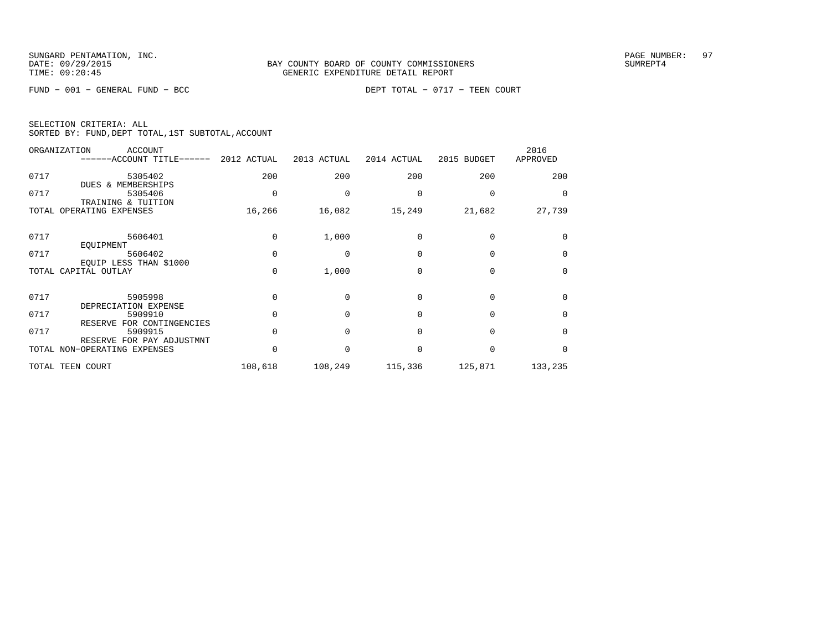|  | SELECTION CRITERIA: ALL |                                                    |
|--|-------------------------|----------------------------------------------------|
|  |                         | SORTED BY: FUND, DEPT TOTAL, 1ST SUBTOTAL, ACCOUNT |

|      | ORGANIZATION<br>ACCOUNT<br>------ACCOUNT TITLE------ 2012 ACTUAL |              | 2013 ACTUAL | 2014 ACTUAL | 2015 BUDGET  | 2016<br>APPROVED |
|------|------------------------------------------------------------------|--------------|-------------|-------------|--------------|------------------|
| 0717 | 5305402<br>DUES & MEMBERSHIPS                                    | 200          | 200         | 200         | 200          | 200              |
| 0717 | 5305406<br>TRAINING & TUITION                                    | $\Omega$     |             | 0           |              | $\Omega$         |
|      | TOTAL OPERATING EXPENSES                                         | 16,266       | 16,082      | 15,249      | 21,682       | 27,739           |
| 0717 | 5606401<br>EQUIPMENT                                             | $\Omega$     | 1,000       | $\Omega$    |              | $\Omega$         |
| 0717 | 5606402                                                          | $\Omega$     | $\Omega$    | $\Omega$    | $\Omega$     | $\Omega$         |
|      | EQUIP LESS THAN \$1000<br>TOTAL CAPITAL OUTLAY                   | $\Omega$     | 1,000       | $\Omega$    | <sup>0</sup> | $\Omega$         |
| 0717 | 5905998<br>DEPRECIATION EXPENSE                                  | <sup>0</sup> | $\Omega$    | $\Omega$    | $\cap$       | <sup>n</sup>     |
| 0717 | 5909910<br>RESERVE FOR CONTINGENCIES                             |              | $\cap$      | $\Omega$    | $\Omega$     | $\Omega$         |
| 0717 | 5909915<br>RESERVE FOR PAY ADJUSTMNT                             |              | $\Omega$    | $\Omega$    | $\cap$       | <sup>n</sup>     |
|      | TOTAL NON-OPERATING EXPENSES                                     |              |             | $\Omega$    | $\Omega$     | $\Omega$         |
|      | TOTAL TEEN COURT                                                 | 108,618      | 108,249     | 115,336     | 125,871      | 133,235          |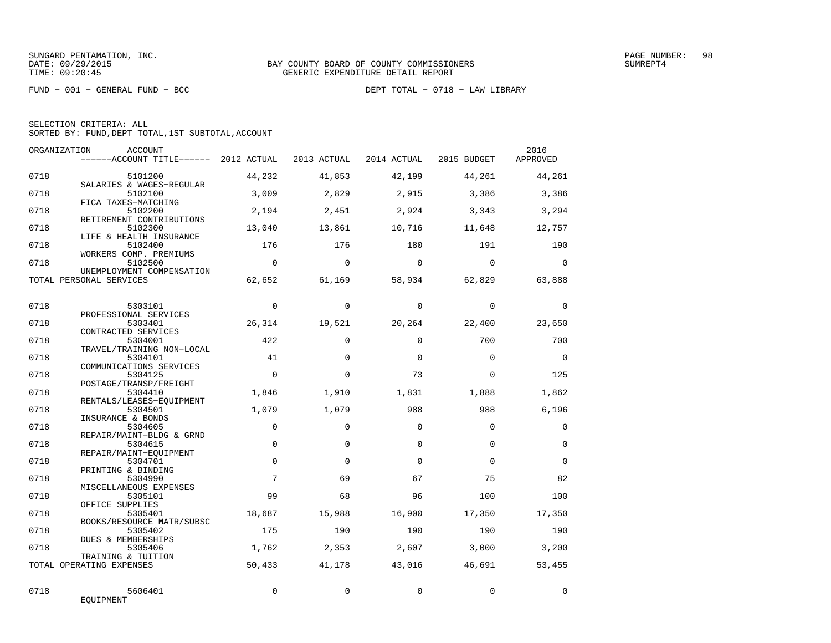FUND − 001 − GENERAL FUND − BCC DEPT TOTAL − 0718 − LAW LIBRARY

SELECTION CRITERIA: ALL

SORTED BY: FUND,DEPT TOTAL,1ST SUBTOTAL,ACCOUNT

|      | ORGANIZATION<br><b>ACCOUNT</b><br>------ACCOUNT TITLE------ 2012 ACTUAL |                 | 2013 ACTUAL     | 2014 ACTUAL     | 2015 BUDGET     | 2016<br>APPROVED |
|------|-------------------------------------------------------------------------|-----------------|-----------------|-----------------|-----------------|------------------|
| 0718 | 5101200                                                                 | 44,232          | 41,853          | 42,199          | 44,261          | 44,261           |
| 0718 | SALARIES & WAGES-REGULAR<br>5102100                                     | 3.009           | 2,829           | 2,915           | 3,386           | 3,386            |
| 0718 | FICA TAXES-MATCHING<br>5102200<br>RETIREMENT CONTRIBUTIONS              | 2,194           | 2,451           | 2,924           | 3,343           | 3,294            |
| 0718 | 5102300<br>LIFE & HEALTH INSURANCE                                      | 13,040          | 13,861          | 10,716          | 11,648          | 12,757           |
| 0718 | 5102400<br>WORKERS COMP. PREMIUMS                                       | 176             | 176             | 180             | 191             | 190              |
| 0718 | 5102500<br>UNEMPLOYMENT COMPENSATION                                    | $\Omega$        | $\Omega$        | $\Omega$        | $\Omega$        | $\Omega$         |
|      | TOTAL PERSONAL SERVICES                                                 | 62,652          | 61,169          | 58,934          | 62,829          | 63,888           |
| 0718 | 5303101                                                                 | $\mathbf 0$     | $\Omega$        | $\Omega$        | $\mathbf 0$     | $\mathbf 0$      |
| 0718 | PROFESSIONAL SERVICES<br>5303401<br>CONTRACTED SERVICES                 | 26,314          | 19,521          | 20,264          | 22,400          | 23,650           |
| 0718 | 5304001<br>TRAVEL/TRAINING NON-LOCAL                                    | 422             | $\Omega$        | $\Omega$        | 700             | 700              |
| 0718 | 5304101<br>COMMUNICATIONS SERVICES                                      | 41              | $\Omega$        | $\Omega$        | $\Omega$        | $\Omega$         |
| 0718 | 5304125<br>POSTAGE/TRANSP/FREIGHT                                       | $\Omega$        | $\Omega$        | 73              | $\Omega$        | 125              |
| 0718 | 5304410<br>RENTALS/LEASES-EOUIPMENT                                     | 1,846           | 1,910           | 1,831           | 1,888           | 1,862            |
| 0718 | 5304501<br>INSURANCE & BONDS                                            | 1,079           | 1,079           | 988             | 988             | 6,196            |
| 0718 | 5304605<br>REPAIR/MAINT-BLDG & GRND                                     | $\Omega$        | $\Omega$        | $\Omega$        | $\Omega$        | $\mathbf 0$      |
| 0718 | 5304615<br>REPAIR/MAINT-EOUIPMENT                                       | $\mathbf 0$     | $\Omega$        | $\Omega$        | $\Omega$        | $\Omega$         |
| 0718 | 5304701<br>PRINTING & BINDING                                           | $\Omega$        | $\Omega$        | $\Omega$        | $\Omega$        | $\Omega$         |
| 0718 | 5304990<br>MISCELLANEOUS EXPENSES                                       | $7\phantom{.0}$ | 69              | 67              | 75              | 82               |
| 0718 | 5305101<br>OFFICE SUPPLIES                                              | 99              | 68              | 96              | 100             | 100              |
| 0718 | 5305401<br>BOOKS/RESOURCE MATR/SUBSC                                    | 18,687          | 15,988          | 16,900          | 17,350          | 17,350           |
| 0718 | 5305402<br>DUES & MEMBERSHIPS                                           | 175             | 190             | 190             | 190             | 190              |
| 0718 | 5305406<br>TRAINING & TUITION<br>TOTAL OPERATING EXPENSES               | 1,762<br>50,433 | 2,353<br>41,178 | 2,607<br>43,016 | 3,000<br>46,691 | 3,200<br>53,455  |
|      |                                                                         |                 |                 |                 |                 |                  |
| 0718 | 5606401<br>EQUIPMENT                                                    | $\Omega$        | $\Omega$        | $\Omega$        | $\Omega$        | $\Omega$         |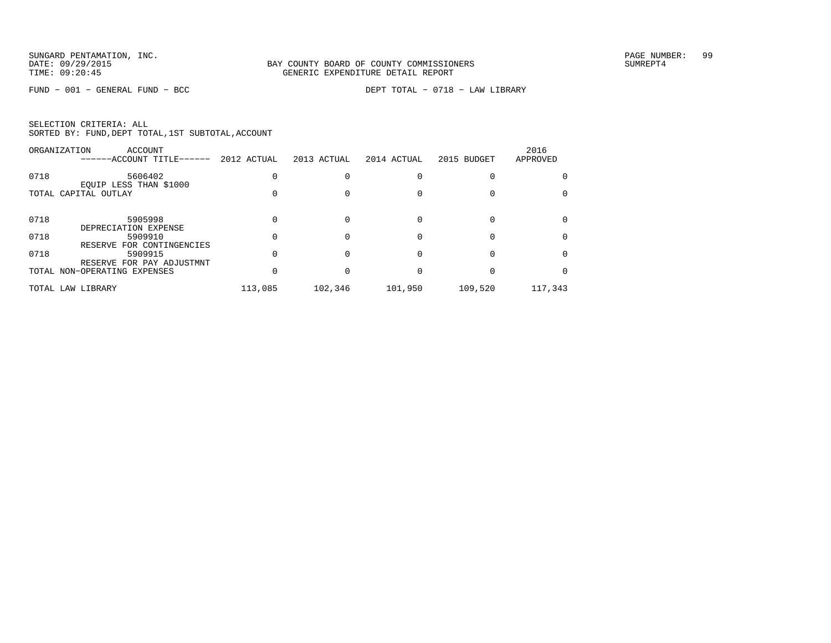FUND − 001 − GENERAL FUND − BCC DEPT TOTAL − 0718 − LAW LIBRARY

| SELECTION CRITERIA: ALL |  |  |                                                    |  |
|-------------------------|--|--|----------------------------------------------------|--|
|                         |  |  | SORTED BY: FUND, DEPT TOTAL, 1ST SUBTOTAL, ACCOUNT |  |

|      | ORGANIZATION<br>ACCOUNT<br>------ACCOUNT TITLE------ | 2012 ACTUAL | 2013 ACTUAL | 2014 ACTUAL | 2015 BUDGET | 2016<br>APPROVED |
|------|------------------------------------------------------|-------------|-------------|-------------|-------------|------------------|
| 0718 | 5606402<br>EQUIP LESS THAN \$1000                    |             |             |             |             |                  |
|      | TOTAL CAPITAL OUTLAY                                 |             |             |             |             |                  |
| 0718 | 5905998<br>DEPRECIATION EXPENSE                      |             |             |             |             |                  |
| 0718 | 5909910<br>RESERVE FOR CONTINGENCIES                 |             |             |             |             |                  |
| 0718 | 5909915<br>RESERVE FOR PAY ADJUSTMNT                 |             |             |             |             |                  |
|      | TOTAL NON-OPERATING EXPENSES                         |             |             |             |             |                  |
|      | TOTAL LAW LIBRARY                                    | 113,085     | 102,346     | 101,950     | 109,520     | 117,343          |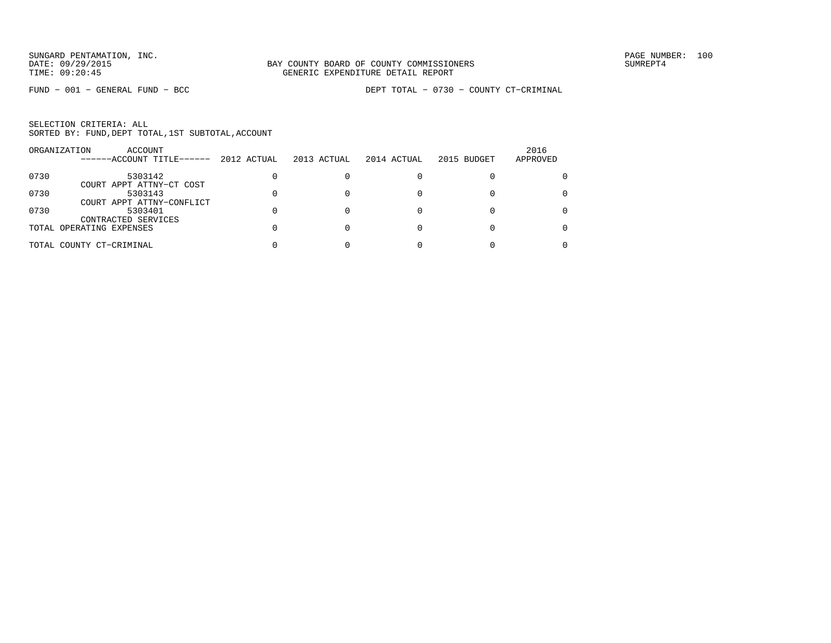|      | ORGANIZATION<br>ACCOUNT<br>------ACCOUNT TITLE------ | 2012 ACTUAL | 2013 ACTUAL | 2014 ACTUAL | 2015 BUDGET | 2016<br>APPROVED |
|------|------------------------------------------------------|-------------|-------------|-------------|-------------|------------------|
| 0730 | 5303142<br>COURT APPT ATTNY-CT COST                  |             |             |             |             |                  |
| 0730 | 5303143<br>COURT APPT ATTNY-CONFLICT                 |             |             |             |             |                  |
| 0730 | 5303401<br>CONTRACTED SERVICES                       |             |             |             |             | 0                |
|      | TOTAL OPERATING EXPENSES                             |             |             |             |             | 0                |
|      | TOTAL COUNTY CT-CRIMINAL                             |             |             |             |             |                  |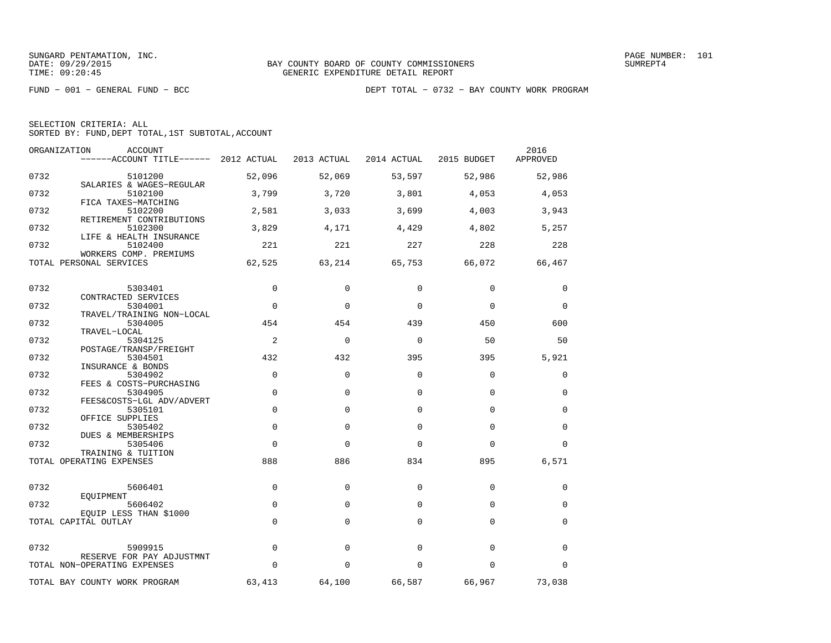SUNGARD PENTAMATION, INC.<br>DATE: 09/29/2015 DATE: 09/29/2015

| SELECTION CRITERIA: ALL |                                                    |
|-------------------------|----------------------------------------------------|
|                         | SORTED BY: FUND, DEPT TOTAL, 1ST SUBTOTAL, ACCOUNT |

| ORGANIZATION<br><b>ACCOUNT</b> |                                                                                                                                                                                                                                                                                                                                                                                                              | 2013 ACTUAL                                                 | 2014 ACTUAL                         | 2015 BUDGET                                                                                              | 2016<br>APPROVED                        |
|--------------------------------|--------------------------------------------------------------------------------------------------------------------------------------------------------------------------------------------------------------------------------------------------------------------------------------------------------------------------------------------------------------------------------------------------------------|-------------------------------------------------------------|-------------------------------------|----------------------------------------------------------------------------------------------------------|-----------------------------------------|
| 5101200                        | 52,096                                                                                                                                                                                                                                                                                                                                                                                                       | 52,069                                                      | 53,597                              | 52,986                                                                                                   | 52,986                                  |
| 5102100                        | 3,799                                                                                                                                                                                                                                                                                                                                                                                                        | 3,720                                                       | 3,801                               | 4,053                                                                                                    | 4,053                                   |
| 5102200                        | 2,581                                                                                                                                                                                                                                                                                                                                                                                                        | 3,033                                                       | 3,699                               | 4,003                                                                                                    | 3,943                                   |
| 5102300                        | 3,829                                                                                                                                                                                                                                                                                                                                                                                                        | 4,171                                                       | 4,429                               | 4,802                                                                                                    | 5,257                                   |
| 5102400                        | 221                                                                                                                                                                                                                                                                                                                                                                                                          | 221                                                         | 227                                 | 228                                                                                                      | 228                                     |
| TOTAL PERSONAL SERVICES        | 62,525                                                                                                                                                                                                                                                                                                                                                                                                       | 63,214                                                      | 65,753                              | 66,072                                                                                                   | 66,467                                  |
|                                | $\mathbf 0$                                                                                                                                                                                                                                                                                                                                                                                                  | $\Omega$                                                    | 0                                   | $\mathbf 0$                                                                                              | 0                                       |
| CONTRACTED SERVICES            |                                                                                                                                                                                                                                                                                                                                                                                                              |                                                             |                                     |                                                                                                          |                                         |
|                                |                                                                                                                                                                                                                                                                                                                                                                                                              |                                                             |                                     |                                                                                                          | 0                                       |
| 5304005                        | 454                                                                                                                                                                                                                                                                                                                                                                                                          | 454                                                         | 439                                 | 450                                                                                                      | 600                                     |
| TRAVEL-LOCAL                   |                                                                                                                                                                                                                                                                                                                                                                                                              |                                                             |                                     |                                                                                                          |                                         |
|                                |                                                                                                                                                                                                                                                                                                                                                                                                              |                                                             |                                     |                                                                                                          | 50                                      |
| 5304501                        | 432                                                                                                                                                                                                                                                                                                                                                                                                          | 432                                                         | 395                                 | 395                                                                                                      | 5,921                                   |
| 5304902                        | $\Omega$                                                                                                                                                                                                                                                                                                                                                                                                     | $\Omega$                                                    | $\Omega$                            | $\mathbf 0$                                                                                              | $\Omega$                                |
| 5304905                        | $\mathbf 0$                                                                                                                                                                                                                                                                                                                                                                                                  | $\Omega$                                                    | $\Omega$                            | $\mathbf 0$                                                                                              | $\Omega$                                |
| 5305101                        | $\mathbf 0$                                                                                                                                                                                                                                                                                                                                                                                                  | $\Omega$                                                    | $\Omega$                            | $\Omega$                                                                                                 | $\Omega$                                |
| 5305402                        | $\Omega$                                                                                                                                                                                                                                                                                                                                                                                                     | $\Omega$                                                    | $\Omega$                            | $\Omega$                                                                                                 | $\Omega$                                |
| 5305406                        | $\Omega$                                                                                                                                                                                                                                                                                                                                                                                                     | $\Omega$                                                    | $\Omega$                            | $\Omega$                                                                                                 | $\Omega$                                |
| TOTAL OPERATING EXPENSES       | 888                                                                                                                                                                                                                                                                                                                                                                                                          | 886                                                         | 834                                 | 895                                                                                                      | 6,571                                   |
| 5606401                        | $\Omega$                                                                                                                                                                                                                                                                                                                                                                                                     | $\mathbf 0$                                                 | $\mathbf 0$                         | $\mathbf 0$                                                                                              | 0                                       |
| EOUIPMENT                      |                                                                                                                                                                                                                                                                                                                                                                                                              |                                                             |                                     |                                                                                                          | 0                                       |
| EOUIP LESS THAN \$1000         |                                                                                                                                                                                                                                                                                                                                                                                                              |                                                             |                                     |                                                                                                          |                                         |
| TOTAL CAPITAL OUTLAY           | $\Omega$                                                                                                                                                                                                                                                                                                                                                                                                     | $\Omega$                                                    | $\Omega$                            | 0                                                                                                        | $\Omega$                                |
| 5909915                        | $\Omega$                                                                                                                                                                                                                                                                                                                                                                                                     | $\Omega$                                                    | $\Omega$                            | $\mathbf 0$                                                                                              | $\Omega$                                |
| TOTAL NON-OPERATING EXPENSES   | $\Omega$                                                                                                                                                                                                                                                                                                                                                                                                     | $\Omega$                                                    | $\Omega$                            | $\mathbf 0$                                                                                              | $\Omega$                                |
|                                |                                                                                                                                                                                                                                                                                                                                                                                                              |                                                             |                                     |                                                                                                          | 73,038                                  |
|                                | SALARIES & WAGES-REGULAR<br>FICA TAXES-MATCHING<br>RETIREMENT CONTRIBUTIONS<br>LIFE & HEALTH INSURANCE<br>WORKERS COMP. PREMIUMS<br>5303401<br>5304001<br>TRAVEL/TRAINING NON-LOCAL<br>5304125<br>POSTAGE/TRANSP/FREIGHT<br>INSURANCE & BONDS<br>FEES & COSTS-PURCHASING<br>FEES&COSTS-LGL ADV/ADVERT<br>OFFICE SUPPLIES<br>DUES & MEMBERSHIPS<br>TRAINING & TUITION<br>5606402<br>RESERVE FOR PAY ADJUSTMNT | ------ACCOUNT TITLE------ 2012 ACTUAL<br>$\Omega$<br>2<br>0 | $\Omega$<br>$\Omega$<br>$\mathbf 0$ | $\mathbf 0$<br>$\mathbf 0$<br>$\mathbf 0$<br>66,587<br>TOTAL BAY COUNTY WORK PROGRAM<br>63,413<br>64,100 | $\Omega$<br>50<br>$\mathbf 0$<br>66,967 |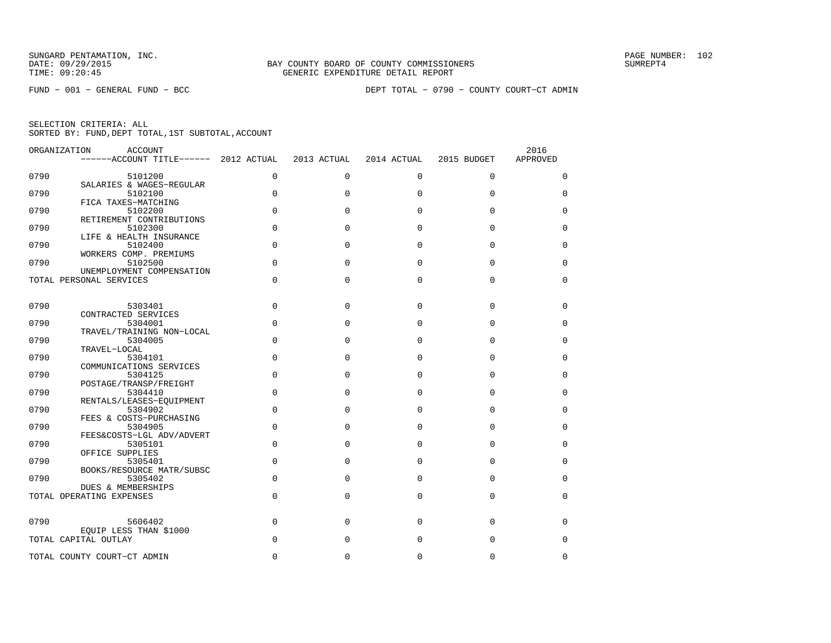| ORGANIZATION | <b>ACCOUNT</b><br>------ACCOUNT TITLE------ 2012 ACTUAL |             | 2013 ACTUAL | 2014 ACTUAL | 2015 BUDGET | 2016<br>APPROVED |
|--------------|---------------------------------------------------------|-------------|-------------|-------------|-------------|------------------|
| 0790         | 5101200                                                 | 0           | $\mathbf 0$ | $\mathbf 0$ | 0           | 0                |
| 0790         | SALARIES & WAGES-REGULAR<br>5102100                     | $\mathbf 0$ | $\Omega$    | $\Omega$    | 0           | $\Omega$         |
|              | FICA TAXES-MATCHING                                     |             |             |             |             |                  |
| 0790         | 5102200                                                 | $\mathbf 0$ | $\Omega$    | $\Omega$    | 0           | 0                |
| 0790         | RETIREMENT CONTRIBUTIONS<br>5102300                     | $\Omega$    | $\Omega$    | $\Omega$    | $\Omega$    | $\Omega$         |
|              | LIFE & HEALTH INSURANCE                                 |             |             |             |             |                  |
| 0790         | 5102400                                                 | $\mathbf 0$ | $\Omega$    | $\Omega$    | $\Omega$    | $\Omega$         |
| 0790         | WORKERS COMP. PREMIUMS<br>5102500                       | $\mathbf 0$ | $\Omega$    | $\Omega$    | 0           | 0                |
|              | UNEMPLOYMENT COMPENSATION                               |             |             |             |             |                  |
|              | TOTAL PERSONAL SERVICES                                 | $\Omega$    | $\Omega$    | $\Omega$    | $\Omega$    | $\Omega$         |
|              |                                                         |             |             |             |             |                  |
| 0790         | 5303401                                                 | $\mathbf 0$ | $\Omega$    | $\Omega$    | $\Omega$    | 0                |
| 0790         | CONTRACTED SERVICES<br>5304001                          | $\mathbf 0$ | $\Omega$    | $\Omega$    | $\Omega$    | $\Omega$         |
|              | TRAVEL/TRAINING NON-LOCAL                               |             |             |             |             |                  |
| 0790         | 5304005<br>TRAVEL-LOCAL                                 | $\mathbf 0$ | $\mathbf 0$ | 0           | 0           | 0                |
| 0790         | 5304101                                                 | $\Omega$    | $\Omega$    | $\Omega$    | $\Omega$    | $\Omega$         |
|              | COMMUNICATIONS SERVICES                                 |             |             |             |             |                  |
| 0790         | 5304125<br>POSTAGE/TRANSP/FREIGHT                       | $\mathbf 0$ | $\Omega$    | $\Omega$    | $\Omega$    | $\Omega$         |
| 0790         | 5304410                                                 | $\Omega$    | $\Omega$    | $\Omega$    | $\Omega$    | $\Omega$         |
|              | RENTALS/LEASES-EOUIPMENT                                |             |             |             |             |                  |
| 0790         | 5304902<br>FEES & COSTS-PURCHASING                      | $\Omega$    | $\Omega$    | $\Omega$    | $\Omega$    | $\Omega$         |
| 0790         | 5304905                                                 | $\Omega$    | $\Omega$    | $\Omega$    | $\Omega$    | 0                |
| 0790         | FEES&COSTS-LGL ADV/ADVERT                               | $\mathbf 0$ | $\Omega$    | $\Omega$    | $\Omega$    | $\Omega$         |
|              | 5305101<br>OFFICE SUPPLIES                              |             |             |             |             |                  |
| 0790         | 5305401                                                 | 0           | $\mathbf 0$ | $\Omega$    | 0           | 0                |
| 0790         | BOOKS/RESOURCE MATR/SUBSC<br>5305402                    | $\Omega$    | $\Omega$    | 0           | $\Omega$    | $\Omega$         |
|              | <b>DUES &amp; MEMBERSHIPS</b>                           |             |             |             |             |                  |
|              | TOTAL OPERATING EXPENSES                                | $\Omega$    | $\Omega$    | $\Omega$    | 0           | 0                |
|              |                                                         |             |             |             |             |                  |
| 0790         | 5606402<br>EOUIP LESS THAN \$1000                       | 0           | $\Omega$    | $\Omega$    | 0           | 0                |
|              | TOTAL CAPITAL OUTLAY                                    | $\Omega$    | $\Omega$    | $\Omega$    | $\Omega$    | $\Omega$         |
|              | TOTAL COUNTY COURT-CT ADMIN                             | $\Omega$    | O           | $\Omega$    | $\Omega$    | $\Omega$         |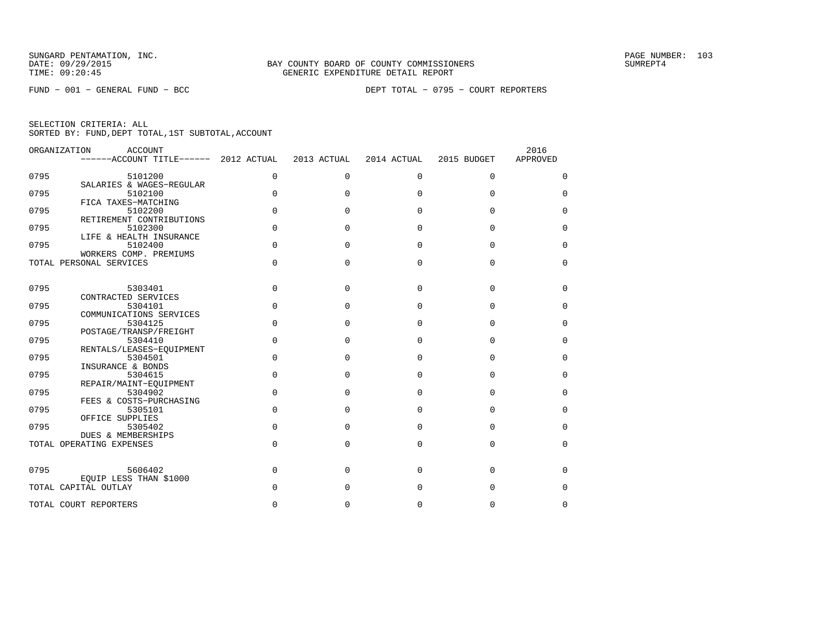| ORGANIZATION | ACCOUNT<br>------ACCOUNT TITLE------ | 2012 ACTUAL | 2013 ACTUAL  | 2014 ACTUAL | 2015 BUDGET | 2016<br>APPROVED |
|--------------|--------------------------------------|-------------|--------------|-------------|-------------|------------------|
|              |                                      |             |              |             |             |                  |
| 0795         | 5101200                              | 0           | $\mathbf 0$  | $\mathbf 0$ | $\mathbf 0$ | 0                |
| 0795         | SALARIES & WAGES-REGULAR<br>5102100  | $\Omega$    | <sup>0</sup> | $\Omega$    | $\Omega$    | $\Omega$         |
|              | FICA TAXES-MATCHING                  |             |              |             |             |                  |
| 0795         | 5102200                              | 0           | 0            | $\Omega$    | $\Omega$    | 0                |
|              | RETIREMENT CONTRIBUTIONS             |             |              |             |             |                  |
| 0795         | 5102300                              | $\Omega$    | 0            | $\Omega$    | $\Omega$    | $\Omega$         |
| 0795         | LIFE & HEALTH INSURANCE<br>5102400   | $\Omega$    | $\Omega$     | $\Omega$    | $\Omega$    | $\Omega$         |
|              | WORKERS COMP. PREMIUMS               |             |              |             |             |                  |
|              | TOTAL PERSONAL SERVICES              | $\Omega$    | $\Omega$     | $\Omega$    | $\Omega$    | $\Omega$         |
|              |                                      |             |              |             |             |                  |
| 0795         | 5303401                              | 0           | $\Omega$     | $\Omega$    | $\Omega$    | 0                |
|              | CONTRACTED SERVICES                  |             |              |             |             |                  |
| 0795         | 5304101                              | $\Omega$    | <sup>0</sup> | $\Omega$    | $\Omega$    | $\Omega$         |
|              | COMMUNICATIONS SERVICES              | $\Omega$    |              |             |             |                  |
| 0795         | 5304125<br>POSTAGE/TRANSP/FREIGHT    |             | $\Omega$     | $\Omega$    | $\Omega$    | 0                |
| 0795         | 5304410                              | $\Omega$    | <sup>0</sup> | $\Omega$    | $\Omega$    | $\Omega$         |
|              | RENTALS/LEASES-EQUIPMENT             |             |              |             |             |                  |
| 0795         | 5304501                              | $\Omega$    | $\Omega$     | $\Omega$    | $\Omega$    | 0                |
|              | INSURANCE & BONDS                    |             |              |             |             |                  |
| 0795         | 5304615<br>REPAIR/MAINT-EOUIPMENT    | $\Omega$    | $\Omega$     | $\Omega$    | $\Omega$    | 0                |
| 0795         | 5304902                              | $\Omega$    | $\Omega$     | $\Omega$    | $\Omega$    | 0                |
|              | FEES & COSTS-PURCHASING              |             |              |             |             |                  |
| 0795         | 5305101                              | $\Omega$    | $\Omega$     | $\Omega$    | $\Omega$    | $\Omega$         |
|              | OFFICE SUPPLIES                      |             |              |             |             |                  |
| 0795         | 5305402<br>DUES & MEMBERSHIPS        | $\Omega$    | $\Omega$     | $\Omega$    | $\Omega$    | $\Omega$         |
|              | TOTAL OPERATING EXPENSES             | $\Omega$    | $\Omega$     | $\Omega$    | $\Omega$    | 0                |
|              |                                      |             |              |             |             |                  |
| 0795         | 5606402                              | 0           | $\Omega$     | $\Omega$    | $\Omega$    | 0                |
|              | EQUIP LESS THAN \$1000               |             |              |             |             |                  |
|              | TOTAL CAPITAL OUTLAY                 | U           | 0            | $\Omega$    | $\Omega$    | 0                |
|              | TOTAL COURT REPORTERS                | 0           | 0            | 0           | 0           | 0                |
|              |                                      |             |              |             |             |                  |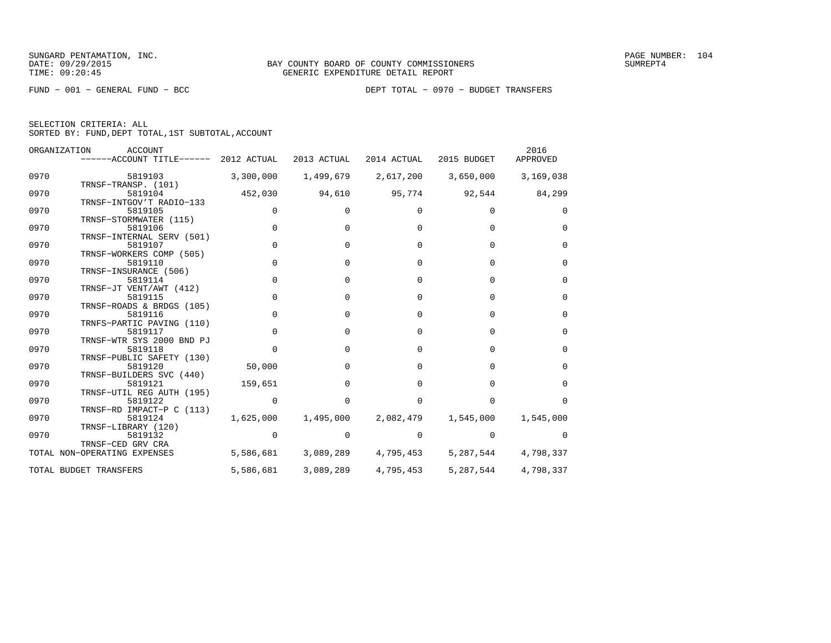FUND − 001 − GENERAL FUND − BCC DEPT TOTAL − 0970 − BUDGET TRANSFERS

|  | SELECTION CRITERIA: ALL                            |  |  |
|--|----------------------------------------------------|--|--|
|  | SORTED BY: FUND, DEPT TOTAL, 1ST SUBTOTAL, ACCOUNT |  |  |

|      | ORGANIZATION<br><b>ACCOUNT</b><br>------ACCOUNT TITLE------ 2012 ACTUAL |             | 2013 ACTUAL  | 2014 ACTUAL  | 2015 BUDGET  | 2016<br>APPROVED |
|------|-------------------------------------------------------------------------|-------------|--------------|--------------|--------------|------------------|
| 0970 | 5819103<br>TRNSF-TRANSP. (101)                                          | 3,300,000   | 1,499,679    | 2,617,200    | 3,650,000    | 3,169,038        |
| 0970 | 5819104<br>TRNSF-INTGOV'T RADIO-133                                     | 452,030     | 94,610       | 95,774       | 92,544       | 84,299           |
| 0970 | 5819105                                                                 |             | <sup>0</sup> |              | <sup>n</sup> | $\Omega$         |
| 0970 | TRNSF-STORMWATER (115)<br>5819106                                       | $\Omega$    | $\Omega$     | <sup>n</sup> | <sup>0</sup> | $\Omega$         |
| 0970 | TRNSF-INTERNAL SERV (501)<br>5819107<br>TRNSF-WORKERS COMP (505)        | $\Omega$    | $\Omega$     | 0            | $\Omega$     | $\Omega$         |
| 0970 | 5819110                                                                 | $\mathbf 0$ | $\Omega$     | 0            | $\Omega$     | $\Omega$         |
| 0970 | TRNSF-INSURANCE (506)<br>5819114                                        | $\Omega$    | $\Omega$     | 0            | $\Omega$     | $\Omega$         |
| 0970 | TRNSF-JT VENT/AWT (412)<br>5819115                                      | $\Omega$    | $\Omega$     | 0            | $\Omega$     | $\Omega$         |
| 0970 | TRNSF-ROADS & BRDGS (105)<br>5819116                                    | $\Omega$    | $\Omega$     | <sup>0</sup> | $\Omega$     | $\Omega$         |
| 0970 | TRNFS-PARTIC PAVING (110)<br>5819117                                    | 0           | $\Omega$     | 0            | $\Omega$     | $\Omega$         |
| 0970 | TRNSF-WTR SYS 2000 BND PJ<br>5819118                                    | $\Omega$    | $\Omega$     | 0            | $\Omega$     | $\Omega$         |
| 0970 | TRNSF-PUBLIC SAFETY (130)<br>5819120                                    | 50,000      | 0            | 0            | 0            | 0                |
| 0970 | TRNSF-BUILDERS SVC (440)<br>5819121                                     | 159,651     | $\Omega$     | <sup>0</sup> | $\Omega$     | $\Omega$         |
| 0970 | TRNSF-UTIL REG AUTH (195)<br>5819122                                    |             | $\Omega$     |              |              |                  |
| 0970 | TRNSF-RD IMPACT-P C (113)<br>5819124                                    | 1,625,000   | 1,495,000    | 2,082,479    | 1,545,000    | 1,545,000        |
| 0970 | TRNSF-LIBRARY (120)<br>5819132                                          |             | 0            |              |              |                  |
|      | TRNSF-CED GRV CRA<br>TOTAL NON-OPERATING EXPENSES                       | 5,586,681   | 3,089,289    | 4,795,453    | 5,287,544    | 4,798,337        |
|      | TOTAL BUDGET TRANSFERS                                                  | 5,586,681   | 3,089,289    | 4,795,453    | 5,287,544    | 4,798,337        |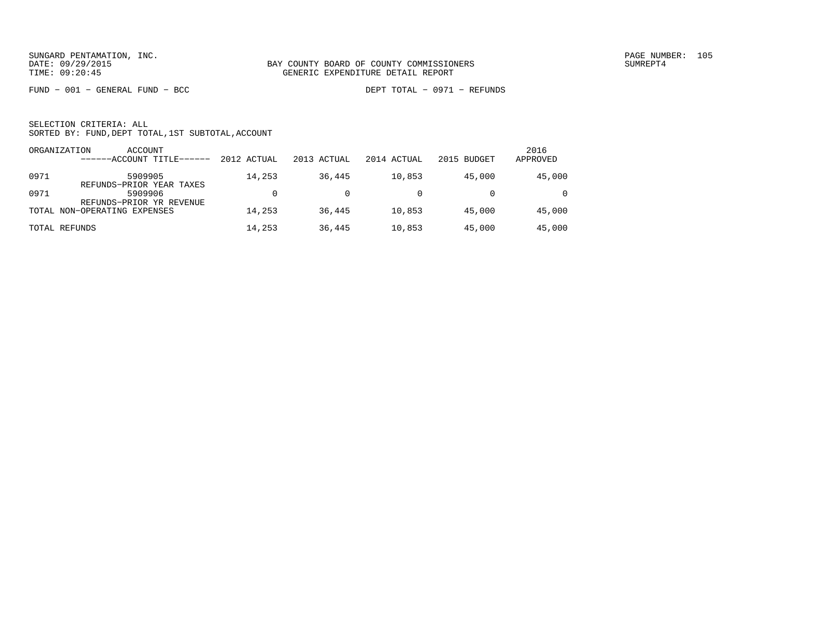FUND − 001 − GENERAL FUND − BCC DEPT TOTAL − 0971 − REFUNDS

|      | ACCOUNT<br>ORGANIZATION<br>------ACCOUNT TITLE------ | 2012 ACTUAL | 2013 ACTUAL | 2014 ACTUAL | 2015 BUDGET | 2016<br>APPROVED |
|------|------------------------------------------------------|-------------|-------------|-------------|-------------|------------------|
| 0971 | 5909905<br>REFUNDS-PRIOR YEAR TAXES                  | 14,253      | 36,445      | 10,853      | 45,000      | 45,000           |
| 0971 | 5909906<br>REFUNDS-PRIOR YR REVENUE                  |             |             |             |             | $\Omega$         |
|      | TOTAL NON-OPERATING EXPENSES                         | 14,253      | 36,445      | 10,853      | 45,000      | 45,000           |
|      | TOTAL REFUNDS                                        | 14,253      | 36,445      | 10,853      | 45,000      | 45,000           |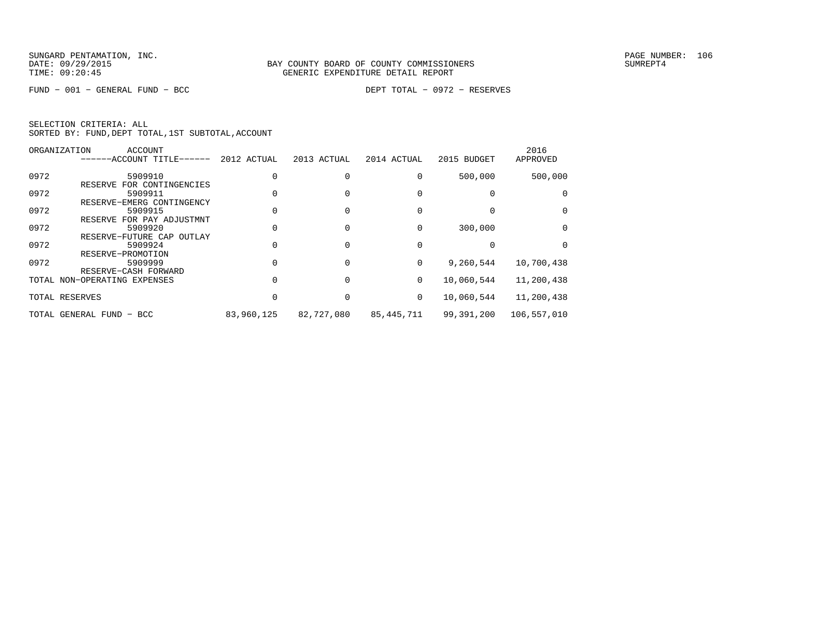FUND − 001 − GENERAL FUND − BCC DEPT TOTAL − 0972 − RESERVES

|      | <b>ACCOUNT</b><br>ORGANIZATION                       |             |             |              |             | 2016         |
|------|------------------------------------------------------|-------------|-------------|--------------|-------------|--------------|
|      | ------ACCOUNT TITLE------                            | 2012 ACTUAL | 2013 ACTUAL | 2014 ACTUAL  | 2015 BUDGET | APPROVED     |
| 0972 | 5909910                                              |             |             |              | 500,000     | 500,000      |
| 0972 | FOR CONTINGENCIES<br>RESERVE<br>5909911              |             |             |              |             | <sup>0</sup> |
| 0972 | RESERVE-EMERG CONTINGENCY<br>5909915                 |             |             |              |             | $\Omega$     |
| 0972 | RESERVE FOR PAY ADJUSTMNT<br>5909920                 |             |             |              | 300,000     | 0            |
| 0972 | RESERVE-FUTURE CAP<br>OUTLAY<br>5909924              |             |             |              |             |              |
| 0972 | RESERVE-PROMOTION<br>5909999                         |             |             | <sup>0</sup> | 9,260,544   | 10,700,438   |
|      | RESERVE-CASH FORWARD<br>TOTAL NON-OPERATING EXPENSES |             |             | 0            | 10,060,544  | 11,200,438   |
|      | TOTAL RESERVES                                       |             |             | 0            | 10,060,544  | 11,200,438   |
|      | TOTAL GENERAL FUND - BCC                             | 83,960,125  | 82,727,080  | 85,445,711   | 99,391,200  | 106,557,010  |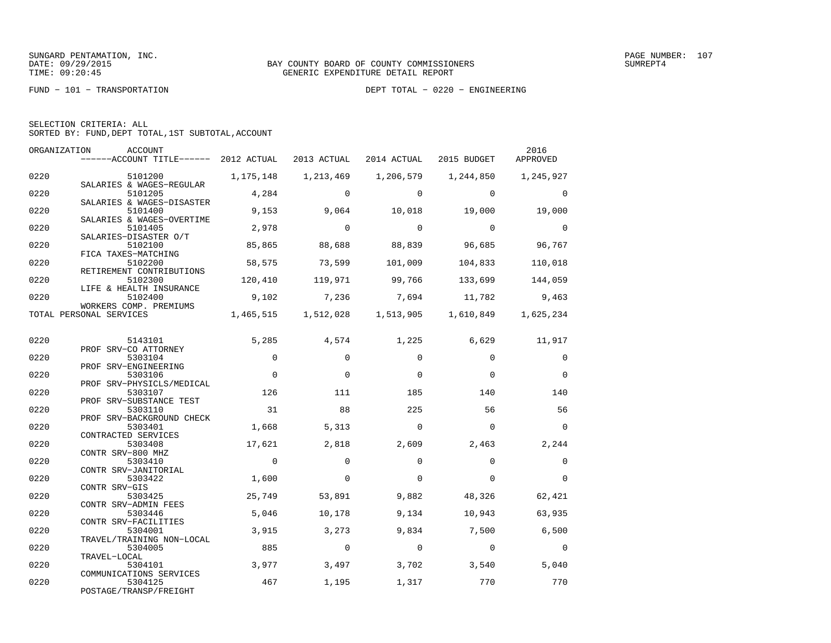FUND − 101 − TRANSPORTATION DEPT TOTAL − 0220 − ENGINEERING

|  | SELECTION CRITERIA: ALL |                                                    |  |
|--|-------------------------|----------------------------------------------------|--|
|  |                         | SORTED BY: FUND, DEPT TOTAL, 1ST SUBTOTAL, ACCOUNT |  |

| ORGANIZATION | ACCOUNT<br>------ACCOUNT TITLE------ 2012 ACTUAL                 |                   | 2013 ACTUAL     | 2014 ACTUAL         | 2015 BUDGET     | 2016<br>APPROVED |
|--------------|------------------------------------------------------------------|-------------------|-----------------|---------------------|-----------------|------------------|
| 0220         | 5101200                                                          | 1,175,148         | 1,213,469       | 1,206,579           | 1,244,850       | 1,245,927        |
| 0220         | SALARIES & WAGES-REGULAR<br>5101205<br>SALARIES & WAGES-DISASTER | 4,284             | $\Omega$        | $\Omega$            | $\Omega$        | $\Omega$         |
| 0220         | 5101400<br>SALARIES & WAGES-OVERTIME                             | 9,153             | 9,064           | 10,018              | 19,000          | 19,000           |
| 0220         | 5101405<br>SALARIES-DISASTER O/T                                 | 2,978             | $\Omega$        | $\Omega$            | $\Omega$        | $\mathbf 0$      |
| 0220         | 5102100<br>FICA TAXES-MATCHING                                   | 85,865            | 88,688          | 88,839              | 96,685          | 96,767           |
| 0220         | 5102200<br>RETIREMENT CONTRIBUTIONS                              | 58,575            | 73,599          | 101,009             | 104,833         | 110,018          |
| 0220         | 5102300<br>LIFE & HEALTH INSURANCE                               | 120,410           | 119,971         | 99,766              | 133,699         | 144,059          |
| 0220         | 5102400<br>WORKERS COMP. PREMIUMS                                | 9,102             | 7,236           | 7,694               | 11,782          | 9,463            |
|              | TOTAL PERSONAL SERVICES                                          | 1,465,515         |                 | 1,512,028 1,513,905 | 1,610,849       | 1,625,234        |
| 0220         | 5143101                                                          | 5,285             | 4,574           | 1,225               | 6,629           | 11,917           |
| 0220         | PROF SRV-CO ATTORNEY<br>5303104<br>PROF SRV-ENGINEERING          | $\Omega$          | $\Omega$        | $\Omega$            | $\Omega$        | $\Omega$         |
| 0220         | 5303106<br>PROF SRV-PHYSICLS/MEDICAL                             | $\Omega$          | $\Omega$        | $\Omega$            | $\Omega$        | $\Omega$         |
| 0220         | 5303107<br>PROF SRV-SUBSTANCE TEST                               | 126               | 111             | 185                 | 140             | 140              |
| 0220         | 5303110<br>PROF SRV-BACKGROUND CHECK                             | 31                | 88              | 225                 | 56              | 56               |
| 0220         | 5303401<br>CONTRACTED SERVICES                                   | 1,668             | 5,313           | $\Omega$            | $\Omega$        | $\overline{0}$   |
| 0220         | 5303408<br>CONTR SRV-800 MHZ                                     | 17,621            | 2,818           | 2,609               | 2,463           | 2,244            |
| 0220         | 5303410<br>CONTR SRV-JANITORIAL                                  | $\Omega$          | $\Omega$        | $\Omega$            | $\Omega$        | $\Omega$         |
| 0220         | 5303422<br>CONTR SRV-GIS                                         | 1,600             | $\Omega$        | $\Omega$            | $\Omega$        | $\Omega$         |
| 0220         | 5303425<br>CONTR SRV-ADMIN FEES                                  | 25,749<br>$5,046$ | 53,891          | 9,882               | 48,326          | 62,421<br>63,935 |
| 0220<br>0220 | 5303446<br>CONTR SRV-FACILITIES<br>5304001                       | 3,915             | 10,178<br>3,273 | 9,134<br>9,834      | 10,943<br>7,500 | 6,500            |
| 0220         | TRAVEL/TRAINING NON-LOCAL<br>5304005                             | 885               | $\Omega$        | $\Omega$            | $\Omega$        | $\Omega$         |
| 0220         | TRAVEL-LOCAL<br>5304101                                          | 3,977             | 3,497           | 3,702               | 3,540           | 5,040            |
| 0220         | COMMUNICATIONS SERVICES<br>5304125<br>POSTAGE/TRANSP/FREIGHT     | 467               | 1,195           | 1,317               | 770             | 770              |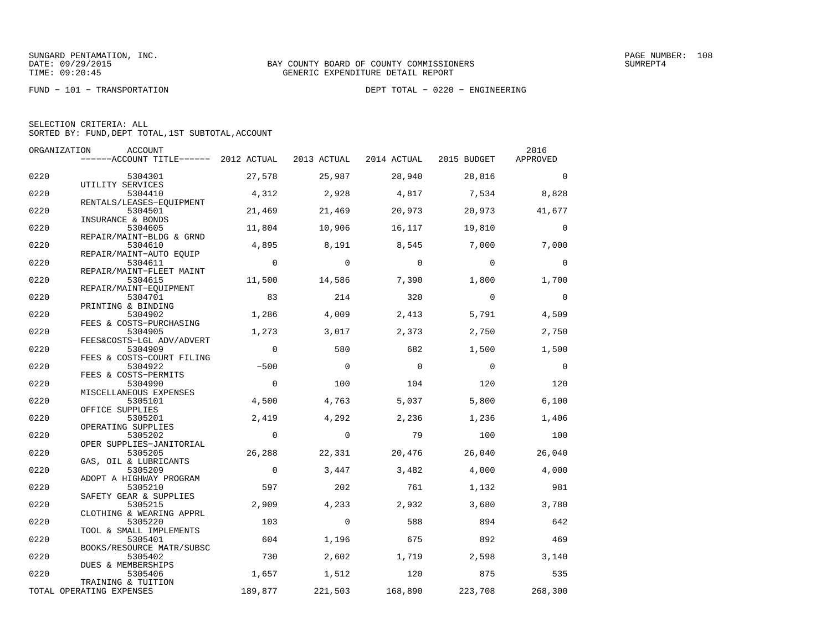FUND − 101 − TRANSPORTATION DEPT TOTAL − 0220 − ENGINEERING

|  | SELECTION CRITERIA: ALL |                                                    |
|--|-------------------------|----------------------------------------------------|
|  |                         | SORTED BY: FUND, DEPT TOTAL, 1ST SUBTOTAL, ACCOUNT |

| ORGANIZATION<br>2016<br>ACCOUNT |                                                |                |              |             |             |                |  |  |  |
|---------------------------------|------------------------------------------------|----------------|--------------|-------------|-------------|----------------|--|--|--|
|                                 | $---ACCOUNT$ TITLE $--- 2012$ ACTUAL           |                | 2013 ACTUAL  | 2014 ACTUAL | 2015 BUDGET | APPROVED       |  |  |  |
| 0220                            | 5304301<br>UTILITY SERVICES                    | 27,578         | 25,987       | 28,940      | 28,816      | $\Omega$       |  |  |  |
| 0220                            | 5304410                                        | 4,312          | 2,928        | 4,817       | 7,534       | 8,828          |  |  |  |
| 0220                            | RENTALS/LEASES-EOUIPMENT<br>5304501            | 21,469         | 21,469       | 20,973      | 20,973      | 41,677         |  |  |  |
| 0220                            | INSURANCE & BONDS<br>5304605                   | 11,804         | 10,906       | 16,117      | 19,810      | $\Omega$       |  |  |  |
| 0220                            | REPAIR/MAINT-BLDG & GRND<br>5304610            | 4,895          | 8,191        | 8,545       | 7,000       | 7,000          |  |  |  |
| 0220                            | REPAIR/MAINT-AUTO EQUIP<br>5304611             | $\overline{0}$ | $\Omega$     | $\Omega$    | $\Omega$    | $\Omega$       |  |  |  |
| 0220                            | REPAIR/MAINT-FLEET MAINT<br>5304615            | 11,500         | 14,586       | 7,390       | 1,800       | 1,700          |  |  |  |
| 0220                            | REPAIR/MAINT-EOUIPMENT<br>5304701              | 83             | 214          | 320         | $\Omega$    | $\mathbf 0$    |  |  |  |
| 0220                            | PRINTING & BINDING<br>5304902                  | 1,286          | 4,009        | 2,413       | 5,791       | 4,509          |  |  |  |
| 0220                            | FEES & COSTS-PURCHASING<br>5304905             | 1,273          | 3,017        | 2,373       | 2,750       | 2,750          |  |  |  |
| 0220                            | FEES&COSTS-LGL ADV/ADVERT<br>5304909           | $\Omega$       | 580          | 682         | 1,500       | 1,500          |  |  |  |
| 0220                            | FEES & COSTS-COURT FILING<br>5304922           | $-500$         | $\Omega$     | $\Omega$    | $\Omega$    | $\overline{0}$ |  |  |  |
| 0220                            | FEES & COSTS-PERMITS<br>5304990                | $\Omega$       | 100          | 104         | 120         | 120            |  |  |  |
| 0220                            | MISCELLANEOUS EXPENSES<br>5305101              | 4,500          | 4,763        | 5,037       | 5,800       | 6,100          |  |  |  |
| 0220                            | OFFICE SUPPLIES<br>5305201                     | 2,419          | 4,292        | 2,236       | 1,236       | 1,406          |  |  |  |
| 0220                            | OPERATING SUPPLIES<br>5305202                  | $\mathbf 0$    | $\mathbf{0}$ | 79          | 100         | 100            |  |  |  |
| 0220                            | OPER SUPPLIES-JANITORIAL<br>5305205            | 26,288         | 22,331       | 20,476      | 26,040      | 26,040         |  |  |  |
| 0220                            | GAS, OIL & LUBRICANTS<br>5305209               | $\overline{0}$ | 3,447        | 3,482       | 4,000       | 4,000          |  |  |  |
| 0220                            | ADOPT A HIGHWAY PROGRAM<br>5305210             | 597            | 202          | 761         | 1,132       | 981            |  |  |  |
| 0220                            | SAFETY GEAR & SUPPLIES<br>5305215              | 2,909          | 4,233        | 2,932       | 3,680       | 3,780          |  |  |  |
| 0220                            | CLOTHING & WEARING APPRL<br>5305220            | 103            | $\Omega$     | 588         | 894         | 642            |  |  |  |
| 0220                            | TOOL & SMALL IMPLEMENTS<br>5305401             | 604            | 1,196        | 675         | 892         | 469            |  |  |  |
| 0220                            | BOOKS/RESOURCE MATR/SUBSC<br>5305402           | 730            | 2,602        | 1,719       | 2,598       | 3,140          |  |  |  |
| 0220                            | DUES & MEMBERSHIPS<br>5305406                  | 1,657          | 1,512        | 120         | 875         | 535            |  |  |  |
|                                 | TRAINING & TUITION<br>TOTAL OPERATING EXPENSES | 189,877        | 221,503      | 168,890     | 223,708     | 268,300        |  |  |  |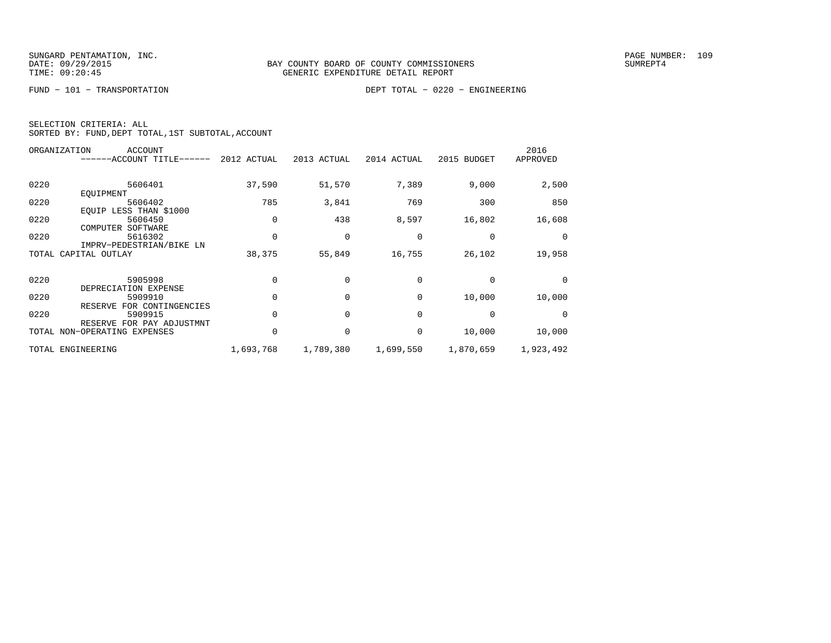FUND − 101 − TRANSPORTATION DEPT TOTAL − 0220 − ENGINEERING

|  | SELECTION CRITERIA: ALL |                                                    |  |
|--|-------------------------|----------------------------------------------------|--|
|  |                         | SORTED BY: FUND, DEPT TOTAL, 1ST SUBTOTAL, ACCOUNT |  |

|      | <b>ACCOUNT</b><br>ORGANIZATION |             |             |             |              | 2016      |
|------|--------------------------------|-------------|-------------|-------------|--------------|-----------|
|      | ------ACCOUNT TITLE------      | 2012 ACTUAL | 2013 ACTUAL | 2014 ACTUAL | 2015 BUDGET  | APPROVED  |
|      |                                |             |             |             |              |           |
| 0220 | 5606401                        | 37,590      | 51,570      | 7,389       | 9,000        | 2,500     |
|      | EOUIPMENT                      |             |             |             |              |           |
| 0220 | 5606402                        | 785         | 3,841       | 769         | 300          | 850       |
|      | EQUIP LESS THAN \$1000         |             |             |             |              |           |
| 0220 | 5606450                        |             | 438         | 8,597       | 16,802       | 16,608    |
|      | COMPUTER<br>SOFTWARE           |             |             |             |              |           |
| 0220 | 5616302                        |             | $\Omega$    | $\Omega$    | $\Omega$     | $\Omega$  |
|      | IMPRV-PEDESTRIAN/BIKE LN       |             |             |             |              |           |
|      | TOTAL CAPITAL OUTLAY           | 38,375      | 55,849      | 16,755      | 26,102       | 19,958    |
|      |                                |             |             |             |              |           |
| 0220 | 5905998                        |             |             | $\Omega$    | $\Omega$     |           |
|      | DEPRECIATION EXPENSE           |             |             |             |              |           |
| 0220 | 5909910                        |             |             | $\Omega$    | 10,000       | 10,000    |
|      | RESERVE FOR CONTINGENCIES      |             |             |             |              |           |
| 0220 | 5909915                        |             |             | $\Omega$    | <sup>0</sup> |           |
|      | RESERVE FOR PAY ADJUSTMNT      |             |             |             |              |           |
|      | TOTAL NON-OPERATING EXPENSES   |             |             | $\Omega$    | 10,000       | 10,000    |
|      |                                |             |             |             |              |           |
|      | TOTAL ENGINEERING              | 1,693,768   | 1,789,380   | 1,699,550   | 1,870,659    | 1,923,492 |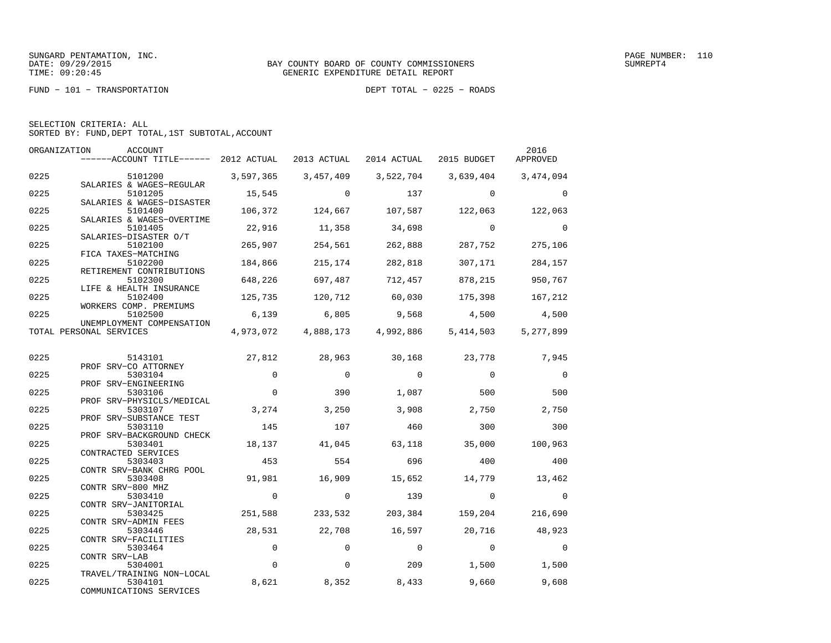FUND − 101 − TRANSPORTATION DEPT TOTAL − 0225 − ROADS

| SELECTION CRITERIA: ALL |                                                    |
|-------------------------|----------------------------------------------------|
|                         | SORTED BY: FUND, DEPT TOTAL, 1ST SUBTOTAL, ACCOUNT |

| ORGANIZATION | ACCOUNT<br>------ACCOUNT TITLE------ 2012 ACTUAL 2013 ACTUAL |             |                     | 2014 ACTUAL    | 2015 BUDGET    | 2016<br>APPROVED |
|--------------|--------------------------------------------------------------|-------------|---------------------|----------------|----------------|------------------|
| 0225         | 5101200                                                      | 3,597,365   | 3,457,409           | 3,522,704      | 3,639,404      | 3,474,094        |
| 0225         | SALARIES & WAGES-REGULAR<br>5101205                          | 15,545      | $\Omega$            | 137            | $\Omega$       | $\Omega$         |
| 0225         | SALARIES & WAGES-DISASTER<br>5101400                         | 106,372     | 124,667             | 107,587        | 122,063        | 122,063          |
| 0225         | SALARIES & WAGES-OVERTIME<br>5101405                         | 22,916      | 11,358              | 34,698         | $\Omega$       | $\Omega$         |
| 0225         | SALARIES-DISASTER O/T<br>5102100                             | 265,907     | 254,561             | 262,888        | 287,752        | 275,106          |
|              | FICA TAXES-MATCHING                                          |             |                     |                |                |                  |
| 0225         | 5102200<br>RETIREMENT CONTRIBUTIONS                          | 184,866     | 215,174             | 282,818        | 307,171        | 284,157          |
| 0225         | 5102300<br>LIFE & HEALTH INSURANCE                           | 648,226     | 697,487             | 712,457        | 878,215        | 950,767          |
| 0225         | 5102400<br>WORKERS COMP. PREMIUMS                            | 125,735     | 120,712             | 60,030         | 175,398        | 167,212          |
| 0225         | 5102500<br>UNEMPLOYMENT COMPENSATION                         | 6,139       | 6,805               | 9,568          | 4,500          | 4,500            |
|              | TOTAL PERSONAL SERVICES                                      |             | 4,973,072 4,888,173 | 4,992,886      | 5,414,503      | 5,277,899        |
| 0225         | 5143101                                                      | 27,812      | 28,963              | 30,168         | 23,778         | 7,945            |
| 0225         | PROF SRV-CO ATTORNEY<br>5303104                              | $\Omega$    | $\Omega$            | $\Omega$       | $\Omega$       | $\mathbf 0$      |
| 0225         | PROF SRV-ENGINEERING<br>5303106                              | $\Omega$    | 390                 | 1,087          | 500            | 500              |
| 0225         | PROF SRV-PHYSICLS/MEDICAL<br>5303107                         | 3,274       | 3,250               | 3,908          | 2,750          | 2,750            |
| 0225         | PROF SRV-SUBSTANCE TEST<br>5303110                           | 145         | 107                 | 460            | 300            | 300              |
| 0225         | PROF SRV-BACKGROUND CHECK<br>5303401                         | 18,137      | 41,045              | 63,118         | 35,000         | 100,963          |
| 0225         | CONTRACTED SERVICES<br>5303403                               | 453         | 554                 | 696            | 400            | 400              |
| 0225         | CONTR SRV-BANK CHRG POOL<br>5303408                          | 91,981      | 16,909              | 15,652         | 14,779         | 13,462           |
| 0225         | CONTR SRV-800 MHZ<br>5303410                                 | $\mathbf 0$ | $\mathbf 0$         | 139            | $\Omega$       | $\Omega$         |
| 0225         | CONTR SRV-JANITORIAL<br>5303425                              | 251,588     | 233,532             | 203,384        | 159,204        | 216,690          |
| 0225         | CONTR SRV-ADMIN FEES<br>5303446                              | 28,531      | 22,708              | 16,597         | 20,716         | 48,923           |
| 0225         | CONTR SRV-FACILITIES<br>5303464                              | $\mathbf 0$ | $\mathbf 0$         | $\overline{0}$ | $\overline{0}$ | $\mathbf 0$      |
|              | CONTR SRV-LAB                                                |             |                     |                |                |                  |
| 0225         | 5304001<br>TRAVEL/TRAINING NON-LOCAL                         | $\Omega$    | $\Omega$            | 209            | 1,500          | 1,500            |
| 0225         | 5304101<br>COMMUNICATIONS SERVICES                           | 8,621       | 8,352               | 8,433          | 9,660          | 9,608            |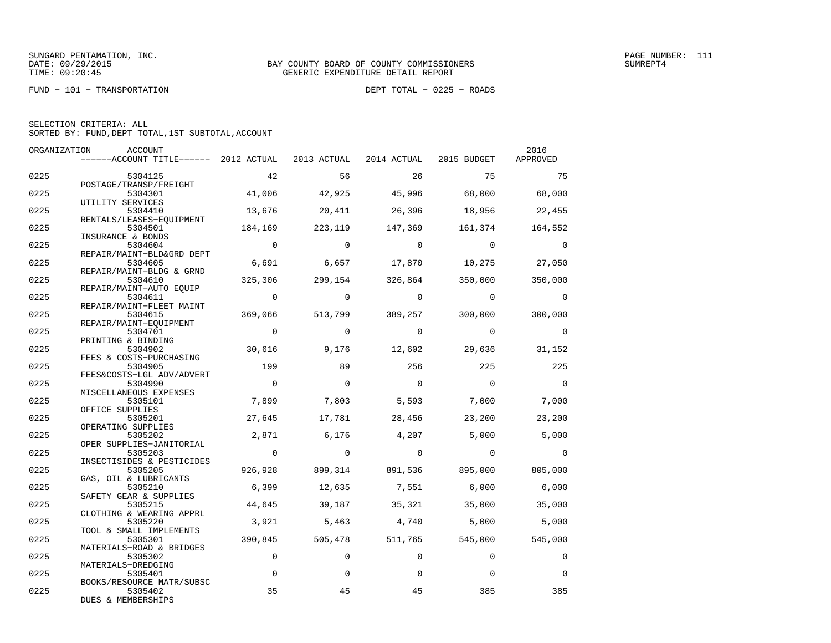FUND − 101 − TRANSPORTATION DEPT TOTAL − 0225 − ROADS

| SELECTION CRITERIA: ALL |  |  |                                                    |  |
|-------------------------|--|--|----------------------------------------------------|--|
|                         |  |  | SORTED BY: FUND, DEPT TOTAL, 1ST SUBTOTAL, ACCOUNT |  |

| ORGANIZATION | ACCOUNT                                                                   |                |                |                                 |                | 2016           |
|--------------|---------------------------------------------------------------------------|----------------|----------------|---------------------------------|----------------|----------------|
|              | ------ACCOUNT TITLE------ 2012 ACTUAL 2013 ACTUAL 2014 ACTUAL 2015 BUDGET |                |                |                                 |                | APPROVED       |
| 0225         | 5304125                                                                   | 42             | 56             | 26                              | 75             | 75             |
|              | POSTAGE/TRANSP/FREIGHT                                                    |                |                |                                 |                |                |
| 0225         | 5304301                                                                   | 41,006         | 42,925         | 45,996                          | 68,000         | 68,000         |
|              | UTILITY SERVICES                                                          |                |                |                                 |                |                |
| 0225         | 5304410<br>RENTALS/LEASES-EOUIPMENT                                       | 13,676         | 20,411         | 26,396                          | 18,956         | 22,455         |
| 0225         | 5304501                                                                   | 184,169        | 223,119        | 147,369                         | 161,374        | 164,552        |
|              | INSURANCE & BONDS                                                         |                |                |                                 |                |                |
| 0225         | 5304604                                                                   | $\overline{0}$ | $\Omega$       | $\Omega$                        | $\overline{0}$ | $\Omega$       |
|              | REPAIR/MAINT-BLD&GRD DEPT                                                 | 6,691          |                |                                 |                |                |
| 0225         | 5304605<br>REPAIR/MAINT-BLDG & GRND                                       |                | 6,657          | 17,870                          | 10,275         | 27,050         |
| 0225         | 5304610                                                                   | 325,306        | 299,154        | 326,864                         | 350,000        | 350,000        |
|              | REPAIR/MAINT-AUTO EOUIP                                                   |                |                |                                 |                |                |
| 0225         | 5304611                                                                   | $\overline{0}$ | $\circ$        | $\overline{0}$                  | $\overline{0}$ | $\overline{0}$ |
|              | REPAIR/MAINT-FLEET MAINT                                                  |                |                |                                 |                |                |
| 0225         | 5304615                                                                   | 369,066        |                | 513,799 389,257                 | 300,000        | 300,000        |
|              | REPAIR/MAINT-EQUIPMENT                                                    |                |                |                                 |                |                |
| 0225         | 5304701                                                                   | $\overline{0}$ | $\Omega$       | $\Omega$                        | $\overline{0}$ | $\Omega$       |
|              | PRINTING & BINDING                                                        |                |                |                                 |                |                |
| 0225         | 5304902                                                                   | 30,616         | 9,176          | 12,602                          | 29,636         | 31,152         |
|              | FEES & COSTS-PURCHASING                                                   |                |                |                                 |                |                |
| 0225         | 5304905                                                                   | 199            | 89             | 256                             | 225            | 225            |
|              | FEES&COSTS-LGL ADV/ADVERT                                                 |                |                |                                 |                |                |
| 0225         | 5304990                                                                   | $\overline{0}$ | $\Omega$       | $\overline{0}$                  | $\overline{0}$ | $\Omega$       |
|              | MISCELLANEOUS EXPENSES                                                    |                |                |                                 |                |                |
| 0225         | 5305101                                                                   | 7,899          | 7,803          | 5,593                           | 7,000          | 7,000          |
|              | OFFICE SUPPLIES                                                           |                |                |                                 |                |                |
| 0225         | 5305201<br>OPERATING SUPPLIES                                             | 27,645         | 17,781         | 28,456                          | 23,200         | 23,200         |
| 0225         | 5305202                                                                   | 2,871          | 6,176          | 4,207                           | 5,000          | 5,000          |
|              | OPER SUPPLIES-JANITORIAL                                                  |                |                |                                 |                |                |
| 0225         | 5305203                                                                   | $\overline{0}$ | $\overline{0}$ | $\overline{0}$                  | $\overline{0}$ | $\Omega$       |
|              | INSECTISIDES & PESTICIDES                                                 |                |                |                                 |                |                |
| 0225         | 5305205                                                                   | 926,928        |                | 899,314 891,536 895,000 805,000 |                |                |
|              | GAS, OIL & LUBRICANTS                                                     |                |                |                                 |                |                |
| 0225         | 5305210                                                                   | 6,399          | 12,635         | 7,551                           | 6,000          | 6,000          |
|              | SAFETY GEAR & SUPPLIES                                                    |                |                |                                 |                |                |
| 0225         | 5305215                                                                   | 44,645         | 39,187         | 35,321                          | 35,000         | 35,000         |
|              | CLOTHING & WEARING APPRL                                                  |                |                |                                 |                |                |
| 0225         | 5305220                                                                   | 3,921          | 5,463          | 4,740                           | 5,000          | 5,000          |
|              | TOOL & SMALL IMPLEMENTS                                                   |                |                |                                 |                |                |
| 0225         | 5305301                                                                   | 390,845        | 505,478        | 511,765                         | 545,000        | 545,000        |
| 0225         | MATERIALS-ROAD & BRIDGES<br>5305302                                       | $\mathbf 0$    | $\Omega$       | $\Omega$                        | $\Omega$       | 0              |
|              | MATERIALS-DREDGING                                                        |                |                |                                 |                |                |
| 0225         | 5305401                                                                   | $\mathbf 0$    | $\Omega$       | 0                               | $\Omega$       | $\Omega$       |
|              | BOOKS/RESOURCE MATR/SUBSC                                                 |                |                |                                 |                |                |
| 0225         | 5305402                                                                   | 35             | 45             | 45                              | 385            | 385            |
|              | DUES & MEMBERSHIPS                                                        |                |                |                                 |                |                |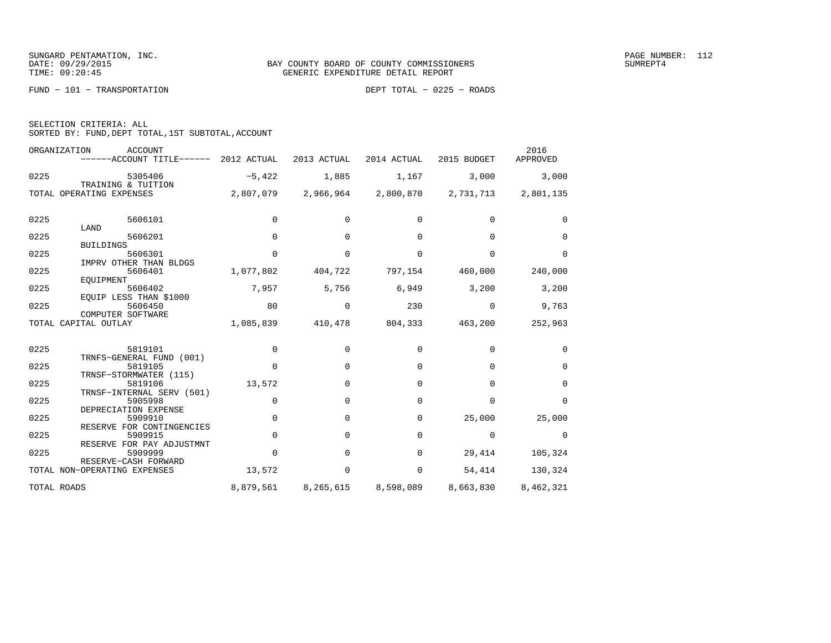FUND − 101 − TRANSPORTATION DEPT TOTAL − 0225 − ROADS

| SELECTION CRITERIA: ALL |  |  |                                                    |  |
|-------------------------|--|--|----------------------------------------------------|--|
|                         |  |  | SORTED BY: FUND, DEPT TOTAL, 1ST SUBTOTAL, ACCOUNT |  |

| ORGANIZATION | <b>ACCOUNT</b><br>------ACCOUNT TITLE------          | 2012 ACTUAL | 2013 ACTUAL | 2014 ACTUAL | 2015 BUDGET | 2016<br>APPROVED |
|--------------|------------------------------------------------------|-------------|-------------|-------------|-------------|------------------|
| 0225         | 5305406<br>TRAINING & TUITION                        | $-5,422$    | 1,885       | 1,167       | 3,000       | 3,000            |
|              | TOTAL OPERATING EXPENSES                             | 2,807,079   | 2,966,964   | 2,800,870   | 2,731,713   | 2,801,135        |
| 0225         | 5606101                                              | $\Omega$    | $\Omega$    | 0           | $\Omega$    | $\Omega$         |
| 0225         | LAND<br>5606201                                      | $\Omega$    | $\Omega$    | 0           | $\Omega$    | $\Omega$         |
|              | <b>BUILDINGS</b>                                     |             |             |             |             |                  |
| 0225         | 5606301                                              | $\Omega$    | $\Omega$    | $\Omega$    | $\Omega$    | $\Omega$         |
| 0225         | IMPRV OTHER THAN BLDGS<br>5606401<br>EOUIPMENT       | 1,077,802   | 404,722     | 797,154     | 460,000     | 240,000          |
| 0225         | 5606402                                              | 7,957       | 5,756       | 6,949       | 3,200       | 3,200            |
| 0225         | EQUIP LESS THAN \$1000<br>5606450                    | 80          | $\Omega$    | 230         | $\Omega$    | 9,763            |
|              | COMPUTER SOFTWARE<br>TOTAL CAPITAL OUTLAY            | 1,085,839   | 410,478     | 804,333     | 463,200     | 252,963          |
| 0225         | 5819101                                              | $\Omega$    | $\Omega$    | $\Omega$    | $\Omega$    | $\Omega$         |
| 0225         | TRNFS-GENERAL FUND (001)<br>5819105                  | $\Omega$    | $\Omega$    | 0           | $\Omega$    | $\Omega$         |
| 0225         | TRNSF-STORMWATER (115)<br>5819106                    | 13,572      | $\Omega$    | $\Omega$    | $\Omega$    | $\Omega$         |
|              | TRNSF-INTERNAL SERV (501)                            |             |             |             |             |                  |
| 0225         | 5905998<br>DEPRECIATION EXPENSE                      | 0           | $\Omega$    | 0           | $\Omega$    | $\Omega$         |
| 0225         | 5909910                                              | 0           | $\Omega$    | 0           | 25,000      | 25,000           |
| 0225         | RESERVE FOR CONTINGENCIES<br>5909915                 | 0           | 0           | $\Omega$    | $\Omega$    | $\Omega$         |
| 0225         | RESERVE FOR PAY ADJUSTMNT<br>5909999                 | 0           | $\Omega$    | $\Omega$    | 29,414      | 105,324          |
|              | RESERVE-CASH FORWARD<br>TOTAL NON-OPERATING EXPENSES | 13,572      | $\Omega$    | $\mathbf 0$ | 54,414      | 130,324          |
| TOTAL ROADS  |                                                      | 8,879,561   | 8,265,615   | 8,598,089   | 8,663,830   | 8,462,321        |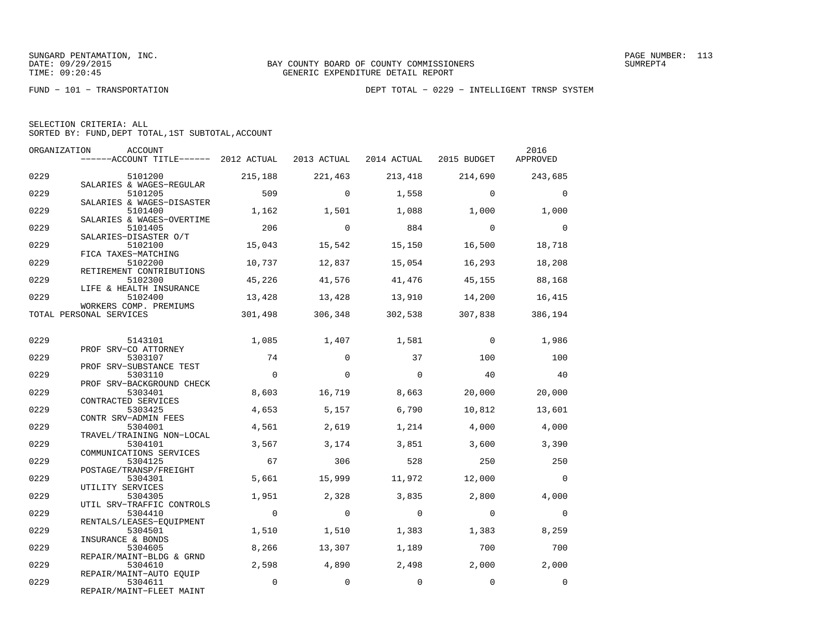FUND − 101 − TRANSPORTATION DEPT TOTAL − 0229 − INTELLIGENT TRNSP SYSTEM

|  | SELECTION CRITERIA: ALL                            |  |  |
|--|----------------------------------------------------|--|--|
|  | SORTED BY: FUND, DEPT TOTAL, 1ST SUBTOTAL, ACCOUNT |  |  |

|      | ORGANIZATION<br>ACCOUNT<br>$----ACCOUNT$ TITLE $----$ 2012 ACTUAL |                | 2013 ACTUAL | 2014 ACTUAL | 2015 BUDGET | 2016<br>APPROVED |
|------|-------------------------------------------------------------------|----------------|-------------|-------------|-------------|------------------|
| 0229 | 5101200                                                           | 215,188        | 221,463     | 213,418     | 214,690     | 243,685          |
| 0229 | SALARIES & WAGES-REGULAR<br>5101205                               | 509            | $\Omega$    | 1,558       | $\Omega$    | $\mathbf 0$      |
| 0229 | SALARIES & WAGES-DISASTER<br>5101400                              | 1,162          | 1,501       | 1,088       | 1,000       | 1,000            |
| 0229 | SALARIES & WAGES-OVERTIME<br>5101405                              | 206            | $\Omega$    | 884         | $\Omega$    | $\Omega$         |
| 0229 | SALARIES-DISASTER O/T<br>5102100                                  | 15,043         | 15,542      | 15,150      | 16,500      | 18,718           |
| 0229 | FICA TAXES-MATCHING<br>5102200<br>RETIREMENT CONTRIBUTIONS        | 10,737         | 12,837      | 15,054      | 16,293      | 18,208           |
| 0229 | 5102300<br>LIFE & HEALTH INSURANCE                                | 45,226         | 41,576      | 41,476      | 45,155      | 88,168           |
| 0229 | 5102400<br>WORKERS COMP. PREMIUMS                                 | 13,428         | 13,428      | 13,910      | 14,200      | 16,415           |
|      | TOTAL PERSONAL SERVICES                                           | 301,498        | 306,348     | 302,538     | 307,838     | 386,194          |
| 0229 | 5143101                                                           | 1,085          | 1,407       | 1,581       | $\Omega$    | 1,986            |
| 0229 | PROF SRV-CO ATTORNEY<br>5303107                                   | 74             | $\Omega$    | 37          | 100         | 100              |
| 0229 | PROF SRV-SUBSTANCE TEST<br>5303110                                | $\Omega$       | $\Omega$    | $\Omega$    | 40          | 40               |
| 0229 | PROF SRV-BACKGROUND CHECK<br>5303401                              | 8,603          | 16,719      | 8,663       | 20,000      | 20,000           |
| 0229 | CONTRACTED SERVICES<br>5303425                                    | 4,653          | 5,157       | 6,790       | 10,812      | 13,601           |
| 0229 | CONTR SRV-ADMIN FEES<br>5304001                                   | 4,561          | 2,619       | 1,214       | 4,000       | 4,000            |
| 0229 | TRAVEL/TRAINING NON-LOCAL<br>5304101                              | 3,567          | 3,174       | 3,851       | 3,600       | 3,390            |
| 0229 | COMMUNICATIONS SERVICES<br>5304125                                | 67             | 306         | 528         | 250         | 250              |
| 0229 | POSTAGE/TRANSP/FREIGHT<br>5304301                                 | 5,661          | 15,999      | 11,972      | 12,000      | $\Omega$         |
| 0229 | UTILITY SERVICES<br>5304305                                       | 1,951          | 2,328       | 3,835       | 2,800       | 4,000            |
| 0229 | UTIL SRV-TRAFFIC CONTROLS<br>5304410                              | $\overline{0}$ | $\circ$     | $\mathbf 0$ | $\Omega$    | $\mathbf 0$      |
| 0229 | RENTALS/LEASES-EQUIPMENT<br>5304501                               | 1,510          | 1,510       | 1,383       | 1,383       | 8,259            |
| 0229 | INSURANCE & BONDS<br>5304605                                      | 8,266          | 13,307      | 1,189       | 700         | 700              |
| 0229 | REPAIR/MAINT-BLDG & GRND<br>5304610                               | 2,598          | 4,890       | 2,498       | 2,000       | 2,000            |
| 0229 | REPAIR/MAINT-AUTO EOUIP<br>5304611<br>REPAIR/MAINT-FLEET MAINT    | $\mathbf 0$    | $\mathbf 0$ | $\mathbf 0$ | $\mathbf 0$ | $\mathbf 0$      |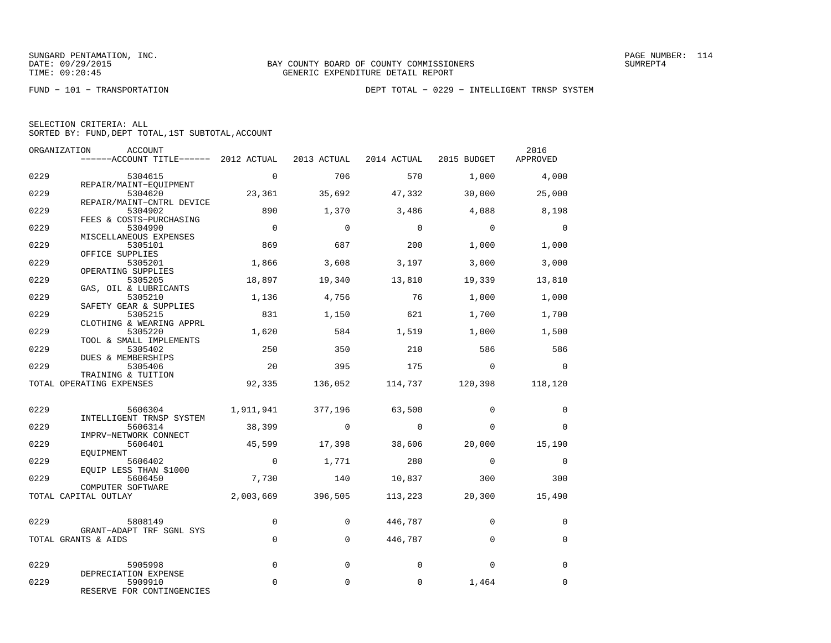FUND − 101 − TRANSPORTATION DEPT TOTAL − 0229 − INTELLIGENT TRNSP SYSTEM

| ORGANIZATION | ACCOUNT<br>------ACCOUNT TITLE------ 2012 ACTUAL                |                     | 2013 ACTUAL    | 2014 ACTUAL 2015 BUDGET |             | 2016<br>APPROVED |
|--------------|-----------------------------------------------------------------|---------------------|----------------|-------------------------|-------------|------------------|
| 0229         | 5304615                                                         | $\Omega$            | 706            | 570                     | 1,000       | 4,000            |
| 0229         | REPAIR/MAINT-EQUIPMENT<br>5304620                               | 23,361              | 35,692         | 47,332                  | 30,000      | 25,000           |
| 0229         | REPAIR/MAINT-CNTRL DEVICE<br>5304902<br>FEES & COSTS-PURCHASING | 890                 | 1,370          | 3,486                   | 4,088       | 8,198            |
| 0229         | 5304990<br>MISCELLANEOUS EXPENSES                               | $\overline{0}$      | $\Omega$       | $\Omega$                | $\Omega$    | $\Omega$         |
| 0229         | 5305101<br>OFFICE SUPPLIES                                      | 869                 | 687            | 200                     | 1,000       | 1,000            |
| 0229         | 5305201<br>OPERATING SUPPLIES                                   | 1,866               | 3,608          | 3,197                   | 3,000       | 3,000            |
| 0229         | 5305205<br>GAS, OIL & LUBRICANTS                                | 18,897              | 19,340         | 13,810                  | 19,339      | 13,810           |
| 0229         | 5305210<br>SAFETY GEAR & SUPPLIES                               | 1,136               | 4,756          | 76                      | 1,000       | 1,000            |
| 0229         | 5305215<br>CLOTHING & WEARING APPRL                             | 831                 | 1,150          | 621                     | 1,700       | 1,700            |
| 0229         | 5305220<br>TOOL & SMALL IMPLEMENTS                              | 1,620               | 584            | 1,519                   | 1,000       | 1,500            |
| 0229         | 5305402<br>DUES & MEMBERSHIPS                                   | 250                 | 350            | 210                     | 586         | 586              |
| 0229         | 5305406<br>TRAINING & TUITION                                   | 20                  | 395            | 175                     | $\mathbf 0$ | $\Omega$         |
|              | TOTAL OPERATING EXPENSES                                        | 92,335              | 136,052        | 114,737                 | 120,398     | 118,120          |
| 0229         | 5606304                                                         | 1,911,941           | 377,196        | 63,500                  | $\Omega$    | 0                |
| 0229         | INTELLIGENT TRNSP SYSTEM<br>5606314                             | 38,399              | $\overline{0}$ | $\overline{0}$          | $\Omega$    | $\Omega$         |
| 0229         | IMPRV-NETWORK CONNECT<br>5606401<br>EOUIPMENT                   | 45,599              | 17,398         | 38,606                  | 20,000      | 15,190           |
| 0229         | 5606402<br>EQUIP LESS THAN \$1000                               | $\overline{0}$      | 1,771          | 280                     | $\Omega$    | $\mathbf 0$      |
| 0229         | 5606450<br>COMPUTER SOFTWARE                                    | 7,730               | 140            | 10,837                  | 300         | 300              |
|              | TOTAL CAPITAL OUTLAY                                            | 2,003,669           | 396,505        | 113,223                 | 20,300      | 15,490           |
| 0229         | 5808149                                                         | 0                   | $\Omega$       | 446,787                 | $\Omega$    | $\Omega$         |
|              | GRANT-ADAPT TRF SGNL SYS<br>TOTAL GRANTS & AIDS                 | $\mathsf{O}\xspace$ | $\mathbf 0$    | 446,787                 | $\mathbf 0$ | $\mathbf 0$      |
| 0229         | 5905998                                                         | $\Omega$            | $\Omega$       | $\Omega$                | $\Omega$    | $\Omega$         |
| 0229         | DEPRECIATION EXPENSE<br>5909910<br>RESERVE FOR CONTINGENCIES    | $\mathbf 0$         | $\mathbf 0$    | $\mathbf 0$             | 1,464       | $\mathbf 0$      |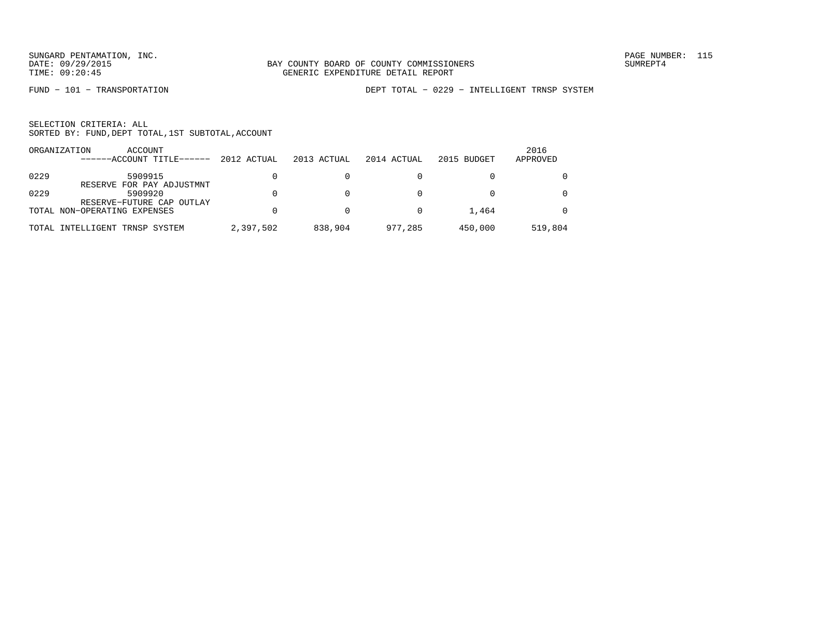FUND − 101 − TRANSPORTATION DEPT TOTAL − 0229 − INTELLIGENT TRNSP SYSTEM

|      | ACCOUNT<br>ORGANIZATION<br>$---ACCOINT TITLE---$ | 2012 ACTUAL | 2013 ACTUAL | 2014 ACTUAL | 2015 BUDGET | 2016<br>APPROVED |
|------|--------------------------------------------------|-------------|-------------|-------------|-------------|------------------|
| 0229 | 5909915<br>RESERVE FOR PAY ADJUSTMNT             |             |             |             |             | $\Omega$         |
| 0229 | 5909920<br>RESERVE-FUTURE CAP OUTLAY             |             |             |             |             | $\Omega$         |
|      | TOTAL NON-OPERATING EXPENSES                     |             |             |             | 1,464       | $\Omega$         |
|      | TOTAL INTELLIGENT TRNSP SYSTEM                   | 2,397,502   | 838,904     | 977,285     | 450,000     | 519,804          |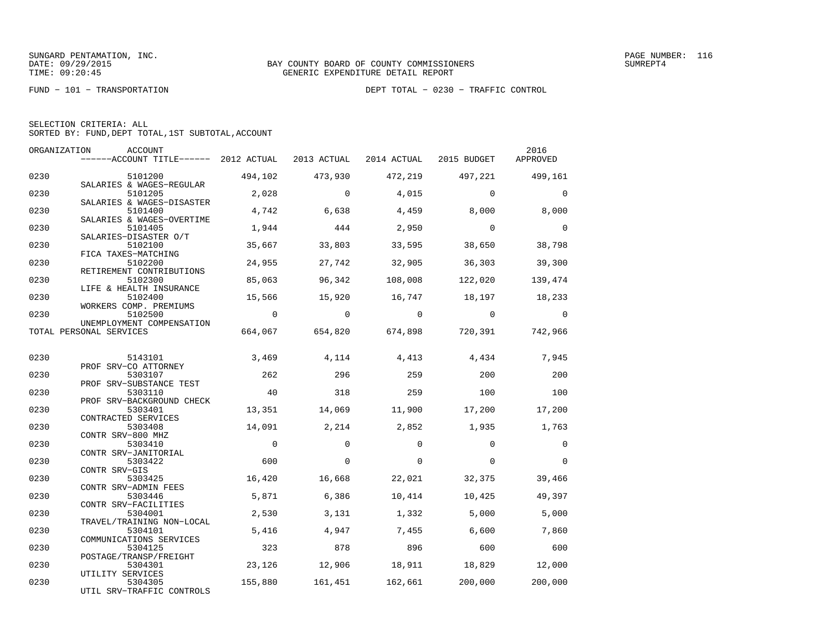FUND − 101 − TRANSPORTATION DEPT TOTAL − 0230 − TRAFFIC CONTROL

| SELECTION CRITERIA: ALL |  |  |                                                    |  |
|-------------------------|--|--|----------------------------------------------------|--|
|                         |  |  | SORTED BY: FUND, DEPT TOTAL, 1ST SUBTOTAL, ACCOUNT |  |

| ORGANIZATION | ACCOUNT<br>------ACCOUNT TITLE------ 2012 ACTUAL                  |                | 2013 ACTUAL    | 2014 ACTUAL    | 2015 BUDGET    | 2016<br>APPROVED |
|--------------|-------------------------------------------------------------------|----------------|----------------|----------------|----------------|------------------|
| 0230         | 5101200                                                           | 494,102        | 473,930        | 472,219        | 497,221        | 499,161          |
| 0230         | SALARIES & WAGES-REGULAR<br>5101205                               | 2,028          | $\Omega$       | 4,015          | $\Omega$       | $\Omega$         |
| 0230         | SALARIES & WAGES-DISASTER<br>5101400<br>SALARIES & WAGES-OVERTIME | 4,742          | 6,638          | 4,459          | 8,000          | 8,000            |
| 0230         | 5101405<br>SALARIES-DISASTER O/T                                  | 1,944          | 444            | 2,950          | $\overline{0}$ | $\Omega$         |
| 0230         | 5102100<br>FICA TAXES-MATCHING                                    | 35,667         | 33,803         | 33,595         | 38,650         | 38,798           |
| 0230         | 5102200<br>RETIREMENT CONTRIBUTIONS                               | 24,955         | 27,742         | 32,905         | 36,303         | 39,300           |
| 0230         | 5102300<br>LIFE & HEALTH INSURANCE                                | 85,063         | 96,342         | 108,008        | 122,020        | 139,474          |
| 0230         | 5102400<br>WORKERS COMP. PREMIUMS                                 | 15,566         | 15,920         | 16,747         | 18,197         | 18,233           |
| 0230         | 5102500<br>UNEMPLOYMENT COMPENSATION                              | $\overline{0}$ | $\overline{0}$ | $\overline{0}$ | $\sim$ 0       | $\overline{0}$   |
|              | TOTAL PERSONAL SERVICES                                           | 664,067        | 654,820        | 674,898        | 720,391        | 742,966          |
| 0230         | 5143101                                                           | 3,469          | 4,114          | 4,413          | 4,434          | 7,945            |
| 0230         | PROF SRV-CO ATTORNEY<br>5303107<br>PROF SRV-SUBSTANCE TEST        | 262            | 296            | 259            | 200            | 200              |
| 0230         | 5303110<br>PROF SRV-BACKGROUND CHECK                              | 40             | 318            | 259            | 100            | 100              |
| 0230         | 5303401<br>CONTRACTED SERVICES                                    | 13,351         | 14,069         | 11,900         | 17,200         | 17,200           |
| 0230         | 5303408<br>CONTR SRV-800 MHZ                                      | 14,091         | 2,214          | 2,852          | 1,935          | 1,763            |
| 0230         | 5303410<br>CONTR SRV-JANITORIAL                                   | $\overline{0}$ | $\mathbf 0$    | $\Omega$       | $\Omega$       | $\mathbf 0$      |
| 0230         | 5303422<br>CONTR SRV-GIS                                          | 600            | $\Omega$       | $\Omega$       | $\Omega$       | $\Omega$         |
| 0230         | 5303425<br>CONTR SRV-ADMIN FEES                                   | 16,420         | 16,668         | 22,021         | 32,375         | 39,466           |
| 0230         | 5303446<br>CONTR SRV-FACILITIES                                   | 5,871          | 6,386          | 10,414         | 10,425         | 49,397           |
| 0230         | 5304001<br>TRAVEL/TRAINING NON-LOCAL                              | 2,530          | 3,131          | 1,332          | 5,000          | 5,000            |
| 0230         | 5304101<br>COMMUNICATIONS SERVICES                                | 5,416          | 4,947          | 7,455          | 6,600          | 7,860            |
| 0230         | 5304125<br>POSTAGE/TRANSP/FREIGHT                                 | 323            | 878            | 896            | 600            | 600              |
| 0230         | 5304301<br>UTILITY SERVICES                                       | 23,126         | 12,906         |                | 18,911 18,829  | 12,000           |
| 0230         | 5304305<br>UTIL SRV-TRAFFIC CONTROLS                              | 155,880        | 161,451        | 162,661        | 200,000        | 200,000          |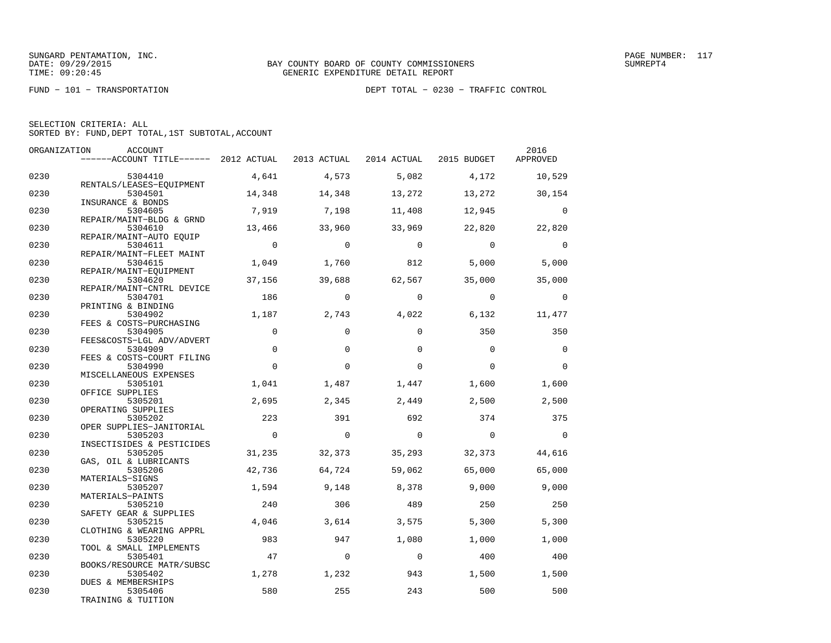FUND − 101 − TRANSPORTATION DEPT TOTAL − 0230 − TRAFFIC CONTROL

|  | SELECTION CRITERIA: ALL |                                                    |  |
|--|-------------------------|----------------------------------------------------|--|
|  |                         | SORTED BY: FUND, DEPT TOTAL, 1ST SUBTOTAL, ACCOUNT |  |

| ORGANIZATION | ACCOUNT                               |                |                |             |             | 2016        |
|--------------|---------------------------------------|----------------|----------------|-------------|-------------|-------------|
|              | ------ACCOUNT TITLE------ 2012 ACTUAL |                | 2013 ACTUAL    | 2014 ACTUAL | 2015 BUDGET | APPROVED    |
| 0230         | 5304410                               | 4,641          | 4,573          | 5,082       | 4,172       | 10,529      |
|              | RENTALS/LEASES-EQUIPMENT              |                |                |             |             |             |
| 0230         | 5304501<br>INSURANCE & BONDS          | 14,348         | 14,348         | 13,272      | 13,272      | 30,154      |
| 0230         | 5304605                               | 7,919          | 7,198          | 11,408      | 12,945      | $\Omega$    |
|              | REPAIR/MAINT-BLDG & GRND              |                |                |             |             |             |
| 0230         | 5304610                               | 13,466         | 33,960         | 33,969      | 22,820      | 22,820      |
| 0230         | REPAIR/MAINT-AUTO EQUIP<br>5304611    | $\overline{0}$ | $\Omega$       | $\Omega$    | $\Omega$    | $\mathbf 0$ |
|              | REPAIR/MAINT-FLEET MAINT              |                |                |             |             |             |
| 0230         | 5304615                               | 1,049          | 1,760          | 812         | 5,000       | 5,000       |
|              | REPAIR/MAINT-EQUIPMENT                |                |                |             |             |             |
| 0230         | 5304620                               | 37,156         | 39,688         | 62,567      | 35,000      | 35,000      |
| 0230         | REPAIR/MAINT-CNTRL DEVICE<br>5304701  | 186            | $\Omega$       | $\Omega$    | $\Omega$    | $\Omega$    |
|              | PRINTING & BINDING                    |                |                |             |             |             |
| 0230         | 5304902                               | 1,187          | 2,743          | 4,022       | 6,132       | 11,477      |
|              | FEES & COSTS-PURCHASING               |                |                |             |             |             |
| 0230         | 5304905                               | $\mathbf 0$    | $\Omega$       | $\Omega$    | 350         | 350         |
|              | FEES&COSTS-LGL ADV/ADVERT             |                |                |             |             |             |
| 0230         | 5304909                               | $\mathbf 0$    | $\Omega$       | $\Omega$    | $\Omega$    | $\Omega$    |
| 0230         | FEES & COSTS-COURT FILING<br>5304990  | $\Omega$       | $\Omega$       | $\Omega$    | $\mathbf 0$ | $\mathbf 0$ |
|              | MISCELLANEOUS EXPENSES                |                |                |             |             |             |
| 0230         | 5305101                               | 1,041          | 1,487          | 1,447       | 1,600       | 1,600       |
|              | OFFICE SUPPLIES                       |                |                |             |             |             |
| 0230         | 5305201                               | 2,695          | 2,345          | 2,449       | 2,500       | 2,500       |
|              | OPERATING SUPPLIES                    |                |                |             |             |             |
| 0230         | 5305202<br>OPER SUPPLIES-JANITORIAL   | 223            | 391            | 692         | 374         | 375         |
| 0230         | 5305203                               | $\overline{0}$ | $\overline{0}$ | $\bigcirc$  | $\Omega$    | $\bigcirc$  |
|              | INSECTISIDES & PESTICIDES             |                |                |             |             |             |
| 0230         | 5305205                               | 31,235         | 32,373         | 35,293      | 32,373      | 44,616      |
|              | GAS, OIL & LUBRICANTS                 |                |                |             |             |             |
| 0230         | 5305206                               | 42,736         | 64,724         | 59,062      | 65,000      | 65,000      |
| 0230         | MATERIALS-SIGNS<br>5305207            | 1,594          | 9,148          | 8,378       | 9,000       | 9,000       |
|              | MATERIALS-PAINTS                      |                |                |             |             |             |
| 0230         | 5305210                               | 240            | 306            | 489         | 250         | 250         |
|              | SAFETY GEAR & SUPPLIES                |                |                |             |             |             |
| 0230         | 5305215                               | 4,046          | 3,614          | 3,575       | 5,300       | 5,300       |
|              | CLOTHING & WEARING APPRL              |                |                |             |             |             |
| 0230         | 5305220                               | 983            | 947            | 1,080       | 1,000       | 1,000       |
| 0230         | TOOL & SMALL IMPLEMENTS<br>5305401    | 47             | $\mathbf 0$    | $\mathbf 0$ | 400         | 400         |
|              | BOOKS/RESOURCE MATR/SUBSC             |                |                |             |             |             |
| 0230         | 5305402                               | 1,278          | 1,232          | 943         | 1,500       | 1,500       |
|              | <b>DUES &amp; MEMBERSHIPS</b>         |                |                |             |             |             |
| 0230         | 5305406                               | 580            | 255            | 243         | 500         | 500         |
|              | TRAINING & TUITION                    |                |                |             |             |             |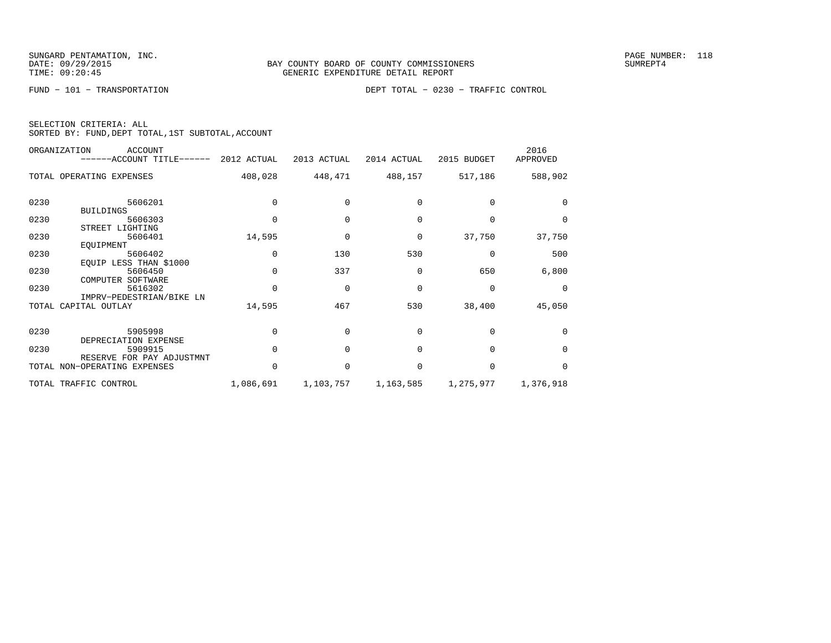FUND − 101 − TRANSPORTATION DEPT TOTAL − 0230 − TRAFFIC CONTROL

|  | SELECTION CRITERIA: ALL |                                                    |  |
|--|-------------------------|----------------------------------------------------|--|
|  |                         | SORTED BY: FUND, DEPT TOTAL, 1ST SUBTOTAL, ACCOUNT |  |

|      | ORGANIZATION<br><b>ACCOUNT</b><br>$----ACCOUNT$ TITLE $----$ 2012 ACTUAL |           | 2013 ACTUAL | 2014 ACTUAL     | 2015 BUDGET | 2016<br>APPROVED |
|------|--------------------------------------------------------------------------|-----------|-------------|-----------------|-------------|------------------|
|      | TOTAL OPERATING EXPENSES                                                 | 408,028   |             | 448,471 488,157 | 517,186     | 588,902          |
|      |                                                                          |           |             |                 |             |                  |
| 0230 | 5606201                                                                  |           |             |                 |             | $\Omega$         |
|      | <b>BUILDINGS</b>                                                         |           |             |                 |             |                  |
| 0230 | 5606303                                                                  | $\Omega$  | $\Omega$    | $\Omega$        | $\Omega$    | $\Omega$         |
|      | STREET LIGHTING                                                          |           |             |                 |             |                  |
| 0230 | 5606401                                                                  | 14,595    | $\Omega$    | $\mathbf 0$     | 37,750      | 37,750           |
|      | EQUIPMENT                                                                |           |             |                 |             |                  |
| 0230 | 5606402                                                                  |           | 130         | 530             | $\Omega$    | 500              |
|      | EQUIP LESS THAN \$1000                                                   |           |             |                 |             |                  |
| 0230 | 5606450                                                                  | $\Omega$  | 337         | $\Omega$        | 650         | 6,800            |
|      | COMPUTER SOFTWARE                                                        |           |             |                 |             |                  |
| 0230 | 5616302                                                                  |           | $\Omega$    | $\mathbf 0$     | $\mathbf 0$ | $\Omega$         |
|      | IMPRV-PEDESTRIAN/BIKE LN                                                 |           |             |                 |             |                  |
|      | TOTAL CAPITAL OUTLAY                                                     | 14,595    | 467         | 530             | 38,400      | 45,050           |
|      |                                                                          |           |             |                 |             |                  |
| 0230 | 5905998                                                                  |           | $\cap$      | $\cap$          | $\cap$      | $\Omega$         |
|      | DEPRECIATION EXPENSE                                                     |           |             |                 |             |                  |
| 0230 | 5909915                                                                  | $\cap$    | $\cap$      | $\Omega$        | $\Omega$    | $\Omega$         |
|      | RESERVE FOR PAY ADJUSTMNT                                                |           |             |                 |             |                  |
|      | TOTAL NON-OPERATING EXPENSES                                             | $\Omega$  | $\Omega$    | $\Omega$        | $\Omega$    | $\Omega$         |
|      | TOTAL TRAFFIC CONTROL                                                    | 1,086,691 | 1,103,757   | 1,163,585       | 1,275,977   | 1,376,918        |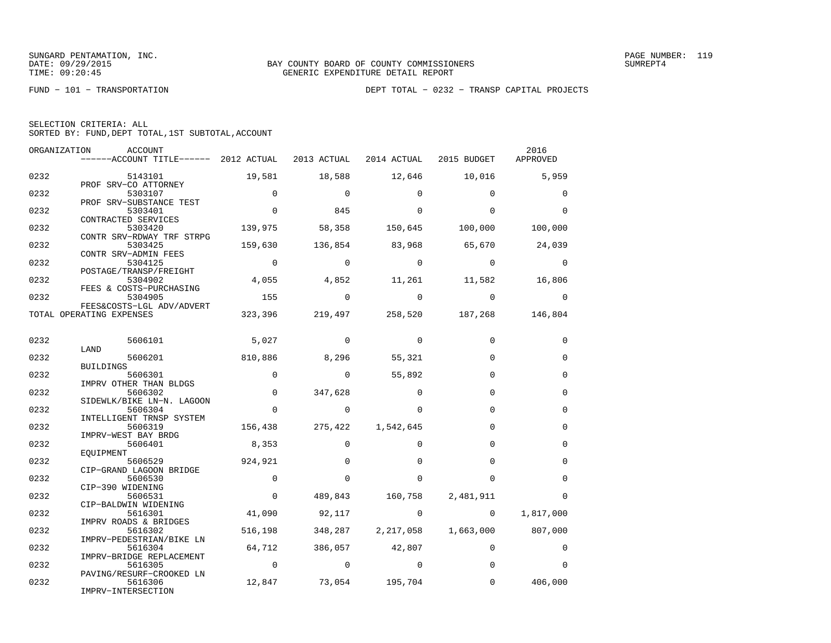FUND − 101 − TRANSPORTATION DEPT TOTAL − 0232 − TRANSP CAPITAL PROJECTS

| SELECTION CRITERIA: ALL |  |  |                                                    |
|-------------------------|--|--|----------------------------------------------------|
|                         |  |  | SORTED BY: FUND, DEPT TOTAL, 1ST SUBTOTAL, ACCOUNT |

|      | ORGANIZATION<br>ACCOUNT                                                   |                |                           |                   |                                         | 2016              |
|------|---------------------------------------------------------------------------|----------------|---------------------------|-------------------|-----------------------------------------|-------------------|
|      | ------ACCOUNT TITLE------ 2012 ACTUAL 2013 ACTUAL 2014 ACTUAL 2015 BUDGET |                |                           |                   |                                         | APPROVED          |
| 0232 | 5143101                                                                   | 19,581         | 18,588                    |                   | 12,646 10,016                           | 5,959             |
|      | PROF SRV-CO ATTORNEY                                                      |                |                           |                   |                                         |                   |
| 0232 | 5303107                                                                   | $\overline{0}$ | $\overline{0}$            | $\Omega$          | $\Omega$                                | $\mathbf 0$       |
|      | PROF SRV-SUBSTANCE TEST                                                   |                |                           |                   |                                         |                   |
| 0232 | 5303401                                                                   | $\Omega$       | 845                       | $\Omega$          | $\Omega$                                | $\Omega$          |
| 0232 | CONTRACTED SERVICES<br>5303420                                            | 139,975        |                           | 58,358 150,645    |                                         | 100,000 100,000   |
|      | CONTR SRV-RDWAY TRF STRPG                                                 |                |                           |                   |                                         |                   |
| 0232 | 5303425                                                                   | 159,630        | 136,854                   | 83,968            | 65,670                                  | 24,039            |
|      | CONTR SRV-ADMIN FEES                                                      |                |                           |                   |                                         |                   |
| 0232 | 5304125                                                                   | $\sim$ 0       | $\circ$                   | $\overline{0}$    | $\sim$ 0                                | $\overline{0}$    |
|      | POSTAGE/TRANSP/FREIGHT                                                    |                |                           |                   |                                         |                   |
| 0232 | 5304902                                                                   | 4,055          |                           |                   | 4,852 11,261 11,582                     | 16,806            |
| 0232 | FEES & COSTS-PURCHASING<br>5304905                                        | 155            | $\overline{0}$            | $\sim$ 0          | $\sim$ 0                                | 0                 |
|      | FEES&COSTS-LGL ADV/ADVERT                                                 |                |                           |                   |                                         |                   |
|      | TOTAL OPERATING EXPENSES                                                  |                |                           |                   | 323,396 219,497 258,520 187,268 146,804 |                   |
|      |                                                                           |                |                           |                   |                                         |                   |
|      |                                                                           |                |                           |                   |                                         |                   |
| 0232 | 5606101                                                                   | 5,027          | $\circ$                   | $\overline{0}$    | $\mathbf 0$                             | 0                 |
|      | LAND                                                                      |                |                           |                   |                                         |                   |
| 0232 | 5606201                                                                   | 810,886        | 8,296 55,321              |                   | $\Omega$                                | 0                 |
| 0232 | BUILDINGS<br>5606301                                                      | $\overline{0}$ | $\overline{0}$            | 55,892            | $\Omega$                                | $\mathbf 0$       |
|      | IMPRV OTHER THAN BLDGS                                                    |                |                           |                   |                                         |                   |
| 0232 | 5606302                                                                   | $\overline{0}$ | 347,628                   | $\Omega$          | $\Omega$                                | $\Omega$          |
|      | SIDEWLK/BIKE LN-N. LAGOON                                                 |                |                           |                   |                                         |                   |
| 0232 | 5606304                                                                   | $\overline{0}$ | $\mathbf 0$               | $\Omega$          | $\Omega$                                | $\mathbf 0$       |
|      | INTELLIGENT TRNSP SYSTEM                                                  |                |                           |                   |                                         |                   |
| 0232 | 5606319                                                                   |                | 156,438 275,422 1,542,645 |                   | $\Omega$                                | $\mathbf 0$       |
|      | IMPRV-WEST BAY BRDG                                                       |                |                           |                   |                                         |                   |
| 0232 | 5606401                                                                   | 8,353          | $\mathbf 0$               | $\Omega$          | $\Omega$                                | $\mathbf 0$       |
| 0232 | EOUIPMENT<br>5606529                                                      | 924,921        | $\Omega$                  | $\Omega$          | $\Omega$                                | $\Omega$          |
|      | CIP-GRAND LAGOON BRIDGE                                                   |                |                           |                   |                                         |                   |
| 0232 | 5606530                                                                   | $\overline{0}$ | $\Omega$                  | $\Omega$          | $\Omega$                                | $\Omega$          |
|      | CIP-390 WIDENING                                                          |                |                           |                   |                                         |                   |
| 0232 | 5606531                                                                   | $\Omega$       |                           | 489,843 160,758   | 2,481,911                               | $\Omega$          |
|      | CIP-BALDWIN WIDENING                                                      |                |                           |                   |                                         |                   |
| 0232 | 5616301                                                                   | 41,090         | 92,117                    | $\mathbf{0}$      | $\sim$ 0                                | 1,817,000         |
|      | IMPRV ROADS & BRIDGES                                                     |                |                           |                   |                                         |                   |
| 0232 | 5616302                                                                   | 516,198        |                           | 348,287 2,217,058 |                                         | 1,663,000 807,000 |
|      | IMPRV-PEDESTRIAN/BIKE LN                                                  | 64,712         |                           |                   | $\Omega$                                |                   |
| 0232 | 5616304<br>IMPRV-BRIDGE REPLACEMENT                                       |                | 386,057 42,807            |                   |                                         | 0                 |
| 0232 | 5616305                                                                   | $\overline{0}$ | $\overline{0}$ 0          |                   | $\Omega$                                | $\Omega$          |
|      | PAVING/RESURF-CROOKED LN                                                  |                |                           |                   |                                         |                   |
| 0232 | 5616306                                                                   |                | 12,847 73,054 195,704     |                   | $\mathbf 0$                             | 406,000           |
|      | IMPRV-INTERSECTION                                                        |                |                           |                   |                                         |                   |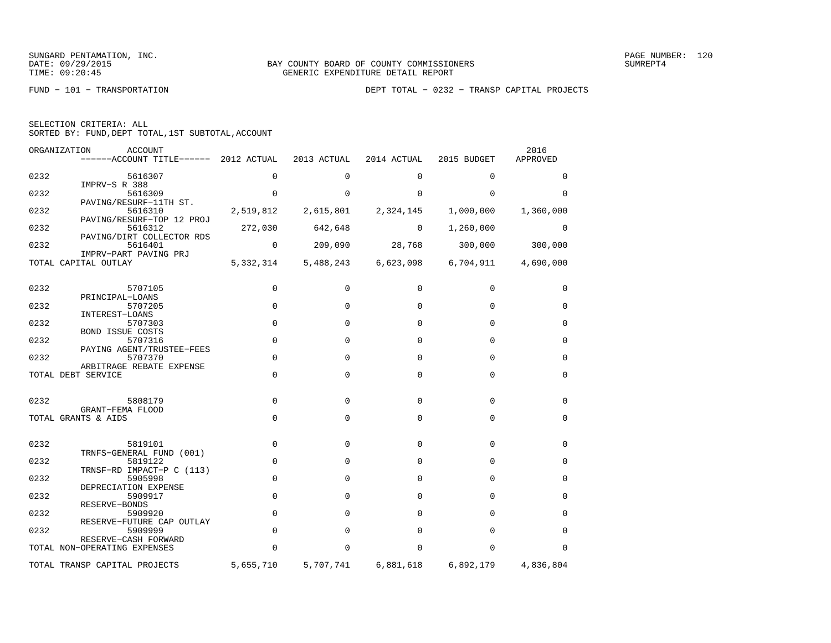FUND − 101 − TRANSPORTATION DEPT TOTAL − 0232 − TRANSP CAPITAL PROJECTS

| SELECTION CRITERIA: ALL | SORTED BY: FUND, DEPT TOTAL, 1ST SUBTOTAL, ACCOUNT |      |
|-------------------------|----------------------------------------------------|------|
| ORGANIZATION            | ACCOUNT                                            | 2016 |

|      | ------ACCOUNT TITLE------ 2012 ACTUAL                             |                | 2013 ACTUAL | 2014 ACTUAL | 2015 BUDGET | APPROVED    |
|------|-------------------------------------------------------------------|----------------|-------------|-------------|-------------|-------------|
| 0232 | 5616307                                                           | 0              | 0           | 0           | 0           | 0           |
| 0232 | IMPRV-S R 388<br>5616309                                          | $\Omega$       | $\Omega$    | $\Omega$    | $\Omega$    | $\Omega$    |
| 0232 | PAVING/RESURF-11TH ST.<br>5616310                                 | 2,519,812      | 2,615,801   | 2,324,145   | 1,000,000   | 1,360,000   |
| 0232 | PAVING/RESURF-TOP 12 PROJ<br>5616312<br>PAVING/DIRT COLLECTOR RDS | 272,030        | 642,648     | $\mathbf 0$ | 1,260,000   | $\mathbf 0$ |
| 0232 | 5616401                                                           | $\overline{0}$ | 209,090     | 28,768      | 300,000     | 300,000     |
|      | IMPRV-PART PAVING PRJ<br>TOTAL CAPITAL OUTLAY                     | 5,332,314      | 5,488,243   | 6,623,098   | 6,704,911   | 4,690,000   |
| 0232 | 5707105                                                           | 0              | $\Omega$    | 0           | 0           | 0           |
| 0232 | PRINCIPAL-LOANS<br>5707205                                        | $\mathbf 0$    | $\Omega$    | $\Omega$    | $\Omega$    | $\Omega$    |
| 0232 | INTEREST-LOANS<br>5707303                                         | $\mathbf 0$    | $\Omega$    | $\Omega$    | $\Omega$    | 0           |
| 0232 | <b>BOND ISSUE COSTS</b><br>5707316                                | $\mathbf 0$    | $\Omega$    | $\Omega$    | $\Omega$    | $\mathbf 0$ |
| 0232 | PAYING AGENT/TRUSTEE-FEES<br>5707370                              | $\mathbf 0$    | $\Omega$    | $\Omega$    | 0           | 0           |
|      | ARBITRAGE REBATE EXPENSE<br>TOTAL DEBT SERVICE                    | $\Omega$       | $\Omega$    | $\Omega$    | $\Omega$    | $\mathbf 0$ |
| 0232 | 5808179                                                           | $\Omega$       | $\Omega$    | $\Omega$    | $\mathbf 0$ | 0           |
|      | GRANT-FEMA FLOOD<br>TOTAL GRANTS & AIDS                           | 0              | $\mathbf 0$ | $\mathbf 0$ | $\mathbf 0$ | $\mathbf 0$ |
| 0232 | 5819101                                                           | $\mathbf 0$    | $\Omega$    | $\Omega$    | $\Omega$    | 0           |
|      | TRNFS-GENERAL FUND (001)                                          |                |             |             |             |             |
| 0232 | 5819122<br>TRNSF-RD IMPACT-P C (113)                              | $\mathbf 0$    | $\Omega$    | $\Omega$    | $\Omega$    | $\mathbf 0$ |
| 0232 | 5905998<br>DEPRECIATION EXPENSE                                   | $\Omega$       | $\Omega$    | $\Omega$    | $\Omega$    | $\mathbf 0$ |
| 0232 | 5909917<br>RESERVE-BONDS                                          | $\mathbf 0$    | $\Omega$    | $\Omega$    | $\Omega$    | 0           |
| 0232 | 5909920<br>RESERVE-FUTURE CAP OUTLAY                              | $\Omega$       | $\Omega$    | $\Omega$    | $\Omega$    | 0           |
| 0232 | 5909999<br>RESERVE-CASH FORWARD                                   | $\mathbf 0$    | $\Omega$    | $\Omega$    | $\Omega$    | $\mathbf 0$ |
|      | TOTAL NON-OPERATING EXPENSES                                      | 0              | $\Omega$    | $\Omega$    | $\mathbf 0$ | $\Omega$    |
|      | TOTAL TRANSP CAPITAL PROJECTS                                     | 5,655,710      | 5,707,741   | 6,881,618   | 6,892,179   | 4,836,804   |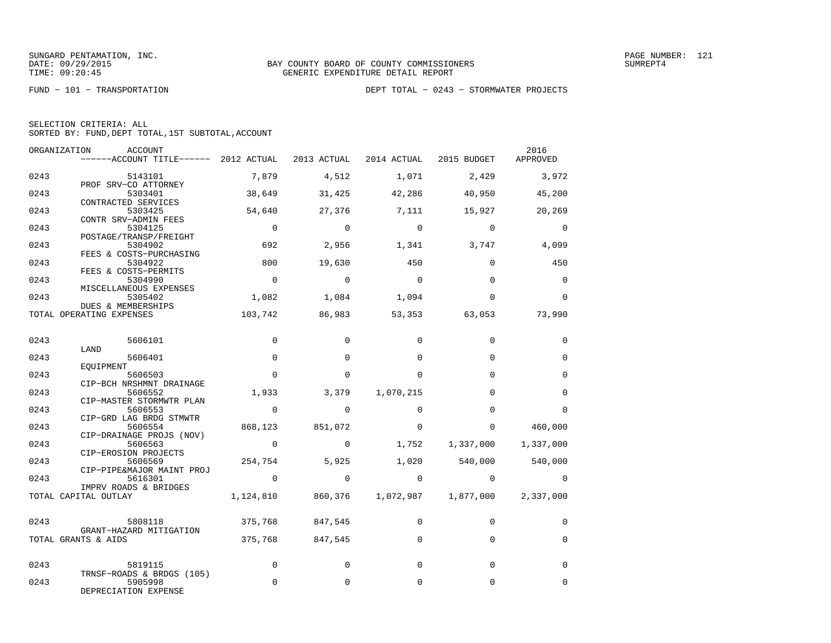SUNGARD PENTAMATION, INC.<br>DATE: 09/29/2015 DATE: 09/29/2015

| SELECTION CRITERIA: ALL |  |  |                                                    |  |
|-------------------------|--|--|----------------------------------------------------|--|
|                         |  |  | SORTED BY: FUND, DEPT TOTAL, 1ST SUBTOTAL, ACCOUNT |  |

| ORGANIZATION | ACCOUNT<br>------ACCOUNT TITLE------ 2012 ACTUAL             |                |                     | 2013 ACTUAL 2014 ACTUAL 2015 BUDGET |                          | 2016<br>APPROVED      |
|--------------|--------------------------------------------------------------|----------------|---------------------|-------------------------------------|--------------------------|-----------------------|
| 0243         | 5143101                                                      | 7,879          | 4,512               | 1,071                               | 2,429                    | 3,972                 |
| 0243         | PROF SRV-CO ATTORNEY<br>5303401<br>CONTRACTED SERVICES       | 38,649         | 31,425              | 42,286                              | 40,950                   | 45,200                |
| 0243         | 5303425<br>CONTR SRV-ADMIN FEES                              | 54,640         | 27,376              | 7,111                               | 15,927                   | 20,269                |
| 0243         | 5304125<br>POSTAGE/TRANSP/FREIGHT                            | $\Omega$       | $\Omega$            | $\bigcap$                           | $\Omega$                 | $\mathbf 0$           |
| 0243         | 5304902<br>FEES & COSTS-PURCHASING                           | 692            | 2,956               | 1,341                               | 3,747                    | 4,099                 |
| 0243         | 5304922<br>FEES & COSTS-PERMITS                              | 800            | 19,630              | 450                                 | $\Omega$                 | 450                   |
| 0243         | 5304990<br>MISCELLANEOUS EXPENSES                            | $\mathbf 0$    | $\mathbf 0$         | $\Omega$                            | $\Omega$                 | 0                     |
| 0243         | 5305402<br>DUES & MEMBERSHIPS                                | 1,082          | 1,084               | 1,094                               | $\Omega$                 | $\Omega$              |
|              | TOTAL OPERATING EXPENSES                                     | 103,742        | 86,983              | 53,353                              | 63,053                   | 73,990                |
| 0243         | 5606101                                                      | $\Omega$       | $\Omega$            | $\Omega$                            | $\Omega$                 | 0                     |
| 0243         | LAND<br>5606401<br>EOUIPMENT                                 | $\Omega$       | $\Omega$            | $\Omega$                            | $\Omega$                 | $\Omega$              |
| 0243         | 5606503<br>CIP-BCH NRSHMNT DRAINAGE                          | $\Omega$       | $\Omega$            | $\Omega$                            | $\Omega$                 | $\mathbf 0$           |
| 0243         | 5606552<br>CIP-MASTER STORMWTR PLAN                          | 1,933          | 3,379               | 1,070,215                           | $\Omega$                 | $\Omega$              |
| 0243         | 5606553<br>CIP-GRD LAG BRDG STMWTR                           | $\overline{0}$ | $\Omega$            | $\Omega$                            | $\Omega$                 | $\Omega$              |
| 0243         | 5606554<br>CIP-DRAINAGE PROJS (NOV)                          | 868,123        | 851,072             | $\Omega$                            | $\Omega$                 | 460,000               |
| 0243         | 5606563<br>CIP-EROSION PROJECTS                              | $\overline{0}$ | $\circ$             | 1,752                               | 1,337,000                | 1,337,000             |
| 0243         | 5606569<br>CIP-PIPE&MAJOR MAINT PROJ                         | 254,754        | 5,925               |                                     | 1,020 540,000            | 540,000               |
| 0243         | 5616301<br>IMPRV ROADS & BRIDGES<br>TOTAL CAPITAL OUTLAY     | $\sim$ 0       | $\sim$ 0<br>860,376 | $\mathbf{0}$<br>1,072,987           | $\mathbf 0$<br>1,877,000 | $\Omega$<br>2,337,000 |
|              |                                                              | 1,124,810      |                     |                                     |                          |                       |
| 0243         | 5808118<br>GRANT-HAZARD MITIGATION                           | 375,768        | 847,545             | $\Omega$                            | $\mathbf 0$              | $\mathbf 0$           |
|              | TOTAL GRANTS & AIDS                                          | 375,768        | 847,545             | $\Omega$                            | $\mathbf 0$              | $\mathbf 0$           |
| 0243         | 5819115                                                      | $\Omega$       | $\Omega$            | $\Omega$                            | $\Omega$                 | $\Omega$              |
| 0243         | TRNSF-ROADS & BRDGS (105)<br>5905998<br>DEPRECIATION EXPENSE | $\mathbf 0$    | 0                   | $\mathbf 0$                         | 0                        | $\mathbf 0$           |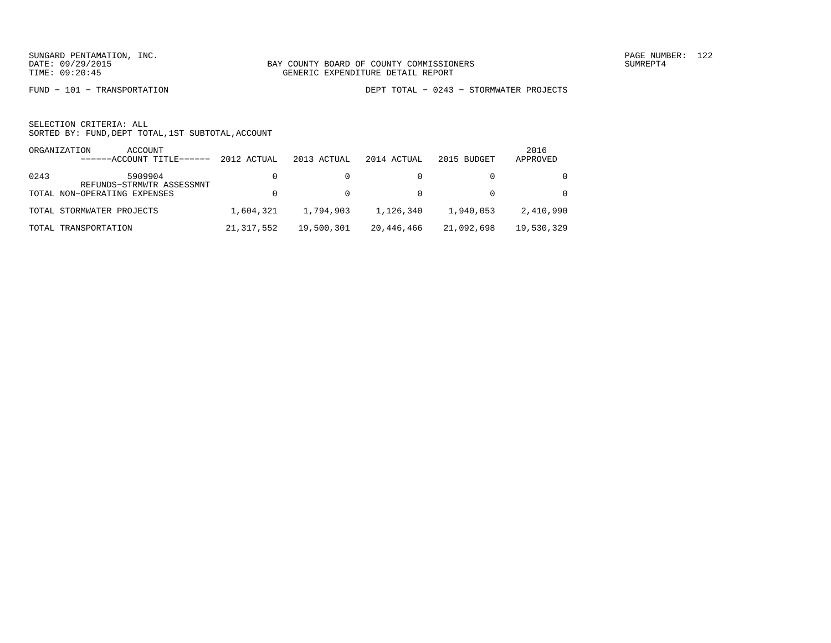FUND − 101 − TRANSPORTATION DEPT TOTAL − 0243 − STORMWATER PROJECTS

|      | ORGANIZATION<br>ACCOUNT<br>------ACCOUNT TITLE-<br>------ | 2012 ACTUAL  | 2013 ACTUAL | 2014 ACTUAL | 2015 BUDGET | 2016<br>APPROVED |
|------|-----------------------------------------------------------|--------------|-------------|-------------|-------------|------------------|
| 0243 | 5909904<br>REFUNDS-STRMWTR ASSESSMNT                      |              |             |             |             | $\Omega$         |
|      | TOTAL NON-OPERATING EXPENSES                              |              |             |             |             | $\Omega$         |
|      | TOTAL STORMWATER PROJECTS                                 | 1,604,321    | 1,794,903   | 1,126,340   | 1,940,053   | 2,410,990        |
|      | TOTAL TRANSPORTATION                                      | 21, 317, 552 | 19,500,301  | 20,446,466  | 21,092,698  | 19,530,329       |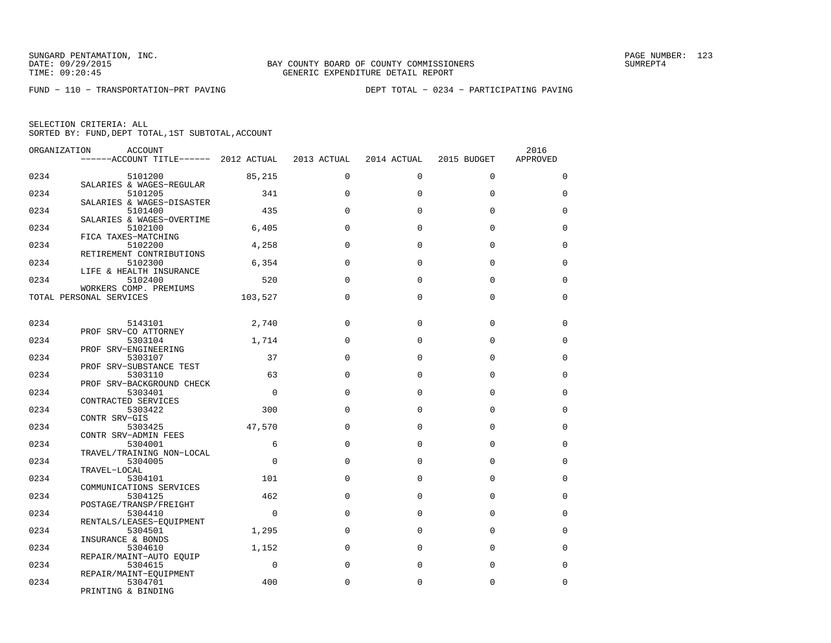FUND − 110 − TRANSPORTATION−PRT PAVING DEPT TOTAL − 0234 − PARTICIPATING PAVING

| ORGANIZATION | ACCOUNT                             |             |             |             |             | 2016        |
|--------------|-------------------------------------|-------------|-------------|-------------|-------------|-------------|
|              | $---ACCOUNT$ TITLE $---2012$ ACTUAL |             | 2013 ACTUAL | 2014 ACTUAL | 2015 BUDGET | APPROVED    |
|              |                                     |             |             |             |             |             |
| 0234         | 5101200                             | 85,215      | $\mathbf 0$ | $\mathbf 0$ | $\mathbf 0$ | $\mathbf 0$ |
|              | SALARIES & WAGES-REGULAR            |             |             |             |             |             |
| 0234         | 5101205                             | 341         | $\Omega$    | $\Omega$    | $\Omega$    | $\Omega$    |
|              | SALARIES & WAGES-DISASTER           |             |             |             |             |             |
| 0234         | 5101400                             | 435         | $\Omega$    | $\Omega$    | $\Omega$    | $\mathbf 0$ |
|              | SALARIES & WAGES-OVERTIME           |             |             |             |             |             |
| 0234         |                                     |             | $\Omega$    | $\Omega$    | $\Omega$    | $\Omega$    |
|              | 5102100                             | 6,405       |             |             |             |             |
|              | FICA TAXES-MATCHING                 |             |             |             |             |             |
| 0234         | 5102200                             | 4,258       | $\Omega$    | $\Omega$    | $\Omega$    | 0           |
|              | RETIREMENT CONTRIBUTIONS            |             |             |             |             |             |
| 0234         | 5102300                             | 6,354       | $\Omega$    | $\Omega$    | $\mathbf 0$ | $\mathbf 0$ |
|              | LIFE & HEALTH INSURANCE             |             |             |             |             |             |
| 0234         | 5102400                             | 520         | $\Omega$    | $\Omega$    | $\Omega$    | $\mathbf 0$ |
|              | WORKERS COMP. PREMIUMS              |             |             |             |             |             |
|              | TOTAL PERSONAL SERVICES             | 103,527     | $\Omega$    | $\Omega$    | $\Omega$    | $\mathbf 0$ |
|              |                                     |             |             |             |             |             |
|              |                                     |             |             |             |             |             |
| 0234         | 5143101                             | 2,740       | $\Omega$    | $\Omega$    | $\Omega$    | 0           |
|              | PROF SRV-CO ATTORNEY                |             |             |             |             |             |
| 0234         | 5303104                             | 1,714       | $\Omega$    | $\Omega$    | $\Omega$    | $\Omega$    |
|              | PROF SRV-ENGINEERING                |             |             |             |             |             |
| 0234         | 5303107                             | 37          | $\Omega$    | $\Omega$    | $\Omega$    | 0           |
|              | PROF SRV-SUBSTANCE TEST             |             |             |             |             |             |
|              |                                     | 63          | $\Omega$    | $\Omega$    | $\Omega$    |             |
| 0234         | 5303110                             |             |             |             |             | $\mathbf 0$ |
|              | PROF SRV-BACKGROUND CHECK           |             |             |             |             |             |
| 0234         | 5303401                             | $\mathbf 0$ | $\Omega$    | $\Omega$    | $\mathbf 0$ | $\mathbf 0$ |
|              | CONTRACTED SERVICES                 |             |             |             |             |             |
| 0234         | 5303422                             | 300         | $\Omega$    | $\Omega$    | $\Omega$    | $\mathbf 0$ |
|              | CONTR SRV-GIS                       |             |             |             |             |             |
| 0234         | 5303425                             | 47,570      | $\Omega$    | $\Omega$    | $\Omega$    | $\Omega$    |
|              | CONTR SRV-ADMIN FEES                |             |             |             |             |             |
| 0234         | 5304001                             | 6           | $\Omega$    | $\Omega$    | $\Omega$    | $\Omega$    |
|              | TRAVEL/TRAINING NON-LOCAL           |             |             |             |             |             |
| 0234         | 5304005                             | $\Omega$    | $\Omega$    | $\Omega$    | $\Omega$    | $\mathbf 0$ |
|              | TRAVEL-LOCAL                        |             |             |             |             |             |
| 0234         | 5304101                             | 101         | $\Omega$    | $\Omega$    | $\Omega$    | 0           |
|              | COMMUNICATIONS SERVICES             |             |             |             |             |             |
| 0234         | 5304125                             | 462         | $\Omega$    | 0           | $\mathbf 0$ | $\mathbf 0$ |
|              | POSTAGE/TRANSP/FREIGHT              |             |             |             |             |             |
| 0234         | 5304410                             | $\mathbf 0$ | $\Omega$    | $\Omega$    | $\Omega$    | $\mathbf 0$ |
|              | RENTALS/LEASES-EQUIPMENT            |             |             |             |             |             |
| 0234         |                                     | 1,295       | $\Omega$    | $\Omega$    | $\Omega$    | $\Omega$    |
|              | 5304501                             |             |             |             |             |             |
|              | INSURANCE & BONDS                   |             |             |             |             |             |
| 0234         | 5304610                             | 1,152       | $\Omega$    | $\Omega$    | $\Omega$    | $\Omega$    |
|              | REPAIR/MAINT-AUTO EQUIP             |             |             |             |             |             |
| 0234         | 5304615                             | $\Omega$    | $\Omega$    | $\Omega$    | $\Omega$    | $\Omega$    |
|              | REPAIR/MAINT-EQUIPMENT              |             |             |             |             |             |
| 0234         | 5304701                             | 400         | $\Omega$    | $\Omega$    | $\mathbf 0$ | $\mathbf 0$ |
|              | PRINTING & BINDING                  |             |             |             |             |             |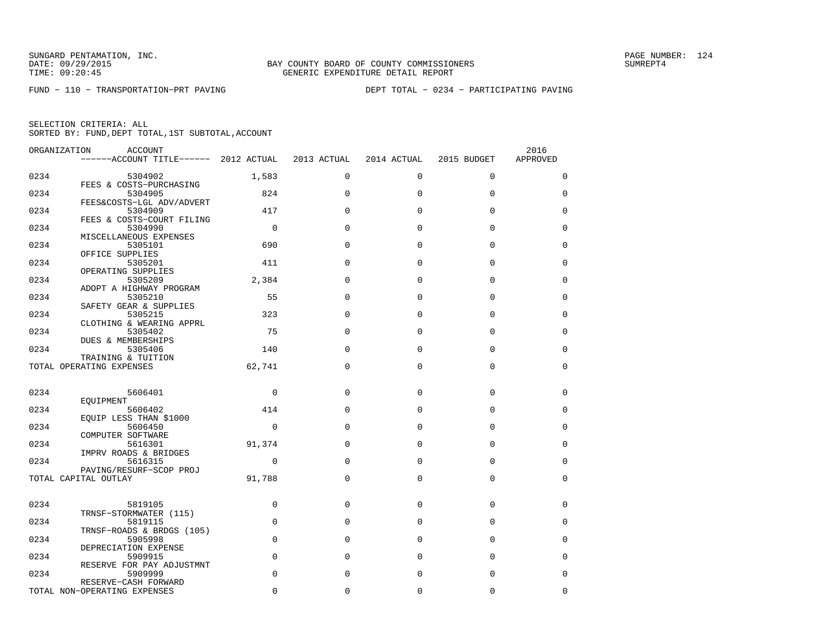FUND − 110 − TRANSPORTATION−PRT PAVING DEPT TOTAL − 0234 − PARTICIPATING PAVING

| ORGANIZATION | ACCOUNT                               |                |             |             |             | 2016        |
|--------------|---------------------------------------|----------------|-------------|-------------|-------------|-------------|
|              | ------ACCOUNT TITLE------ 2012 ACTUAL |                | 2013 ACTUAL | 2014 ACTUAL | 2015 BUDGET | APPROVED    |
| 0234         |                                       |                | $\Omega$    | $\Omega$    | $\Omega$    | $\mathbf 0$ |
|              | 5304902<br>FEES & COSTS-PURCHASING    | 1,583          |             |             |             |             |
| 0234         | 5304905                               | 824            | $\Omega$    | $\Omega$    | $\Omega$    | 0           |
|              | FEES&COSTS-LGL ADV/ADVERT             |                |             |             |             |             |
| 0234         | 5304909                               | 417            | $\Omega$    | $\Omega$    | $\Omega$    | 0           |
| 0234         | FEES & COSTS-COURT FILING<br>5304990  | $\overline{0}$ | $\Omega$    | $\Omega$    | 0           | 0           |
|              | MISCELLANEOUS EXPENSES                |                |             |             |             |             |
| 0234         | 5305101                               | 690            | $\Omega$    | $\Omega$    | $\Omega$    | 0           |
|              | OFFICE SUPPLIES                       |                |             |             |             |             |
| 0234         | 5305201                               | 411            | $\Omega$    | $\Omega$    | $\Omega$    | $\Omega$    |
|              | OPERATING SUPPLIES                    |                |             |             |             |             |
| 0234         | 5305209<br>ADOPT A HIGHWAY PROGRAM    | 2,384          | $\Omega$    | $\Omega$    | $\Omega$    | $\Omega$    |
| 0234         | 5305210                               | 55             | $\Omega$    | $\Omega$    | $\Omega$    | 0           |
|              | SAFETY GEAR & SUPPLIES                |                |             |             |             |             |
| 0234         | 5305215                               | 323            | $\Omega$    | $\Omega$    | $\Omega$    | 0           |
|              | CLOTHING & WEARING APPRL              |                |             |             |             |             |
| 0234         | 5305402                               | 75             | $\Omega$    | $\Omega$    | 0           | $\mathbf 0$ |
|              | DUES & MEMBERSHIPS                    |                |             |             |             |             |
| 0234         | 5305406<br>TRAINING & TUITION         | 140            | $\Omega$    | $\Omega$    | $\Omega$    | $\mathbf 0$ |
|              | TOTAL OPERATING EXPENSES              | 62,741         | $\Omega$    | $\Omega$    | $\Omega$    | 0           |
|              |                                       |                |             |             |             |             |
|              |                                       |                |             |             |             |             |
| 0234         | 5606401                               | $\mathbf 0$    | $\Omega$    | $\Omega$    | $\Omega$    | 0           |
|              | EQUIPMENT                             |                |             |             |             |             |
| 0234         | 5606402                               | 414            | $\Omega$    | $\Omega$    | 0           | 0           |
| 0234         | EQUIP LESS THAN \$1000<br>5606450     | 0              | $\Omega$    | $\Omega$    | $\Omega$    | 0           |
|              | COMPUTER SOFTWARE                     |                |             |             |             |             |
| 0234         | 5616301                               | 91,374         | $\Omega$    | $\Omega$    | $\Omega$    | $\Omega$    |
|              | IMPRV ROADS & BRIDGES                 |                |             |             |             |             |
| 0234         | 5616315                               | $\Omega$       | $\Omega$    | $\Omega$    | $\Omega$    | $\Omega$    |
|              | PAVING/RESURF-SCOP PROJ               |                |             |             |             |             |
|              | TOTAL CAPITAL OUTLAY                  | 91,788         | $\Omega$    | $\Omega$    | $\Omega$    | 0           |
|              |                                       |                |             |             |             |             |
| 0234         | 5819105                               | 0              | 0           | 0           | 0           | 0           |
|              | TRNSF-STORMWATER (115)                |                |             |             |             |             |
| 0234         | 5819115                               | $\mathbf 0$    | $\Omega$    | $\mathbf 0$ | 0           | 0           |
|              | TRNSF-ROADS & BRDGS (105)             |                |             |             |             |             |
| 0234         | 5905998                               | $\Omega$       | $\Omega$    | $\Omega$    | $\Omega$    | $\Omega$    |
|              | DEPRECIATION EXPENSE                  |                |             |             |             |             |
| 0234         | 5909915<br>RESERVE FOR PAY ADJUSTMNT  | $\mathbf 0$    | $\Omega$    | $\Omega$    | $\Omega$    | $\Omega$    |
| 0234         | 5909999                               | $\mathbf 0$    | 0           | $\Omega$    | 0           | 0           |
|              | RESERVE-CASH FORWARD                  |                |             |             |             |             |
|              | TOTAL NON-OPERATING EXPENSES          | $\Omega$       | 0           | 0           | 0           | 0           |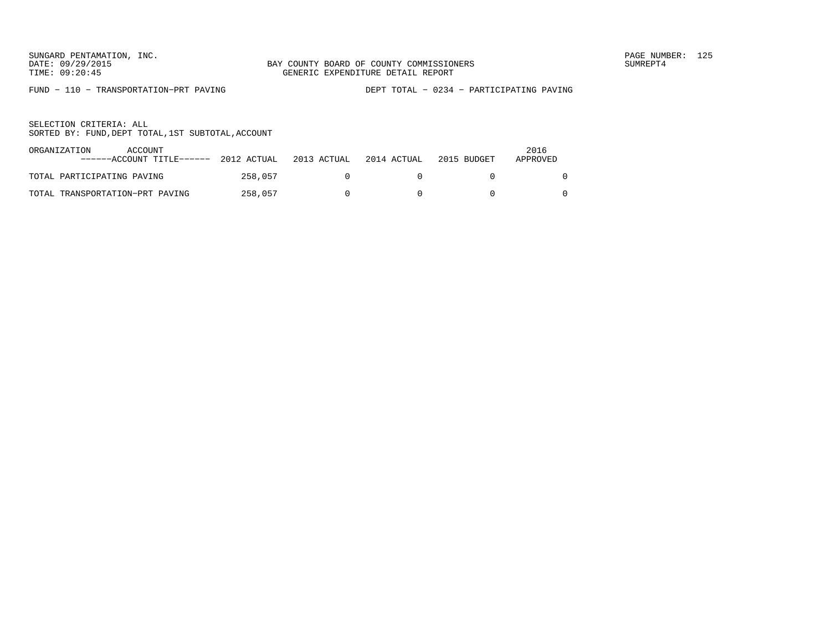FUND − 110 − TRANSPORTATION−PRT PAVING DEPT TOTAL − 0234 − PARTICIPATING PAVING

| ORGANIZATION               | ACCOUNT<br>------ACCOUNT TITLE------ | 2012 ACTUAL | 2013 ACTUAL | 2014 ACTUAL | 2015 BUDGET | 2016<br>APPROVED |
|----------------------------|--------------------------------------|-------------|-------------|-------------|-------------|------------------|
| TOTAL PARTICIPATING PAVING |                                      | 258,057     |             |             |             |                  |
|                            | TOTAL TRANSPORTATION-PRT PAVING      | 258,057     |             |             |             |                  |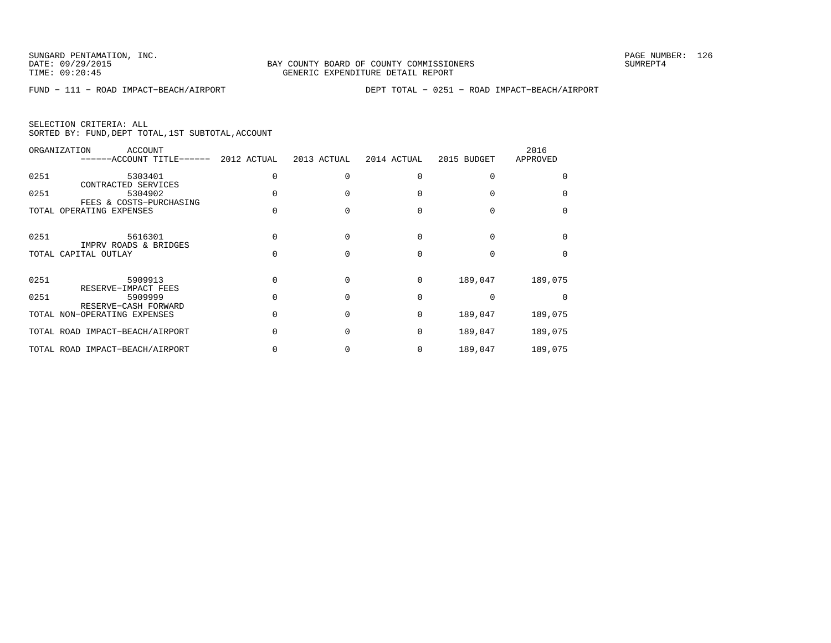|  | SELECTION CRITERIA: ALL                            |  |  |
|--|----------------------------------------------------|--|--|
|  | SORTED BY: FUND, DEPT TOTAL, 1ST SUBTOTAL, ACCOUNT |  |  |

|      | ORGANIZATION<br>ACCOUNT<br>------ACCOUNT TITLE------ | 2012 ACTUAL | 2013 ACTUAL | 2014 ACTUAL | 2015 BUDGET | 2016<br>APPROVED |
|------|------------------------------------------------------|-------------|-------------|-------------|-------------|------------------|
| 0251 | 5303401<br>CONTRACTED SERVICES                       |             |             |             |             |                  |
| 0251 | 5304902<br>FEES & COSTS-PURCHASING                   |             |             |             |             |                  |
|      | TOTAL OPERATING EXPENSES                             |             |             |             |             |                  |
| 0251 | 5616301<br>IMPRV ROADS & BRIDGES                     |             |             |             |             |                  |
|      | TOTAL CAPITAL OUTLAY                                 |             |             |             |             |                  |
| 0251 | 5909913<br>RESERVE-IMPACT FEES                       |             |             | $\Omega$    | 189,047     | 189,075          |
| 0251 | 5909999<br>RESERVE-CASH FORWARD                      |             |             | $\Omega$    |             |                  |
|      | TOTAL NON-OPERATING EXPENSES                         |             |             | $\Omega$    | 189,047     | 189,075          |
|      | TOTAL ROAD IMPACT-BEACH/AIRPORT                      |             |             | $\Omega$    | 189,047     | 189,075          |
|      | TOTAL ROAD IMPACT-BEACH/AIRPORT                      |             |             |             | 189,047     | 189,075          |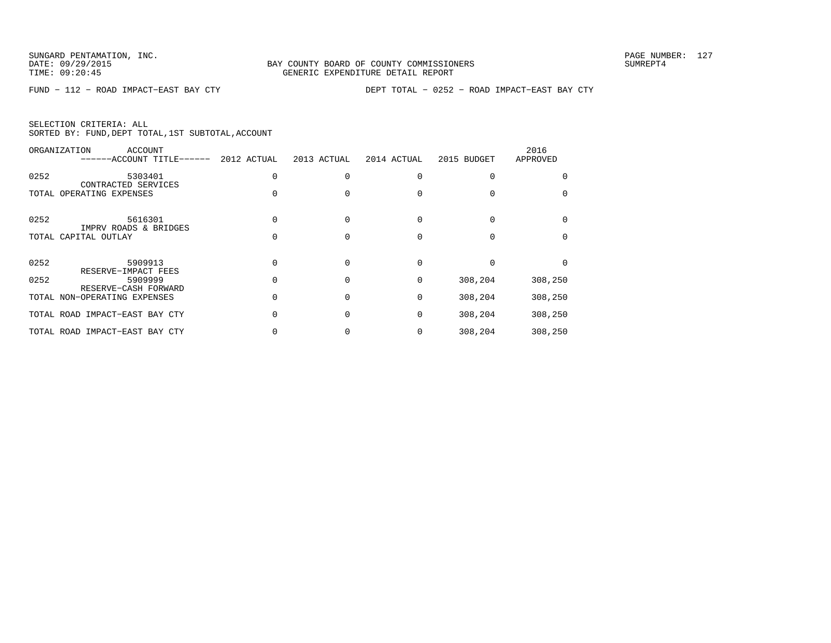|  | SELECTION CRITERIA: ALL |                                                    |  |
|--|-------------------------|----------------------------------------------------|--|
|  |                         | SORTED BY: FUND, DEPT TOTAL, 1ST SUBTOTAL, ACCOUNT |  |

|      | ORGANIZATION<br>ACCOUNT<br>------ACCOUNT TITLE------ | 2012 ACTUAL | 2013 ACTUAL | 2014 ACTUAL | 2015 BUDGET | 2016<br>APPROVED |
|------|------------------------------------------------------|-------------|-------------|-------------|-------------|------------------|
| 0252 | 5303401                                              |             |             |             |             |                  |
|      | CONTRACTED SERVICES<br>TOTAL OPERATING EXPENSES      |             |             |             |             |                  |
| 0252 | 5616301                                              |             |             |             |             |                  |
|      | IMPRV ROADS & BRIDGES<br>TOTAL CAPITAL OUTLAY        |             |             |             |             |                  |
|      |                                                      |             |             |             |             |                  |
| 0252 | 5909913<br>RESERVE-IMPACT FEES                       |             |             |             |             |                  |
| 0252 | 5909999<br>RESERVE-CASH FORWARD                      |             |             | 0           | 308,204     | 308,250          |
|      | TOTAL NON-OPERATING EXPENSES                         |             |             | 0           | 308,204     | 308,250          |
|      | TOTAL ROAD IMPACT-EAST BAY CTY                       |             |             | $\Omega$    | 308,204     | 308,250          |
|      | TOTAL ROAD IMPACT-EAST BAY CTY                       |             |             |             | 308,204     | 308,250          |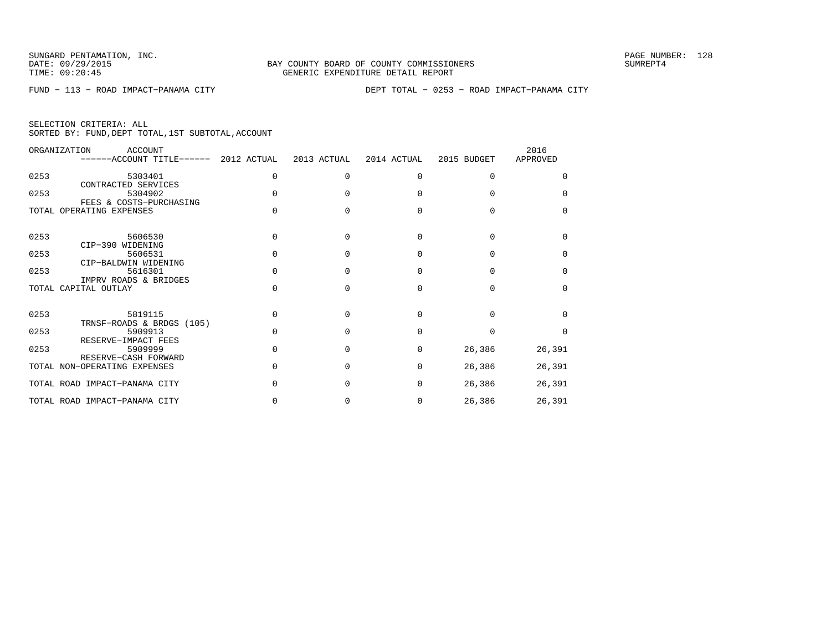| SELECTION CRITERIA: ALL |  |  |                                                    |  |
|-------------------------|--|--|----------------------------------------------------|--|
|                         |  |  | SORTED BY: FUND, DEPT TOTAL, 1ST SUBTOTAL, ACCOUNT |  |

|      | ORGANIZATION<br>ACCOUNT<br>------ACCOUNT TITLE------ 2012 ACTUAL |              | 2013 ACTUAL | 2014 ACTUAL  | 2015 BUDGET | 2016<br>APPROVED |
|------|------------------------------------------------------------------|--------------|-------------|--------------|-------------|------------------|
| 0253 | 5303401                                                          | <sup>0</sup> | $\Omega$    | <sup>0</sup> | $\Omega$    | <sup>0</sup>     |
| 0253 | CONTRACTED SERVICES<br>5304902                                   |              |             |              |             | <sup>0</sup>     |
|      | FEES & COSTS-PURCHASING<br>TOTAL OPERATING EXPENSES              |              |             |              |             | $\cap$           |
| 0253 | 5606530                                                          |              |             | U            | U           | <sup>n</sup>     |
| 0253 | CIP-390 WIDENING<br>5606531                                      |              | n           | ∩            | U           | <sup>0</sup>     |
| 0253 | CIP-BALDWIN WIDENING<br>5616301<br>IMPRV ROADS & BRIDGES         |              | n           | <sup>0</sup> | U           | <sup>0</sup>     |
|      | TOTAL CAPITAL OUTLAY                                             |              |             | ∩            | U           | <sup>0</sup>     |
| 0253 | 5819115                                                          |              |             |              |             | U                |
| 0253 | TRNSF-ROADS & BRDGS (105)<br>5909913<br>RESERVE-IMPACT FEES      |              |             |              |             | $\Omega$         |
| 0253 | 5909999<br>RESERVE-CASH FORWARD                                  |              | $\cap$      | $\Omega$     | 26,386      | 26,391           |
|      | TOTAL NON-OPERATING EXPENSES                                     |              |             | <sup>0</sup> | 26,386      | 26,391           |
|      | TOTAL ROAD IMPACT-PANAMA CITY                                    |              | $\cap$      | $\Omega$     | 26,386      | 26,391           |
|      | TOTAL ROAD IMPACT-PANAMA CITY                                    |              |             | 0            | 26,386      | 26,391           |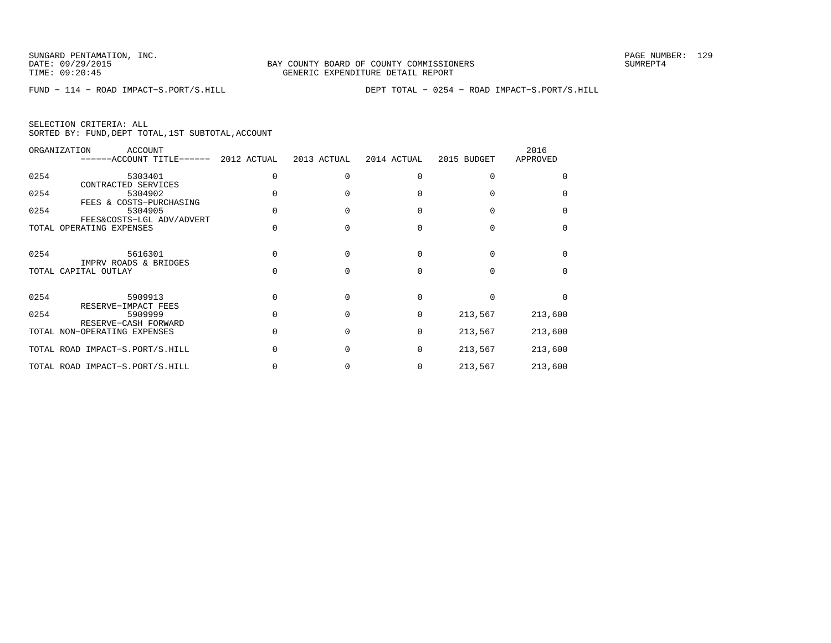|  | SELECTION CRITERIA: ALL |                                                    |  |
|--|-------------------------|----------------------------------------------------|--|
|  |                         | SORTED BY: FUND, DEPT TOTAL, 1ST SUBTOTAL, ACCOUNT |  |

|      | ORGANIZATION<br><b>ACCOUNT</b><br>------ACCOUNT TITLE------ | 2012 ACTUAL | 2013 ACTUAL  | 2014 ACTUAL | 2015 BUDGET | 2016<br>APPROVED |
|------|-------------------------------------------------------------|-------------|--------------|-------------|-------------|------------------|
| 0254 | 5303401<br>CONTRACTED SERVICES                              |             |              | U           |             |                  |
| 0254 | 5304902<br>FEES & COSTS-PURCHASING                          |             |              |             |             |                  |
| 0254 | 5304905<br>FEES&COSTS-LGL ADV/ADVERT                        |             |              |             |             | $\Omega$         |
|      | TOTAL OPERATING EXPENSES                                    |             |              |             |             |                  |
| 0254 | 5616301<br>IMPRV ROADS & BRIDGES                            |             |              | U           |             |                  |
|      | TOTAL CAPITAL OUTLAY                                        |             |              |             |             |                  |
| 0254 | 5909913<br>RESERVE-IMPACT FEES                              |             |              | U           |             |                  |
| 0254 | 5909999<br>RESERVE-CASH FORWARD                             |             | <sup>0</sup> | $\Omega$    | 213,567     | 213,600          |
|      | TOTAL NON-OPERATING EXPENSES                                |             |              | $\Omega$    | 213,567     | 213,600          |
|      | TOTAL ROAD IMPACT-S.PORT/S.HILL                             |             |              | $\Omega$    | 213,567     | 213,600          |
|      | TOTAL ROAD IMPACT-S.PORT/S.HILL                             |             |              | 0           | 213,567     | 213,600          |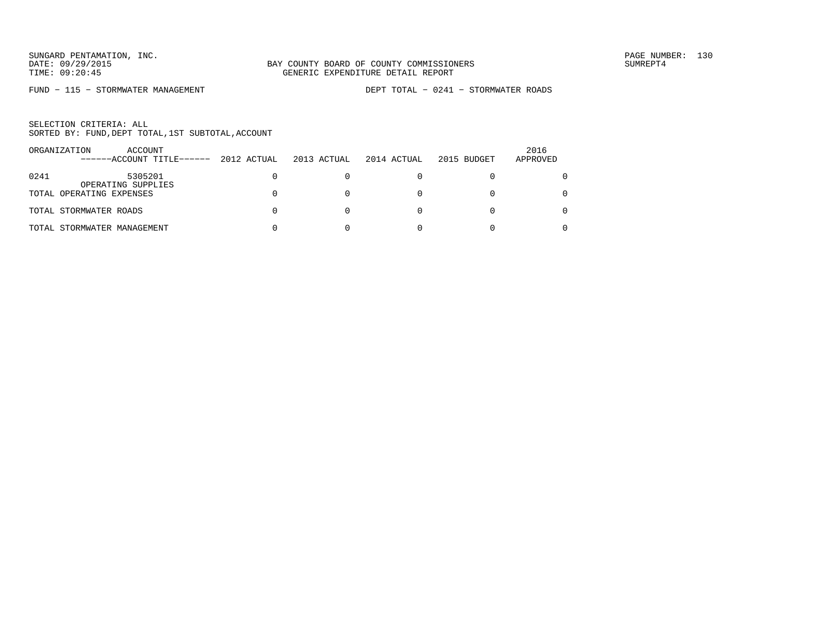FUND − 115 − STORMWATER MANAGEMENT DEPT TOTAL − 0241 − STORMWATER ROADS

|      | ORGANIZATION<br>ACCOUNT<br>------ACCOUNT TITLE------ | 2012 ACTUAL | 2013 ACTUAL | 2014 ACTUAL | 2015 BUDGET | 2016<br>APPROVED |
|------|------------------------------------------------------|-------------|-------------|-------------|-------------|------------------|
| 0241 | 5305201<br>OPERATING SUPPLIES                        |             |             |             |             |                  |
|      | TOTAL OPERATING EXPENSES                             |             |             |             |             | 0                |
|      | TOTAL STORMWATER ROADS                               |             |             |             |             | 0                |
|      | TOTAL STORMWATER MANAGEMENT                          |             |             |             |             |                  |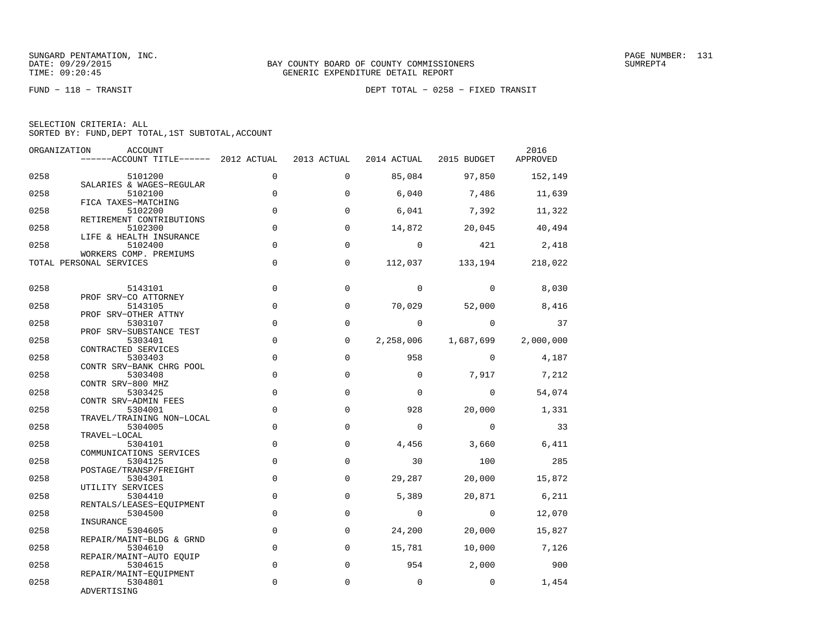|  | SELECTION CRITERIA: ALL |                                                    |  |
|--|-------------------------|----------------------------------------------------|--|
|  |                         | SORTED BY: FUND, DEPT TOTAL, 1ST SUBTOTAL, ACCOUNT |  |

| ORGANIZATION | ACCOUNT<br>$----ACCOUNT$ TITLE $---2012$ ACTUAL              |                            | 2013 ACTUAL             |                | 2014 ACTUAL 2015 BUDGET | 2016<br>APPROVED  |
|--------------|--------------------------------------------------------------|----------------------------|-------------------------|----------------|-------------------------|-------------------|
| 0258         | 5101200                                                      | $\Omega$                   | $\Omega$                | 85,084         | 97,850                  | 152,149           |
| 0258         | SALARIES & WAGES-REGULAR<br>5102100                          | $\mathbf 0$                | $\Omega$                | 6,040          | 7,486                   | 11,639            |
| 0258         | FICA TAXES-MATCHING<br>5102200                               | 0                          | $\Omega$                | 6,041          | 7,392                   | 11,322            |
| 0258         | RETIREMENT CONTRIBUTIONS<br>5102300                          | $\mathbf 0$                | 0                       | 14,872         | 20,045                  | 40,494            |
| 0258         | LIFE & HEALTH INSURANCE<br>5102400<br>WORKERS COMP. PREMIUMS | $\Omega$                   | $\Omega$                | $\Omega$       | 421                     | 2,418             |
|              | TOTAL PERSONAL SERVICES                                      | $\mathbf 0$                | 0                       | 112,037        |                         | 133, 194 218, 022 |
| 0258         | 5143101                                                      | 0                          | $\mathbf 0$             | $\Omega$       | $\Omega$                | 8,030             |
| 0258         | PROF SRV-CO ATTORNEY<br>5143105                              | $\mathbf 0$                | $\Omega$                | 70,029         | 52,000                  | 8,416             |
| 0258         | PROF SRV-OTHER ATTNY<br>5303107<br>PROF SRV-SUBSTANCE TEST   | $\Omega$                   | $\Omega$                | $\Omega$       | $\Omega$                | 37                |
| 0258         | 5303401<br>CONTRACTED SERVICES                               | $\mathbf 0$                | 0                       | 2,258,006      | 1,687,699               | 2,000,000         |
| 0258         | 5303403<br>CONTR SRV-BANK CHRG POOL                          | $\mathbf 0$                | $\mathbf 0$             | 958            | $\Omega$                | 4,187             |
| 0258         | 5303408<br>CONTR SRV-800 MHZ                                 | $\mathbf 0$                | 0                       | $\mathbf 0$    | 7,917                   | 7,212             |
| 0258         | 5303425<br>CONTR SRV-ADMIN FEES                              | $\mathbf 0$                | 0                       | $\mathbf 0$    | $\overline{0}$          | 54,074            |
| 0258         | 5304001<br>TRAVEL/TRAINING NON-LOCAL                         | $\mathbf 0$                | $\mathbf 0$             | 928            | 20,000                  | 1,331             |
| 0258         | 5304005<br>TRAVEL-LOCAL                                      | $\mathbf 0$                | $\Omega$                | $\Omega$       | $\Omega$                | 33                |
| 0258         | 5304101<br>COMMUNICATIONS SERVICES                           | 0                          | 0                       | 4,456          | 3,660                   | 6,411             |
| 0258         | 5304125<br>POSTAGE/TRANSP/FREIGHT                            | $\mathbf 0$                | $\Omega$                | 30             | 100                     | 285               |
| 0258         | 5304301<br>UTILITY SERVICES                                  | $\mathbf 0$                | $\Omega$                | 29,287         | 20,000                  | 15,872            |
| 0258         | 5304410<br>RENTALS/LEASES-EQUIPMENT                          | $\Omega$                   | $\Omega$                | 5,389          | 20,871                  | 6,211             |
| 0258         | 5304500<br>INSURANCE                                         | $\mathbf 0$                | 0                       | $\overline{0}$ | $\overline{0}$          | 12,070            |
| 0258         | 5304605<br>REPAIR/MAINT-BLDG & GRND                          | $\mathbf 0$                | 0                       | 24,200         | 20,000                  | 15,827            |
| 0258<br>0258 | 5304610<br>REPAIR/MAINT-AUTO EOUIP                           | $\mathbf 0$<br>$\mathbf 0$ | $\Omega$<br>$\mathbf 0$ | 15,781<br>954  | 10,000<br>2,000         | 7,126<br>900      |
| 0258         | 5304615<br>REPAIR/MAINT-EQUIPMENT<br>5304801                 | 0                          | $\mathbf 0$             | $\mathbf 0$    | $\mathbf{0}$            | 1,454             |
|              | ADVERTISING                                                  |                            |                         |                |                         |                   |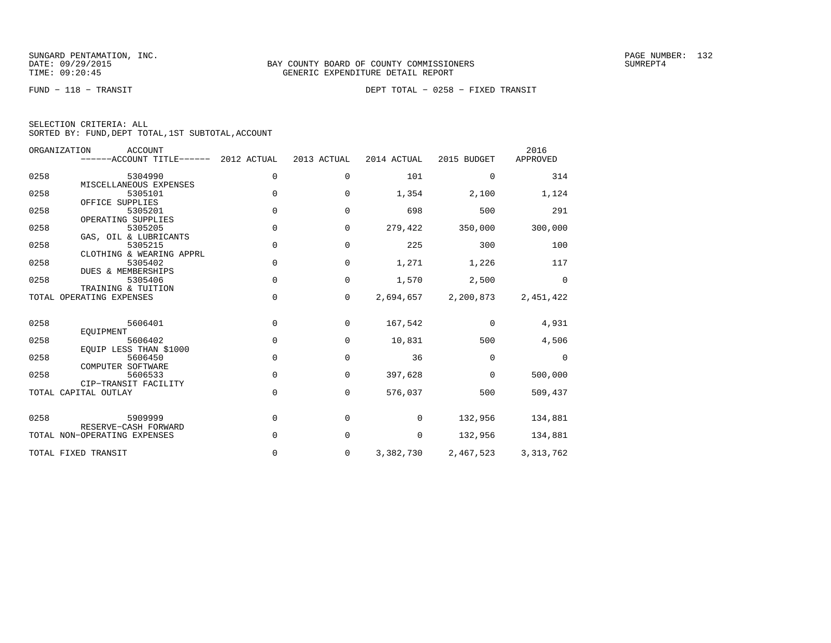FUND − 118 − TRANSIT DEPT TOTAL − 0258 − FIXED TRANSIT

| SELECTION CRITERIA: ALL                            |  |  |
|----------------------------------------------------|--|--|
| SORTED BY: FUND, DEPT TOTAL, 1ST SUBTOTAL, ACCOUNT |  |  |

|      | ORGANIZATION<br><b>ACCOUNT</b><br>------ACCOUNT TITLE------ 2012 ACTUAL |             | 2013 ACTUAL | 2014 ACTUAL | 2015 BUDGET | 2016<br>APPROVED |
|------|-------------------------------------------------------------------------|-------------|-------------|-------------|-------------|------------------|
| 0258 | 5304990                                                                 | 0           | $\mathbf 0$ | 101         | $\mathbf 0$ | 314              |
| 0258 | MISCELLANEOUS EXPENSES<br>5305101<br>OFFICE SUPPLIES                    | $\Omega$    | $\Omega$    | 1,354       | 2,100       | 1,124            |
| 0258 | 5305201<br>OPERATING SUPPLIES                                           | $\Omega$    | $\Omega$    | 698         | 500         | 291              |
| 0258 | 5305205<br>GAS, OIL & LUBRICANTS                                        | $\mathbf 0$ | 0           | 279,422     | 350,000     | 300,000          |
| 0258 | 5305215<br>CLOTHING & WEARING APPRL                                     | 0           | 0           | 225         | 300         | 100              |
| 0258 | 5305402<br><b>DUES &amp; MEMBERSHIPS</b>                                | 0           | $\mathbf 0$ | 1,271       | 1,226       | 117              |
| 0258 | 5305406<br>TRAINING & TUITION                                           | 0           | $\mathbf 0$ | 1,570       | 2,500       | $\mathbf 0$      |
|      | TOTAL OPERATING EXPENSES                                                | 0           | $\mathbf 0$ | 2,694,657   | 2,200,873   | 2,451,422        |
| 0258 | 5606401<br>EOUIPMENT                                                    | $\Omega$    | $\Omega$    | 167,542     | $\Omega$    | 4,931            |
| 0258 | 5606402<br>EQUIP LESS THAN \$1000                                       | $\mathbf 0$ | 0           | 10,831      | 500         | 4,506            |
| 0258 | 5606450<br>COMPUTER SOFTWARE                                            | $\Omega$    | 0           | 36          | $\Omega$    | $\Omega$         |
| 0258 | 5606533<br>CIP-TRANSIT FACILITY                                         | $\Omega$    | 0           | 397,628     | $\mathbf 0$ | 500,000          |
|      | TOTAL CAPITAL OUTLAY                                                    | 0           | 0           | 576,037     | 500         | 509,437          |
| 0258 | 5909999<br>RESERVE-CASH FORWARD                                         | $\mathbf 0$ | 0           | 0           | 132,956     | 134,881          |
|      | TOTAL NON-OPERATING EXPENSES                                            | $\Omega$    | 0           | 0           | 132,956     | 134,881          |
|      | TOTAL FIXED TRANSIT                                                     | 0           | 0           | 3,382,730   | 2,467,523   | 3, 313, 762      |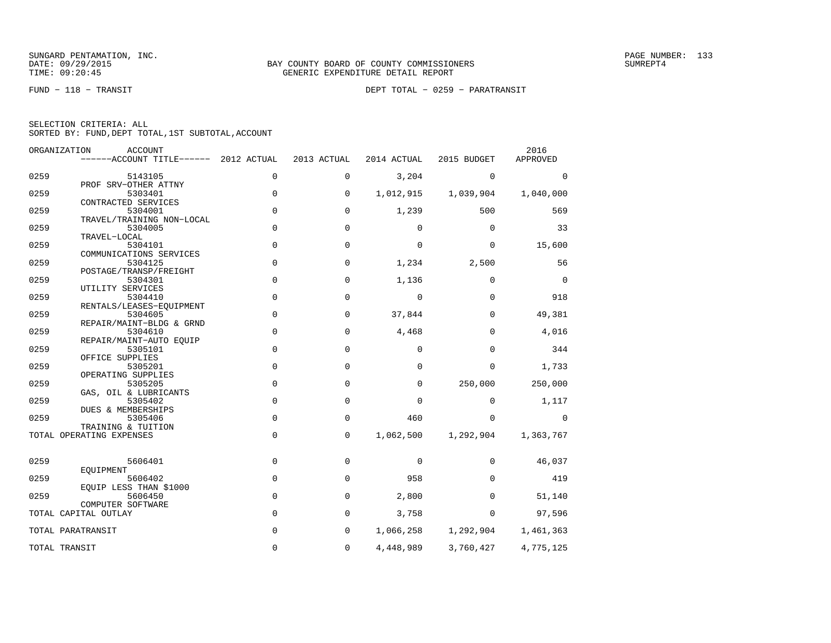FUND − 118 − TRANSIT DEPT TOTAL − 0259 − PARATRANSIT

| SELECTION CRITERIA: ALL |  |  |                                                    |  |
|-------------------------|--|--|----------------------------------------------------|--|
|                         |  |  | SORTED BY: FUND, DEPT TOTAL, 1ST SUBTOTAL, ACCOUNT |  |

| ORGANIZATION      | <b>ACCOUNT</b><br>$----ACCOUNT$ TITLE $----2012$ ACTUAL |              | 2013 ACTUAL | 2014 ACTUAL | 2015 BUDGET | 2016<br>APPROVED |
|-------------------|---------------------------------------------------------|--------------|-------------|-------------|-------------|------------------|
|                   |                                                         |              |             |             |             |                  |
| 0259              | 5143105<br>PROF SRV-OTHER ATTNY                         | 0            | $\mathbf 0$ | 3,204       | $\Omega$    | $\Omega$         |
| 0259              | 5303401                                                 | 0            | 0           | 1,012,915   | 1,039,904   | 1,040,000        |
|                   | CONTRACTED SERVICES                                     |              |             |             |             |                  |
| 0259              | 5304001                                                 | 0            | $\mathbf 0$ | 1,239       | 500         | 569              |
|                   | TRAVEL/TRAINING NON-LOCAL                               |              |             |             |             |                  |
| 0259              | 5304005                                                 | 0            | $\mathbf 0$ | $\mathbf 0$ | $\mathbf 0$ | 33               |
|                   | TRAVEL-LOCAL                                            |              |             |             |             |                  |
| 0259              | 5304101                                                 | $\mathbf 0$  | $\mathbf 0$ | $\mathbf 0$ | $\mathbf 0$ | 15,600           |
| 0259              | COMMUNICATIONS SERVICES<br>5304125                      | 0            | $\mathbf 0$ | 1,234       | 2,500       | 56               |
|                   | POSTAGE/TRANSP/FREIGHT                                  |              |             |             |             |                  |
| 0259              | 5304301                                                 | 0            | $\mathbf 0$ | 1,136       | $\mathbf 0$ | $\mathbf 0$      |
|                   | UTILITY SERVICES                                        |              |             |             |             |                  |
| 0259              | 5304410                                                 | 0            | 0           | $\mathbf 0$ | $\Omega$    | 918              |
|                   | RENTALS/LEASES-EOUIPMENT                                |              |             |             |             |                  |
| 0259              | 5304605                                                 | 0            | $\mathbf 0$ | 37,844      | $\mathbf 0$ | 49,381           |
|                   | REPAIR/MAINT-BLDG & GRND                                |              |             |             |             |                  |
| 0259              | 5304610<br>REPAIR/MAINT-AUTO EOUIP                      | 0            | $\mathbf 0$ | 4,468       | $\mathbf 0$ | 4,016            |
| 0259              | 5305101                                                 | 0            | $\mathbf 0$ | $\mathbf 0$ | $\mathbf 0$ | 344              |
|                   | OFFICE SUPPLIES                                         |              |             |             |             |                  |
| 0259              | 5305201                                                 | 0            | $\mathbf 0$ | $\Omega$    | $\Omega$    | 1,733            |
|                   | OPERATING SUPPLIES                                      |              |             |             |             |                  |
| 0259              | 5305205                                                 | 0            | 0           | $\mathbf 0$ | 250,000     | 250,000          |
|                   | GAS, OIL & LUBRICANTS                                   |              |             |             |             |                  |
| 0259              | 5305402                                                 | 0            | 0           | $\mathbf 0$ | 0           | 1,117            |
| 0259              | DUES & MEMBERSHIPS                                      | 0            | $\mathbf 0$ | 460         |             |                  |
|                   | 5305406<br>TRAINING & TUITION                           |              |             |             | 0           | 0                |
|                   | TOTAL OPERATING EXPENSES                                | 0            | 0           | 1,062,500   | 1,292,904   | 1,363,767        |
|                   |                                                         |              |             |             |             |                  |
| 0259              | 5606401                                                 | $\mathbf 0$  | $\mathbf 0$ | $\mathbf 0$ | $\mathbf 0$ | 46,037           |
|                   | EOUIPMENT                                               |              |             |             |             |                  |
| 0259              | 5606402                                                 | $\mathsf{O}$ | $\mathbf 0$ | 958         | $\Omega$    | 419              |
|                   | EOUIP LESS THAN \$1000                                  |              |             |             |             |                  |
| 0259              | 5606450                                                 | $\mathbf 0$  | $\mathbf 0$ | 2,800       | $\Omega$    | 51,140           |
|                   | COMPUTER SOFTWARE<br>TOTAL CAPITAL OUTLAY               | 0            | $\mathbf 0$ | 3,758       | $\mathbf 0$ | 97,596           |
|                   |                                                         |              |             |             |             |                  |
| TOTAL PARATRANSIT |                                                         | 0            | 0           | 1,066,258   | 1,292,904   | 1,461,363        |
|                   |                                                         |              |             |             |             |                  |
| TOTAL TRANSIT     |                                                         | 0            | $\mathbf 0$ | 4,448,989   | 3,760,427   | 4,775,125        |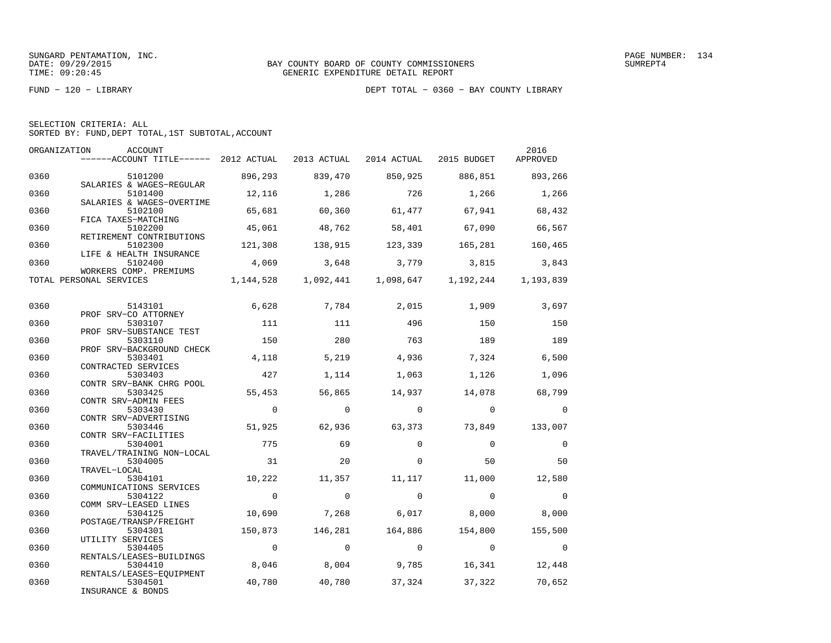|  | SELECTION CRITERIA: ALL |                                                    |  |
|--|-------------------------|----------------------------------------------------|--|
|  |                         | SORTED BY: FUND, DEPT TOTAL, 1ST SUBTOTAL, ACCOUNT |  |

| ORGANIZATION | ACCOUNT<br>------ACCOUNT TITLE------ 2012 ACTUAL 2013 ACTUAL     |                |             | 2014 ACTUAL                         | 2015 BUDGET       | 2016<br>APPROVED |
|--------------|------------------------------------------------------------------|----------------|-------------|-------------------------------------|-------------------|------------------|
| 0360         | 5101200                                                          | 896,293        | 839,470     | 850,925                             | 886,851 893,266   |                  |
| 0360         | SALARIES & WAGES-REGULAR<br>5101400<br>SALARIES & WAGES-OVERTIME | 12,116         | 1,286       | 726                                 | 1,266             | 1,266            |
| 0360         | 5102100<br>FICA TAXES-MATCHING                                   | 65,681         | 60,360      | 61,477                              | 67,941            | 68,432           |
| 0360         | 5102200<br>RETIREMENT CONTRIBUTIONS                              | 45,061         | 48,762      | 58,401                              | 67,090            | 66,567           |
| 0360         | 5102300<br>LIFE & HEALTH INSURANCE                               | 121,308        | 138,915     | 123,339                             | 165,281           | 160,465          |
| 0360         | 5102400<br>WORKERS COMP. PREMIUMS                                | 4,069          | 3,648       |                                     | 3,779 3,815 3,843 |                  |
|              | TOTAL PERSONAL SERVICES                                          |                |             | 1, 144, 528 1, 092, 441 1, 098, 647 | 1,192,244         | 1,193,839        |
| 0360         | 5143101                                                          | 6,628          | 7,784 2,015 |                                     | 1,909             | 3,697            |
| 0360         | PROF SRV-CO ATTORNEY<br>5303107<br>PROF SRV-SUBSTANCE TEST       | 111            | 111         | 496                                 | 150               | 150              |
| 0360         | 5303110<br>PROF SRV-BACKGROUND CHECK                             | 150            | 280         | 763                                 | 189               | 189              |
| 0360         | 5303401<br>CONTRACTED SERVICES                                   | 4,118          | 5,219       | 4,936                               | 7,324             | 6,500            |
| 0360         | 5303403<br>CONTR SRV-BANK CHRG POOL                              | 427            | 1,114       | 1,063                               | 1,126             | 1,096            |
| 0360         | 5303425<br>CONTR SRV-ADMIN FEES                                  | 55,453         | 56,865      | 14,937                              | 14,078            | 68,799           |
| 0360         | 5303430<br>CONTR SRV-ADVERTISING                                 | $\overline{0}$ | $\mathbf 0$ | $\overline{0}$                      | $\overline{0}$    | $\mathbf 0$      |
| 0360         | 5303446<br>CONTR SRV-FACILITIES                                  | 51,925         | 62,936      | 63,373                              | 73,849            | 133,007          |
| 0360         | 5304001<br>TRAVEL/TRAINING NON-LOCAL                             | 775            | 69          | $\Omega$                            | $\overline{0}$    | $\overline{0}$   |
| 0360         | 5304005<br>TRAVEL-LOCAL                                          | 31             | 20          | $\Omega$                            | 50                | 50               |
| 0360         | 5304101<br>COMMUNICATIONS SERVICES                               | 10,222         | 11,357      | 11,117                              | 11,000            | 12,580           |
| 0360         | 5304122<br>COMM SRV-LEASED LINES                                 | $\overline{0}$ | $\Omega$    | $\Omega$                            | $\Omega$          | $\mathbf 0$      |
| 0360         | 5304125<br>POSTAGE/TRANSP/FREIGHT                                | 10,690         | 7,268       | 6,017                               | 8,000             | 8,000            |
| 0360         | 5304301<br>UTILITY SERVICES                                      | 150,873        | 146,281     | 164,886                             | 154,800           | 155,500          |
| 0360         | 5304405<br>RENTALS/LEASES-BUILDINGS                              | $\overline{0}$ | $\Omega$    | $\overline{0}$                      | $\overline{0}$    | $\overline{0}$   |
| 0360         | 5304410<br>RENTALS/LEASES-EQUIPMENT                              | 8,046          | 8,004       | 9,785                               | 16,341            | 12,448           |
| 0360         | 5304501<br>INSURANCE & BONDS                                     | 40,780         | 40,780      | 37,324                              | 37,322            | 70,652           |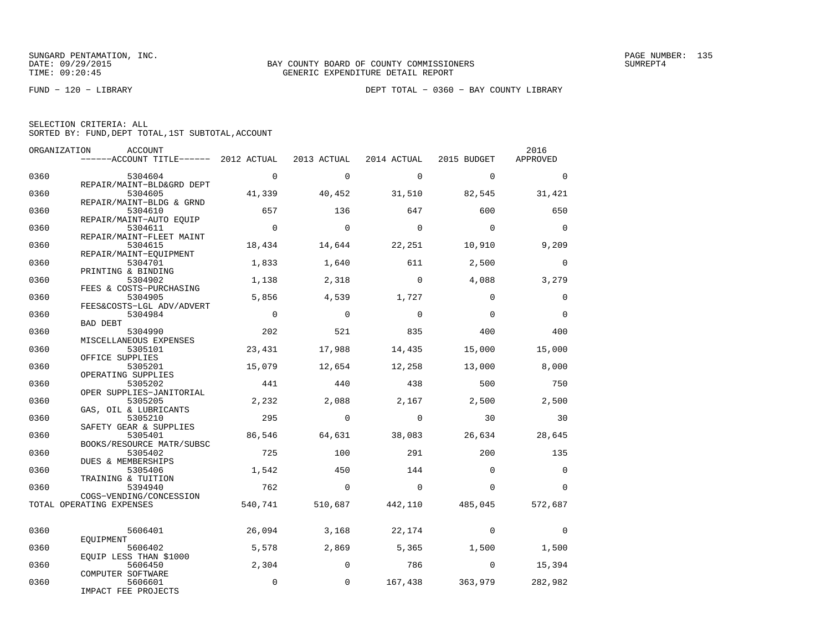| SELECTION CRITERIA: ALL |  |  |                                                    |  |
|-------------------------|--|--|----------------------------------------------------|--|
|                         |  |  | SORTED BY: FUND, DEPT TOTAL, 1ST SUBTOTAL, ACCOUNT |  |

| ORGANIZATION | ACCOUNT                                             |                |                |             |                 | 2016     |
|--------------|-----------------------------------------------------|----------------|----------------|-------------|-----------------|----------|
|              | ------ACCOUNT TITLE------ 2012 ACTUAL               |                | 2013 ACTUAL    | 2014 ACTUAL | 2015 BUDGET     | APPROVED |
| 0360         | 5304604                                             | $\overline{0}$ | $\Omega$       | $\Omega$    | $\Omega$        | $\Omega$ |
|              | REPAIR/MAINT-BLD&GRD DEPT                           |                |                |             |                 |          |
| 0360         | 5304605                                             | 41,339         | 40,452         | 31,510      | 82,545          | 31,421   |
|              | REPAIR/MAINT-BLDG & GRND                            |                |                |             |                 |          |
| 0360         | 5304610                                             | 657            | 136            | 647         | 600             | 650      |
|              | REPAIR/MAINT-AUTO EQUIP                             |                |                |             |                 |          |
| 0360         | 5304611<br>REPAIR/MAINT-FLEET MAINT                 | $\overline{0}$ | $\overline{0}$ | $\bigcirc$  | $\overline{0}$  | $\Omega$ |
| 0360         | 5304615                                             | 18,434         | 14,644         | 22,251      | 10,910          | 9,209    |
|              | REPAIR/MAINT-EOUIPMENT                              |                |                |             |                 |          |
| 0360         | 5304701                                             | 1,833          | 1,640          | 611         | 2,500           | $\Omega$ |
|              | PRINTING & BINDING                                  |                |                |             |                 |          |
| 0360         | 5304902                                             | 1,138          | 2,318          | $\mathbf 0$ | 4,088           | 3,279    |
|              | FEES & COSTS-PURCHASING                             |                |                |             |                 |          |
| 0360         | 5304905<br>FEES&COSTS-LGL ADV/ADVERT                | 5,856          | 4,539          | 1,727       | $\Omega$        | $\Omega$ |
| 0360         | 5304984                                             | $\overline{0}$ | $\overline{0}$ | $\Omega$    | $\Omega$        | $\Omega$ |
|              | BAD DEBT                                            |                |                |             |                 |          |
| 0360         | 5304990                                             | 202            | 521            | 835         | 400             | 400      |
|              | MISCELLANEOUS EXPENSES                              |                |                |             |                 |          |
| 0360         | 5305101                                             | 23,431         | 17,988         | 14,435      | 15,000          | 15,000   |
|              | OFFICE SUPPLIES                                     |                |                |             |                 |          |
| 0360         | 5305201<br>OPERATING SUPPLIES                       | 15,079         | 12,654         | 12,258      | 13,000          | 8,000    |
| 0360         | 5305202                                             | 441            | 440            | 438         | 500             | 750      |
|              | OPER SUPPLIES-JANITORIAL                            |                |                |             |                 |          |
| 0360         | 5305205                                             | 2,232          | 2,088          | 2,167       | 2,500           | 2,500    |
|              | GAS, OIL & LUBRICANTS                               |                |                |             |                 |          |
| 0360         | 5305210                                             | 295            | $\Omega$       | $\Omega$    | 30              | 30       |
|              | SAFETY GEAR & SUPPLIES                              |                |                |             |                 |          |
| 0360         | 5305401<br>BOOKS/RESOURCE MATR/SUBSC                | 86,546         | 64,631         | 38,083      | 26,634          | 28,645   |
| 0360         | 5305402                                             | 725            | 100            | 291         | 200             | 135      |
|              | DUES & MEMBERSHIPS                                  |                |                |             |                 |          |
| 0360         | 5305406                                             | 1,542          | 450            | 144         | $\Omega$        | $\Omega$ |
|              | TRAINING & TUITION                                  |                |                |             |                 |          |
| 0360         | 5394940                                             | 762            | $\Omega$       | $\Omega$    | $\Omega$        | $\Omega$ |
|              | COGS-VENDING/CONCESSION<br>TOTAL OPERATING EXPENSES | 540,741        | 510,687        |             | 442,110 485,045 | 572,687  |
|              |                                                     |                |                |             |                 |          |
|              |                                                     |                |                |             |                 |          |
| 0360         | 5606401                                             | 26,094         | 3,168          | 22,174      | $\Omega$        | $\Omega$ |
| 0360         | EOUIPMENT<br>5606402                                | 5,578          | 2,869          | 5,365       | 1,500           | 1,500    |
|              | EQUIP LESS THAN \$1000                              |                |                |             |                 |          |
| 0360         | 5606450                                             | 2,304          | $\Omega$       | 786         | $\Omega$        | 15,394   |
|              | COMPUTER SOFTWARE                                   |                |                |             |                 |          |
| 0360         | 5606601                                             | $\mathbf 0$    | $\mathbf{0}$   |             | 167,438 363,979 | 282,982  |
|              | IMPACT FEE PROJECTS                                 |                |                |             |                 |          |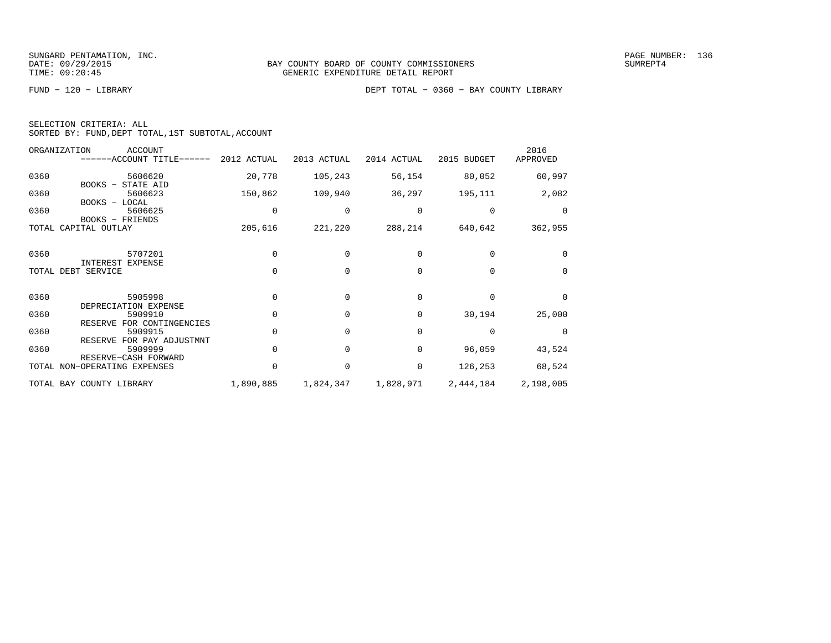|  | SELECTION CRITERIA: ALL |                                                    |  |
|--|-------------------------|----------------------------------------------------|--|
|  |                         | SORTED BY: FUND, DEPT TOTAL, 1ST SUBTOTAL, ACCOUNT |  |

|      | ORGANIZATION<br>ACCOUNT<br>------ACCOUNT TITLE------ 2012 ACTUAL |           | 2013 ACTUAL | 2014 ACTUAL | 2015 BUDGET | 2016<br>APPROVED |
|------|------------------------------------------------------------------|-----------|-------------|-------------|-------------|------------------|
| 0360 | 5606620<br>BOOKS - STATE AID                                     | 20,778    | 105,243     | 56,154      | 80,052      | 60,997           |
| 0360 | 5606623<br>BOOKS - LOCAL                                         | 150,862   | 109,940     | 36,297      | 195,111     | 2,082            |
| 0360 | 5606625<br>BOOKS - FRIENDS                                       | 0         | 0           | 0           | 0           | $\Omega$         |
|      | TOTAL CAPITAL OUTLAY                                             | 205,616   | 221,220     | 288,214     | 640,642     | 362,955          |
| 0360 | 5707201<br>INTEREST EXPENSE                                      | $\Omega$  | $\Omega$    | $\Omega$    | $\Omega$    | $\Omega$         |
|      | TOTAL DEBT SERVICE                                               | $\Omega$  | $\Omega$    | $\Omega$    | $\Omega$    | $\Omega$         |
| 0360 | 5905998<br>DEPRECIATION EXPENSE                                  | $\Omega$  | $\Omega$    | $\Omega$    | $\Omega$    | $\Omega$         |
| 0360 | 5909910<br>RESERVE FOR CONTINGENCIES                             | $\Omega$  | $\Omega$    | 0           | 30,194      | 25,000           |
| 0360 | 5909915<br>RESERVE FOR PAY ADJUSTMNT                             | $\Omega$  | $\Omega$    | $\Omega$    | $\mathbf 0$ | $\Omega$         |
| 0360 | 5909999<br>RESERVE-CASH FORWARD                                  | $\Omega$  | $\Omega$    | $\Omega$    | 96,059      | 43,524           |
|      | TOTAL NON-OPERATING EXPENSES                                     | $\Omega$  | $\Omega$    | $\mathbf 0$ | 126,253     | 68,524           |
|      | TOTAL BAY COUNTY LIBRARY                                         | 1,890,885 | 1,824,347   | 1,828,971   | 2,444,184   | 2,198,005        |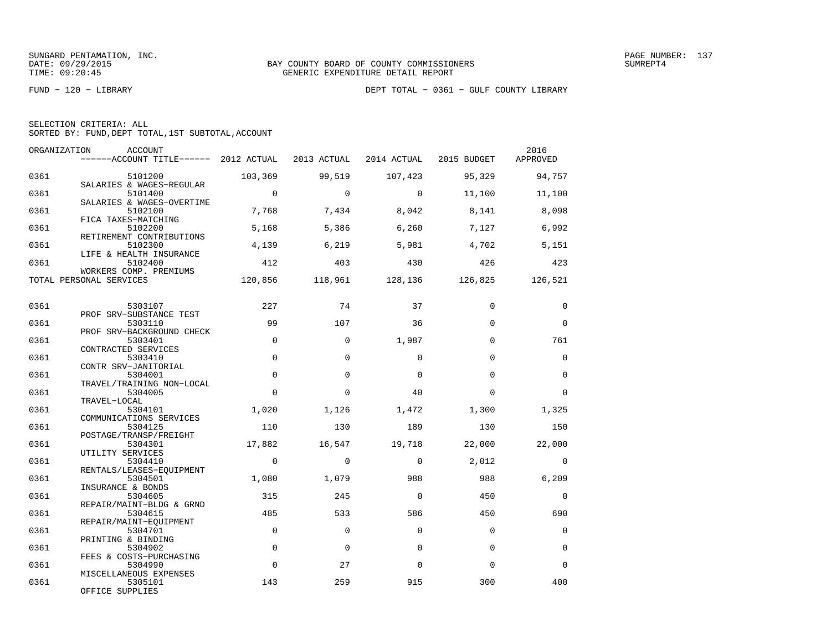| SELECTION CRITERIA: ALL |  |  |                                                    |  |
|-------------------------|--|--|----------------------------------------------------|--|
|                         |  |  | SORTED BY: FUND, DEPT TOTAL, 1ST SUBTOTAL, ACCOUNT |  |

| ORGANIZATION | ACCOUNT<br>------ACCOUNT TITLE------ 2012 ACTUAL            |                | 2013 ACTUAL | 2014 ACTUAL 2015 BUDGET |             | 2016<br>APPROVED |
|--------------|-------------------------------------------------------------|----------------|-------------|-------------------------|-------------|------------------|
| 0361         | 5101200<br>SALARIES & WAGES-REGULAR                         | 103,369        | 99,519      | 107,423                 | 95,329      | 94,757           |
| 0361         | 5101400<br>SALARIES & WAGES-OVERTIME                        | $\overline{0}$ | $\Omega$    | $\bigcap$               | 11,100      | 11,100           |
| 0361         | 5102100<br>FICA TAXES-MATCHING                              | 7,768          | 7,434       | 8,042                   | 8,141       | 8,098            |
| 0361         | 5102200<br>RETIREMENT CONTRIBUTIONS                         | 5,168          | 5,386       | 6,260                   | 7,127       | 6,992            |
| 0361         | 5102300<br>LIFE & HEALTH INSURANCE                          | 4,139          | 6,219       | 5,981                   | 4,702       | 5,151            |
| 0361         | 5102400<br>WORKERS COMP. PREMIUMS                           | 412            | 403         | 430                     | 426         | 423              |
|              | TOTAL PERSONAL SERVICES                                     | 120,856        |             | 118,961 128,136         | 126,825     | 126,521          |
| 0361         | 5303107                                                     | 227            | 74          | 37                      | $\Omega$    | $\Omega$         |
| 0361         | PROF SRV-SUBSTANCE TEST<br>5303110                          | 99             | 107         | 36                      | $\Omega$    | $\Omega$         |
| 0361         | PROF SRV-BACKGROUND CHECK<br>5303401<br>CONTRACTED SERVICES | $\mathbf 0$    | $\mathbf 0$ | 1,987                   | $\Omega$    | 761              |
| 0361         | 5303410<br>CONTR SRV-JANITORIAL                             | $\Omega$       | $\Omega$    | $\Omega$                | $\Omega$    | $\Omega$         |
| 0361         | 5304001<br>TRAVEL/TRAINING NON-LOCAL                        | $\Omega$       | $\Omega$    | $\Omega$                | $\Omega$    | $\Omega$         |
| 0361         | 5304005<br>TRAVEL-LOCAL                                     | $\Omega$       | $\Omega$    | 40                      | $\Omega$    | $\Omega$         |
| 0361         | 5304101<br>COMMUNICATIONS SERVICES                          | 1,020          | 1,126       | 1,472                   | 1,300       | 1,325            |
| 0361         | 5304125<br>POSTAGE/TRANSP/FREIGHT                           | 110            | 130         | 189                     | 130         | 150              |
| 0361         | 5304301<br>UTILITY SERVICES                                 | 17,882         | 16,547      | 19,718                  | 22,000      | 22,000           |
| 0361         | 5304410<br>RENTALS/LEASES-EQUIPMENT                         | $\Omega$       | $\Omega$    | $\Omega$                | 2,012       | $\Omega$         |
| 0361         | 5304501<br>INSURANCE & BONDS                                | 1,080          | 1,079       | 988                     | 988         | 6,209            |
| 0361         | 5304605<br>REPAIR/MAINT-BLDG & GRND                         | 315            | 245         | $\Omega$                | 450         | $\mathbf 0$      |
| 0361         | 5304615<br>REPAIR/MAINT-EQUIPMENT                           | 485            | 533         | 586                     | 450         | 690              |
| 0361         | 5304701<br>PRINTING & BINDING                               | $\mathbf 0$    | $\mathbf 0$ | $\mathbf 0$             | $\mathbf 0$ | $\mathbf 0$      |
| 0361         | 5304902<br>FEES & COSTS-PURCHASING                          | $\Omega$       | $\Omega$    | $\Omega$                | $\Omega$    | $\Omega$         |
| 0361         | 5304990<br>MISCELLANEOUS EXPENSES                           | $\Omega$       | 27          | $\Omega$                | $\Omega$    | $\Omega$         |
| 0361         | 5305101<br>OFFICE SUPPLIES                                  | 143            | 259         | 915                     | 300         | 400              |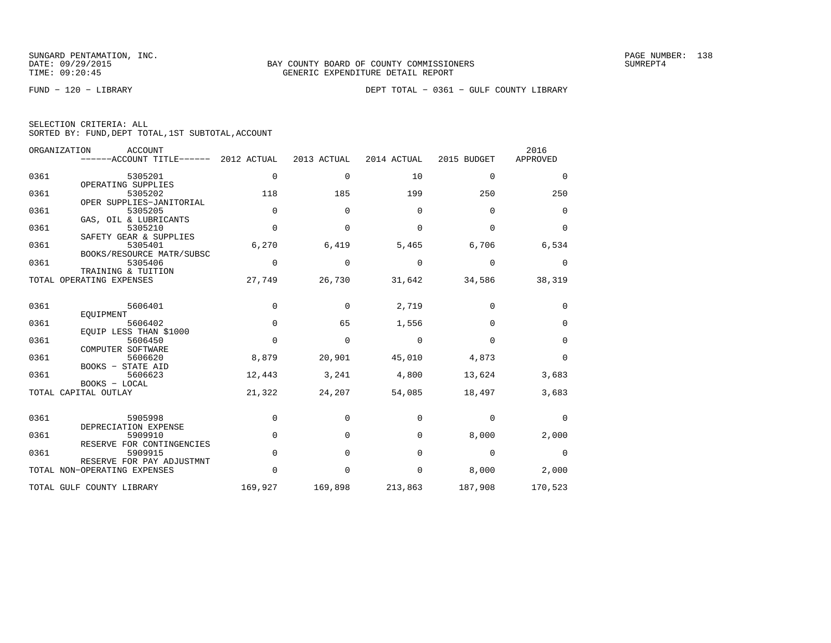|  | SELECTION CRITERIA: ALL |  |                                                    |
|--|-------------------------|--|----------------------------------------------------|
|  |                         |  | SORTED BY: FUND, DEPT TOTAL, 1ST SUBTOTAL, ACCOUNT |

|      | ORGANIZATION<br><b>ACCOUNT</b><br>------ACCOUNT TITLE------ | 2012 ACTUAL | 2013 ACTUAL | 2014 ACTUAL | 2015 BUDGET | 2016<br>APPROVED |
|------|-------------------------------------------------------------|-------------|-------------|-------------|-------------|------------------|
| 0361 | 5305201<br>OPERATING SUPPLIES                               | $\mathbf 0$ | 0           | 10          | $\mathbf 0$ | 0                |
| 0361 | 5305202<br>OPER SUPPLIES-JANITORIAL                         | 118         | 185         | 199         | 250         | 250              |
| 0361 | 5305205                                                     | $\mathbf 0$ | $\mathbf 0$ | $\mathbf 0$ | $\mathbf 0$ | $\mathbf 0$      |
| 0361 | GAS, OIL & LUBRICANTS<br>5305210                            | $\mathbf 0$ | $\mathbf 0$ | $\Omega$    | $\Omega$    | $\mathbf 0$      |
| 0361 | SAFETY GEAR & SUPPLIES<br>5305401                           | 6,270       | 6,419       | 5,465       | 6,706       | 6,534            |
| 0361 | BOOKS/RESOURCE MATR/SUBSC<br>5305406                        | $\Omega$    | $\Omega$    | $\Omega$    | $\Omega$    | $\Omega$         |
|      | TRAINING & TUITION<br>TOTAL OPERATING EXPENSES              | 27,749      | 26,730      | 31,642      | 34,586      | 38,319           |
| 0361 | 5606401                                                     | $\Omega$    | $\Omega$    | 2,719       | $\Omega$    | $\mathbf 0$      |
| 0361 | EOUIPMENT<br>5606402                                        | $\Omega$    | 65          | 1,556       | $\Omega$    | $\mathbf 0$      |
|      | EOUIP LESS THAN \$1000                                      |             |             |             |             |                  |
| 0361 | 5606450<br>COMPUTER SOFTWARE                                | $\Omega$    | 0           | 0           | $\mathbf 0$ | 0                |
| 0361 | 5606620<br><b>BOOKS - STATE AID</b>                         | 8,879       | 20,901      | 45,010      | 4,873       | $\mathbf 0$      |
| 0361 | 5606623<br>BOOKS - LOCAL                                    | 12,443      | 3,241       | 4,800       | 13,624      | 3,683            |
|      | TOTAL CAPITAL OUTLAY                                        | 21,322      | 24,207      | 54,085      | 18,497      | 3,683            |
| 0361 | 5905998<br>DEPRECIATION EXPENSE                             | $\mathbf 0$ | 0           | 0           | $\mathbf 0$ | $\mathbf 0$      |
| 0361 | 5909910                                                     | $\Omega$    | $\Omega$    | $\Omega$    | 8,000       | 2,000            |
| 0361 | RESERVE FOR CONTINGENCIES<br>5909915                        | $\Omega$    | $\Omega$    | $\Omega$    | $\Omega$    | $\Omega$         |
|      | RESERVE FOR PAY ADJUSTMNT<br>TOTAL NON-OPERATING EXPENSES   | $\Omega$    | $\Omega$    | $\Omega$    | 8,000       | 2,000            |
|      | TOTAL GULF COUNTY LIBRARY                                   | 169,927     | 169,898     | 213,863     | 187,908     | 170,523          |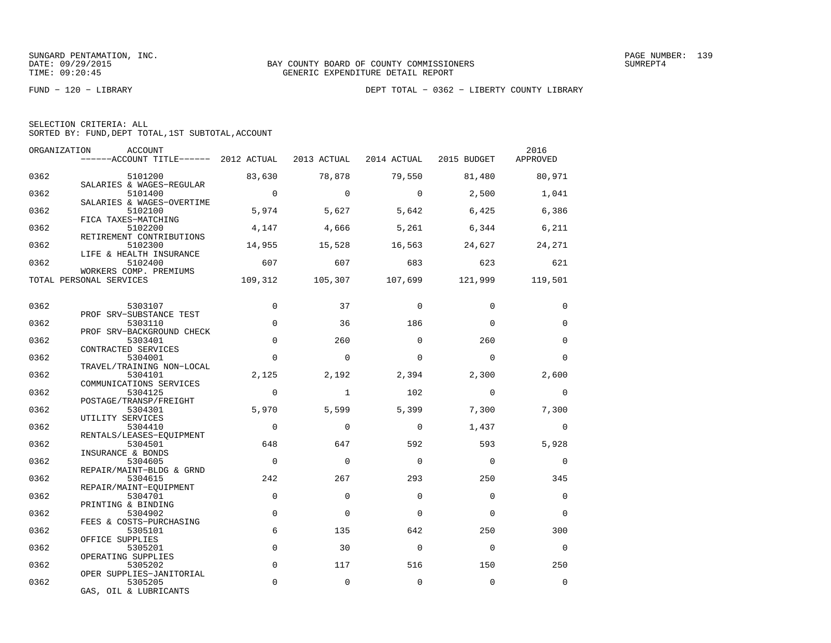| SELECTION CRITERIA: ALL |  |  |                                                    |  |
|-------------------------|--|--|----------------------------------------------------|--|
|                         |  |  | SORTED BY: FUND, DEPT TOTAL, 1ST SUBTOTAL, ACCOUNT |  |

| ORGANIZATION | ACCOUNT<br>------ACCOUNT TITLE------ 2012 ACTUAL 2013 ACTUAL 2014 ACTUAL 2015 BUDGET APPROVED |                |              |                |                         | 2016           |
|--------------|-----------------------------------------------------------------------------------------------|----------------|--------------|----------------|-------------------------|----------------|
| 0362         | 5101200                                                                                       | 83,630         | 78,878       | 79,550         | 81,480                  | 80,971         |
| 0362         | SALARIES & WAGES-REGULAR<br>5101400                                                           | $\overline{0}$ | $\Omega$     | $\overline{0}$ | 2,500                   | 1,041          |
| 0362         | SALARIES & WAGES-OVERTIME<br>5102100                                                          | 5,974          |              | 5,627 5,642    | 6,425                   | 6,386          |
| 0362         | FICA TAXES-MATCHING<br>5102200                                                                | 4,147          |              | 4,666 5,261    | 6,344                   | 6,211          |
| 0362         | RETIREMENT CONTRIBUTIONS<br>5102300                                                           | 14,955         | 15,528       | 16,563         | 24,627                  | 24,271         |
| 0362         | LIFE & HEALTH INSURANCE<br>5102400<br>WORKERS COMP. PREMIUMS                                  | 607            | 607          | 683            | 623                     | 621            |
|              | TOTAL PERSONAL SERVICES                                                                       | 109,312        |              |                | 105,307 107,699 121,999 | 119,501        |
| 0362         | 5303107                                                                                       | $\mathbf 0$    | 37           | 0              | $\mathbf 0$             | 0              |
| 0362         | PROF SRV-SUBSTANCE TEST<br>5303110                                                            | $\Omega$       | 36           | 186            | $\Omega$                | $\Omega$       |
| 0362         | PROF SRV-BACKGROUND CHECK<br>5303401                                                          | $\Omega$       | 260          | $\Omega$       | 260                     | $\mathbf 0$    |
| 0362         | CONTRACTED SERVICES<br>5304001                                                                | $\Omega$       | $\Omega$     | $\Omega$       | $\Omega$                | $\Omega$       |
| 0362         | TRAVEL/TRAINING NON-LOCAL<br>5304101                                                          | 2,125          | 2,192        | 2,394          | 2,300                   | 2,600          |
| 0362         | COMMUNICATIONS SERVICES<br>5304125                                                            | $\mathbf 0$    | $\mathbf{1}$ | 102            | $\mathbf 0$             | $\mathbf 0$    |
| 0362         | POSTAGE/TRANSP/FREIGHT<br>5304301                                                             | 5,970          | 5,599        | 5,399          | 7,300                   | 7,300          |
| 0362         | UTILITY SERVICES<br>5304410                                                                   | $\overline{0}$ | $\mathbf 0$  | $\overline{0}$ | 1,437                   | $\mathbf 0$    |
| 0362         | RENTALS/LEASES-EQUIPMENT<br>5304501<br>INSURANCE & BONDS                                      | 648            | 647          | 592            | 593                     | 5,928          |
| 0362         | 5304605<br>REPAIR/MAINT-BLDG & GRND                                                           | $\Omega$       | $\Omega$     | $\Omega$       | $\Omega$                | $\mathbf 0$    |
| 0362         | 5304615<br>REPAIR/MAINT-EQUIPMENT                                                             | 242            | 267          | 293            | 250                     | 345            |
| 0362         | 5304701<br>PRINTING & BINDING                                                                 | $\Omega$       | $\Omega$     | $\Omega$       | $\Omega$                | $\mathbf 0$    |
| 0362         | 5304902<br>FEES & COSTS-PURCHASING                                                            | $\mathbf 0$    | 0            | $\Omega$       | $\Omega$                | $\mathbf 0$    |
| 0362         | 5305101<br>OFFICE SUPPLIES                                                                    | 6              | 135          | 642            | 250                     | 300            |
| 0362         | 5305201<br>OPERATING SUPPLIES                                                                 | $\mathbf 0$    | 30           | $\Omega$       | $\overline{0}$          | $\overline{0}$ |
| 0362         | 5305202<br>OPER SUPPLIES-JANITORIAL                                                           | $\Omega$       | 117          | 516            | 150                     | 250            |
| 0362         | 5305205<br>GAS, OIL & LUBRICANTS                                                              | $\mathbf 0$    | $\mathbf 0$  | $\mathbf 0$    | $\mathbf 0$             | $\mathbf 0$    |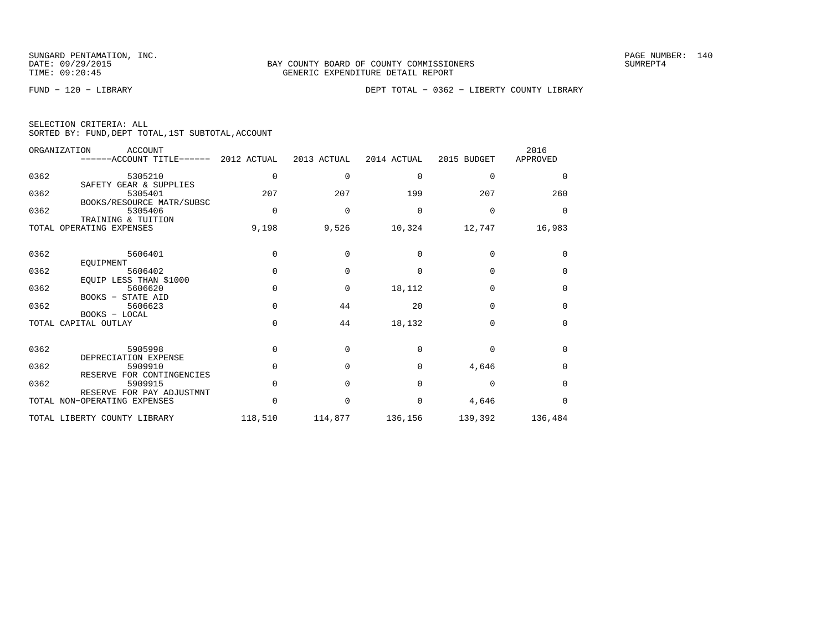| SELECTION CRITERIA: ALL |  |  |                                                    |  |
|-------------------------|--|--|----------------------------------------------------|--|
|                         |  |  | SORTED BY: FUND, DEPT TOTAL, 1ST SUBTOTAL, ACCOUNT |  |

|      | ORGANIZATION<br>ACCOUNT<br>------ACCOUNT TITLE------ 2012 ACTUAL |              | 2013 ACTUAL | 2014 ACTUAL  | 2015 BUDGET | 2016<br>APPROVED |
|------|------------------------------------------------------------------|--------------|-------------|--------------|-------------|------------------|
| 0362 | 5305210<br>SAFETY GEAR & SUPPLIES                                | $\mathbf 0$  | $\Omega$    | $\Omega$     | 0           | $\Omega$         |
| 0362 | 5305401<br>BOOKS/RESOURCE MATR/SUBSC                             | 207          | 207         | 199          | 207         | 260              |
| 0362 | 5305406<br>TRAINING & TUITION                                    | $\Omega$     | $\Omega$    | $\Omega$     | $\Omega$    | $\Omega$         |
|      | TOTAL OPERATING EXPENSES                                         | 9,198        | 9,526       | 10,324       | 12,747      | 16,983           |
| 0362 | 5606401<br>EOUIPMENT                                             | $\Omega$     | $\Omega$    | $\Omega$     | $\Omega$    | $\Omega$         |
| 0362 | 5606402<br>EQUIP LESS THAN \$1000                                | $\Omega$     | $\Omega$    | U            | $\Omega$    | $\Omega$         |
| 0362 | 5606620<br>BOOKS - STATE AID                                     | $\cap$       | $\Omega$    | 18,112       | $\Omega$    | $\Omega$         |
| 0362 | 5606623<br>BOOKS - LOCAL                                         | $\Omega$     | 44          | 20           | $\Omega$    | $\mathbf 0$      |
|      | TOTAL CAPITAL OUTLAY                                             | $\Omega$     | 44          | 18,132       | $\Omega$    | $\Omega$         |
| 0362 | 5905998<br>DEPRECIATION EXPENSE                                  | $\Omega$     | $\Omega$    | <sup>n</sup> | $\Omega$    | $\Omega$         |
| 0362 | 5909910<br>RESERVE FOR CONTINGENCIES                             | $\Omega$     | $\Omega$    | $\Omega$     | 4,646       | $\Omega$         |
| 0362 | 5909915<br>RESERVE FOR PAY ADJUSTMNT                             | $\Omega$     | $\Omega$    | $\Omega$     | $\Omega$    | $\Omega$         |
|      | TOTAL NON-OPERATING EXPENSES                                     | <sup>n</sup> | $\Omega$    | $\Omega$     | 4,646       | $\Omega$         |
|      | TOTAL LIBERTY COUNTY LIBRARY                                     | 118,510      | 114,877     | 136,156      | 139,392     | 136,484          |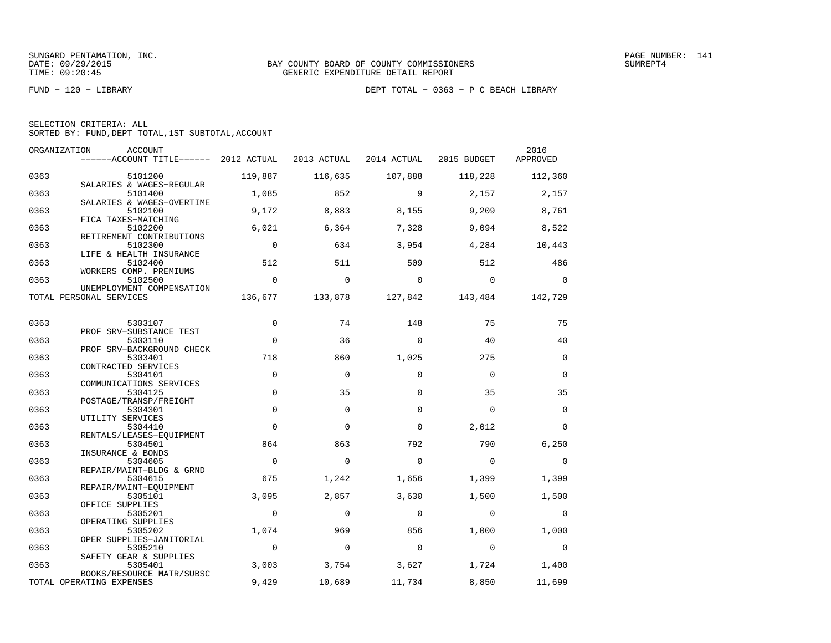| SELECTION CRITERIA: ALL |  |  |                                                    |  |
|-------------------------|--|--|----------------------------------------------------|--|
|                         |  |  | SORTED BY: FUND, DEPT TOTAL, 1ST SUBTOTAL, ACCOUNT |  |

| ORGANIZATION | ACCOUNT<br>------ACCOUNT TITLE------ 2012 ACTUAL           |                          | 2013 ACTUAL | 2014 ACTUAL | 2015 BUDGET | 2016<br>APPROVED |
|--------------|------------------------------------------------------------|--------------------------|-------------|-------------|-------------|------------------|
| 0363         | 5101200                                                    | 119,887                  | 116,635     | 107,888     | 118,228     | 112,360          |
| 0363         | SALARIES & WAGES-REGULAR<br>5101400                        | 1,085                    | 852         | 9           | 2,157       | 2,157            |
| 0363         | SALARIES & WAGES-OVERTIME<br>5102100                       | 9,172                    | 8,883       | 8,155       | 9,209       | 8,761            |
| 0363         | FICA TAXES-MATCHING<br>5102200<br>RETIREMENT CONTRIBUTIONS | 6,021                    | 6,364       | 7,328       | 9,094       | 8,522            |
| 0363         | 5102300<br>LIFE & HEALTH INSURANCE                         | $\overline{\phantom{0}}$ | 634         | 3,954       | 4,284       | 10,443           |
| 0363         | 5102400<br>WORKERS COMP. PREMIUMS                          | 512                      | 511         | 509         | 512         | 486              |
| 0363         | 5102500<br>UNEMPLOYMENT COMPENSATION                       | $\mathbf 0$              | $\Omega$    | $\Omega$    | $\Omega$    | $\Omega$         |
|              | TOTAL PERSONAL SERVICES                                    | 136,677                  | 133,878     | 127,842     | 143,484     | 142,729          |
| 0363         | 5303107                                                    | $\mathbf 0$              | 74          | 148         | 75          | 75               |
| 0363         | PROF SRV-SUBSTANCE TEST<br>5303110                         | $\Omega$                 | 36          | $\Omega$    | 40          | 40               |
| 0363         | PROF SRV-BACKGROUND CHECK<br>5303401                       | 718                      | 860         | 1,025       | 275         | $\mathbf 0$      |
| 0363         | CONTRACTED SERVICES<br>5304101<br>COMMUNICATIONS SERVICES  | $\mathbf 0$              | $\mathbf 0$ | $\Omega$    | $\Omega$    | $\Omega$         |
| 0363         | 5304125<br>POSTAGE/TRANSP/FREIGHT                          | $\mathbf 0$              | 35          | 0           | 35          | 35               |
| 0363         | 5304301<br>UTILITY SERVICES                                | $\mathbf 0$              | $\mathbf 0$ | $\Omega$    | $\Omega$    | $\mathbf 0$      |
| 0363         | 5304410<br>RENTALS/LEASES-EQUIPMENT                        | $\Omega$                 | $\Omega$    | $\Omega$    | 2,012       | $\Omega$         |
| 0363         | 5304501<br>INSURANCE & BONDS                               | 864                      | 863         | 792         | 790         | 6,250            |
| 0363         | 5304605<br>REPAIR/MAINT-BLDG & GRND                        | $\mathbf 0$              | $\Omega$    | $\Omega$    | $\Omega$    | $\overline{0}$   |
| 0363         | 5304615<br>REPAIR/MAINT-EOUIPMENT                          | 675                      | 1,242       | 1,656       | 1,399       | 1,399            |
| 0363         | 5305101<br>OFFICE SUPPLIES                                 | 3,095                    | 2,857       | 3,630       | 1,500       | 1,500            |
| 0363         | 5305201<br>OPERATING SUPPLIES                              | $\mathbf 0$              | $\mathbf 0$ | $\mathbf 0$ | $\mathbf 0$ | $\overline{0}$   |
| 0363         | 5305202<br>OPER SUPPLIES-JANITORIAL                        | 1,074                    | 969         | 856         | 1,000       | 1,000            |
| 0363         | 5305210<br>SAFETY GEAR & SUPPLIES                          | $\mathbf 0$              | $\mathbf 0$ | $\mathbf 0$ | $\Omega$    | $\mathbf 0$      |
| 0363         | 5305401<br>BOOKS/RESOURCE MATR/SUBSC                       | 3,003                    | 3,754       | 3,627       | 1,724       | 1,400            |
|              | TOTAL OPERATING EXPENSES                                   | 9,429                    | 10,689      | 11,734      | 8,850       | 11,699           |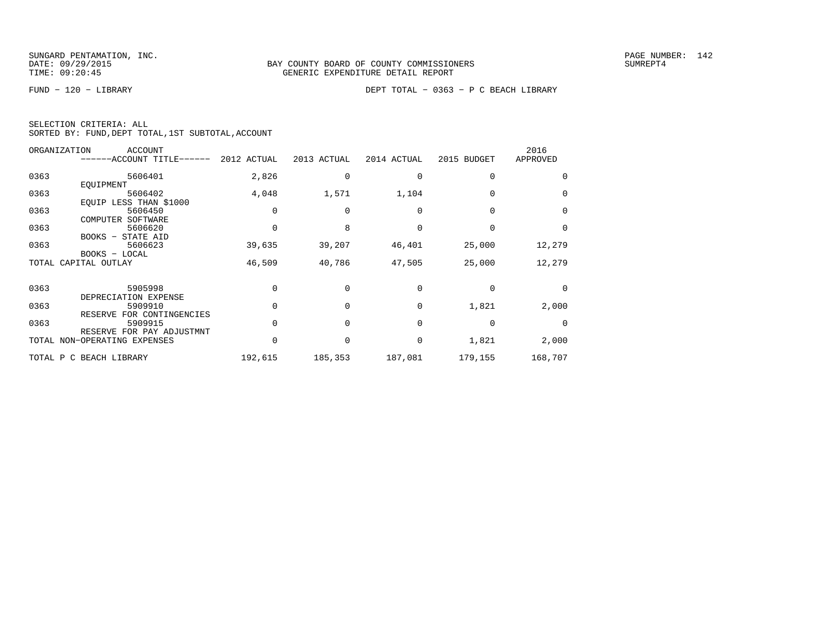|  | SELECTION CRITERIA: ALL |                                                    |
|--|-------------------------|----------------------------------------------------|
|  |                         | SORTED BY: FUND, DEPT TOTAL, 1ST SUBTOTAL, ACCOUNT |

|      | ORGANIZATION<br><b>ACCOUNT</b><br>------ACCOUNT TITLE------ | 2012 ACTUAL | 2013 ACTUAL | 2014 ACTUAL | 2015 BUDGET | 2016<br>APPROVED |
|------|-------------------------------------------------------------|-------------|-------------|-------------|-------------|------------------|
| 0363 | 5606401<br>EOUIPMENT                                        | 2,826       |             |             | $\Omega$    | $\Omega$         |
| 0363 | 5606402<br>EQUIP LESS THAN \$1000                           | 4,048       | 1,571       | 1,104       |             | $\Omega$         |
| 0363 | 5606450<br>COMPUTER<br>SOFTWARE                             |             |             |             |             | $\Omega$         |
| 0363 | 5606620<br>BOOKS - STATE AID                                |             |             |             |             | $\Omega$         |
| 0363 | 5606623<br>BOOKS - LOCAL                                    | 39,635      | 39,207      | 46,401      | 25,000      | 12,279           |
|      | TOTAL CAPITAL OUTLAY                                        | 46,509      | 40,786      | 47,505      | 25,000      | 12,279           |
| 0363 | 5905998<br>DEPRECIATION EXPENSE                             |             |             |             |             | $\Omega$         |
| 0363 | 5909910<br>RESERVE FOR CONTINGENCIES                        |             |             | 0           | 1,821       | 2,000            |
| 0363 | 5909915                                                     |             |             | $\Omega$    | $\Omega$    | $\Omega$         |
|      | RESERVE FOR PAY ADJUSTMNT<br>TOTAL NON-OPERATING EXPENSES   |             |             | 0           | 1,821       | 2,000            |
|      | TOTAL P C BEACH LIBRARY                                     | 192,615     | 185,353     | 187,081     | 179,155     | 168,707          |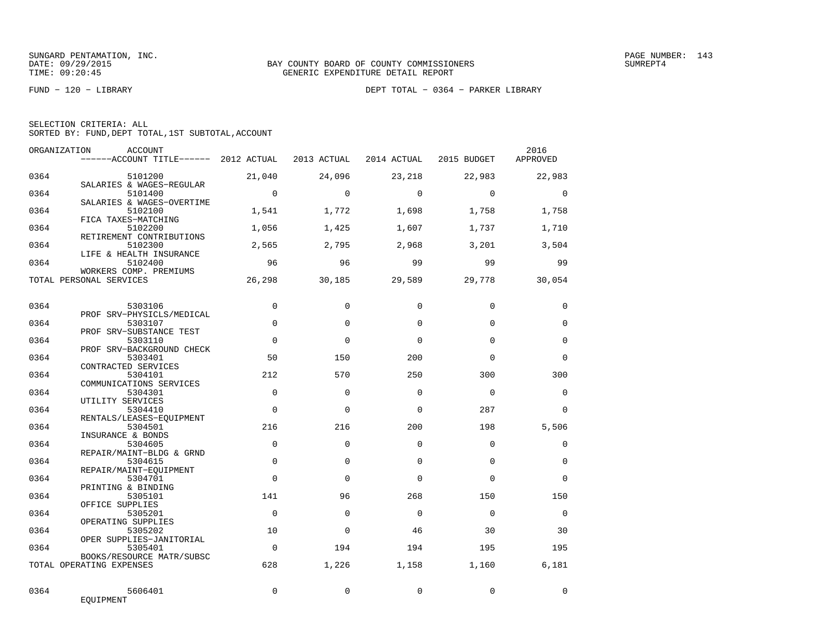FUND − 120 − LIBRARY DEPT TOTAL − 0364 − PARKER LIBRARY

| SELECTION CRITERIA: ALL |  |  |                                                    |  |
|-------------------------|--|--|----------------------------------------------------|--|
|                         |  |  | SORTED BY: FUND, DEPT TOTAL, 1ST SUBTOTAL, ACCOUNT |  |

| ORGANIZATION | ACCOUNT<br>------ACCOUNT TITLE------ 2012 ACTUAL                |                | 2013 ACTUAL | 2014 ACTUAL | 2015 BUDGET | 2016<br>APPROVED |
|--------------|-----------------------------------------------------------------|----------------|-------------|-------------|-------------|------------------|
| 0364         | 5101200<br>SALARIES & WAGES-REGULAR                             | 21,040         | 24,096      | 23,218      | 22,983      | 22,983           |
| 0364         | 5101400<br>SALARIES & WAGES-OVERTIME                            | $\overline{0}$ | $\Omega$    | $\Omega$    | $\Omega$    | $\Omega$         |
| 0364         | 5102100<br>FICA TAXES-MATCHING                                  | 1,541          | 1,772       | 1,698       | 1,758       | 1,758            |
| 0364         | 5102200<br>RETIREMENT CONTRIBUTIONS                             | 1,056          | 1,425       | 1,607       | 1,737       | 1,710            |
| 0364         | 5102300<br>LIFE & HEALTH INSURANCE                              | 2,565          | 2,795       | 2,968       | 3,201       | 3,504            |
| 0364         | 5102400<br>WORKERS COMP. PREMIUMS                               | 96             | 96          | 99          | 99          | 99               |
|              | TOTAL PERSONAL SERVICES                                         | 26,298         | 30,185      | 29,589      | 29,778      | 30,054           |
| 0364         | 5303106                                                         | $\Omega$       | $\mathbf 0$ | $\Omega$    | $\Omega$    | $\mathbf 0$      |
| 0364         | PROF SRV-PHYSICLS/MEDICAL<br>5303107                            | $\mathbf 0$    | $\Omega$    | $\Omega$    | $\Omega$    | $\mathbf 0$      |
| 0364         | PROF SRV-SUBSTANCE TEST<br>5303110<br>PROF SRV-BACKGROUND CHECK | $\mathbf 0$    | $\Omega$    | $\Omega$    | $\Omega$    | $\mathbf 0$      |
| 0364         | 5303401<br>CONTRACTED SERVICES                                  | 50             | 150         | 200         | $\Omega$    | $\Omega$         |
| 0364         | 5304101<br>COMMUNICATIONS SERVICES                              | 212            | 570         | 250         | 300         | 300              |
| 0364         | 5304301<br>UTILITY SERVICES                                     | $\Omega$       | $\Omega$    | $\Omega$    | $\Omega$    | $\Omega$         |
| 0364         | 5304410<br>RENTALS/LEASES-EQUIPMENT                             | $\Omega$       | $\Omega$    | $\Omega$    | 287         | $\Omega$         |
| 0364         | 5304501<br>INSURANCE & BONDS                                    | 216            | 216         | 200         | 198         | 5,506            |
| 0364         | 5304605<br>REPAIR/MAINT-BLDG & GRND                             | $\Omega$       | $\Omega$    | $\Omega$    | $\Omega$    | $\mathbf 0$      |
| 0364         | 5304615<br>REPAIR/MAINT-EQUIPMENT                               | $\Omega$       | $\Omega$    | $\Omega$    | $\Omega$    | $\Omega$         |
| 0364         | 5304701<br>PRINTING & BINDING                                   | $\Omega$       | $\Omega$    | $\Omega$    | $\Omega$    | $\Omega$         |
| 0364         | 5305101<br>OFFICE SUPPLIES                                      | 141            | 96          | 268         | 150         | 150              |
| 0364         | 5305201<br>OPERATING SUPPLIES                                   | $\Omega$       | $\Omega$    | $\Omega$    | $\Omega$    | $\mathbf 0$      |
| 0364         | 5305202<br>OPER SUPPLIES-JANITORIAL                             | 10             | $\mathbf 0$ | 46          | 30          | 30               |
| 0364         | 5305401<br>BOOKS/RESOURCE MATR/SUBSC                            | $\Omega$       | 194         | 194         | 195         | 195              |
|              | TOTAL OPERATING EXPENSES                                        | 628            | 1,226       | 1,158       | 1,160       | 6,181            |
| 0364         | 5606401<br>EQUIPMENT                                            | $\mathbf 0$    | $\Omega$    | $\Omega$    | $\mathbf 0$ | $\mathbf 0$      |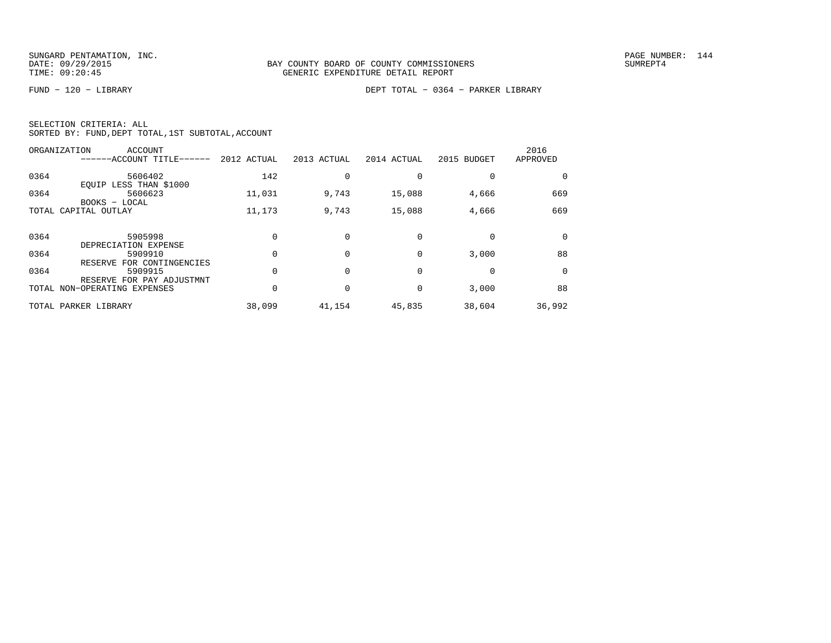FUND − 120 − LIBRARY DEPT TOTAL − 0364 − PARKER LIBRARY

|  | SELECTION CRITERIA: ALL |                                                    |
|--|-------------------------|----------------------------------------------------|
|  |                         | SORTED BY: FUND, DEPT TOTAL, 1ST SUBTOTAL, ACCOUNT |

|      | ORGANIZATION<br>ACCOUNT<br>------ACCOUNT TITLE------ | 2012 ACTUAL | 2013 ACTUAL | 2014 ACTUAL | 2015 BUDGET | 2016<br>APPROVED |
|------|------------------------------------------------------|-------------|-------------|-------------|-------------|------------------|
| 0364 | 5606402<br>EQUIP LESS THAN \$1000                    | 142         |             |             |             |                  |
| 0364 | 5606623<br>BOOKS - LOCAL                             | 11,031      | 9,743       | 15,088      | 4,666       | 669              |
|      | TOTAL CAPITAL OUTLAY                                 | 11,173      | 9,743       | 15,088      | 4,666       | 669              |
| 0364 | 5905998<br>DEPRECIATION EXPENSE                      |             |             |             |             | $\Omega$         |
| 0364 | 5909910<br>RESERVE FOR CONTINGENCIES                 |             |             | $\Omega$    | 3,000       | 88               |
| 0364 | 5909915<br>RESERVE FOR PAY ADJUSTMNT                 |             |             | $\Omega$    |             | $\Omega$         |
|      | TOTAL NON-OPERATING EXPENSES                         |             |             | $\Omega$    | 3,000       | 88               |
|      | TOTAL PARKER LIBRARY                                 | 38,099      | 41,154      | 45,835      | 38,604      | 36,992           |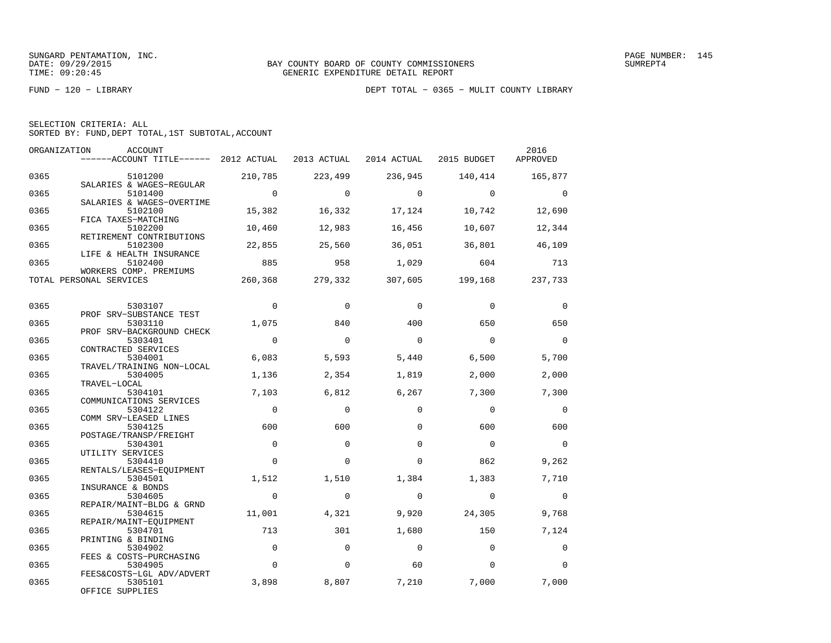|  | SELECTION CRITERIA: ALL |                                                    |  |
|--|-------------------------|----------------------------------------------------|--|
|  |                         | SORTED BY: FUND, DEPT TOTAL, 1ST SUBTOTAL, ACCOUNT |  |

| ORGANIZATION | ACCOUNT<br>------ACCOUNT TITLE------ 2012 ACTUAL                 |                | 2013 ACTUAL |             | 2014 ACTUAL 2015 BUDGET  | 2016<br>APPROVED |
|--------------|------------------------------------------------------------------|----------------|-------------|-------------|--------------------------|------------------|
| 0365         | 5101200                                                          | 210,785        | 223,499     | 236,945     | 140,414                  | 165,877          |
| 0365         | SALARIES & WAGES-REGULAR<br>5101400<br>SALARIES & WAGES-OVERTIME | $\overline{0}$ | $\Omega$    | $\Omega$    | $\Omega$                 | $\Omega$         |
| 0365         | 5102100<br>FICA TAXES-MATCHING                                   | 15,382         | 16,332      | 17,124      | 10,742                   | 12,690           |
| 0365         | 5102200<br>RETIREMENT CONTRIBUTIONS                              | 10,460         | 12,983      | 16,456      | 10,607                   | 12,344           |
| 0365         | 5102300<br>LIFE & HEALTH INSURANCE                               | 22,855         | 25,560      | 36,051      | 36,801                   | 46,109           |
| 0365         | 5102400<br>WORKERS COMP. PREMIUMS                                | 885            | 958         | 1,029       | 604                      | 713              |
|              | TOTAL PERSONAL SERVICES                                          | 260,368        | 279,332     | 307,605     | 199,168                  | 237,733          |
| 0365         | 5303107                                                          | $\Omega$       | $\Omega$    | $\Omega$    | $\Omega$                 | $\Omega$         |
| 0365         | PROF SRV-SUBSTANCE TEST<br>5303110                               | 1,075          | 840         | 400         | 650                      | 650              |
| 0365         | PROF SRV-BACKGROUND CHECK<br>5303401                             | $\overline{0}$ | $\Omega$    | $\Omega$    | $\Omega$                 | $\Omega$         |
| 0365         | CONTRACTED SERVICES<br>5304001<br>TRAVEL/TRAINING NON-LOCAL      | 6,083          | 5,593       | 5,440       | 6,500                    | 5,700            |
| 0365         | 5304005<br>TRAVEL-LOCAL                                          | 1,136          | 2,354       | 1,819       | 2,000                    | 2,000            |
| 0365         | 5304101<br>COMMUNICATIONS SERVICES                               | 7,103          | 6,812       | 6,267       | 7,300                    | 7,300            |
| 0365         | 5304122<br>COMM SRV-LEASED LINES                                 | $\overline{0}$ | $\Omega$    | $\Omega$    | $\Omega$                 | $\Omega$         |
| 0365         | 5304125<br>POSTAGE/TRANSP/FREIGHT                                | 600            | 600         | $\Omega$    | 600                      | 600              |
| 0365         | 5304301<br>UTILITY SERVICES                                      | $\mathbf{0}$   | $\Omega$    | $\Omega$    | $\overline{\phantom{0}}$ | $\bigcirc$       |
| 0365         | 5304410<br>RENTALS/LEASES-EQUIPMENT                              | $\Omega$       | $\Omega$    | $\Omega$    | 862                      | 9,262            |
| 0365         | 5304501<br>INSURANCE & BONDS                                     | 1,512          | 1,510       | 1,384       | 1,383                    | 7,710            |
| 0365         | 5304605<br>REPAIR/MAINT-BLDG & GRND                              | $\mathbf 0$    | $\mathbf 0$ | $\mathbf 0$ | $\mathbf 0$              | $\mathbf 0$      |
| 0365         | 5304615<br>REPAIR/MAINT-EOUIPMENT                                | 11,001         | 4,321       | 9,920       | 24,305                   | 9,768            |
| 0365         | 5304701<br>PRINTING & BINDING                                    | 713            | 301         | 1,680       | 150                      | 7,124            |
| 0365         | 5304902<br>FEES & COSTS-PURCHASING                               | $\mathbf 0$    | $\Omega$    | $\Omega$    | $\Omega$                 | $\Omega$         |
| 0365         | 5304905<br>FEES&COSTS-LGL ADV/ADVERT                             | $\mathbf 0$    | $\mathbf 0$ | 60          | $\mathbf 0$              | $\Omega$         |
| 0365         | 5305101<br>OFFICE SUPPLIES                                       | 3,898          | 8,807       | 7,210       | 7,000                    | 7,000            |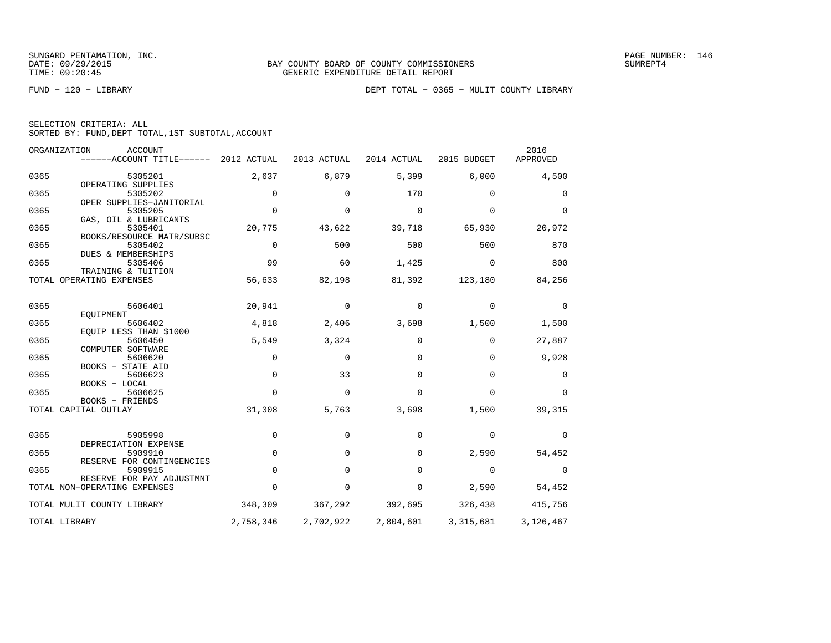|  | SELECTION CRITERIA: ALL                            |  |  |
|--|----------------------------------------------------|--|--|
|  | SORTED BY: FUND, DEPT TOTAL, 1ST SUBTOTAL, ACCOUNT |  |  |

|      | ORGANIZATION<br>ACCOUNT<br>$----ACCOUNT$ TITLE $----2012$ ACTUAL |             | 2013 ACTUAL | 2014 ACTUAL | 2015 BUDGET | 2016<br>APPROVED |
|------|------------------------------------------------------------------|-------------|-------------|-------------|-------------|------------------|
| 0365 | 5305201                                                          | 2,637       | 6,879       | 5,399       | 6,000       | 4,500            |
| 0365 | OPERATING SUPPLIES<br>5305202                                    | $\Omega$    | $\Omega$    | 170         | $\Omega$    | 0                |
| 0365 | OPER SUPPLIES-JANITORIAL<br>5305205                              | $\Omega$    | $\Omega$    | $\mathbf 0$ | $\Omega$    | $\Omega$         |
| 0365 | GAS, OIL & LUBRICANTS<br>5305401                                 | 20,775      | 43,622      | 39,718      | 65,930      | 20,972           |
| 0365 | BOOKS/RESOURCE MATR/SUBSC<br>5305402                             | $\Omega$    | 500         | 500         | 500         | 870              |
| 0365 | DUES & MEMBERSHIPS<br>5305406                                    | 99          | 60          | 1,425       | $\Omega$    | 800              |
|      | TRAINING & TUITION<br>TOTAL OPERATING EXPENSES                   | 56,633      | 82,198      | 81,392      | 123,180     | 84,256           |
| 0365 | 5606401                                                          | 20,941      | 0           | 0           | 0           | 0                |
| 0365 | EQUIPMENT<br>5606402                                             | 4,818       | 2,406       | 3,698       | 1,500       | 1,500            |
| 0365 | EOUIP LESS THAN \$1000<br>5606450                                | 5,549       | 3,324       | 0           | $\Omega$    | 27,887           |
| 0365 | COMPUTER SOFTWARE<br>5606620                                     | $\Omega$    | $\Omega$    | $\Omega$    | $\Omega$    | 9,928            |
| 0365 | <b>BOOKS - STATE AID</b><br>5606623                              | $\mathbf 0$ | 33          | $\mathbf 0$ | $\mathbf 0$ | 0                |
|      | BOOKS - LOCAL                                                    |             |             |             |             |                  |
| 0365 | 5606625<br>BOOKS - FRIENDS                                       | $\Omega$    | $\mathbf 0$ | $\Omega$    | $\Omega$    | $\Omega$         |
|      | TOTAL CAPITAL OUTLAY                                             | 31,308      | 5,763       | 3,698       | 1,500       | 39,315           |
| 0365 | 5905998<br>DEPRECIATION EXPENSE                                  | $\mathbf 0$ | 0           | $\mathbf 0$ | $\mathbf 0$ | 0                |
| 0365 | 5909910<br>RESERVE FOR CONTINGENCIES                             | $\Omega$    | $\Omega$    | $\Omega$    | 2,590       | 54,452           |
| 0365 | 5909915<br>RESERVE FOR PAY ADJUSTMNT                             | $\mathbf 0$ | 0           | $\mathbf 0$ | $\mathbf 0$ | 0                |
|      | TOTAL NON-OPERATING EXPENSES                                     | $\Omega$    | $\mathbf 0$ | 0           | 2,590       | 54,452           |
|      | TOTAL MULIT COUNTY LIBRARY                                       | 348,309     | 367,292     | 392,695     | 326,438     | 415,756          |
|      | TOTAL LIBRARY                                                    | 2,758,346   | 2,702,922   | 2,804,601   | 3,315,681   | 3,126,467        |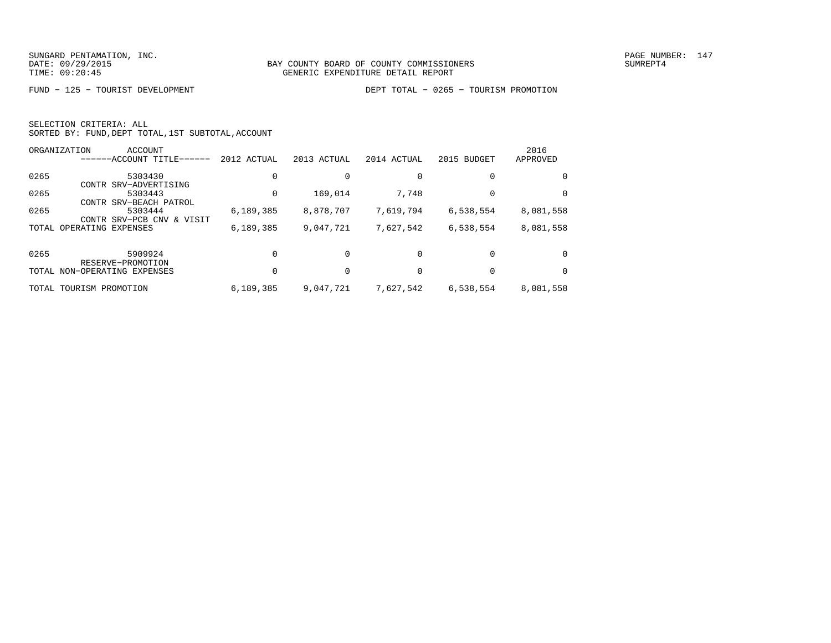| SELECTION CRITERIA: ALL |  |  |                                                    |  |
|-------------------------|--|--|----------------------------------------------------|--|
|                         |  |  | SORTED BY: FUND, DEPT TOTAL, 1ST SUBTOTAL, ACCOUNT |  |

|       | ORGANIZATION<br>ACCOUNT                                    |             |             |             |             | 2016      |
|-------|------------------------------------------------------------|-------------|-------------|-------------|-------------|-----------|
|       | ------ACCOUNT TITLE-                                       | 2012 ACTUAL | 2013 ACTUAL | 2014 ACTUAL | 2015 BUDGET | APPROVED  |
| 0265  | 5303430                                                    |             |             |             | $\Omega$    | $\Omega$  |
| 0265  | CONTR SRV-ADVERTISING<br>5303443<br>CONTR SRV-BEACH PATROL |             | 169,014     | 7,748       | 0           | $\Omega$  |
| 0265  | 5303444<br>CONTR SRV-PCB CNV<br>& VISIT                    | 6, 189, 385 | 8,878,707   | 7,619,794   | 6,538,554   | 8,081,558 |
| TOTAL | OPERATING EXPENSES                                         | 6, 189, 385 | 9,047,721   | 7,627,542   | 6,538,554   | 8,081,558 |
| 0265  | 5909924<br>RESERVE-PROMOTION                               |             |             | $\Omega$    | $\Omega$    | $\Omega$  |
|       | TOTAL NON-OPERATING EXPENSES                               |             |             |             |             | $\Omega$  |
|       | TOTAL TOURISM PROMOTION                                    | 6,189,385   | 9,047,721   | 7,627,542   | 6,538,554   | 8,081,558 |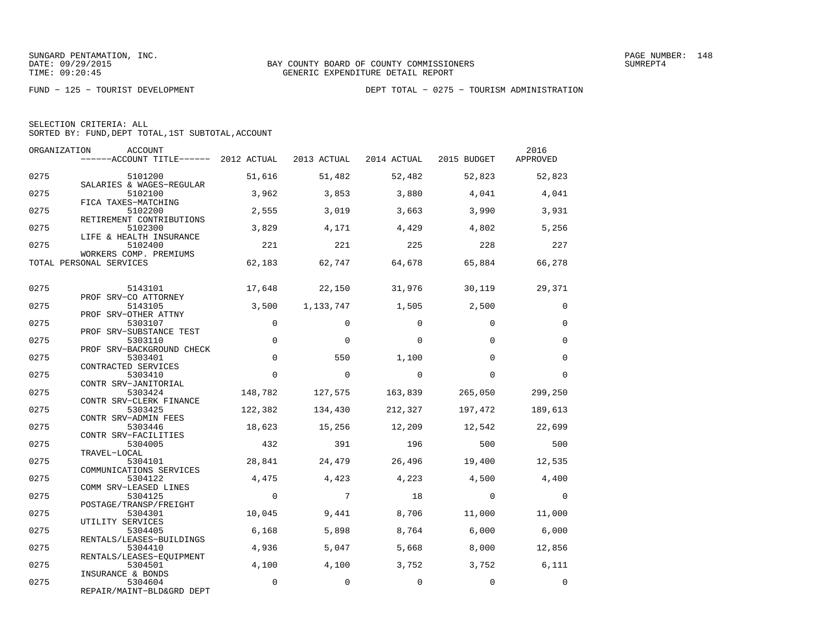|  | SELECTION CRITERIA: ALL                            |  |  |
|--|----------------------------------------------------|--|--|
|  | SORTED BY: FUND, DEPT TOTAL, 1ST SUBTOTAL, ACCOUNT |  |  |

| ORGANIZATION | <b>ACCOUNT</b><br>------ACCOUNT TITLE------ 2012 ACTUAL   |          | 2013 ACTUAL | 2014 ACTUAL 2015 BUDGET |             | 2016<br>APPROVED |
|--------------|-----------------------------------------------------------|----------|-------------|-------------------------|-------------|------------------|
| 0275         | 5101200<br>SALARIES & WAGES-REGULAR                       | 51,616   | 51,482      | 52,482                  | 52,823      | 52,823           |
| 0275         | 5102100<br>FICA TAXES-MATCHING                            | 3,962    | 3,853       | 3,880                   | 4,041       | 4,041            |
| 0275         | 5102200<br>RETIREMENT CONTRIBUTIONS                       | 2,555    | 3,019       | 3,663                   | 3,990       | 3,931            |
| 0275         | 5102300<br>LIFE & HEALTH INSURANCE                        | 3,829    | 4,171       | 4,429                   | 4,802       | 5,256            |
| 0275         | 5102400<br>WORKERS COMP. PREMIUMS                         | 221      | 221         | 225                     | 228         | 227              |
|              | TOTAL PERSONAL SERVICES                                   | 62,183   | 62,747      | 64,678                  | 65,884      | 66,278           |
| 0275         | 5143101<br>PROF SRV-CO ATTORNEY                           | 17,648   | 22,150      | 31,976                  | 30,119      | 29,371           |
| 0275         | 5143105<br>PROF SRV-OTHER ATTNY                           | 3,500    | 1,133,747   | 1,505                   | 2,500       | 0                |
| 0275         | 5303107<br>PROF SRV-SUBSTANCE TEST                        | $\Omega$ | $\Omega$    | $\Omega$                | $\Omega$    | $\Omega$         |
| 0275         | 5303110<br>PROF SRV-BACKGROUND CHECK                      | $\Omega$ | $\Omega$    | $\Omega$                | $\Omega$    | $\Omega$         |
| 0275         | 5303401<br>CONTRACTED SERVICES                            | $\Omega$ | 550         | 1,100                   | $\Omega$    | $\Omega$         |
| 0275         | 5303410<br>CONTR SRV-JANITORIAL                           | $\Omega$ | $\Omega$    | $\Omega$                | $\Omega$    | $\Omega$         |
| 0275         | 5303424<br>CONTR SRV-CLERK FINANCE                        | 148,782  | 127,575     | 163,839                 | 265,050     | 299,250          |
| 0275         | 5303425<br>CONTR SRV-ADMIN FEES                           | 122,382  | 134,430     | 212,327                 | 197,472     | 189,613          |
| 0275         | 5303446<br>CONTR SRV-FACILITIES                           | 18,623   | 15,256      | 12,209                  | 12,542      | 22,699           |
| 0275         | 5304005<br>TRAVEL-LOCAL                                   | 432      | 391         | 196                     | 500         | 500              |
| 0275         | 5304101<br>COMMUNICATIONS SERVICES                        | 28,841   | 24,479      | 26,496                  | 19,400      | 12,535           |
| 0275         | 5304122<br>COMM SRV-LEASED LINES                          | 4,475    | 4,423       | 4,223                   | 4,500       | 4,400            |
| 0275         | 5304125                                                   | $\Omega$ | 7           | 18                      | $\Omega$    | $\Omega$         |
| 0275         | POSTAGE/TRANSP/FREIGHT<br>5304301                         | 10,045   | 9,441       | 8,706                   | 11,000      | 11,000           |
| 0275         | UTILITY SERVICES<br>5304405                               | 6,168    | 5,898       | 8,764                   | 6,000       | 6,000            |
| 0275         | RENTALS/LEASES-BUILDINGS<br>5304410                       | 4,936    | 5,047       | 5,668                   | 8,000       | 12,856           |
| 0275         | RENTALS/LEASES-EQUIPMENT<br>5304501                       | 4,100    | 4,100       | 3,752                   | 3,752       | 6,111            |
| 0275         | INSURANCE & BONDS<br>5304604<br>REPAIR/MAINT-BLD&GRD DEPT | $\Omega$ | $\mathbf 0$ | 0                       | $\mathbf 0$ | $\Omega$         |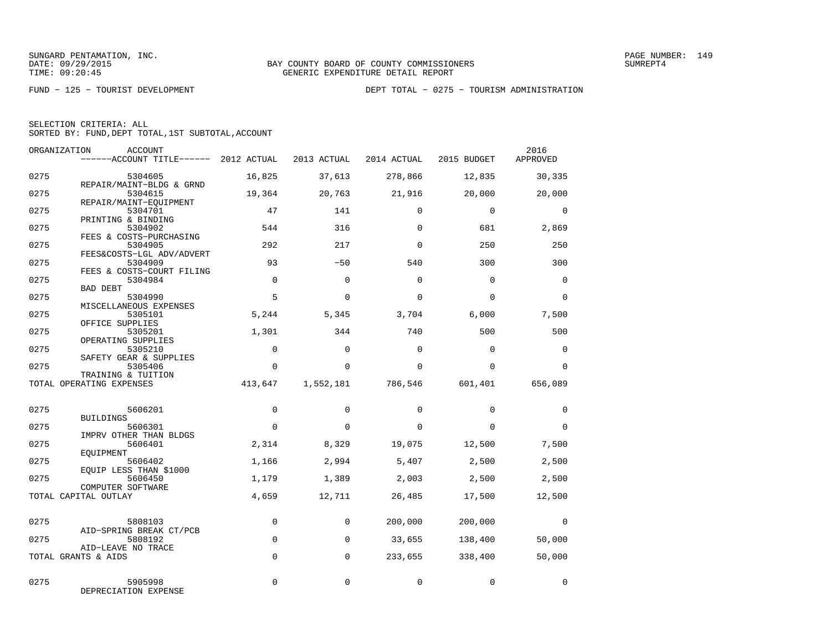|  | SELECTION CRITERIA: ALL                            |  |  |
|--|----------------------------------------------------|--|--|
|  | SORTED BY: FUND, DEPT TOTAL, 1ST SUBTOTAL, ACCOUNT |  |  |

| ORGANIZATION | <b>ACCOUNT</b><br>------ACCOUNT TITLE------ 2012 ACTUAL |             | 2013 ACTUAL | 2014 ACTUAL | 2015 BUDGET | 2016<br>APPROVED |
|--------------|---------------------------------------------------------|-------------|-------------|-------------|-------------|------------------|
| 0275         | 5304605                                                 | 16,825      | 37,613      | 278,866     | 12,835      | 30,335           |
| 0275         | REPAIR/MAINT-BLDG & GRND<br>5304615                     | 19,364      | 20,763      | 21,916      | 20,000      | 20,000           |
| 0275         | REPAIR/MAINT-EOUIPMENT<br>5304701                       | 47          | 141         | $\Omega$    | $\mathbf 0$ | $\mathbf{0}$     |
| 0275         | PRINTING & BINDING<br>5304902                           | 544         | 316         | $\Omega$    | 681         | 2,869            |
| 0275         | FEES & COSTS-PURCHASING<br>5304905                      | 292         | 217         | $\Omega$    | 250         | 250              |
| 0275         | FEES&COSTS-LGL ADV/ADVERT<br>5304909                    | 93          | $-50$       | 540         | 300         | 300              |
| 0275         | FEES & COSTS-COURT FILING<br>5304984                    | $\Omega$    | $\Omega$    | $\Omega$    | $\Omega$    | $\Omega$         |
| 0275         | <b>BAD DEBT</b><br>5304990                              | 5           | $\Omega$    | $\Omega$    | $\Omega$    | $\Omega$         |
| 0275         | MISCELLANEOUS EXPENSES<br>5305101<br>OFFICE SUPPLIES    | 5,244       | 5,345       | 3,704       | 6,000       | 7,500            |
| 0275         | 5305201<br>OPERATING SUPPLIES                           | 1,301       | 344         | 740         | 500         | 500              |
| 0275         | 5305210<br>SAFETY GEAR & SUPPLIES                       | $\Omega$    | $\Omega$    | $\Omega$    | $\Omega$    | $\mathbf 0$      |
| 0275         | 5305406<br>TRAINING & TUITION                           | $\mathbf 0$ | $\Omega$    | $\Omega$    | $\Omega$    | $\mathbf 0$      |
|              | TOTAL OPERATING EXPENSES                                | 413,647     | 1,552,181   | 786,546     | 601,401     | 656,089          |
| 0275         | 5606201                                                 | $\mathbf 0$ | $\Omega$    | $\Omega$    | $\Omega$    | $\Omega$         |
| 0275         | BUILDINGS<br>5606301                                    | $\mathbf 0$ | $\Omega$    | $\Omega$    | $\Omega$    | $\Omega$         |
| 0275         | IMPRV OTHER THAN BLDGS<br>5606401                       | 2,314       | 8,329       | 19,075      | 12,500      | 7,500            |
| 0275         | EOUIPMENT<br>5606402                                    | 1,166       | 2,994       | 5,407       | 2,500       | 2,500            |
| 0275         | EQUIP LESS THAN \$1000<br>5606450                       | 1,179       | 1,389       | 2,003       | 2,500       | 2,500            |
|              | COMPUTER SOFTWARE<br>TOTAL CAPITAL OUTLAY               | 4,659       | 12,711      | 26,485      | 17,500      | 12,500           |
| 0275         | 5808103                                                 | $\mathbf 0$ | $\Omega$    | 200,000     | 200,000     | $\mathbf 0$      |
| 0275         | AID-SPRING BREAK CT/PCB<br>5808192                      | $\mathbf 0$ | $\mathbf 0$ | 33,655      | 138,400     | 50,000           |
|              | AID-LEAVE NO TRACE<br>TOTAL GRANTS & AIDS               | $\Omega$    | $\Omega$    | 233,655     | 338,400     | 50,000           |
|              |                                                         |             |             |             |             |                  |
| 0275         | 5905998<br>DEPRECIATION EXPENSE                         | 0           | $\mathbf 0$ | $\mathbf 0$ | $\mathbf 0$ | $\mathbf 0$      |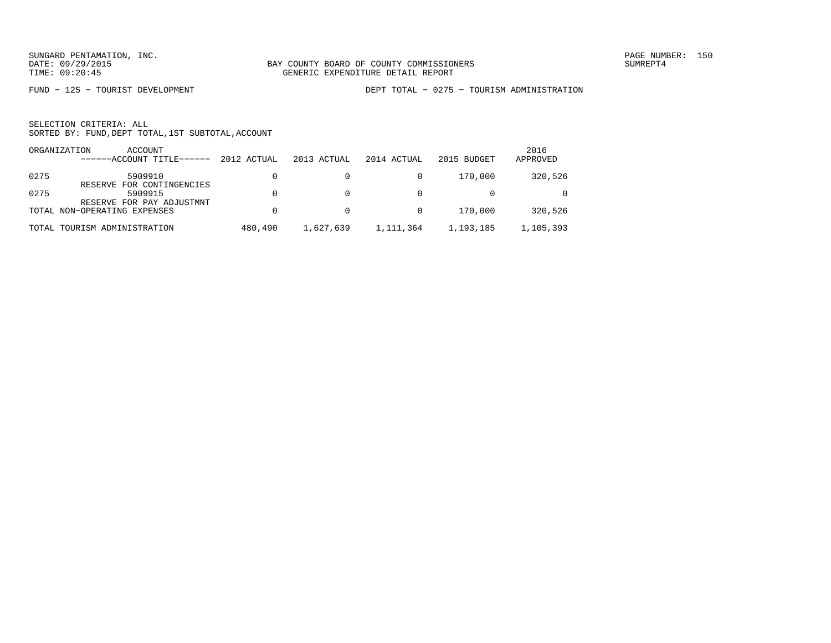FUND − 125 − TOURIST DEVELOPMENT DEPT TOTAL − 0275 − TOURISM ADMINISTRATION

|      | ACCOUNT<br>ORGANIZATION<br>------ACCOUNT TITLE------ | 2012 ACTUAL | 2013 ACTUAL | 2014 ACTUAL | 2015 BUDGET | 2016<br>APPROVED |
|------|------------------------------------------------------|-------------|-------------|-------------|-------------|------------------|
| 0275 | 5909910<br>RESERVE FOR CONTINGENCIES                 |             |             |             | 170,000     | 320,526          |
| 0275 | 5909915<br>RESERVE FOR PAY ADJUSTMNT                 |             |             |             |             | $\Omega$         |
|      | TOTAL NON-OPERATING EXPENSES                         |             |             |             | 170,000     | 320,526          |
|      | TOTAL TOURISM ADMINISTRATION                         | 480,490     | 1,627,639   | 1,111,364   | 1,193,185   | 1,105,393        |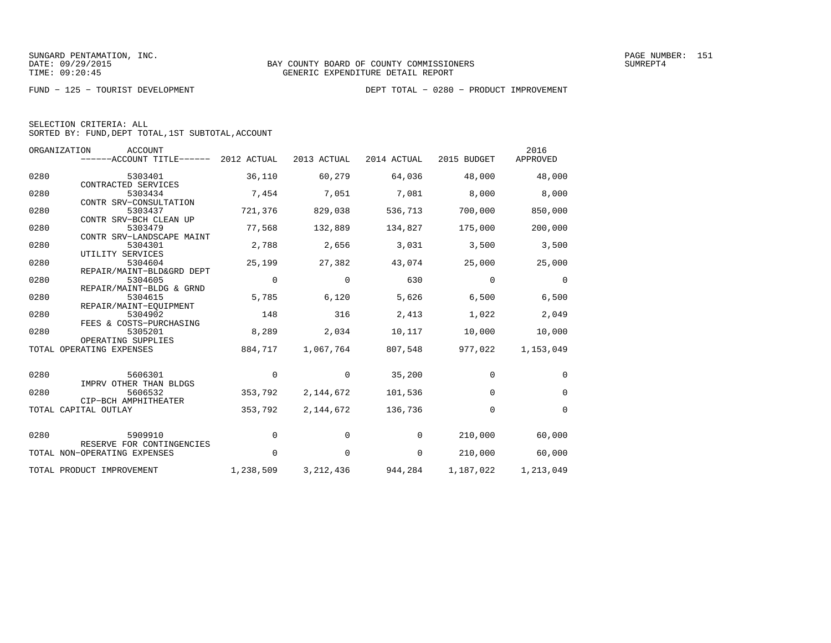|  | SELECTION CRITERIA: ALL                            |  |  |
|--|----------------------------------------------------|--|--|
|  | SORTED BY: FUND, DEPT TOTAL, 1ST SUBTOTAL, ACCOUNT |  |  |

|      | ORGANIZATION<br><b>ACCOUNT</b><br>------ACCOUNT TITLE------ | 2012 ACTUAL | 2013 ACTUAL | 2014 ACTUAL | 2015 BUDGET | 2016<br>APPROVED |
|------|-------------------------------------------------------------|-------------|-------------|-------------|-------------|------------------|
| 0280 | 5303401<br>CONTRACTED SERVICES                              | 36,110      | 60,279      | 64,036      | 48,000      | 48,000           |
| 0280 | 5303434<br>CONTR SRV-CONSULTATION                           | 7,454       | 7,051       | 7,081       | 8,000       | 8,000            |
| 0280 | 5303437<br>CONTR SRV-BCH CLEAN UP                           | 721,376     | 829,038     | 536,713     | 700,000     | 850,000          |
| 0280 | 5303479<br>CONTR SRV-LANDSCAPE MAINT                        | 77,568      | 132,889     | 134,827     | 175,000     | 200,000          |
| 0280 | 5304301<br>UTILITY SERVICES                                 | 2,788       | 2,656       | 3,031       | 3,500       | 3,500            |
| 0280 | 5304604<br>REPAIR/MAINT-BLD&GRD DEPT                        | 25,199      | 27,382      | 43,074      | 25,000      | 25,000           |
| 0280 | 5304605<br>REPAIR/MAINT-BLDG & GRND                         | 0           | $\mathbf 0$ | 630         | $\Omega$    | $\Omega$         |
| 0280 | 5304615<br>REPAIR/MAINT-EOUIPMENT                           | 5,785       | 6,120       | 5,626       | 6,500       | 6,500            |
| 0280 | 5304902<br>FEES & COSTS-PURCHASING                          | 148         | 316         | 2,413       | 1,022       | 2,049            |
| 0280 | 5305201<br>OPERATING SUPPLIES                               | 8,289       | 2,034       | 10,117      | 10,000      | 10,000           |
|      | TOTAL OPERATING EXPENSES                                    | 884,717     | 1,067,764   | 807,548     | 977,022     | 1,153,049        |
| 0280 | 5606301<br>IMPRV OTHER THAN BLDGS                           | 0           | 0           | 35,200      | $\mathbf 0$ | $\mathbf 0$      |
| 0280 | 5606532<br>CIP-BCH AMPHITHEATER                             | 353,792     | 2,144,672   | 101,536     | $\mathbf 0$ | $\mathbf 0$      |
|      | TOTAL CAPITAL OUTLAY                                        | 353,792     | 2, 144, 672 | 136,736     | $\mathbf 0$ | $\Omega$         |
| 0280 | 5909910                                                     | 0           | 0           | 0           | 210,000     | 60,000           |
|      | RESERVE FOR CONTINGENCIES<br>TOTAL NON-OPERATING EXPENSES   | 0           | $\mathbf 0$ | 0           | 210,000     | 60,000           |
|      | TOTAL PRODUCT IMPROVEMENT                                   | 1,238,509   | 3, 212, 436 | 944,284     | 1,187,022   | 1,213,049        |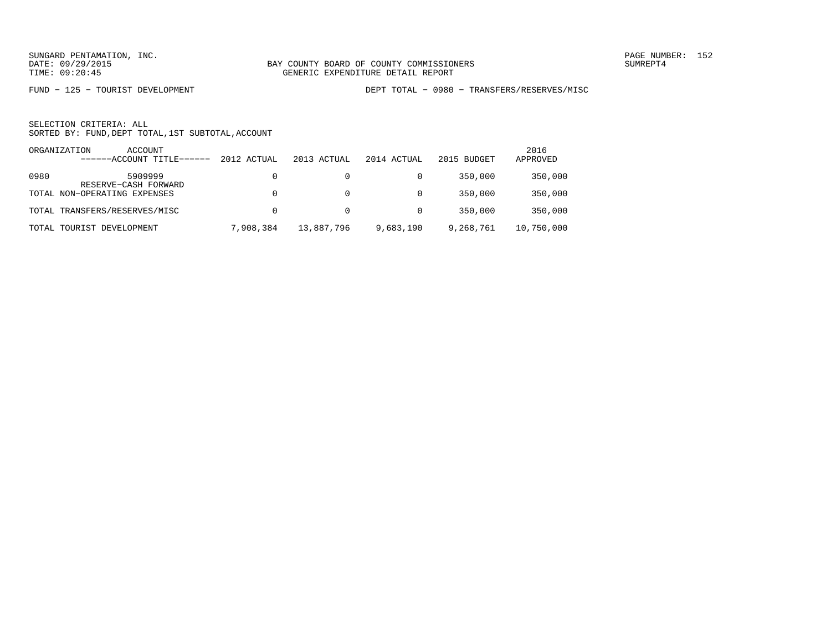FUND − 125 − TOURIST DEVELOPMENT DEPT TOTAL − 0980 − TRANSFERS/RESERVES/MISC

|       | ORGANIZATION<br>ACCOUNT<br>------ACCOUNT TITLE- | 2012 ACTUAL | 2013 ACTUAL | 2014 ACTUAL | 2015 BUDGET | 2016<br>APPROVED |
|-------|-------------------------------------------------|-------------|-------------|-------------|-------------|------------------|
|       |                                                 |             |             |             |             |                  |
| 0980  | 5909999<br>RESERVE-CASH FORWARD                 |             |             |             | 350,000     | 350,000          |
|       | TOTAL NON-OPERATING EXPENSES                    |             | 0           | $\Omega$    | 350.000     | 350,000          |
|       | TOTAL TRANSFERS/RESERVES/MISC                   |             | 0           | $\Omega$    | 350,000     | 350,000          |
| TOTAL | TOURIST DEVELOPMENT                             | 7,908,384   | 13,887,796  | 9,683,190   | 9,268,761   | 10,750,000       |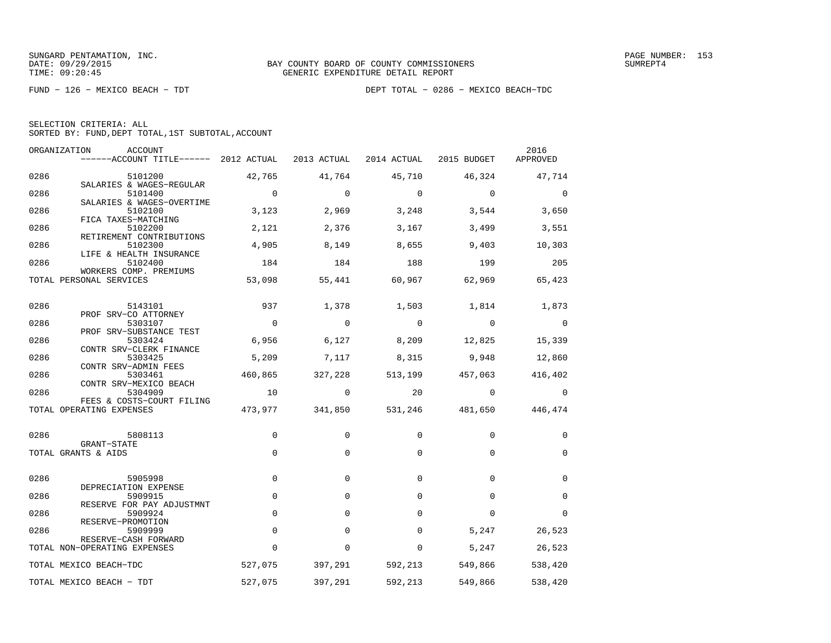|  | SELECTION CRITERIA: ALL |                                                    |
|--|-------------------------|----------------------------------------------------|
|  |                         | SORTED BY: FUND, DEPT TOTAL, 1ST SUBTOTAL, ACCOUNT |

| ORGANIZATION | <b>ACCOUNT</b><br>------ACCOUNT TITLE------ 2012 ACTUAL |                | 2013 ACTUAL    | 2014 ACTUAL 2015 BUDGET  |                 | 2016<br>APPROVED |
|--------------|---------------------------------------------------------|----------------|----------------|--------------------------|-----------------|------------------|
| 0286         | 5101200                                                 | 42,765         | 41,764         | 45,710                   | 46,324          | 47,714           |
| 0286         | SALARIES & WAGES-REGULAR<br>5101400                     | $\overline{0}$ | $\Omega$       | $\Omega$                 | $\overline{0}$  | $\Omega$         |
| 0286         | SALARIES & WAGES-OVERTIME<br>5102100                    | 3,123          | 2,969          | 3,248                    | 3,544           | 3,650            |
| 0286         | FICA TAXES-MATCHING<br>5102200                          | 2,121          | 2,376          | 3,167                    | 3,499           | 3,551            |
| 0286         | RETIREMENT CONTRIBUTIONS<br>5102300                     | 4,905          | 8,149          | 8,655                    | 9,403           | 10,303           |
| 0286         | LIFE & HEALTH INSURANCE<br>5102400                      | 184            | 184            | 188                      | 199             | 205              |
|              | WORKERS COMP. PREMIUMS                                  |                |                |                          |                 |                  |
|              | TOTAL PERSONAL SERVICES                                 | 53,098         | 55,441         | 60,967                   | 62,969          | 65,423           |
| 0286         | 5143101                                                 | 937            | 1,378          | 1,503                    | 1,814           | 1,873            |
| 0286         | PROF SRV-CO ATTORNEY<br>5303107                         | $\overline{0}$ | $\overline{0}$ | $\overline{\phantom{0}}$ | $\overline{0}$  | 0                |
| 0286         | PROF SRV-SUBSTANCE TEST<br>5303424                      | 6,956          | 6,127          | 8,209                    | 12,825          | 15,339           |
| 0286         | CONTR SRV-CLERK FINANCE<br>5303425                      | 5,209          | 7,117          | 8,315                    | 9,948           | 12,860           |
|              | CONTR SRV-ADMIN FEES                                    |                |                |                          |                 |                  |
| 0286         | 5303461<br>CONTR SRV-MEXICO BEACH                       | 460,865        | 327,228        | 513,199                  | 457,063         | 416,402          |
| 0286         | 5304909                                                 | 10             | $\overline{0}$ | 20                       | $\overline{0}$  | 0                |
|              | FEES & COSTS-COURT FILING<br>TOTAL OPERATING EXPENSES   | 473,977        | 341,850        |                          | 531,246 481,650 | 446,474          |
|              |                                                         |                |                |                          |                 |                  |
| 0286         | 5808113<br>GRANT-STATE                                  | 0              | 0              | 0                        | 0               | 0                |
|              | TOTAL GRANTS & AIDS                                     | $\mathbf 0$    | $\mathbf 0$    | 0                        | 0               | $\mathbf 0$      |
| 0286         | 5905998                                                 | $\Omega$       | $\Omega$       | $\Omega$                 | $\Omega$        | $\mathbf 0$      |
| 0286         | DEPRECIATION EXPENSE<br>5909915                         | $\mathbf 0$    | $\mathbf 0$    | $\Omega$                 | $\Omega$        | $\mathbf 0$      |
|              | RESERVE FOR PAY ADJUSTMNT                               |                |                |                          |                 |                  |
| 0286         | 5909924<br>RESERVE-PROMOTION                            | $\mathbf 0$    | $\Omega$       | $\Omega$                 | $\Omega$        | 0                |
| 0286         | 5909999<br>RESERVE-CASH FORWARD                         | $\mathbf 0$    | $\Omega$       | $\Omega$                 | 5,247           | 26,523           |
|              | TOTAL NON-OPERATING EXPENSES                            | $\Omega$       | $\Omega$       | $\Omega$                 | 5,247           | 26,523           |
|              | TOTAL MEXICO BEACH-TDC                                  | 527,075        | 397,291        | 592,213                  | 549,866         | 538,420          |
|              | TOTAL MEXICO BEACH - TDT                                | 527,075        | 397,291        | 592,213                  | 549,866         | 538,420          |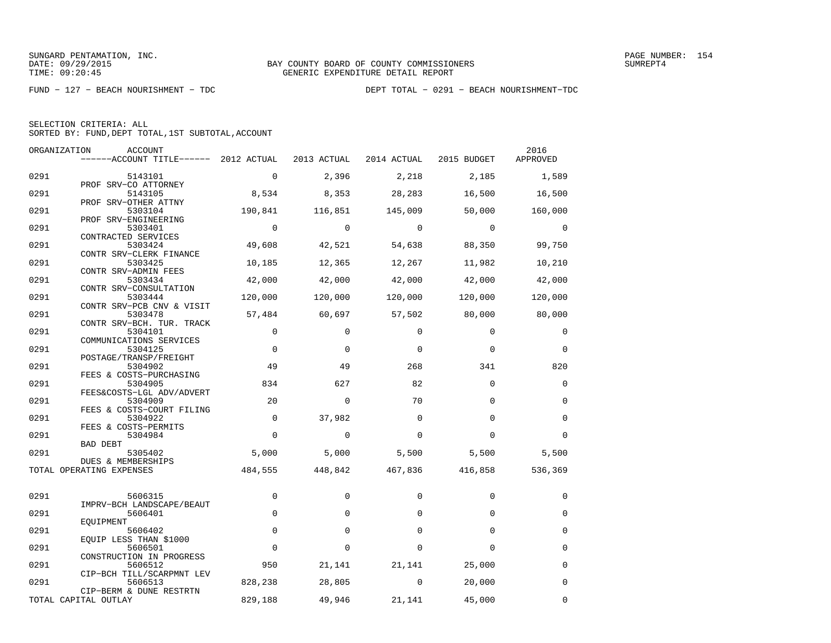| SELECTION CRITERIA: ALL |  |                                                    |  |
|-------------------------|--|----------------------------------------------------|--|
|                         |  | SORTED BY: FUND. DEPT TOTAL. 1ST SUBTOTAL. ACCOUNT |  |

|      | ORGANIZATION<br>ACCOUNT                                           |             |             |             |             | 2016        |
|------|-------------------------------------------------------------------|-------------|-------------|-------------|-------------|-------------|
|      | ------ACCOUNT TITLE------ 2012 ACTUAL                             |             | 2013 ACTUAL | 2014 ACTUAL | 2015 BUDGET | APPROVED    |
| 0291 | 5143101                                                           | $\mathbf 0$ | 2,396       | 2,218       | 2,185       | 1,589       |
| 0291 | PROF SRV-CO ATTORNEY<br>5143105                                   | 8,534       | 8,353       | 28,283      | 16,500      | 16,500      |
| 0291 | PROF SRV-OTHER ATTNY<br>5303104                                   | 190,841     | 116,851     | 145,009     | 50,000      | 160,000     |
| 0291 | PROF SRV-ENGINEERING<br>5303401                                   | $\Omega$    | $\Omega$    | $\Omega$    | $\Omega$    | $\Omega$    |
| 0291 | CONTRACTED SERVICES<br>5303424                                    | 49,608      | 42,521      | 54,638      | 88,350      | 99,750      |
| 0291 | CONTR SRV-CLERK FINANCE<br>5303425                                | 10,185      | 12,365      | 12,267      | 11,982      | 10,210      |
| 0291 | CONTR SRV-ADMIN FEES<br>5303434                                   | 42,000      | 42,000      | 42,000      | 42,000      | 42,000      |
| 0291 | CONTR SRV-CONSULTATION<br>5303444                                 | 120,000     | 120,000     | 120,000     | 120,000     | 120,000     |
| 0291 | CONTR SRV-PCB CNV & VISIT<br>5303478                              | 57,484      | 60,697      | 57,502      | 80,000      | 80,000      |
| 0291 | CONTR SRV-BCH. TUR. TRACK<br>5304101                              | $\Omega$    | $\Omega$    | $\Omega$    | $\Omega$    | $\Omega$    |
| 0291 | COMMUNICATIONS SERVICES<br>5304125                                | $\mathbf 0$ | $\Omega$    | $\Omega$    | $\Omega$    | $\mathbf 0$ |
| 0291 | POSTAGE/TRANSP/FREIGHT<br>5304902                                 | 49          | 49          | 268         | 341         | 820         |
| 0291 | FEES & COSTS-PURCHASING<br>5304905                                | 834         | 627         | 82          | $\Omega$    | $\Omega$    |
| 0291 | FEES&COSTS-LGL ADV/ADVERT<br>5304909<br>FEES & COSTS-COURT FILING | 20          | $\mathbf 0$ | 70          | $\Omega$    | $\mathbf 0$ |
| 0291 | 5304922<br>FEES & COSTS-PERMITS                                   | $\Omega$    | 37,982      | $\Omega$    | $\Omega$    | $\Omega$    |
| 0291 | 5304984<br><b>BAD DEBT</b>                                        | $\Omega$    | $\mathbf 0$ | $\Omega$    | $\Omega$    | $\Omega$    |
| 0291 | 5305402<br>DUES & MEMBERSHIPS                                     | 5,000       | 5,000       | 5,500       | 5,500       | 5,500       |
|      | TOTAL OPERATING EXPENSES                                          | 484,555     | 448,842     | 467,836     | 416,858     | 536,369     |
| 0291 | 5606315                                                           | $\mathbf 0$ | $\Omega$    | $\Omega$    | $\Omega$    | $\Omega$    |
| 0291 | IMPRV-BCH LANDSCAPE/BEAUT<br>5606401                              | $\Omega$    | $\Omega$    | $\Omega$    | $\Omega$    | $\mathbf 0$ |
| 0291 | EOUIPMENT<br>5606402                                              | $\Omega$    | $\Omega$    | $\Omega$    | $\Omega$    | $\Omega$    |
| 0291 | EQUIP LESS THAN \$1000<br>5606501                                 | $\mathbf 0$ | $\Omega$    | $\Omega$    | $\Omega$    | $\Omega$    |
| 0291 | CONSTRUCTION IN PROGRESS<br>5606512                               | 950         | 21,141      | 21,141      | 25,000      | 0           |
| 0291 | CIP-BCH TILL/SCARPMNT LEV<br>5606513                              | 828,238     | 28,805      | 0           | 20,000      | $\mathbf 0$ |
|      | CIP-BERM & DUNE RESTRTN<br>TOTAL CAPITAL OUTLAY                   | 829,188     | 49,946      | 21,141      | 45,000      | 0           |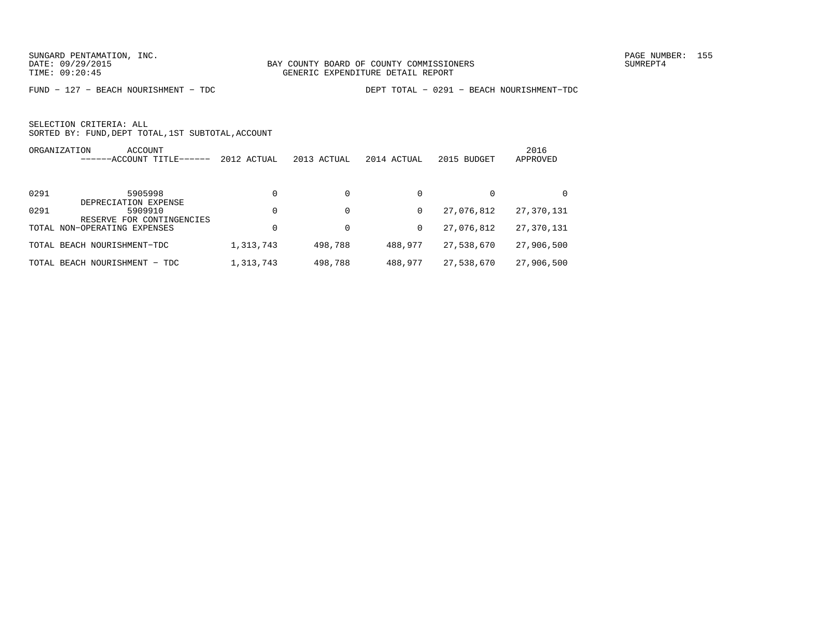FUND − 127 − BEACH NOURISHMENT − TDC DEPT TOTAL − 0291 − BEACH NOURISHMENT−TDC

| ORGANIZATION | ACCOUNT<br>$-$ ACCOUNT TITLE------                           | 2012 ACTUAL | 2013 ACTUAL | 2014 ACTUAL | 2015 BUDGET | 2016<br>APPROVED |
|--------------|--------------------------------------------------------------|-------------|-------------|-------------|-------------|------------------|
| 0291         | 5905998                                                      | $\Omega$    | $\Omega$    | 0           | 0           |                  |
| 0291         | DEPRECIATION EXPENSE<br>5909910<br>RESERVE FOR CONTINGENCIES | $\Omega$    | $\Omega$    | 0           | 27,076,812  | 27,370,131       |
|              | TOTAL NON-OPERATING EXPENSES                                 | $\Omega$    | 0           | 0           | 27,076,812  | 27,370,131       |
|              | TOTAL BEACH NOURISHMENT-TDC                                  | 1,313,743   | 498,788     | 488,977     | 27,538,670  | 27,906,500       |
|              | TOTAL BEACH NOURISHMENT - TDC                                | 1,313,743   | 498,788     | 488,977     | 27,538,670  | 27,906,500       |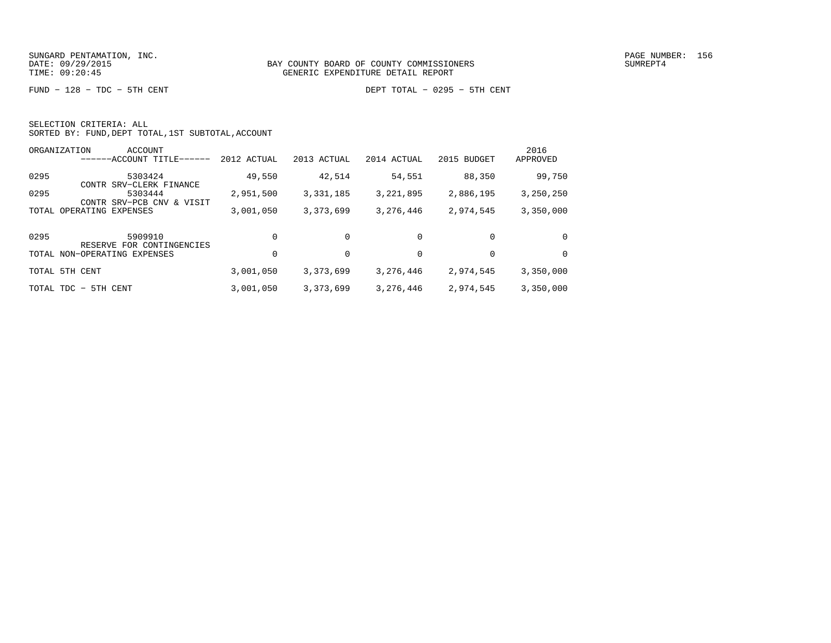FUND − 128 − TDC − 5TH CENT DEPT TOTAL − 0295 − 5TH CENT

|  | SELECTION CRITERIA: ALL |                                                    |
|--|-------------------------|----------------------------------------------------|
|  |                         | SORTED BY: FUND, DEPT TOTAL, 1ST SUBTOTAL, ACCOUNT |

|       | ORGANIZATION<br>ACCOUNT<br>$---ACCOUNT$ TITLE-       | 2012 ACTUAL | 2013 ACTUAL | 2014 ACTUAL | 2015 BUDGET | 2016<br>APPROVED |
|-------|------------------------------------------------------|-------------|-------------|-------------|-------------|------------------|
| 0295  | 5303424<br>CONTR SRV-CLERK FINANCE                   | 49,550      | 42,514      | 54,551      | 88,350      | 99,750           |
| 0295  | 5303444<br>SRV-PCB CNV<br>VISIT<br>CONTR<br>$\delta$ | 2,951,500   | 3,331,185   | 3,221,895   | 2,886,195   | 3,250,250        |
| TOTAL | OPERATING EXPENSES                                   | 3,001,050   | 3,373,699   | 3,276,446   | 2,974,545   | 3,350,000        |
| 0295  | 5909910<br>RESERVE FOR CONTINGENCIES                 | $\Omega$    | $\Omega$    | $\Omega$    | $\Omega$    | $\Omega$         |
|       | TOTAL NON-OPERATING EXPENSES                         | $\Omega$    | 0           | 0           | 0           | $\Omega$         |
| TOTAL | 5TH CENT                                             | 3,001,050   | 3, 373, 699 | 3,276,446   | 2,974,545   | 3,350,000        |
|       | TOTAL TDC - 5TH CENT                                 | 3,001,050   | 3,373,699   | 3,276,446   | 2,974,545   | 3,350,000        |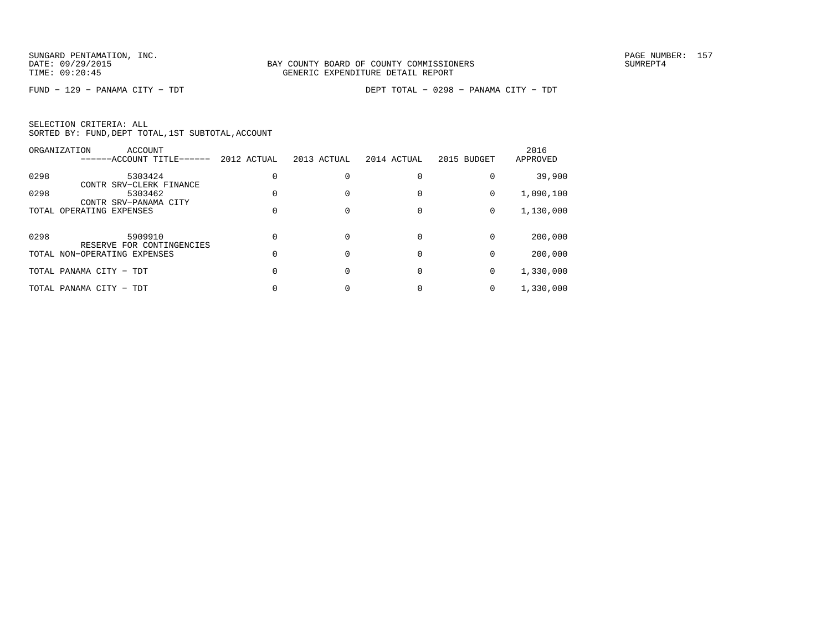FUND − 129 − PANAMA CITY − TDT DEPT TOTAL − 0298 − PANAMA CITY − TDT

| SELECTION CRITERIA: ALL |  |  |                                                    |  |
|-------------------------|--|--|----------------------------------------------------|--|
|                         |  |  | SORTED BY: FUND, DEPT TOTAL, 1ST SUBTOTAL, ACCOUNT |  |

|      | ORGANIZATION             | ACCOUNT<br>------ACCOUNT TITLE------ | 2012 ACTUAL | 2013 ACTUAL | 2014 ACTUAL | 2015 BUDGET | 2016<br>APPROVED |
|------|--------------------------|--------------------------------------|-------------|-------------|-------------|-------------|------------------|
| 0298 |                          | 5303424<br>CONTR SRV-CLERK FINANCE   |             |             |             |             | 39,900           |
| 0298 |                          | 5303462<br>CONTR SRV-PANAMA CITY     |             |             |             | 0           | 1,090,100        |
|      | TOTAL OPERATING EXPENSES |                                      |             |             |             | 0           | 1,130,000        |
| 0298 |                          | 5909910<br>RESERVE FOR CONTINGENCIES |             |             |             | $\Omega$    | 200,000          |
|      |                          | TOTAL NON-OPERATING EXPENSES         |             |             |             | 0           | 200,000          |
|      | TOTAL PANAMA CITY - TDT  |                                      |             |             |             | 0           | 1,330,000        |
|      | TOTAL PANAMA CITY - TDT  |                                      |             |             |             |             | 1,330,000        |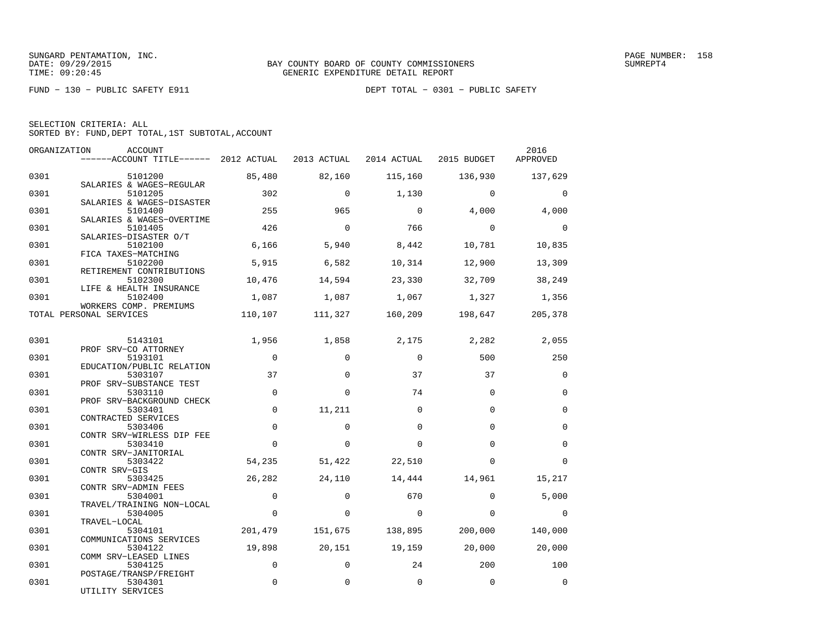FUND − 130 − PUBLIC SAFETY E911 DEPT TOTAL − 0301 − PUBLIC SAFETY

| SELECTION CRITERIA: ALL |  |  |                                                    |  |
|-------------------------|--|--|----------------------------------------------------|--|
|                         |  |  | SORTED BY: FUND, DEPT TOTAL, 1ST SUBTOTAL, ACCOUNT |  |

| ORGANIZATION | ACCOUNT<br>------ACCOUNT TITLE------ 2012 ACTUAL                |              | 2013 ACTUAL | 2014 ACTUAL | 2015 BUDGET             | 2016<br>APPROVED |
|--------------|-----------------------------------------------------------------|--------------|-------------|-------------|-------------------------|------------------|
| 0301         | 5101200                                                         | 85,480       | 82,160      | 115,160     | 136,930                 | 137,629          |
| 0301         | SALARIES & WAGES-REGULAR<br>5101205                             | 302          | $\Omega$    | 1,130       | $\Omega$                | $\Omega$         |
| 0301         | SALARIES & WAGES-DISASTER<br>5101400                            | 255          | 965         | $\mathbf 0$ | 4,000                   | 4,000            |
| 0301         | SALARIES & WAGES-OVERTIME<br>5101405                            | 426          | $\Omega$    | 766         | $\Omega$                | $\Omega$         |
| 0301         | SALARIES-DISASTER O/T<br>5102100                                | 6,166        | 5,940       | 8,442       | 10,781                  | 10,835           |
| 0301         | FICA TAXES-MATCHING<br>5102200<br>RETIREMENT CONTRIBUTIONS      | 5,915        | 6,582       | 10,314      | 12,900                  | 13,309           |
| 0301         | 5102300<br>LIFE & HEALTH INSURANCE                              | 10,476       | 14,594      | 23,330      | 32,709                  | 38,249           |
| 0301         | 5102400<br>WORKERS COMP. PREMIUMS                               | 1,087        |             |             | 1,087 1,067 1,327       | 1,356            |
|              | TOTAL PERSONAL SERVICES                                         | 110,107      |             |             | 111,327 160,209 198,647 | 205,378          |
| 0301         | 5143101                                                         | 1,956        | 1,858       |             | 2,175 2,282             | 2,055            |
| 0301         | PROF SRV-CO ATTORNEY<br>5193101                                 | $\mathbf 0$  | $\Omega$    | $\mathbf 0$ | 500                     | 250              |
| 0301         | EDUCATION/PUBLIC RELATION<br>5303107<br>PROF SRV-SUBSTANCE TEST | 37           | $\Omega$    | 37          | 37                      | $\Omega$         |
| 0301         | 5303110<br>PROF SRV-BACKGROUND CHECK                            | $\mathbf 0$  | $\Omega$    | 74          | $\Omega$                | $\Omega$         |
| 0301         | 5303401<br>CONTRACTED SERVICES                                  | $\mathbf 0$  | 11,211      | $\Omega$    | $\Omega$                | $\mathbf 0$      |
| 0301         | 5303406<br>CONTR SRV-WIRLESS DIP FEE                            | $\mathbf 0$  | $\Omega$    | $\Omega$    | $\Omega$                | $\mathbf 0$      |
| 0301         | 5303410<br>CONTR SRV-JANITORIAL                                 | $\Omega$     | $\Omega$    | $\Omega$    | $\Omega$                | $\mathbf 0$      |
| 0301         | 5303422<br>CONTR SRV-GIS                                        | 54,235       | 51,422      | 22,510      | $\Omega$                | $\Omega$         |
| 0301         | 5303425<br>CONTR SRV-ADMIN FEES                                 | 26,282       | 24,110      | 14,444      | 14,961                  | 15,217           |
| 0301         | 5304001<br>TRAVEL/TRAINING NON-LOCAL                            | $\mathbf{0}$ | $\Omega$    | 670         | $\Omega$                | 5,000            |
| 0301         | 5304005<br>TRAVEL-LOCAL                                         | $\mathbf 0$  | $\Omega$    | $\mathbf 0$ | $\Omega$                | $\Omega$         |
| 0301         | 5304101<br>COMMUNICATIONS SERVICES                              | 201,479      | 151,675     | 138,895     | 200,000                 | 140,000          |
| 0301         | 5304122<br>COMM SRV-LEASED LINES                                | 19,898       | 20,151      | 19,159      | 20,000                  | 20,000           |
| 0301         | 5304125<br>POSTAGE/TRANSP/FREIGHT                               | $\Omega$     | $\Omega$    | 24          | 200                     | 100              |
| 0301         | 5304301<br>UTILITY SERVICES                                     | $\Omega$     | $\Omega$    | $\Omega$    | $\Omega$                | $\Omega$         |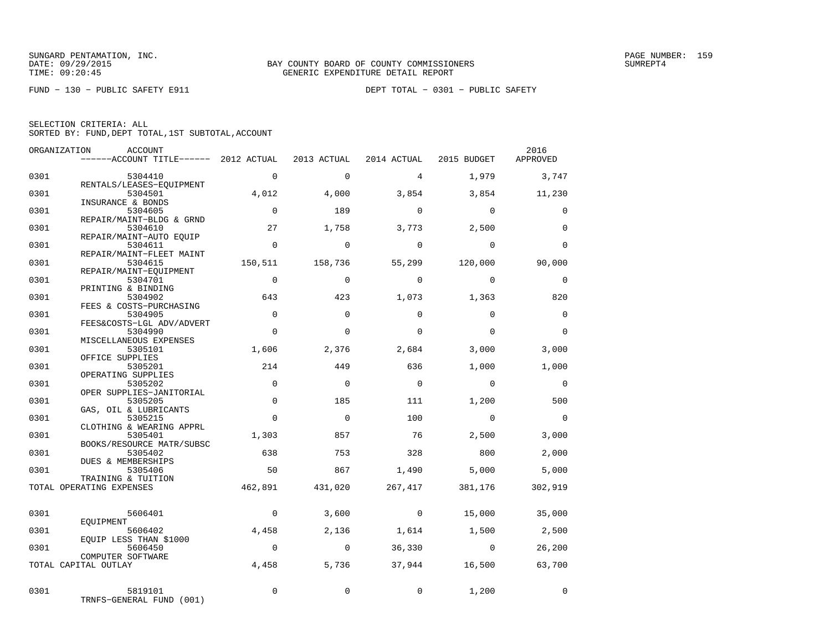FUND − 130 − PUBLIC SAFETY E911 DEPT TOTAL − 0301 − PUBLIC SAFETY

|              | ORGANIZATION<br>ACCOUNT<br>------ACCOUNT TITLE------ 2012 ACTUAL |                         | 2013 ACTUAL        | 2014 ACTUAL    | 2015 BUDGET       | 2016<br>APPROVED |
|--------------|------------------------------------------------------------------|-------------------------|--------------------|----------------|-------------------|------------------|
| 0301         | 5304410                                                          | $\mathbf{0}$            | $\Omega$           | $\overline{4}$ | 1,979             | 3,747            |
| 0301         | RENTALS/LEASES-EOUIPMENT<br>5304501                              | 4,012                   | 4,000              | 3,854          | 3,854             | 11,230           |
| 0301         | INSURANCE & BONDS<br>5304605                                     | $\Omega$                | 189                | $\Omega$       | $\Omega$          | $\Omega$         |
| 0301         | REPAIR/MAINT-BLDG & GRND<br>5304610<br>REPAIR/MAINT-AUTO EOUIP   | 27                      | 1,758              | 3,773          | 2,500             | $\Omega$         |
| 0301         | 5304611<br>REPAIR/MAINT-FLEET MAINT                              | $\overline{0}$          | $\Omega$           | $\Omega$       | $\Omega$          | $\Omega$         |
| 0301         | 5304615<br>REPAIR/MAINT-EQUIPMENT                                | 150,511                 | 158,736            | 55,299         | 120,000           | 90,000           |
| 0301         | 5304701<br>PRINTING & BINDING                                    | $\mathbf 0$             | $\Omega$           | $\Omega$       | $\Omega$          | 0                |
| 0301         | 5304902<br>FEES & COSTS-PURCHASING                               | 643                     | 423                | 1,073          | 1,363             | 820              |
| 0301         | 5304905<br>FEES&COSTS-LGL ADV/ADVERT                             | $\Omega$                | $\Omega$           | $\Omega$       | $\Omega$          | $\Omega$         |
| 0301         | 5304990<br>MISCELLANEOUS EXPENSES                                | $\Omega$                | $\Omega$           | $\Omega$       | $\Omega$          | $\Omega$         |
| 0301         | 5305101<br>OFFICE SUPPLIES                                       | 1,606                   | 2,376              | 2,684          | 3,000             | 3,000            |
| 0301         | 5305201<br>OPERATING SUPPLIES                                    | 214                     | 449                | 636            | 1,000             | 1,000            |
| 0301         | 5305202<br>OPER SUPPLIES-JANITORIAL                              | $\Omega$                | $\Omega$           | $\Omega$       | $\Omega$          | $\Omega$         |
| 0301<br>0301 | 5305205<br>GAS, OIL & LUBRICANTS<br>5305215                      | $\mathbf 0$<br>$\Omega$ | 185<br>$\mathbf 0$ | 111<br>100     | 1,200<br>$\Omega$ | 500<br>$\Omega$  |
| 0301         | CLOTHING & WEARING APPRL<br>5305401                              | 1,303                   | 857                | 76             | 2,500             | 3,000            |
| 0301         | BOOKS/RESOURCE MATR/SUBSC<br>5305402                             | 638                     | 753                | 328            | 800               | 2,000            |
| 0301         | DUES & MEMBERSHIPS<br>5305406                                    | 50                      | 867                | 1,490          | 5,000             | 5,000            |
|              | TRAINING & TUITION<br>TOTAL OPERATING EXPENSES                   | 462,891                 | 431,020            | 267,417        | 381,176           | 302,919          |
|              |                                                                  |                         |                    |                |                   |                  |
| 0301         | 5606401<br>EOUIPMENT                                             | $\overline{0}$          | 3,600              | $\overline{0}$ | 15,000            | 35,000           |
| 0301         | 5606402<br>EOUIP LESS THAN \$1000                                | 4,458                   | 2,136              | 1,614          | 1,500             | 2,500            |
| 0301         | 5606450<br>COMPUTER SOFTWARE                                     | $\overline{0}$          | $\overline{0}$     | 36,330         | $\sim$ 0          | 26,200           |
|              | TOTAL CAPITAL OUTLAY                                             | 4,458                   | 5,736              | 37,944         | 16,500            | 63,700           |
| 0301         | 5819101<br>TRNFS-GENERAL FUND (001)                              | $\Omega$                | $\Omega$           | $\mathbf{0}$   | 1,200             | $\Omega$         |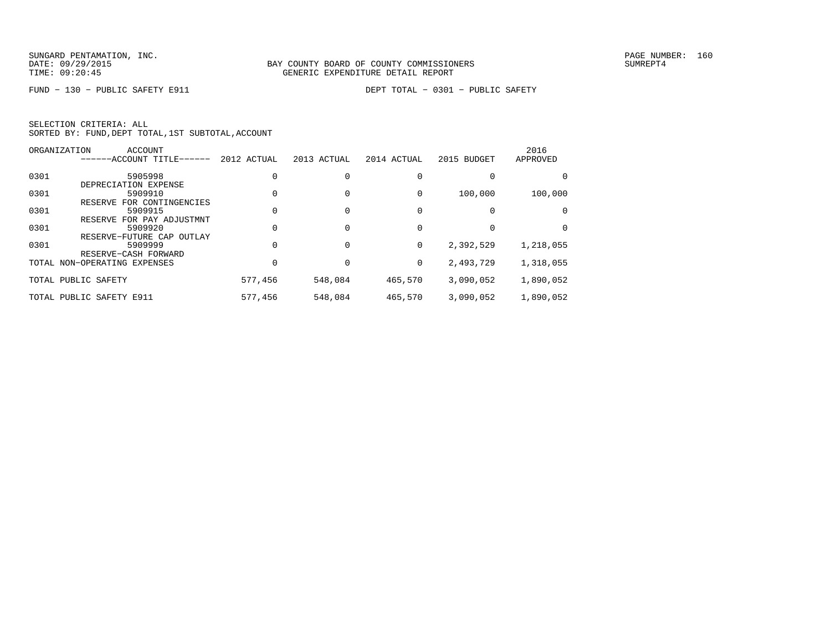| SELECTION CRITERIA: ALL |  |  |                                                    |  |
|-------------------------|--|--|----------------------------------------------------|--|
|                         |  |  | SORTED BY: FUND, DEPT TOTAL, 1ST SUBTOTAL, ACCOUNT |  |

|      | ORGANIZATION<br><b>ACCOUNT</b> |             |             |             |             | 2016      |
|------|--------------------------------|-------------|-------------|-------------|-------------|-----------|
|      | ------ACCOUNT TITLE------      | 2012 ACTUAL | 2013 ACTUAL | 2014 ACTUAL | 2015 BUDGET | APPROVED  |
| 0301 | 5905998                        |             |             |             |             |           |
|      | DEPRECIATION EXPENSE           |             |             |             |             |           |
| 0301 | 5909910                        |             |             |             | 100,000     | 100,000   |
|      | RESERVE FOR CONTINGENCIES      |             |             |             |             |           |
| 0301 | 5909915                        |             |             |             |             |           |
|      | FOR PAY ADJUSTMNT<br>RESERVE   |             |             |             |             |           |
| 0301 | 5909920                        |             |             |             |             | $\Omega$  |
|      | RESERVE-FUTURE CAP<br>OUTLAY   |             |             |             |             |           |
| 0301 | 5909999                        |             |             | 0           | 2,392,529   | 1,218,055 |
|      | RESERVE-CASH FORWARD           |             |             |             |             |           |
|      | TOTAL NON-OPERATING EXPENSES   |             |             | 0           | 2,493,729   | 1,318,055 |
|      | TOTAL PUBLIC SAFETY            | 577,456     | 548,084     | 465,570     | 3,090,052   | 1,890,052 |
|      |                                |             |             |             |             |           |
|      | TOTAL PUBLIC SAFETY E911       | 577,456     | 548,084     | 465,570     | 3,090,052   | 1,890,052 |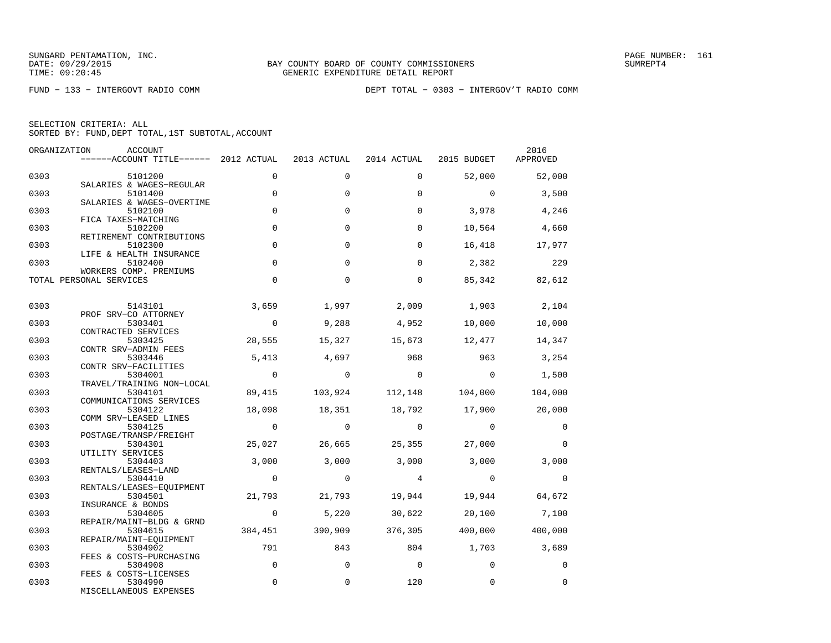| ORGANIZATION | ACCOUNT<br>------ACCOUNT TITLE------ 2012 ACTUAL                 |                | 2013 ACTUAL    | 2014 ACTUAL             | 2015 BUDGET    | 2016<br>APPROVED |
|--------------|------------------------------------------------------------------|----------------|----------------|-------------------------|----------------|------------------|
| 0303         | 5101200                                                          | $\Omega$       | $\Omega$       | $\Omega$                | 52,000         | 52,000           |
| 0303         | SALARIES & WAGES-REGULAR<br>5101400<br>SALARIES & WAGES-OVERTIME | $\mathbf 0$    | $\mathbf 0$    | $\mathbf 0$             | $\mathbf 0$    | 3,500            |
| 0303         | 5102100<br>FICA TAXES-MATCHING                                   | $\Omega$       | $\Omega$       | $\Omega$                | 3,978          | 4,246            |
| 0303         | 5102200<br>RETIREMENT CONTRIBUTIONS                              | $\mathbf 0$    | $\mathbf 0$    | $\Omega$                | 10,564         | 4,660            |
| 0303         | 5102300<br>LIFE & HEALTH INSURANCE                               | $\Omega$       | $\Omega$       | $\Omega$                | 16,418         | 17,977           |
| 0303         | 5102400<br>WORKERS COMP. PREMIUMS                                | $\mathbf 0$    | $\Omega$       | $\Omega$                | 2,382          | 229              |
|              | TOTAL PERSONAL SERVICES                                          | $\Omega$       | $\mathbf 0$    | $\mathbf 0$             | 85,342         | 82,612           |
| 0303         | 5143101                                                          | 3,659          | 1,997          | 2,009                   | 1,903          | 2,104            |
| 0303         | PROF SRV-CO ATTORNEY<br>5303401<br>CONTRACTED SERVICES           | $\overline{0}$ | 9,288          | 4,952                   | 10,000         | 10,000           |
| 0303         | 5303425<br>CONTR SRV-ADMIN FEES                                  | 28,555         | 15,327         | 15,673                  | 12,477         | 14,347           |
| 0303         | 5303446<br>CONTR SRV-FACILITIES                                  | 5,413          | 4,697          | 968                     | 963            | 3,254            |
| 0303         | 5304001<br>TRAVEL/TRAINING NON-LOCAL                             | $\overline{0}$ | $\overline{0}$ | $\overline{0}$          | $\overline{0}$ | 1,500            |
| 0303         | 5304101<br>COMMUNICATIONS SERVICES                               | 89,415         |                | 103,924 112,148 104,000 |                | 104,000          |
| 0303         | 5304122<br>COMM SRV-LEASED LINES                                 | 18,098         | 18,351         | 18,792                  | 17,900         | 20,000           |
| 0303         | 5304125<br>POSTAGE/TRANSP/FREIGHT                                | $\overline{0}$ | $\overline{0}$ | $\overline{0}$          | $\overline{0}$ | $\overline{0}$   |
| 0303         | 5304301<br>UTILITY SERVICES                                      | 25,027         | 26,665         | 25,355                  | 27,000         | $\Omega$         |
| 0303         | 5304403<br>RENTALS/LEASES-LAND                                   | 3,000          | 3,000          | 3,000                   | 3,000          | 3,000            |
| 0303         | 5304410<br>RENTALS/LEASES-EQUIPMENT                              | $\overline{0}$ | $\overline{0}$ | $\overline{4}$          | $\overline{0}$ | $\overline{0}$   |
| 0303         | 5304501<br>INSURANCE & BONDS                                     | 21,793         | 21,793         | 19,944                  | 19,944         | 64,672           |
| 0303         | 5304605<br>REPAIR/MAINT-BLDG & GRND                              | $\sim$ 0       | 5,220          | 30,622                  |                | 20,100 7,100     |
| 0303         | 5304615<br>REPAIR/MAINT-EQUIPMENT                                | 384,451        | 390,909        | 376,305                 | 400,000        | 400,000          |
| 0303         | 5304902<br>FEES & COSTS-PURCHASING                               | 791            | 843            | 804                     | 1,703 3,689    |                  |
| 0303         | 5304908<br>FEES & COSTS-LICENSES                                 | $\overline{0}$ | $\mathbf 0$    | $\overline{0}$          | $\Omega$       | $\mathbf 0$      |
| 0303         | 5304990<br>MISCELLANEOUS EXPENSES                                | $\mathbf 0$    | $\mathbf 0$    | 120                     | $\mathbf 0$    | $\mathbf 0$      |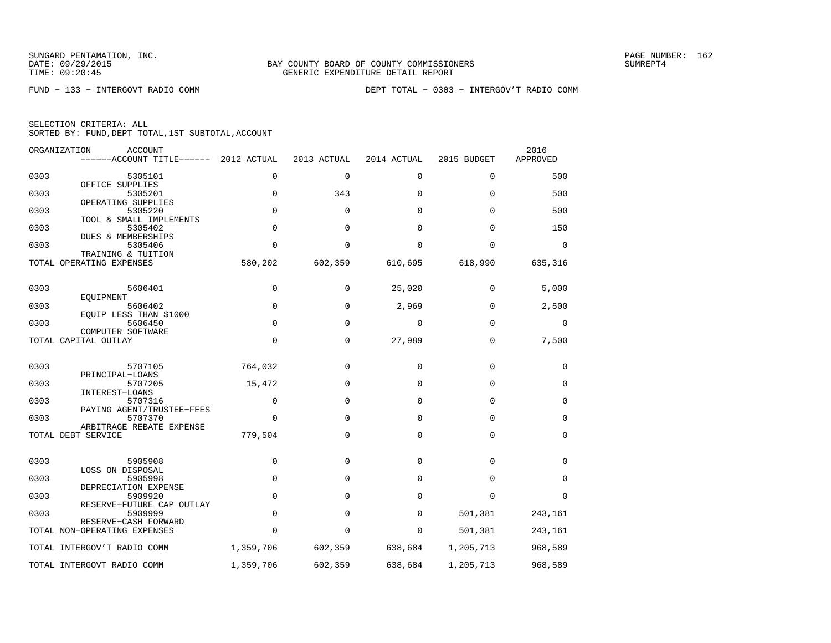|  | SELECTION CRITERIA: ALL |                                                    |
|--|-------------------------|----------------------------------------------------|
|  |                         | SORTED BY: FUND, DEPT TOTAL, 1ST SUBTOTAL, ACCOUNT |

|      | ORGANIZATION<br><b>ACCOUNT</b><br>------ACCOUNT TITLE------ | 2012 ACTUAL | 2013 ACTUAL  | 2014 ACTUAL | 2015 BUDGET | 2016<br>APPROVED |
|------|-------------------------------------------------------------|-------------|--------------|-------------|-------------|------------------|
| 0303 | 5305101                                                     | $\mathbf 0$ | $\mathbf{0}$ | $\mathbf 0$ | 0           | 500              |
| 0303 | OFFICE SUPPLIES<br>5305201                                  | $\mathbf 0$ | 343          | 0           | $\Omega$    | 500              |
| 0303 | OPERATING SUPPLIES<br>5305220                               | $\mathbf 0$ | $\Omega$     | $\Omega$    | $\Omega$    | 500              |
| 0303 | TOOL & SMALL IMPLEMENTS<br>5305402                          | $\mathbf 0$ | $\Omega$     | $\Omega$    | $\Omega$    | 150              |
| 0303 | DUES & MEMBERSHIPS<br>5305406                               | $\Omega$    | $\Omega$     | $\Omega$    | $\Omega$    | 0                |
|      | TRAINING & TUITION<br>TOTAL OPERATING EXPENSES              | 580,202     | 602,359      | 610,695     | 618,990     | 635,316          |
| 0303 | 5606401                                                     | $\mathbf 0$ | $\Omega$     | 25,020      | 0           | 5,000            |
|      | EOUIPMENT                                                   |             |              |             |             |                  |
| 0303 | 5606402<br>EQUIP LESS THAN \$1000                           | $\mathbf 0$ | $\mathbf 0$  | 2,969       | $\mathbf 0$ | 2,500            |
| 0303 | 5606450<br>COMPUTER SOFTWARE                                | $\mathbf 0$ | $\mathbf 0$  | 0           | $\mathbf 0$ | 0                |
|      | TOTAL CAPITAL OUTLAY                                        | $\mathbf 0$ | 0            | 27,989      | $\mathbf 0$ | 7,500            |
| 0303 | 5707105                                                     | 764,032     | 0            | 0           | 0           | 0                |
| 0303 | PRINCIPAL-LOANS<br>5707205                                  | 15,472      | $\Omega$     | $\Omega$    | 0           | 0                |
| 0303 | INTEREST-LOANS<br>5707316                                   | 0           | 0            | $\Omega$    | 0           | 0                |
| 0303 | PAYING AGENT/TRUSTEE-FEES<br>5707370                        | $\mathbf 0$ | 0            | $\mathbf 0$ | 0           | 0                |
|      | ARBITRAGE REBATE EXPENSE<br>TOTAL DEBT SERVICE              | 779,504     | 0            | $\mathbf 0$ | 0           | 0                |
| 0303 | 5905908                                                     | $\mathbf 0$ | $\Omega$     | $\Omega$    | $\Omega$    | 0                |
|      | LOSS ON DISPOSAL                                            |             |              |             |             |                  |
| 0303 | 5905998<br>DEPRECIATION EXPENSE                             | $\mathbf 0$ | $\Omega$     | $\Omega$    | $\Omega$    | 0                |
| 0303 | 5909920<br>RESERVE-FUTURE CAP OUTLAY                        | $\mathbf 0$ | $\Omega$     | $\Omega$    | $\Omega$    | $\Omega$         |
| 0303 | 5909999<br>RESERVE-CASH FORWARD                             | $\mathbf 0$ | $\Omega$     | $\Omega$    | 501,381     | 243,161          |
|      | TOTAL NON-OPERATING EXPENSES                                | $\Omega$    | $\Omega$     | 0           | 501,381     | 243,161          |
|      | TOTAL INTERGOV'T RADIO COMM                                 | 1,359,706   | 602,359      | 638,684     | 1,205,713   | 968,589          |
|      | TOTAL INTERGOVT RADIO COMM                                  | 1,359,706   | 602,359      | 638,684     | 1,205,713   | 968,589          |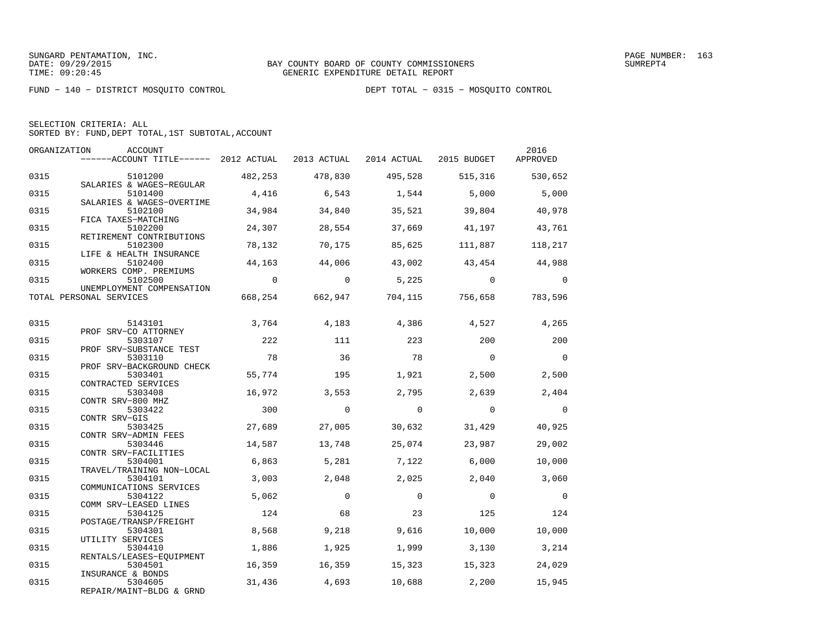FUND − 140 − DISTRICT MOSQUITO CONTROL DEPT TOTAL − 0315 − MOSQUITO CONTROL

|  | SELECTION CRITERIA: ALL                            |  |  |
|--|----------------------------------------------------|--|--|
|  | SORTED BY: FUND, DEPT TOTAL, 1ST SUBTOTAL, ACCOUNT |  |  |

| ORGANIZATION | ACCOUNT<br>------ACCOUNT TITLE------ 2012 ACTUAL 2013 ACTUAL 2014 ACTUAL 2015 BUDGET APPROVED |                |                |                |                                 | 2016           |
|--------------|-----------------------------------------------------------------------------------------------|----------------|----------------|----------------|---------------------------------|----------------|
| 0315         | 5101200                                                                                       | 482,253        | 478,830        |                | 495,528 515,316 530,652         |                |
| 0315         | SALARIES & WAGES-REGULAR<br>5101400                                                           | 4,416          | 6,543          | 1,544          | 5,000                           | 5,000          |
| 0315         | SALARIES & WAGES-OVERTIME<br>5102100<br>FICA TAXES-MATCHING                                   | 34,984         | 34,840         | 35,521         | 39,804                          | 40,978         |
| 0315         | 5102200<br>RETIREMENT CONTRIBUTIONS                                                           | 24,307         | 28,554         | 37,669         | 41,197                          | 43,761         |
| 0315         | 5102300<br>LIFE & HEALTH INSURANCE                                                            | 78,132         | 70,175         | 85,625         | 111,887                         | 118,217        |
| 0315         | 5102400<br>WORKERS COMP. PREMIUMS                                                             | 44,163         | 44,006         | 43,002         | 43,454 44,988                   |                |
| 0315         | 5102500<br>UNEMPLOYMENT COMPENSATION                                                          | $\overline{0}$ | $\overline{0}$ | 5,225          | $\sim$ 0                        | $\overline{0}$ |
|              | TOTAL PERSONAL SERVICES                                                                       |                |                |                | 668,254 662,947 704,115 756,658 | 783,596        |
| 0315         | 5143101<br>PROF SRV-CO ATTORNEY                                                               | 3,764          | 4,183          | 4,386          | 4,527                           | 4,265          |
| 0315         | 5303107<br>PROF SRV-SUBSTANCE TEST                                                            | 222            | 111            | 223            | 200                             | 200            |
| 0315         | 5303110<br>PROF SRV-BACKGROUND CHECK                                                          | 78             | 36             | 78             | $\overline{0}$                  | $\overline{0}$ |
| 0315         | 5303401<br>CONTRACTED SERVICES                                                                | 55,774         | 195            | 1,921          | 2,500                           | 2,500          |
| 0315         | 5303408<br>CONTR SRV-800 MHZ                                                                  | 16,972         | 3,553          | 2,795          | 2,639                           | 2,404          |
| 0315         | 5303422<br>CONTR SRV-GIS                                                                      | 300            | $\overline{0}$ | $\overline{0}$ | $\overline{0}$                  | $\overline{0}$ |
| 0315         | 5303425<br>CONTR SRV-ADMIN FEES                                                               | 27,689         | 27,005         | 30,632         | 31,429                          | 40,925         |
| 0315         | 5303446<br>CONTR SRV-FACILITIES                                                               | 14,587         | 13,748         | 25,074         | 23,987                          | 29,002         |
| 0315         | 5304001<br>TRAVEL/TRAINING NON-LOCAL                                                          | 6,863          | 5,281          | 7,122          | 6,000                           | 10,000         |
| 0315         | 5304101<br>COMMUNICATIONS SERVICES                                                            | 3,003          | 2,048          | 2,025          | 2,040                           | 3,060          |
| 0315         | 5304122<br>COMM SRV-LEASED LINES                                                              | 5,062          | $\Omega$       | $\Omega$       | $\overline{0}$                  | $\overline{0}$ |
| 0315         | 5304125<br>POSTAGE/TRANSP/FREIGHT                                                             | 124            | 68             | 23             | 125                             | 124            |
| 0315         | 5304301<br>UTILITY SERVICES                                                                   | 8,568          | 9,218          | 9,616          | 10,000                          | 10,000         |
| 0315         | 5304410<br>RENTALS/LEASES-EQUIPMENT                                                           | 1,886          | 1,925          | 1,999          | 3,130                           | 3,214          |
| 0315         | 5304501<br>INSURANCE & BONDS                                                                  | 16,359         | 16,359         | 15,323         | 15,323                          | 24,029         |
| 0315         | 5304605<br>REPAIR/MAINT-BLDG & GRND                                                           | 31,436         | 4,693          | 10,688         | 2,200                           | 15,945         |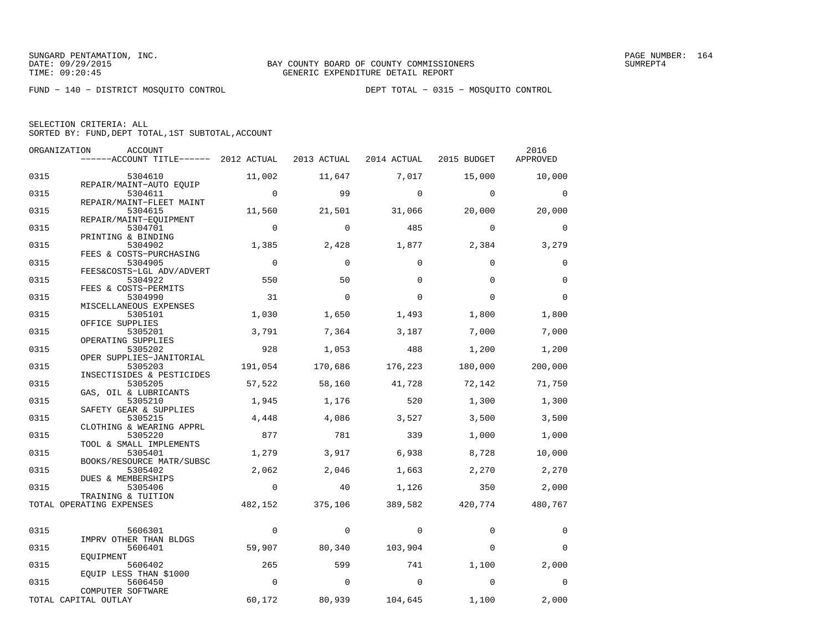FUND − 140 − DISTRICT MOSQUITO CONTROL DEPT TOTAL − 0315 − MOSQUITO CONTROL

| SELECTION CRITERIA: ALL |  |                                                    |  |
|-------------------------|--|----------------------------------------------------|--|
|                         |  | SORTED BY: FUND. DEPT TOTAL. 1ST SUBTOTAL. ACCOUNT |  |

|      | ORGANIZATION<br>ACCOUNT               |                |             |             |             | 2016        |
|------|---------------------------------------|----------------|-------------|-------------|-------------|-------------|
|      | ------ACCOUNT TITLE------ 2012 ACTUAL |                | 2013 ACTUAL | 2014 ACTUAL | 2015 BUDGET | APPROVED    |
| 0315 | 5304610                               | 11,002         | 11,647      | 7,017       | 15,000      | 10,000      |
|      | REPAIR/MAINT-AUTO EQUIP               |                |             |             |             |             |
| 0315 | 5304611                               | $\mathbf 0$    | 99          | $\Omega$    | $\Omega$    | $\Omega$    |
| 0315 | REPAIR/MAINT-FLEET MAINT<br>5304615   | 11,560         | 21,501      | 31,066      | 20,000      | 20,000      |
|      | REPAIR/MAINT-EOUIPMENT                |                |             |             |             |             |
| 0315 | 5304701                               | $\Omega$       | $\Omega$    | 485         | $\Omega$    | $\Omega$    |
|      | PRINTING & BINDING                    |                |             |             |             |             |
| 0315 | 5304902<br>FEES & COSTS-PURCHASING    | 1,385          | 2,428       | 1,877       | 2,384       | 3,279       |
| 0315 | 5304905                               | $\overline{0}$ | $\mathbf 0$ | $\mathbf 0$ | $\mathbf 0$ | 0           |
|      | FEES&COSTS-LGL ADV/ADVERT             |                |             |             |             |             |
| 0315 | 5304922                               | 550            | 50          | $\Omega$    | $\Omega$    | $\Omega$    |
| 0315 | FEES & COSTS-PERMITS<br>5304990       | 31             | $\Omega$    | $\Omega$    | $\Omega$    | $\Omega$    |
|      | MISCELLANEOUS EXPENSES                |                |             |             |             |             |
| 0315 | 5305101                               | 1,030          | 1,650       | 1,493       | 1,800       | 1,800       |
|      | OFFICE SUPPLIES                       |                |             |             |             |             |
| 0315 | 5305201                               | 3,791          | 7,364       | 3,187       | 7,000       | 7,000       |
| 0315 | OPERATING SUPPLIES<br>5305202         | 928            | 1,053       | 488         | 1,200       | 1,200       |
|      | OPER SUPPLIES-JANITORIAL              |                |             |             |             |             |
| 0315 | 5305203                               | 191,054        | 170,686     | 176,223     | 180,000     | 200,000     |
|      | INSECTISIDES & PESTICIDES             |                |             |             |             |             |
| 0315 | 5305205                               | 57,522         | 58,160      | 41,728      | 72,142      | 71,750      |
| 0315 | GAS, OIL & LUBRICANTS<br>5305210      | 1,945          | 1,176       | 520         | 1,300       | 1,300       |
|      | SAFETY GEAR & SUPPLIES                |                |             |             |             |             |
| 0315 | 5305215                               | 4,448          | 4,086       | 3,527       | 3,500       | 3,500       |
|      | CLOTHING & WEARING APPRL              |                |             |             |             |             |
| 0315 | 5305220                               | 877            | 781         | 339         | 1,000       | 1,000       |
| 0315 | TOOL & SMALL IMPLEMENTS<br>5305401    | 1,279          | 3,917       | 6,938       | 8,728       | 10,000      |
|      | BOOKS/RESOURCE MATR/SUBSC             |                |             |             |             |             |
| 0315 | 5305402                               | 2,062          | 2,046       | 1,663       | 2,270       | 2,270       |
|      | DUES & MEMBERSHIPS                    |                |             |             |             |             |
| 0315 | 5305406<br>TRAINING & TUITION         | $\mathbf 0$    | 40          | 1,126       | 350         | 2,000       |
|      | TOTAL OPERATING EXPENSES              | 482,152        | 375,106     | 389,582     | 420,774     | 480,767     |
|      |                                       |                |             |             |             |             |
|      |                                       |                |             |             |             |             |
| 0315 | 5606301<br>IMPRV OTHER THAN BLDGS     | $\mathbf 0$    | $\mathbf 0$ | $\Omega$    | $\Omega$    | $\Omega$    |
| 0315 | 5606401                               | 59,907         | 80,340      | 103,904     | $\mathbf 0$ | $\Omega$    |
|      | EOUIPMENT                             |                |             |             |             |             |
| 0315 | 5606402                               | 265            | 599         | 741         | 1,100       | 2,000       |
| 0315 | EQUIP LESS THAN \$1000<br>5606450     | $\mathbf 0$    | $\mathbf 0$ | $\mathbf 0$ | $\mathbf 0$ | $\mathbf 0$ |
|      | COMPUTER SOFTWARE                     |                |             |             |             |             |
|      | TOTAL CAPITAL OUTLAY                  | 60,172         | 80,939      | 104,645     | 1,100       | 2,000       |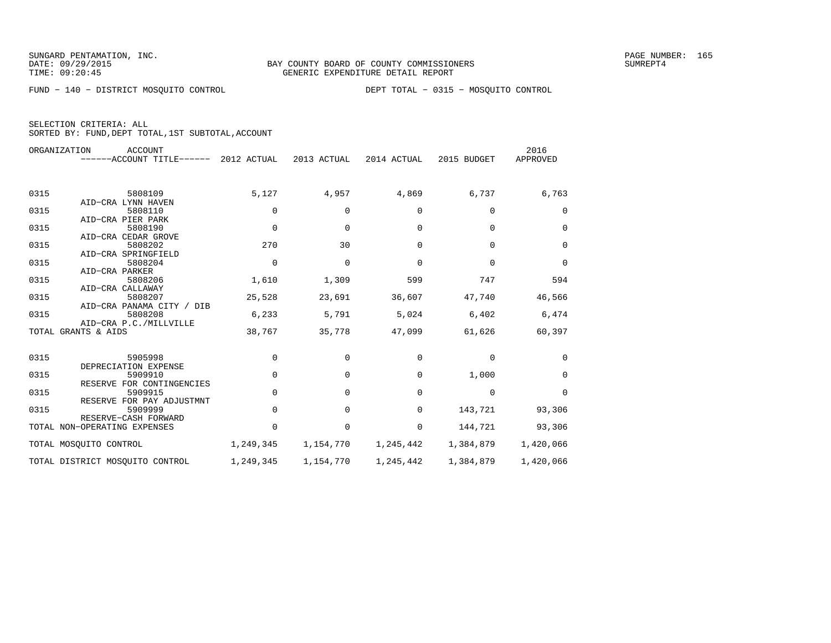FUND − 140 − DISTRICT MOSQUITO CONTROL DEPT TOTAL − 0315 − MOSQUITO CONTROL

| ORGANIZATION<br>ACCOUNT      |                                                                                                                                                                                                                                                                                                     |                                                                                                                              |                                                                                      |                                                                                                       | 2016                                                                                                  |
|------------------------------|-----------------------------------------------------------------------------------------------------------------------------------------------------------------------------------------------------------------------------------------------------------------------------------------------------|------------------------------------------------------------------------------------------------------------------------------|--------------------------------------------------------------------------------------|-------------------------------------------------------------------------------------------------------|-------------------------------------------------------------------------------------------------------|
|                              |                                                                                                                                                                                                                                                                                                     |                                                                                                                              |                                                                                      |                                                                                                       | APPROVED                                                                                              |
|                              |                                                                                                                                                                                                                                                                                                     |                                                                                                                              |                                                                                      |                                                                                                       |                                                                                                       |
| 5808109                      | 5,127                                                                                                                                                                                                                                                                                               | 4,957                                                                                                                        | 4,869                                                                                | 6,737                                                                                                 | 6,763                                                                                                 |
| AID-CRA LYNN HAVEN           |                                                                                                                                                                                                                                                                                                     |                                                                                                                              |                                                                                      |                                                                                                       |                                                                                                       |
|                              |                                                                                                                                                                                                                                                                                                     |                                                                                                                              |                                                                                      |                                                                                                       | 0                                                                                                     |
|                              |                                                                                                                                                                                                                                                                                                     |                                                                                                                              |                                                                                      |                                                                                                       |                                                                                                       |
|                              |                                                                                                                                                                                                                                                                                                     |                                                                                                                              |                                                                                      |                                                                                                       | $\mathbf 0$                                                                                           |
|                              |                                                                                                                                                                                                                                                                                                     |                                                                                                                              |                                                                                      |                                                                                                       |                                                                                                       |
|                              |                                                                                                                                                                                                                                                                                                     |                                                                                                                              |                                                                                      |                                                                                                       | $\mathbf 0$                                                                                           |
|                              |                                                                                                                                                                                                                                                                                                     |                                                                                                                              |                                                                                      |                                                                                                       |                                                                                                       |
|                              |                                                                                                                                                                                                                                                                                                     |                                                                                                                              |                                                                                      |                                                                                                       | $\Omega$                                                                                              |
|                              |                                                                                                                                                                                                                                                                                                     |                                                                                                                              |                                                                                      |                                                                                                       |                                                                                                       |
|                              |                                                                                                                                                                                                                                                                                                     |                                                                                                                              |                                                                                      |                                                                                                       | 594                                                                                                   |
|                              |                                                                                                                                                                                                                                                                                                     |                                                                                                                              |                                                                                      |                                                                                                       | 46,566                                                                                                |
|                              |                                                                                                                                                                                                                                                                                                     |                                                                                                                              |                                                                                      |                                                                                                       |                                                                                                       |
|                              |                                                                                                                                                                                                                                                                                                     |                                                                                                                              |                                                                                      |                                                                                                       | 6,474                                                                                                 |
|                              |                                                                                                                                                                                                                                                                                                     |                                                                                                                              |                                                                                      |                                                                                                       |                                                                                                       |
|                              |                                                                                                                                                                                                                                                                                                     |                                                                                                                              |                                                                                      |                                                                                                       | 60,397                                                                                                |
|                              |                                                                                                                                                                                                                                                                                                     |                                                                                                                              |                                                                                      |                                                                                                       |                                                                                                       |
| 5905998                      | 0                                                                                                                                                                                                                                                                                                   | 0                                                                                                                            | 0                                                                                    | 0                                                                                                     | 0                                                                                                     |
| DEPRECIATION EXPENSE         |                                                                                                                                                                                                                                                                                                     |                                                                                                                              |                                                                                      |                                                                                                       |                                                                                                       |
| 5909910                      | $\mathbf 0$                                                                                                                                                                                                                                                                                         | 0                                                                                                                            | $\mathbf 0$                                                                          | 1,000                                                                                                 | 0                                                                                                     |
| RESERVE FOR CONTINGENCIES    |                                                                                                                                                                                                                                                                                                     |                                                                                                                              |                                                                                      |                                                                                                       |                                                                                                       |
| 5909915                      | $\mathbf 0$                                                                                                                                                                                                                                                                                         | 0                                                                                                                            | $\mathbf 0$                                                                          | 0                                                                                                     | 0                                                                                                     |
| RESERVE FOR PAY ADJUSTMNT    |                                                                                                                                                                                                                                                                                                     |                                                                                                                              |                                                                                      |                                                                                                       |                                                                                                       |
| 5909999                      | $\mathbf 0$                                                                                                                                                                                                                                                                                         | 0                                                                                                                            | 0                                                                                    | 143,721                                                                                               | 93,306                                                                                                |
| RESERVE-CASH FORWARD         |                                                                                                                                                                                                                                                                                                     |                                                                                                                              |                                                                                      |                                                                                                       |                                                                                                       |
| TOTAL NON-OPERATING EXPENSES | $\mathbf 0$                                                                                                                                                                                                                                                                                         | 0                                                                                                                            | 0                                                                                    | 144,721                                                                                               | 93,306                                                                                                |
| TOTAL MOSOUITO CONTROL       | 1,249,345                                                                                                                                                                                                                                                                                           | 1,154,770                                                                                                                    | 1,245,442                                                                            | 1,384,879                                                                                             | 1,420,066                                                                                             |
|                              |                                                                                                                                                                                                                                                                                                     | 1,154,770                                                                                                                    |                                                                                      |                                                                                                       | 1,420,066                                                                                             |
|                              | 5808110<br>AID-CRA PIER PARK<br>5808190<br>AID-CRA CEDAR GROVE<br>5808202<br>AID-CRA SPRINGFIELD<br>5808204<br>AID-CRA PARKER<br>5808206<br>AID-CRA CALLAWAY<br>5808207<br>AID-CRA PANAMA CITY / DIB<br>5808208<br>AID-CRA P.C./MILLVILLE<br>TOTAL GRANTS & AIDS<br>TOTAL DISTRICT MOSQUITO CONTROL | ------ACCOUNT TITLE------ 2012 ACTUAL<br>0<br>$\Omega$<br>270<br>$\Omega$<br>1,610<br>25,528<br>6,233<br>38,767<br>1,249,345 | 2013 ACTUAL<br>0<br>$\Omega$<br>30<br>$\Omega$<br>1,309<br>23,691<br>5,791<br>35,778 | 2014 ACTUAL<br>0<br>$\Omega$<br>$\Omega$<br>$\Omega$<br>599<br>36,607<br>5,024<br>47,099<br>1,245,442 | 2015 BUDGET<br>0<br>$\Omega$<br>$\Omega$<br>$\Omega$<br>747<br>47,740<br>6,402<br>61,626<br>1,384,879 |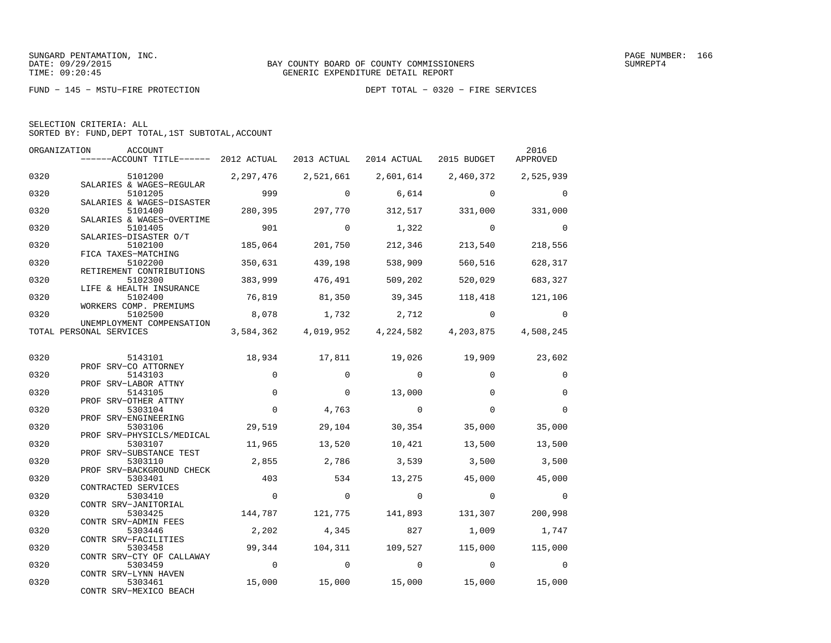|  | SELECTION CRITERIA: ALL                            |  |  |
|--|----------------------------------------------------|--|--|
|  | SORTED BY: FUND, DEPT TOTAL, 1ST SUBTOTAL, ACCOUNT |  |  |

| ORGANIZATION | ACCOUNT<br>$----ACCOUNT$ TITLE $---$ 2012 ACTUAL 2013 ACTUAL 2014 ACTUAL 2015 BUDGET |                |             |                        |                                                   | 2016<br>APPROVED |
|--------------|--------------------------------------------------------------------------------------|----------------|-------------|------------------------|---------------------------------------------------|------------------|
| 0320         | 5101200 2,297,476                                                                    |                | 2,521,661   |                        | 2,601,614 2,460,372 2,525,939                     |                  |
| 0320         | SALARIES & WAGES-REGULAR<br>5101205                                                  | 999            | $\Omega$    | 6,614                  | $\Omega$                                          | 0                |
| 0320         | SALARIES & WAGES-DISASTER<br>5101400                                                 | 280,395        | 297,770     | 312,517                | 331,000                                           | 331,000          |
| 0320         | SALARIES & WAGES-OVERTIME<br>5101405                                                 | 901            | $\Omega$    | 1,322                  | $\overline{0}$                                    | $\Omega$         |
| 0320         | SALARIES-DISASTER O/T<br>5102100<br>FICA TAXES-MATCHING                              | 185,064        | 201,750     | 212,346                | 213,540                                           | 218,556          |
| 0320         | 5102200<br>RETIREMENT CONTRIBUTIONS                                                  | 350,631        | 439,198     | 538,909                | 560,516                                           | 628,317          |
| 0320         | 5102300<br>LIFE & HEALTH INSURANCE                                                   | 383,999        | 476,491     | 509,202                | 520,029                                           | 683,327          |
| 0320         | 5102400<br>WORKERS COMP. PREMIUMS                                                    | 76,819         | 81,350      | 39,345                 | 118,418                                           | 121,106          |
| 0320         | 5102500<br>UNEMPLOYMENT COMPENSATION                                                 | 8,078          | 1,732       | 2,712                  | $\overline{0}$                                    | $\mathbf 0$      |
|              | TOTAL PERSONAL SERVICES                                                              |                |             |                        | 3,584,362 4,019,952 4,224,582 4,203,875 4,508,245 |                  |
| 0320         | 5143101                                                                              | 18,934         | 17,811      | 19,026                 | 19,909                                            | 23,602           |
| 0320         | PROF SRV-CO ATTORNEY<br>5143103                                                      | $\mathbf{0}$   | $\Omega$    | $\overline{0}$         | $\Omega$                                          | $\mathbf 0$      |
| 0320         | PROF SRV-LABOR ATTNY<br>5143105                                                      | $\mathbf 0$    | $\mathbf 0$ | 13,000                 | $\Omega$                                          | $\mathbf 0$      |
| 0320         | PROF SRV-OTHER ATTNY<br>5303104<br>PROF SRV-ENGINEERING                              | $\mathbf 0$    | 4,763       | $\overline{0}$         | $\mathbf{0}$                                      | $\mathbf 0$      |
| 0320         | 5303106<br>PROF SRV-PHYSICLS/MEDICAL                                                 | 29,519         | 29,104      | 30,354                 | 35,000                                            | 35,000           |
| 0320         | 5303107<br>PROF SRV-SUBSTANCE TEST                                                   | 11,965         | 13,520      | 10,421                 | 13,500                                            | 13,500           |
| 0320         | 5303110<br>PROF SRV-BACKGROUND CHECK                                                 | 2,855          | 2,786       | 3,539                  | 3,500                                             | 3,500            |
| 0320         | 5303401<br>CONTRACTED SERVICES                                                       | 403            | 534         | 13,275                 | 45,000                                            | 45,000           |
| 0320         | 5303410<br>CONTR SRV-JANITORIAL                                                      | $\Omega$       | $\mathbf 0$ | $\overline{0}$         | $\Omega$                                          | $\Omega$         |
| 0320         | 5303425<br>CONTR SRV-ADMIN FEES                                                      | 144,787        | 121,775     | 141,893                | 131,307                                           | 200,998          |
| 0320         | 5303446<br>CONTR SRV-FACILITIES                                                      | 2,202          | 4,345       | 827                    | 1,009                                             | 1,747            |
| 0320         | 5303458<br>CONTR SRV-CTY OF CALLAWAY                                                 |                |             | 99,344 104,311 109,527 | 115,000                                           | 115,000          |
| 0320         | 5303459<br>CONTR SRV-LYNN HAVEN                                                      | $\overline{0}$ | $\mathbf 0$ | $\overline{0}$         | $\overline{0}$                                    | $\mathbf 0$      |
| 0320         | 5303461<br>CONTR SRV-MEXICO BEACH                                                    | 15,000         | 15,000      | 15,000                 | 15,000                                            | 15,000           |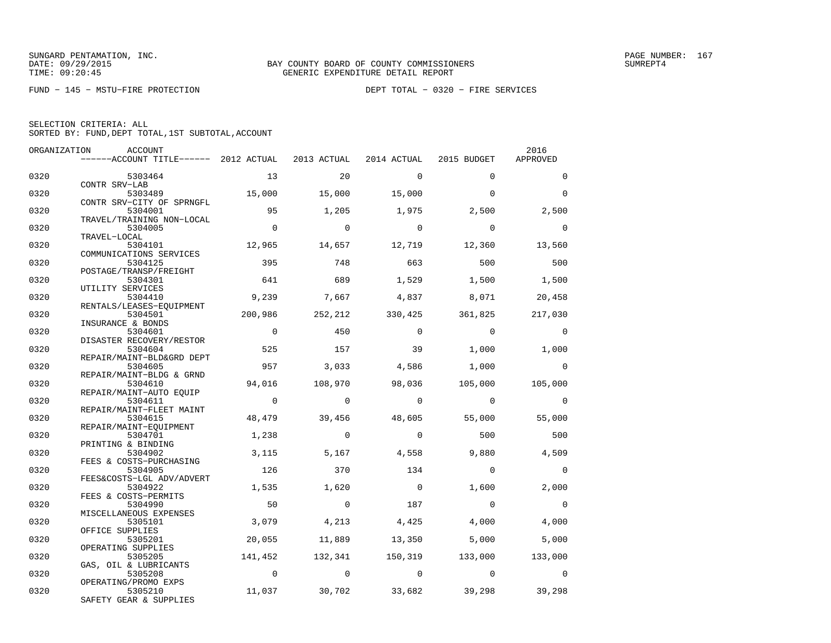FUND − 145 − MSTU−FIRE PROTECTION DEPT TOTAL − 0320 − FIRE SERVICES

| ORGANIZATION | <b>ACCOUNT</b>                        |                |                |                |                | 2016        |
|--------------|---------------------------------------|----------------|----------------|----------------|----------------|-------------|
|              | ------ACCOUNT TITLE------ 2012 ACTUAL |                | 2013 ACTUAL    | 2014 ACTUAL    | 2015 BUDGET    | APPROVED    |
| 0320         | 5303464                               | 13             | 20             | $\mathbf 0$    | $\Omega$       | $\mathbf 0$ |
|              | CONTR SRV-LAB                         |                |                |                |                |             |
| 0320         | 5303489                               | 15,000         | 15,000         | 15,000         | $\Omega$       | $\Omega$    |
|              | CONTR SRV-CITY OF SPRNGFL             |                |                |                |                |             |
| 0320         | 5304001<br>TRAVEL/TRAINING NON-LOCAL  | 95             | 1,205          | 1,975          | 2,500          | 2,500       |
| 0320         | 5304005                               | $\overline{0}$ | $\Omega$       | $\Omega$       | $\Omega$       | $\Omega$    |
|              | TRAVEL-LOCAL                          |                |                |                |                |             |
| 0320         | 5304101                               | 12,965         | 14,657         | 12,719         | 12,360         | 13,560      |
|              | COMMUNICATIONS SERVICES               |                |                |                |                |             |
| 0320         | 5304125                               | 395            | 748            | 663            | 500            | 500         |
|              | POSTAGE/TRANSP/FREIGHT                |                |                |                |                |             |
| 0320         | 5304301                               | 641            | 689            | 1,529          | 1,500          | 1,500       |
|              | UTILITY SERVICES                      |                |                |                |                |             |
| 0320         | 5304410                               | 9,239          | 7,667          | 4,837          | 8,071          | 20,458      |
| 0320         | RENTALS/LEASES-EQUIPMENT<br>5304501   | 200,986        | 252,212        | 330,425        | 361,825        | 217,030     |
|              | INSURANCE & BONDS                     |                |                |                |                |             |
| 0320         | 5304601                               | $\overline{0}$ | 450            | $\mathbf 0$    | $\Omega$       | $\Omega$    |
|              | DISASTER RECOVERY/RESTOR              |                |                |                |                |             |
| 0320         | 5304604                               | 525            | 157            | 39             | 1,000          | 1,000       |
|              | REPAIR/MAINT-BLD&GRD DEPT             |                |                |                |                |             |
| 0320         | 5304605                               | 957            | 3,033          | 4,586          | 1,000          | $\Omega$    |
|              | REPAIR/MAINT-BLDG & GRND              |                |                |                |                |             |
| 0320         | 5304610                               | 94,016         | 108,970        | 98,036         | 105,000        | 105,000     |
|              | REPAIR/MAINT-AUTO EOUIP               |                |                |                |                |             |
| 0320         | 5304611                               | $\overline{0}$ | $\Omega$       | $\Omega$       | $\overline{0}$ | $\Omega$    |
|              | REPAIR/MAINT-FLEET MAINT              |                |                |                |                |             |
| 0320         | 5304615                               | 48,479         | 39,456         | 48,605         | 55,000         | 55,000      |
|              | REPAIR/MAINT-EOUIPMENT                |                |                |                |                |             |
| 0320         | 5304701                               | 1,238          | $\Omega$       | $\Omega$       | 500            | 500         |
|              | PRINTING & BINDING                    |                |                |                |                |             |
| 0320         | 5304902                               | 3,115          | 5,167          | 4,558          | 9,880          | 4,509       |
|              | FEES & COSTS-PURCHASING               |                |                |                |                |             |
| 0320         | 5304905                               | 126            | 370            | 134            | $\Omega$       | $\Omega$    |
|              | FEES&COSTS-LGL ADV/ADVERT             |                |                |                |                |             |
| 0320         | 5304922                               | 1,535          | 1,620          | $\overline{0}$ | 1,600          | 2,000       |
|              | FEES & COSTS-PERMITS                  | 50             | $\Omega$       | 187            | $\Omega$       | $\Omega$    |
| 0320         | 5304990<br>MISCELLANEOUS EXPENSES     |                |                |                |                |             |
| 0320         | 5305101                               | 3,079          | 4,213          | 4,425          | 4,000          | 4,000       |
|              | OFFICE SUPPLIES                       |                |                |                |                |             |
| 0320         | 5305201                               | 20,055         | 11,889         | 13,350         | 5,000          | 5,000       |
|              | OPERATING SUPPLIES                    |                |                |                |                |             |
| 0320         | 5305205                               | 141,452        | 132,341        | 150,319        | 133,000        | 133,000     |
|              | GAS, OIL & LUBRICANTS                 |                |                |                |                |             |
| 0320         | 5305208                               | $\sim$ 0       | $\overline{0}$ | $\overline{0}$ | $\overline{0}$ | $\Omega$    |
|              | OPERATING/PROMO EXPS                  |                |                |                |                |             |
| 0320         | 5305210                               | 11,037         | 30,702         | 33,682         | 39,298         | 39,298      |
|              | SAFETY GEAR & SUPPLIES                |                |                |                |                |             |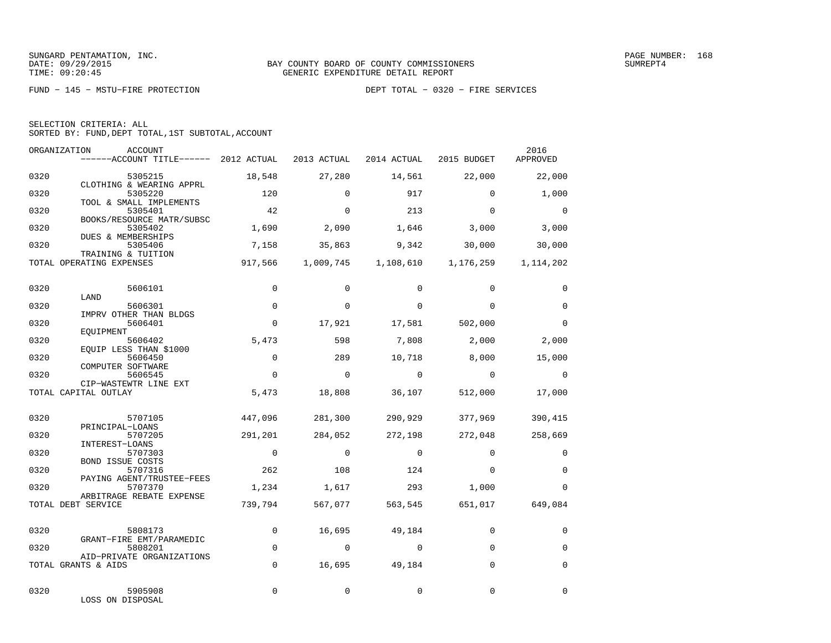FUND − 145 − MSTU−FIRE PROTECTION DEPT TOTAL − 0320 − FIRE SERVICES

|  | SELECTION CRITERIA: ALL |                                                    |
|--|-------------------------|----------------------------------------------------|
|  |                         | SORTED BY: FUND, DEPT TOTAL, 1ST SUBTOTAL, ACCOUNT |

| ORGANIZATION | ACCOUNT<br>$----ACCOUNT$ TITLE $---2012$ ACTUAL                |                | 2013 ACTUAL | 2014 ACTUAL                   | 2015 BUDGET | 2016<br>APPROVED |
|--------------|----------------------------------------------------------------|----------------|-------------|-------------------------------|-------------|------------------|
| 0320         | 5305215                                                        | 18,548         | 27,280      | 14,561                        | 22,000      | 22,000           |
| 0320         | CLOTHING & WEARING APPRL<br>5305220<br>TOOL & SMALL IMPLEMENTS | 120            | $\Omega$    | 917                           | $\Omega$    | 1,000            |
| 0320         | 5305401<br>BOOKS/RESOURCE MATR/SUBSC                           | 42             | $\Omega$    | 213                           | $\Omega$    | $\mathbf 0$      |
| 0320         | 5305402<br>DUES & MEMBERSHIPS                                  | 1,690          | 2,090       | 1,646                         | 3,000       | 3,000            |
| 0320         | 5305406<br>TRAINING & TUITION                                  | 7,158          | 35,863      | 9,342                         | 30,000      | 30,000           |
|              | TOTAL OPERATING EXPENSES                                       | 917,566        |             | 1,009,745 1,108,610 1,176,259 |             | 1, 114, 202      |
| 0320         | 5606101<br>LAND                                                | $\mathbf 0$    | $\mathbf 0$ | $\Omega$                      | $\Omega$    | 0                |
| 0320         | 5606301<br>IMPRV OTHER THAN BLDGS                              | $\Omega$       | $\Omega$    | $\Omega$                      | $\Omega$    | $\mathbf 0$      |
| 0320         | 5606401<br>EQUIPMENT                                           | $\mathbf 0$    | 17,921      | 17,581                        | 502,000     | $\Omega$         |
| 0320         | 5606402<br>EQUIP LESS THAN \$1000                              | 5,473          | 598         | 7,808                         | 2,000       | 2,000            |
| 0320         | 5606450<br>COMPUTER SOFTWARE                                   | $\Omega$       | 289         | 10,718                        | 8,000       | 15,000           |
| 0320         | 5606545<br>CIP-WASTEWTR LINE EXT                               | $\Omega$       | $\mathbf 0$ | $\Omega$                      | $\Omega$    | $\mathbf 0$      |
|              | TOTAL CAPITAL OUTLAY                                           | 5,473          | 18,808      | 36,107                        | 512,000     | 17,000           |
| 0320         | 5707105                                                        | 447,096        | 281,300     | 290,929                       | 377,969     | 390,415          |
| 0320         | PRINCIPAL-LOANS<br>5707205<br>INTEREST-LOANS                   | 291,201        | 284,052     | 272,198                       | 272,048     | 258,669          |
| 0320         | 5707303<br><b>BOND ISSUE COSTS</b>                             | $\overline{0}$ | $\Omega$    | $\mathbf 0$                   | $\Omega$    | $\mathbf 0$      |
| 0320         | 5707316<br>PAYING AGENT/TRUSTEE-FEES                           | 262            | 108         | 124                           | $\Omega$    | $\mathbf 0$      |
| 0320         | 5707370<br>ARBITRAGE REBATE EXPENSE                            | 1,234          | 1,617       | 293                           | 1,000       | $\mathbf 0$      |
|              | TOTAL DEBT SERVICE                                             | 739,794        | 567,077     | 563,545                       | 651,017     | 649,084          |
| 0320         | 5808173                                                        | $\mathbf 0$    | 16,695      | 49,184                        | $\mathbf 0$ | $\mathbf 0$      |
| 0320         | GRANT-FIRE EMT/PARAMEDIC<br>5808201                            | $\mathbf{0}$   | $\Omega$    | $\mathbf 0$                   | $\Omega$    | $\Omega$         |
|              | AID-PRIVATE ORGANIZATIONS<br>TOTAL GRANTS & AIDS               | $\mathbf 0$    | 16,695      | 49,184                        | $\mathbf 0$ | $\mathbf 0$      |
| 0320         | 5905908<br>LOSS ON DISPOSAL                                    | $\Omega$       | $\Omega$    | $\Omega$                      | $\Omega$    | $\Omega$         |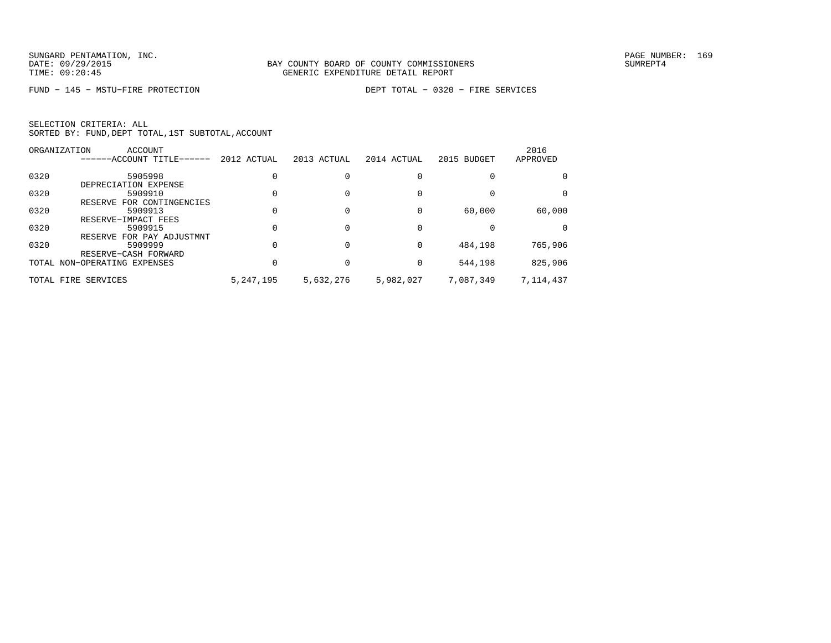FUND − 145 − MSTU−FIRE PROTECTION DEPT TOTAL − 0320 − FIRE SERVICES

|      | ORGANIZATION<br>ACCOUNT      |             |             |             |             | 2016      |
|------|------------------------------|-------------|-------------|-------------|-------------|-----------|
|      | ------ACCOUNT TITLE------    | 2012 ACTUAL | 2013 ACTUAL | 2014 ACTUAL | 2015 BUDGET | APPROVED  |
| 0320 | 5905998                      |             |             |             |             | 0         |
|      | DEPRECIATION EXPENSE         |             |             |             |             |           |
| 0320 | 5909910                      |             |             |             |             | 0         |
|      | RESERVE FOR CONTINGENCIES    |             |             |             |             |           |
| 0320 | 5909913                      |             |             |             | 60,000      | 60,000    |
|      | RESERVE-IMPACT FEES          |             |             |             |             |           |
| 0320 | 5909915                      |             |             |             |             | 0         |
|      | RESERVE FOR PAY ADJUSTMNT    |             |             |             |             |           |
| 0320 | 5909999                      |             |             | $\Omega$    | 484,198     | 765,906   |
|      | RESERVE-CASH FORWARD         |             |             |             |             |           |
|      | TOTAL NON-OPERATING EXPENSES |             |             | $\Omega$    | 544,198     | 825,906   |
|      | TOTAL FIRE SERVICES          | 5, 247, 195 | 5,632,276   | 5,982,027   | 7,087,349   | 7,114,437 |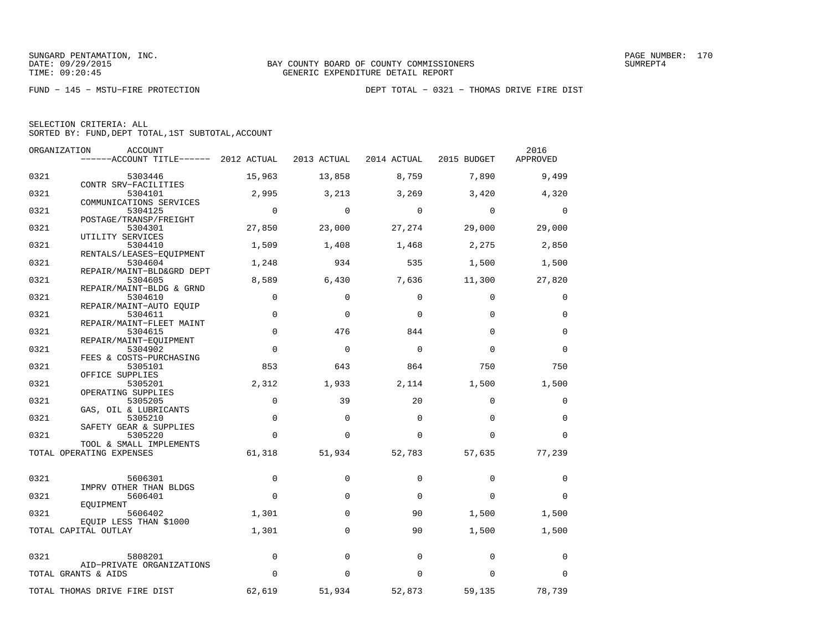|  | SELECTION CRITERIA: ALL |                                                    |  |
|--|-------------------------|----------------------------------------------------|--|
|  |                         | SORTED BY: FUND, DEPT TOTAL, 1ST SUBTOTAL, ACCOUNT |  |

|      | ORGANIZATION<br>ACCOUNT               |             |             |             |             | 2016        |
|------|---------------------------------------|-------------|-------------|-------------|-------------|-------------|
|      | ------ACCOUNT TITLE------ 2012 ACTUAL |             | 2013 ACTUAL | 2014 ACTUAL | 2015 BUDGET | APPROVED    |
| 0321 | 5303446                               | 15,963      | 13,858      | 8,759       | 7,890       | 9,499       |
|      | CONTR SRV-FACILITIES                  |             |             |             |             |             |
| 0321 | 5304101                               | 2,995       | 3,213       | 3,269       | 3,420       | 4,320       |
| 0321 | COMMUNICATIONS SERVICES<br>5304125    | $\mathbf 0$ | $\mathbf 0$ | $\mathbf 0$ | $\mathbf 0$ | 0           |
|      | POSTAGE/TRANSP/FREIGHT                |             |             |             |             |             |
| 0321 | 5304301                               | 27,850      | 23,000      | 27,274      | 29,000      | 29,000      |
|      | UTILITY SERVICES                      |             |             |             |             |             |
| 0321 | 5304410                               | 1,509       | 1,408       | 1,468       | 2,275       | 2,850       |
| 0321 | RENTALS/LEASES-EOUIPMENT<br>5304604   | 1,248       | 934         | 535         | 1,500       | 1,500       |
|      | REPAIR/MAINT-BLD&GRD DEPT             |             |             |             |             |             |
| 0321 | 5304605                               | 8,589       | 6,430       | 7,636       | 11,300      | 27,820      |
|      | REPAIR/MAINT-BLDG & GRND              |             |             |             |             |             |
| 0321 | 5304610                               | $\mathbf 0$ | $\Omega$    | $\Omega$    | $\Omega$    | 0           |
|      | REPAIR/MAINT-AUTO EQUIP               |             |             |             |             |             |
| 0321 | 5304611                               | $\mathbf 0$ | $\mathbf 0$ | $\Omega$    | $\Omega$    | 0           |
| 0321 | REPAIR/MAINT-FLEET MAINT<br>5304615   | $\mathbf 0$ | 476         | 844         | $\Omega$    | $\mathbf 0$ |
|      | REPAIR/MAINT-EOUIPMENT                |             |             |             |             |             |
| 0321 | 5304902                               | $\Omega$    | $\Omega$    | $\Omega$    | $\Omega$    | $\Omega$    |
|      | FEES & COSTS-PURCHASING               |             |             |             |             |             |
| 0321 | 5305101                               | 853         | 643         | 864         | 750         | 750         |
|      | OFFICE SUPPLIES                       |             |             |             |             |             |
| 0321 | 5305201                               | 2,312       | 1,933       | 2,114       | 1,500       | 1,500       |
|      | OPERATING SUPPLIES                    |             |             |             |             |             |
| 0321 | 5305205                               | $\mathbf 0$ | 39          | 20          | $\Omega$    | 0           |
|      | GAS, OIL & LUBRICANTS                 | $\mathbf 0$ | $\mathbf 0$ | $\mathbf 0$ | $\Omega$    | $\mathbf 0$ |
| 0321 | 5305210<br>SAFETY GEAR & SUPPLIES     |             |             |             |             |             |
| 0321 | 5305220                               | $\Omega$    | $\Omega$    | $\Omega$    | $\Omega$    | $\Omega$    |
|      | TOOL & SMALL IMPLEMENTS               |             |             |             |             |             |
|      | TOTAL OPERATING EXPENSES              | 61,318      | 51,934      | 52,783      | 57,635      | 77,239      |
|      |                                       |             |             |             |             |             |
| 0321 | 5606301                               | $\mathbf 0$ | $\Omega$    | $\Omega$    | $\Omega$    | 0           |
|      | IMPRV OTHER THAN BLDGS                |             |             |             |             |             |
| 0321 | 5606401                               | $\Omega$    | $\mathbf 0$ | $\Omega$    | $\Omega$    | 0           |
|      | EQUIPMENT                             |             |             |             |             |             |
| 0321 | 5606402<br>EOUIP LESS THAN \$1000     | 1,301       | 0           | 90          | 1,500       | 1,500       |
|      | TOTAL CAPITAL OUTLAY                  | 1,301       | $\Omega$    | 90          | 1,500       | 1,500       |
|      |                                       |             |             |             |             |             |
| 0321 | 5808201                               | $\mathbf 0$ | $\Omega$    | $\Omega$    | 0           | 0           |
|      | AID-PRIVATE ORGANIZATIONS             |             |             |             |             |             |
|      | TOTAL GRANTS & AIDS                   | $\Omega$    | $\Omega$    | $\Omega$    | $\Omega$    | 0           |
|      | TOTAL THOMAS DRIVE FIRE DIST          | 62,619      | 51,934      | 52,873      | 59,135      | 78,739      |
|      |                                       |             |             |             |             |             |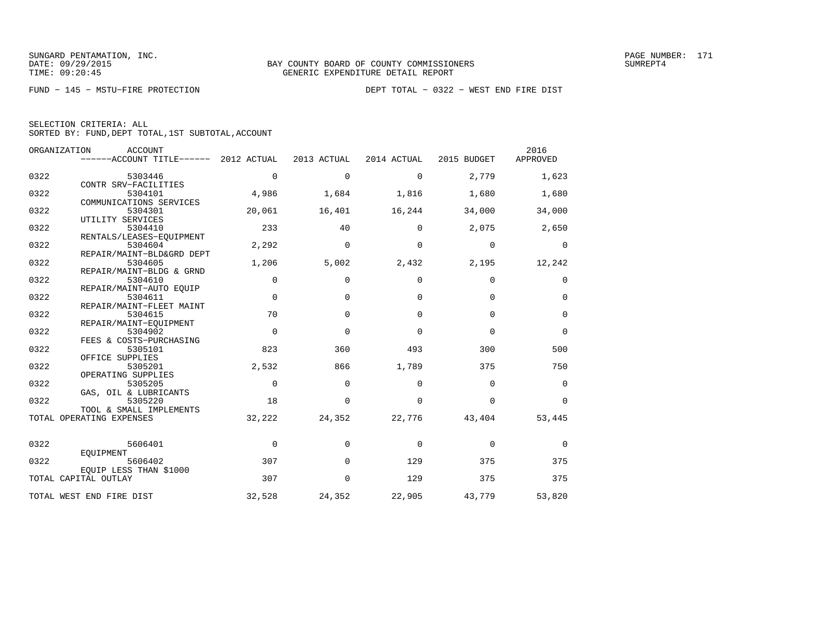| SELECTION CRITERIA: ALL |  |  |                                                    |  |
|-------------------------|--|--|----------------------------------------------------|--|
|                         |  |  | SORTED BY: FUND, DEPT TOTAL, 1ST SUBTOTAL, ACCOUNT |  |

|      | ORGANIZATION<br>ACCOUNT<br>$----ACCOUNT$ TITLE $----2012$ ACTUAL |             | 2013 ACTUAL | 2014 ACTUAL | 2015 BUDGET | 2016<br>APPROVED |
|------|------------------------------------------------------------------|-------------|-------------|-------------|-------------|------------------|
| 0322 | 5303446<br>CONTR SRV-FACILITIES                                  | $\mathbf 0$ | $\mathbf 0$ | $\mathbf 0$ | 2,779       | 1,623            |
| 0322 | 5304101                                                          | 4,986       | 1,684       | 1,816       | 1,680       | 1,680            |
| 0322 | COMMUNICATIONS SERVICES<br>5304301                               | 20,061      | 16,401      | 16,244      | 34,000      | 34,000           |
|      | UTILITY SERVICES                                                 |             |             |             |             |                  |
| 0322 | 5304410<br>RENTALS/LEASES-EQUIPMENT                              | 233         | 40          | $\Omega$    | 2,075       | 2,650            |
| 0322 | 5304604                                                          | 2,292       | $\mathbf 0$ | $\mathbf 0$ | $\mathbf 0$ | $\mathbf 0$      |
| 0322 | REPAIR/MAINT-BLD&GRD DEPT<br>5304605                             | 1,206       | 5,002       | 2,432       | 2,195       | 12,242           |
|      | REPAIR/MAINT-BLDG & GRND                                         |             |             |             |             |                  |
| 0322 | 5304610<br>REPAIR/MAINT-AUTO EQUIP                               | 0           | $\Omega$    | $\Omega$    | $\Omega$    | 0                |
| 0322 | 5304611                                                          | $\mathbf 0$ | $\mathbf 0$ | $\Omega$    | $\Omega$    | $\mathbf 0$      |
| 0322 | REPAIR/MAINT-FLEET MAINT<br>5304615                              | 70          | $\Omega$    | $\Omega$    | $\Omega$    | $\mathbf 0$      |
| 0322 | REPAIR/MAINT-EOUIPMENT<br>5304902                                | $\Omega$    | $\Omega$    | $\Omega$    | $\Omega$    | $\Omega$         |
|      | FEES & COSTS-PURCHASING                                          |             |             |             |             |                  |
| 0322 | 5305101<br>OFFICE SUPPLIES                                       | 823         | 360         | 493         | 300         | 500              |
| 0322 | 5305201                                                          | 2,532       | 866         | 1,789       | 375         | 750              |
| 0322 | OPERATING SUPPLIES<br>5305205                                    | $\mathbf 0$ | $\mathbf 0$ | $\mathbf 0$ | $\mathbf 0$ | $\mathbf 0$      |
|      | GAS, OIL & LUBRICANTS                                            | 18          |             |             |             |                  |
| 0322 | 5305220<br>TOOL & SMALL IMPLEMENTS                               |             | $\mathbf 0$ | $\Omega$    | $\Omega$    | $\mathbf 0$      |
|      | TOTAL OPERATING EXPENSES                                         | 32,222      | 24,352      | 22,776      | 43,404      | 53,445           |
| 0322 | 5606401                                                          | $\mathbf 0$ | $\mathbf 0$ | $\Omega$    | $\mathbf 0$ | $\mathbf 0$      |
|      | EQUIPMENT                                                        | 307         |             |             | 375         | 375              |
| 0322 | 5606402<br>EQUIP LESS THAN \$1000                                |             | $\Omega$    | 129         |             |                  |
|      | TOTAL CAPITAL OUTLAY                                             | 307         | $\Omega$    | 129         | 375         | 375              |
|      | TOTAL WEST END FIRE DIST                                         | 32,528      | 24,352      | 22,905      | 43,779      | 53,820           |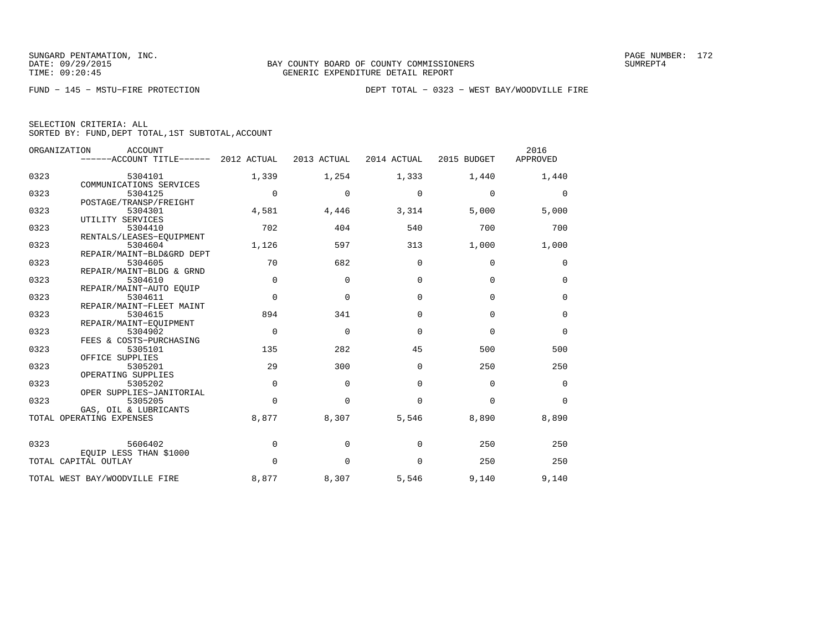|  | SELECTION CRITERIA: ALL |                                                    |
|--|-------------------------|----------------------------------------------------|
|  |                         | SORTED BY: FUND, DEPT TOTAL, 1ST SUBTOTAL, ACCOUNT |

|      | ORGANIZATION<br>ACCOUNT<br>------ACCOUNT TITLE------ | 2012 ACTUAL | 2013 ACTUAL | 2014 ACTUAL | 2015 BUDGET | 2016<br>APPROVED |
|------|------------------------------------------------------|-------------|-------------|-------------|-------------|------------------|
| 0323 | 5304101<br>COMMUNICATIONS SERVICES                   | 1,339       | 1,254       | 1,333       | 1,440       | 1,440            |
| 0323 | 5304125<br>POSTAGE/TRANSP/FREIGHT                    | $\Omega$    | $\Omega$    | 0           | $\mathbf 0$ | $\mathbf 0$      |
| 0323 | 5304301<br>UTILITY SERVICES                          | 4,581       | 4,446       | 3,314       | 5,000       | 5,000            |
| 0323 | 5304410                                              | 702         | 404         | 540         | 700         | 700              |
| 0323 | RENTALS/LEASES-EOUIPMENT<br>5304604                  | 1,126       | 597         | 313         | 1,000       | 1,000            |
| 0323 | REPAIR/MAINT-BLD&GRD DEPT<br>5304605                 | 70          | 682         | $\mathbf 0$ | $\mathbf 0$ | 0                |
| 0323 | REPAIR/MAINT-BLDG & GRND<br>5304610                  | $\mathbf 0$ | $\mathbf 0$ | $\Omega$    | $\Omega$    | $\mathbf 0$      |
| 0323 | REPAIR/MAINT-AUTO EQUIP<br>5304611                   | $\Omega$    | $\Omega$    | $\Omega$    | $\Omega$    | $\mathbf 0$      |
| 0323 | REPAIR/MAINT-FLEET MAINT<br>5304615                  | 894         | 341         | $\Omega$    | $\Omega$    | $\mathbf 0$      |
| 0323 | REPAIR/MAINT-EQUIPMENT<br>5304902                    | $\mathbf 0$ | $\Omega$    | $\Omega$    | $\Omega$    | $\mathbf 0$      |
| 0323 | FEES & COSTS-PURCHASING<br>5305101                   | 135         | 282         | 45          | 500         | 500              |
| 0323 | OFFICE SUPPLIES<br>5305201                           | 29          | 300         | $\Omega$    | 250         | 250              |
| 0323 | OPERATING SUPPLIES<br>5305202                        | $\mathbf 0$ | $\Omega$    | $\Omega$    | $\Omega$    | $\mathbf 0$      |
| 0323 | OPER SUPPLIES-JANITORIAL<br>5305205                  | $\Omega$    | $\Omega$    | $\Omega$    | $\Omega$    | $\Omega$         |
|      | GAS, OIL & LUBRICANTS<br>TOTAL OPERATING EXPENSES    | 8,877       | 8,307       | 5,546       | 8,890       | 8,890            |
| 0323 | 5606402                                              | 0           | $\Omega$    | $\Omega$    | 250         | 250              |
|      | EQUIP LESS THAN \$1000<br>TOTAL CAPITAL OUTLAY       | 0           | $\mathbf 0$ | $\mathbf 0$ | 250         | 250              |
|      |                                                      |             |             |             |             |                  |
|      | TOTAL WEST BAY/WOODVILLE FIRE                        | 8,877       | 8,307       | 5,546       | 9,140       | 9,140            |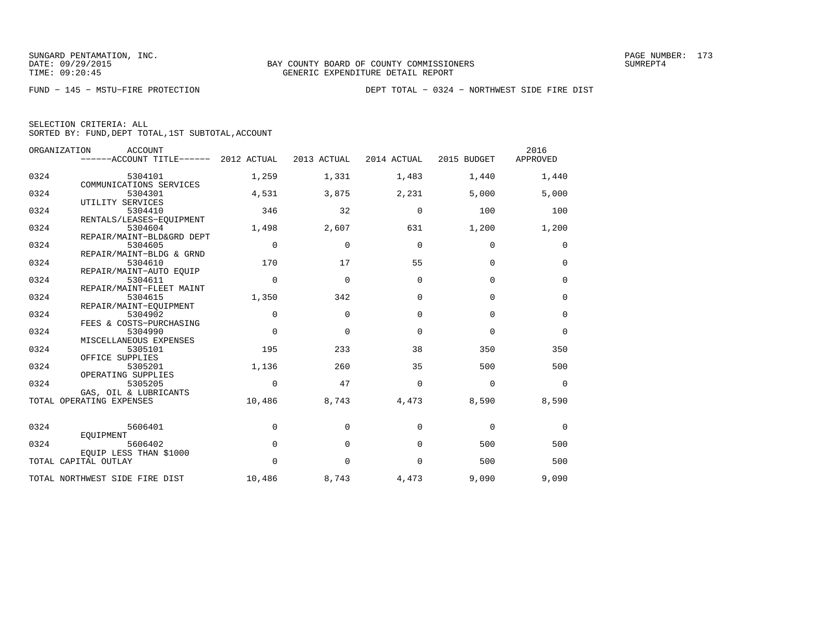FUND − 145 − MSTU−FIRE PROTECTION DEPT TOTAL − 0324 − NORTHWEST SIDE FIRE DIST

|  | SELECTION CRITERIA: ALL |                                                    |  |
|--|-------------------------|----------------------------------------------------|--|
|  |                         | SORTED BY: FUND, DEPT TOTAL, 1ST SUBTOTAL, ACCOUNT |  |

|      | ORGANIZATION<br><b>ACCOUNT</b><br>------ACCOUNT TITLE------ | 2012 ACTUAL | 2013 ACTUAL  | 2014 ACTUAL | 2015 BUDGET | 2016<br>APPROVED |
|------|-------------------------------------------------------------|-------------|--------------|-------------|-------------|------------------|
| 0324 | 5304101                                                     | 1,259       | 1,331        | 1,483       | 1,440       | 1,440            |
|      | COMMUNICATIONS SERVICES                                     |             |              |             |             |                  |
| 0324 | 5304301                                                     | 4,531       | 3,875        | 2,231       | 5,000       | 5,000            |
|      | UTILITY SERVICES                                            |             |              |             |             |                  |
| 0324 | 5304410                                                     | 346         | 32           | $\mathbf 0$ | 100         | 100              |
|      | RENTALS/LEASES-EQUIPMENT                                    |             |              |             |             |                  |
| 0324 | 5304604                                                     | 1,498       | 2,607        | 631         | 1,200       | 1,200            |
|      | REPAIR/MAINT-BLD&GRD DEPT                                   |             |              |             |             |                  |
| 0324 | 5304605                                                     | $\mathbf 0$ | $\mathbf{0}$ | $\mathbf 0$ | $\mathbf 0$ | 0                |
|      | REPAIR/MAINT-BLDG & GRND                                    |             |              |             |             |                  |
| 0324 | 5304610                                                     | 170         | 17           | 55          | $\mathbf 0$ | 0                |
|      | REPAIR/MAINT-AUTO EOUIP                                     |             |              |             |             |                  |
| 0324 | 5304611                                                     | $\mathbf 0$ | $\mathbf 0$  | $\mathbf 0$ | $\mathbf 0$ | 0                |
| 0324 | REPAIR/MAINT-FLEET MAINT<br>5304615                         | 1,350       | 342          | $\Omega$    | $\Omega$    | $\mathbf 0$      |
|      | REPAIR/MAINT-EOUIPMENT                                      |             |              |             |             |                  |
| 0324 | 5304902                                                     | $\Omega$    | $\Omega$     | $\Omega$    | $\Omega$    | $\mathbf 0$      |
|      | FEES & COSTS-PURCHASING                                     |             |              |             |             |                  |
| 0324 | 5304990                                                     | $\Omega$    | $\Omega$     | $\Omega$    | $\Omega$    | $\mathbf 0$      |
|      | MISCELLANEOUS EXPENSES                                      |             |              |             |             |                  |
| 0324 | 5305101                                                     | 195         | 233          | 38          | 350         | 350              |
|      | OFFICE SUPPLIES                                             |             |              |             |             |                  |
| 0324 | 5305201                                                     | 1,136       | 260          | 35          | 500         | 500              |
|      | OPERATING SUPPLIES                                          |             |              |             |             |                  |
| 0324 | 5305205                                                     | $\Omega$    | 47           | $\Omega$    | $\Omega$    | $\Omega$         |
|      | GAS, OIL & LUBRICANTS                                       |             |              |             |             |                  |
|      | TOTAL OPERATING EXPENSES                                    | 10,486      | 8,743        | 4,473       | 8,590       | 8,590            |
| 0324 | 5606401                                                     | 0           | $\Omega$     | $\Omega$    | $\mathbf 0$ | 0                |
|      | EOUIPMENT                                                   |             |              |             |             |                  |
| 0324 | 5606402                                                     | $\mathbf 0$ | $\mathbf{0}$ | $\Omega$    | 500         | 500              |
|      | EQUIP LESS THAN \$1000                                      |             |              |             |             |                  |
|      | TOTAL CAPITAL OUTLAY                                        | $\mathbf 0$ | $\mathbf{0}$ | $\mathbf 0$ | 500         | 500              |
|      | TOTAL NORTHWEST SIDE FIRE DIST                              | 10,486      | 8,743        | 4,473       | 9,090       | 9,090            |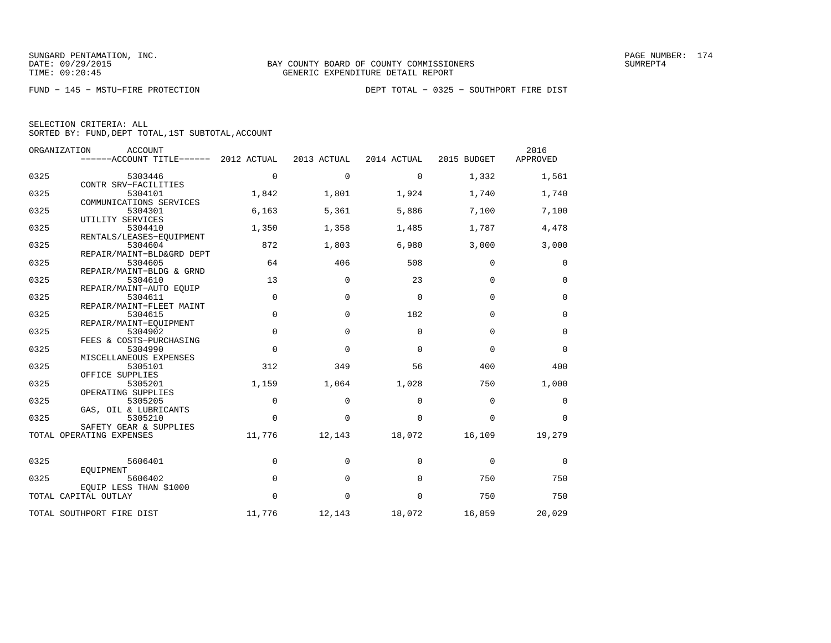| SELECTION CRITERIA: ALL |  |                                                    |  |
|-------------------------|--|----------------------------------------------------|--|
|                         |  | SORTED BY: FUND, DEPT TOTAL, 1ST SUBTOTAL, ACCOUNT |  |

|      | ORGANIZATION<br><b>ACCOUNT</b><br>$----ACCOUNT$ TITLE $----2012$ ACTUAL |             | 2013 ACTUAL | 2014 ACTUAL | 2015 BUDGET | 2016<br>APPROVED |
|------|-------------------------------------------------------------------------|-------------|-------------|-------------|-------------|------------------|
| 0325 | 5303446                                                                 | $\mathbf 0$ | $\mathbf 0$ | $\mathbf 0$ | 1,332       | 1,561            |
| 0325 | CONTR SRV-FACILITIES<br>5304101<br>COMMUNICATIONS SERVICES              | 1,842       | 1,801       | 1,924       | 1,740       | 1,740            |
| 0325 | 5304301<br>UTILITY SERVICES                                             | 6,163       | 5,361       | 5,886       | 7,100       | 7,100            |
| 0325 | 5304410<br>RENTALS/LEASES-EQUIPMENT                                     | 1,350       | 1,358       | 1,485       | 1,787       | 4,478            |
| 0325 | 5304604<br>REPAIR/MAINT-BLD&GRD DEPT                                    | 872         | 1,803       | 6,980       | 3,000       | 3,000            |
| 0325 | 5304605<br>REPAIR/MAINT-BLDG & GRND                                     | 64          | 406         | 508         | 0           | 0                |
| 0325 | 5304610<br>REPAIR/MAINT-AUTO EOUIP                                      | 13          | 0           | 23          | $\mathbf 0$ | $\mathbf 0$      |
| 0325 | 5304611<br>REPAIR/MAINT-FLEET MAINT                                     | $\Omega$    | $\Omega$    | $\Omega$    | $\Omega$    | $\mathbf 0$      |
| 0325 | 5304615<br>REPAIR/MAINT-EOUIPMENT                                       | $\mathbf 0$ | $\mathbf 0$ | 182         | $\Omega$    | $\mathbf 0$      |
| 0325 | 5304902<br>FEES & COSTS-PURCHASING                                      | 0           | $\Omega$    | $\Omega$    | $\Omega$    | $\mathbf 0$      |
| 0325 | 5304990<br>MISCELLANEOUS EXPENSES                                       | 0           | $\mathbf 0$ | $\Omega$    | $\Omega$    | $\mathbf 0$      |
| 0325 | 5305101<br>OFFICE SUPPLIES                                              | 312         | 349         | 56          | 400         | 400              |
| 0325 | 5305201<br>OPERATING SUPPLIES                                           | 1,159       | 1,064       | 1,028       | 750         | 1,000            |
| 0325 | 5305205<br>GAS, OIL & LUBRICANTS                                        | 0           | $\Omega$    | $\Omega$    | $\Omega$    | 0                |
| 0325 | 5305210<br>SAFETY GEAR & SUPPLIES                                       | $\Omega$    | $\Omega$    | $\Omega$    | $\Omega$    | $\Omega$         |
|      | TOTAL OPERATING EXPENSES                                                | 11,776      | 12,143      | 18,072      | 16,109      | 19,279           |
| 0325 | 5606401<br>EOUIPMENT                                                    | $\mathbf 0$ | $\Omega$    | $\Omega$    | $\Omega$    | $\Omega$         |
| 0325 | 5606402<br>EOUIP LESS THAN \$1000                                       | 0           | $\mathbf 0$ | $\Omega$    | 750         | 750              |
|      | TOTAL CAPITAL OUTLAY                                                    | $\Omega$    | $\Omega$    | $\Omega$    | 750         | 750              |
|      | TOTAL SOUTHPORT FIRE DIST                                               | 11,776      | 12,143      | 18,072      | 16,859      | 20,029           |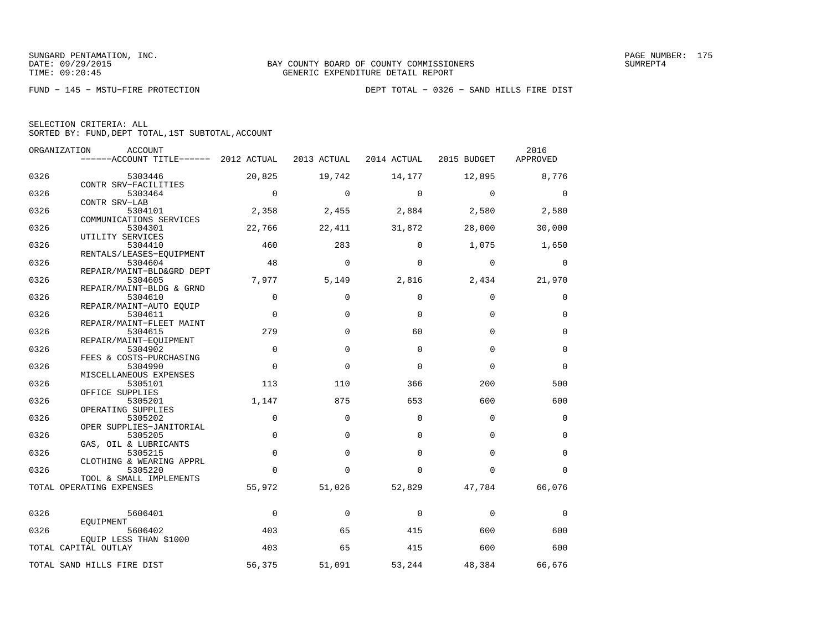|  | SELECTION CRITERIA: ALL |                                                    |  |
|--|-------------------------|----------------------------------------------------|--|
|  |                         | SORTED BY: FUND, DEPT TOTAL, 1ST SUBTOTAL, ACCOUNT |  |

|      | ORGANIZATION<br><b>ACCOUNT</b><br>------ACCOUNT TITLE------ 2012 ACTUAL |             | 2013 ACTUAL | 2014 ACTUAL  | 2015 BUDGET | 2016<br>APPROVED |
|------|-------------------------------------------------------------------------|-------------|-------------|--------------|-------------|------------------|
| 0326 | 5303446                                                                 | 20,825      | 19,742      | 14,177       | 12,895      | 8,776            |
|      | CONTR SRV-FACILITIES                                                    |             |             |              |             |                  |
| 0326 | 5303464                                                                 | $\mathbf 0$ | $\mathbf 0$ | $\mathbf 0$  | $\mathbf 0$ | $\mathbf 0$      |
|      | CONTR SRV-LAB                                                           |             |             |              |             |                  |
| 0326 | 5304101                                                                 | 2,358       | 2,455       | 2,884        | 2,580       | 2,580            |
|      | COMMUNICATIONS SERVICES                                                 |             |             |              |             |                  |
| 0326 | 5304301<br>UTILITY SERVICES                                             | 22,766      | 22,411      | 31,872       | 28,000      | 30,000           |
| 0326 | 5304410                                                                 | 460         | 283         | $\Omega$     | 1,075       | 1,650            |
|      | RENTALS/LEASES-EQUIPMENT                                                |             |             |              |             |                  |
| 0326 | 5304604                                                                 | 48          | $\Omega$    | $\mathbf 0$  | $\mathbf 0$ | $\mathbf 0$      |
|      | REPAIR/MAINT-BLD&GRD DEPT                                               |             |             |              |             |                  |
| 0326 | 5304605                                                                 | 7,977       | 5,149       | 2,816        | 2,434       | 21,970           |
|      | REPAIR/MAINT-BLDG & GRND                                                |             |             |              |             |                  |
| 0326 | 5304610                                                                 | $\Omega$    | $\Omega$    | $\Omega$     | $\Omega$    | $\mathbf 0$      |
| 0326 | REPAIR/MAINT-AUTO EQUIP<br>5304611                                      | $\mathbf 0$ | $\Omega$    | $\Omega$     | $\Omega$    | $\mathbf 0$      |
|      | REPAIR/MAINT-FLEET MAINT                                                |             |             |              |             |                  |
| 0326 | 5304615                                                                 | 279         | $\Omega$    | 60           | $\Omega$    | $\mathbf 0$      |
|      | REPAIR/MAINT-EQUIPMENT                                                  |             |             |              |             |                  |
| 0326 | 5304902                                                                 | $\Omega$    | $\mathbf 0$ | $\Omega$     | $\Omega$    | $\mathbf 0$      |
|      | FEES & COSTS-PURCHASING                                                 |             |             |              |             |                  |
| 0326 | 5304990                                                                 | $\mathbf 0$ | $\Omega$    | $\mathbf{0}$ | $\Omega$    | $\mathbf 0$      |
| 0326 | MISCELLANEOUS EXPENSES<br>5305101                                       | 113         | 110         | 366          | 200         | 500              |
|      | OFFICE SUPPLIES                                                         |             |             |              |             |                  |
| 0326 | 5305201                                                                 | 1,147       | 875         | 653          | 600         | 600              |
|      | OPERATING SUPPLIES                                                      |             |             |              |             |                  |
| 0326 | 5305202                                                                 | $\mathbf 0$ | $\Omega$    | $\Omega$     | $\Omega$    | 0                |
|      | OPER SUPPLIES-JANITORIAL                                                |             |             |              |             |                  |
| 0326 | 5305205                                                                 | $\mathbf 0$ | $\mathbf 0$ | $\Omega$     | $\Omega$    | $\mathbf 0$      |
|      | GAS, OIL & LUBRICANTS                                                   |             |             |              |             |                  |
| 0326 | 5305215<br>CLOTHING & WEARING APPRL                                     | $\mathbf 0$ | $\Omega$    | $\Omega$     | $\Omega$    | $\mathbf 0$      |
| 0326 | 5305220                                                                 | $\Omega$    | $\Omega$    | $\Omega$     | $\Omega$    | $\Omega$         |
|      | TOOL & SMALL IMPLEMENTS                                                 |             |             |              |             |                  |
|      | TOTAL OPERATING EXPENSES                                                | 55,972      | 51,026      | 52,829       | 47,784      | 66,076           |
|      |                                                                         |             |             |              |             |                  |
|      |                                                                         | $\Omega$    | $\Omega$    |              |             |                  |
| 0326 | 5606401<br>EOUIPMENT                                                    |             |             | $\Omega$     | $\mathbf 0$ | 0                |
| 0326 | 5606402                                                                 | 403         | 65          | 415          | 600         | 600              |
|      | EOUIP LESS THAN \$1000                                                  |             |             |              |             |                  |
|      | TOTAL CAPITAL OUTLAY                                                    | 403         | 65          | 415          | 600         | 600              |
|      |                                                                         |             |             |              |             |                  |
|      | TOTAL SAND HILLS FIRE DIST                                              | 56,375      | 51,091      | 53,244       | 48,384      | 66,676           |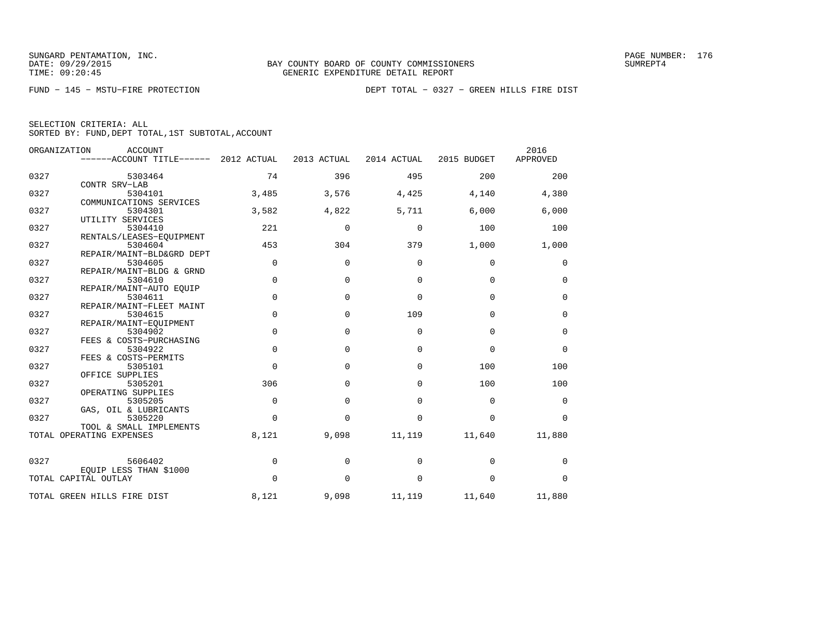|      | ORGANIZATION<br><b>ACCOUNT</b><br>------ACCOUNT TITLE------ 2012 ACTUAL |             | 2013 ACTUAL | 2014 ACTUAL | 2015 BUDGET | 2016<br>APPROVED |
|------|-------------------------------------------------------------------------|-------------|-------------|-------------|-------------|------------------|
| 0327 | 5303464                                                                 | 74          | 396         | 495         | 200         | 200              |
|      | CONTR SRV-LAB                                                           |             |             |             |             |                  |
| 0327 | 5304101                                                                 | 3,485       | 3,576       | 4,425       | 4,140       | 4,380            |
|      | COMMUNICATIONS SERVICES                                                 |             |             |             |             |                  |
| 0327 | 5304301                                                                 | 3,582       | 4,822       | 5,711       | 6,000       | 6,000            |
|      | UTILITY SERVICES                                                        |             |             |             |             |                  |
| 0327 | 5304410                                                                 | 221         | $\mathbf 0$ | $\Omega$    | 100         | 100              |
|      | RENTALS/LEASES-EQUIPMENT                                                |             |             |             |             |                  |
| 0327 | 5304604                                                                 | 453         | 304         | 379         | 1,000       | 1,000            |
| 0327 | REPAIR/MAINT-BLD&GRD DEPT<br>5304605                                    | 0           | $\Omega$    | $\Omega$    | $\mathbf 0$ |                  |
|      |                                                                         |             |             |             |             | 0                |
| 0327 | REPAIR/MAINT-BLDG & GRND<br>5304610                                     | 0           | $\mathbf 0$ | $\mathbf 0$ | $\mathbf 0$ | 0                |
|      | REPAIR/MAINT-AUTO EQUIP                                                 |             |             |             |             |                  |
| 0327 | 5304611                                                                 | $\mathbf 0$ | $\mathbf 0$ | 0           | $\mathbf 0$ | 0                |
|      | REPAIR/MAINT-FLEET MAINT                                                |             |             |             |             |                  |
| 0327 | 5304615                                                                 | 0           | $\Omega$    | 109         | $\mathbf 0$ | 0                |
|      | REPAIR/MAINT-EOUIPMENT                                                  |             |             |             |             |                  |
| 0327 | 5304902                                                                 | 0           | $\Omega$    | $\mathbf 0$ | $\mathbf 0$ | 0                |
|      | FEES & COSTS-PURCHASING                                                 |             |             |             |             |                  |
| 0327 | 5304922                                                                 | $\mathbf 0$ | $\Omega$    | $\Omega$    | $\Omega$    | $\mathbf 0$      |
|      | FEES & COSTS-PERMITS                                                    |             |             |             |             |                  |
| 0327 | 5305101                                                                 | $\Omega$    | $\Omega$    | $\Omega$    | 100         | 100              |
|      | OFFICE SUPPLIES                                                         |             |             |             |             |                  |
| 0327 | 5305201                                                                 | 306         | $\Omega$    | $\Omega$    | 100         | 100              |
|      | OPERATING SUPPLIES                                                      |             |             |             |             |                  |
| 0327 | 5305205                                                                 | 0           | $\mathbf 0$ | $\mathbf 0$ | $\mathbf 0$ | 0                |
|      | GAS, OIL & LUBRICANTS                                                   |             |             |             |             |                  |
| 0327 | 5305220                                                                 | $\Omega$    | $\Omega$    | $\Omega$    | $\Omega$    | $\Omega$         |
|      | TOOL & SMALL IMPLEMENTS                                                 |             |             |             |             |                  |
|      | TOTAL OPERATING EXPENSES                                                | 8,121       | 9,098       | 11,119      | 11,640      | 11,880           |
| 0327 | 5606402                                                                 | 0           | $\Omega$    | $\Omega$    | $\mathbf 0$ | 0                |
|      | EQUIP LESS THAN \$1000                                                  |             |             |             |             |                  |
|      | TOTAL CAPITAL OUTLAY                                                    | $\Omega$    | $\Omega$    | $\Omega$    | $\mathbf 0$ | $\Omega$         |
|      | TOTAL GREEN HILLS FIRE DIST                                             | 8,121       | 9,098       | 11,119      | 11,640      | 11,880           |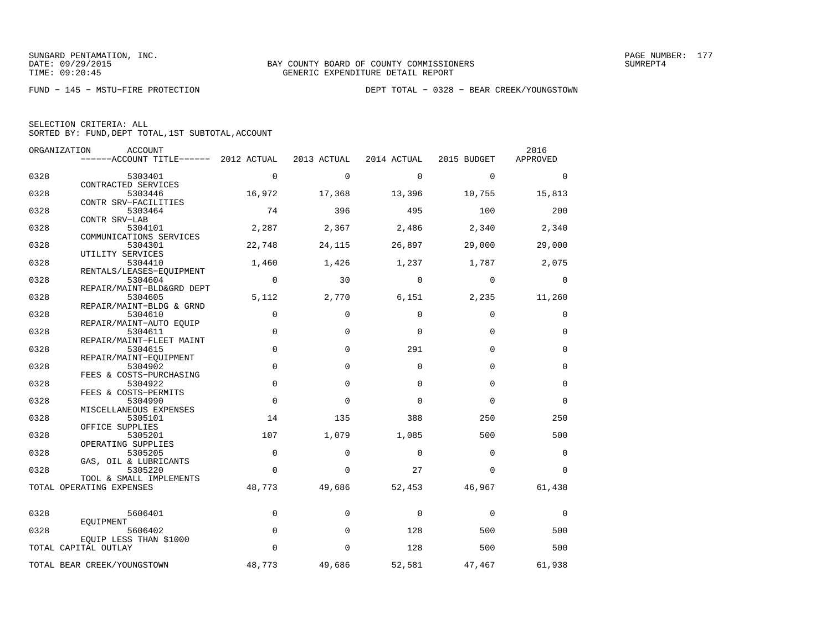|  | SELECTION CRITERIA: ALL |                                                    |
|--|-------------------------|----------------------------------------------------|
|  |                         | SORTED BY: FUND, DEPT TOTAL, 1ST SUBTOTAL, ACCOUNT |

|      | ORGANIZATION<br><b>ACCOUNT</b><br>------ACCOUNT TITLE------ 2012 ACTUAL |             | 2013 ACTUAL | 2014 ACTUAL | 2015 BUDGET | 2016<br>APPROVED |
|------|-------------------------------------------------------------------------|-------------|-------------|-------------|-------------|------------------|
| 0328 | 5303401                                                                 | $\mathbf 0$ | $\Omega$    | $\Omega$    | $\Omega$    | $\mathbf 0$      |
|      | CONTRACTED SERVICES                                                     |             |             |             |             |                  |
| 0328 | 5303446                                                                 | 16,972      | 17,368      | 13,396      | 10,755      | 15,813           |
|      | CONTR SRV-FACILITIES                                                    |             |             |             |             |                  |
| 0328 | 5303464                                                                 | 74          | 396         | 495         | 100         | 200              |
| 0328 | CONTR SRV-LAB                                                           | 2,287       | 2,367       |             | 2,340       |                  |
|      | 5304101<br>COMMUNICATIONS SERVICES                                      |             |             | 2,486       |             | 2,340            |
| 0328 | 5304301                                                                 | 22,748      | 24,115      | 26,897      | 29,000      | 29,000           |
|      | UTILITY SERVICES                                                        |             |             |             |             |                  |
| 0328 | 5304410                                                                 | 1,460       | 1,426       | 1,237       | 1,787       | 2,075            |
|      | RENTALS/LEASES-EQUIPMENT                                                |             |             |             |             |                  |
| 0328 | 5304604                                                                 | $\mathbf 0$ | 30          | $\Omega$    | $\Omega$    | $\Omega$         |
| 0328 | REPAIR/MAINT-BLD&GRD DEPT<br>5304605                                    | 5,112       | 2,770       | 6,151       |             |                  |
|      | REPAIR/MAINT-BLDG & GRND                                                |             |             |             | 2,235       | 11,260           |
| 0328 | 5304610                                                                 | $\mathbf 0$ | $\Omega$    | $\Omega$    | $\Omega$    | 0                |
|      | REPAIR/MAINT-AUTO EQUIP                                                 |             |             |             |             |                  |
| 0328 | 5304611                                                                 | $\Omega$    | $\Omega$    | $\Omega$    | $\Omega$    | $\Omega$         |
|      | REPAIR/MAINT-FLEET MAINT                                                |             |             |             |             |                  |
| 0328 | 5304615                                                                 | $\mathbf 0$ | $\mathbf 0$ | 291         | $\Omega$    | $\mathbf 0$      |
| 0328 | REPAIR/MAINT-EOUIPMENT<br>5304902                                       | $\mathbf 0$ | $\Omega$    | $\mathbf 0$ | $\Omega$    | $\mathbf 0$      |
|      | FEES & COSTS-PURCHASING                                                 |             |             |             |             |                  |
| 0328 | 5304922                                                                 | $\mathbf 0$ | $\Omega$    | $\Omega$    | $\Omega$    | $\mathbf 0$      |
|      | FEES & COSTS-PERMITS                                                    |             |             |             |             |                  |
| 0328 | 5304990                                                                 | $\Omega$    | $\Omega$    | $\Omega$    | $\Omega$    | $\Omega$         |
| 0328 | MISCELLANEOUS EXPENSES<br>5305101                                       | 14          | 135         | 388         | 250         | 250              |
|      | OFFICE SUPPLIES                                                         |             |             |             |             |                  |
| 0328 | 5305201                                                                 | 107         | 1,079       | 1,085       | 500         | 500              |
|      | OPERATING SUPPLIES                                                      |             |             |             |             |                  |
| 0328 | 5305205                                                                 | $\mathbf 0$ | $\mathbf 0$ | $\Omega$    | $\Omega$    | $\mathbf 0$      |
|      | GAS, OIL & LUBRICANTS                                                   |             |             |             |             |                  |
| 0328 | 5305220<br>TOOL & SMALL IMPLEMENTS                                      | $\mathbf 0$ | $\Omega$    | 27          | $\Omega$    | $\Omega$         |
|      | TOTAL OPERATING EXPENSES                                                | 48,773      | 49,686      | 52,453      | 46,967      | 61,438           |
|      |                                                                         |             |             |             |             |                  |
| 0328 | 5606401                                                                 | $\mathbf 0$ | 0           | 0           | 0           | 0                |
|      | EOUIPMENT                                                               |             |             |             |             |                  |
| 0328 | 5606402<br>EQUIP LESS THAN \$1000                                       | $\mathbf 0$ | 0           | 128         | 500         | 500              |
|      | TOTAL CAPITAL OUTLAY                                                    | $\Omega$    | $\Omega$    | 128         | 500         | 500              |
|      |                                                                         |             |             |             |             |                  |
|      | TOTAL BEAR CREEK/YOUNGSTOWN                                             | 48,773      | 49,686      | 52,581      | 47,467      | 61,938           |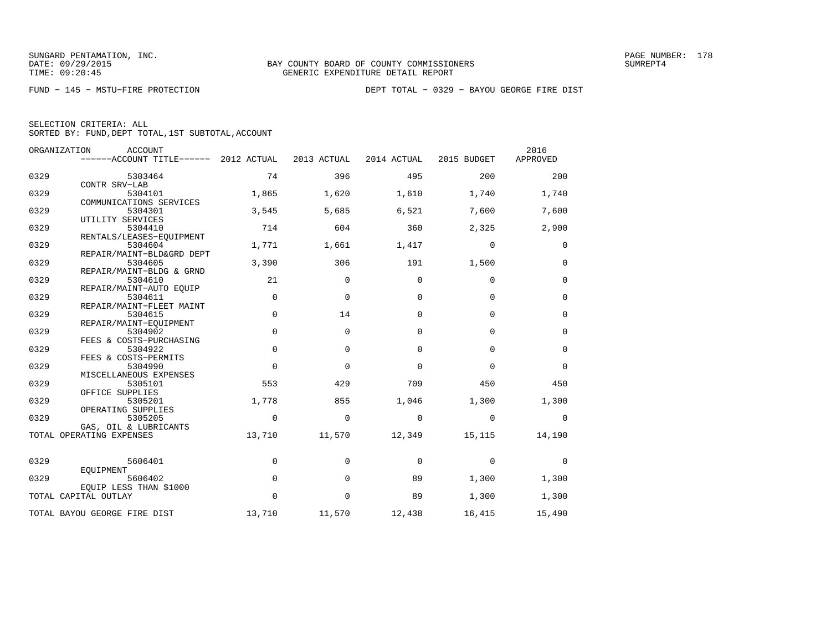| ORGANIZATION | <b>ACCOUNT</b><br>------ACCOUNT TITLE------ | 2012 ACTUAL | 2013 ACTUAL | 2014 ACTUAL | 2015 BUDGET | 2016<br>APPROVED |
|--------------|---------------------------------------------|-------------|-------------|-------------|-------------|------------------|
| 0329         | 5303464                                     | 74          | 396         | 495         | 200         | 200              |
| 0329         | CONTR SRV-LAB<br>5304101                    | 1,865       | 1,620       | 1,610       | 1,740       | 1,740            |
|              | COMMUNICATIONS SERVICES                     |             |             |             |             |                  |
| 0329         | 5304301<br>UTILITY SERVICES                 | 3,545       | 5,685       | 6,521       | 7,600       | 7,600            |
| 0329         | 5304410<br>RENTALS/LEASES-EQUIPMENT         | 714         | 604         | 360         | 2,325       | 2,900            |
| 0329         | 5304604                                     | 1,771       | 1,661       | 1,417       | $\mathbf 0$ | $\mathbf 0$      |
| 0329         | REPAIR/MAINT-BLD&GRD DEPT<br>5304605        | 3,390       | 306         | 191         | 1,500       | $\mathbf 0$      |
| 0329         | REPAIR/MAINT-BLDG & GRND<br>5304610         | 21          | 0           | $\Omega$    | $\mathbf 0$ | $\mathbf 0$      |
| 0329         | REPAIR/MAINT-AUTO EOUIP<br>5304611          | $\mathbf 0$ | $\mathbf 0$ | $\mathbf 0$ | $\mathbf 0$ | $\mathbf 0$      |
|              | REPAIR/MAINT-FLEET MAINT                    |             |             |             |             |                  |
| 0329         | 5304615<br>REPAIR/MAINT-EOUIPMENT           | $\mathbf 0$ | 14          | $\Omega$    | $\mathbf 0$ | 0                |
| 0329         | 5304902<br>FEES & COSTS-PURCHASING          | $\mathbf 0$ | $\mathbf 0$ | $\Omega$    | $\Omega$    | $\mathbf 0$      |
| 0329         | 5304922                                     | $\Omega$    | $\Omega$    | $\Omega$    | $\Omega$    | $\Omega$         |
| 0329         | FEES & COSTS-PERMITS<br>5304990             | $\mathbf 0$ | $\mathbf 0$ | $\mathbf 0$ | $\mathbf 0$ | $\mathbf 0$      |
| 0329         | MISCELLANEOUS EXPENSES<br>5305101           | 553         | 429         | 709         | 450         | 450              |
| 0329         | OFFICE SUPPLIES<br>5305201                  | 1,778       | 855         | 1,046       | 1,300       | 1,300            |
|              | OPERATING SUPPLIES                          |             |             |             |             |                  |
| 0329         | 5305205<br>GAS, OIL & LUBRICANTS            | $\Omega$    | $\Omega$    | $\Omega$    | $\Omega$    | $\Omega$         |
|              | TOTAL OPERATING EXPENSES                    | 13,710      | 11,570      | 12,349      | 15,115      | 14,190           |
| 0329         | 5606401                                     | $\mathbf 0$ | $\Omega$    | $\Omega$    | $\Omega$    | $\Omega$         |
| 0329         | EQUIPMENT<br>5606402                        | $\mathbf 0$ | $\Omega$    | 89          | 1,300       | 1,300            |
|              | EOUIP LESS THAN \$1000                      |             |             |             |             |                  |
|              | TOTAL CAPITAL OUTLAY                        | $\mathbf 0$ | $\mathbf 0$ | 89          | 1,300       | 1,300            |
|              | TOTAL BAYOU GEORGE FIRE DIST                | 13,710      | 11,570      | 12,438      | 16,415      | 15,490           |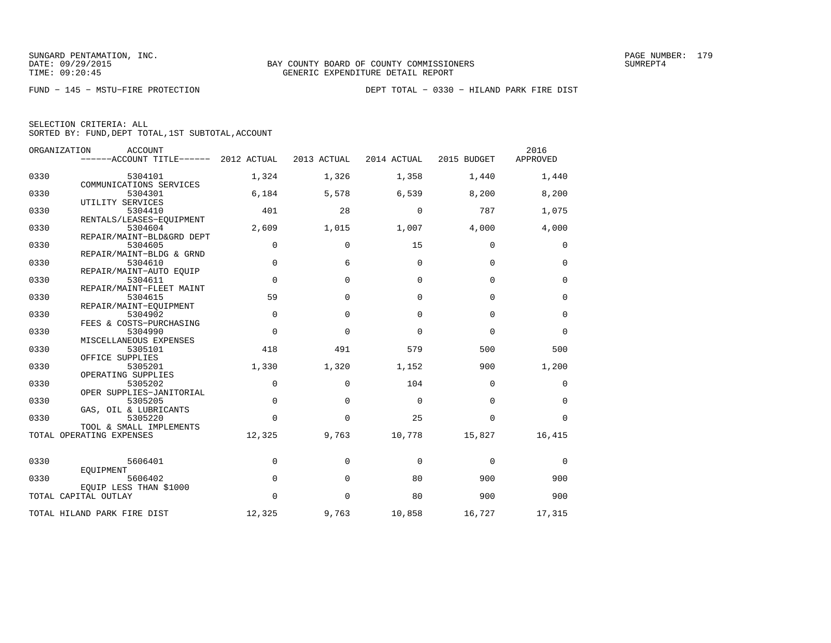|  | SELECTION CRITERIA: ALL |                                                    |  |
|--|-------------------------|----------------------------------------------------|--|
|  |                         | SORTED BY: FUND, DEPT TOTAL, 1ST SUBTOTAL, ACCOUNT |  |

|      | ORGANIZATION<br>ACCOUNT<br>------ACCOUNT TITLE------ 2012 ACTUAL |             | 2013 ACTUAL       | 2014 ACTUAL  | 2015 BUDGET | 2016<br>APPROVED |
|------|------------------------------------------------------------------|-------------|-------------------|--------------|-------------|------------------|
| 0330 | 5304101                                                          | 1,324       | 1,326             | 1,358        | 1,440       | 1,440            |
| 0330 | COMMUNICATIONS SERVICES<br>5304301                               | 6,184       | 5,578             | 6,539        | 8,200       | 8,200            |
| 0330 | UTILITY SERVICES<br>5304410<br>RENTALS/LEASES-EOUIPMENT          | 401         | 28                | $\mathbf 0$  | 787         | 1,075            |
| 0330 | 5304604<br>REPAIR/MAINT-BLD&GRD DEPT                             | 2,609       | 1,015             | 1,007        | 4,000       | 4,000            |
| 0330 | 5304605<br>REPAIR/MAINT-BLDG & GRND                              | 0           | 0                 | 15           | 0           | 0                |
| 0330 | 5304610<br>REPAIR/MAINT-AUTO EQUIP                               | $\Omega$    | 6                 | $\Omega$     | $\Omega$    | $\mathbf 0$      |
| 0330 | 5304611<br>REPAIR/MAINT-FLEET MAINT                              | $\mathbf 0$ | $\Omega$          | $\Omega$     | $\Omega$    | $\mathbf 0$      |
| 0330 | 5304615<br>REPAIR/MAINT-EOUIPMENT                                | 59          | $\Omega$          | $\Omega$     | $\mathbf 0$ | $\mathbf 0$      |
| 0330 | 5304902<br>FEES & COSTS-PURCHASING                               | $\mathbf 0$ | $\mathbf 0$       | $\Omega$     | $\Omega$    | $\mathbf 0$      |
| 0330 | 5304990<br>MISCELLANEOUS EXPENSES                                | $\Omega$    | $\Omega$          | $\Omega$     | $\Omega$    | $\Omega$         |
| 0330 | 5305101<br>OFFICE SUPPLIES                                       | 418         | 491               | 579          | 500         | 500              |
| 0330 | 5305201<br>OPERATING SUPPLIES                                    | 1,330       | 1,320             | 1,152        | 900         | 1,200            |
| 0330 | 5305202<br>OPER SUPPLIES-JANITORIAL                              | 0           | $\Omega$          | 104          | $\Omega$    | 0                |
| 0330 | 5305205<br>GAS, OIL & LUBRICANTS                                 | $\Omega$    | $\Omega$          | $\Omega$     | $\Omega$    | $\mathbf 0$      |
| 0330 | 5305220<br>TOOL & SMALL IMPLEMENTS<br>TOTAL OPERATING EXPENSES   | $\Omega$    | $\Omega$<br>9,763 | 25<br>10,778 | $\Omega$    | $\Omega$         |
|      |                                                                  | 12,325      |                   |              | 15,827      | 16,415           |
| 0330 | 5606401<br>EQUIPMENT                                             | 0           | $\Omega$          | $\Omega$     | $\mathbf 0$ | 0                |
| 0330 | 5606402<br>EQUIP LESS THAN \$1000                                | 0           | $\mathbf 0$       | 80           | 900         | 900              |
|      | TOTAL CAPITAL OUTLAY                                             | $\Omega$    | $\Omega$          | 80           | 900         | 900              |
|      | TOTAL HILAND PARK FIRE DIST                                      | 12,325      | 9,763             | 10,858       | 16,727      | 17,315           |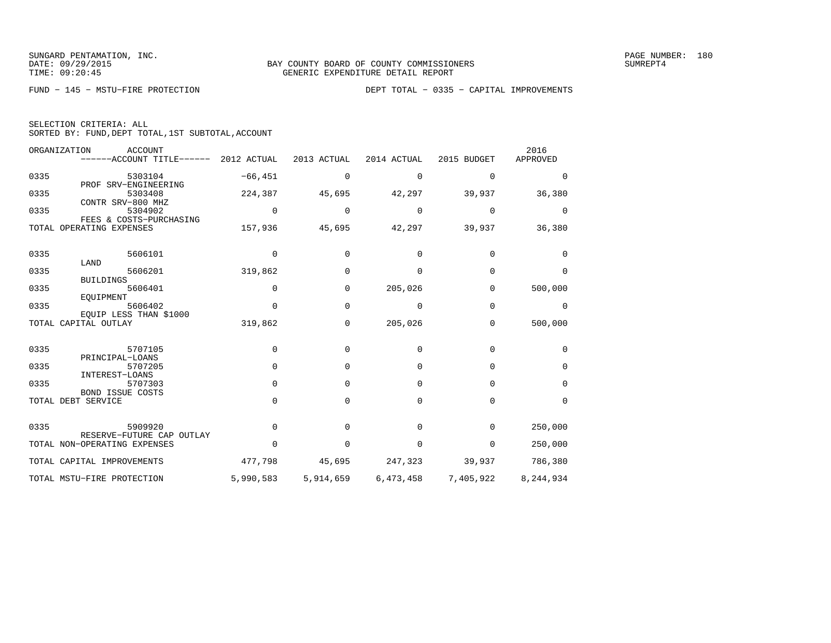| SELECTION CRITERIA: ALL |  |  |  |  |  |                                                    |  |  |  |
|-------------------------|--|--|--|--|--|----------------------------------------------------|--|--|--|
|                         |  |  |  |  |  | SORTED BY: FUND, DEPT TOTAL, 1ST SUBTOTAL, ACCOUNT |  |  |  |

|      | ORGANIZATION<br><b>ACCOUNT</b><br>------ACCOUNT TITLE------ | 2012 ACTUAL | 2013 ACTUAL | 2014 ACTUAL | 2015 BUDGET | 2016<br>APPROVED |
|------|-------------------------------------------------------------|-------------|-------------|-------------|-------------|------------------|
| 0335 | 5303104                                                     | $-66, 451$  | 0           | 0           | $\Omega$    | $\Omega$         |
| 0335 | PROF SRV-ENGINEERING<br>5303408<br>CONTR SRV-800 MHZ        | 224,387     | 45,695      | 42,297      | 39,937      | 36,380           |
| 0335 | 5304902<br>FEES & COSTS-PURCHASING                          | $\mathbf 0$ | 0           | 0           | 0           | 0                |
|      | TOTAL OPERATING EXPENSES                                    | 157,936     | 45,695      | 42,297      | 39,937      | 36,380           |
| 0335 | 5606101<br>LAND                                             | 0           | U           | 0           | $\Omega$    | $\Omega$         |
| 0335 | 5606201                                                     | 319,862     | 0           | 0           | $\Omega$    | $\Omega$         |
| 0335 | <b>BUILDINGS</b><br>5606401<br>EQUIPMENT                    | $\mathbf 0$ | 0           | 205,026     | 0           | 500,000          |
| 0335 | 5606402<br>EQUIP LESS THAN \$1000                           | $\mathbf 0$ | $\Omega$    | $\Omega$    | $\Omega$    | 0                |
|      | TOTAL CAPITAL OUTLAY                                        | 319,862     | 0           | 205,026     | 0           | 500,000          |
| 0335 | 5707105                                                     | $\mathbf 0$ | 0           | 0           | $\mathbf 0$ | 0                |
| 0335 | PRINCIPAL-LOANS<br>5707205<br>INTEREST-LOANS                | $\mathbf 0$ | $\Omega$    | 0           | 0           | $\mathbf 0$      |
| 0335 | 5707303<br>BOND ISSUE COSTS                                 | 0           | $\Omega$    | $\Omega$    | $\Omega$    | $\Omega$         |
|      | TOTAL DEBT SERVICE                                          | $\Omega$    | 0           | $\Omega$    | $\Omega$    | $\Omega$         |
| 0335 | 5909920                                                     | 0           |             | $\Omega$    | $\Omega$    | 250,000          |
|      | RESERVE-FUTURE CAP OUTLAY<br>TOTAL NON-OPERATING EXPENSES   | $\Omega$    | 0           | 0           | 0           | 250,000          |
|      | TOTAL CAPITAL IMPROVEMENTS                                  | 477,798     | 45,695      | 247,323     | 39,937      | 786,380          |
|      | TOTAL MSTU-FIRE PROTECTION                                  | 5,990,583   | 5,914,659   | 6,473,458   | 7,405,922   | 8,244,934        |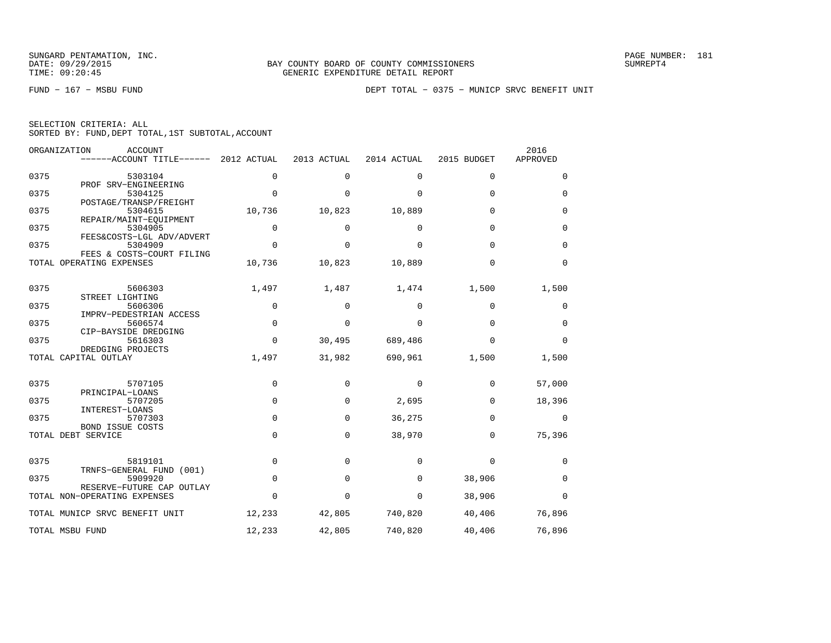|  | SELECTION CRITERIA: ALL |                                                    |  |
|--|-------------------------|----------------------------------------------------|--|
|  |                         | SORTED BY: FUND, DEPT TOTAL, 1ST SUBTOTAL, ACCOUNT |  |

|      | ORGANIZATION<br><b>ACCOUNT</b><br>$----ACCOUNT$ TITLE $----2012$ ACTUAL |             | 2013 ACTUAL | 2014 ACTUAL | 2015 BUDGET | 2016<br>APPROVED |
|------|-------------------------------------------------------------------------|-------------|-------------|-------------|-------------|------------------|
| 0375 | 5303104                                                                 | $\Omega$    | $\Omega$    | $\Omega$    | $\Omega$    | $\Omega$         |
| 0375 | PROF SRV-ENGINEERING<br>5304125                                         | $\Omega$    | $\Omega$    | $\Omega$    | $\mathbf 0$ | $\mathbf 0$      |
|      | POSTAGE/TRANSP/FREIGHT                                                  |             |             |             |             |                  |
| 0375 | 5304615<br>REPAIR/MAINT-EQUIPMENT                                       | 10,736      | 10,823      | 10,889      | $\mathbf 0$ | 0                |
| 0375 | 5304905                                                                 | $\Omega$    | $\Omega$    | $\Omega$    | $\Omega$    | $\mathbf 0$      |
| 0375 | FEES&COSTS-LGL ADV/ADVERT<br>5304909<br>FEES & COSTS-COURT FILING       | $\mathbf 0$ | $\Omega$    | $\Omega$    | $\mathbf 0$ | 0                |
|      | TOTAL OPERATING EXPENSES                                                | 10,736      | 10,823      | 10,889      | $\mathbf 0$ | $\mathbf 0$      |
| 0375 | 5606303                                                                 | 1,497       | 1,487       | 1,474       | 1,500       | 1,500            |
| 0375 | STREET LIGHTING<br>5606306                                              | $\mathbf 0$ | $\Omega$    | 0           | $\mathbf 0$ | 0                |
|      | IMPRV-PEDESTRIAN ACCESS                                                 |             |             |             |             |                  |
| 0375 | 5606574<br>CIP-BAYSIDE DREDGING                                         | $\mathbf 0$ | $\mathbf 0$ | 0           | $\mathbf 0$ | $\mathbf 0$      |
| 0375 | 5616303                                                                 | $\mathbf 0$ | 30,495      | 689,486     | $\Omega$    | $\Omega$         |
|      | DREDGING PROJECTS<br>TOTAL CAPITAL OUTLAY                               | 1,497       | 31,982      | 690,961     | 1,500       | 1,500            |
| 0375 | 5707105                                                                 | $\mathbf 0$ | $\Omega$    | 0           | 0           | 57,000           |
| 0375 | PRINCIPAL-LOANS<br>5707205                                              | 0           | 0           | 2,695       | $\mathbf 0$ | 18,396           |
| 0375 | INTEREST-LOANS<br>5707303<br><b>BOND ISSUE COSTS</b>                    | $\mathbf 0$ | $\Omega$    | 36,275      | $\mathbf 0$ | $\mathbf 0$      |
|      | TOTAL DEBT SERVICE                                                      | $\mathbf 0$ | $\Omega$    | 38,970      | $\mathbf 0$ | 75,396           |
| 0375 | 5819101                                                                 | $\mathbf 0$ | $\Omega$    | 0           | 0           | 0                |
| 0375 | TRNFS-GENERAL FUND (001)<br>5909920                                     | 0           | $\mathbf 0$ | 0           | 38,906      | 0                |
|      | RESERVE-FUTURE CAP OUTLAY<br>TOTAL NON-OPERATING EXPENSES               | $\Omega$    | $\Omega$    | $\mathbf 0$ | 38,906      | $\Omega$         |
|      | TOTAL MUNICP SRVC BENEFIT UNIT                                          | 12,233      | 42,805      | 740,820     | 40,406      | 76,896           |
|      | TOTAL MSBU FUND                                                         | 12,233      | 42,805      | 740,820     | 40,406      | 76,896           |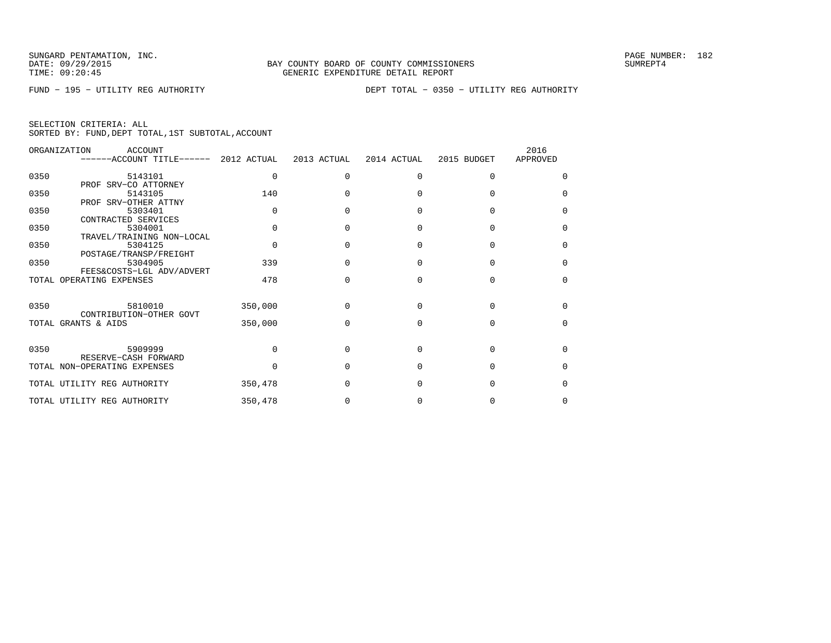| SELECTION CRITERIA: ALL |  |  |                                                    |  |
|-------------------------|--|--|----------------------------------------------------|--|
|                         |  |  | SORTED BY: FUND, DEPT TOTAL, 1ST SUBTOTAL, ACCOUNT |  |

|      | ORGANIZATION<br>ACCOUNT<br>------ACCOUNT TITLE------ 2012 ACTUAL |          | 2013 ACTUAL | 2014 ACTUAL | 2015 BUDGET | 2016<br>APPROVED |
|------|------------------------------------------------------------------|----------|-------------|-------------|-------------|------------------|
| 0350 | 5143101                                                          | $\Omega$ | $\Omega$    | $\Omega$    | $\Omega$    | <sup>0</sup>     |
| 0350 | PROF SRV-CO ATTORNEY<br>5143105                                  | 140      |             |             |             | $\Omega$         |
| 0350 | PROF SRV-OTHER ATTNY<br>5303401                                  | $\Omega$ |             |             | $\cap$      | $\Omega$         |
|      | CONTRACTED SERVICES                                              |          |             |             |             | $\Omega$         |
| 0350 | 5304001<br>TRAVEL/TRAINING NON-LOCAL                             |          |             |             |             |                  |
| 0350 | 5304125<br>POSTAGE/TRANSP/FREIGHT                                | $\cap$   | U           |             | O           | $\Omega$         |
| 0350 | 5304905<br>FEES&COSTS-LGL ADV/ADVERT                             | 339      | U           |             | U           | $\Omega$         |
|      | TOTAL OPERATING EXPENSES                                         | 478      |             |             | U           | $\Omega$         |
| 0350 | 5810010                                                          | 350,000  | U           | U           | U           | <sup>0</sup>     |
|      | CONTRIBUTION-OTHER GOVT                                          |          |             |             |             |                  |
|      | TOTAL GRANTS & AIDS                                              | 350,000  | U           | U           | U           | <sup>0</sup>     |
| 0350 | 5909999                                                          |          | U           | U           | $\Omega$    | <sup>0</sup>     |
|      | RESERVE-CASH FORWARD<br>TOTAL NON-OPERATING EXPENSES             |          |             |             | U           | 0                |
|      | TOTAL UTILITY REG AUTHORITY                                      | 350,478  |             |             | U           | $\Omega$         |
|      | TOTAL UTILITY REG AUTHORITY                                      | 350,478  |             |             |             | 0                |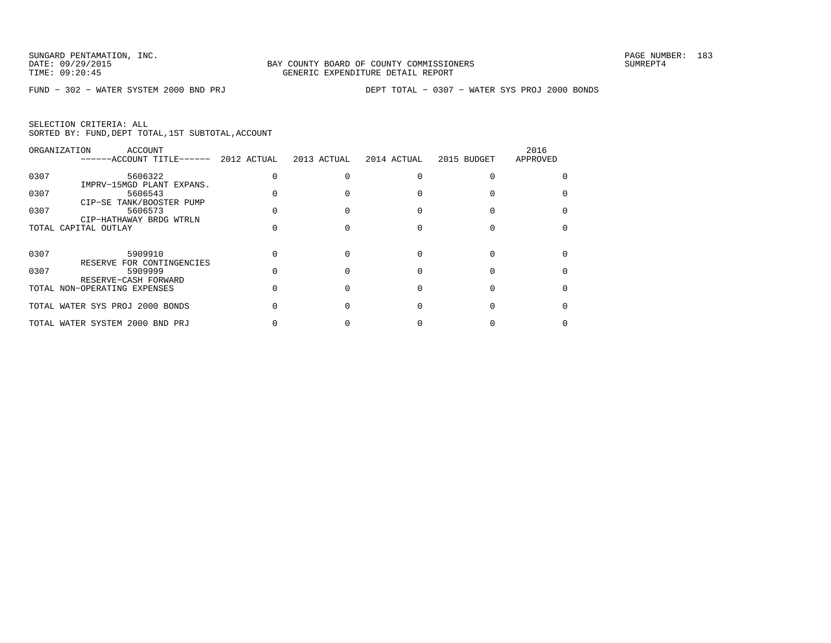|      | ORGANIZATION<br>ACCOUNT<br>------ACCOUNT TITLE------ 2012 ACTUAL 2013 ACTUAL |  | 2014 ACTUAL | 2015 BUDGET | 2016<br>APPROVED |
|------|------------------------------------------------------------------------------|--|-------------|-------------|------------------|
| 0307 | 5606322<br>IMPRV-15MGD PLANT EXPANS.                                         |  |             |             |                  |
| 0307 | 5606543<br>CIP-SE TANK/BOOSTER PUMP                                          |  |             |             |                  |
| 0307 | 5606573<br>CIP-HATHAWAY BRDG WTRLN                                           |  |             |             |                  |
|      | TOTAL CAPITAL OUTLAY                                                         |  |             |             |                  |
| 0307 | 5909910<br>RESERVE FOR CONTINGENCIES                                         |  |             |             |                  |
| 0307 | 5909999                                                                      |  |             |             |                  |
|      | RESERVE-CASH FORWARD<br>TOTAL NON-OPERATING EXPENSES                         |  |             |             |                  |
|      | TOTAL WATER SYS PROJ 2000 BONDS                                              |  |             |             |                  |
|      | TOTAL WATER SYSTEM 2000 BND PRJ                                              |  |             |             |                  |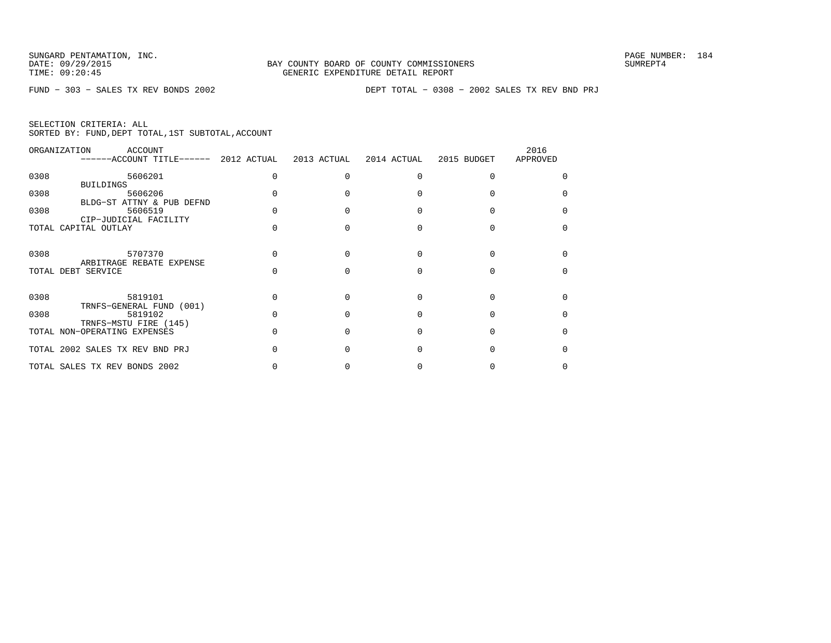| ORGANIZATION | ACCOUNT<br>$----ACCOUNT$ TITLE $----$ 2012 ACTUAL | 2013 ACTUAL | 2014 ACTUAL | 2015 BUDGET | 2016<br>APPROVED |
|--------------|---------------------------------------------------|-------------|-------------|-------------|------------------|
| 0308         | 5606201<br><b>BUILDINGS</b>                       |             |             |             |                  |
| 0308         | 5606206<br>BLDG-ST ATTNY & PUB DEFND              |             |             |             |                  |
| 0308         | 5606519<br>CIP-JUDICIAL FACILITY                  |             |             |             |                  |
|              | TOTAL CAPITAL OUTLAY                              |             |             |             |                  |
| 0308         | 5707370<br>ARBITRAGE REBATE EXPENSE               |             |             |             |                  |
|              | TOTAL DEBT SERVICE                                |             |             |             |                  |
| 0308         | 5819101<br>TRNFS-GENERAL FUND (001)               |             |             |             |                  |
| 0308         | 5819102<br>TRNFS-MSTU FIRE (145)                  |             |             |             |                  |
|              | TOTAL NON-OPERATING EXPENSES                      |             |             |             |                  |
|              | TOTAL 2002 SALES TX REV BND PRJ                   |             |             |             |                  |
|              | TOTAL SALES TX REV BONDS 2002                     |             |             |             |                  |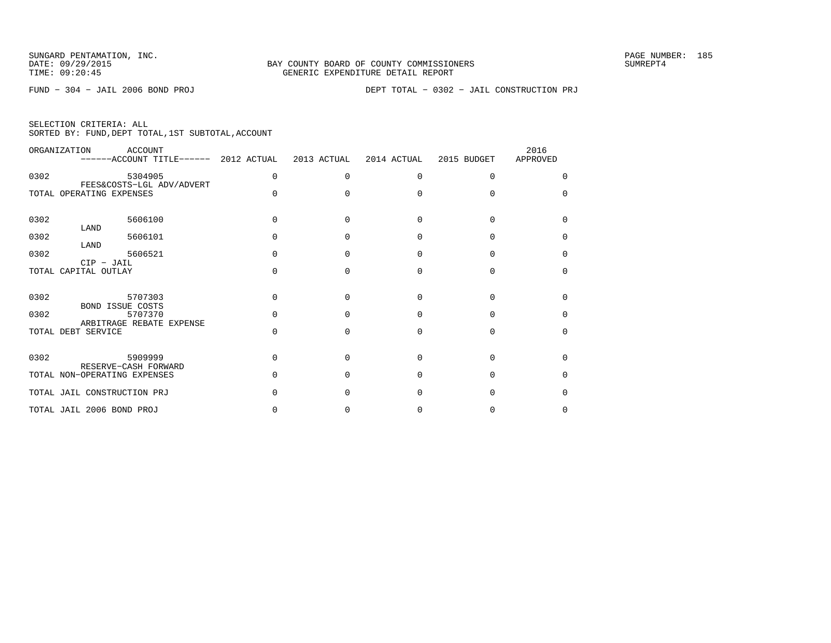FUND − 304 − JAIL 2006 BOND PROJ DEPT TOTAL − 0302 − JAIL CONSTRUCTION PRJ

|  | SELECTION CRITERIA: ALL |  |                                                    |
|--|-------------------------|--|----------------------------------------------------|
|  |                         |  | SORTED BY: FUND, DEPT TOTAL, 1ST SUBTOTAL, ACCOUNT |

|      | ORGANIZATION                         | <b>ACCOUNT</b><br>------ACCOUNT TITLE------ 2012 ACTUAL |          | 2013 ACTUAL  | 2014 ACTUAL | 2015 BUDGET  | 2016<br>APPROVED |
|------|--------------------------------------|---------------------------------------------------------|----------|--------------|-------------|--------------|------------------|
| 0302 |                                      | 5304905                                                 | $\Omega$ | <sup>0</sup> | $\Omega$    | 0            |                  |
|      | TOTAL OPERATING EXPENSES             | FEES&COSTS-LGL ADV/ADVERT                               | $\Omega$ | n            | $\Omega$    |              |                  |
| 0302 | LAND                                 | 5606100                                                 | $\Omega$ | $\Omega$     | $\Omega$    | <sup>0</sup> | <sup>n</sup>     |
| 0302 | LAND                                 | 5606101                                                 | $\cap$   | U            | $\Omega$    |              | <sup>0</sup>     |
| 0302 |                                      | 5606521                                                 | $\cap$   | n            | $\Omega$    |              | <sup>0</sup>     |
|      | $CIP$ - JAIL<br>TOTAL CAPITAL OUTLAY |                                                         | $\Omega$ | $\Omega$     | $\Omega$    | $\Omega$     | <sup>0</sup>     |
| 0302 | BOND ISSUE COSTS                     | 5707303                                                 | $\cap$   | U            | $\Omega$    | U            | U                |
| 0302 |                                      | 5707370<br>ARBITRAGE REBATE EXPENSE                     |          | n            | $\cap$      |              | U                |
|      | TOTAL DEBT SERVICE                   |                                                         | $\Omega$ | $\Omega$     | $\Omega$    | $\Omega$     | <sup>0</sup>     |
| 0302 | RESERVE-CASH FORWARD                 | 5909999                                                 | $\cap$   | U            | $\cap$      | U            | <sup>n</sup>     |
|      | TOTAL NON-OPERATING EXPENSES         |                                                         |          | n            | $\Omega$    | U            | <sup>0</sup>     |
|      | TOTAL JAIL CONSTRUCTION PRJ          |                                                         |          | C            | $\Omega$    | $\cap$       | <sup>0</sup>     |
|      | TOTAL JAIL 2006 BOND PROJ            |                                                         |          |              | O           |              | <sup>0</sup>     |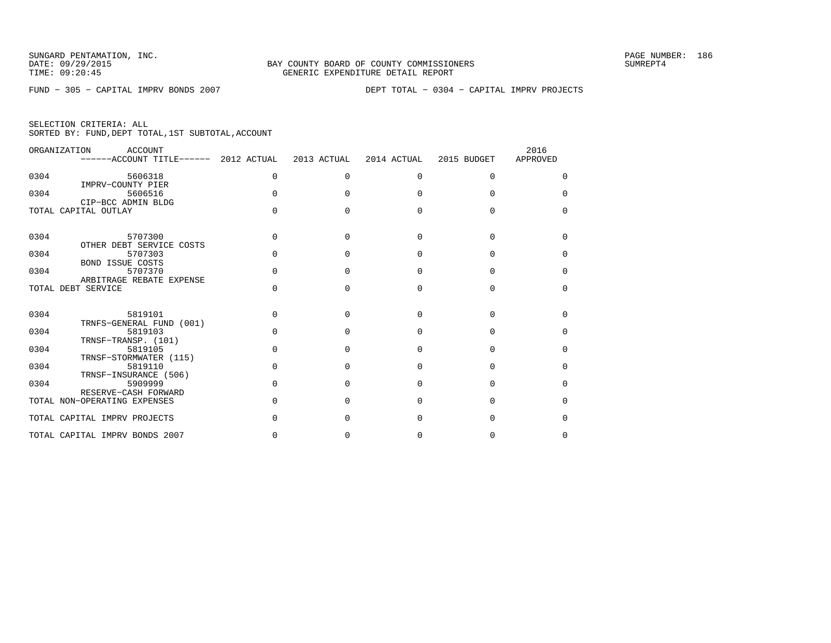|  | SELECTION CRITERIA: ALL |                                                    |  |
|--|-------------------------|----------------------------------------------------|--|
|  |                         | SORTED BY: FUND, DEPT TOTAL, 1ST SUBTOTAL, ACCOUNT |  |

|      | ORGANIZATION<br>ACCOUNT<br>------ACCOUNT TITLE------ 2012 ACTUAL |              | 2013 ACTUAL | 2014 ACTUAL | 2015 BUDGET  | 2016<br>APPROVED |
|------|------------------------------------------------------------------|--------------|-------------|-------------|--------------|------------------|
|      |                                                                  |              |             |             |              |                  |
| 0304 | 5606318<br>IMPRV-COUNTY PIER                                     | <sup>0</sup> | $\Omega$    | $\Omega$    | $\Omega$     | $\Omega$         |
| 0304 | 5606516                                                          |              |             | ∩           | U            | U                |
|      | CIP-BCC ADMIN BLDG<br>TOTAL CAPITAL OUTLAY                       |              | U           | U           | $\Omega$     |                  |
|      |                                                                  |              |             |             |              |                  |
| 0304 | 5707300<br>OTHER DEBT SERVICE COSTS                              | $\cap$       | U           | U           | <sup>n</sup> | U                |
| 0304 | 5707303<br><b>BOND ISSUE COSTS</b>                               |              |             |             | $\cap$       | <sup>0</sup>     |
| 0304 | 5707370                                                          | $\cap$       | U           | $\Omega$    | $\Omega$     | <sup>n</sup>     |
|      | ARBITRAGE REBATE EXPENSE<br>TOTAL DEBT SERVICE                   |              | U           | $\Omega$    | $\Omega$     | <sup>0</sup>     |
|      |                                                                  |              |             |             |              |                  |
| 0304 | 5819101<br>TRNFS-GENERAL FUND (001)                              | U            |             | U           | $\cap$       | <sup>n</sup>     |
| 0304 | 5819103                                                          |              |             | U           | $\Omega$     | <sup>0</sup>     |
| 0304 | TRNSF-TRANSP. (101)<br>5819105                                   |              | U           | O           | $\Omega$     | <sup>n</sup>     |
| 0304 | TRNSF-STORMWATER (115)<br>5819110                                | $\cap$       | U           | $\Omega$    | $\Omega$     | <sup>0</sup>     |
| 0304 | TRNSF-INSURANCE (506)<br>5909999                                 |              | U           | U           | <sup>n</sup> | <sup>0</sup>     |
|      | RESERVE-CASH FORWARD                                             |              |             |             |              |                  |
|      | TOTAL NON-OPERATING EXPENSES                                     |              |             | U           | <sup>n</sup> | <sup>0</sup>     |
|      | TOTAL CAPITAL IMPRV PROJECTS                                     |              |             |             | $\Omega$     | <sup>0</sup>     |
|      | TOTAL CAPITAL IMPRV BONDS 2007                                   |              |             | U           | U            | U                |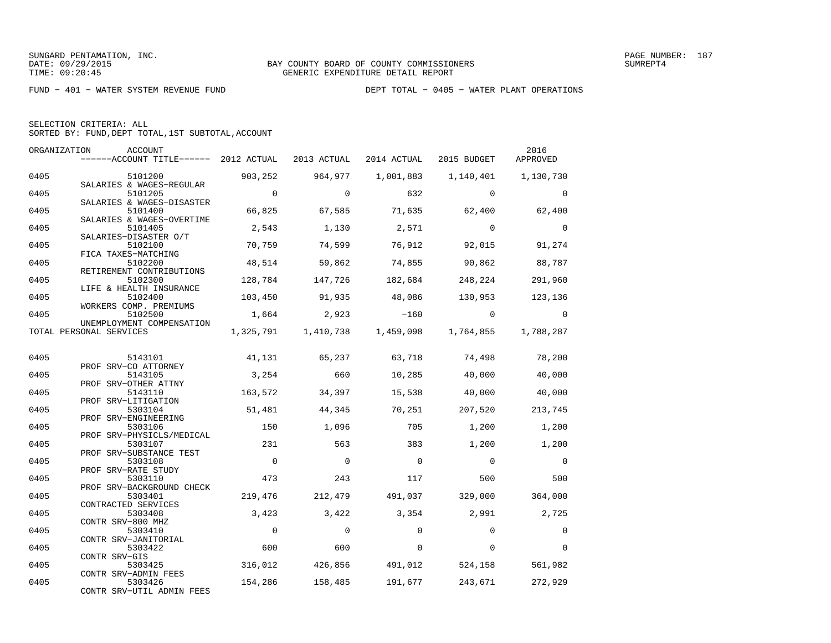| SELECTION CRITERIA: ALL |  |  |                                                    |  |
|-------------------------|--|--|----------------------------------------------------|--|
|                         |  |  | SORTED BY: FUND, DEPT TOTAL, 1ST SUBTOTAL, ACCOUNT |  |

| ORGANIZATION | ACCOUNT                                                         |          |             |                                   |             | 2016      |
|--------------|-----------------------------------------------------------------|----------|-------------|-----------------------------------|-------------|-----------|
|              | ------ACCOUNT TITLE------ 2012 ACTUAL                           |          | 2013 ACTUAL | 2014 ACTUAL                       | 2015 BUDGET | APPROVED  |
| 0405         | 5101200                                                         | 903,252  | 964,977     | 1,001,883                         | 1,140,401   | 1,130,730 |
| 0405         | SALARIES & WAGES-REGULAR<br>5101205                             | $\Omega$ | $\Omega$    | 632                               | $\Omega$    | $\Omega$  |
| 0405         | SALARIES & WAGES-DISASTER<br>5101400                            | 66,825   | 67,585      | 71,635                            | 62,400      | 62,400    |
| 0405         | SALARIES & WAGES-OVERTIME<br>5101405                            | 2,543    | 1,130       | 2,571                             | $\Omega$    | $\Omega$  |
| 0405         | SALARIES-DISASTER O/T<br>5102100<br>FICA TAXES-MATCHING         | 70,759   | 74,599      | 76,912                            | 92,015      | 91,274    |
| 0405         | 5102200<br>RETIREMENT CONTRIBUTIONS                             | 48,514   | 59,862      | 74,855                            | 90,862      | 88,787    |
| 0405         | 5102300<br>LIFE & HEALTH INSURANCE                              | 128,784  | 147,726     | 182,684                           | 248,224     | 291,960   |
| 0405         | 5102400<br>WORKERS COMP. PREMIUMS                               | 103,450  | 91,935      | 48,086                            | 130,953     | 123,136   |
| 0405         | 5102500<br>UNEMPLOYMENT COMPENSATION                            | 1,664    | 2,923       | $-160$                            | $\Omega$    | $\Omega$  |
|              | TOTAL PERSONAL SERVICES                                         |          |             | 1,325,791   1,410,738   1,459,098 | 1,764,855   | 1,788,287 |
| 0405         | 5143101                                                         | 41,131   | 65,237      | 63,718                            | 74,498      | 78,200    |
| 0405         | PROF SRV-CO ATTORNEY<br>5143105                                 | 3,254    | 660         | 10,285                            | 40,000      | 40,000    |
| 0405         | PROF SRV-OTHER ATTNY<br>5143110                                 | 163,572  | 34,397      | 15,538                            | 40,000      | 40,000    |
| 0405         | PROF SRV-LITIGATION<br>5303104                                  | 51,481   | 44,345      | 70,251                            | 207,520     | 213,745   |
| 0405         | PROF SRV-ENGINEERING<br>5303106                                 | 150      | 1,096       | 705                               | 1,200       | 1,200     |
| 0405         | PROF SRV-PHYSICLS/MEDICAL<br>5303107<br>PROF SRV-SUBSTANCE TEST | 231      | 563         | 383                               | 1,200       | 1,200     |
| 0405         | 5303108<br>PROF SRV-RATE STUDY                                  | $\Omega$ | $\Omega$    | $\Omega$                          | $\Omega$    | $\Omega$  |
| 0405         | 5303110<br>PROF SRV-BACKGROUND CHECK                            | 473      | 243         | 117                               | 500         | 500       |
| 0405         | 5303401<br>CONTRACTED SERVICES                                  | 219,476  | 212,479     | 491,037                           | 329,000     | 364,000   |
| 0405         | 5303408<br>CONTR SRV-800 MHZ                                    | 3,423    | 3,422       | 3,354                             | 2,991       | 2,725     |
| 0405         | 5303410<br>CONTR SRV-JANITORIAL                                 | $\Omega$ | $\Omega$    | $\Omega$                          | $\Omega$    | $\Omega$  |
| 0405         | 5303422<br>CONTR SRV-GIS                                        | 600      | 600         | $\Omega$                          | $\Omega$    | $\Omega$  |
| 0405         | 5303425<br>CONTR SRV-ADMIN FEES                                 | 316,012  | 426,856     | 491,012                           | 524,158     | 561,982   |
| 0405         | 5303426<br>CONTR SRV-UTIL ADMIN FEES                            | 154,286  | 158,485     | 191,677                           | 243,671     | 272,929   |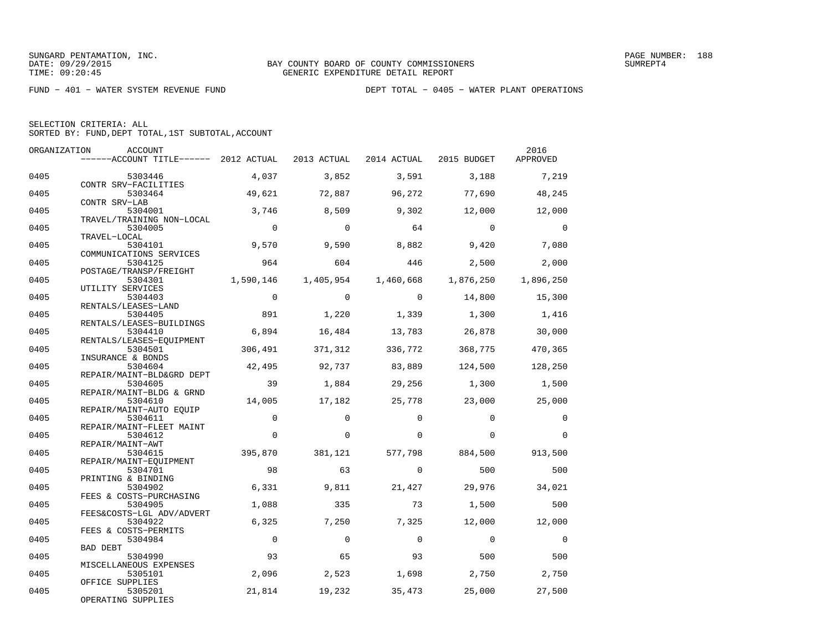SELECTION CRITERIA: ALL

SORTED BY: FUND,DEPT TOTAL,1ST SUBTOTAL,ACCOUNT

| ORGANIZATION | <b>ACCOUNT</b>                        |             |             |             |             | 2016      |
|--------------|---------------------------------------|-------------|-------------|-------------|-------------|-----------|
|              | ------ACCOUNT TITLE------ 2012 ACTUAL |             | 2013 ACTUAL | 2014 ACTUAL | 2015 BUDGET | APPROVED  |
| 0405         | 5303446                               | 4,037       | 3,852       | 3,591       | 3,188       | 7,219     |
| 0405         | CONTR SRV-FACILITIES<br>5303464       | 49,621      | 72,887      | 96,272      | 77,690      | 48,245    |
| 0405         | CONTR SRV-LAB<br>5304001              | 3,746       | 8,509       | 9,302       | 12,000      | 12,000    |
| 0405         | TRAVEL/TRAINING NON-LOCAL<br>5304005  | $\Omega$    | $\Omega$    | 64          | $\Omega$    | $\Omega$  |
|              | TRAVEL-LOCAL                          |             |             |             |             |           |
| 0405         | 5304101<br>COMMUNICATIONS SERVICES    | 9,570       | 9,590       | 8,882       | 9,420       | 7,080     |
| 0405         | 5304125                               | 964         | 604         | 446         | 2,500       | 2,000     |
|              | POSTAGE/TRANSP/FREIGHT                |             |             |             |             |           |
| 0405         | 5304301<br>UTILITY SERVICES           | 1,590,146   | 1,405,954   | 1,460,668   | 1,876,250   | 1,896,250 |
| 0405         | 5304403                               | $\Omega$    | $\Omega$    | $\Omega$    | 14,800      | 15,300    |
|              | RENTALS/LEASES-LAND                   |             |             |             |             |           |
| 0405         | 5304405                               | 891         | 1,220       | 1,339       | 1,300       | 1,416     |
| 0405         | RENTALS/LEASES-BUILDINGS<br>5304410   | 6,894       | 16,484      | 13,783      | 26,878      | 30,000    |
|              | RENTALS/LEASES-EQUIPMENT              |             |             |             |             |           |
| 0405         | 5304501<br>INSURANCE & BONDS          | 306,491     | 371,312     | 336,772     | 368,775     | 470,365   |
| 0405         | 5304604                               | 42,495      | 92,737      | 83,889      | 124,500     | 128,250   |
| 0405         | REPAIR/MAINT-BLD&GRD DEPT<br>5304605  | 39          | 1,884       | 29,256      | 1,300       | 1,500     |
|              | REPAIR/MAINT-BLDG & GRND              |             |             |             |             |           |
| 0405         | 5304610                               | 14,005      | 17,182      | 25,778      | 23,000      | 25,000    |
| 0405         | REPAIR/MAINT-AUTO EQUIP<br>5304611    | 0           | $\Omega$    | $\Omega$    | $\Omega$    | $\Omega$  |
|              | REPAIR/MAINT-FLEET MAINT              |             |             |             |             |           |
| 0405         | 5304612                               | $\Omega$    | $\Omega$    | $\Omega$    | $\Omega$    | $\Omega$  |
| 0405         | REPAIR/MAINT-AWT<br>5304615           | 395,870     | 381,121     | 577,798     | 884,500     | 913,500   |
|              | REPAIR/MAINT-EOUIPMENT                |             |             |             |             |           |
| 0405         | 5304701<br>PRINTING & BINDING         | 98          | 63          | $\Omega$    | 500         | 500       |
| 0405         | 5304902                               | 6,331       | 9,811       | 21,427      | 29,976      | 34,021    |
| 0405         | FEES & COSTS-PURCHASING<br>5304905    | 1,088       | 335         | 73          | 1,500       | 500       |
|              | FEES&COSTS-LGL ADV/ADVERT             |             |             |             |             |           |
| 0405         | 5304922                               | 6,325       | 7,250       | 7,325       | 12,000      | 12,000    |
| 0405         | FEES & COSTS-PERMITS<br>5304984       | $\mathbf 0$ | $\Omega$    | $\Omega$    | $\Omega$    | $\Omega$  |
|              | BAD DEBT                              |             |             |             |             |           |
| 0405         | 5304990                               | 93          | 65          | 93          | 500         | 500       |
| 0405         | MISCELLANEOUS EXPENSES<br>5305101     | 2,096       | 2,523       | 1,698       | 2,750       | 2,750     |
|              | OFFICE SUPPLIES                       |             |             |             |             |           |
| 0405         | 5305201<br>OPERATING SUPPLIES         | 21,814      | 19,232      | 35,473      | 25,000      | 27,500    |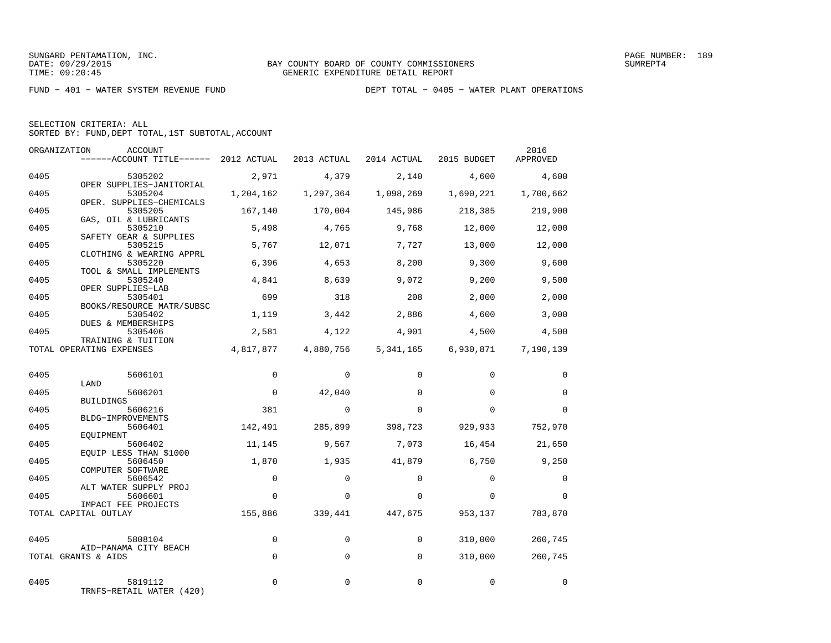| SELECTION CRITERIA: ALL |  |                                                    |  |
|-------------------------|--|----------------------------------------------------|--|
|                         |  | SORTED BY: FUND. DEPT TOTAL. 1ST SUBTOTAL. ACCOUNT |  |

|      | ORGANIZATION<br>ACCOUNT<br>------ACCOUNT TITLE------ 2012 ACTUAL |             | 2013 ACTUAL | 2014 ACTUAL | 2015 BUDGET | 2016<br>APPROVED |
|------|------------------------------------------------------------------|-------------|-------------|-------------|-------------|------------------|
| 0405 | 5305202                                                          | 2,971       | 4,379       | 2,140       | 4,600       | 4,600            |
| 0405 | OPER SUPPLIES-JANITORIAL<br>5305204                              | 1,204,162   | 1,297,364   | 1,098,269   | 1,690,221   | 1,700,662        |
| 0405 | OPER. SUPPLIES-CHEMICALS<br>5305205<br>GAS, OIL & LUBRICANTS     | 167,140     | 170,004     | 145,986     | 218,385     | 219,900          |
| 0405 | 5305210<br>SAFETY GEAR & SUPPLIES                                | 5,498       | 4,765       | 9,768       | 12,000      | 12,000           |
| 0405 | 5305215<br>CLOTHING & WEARING APPRL                              | 5,767       | 12,071      | 7,727       | 13,000      | 12,000           |
| 0405 | 5305220<br>TOOL & SMALL IMPLEMENTS                               | 6,396       | 4,653       | 8,200       | 9,300       | 9,600            |
| 0405 | 5305240<br>OPER SUPPLIES-LAB                                     | 4,841       | 8,639       | 9,072       | 9,200       | 9,500            |
| 0405 | 5305401<br>BOOKS/RESOURCE MATR/SUBSC                             | 699         | 318         | 208         | 2,000       | 2,000            |
| 0405 | 5305402<br>DUES & MEMBERSHIPS                                    | 1,119       | 3,442       | 2,886       | 4,600       | 3,000            |
| 0405 | 5305406<br>TRAINING & TUITION                                    | 2,581       | 4,122       | 4,901       | 4,500       | 4,500            |
|      | TOTAL OPERATING EXPENSES                                         | 4,817,877   | 4,880,756   | 5,341,165   | 6,930,871   | 7,190,139        |
| 0405 | 5606101                                                          | $\mathbf 0$ | $\mathbf 0$ | $\mathbf 0$ | $\mathbf 0$ | 0                |
| 0405 | LAND<br>5606201                                                  | $\mathbf 0$ | 42,040      | $\Omega$    | $\Omega$    | $\Omega$         |
| 0405 | <b>BUILDINGS</b><br>5606216<br>BLDG-IMPROVEMENTS                 | 381         | $\Omega$    | $\Omega$    | $\Omega$    | $\Omega$         |
| 0405 | 5606401<br>EOUIPMENT                                             | 142,491     | 285,899     | 398,723     | 929,933     | 752,970          |
| 0405 | 5606402<br>EQUIP LESS THAN \$1000                                | 11,145      | 9,567       | 7,073       | 16,454      | 21,650           |
| 0405 | 5606450<br>COMPUTER SOFTWARE                                     | 1,870       | 1,935       | 41,879      | 6,750       | 9,250            |
| 0405 | 5606542<br>ALT WATER SUPPLY PROJ                                 | $\mathbf 0$ | $\Omega$    | $\Omega$    | $\Omega$    | 0                |
| 0405 | 5606601<br>IMPACT FEE PROJECTS                                   | $\mathbf 0$ | $\Omega$    | $\Omega$    | $\Omega$    | $\Omega$         |
|      | TOTAL CAPITAL OUTLAY                                             | 155,886     | 339,441     | 447,675     | 953,137     | 783,870          |
| 0405 | 5808104                                                          | $\Omega$    | $\Omega$    | $\Omega$    | 310,000     | 260,745          |
|      | AID-PANAMA CITY BEACH<br>TOTAL GRANTS & AIDS                     | $\Omega$    | $\Omega$    | $\Omega$    | 310,000     | 260,745          |
| 0405 | 5819112<br>TRNFS-RETAIL WATER (420)                              | $\Omega$    | $\Omega$    | $\Omega$    | $\Omega$    | $\Omega$         |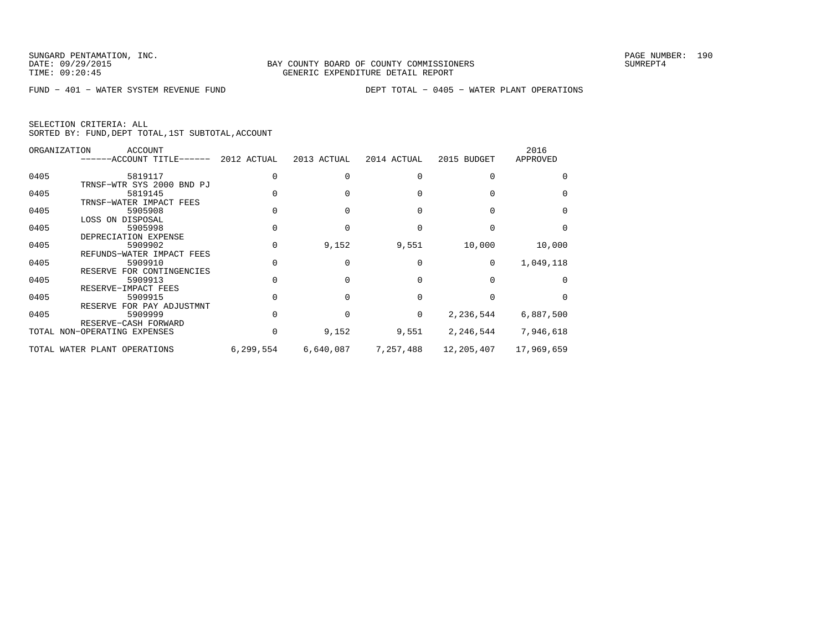FUND − 401 − WATER SYSTEM REVENUE FUND DEPT TOTAL − 0405 − WATER PLANT OPERATIONS

| SELECTION CRITERIA: ALL |  |  |                                                    |  |
|-------------------------|--|--|----------------------------------------------------|--|
|                         |  |  | SORTED BY: FUND, DEPT TOTAL, 1ST SUBTOTAL, ACCOUNT |  |

|      | ORGANIZATION<br>ACCOUNT<br>------ACCOUNT TITLE------ 2012 ACTUAL |           | 2013 ACTUAL | 2014 ACTUAL | 2015 BUDGET | 2016<br>APPROVED |
|------|------------------------------------------------------------------|-----------|-------------|-------------|-------------|------------------|
| 0405 | 5819117                                                          |           |             |             |             |                  |
|      | TRNSF-WTR SYS 2000 BND PJ                                        |           |             |             |             |                  |
| 0405 | 5819145                                                          |           |             |             |             |                  |
|      | TRNSF-WATER IMPACT FEES                                          |           |             |             |             |                  |
| 0405 | 5905908                                                          |           |             |             |             |                  |
|      | LOSS ON DISPOSAL                                                 |           |             |             |             |                  |
| 0405 | 5905998                                                          |           |             |             |             |                  |
|      | DEPRECIATION EXPENSE                                             |           |             |             |             |                  |
| 0405 | 5909902                                                          |           | 9,152       | 9,551       | 10,000      | 10,000           |
|      | REFUNDS-WATER IMPACT FEES                                        |           |             |             |             |                  |
| 0405 | 5909910                                                          |           |             |             | $\Omega$    | 1,049,118        |
|      | RESERVE FOR CONTINGENCIES                                        |           |             |             |             |                  |
| 0405 | 5909913                                                          |           |             |             |             |                  |
|      | RESERVE-IMPACT FEES                                              |           |             |             |             |                  |
| 0405 | 5909915                                                          |           |             |             |             |                  |
|      | RESERVE FOR PAY ADJUSTMNT                                        |           |             |             |             |                  |
| 0405 | 5909999                                                          |           |             | $\Omega$    | 2,236,544   | 6,887,500        |
|      | RESERVE-CASH FORWARD                                             |           |             |             |             |                  |
|      | TOTAL NON-OPERATING EXPENSES                                     |           | 9,152       | 9,551       | 2,246,544   | 7,946,618        |
|      | TOTAL WATER PLANT OPERATIONS                                     | 6,299,554 | 6,640,087   | 7,257,488   | 12,205,407  | 17,969,659       |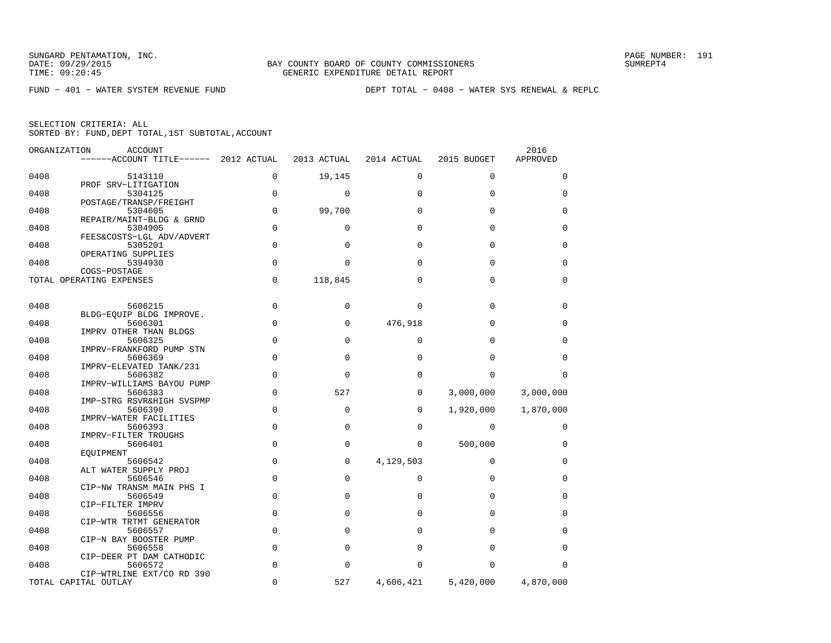| ORGANIZATION | <b>ACCOUNT</b><br>------ACCOUNT TITLE------ 2012 ACTUAL |             | 2013 ACTUAL | 2014 ACTUAL | 2015 BUDGET | 2016<br>APPROVED |
|--------------|---------------------------------------------------------|-------------|-------------|-------------|-------------|------------------|
| 0408         | 5143110                                                 | $\mathbf 0$ | 19,145      | 0           | $\mathbf 0$ | 0                |
|              | PROF SRV-LITIGATION                                     |             |             |             |             |                  |
| 0408         | 5304125                                                 | $\Omega$    | $\mathbf 0$ | $\Omega$    | $\mathbf 0$ | 0                |
| 0408         | POSTAGE/TRANSP/FREIGHT<br>5304605                       | $\Omega$    | 99,700      | $\Omega$    | $\Omega$    | 0                |
|              | REPAIR/MAINT-BLDG & GRND                                |             |             |             |             |                  |
| 0408         | 5304905<br>FEES&COSTS-LGL ADV/ADVERT                    | $\mathbf 0$ | 0           | $\Omega$    | $\Omega$    | 0                |
| 0408         | 5305201                                                 | $\mathbf 0$ | 0           | $\Omega$    | $\mathbf 0$ | 0                |
|              | OPERATING SUPPLIES                                      |             |             |             |             |                  |
| 0408         | 5394930<br>COGS-POSTAGE                                 | $\mathbf 0$ | $\Omega$    | $\Omega$    | $\Omega$    | 0                |
|              | TOTAL OPERATING EXPENSES                                | $\mathbf 0$ | 118,845     | $\Omega$    | $\Omega$    | $\mathbf 0$      |
|              |                                                         |             |             |             |             |                  |
| 0408         | 5606215                                                 | $\mathbf 0$ | 0           | $\Omega$    | $\mathbf 0$ | 0                |
|              | BLDG-EOUIP BLDG IMPROVE.                                |             |             |             |             |                  |
| 0408         | 5606301                                                 | $\mathbf 0$ | 0           | 476,918     | $\Omega$    | 0                |
|              | IMPRV OTHER THAN BLDGS                                  |             |             |             |             |                  |
| 0408         | 5606325<br>IMPRV-FRANKFORD PUMP STN                     | $\mathbf 0$ | $\mathbf 0$ | $\Omega$    | $\Omega$    | 0                |
| 0408         | 5606369                                                 | $\mathbf 0$ | $\mathbf 0$ | $\Omega$    | $\Omega$    | $\Omega$         |
|              | IMPRV-ELEVATED TANK/231                                 |             |             |             |             |                  |
| 0408         | 5606382                                                 | $\Omega$    | $\Omega$    | $\Omega$    | $\Omega$    | $\Omega$         |
| 0408         | IMPRV-WILLIAMS BAYOU PUMP<br>5606383                    | $\mathbf 0$ | 527         | $\Omega$    | 3,000,000   | 3,000,000        |
|              | IMP-STRG RSVR&HIGH SVSPMP                               |             |             |             |             |                  |
| 0408         | 5606390                                                 | $\mathbf 0$ | 0           | 0           | 1,920,000   | 1,870,000        |
|              | IMPRV-WATER FACILITIES                                  | $\mathbf 0$ | 0           | $\Omega$    | $\mathbf 0$ |                  |
| 0408         | 5606393<br>IMPRV-FILTER TROUGHS                         |             |             |             |             | 0                |
| 0408         | 5606401                                                 | $\mathbf 0$ | $\Omega$    | $\Omega$    | 500,000     | 0                |
|              | EQUIPMENT                                               |             |             |             |             |                  |
| 0408         | 5606542                                                 | $\mathbf 0$ | 0           | 4,129,503   | 0           | 0                |
| 0408         | ALT WATER SUPPLY PROJ<br>5606546                        | $\mathbf 0$ | 0           | $\Omega$    | $\Omega$    | 0                |
|              | CIP-NW TRANSM MAIN PHS I                                |             |             |             |             |                  |
| 0408         | 5606549                                                 | $\Omega$    | $\Omega$    | $\Omega$    | $\Omega$    | $\Omega$         |
|              | CIP-FILTER IMPRV                                        |             |             |             |             |                  |
| 0408         | 5606556                                                 | $\mathbf 0$ | 0           | 0           | $\mathbf 0$ | 0                |
|              | CIP-WTR TRTMT GENERATOR                                 |             |             |             |             |                  |
| 0408         | 5606557                                                 | $\mathbf 0$ | 0           | $\Omega$    | $\Omega$    | 0                |
| 0408         | CIP-N BAY BOOSTER PUMP<br>5606558                       | $\mathbf 0$ | 0           | $\Omega$    | $\Omega$    | 0                |
|              | CIP-DEER PT DAM CATHODIC                                |             |             |             |             |                  |
| 0408         | 5606572                                                 | $\mathbf 0$ | 0           | $\Omega$    | $\Omega$    | $\Omega$         |
|              | CIP-WTRLINE EXT/CO RD 390                               |             |             |             |             |                  |
|              | TOTAL CAPITAL OUTLAY                                    | $\mathbf 0$ | 527         | 4,606,421   | 5,420,000   | 4,870,000        |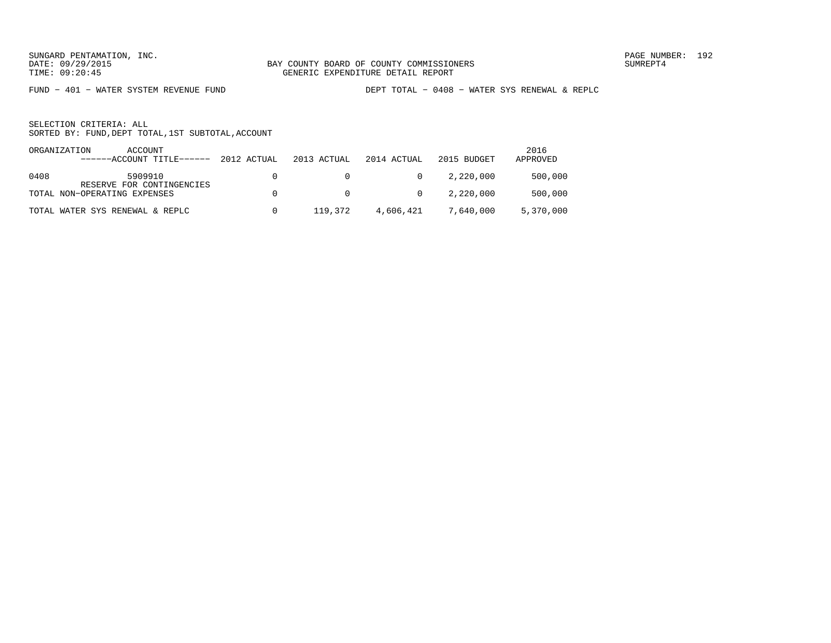FUND − 401 − WATER SYSTEM REVENUE FUND DEPT TOTAL − 0408 − WATER SYS RENEWAL & REPLC

| ORGANIZATION | ACCOUNT<br>------ACCOUNT TITLE------ | 2012 ACTUAL | 2013 ACTUAL    | 2014 ACTUAL    | 2015 BUDGET | 2016<br>APPROVED |
|--------------|--------------------------------------|-------------|----------------|----------------|-------------|------------------|
| 0408         | 5909910<br>RESERVE FOR CONTINGENCIES |             | $\overline{0}$ | $\overline{0}$ | 2,220,000   | 500,000          |
|              | TOTAL NON-OPERATING EXPENSES         |             | $\overline{0}$ | $\overline{0}$ | 2,220,000   | 500,000          |
|              | TOTAL WATER SYS RENEWAL & REPLC      | n.          | 119,372        | 4,606,421      | 7,640,000   | 5,370,000        |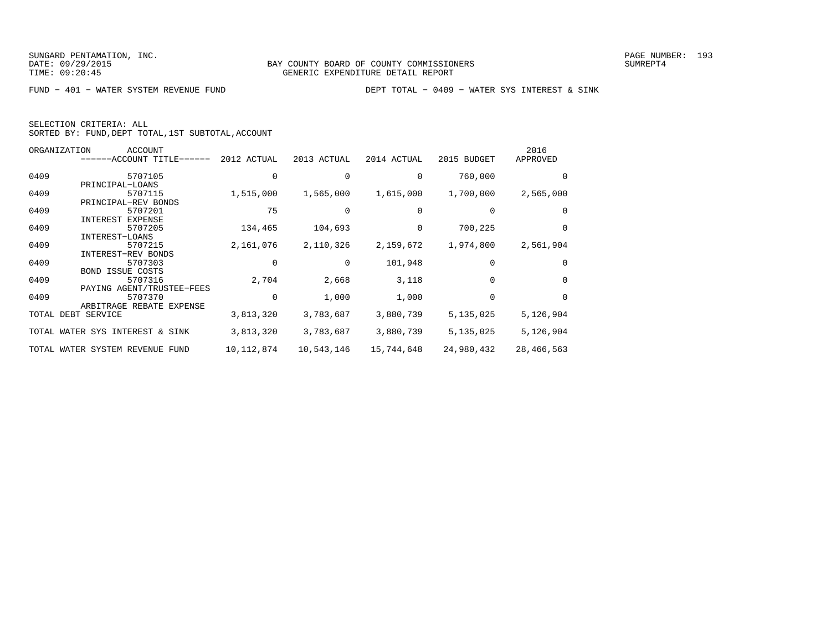| SELECTION CRITERIA: ALL |  |                                                    |  |
|-------------------------|--|----------------------------------------------------|--|
|                         |  | SORTED BY: FUND, DEPT TOTAL, 1ST SUBTOTAL, ACCOUNT |  |

|      | ORGANIZATION<br><b>ACCOUNT</b>  |              |             |             |             | 2016       |
|------|---------------------------------|--------------|-------------|-------------|-------------|------------|
|      | ------ACCOUNT TITLE-            | 2012 ACTUAL  | 2013 ACTUAL | 2014 ACTUAL | 2015 BUDGET | APPROVED   |
| 0409 | 5707105                         |              |             |             | 760,000     | $\Omega$   |
|      | PRINCIPAL-LOANS                 |              |             |             |             |            |
| 0409 | 5707115                         | 1,515,000    | 1,565,000   | 1,615,000   | 1,700,000   | 2,565,000  |
|      | PRINCIPAL-REV BONDS             |              |             |             |             |            |
| 0409 | 5707201                         | 75           |             |             |             | $\Omega$   |
|      | <b>EXPENSE</b><br>INTEREST      |              |             |             |             |            |
| 0409 | 5707205                         | 134,465      | 104,693     |             | 700,225     | 0          |
|      | INTEREST-LOANS                  |              |             |             |             |            |
| 0409 | 5707215                         | 2,161,076    | 2,110,326   | 2,159,672   | 1,974,800   | 2,561,904  |
|      | INTEREST-REV BONDS              |              |             |             |             |            |
| 0409 | 5707303                         |              |             | 101,948     |             | 0          |
|      | <b>BOND ISSUE COSTS</b>         |              |             |             |             |            |
| 0409 | 5707316                         | 2,704        | 2,668       | 3,118       |             | 0          |
|      | PAYING AGENT/TRUSTEE-FEES       |              |             |             |             |            |
| 0409 | 5707370                         | $\Omega$     | 1,000       | 1,000       |             | $\Omega$   |
|      | ARBITRAGE REBATE EXPENSE        |              |             |             |             |            |
|      | TOTAL DEBT SERVICE              | 3,813,320    | 3,783,687   | 3,880,739   | 5,135,025   | 5,126,904  |
|      | TOTAL WATER SYS INTEREST & SINK | 3,813,320    | 3,783,687   | 3,880,739   | 5,135,025   | 5,126,904  |
|      |                                 |              |             |             |             |            |
|      | TOTAL WATER SYSTEM REVENUE FUND | 10, 112, 874 | 10,543,146  | 15,744,648  | 24,980,432  | 28,466,563 |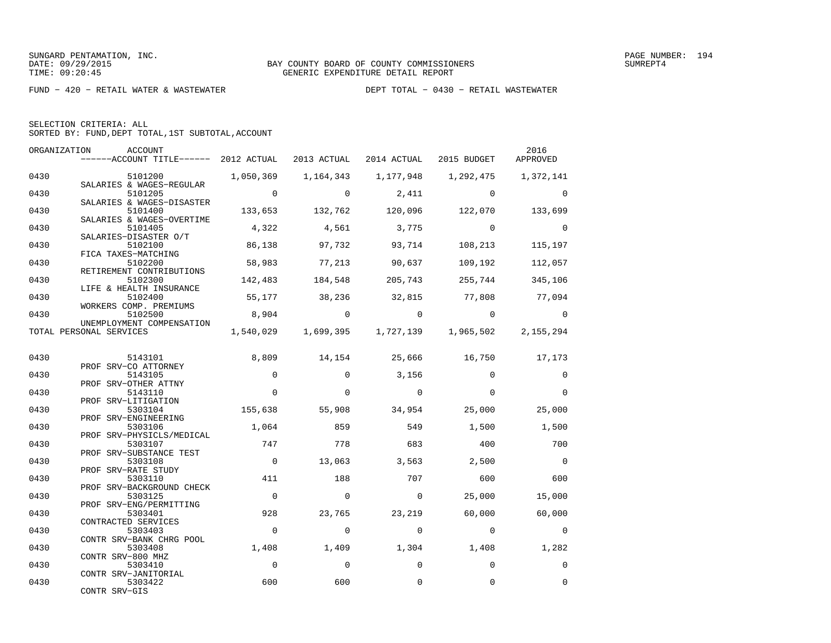|  | SELECTION CRITERIA: ALL                            |  |  |
|--|----------------------------------------------------|--|--|
|  | SORTED BY: FUND, DEPT TOTAL, 1ST SUBTOTAL, ACCOUNT |  |  |

| ORGANIZATION | ACCOUNT<br>------ACCOUNT TITLE------ 2012 ACTUAL 2013 ACTUAL 2014 ACTUAL 2015 BUDGET |                   |                          |                                                   |                          | 2016<br>APPROVED        |
|--------------|--------------------------------------------------------------------------------------|-------------------|--------------------------|---------------------------------------------------|--------------------------|-------------------------|
| 0430         | 5101200 1,050,369 1,164,343                                                          |                   |                          |                                                   |                          | 1,372,141               |
| 0430         | SALARIES & WAGES-REGULAR<br>5101205                                                  | $\sim$ 0          | $\Omega$                 | 2,411                                             | $\sim$ 0                 | $\Omega$                |
| 0430         | SALARIES & WAGES-DISASTER<br>5101400<br>SALARIES & WAGES-OVERTIME                    |                   |                          | $133,653$ $132,762$ $120,096$ $122,070$           |                          | 133,699                 |
| 0430         | 5101405<br>SALARIES-DISASTER O/T                                                     | 4,322             | 4,561                    | 3,775                                             | $\sim$ 0                 | $\Omega$                |
| 0430         | 5102100<br>FICA TAXES-MATCHING                                                       | 86,138            | 97,732                   | 93,714                                            | 108,213                  | 115,197                 |
| 0430         | 5102200<br>RETIREMENT CONTRIBUTIONS                                                  | 58,983            | 77,213                   | 90,637                                            | 109,192                  | 112,057                 |
| 0430         | 5102300<br>LIFE & HEALTH INSURANCE                                                   | 142,483           | 184,548                  |                                                   | 205,743 255,744          | 345,106                 |
| 0430         | 5102400<br>WORKERS COMP. PREMIUMS                                                    |                   |                          | 55,177 38,236 32,815 77,808 77,094                |                          |                         |
| 0430         | 5102500<br>UNEMPLOYMENT COMPENSATION                                                 | 8,904             | $\overline{0}$           | $\overline{0}$                                    | $\overline{0}$           | $\overline{0}$          |
|              | TOTAL PERSONAL SERVICES                                                              |                   |                          | 1,540,029 1,699,395 1,727,139 1,965,502 2,155,294 |                          |                         |
| 0430         | 5143101                                                                              | 8,809             |                          | 14, 154 25, 666 16, 750 17, 173                   |                          |                         |
| 0430         | PROF SRV-CO ATTORNEY<br>5143105<br>PROF SRV-OTHER ATTNY                              | $\Omega$          | $\Omega$                 | 3,156                                             | $\Omega$                 | $\mathbf 0$             |
| 0430         | 5143110<br>PROF SRV-LITIGATION                                                       | $\mathbf 0$       | $\Omega$                 | $\overline{0}$                                    | $\Omega$                 | $\Omega$                |
| 0430         | 5303104<br>PROF SRV-ENGINEERING                                                      | 155,638           | 55,908                   | 34,954                                            | 25,000                   | 25,000                  |
| 0430         | 5303106<br>PROF SRV-PHYSICLS/MEDICAL                                                 | 1,064             | 859                      | 549                                               | 1,500                    | 1,500                   |
| 0430         | 5303107<br>PROF SRV-SUBSTANCE TEST                                                   | 747               | 778                      | 683                                               | 400                      | 700                     |
| 0430         | 5303108<br>PROF SRV-RATE STUDY                                                       | $\overline{0}$    | 13,063                   | 3,563                                             | 2,500                    | $\bigcirc$              |
| 0430         | 5303110<br>PROF SRV-BACKGROUND CHECK                                                 | 411               | 188                      | 707                                               | 600                      | 600                     |
| 0430         | 5303125<br>PROF SRV-ENG/PERMITTING                                                   | $\overline{0}$    | $\Omega$                 | $\circ$                                           | 25,000                   | 15,000                  |
| 0430<br>0430 | 5303401<br>CONTRACTED SERVICES                                                       | 928<br>$\bigcirc$ | 23,765<br>$\overline{0}$ | 23,219<br>$\overline{0}$                          | 60,000<br>$\overline{0}$ | 60,000                  |
| 0430         | 5303403<br>CONTR SRV-BANK CHRG POOL<br>5303408                                       | 1,408             | 1,409                    | 1,304                                             | 1,408                    | $\overline{0}$<br>1,282 |
| 0430         | CONTR SRV-800 MHZ                                                                    | $\overline{0}$    | $\Omega$                 | $\Omega$                                          | $\Omega$                 | $\overline{0}$          |
| 0430         | 5303410<br>CONTR SRV-JANITORIAL<br>5303422                                           | 600               | 600                      | $\Omega$                                          | $\Omega$                 | $\mathbf 0$             |
|              | CONTR SRV-GIS                                                                        |                   |                          |                                                   |                          |                         |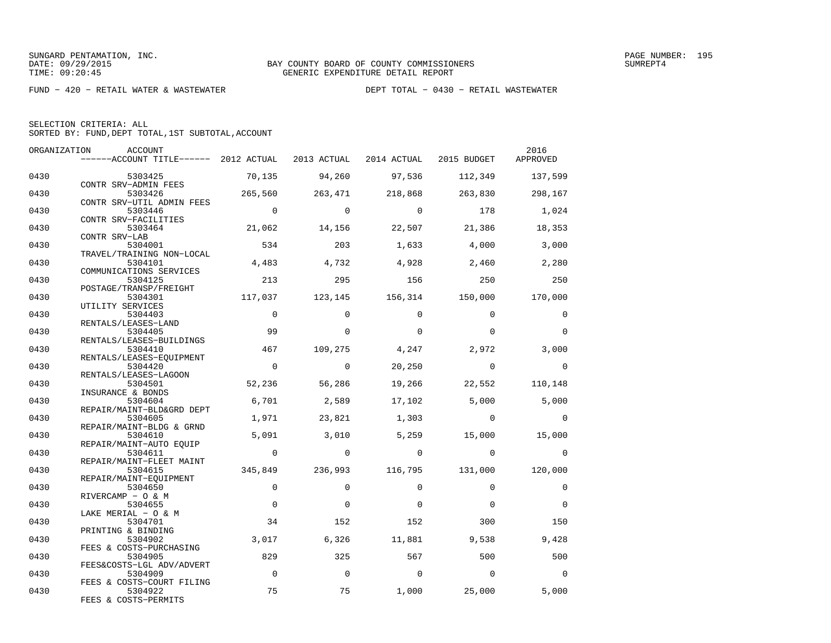| SELECTION CRITERIA: ALL |  |                                                    |  |
|-------------------------|--|----------------------------------------------------|--|
|                         |  | SORTED BY: FUND, DEPT TOTAL, 1ST SUBTOTAL, ACCOUNT |  |

| ORGANIZATION | ACCOUNT                                                                            |                |                |                         |                | 2016           |
|--------------|------------------------------------------------------------------------------------|----------------|----------------|-------------------------|----------------|----------------|
|              | ------ACCOUNT TITLE------ 2012 ACTUAL 2013 ACTUAL 2014 ACTUAL 2015 BUDGET APPROVED |                |                |                         |                |                |
| 0430         | 5303425                                                                            | 70,135         | 94,260         | 97,536                  | 112,349        | 137,599        |
| 0430         | CONTR SRV-ADMIN FEES<br>5303426                                                    | 265,560        | 263,471        | 218,868                 | 263,830        | 298,167        |
| 0430         | CONTR SRV-UTIL ADMIN FEES<br>5303446                                               | $\overline{0}$ | $\Omega$       | $\Omega$                | 178            | 1,024          |
| 0430         | CONTR SRV-FACILITIES<br>5303464                                                    | 21,062         | 14,156         | 22,507                  | 21,386         | 18,353         |
| 0430         | CONTR SRV-LAB<br>5304001                                                           | 534            | 203            | 1,633                   | 4,000          | 3,000          |
| 0430         | TRAVEL/TRAINING NON-LOCAL<br>5304101                                               | 4,483          | 4,732          | 4,928                   | 2,460          | 2,280          |
| 0430         | COMMUNICATIONS SERVICES<br>5304125                                                 | 213            | 295            | 156                     | 250            | 250            |
| 0430         | POSTAGE/TRANSP/FREIGHT<br>5304301                                                  | 117,037        |                | 123,145 156,314 150,000 |                | 170,000        |
| 0430         | UTILITY SERVICES<br>5304403                                                        | $\overline{0}$ | $\Omega$       | $\Omega$                | $\Omega$       | $\Omega$       |
| 0430         | RENTALS/LEASES-LAND                                                                | 99             | $\Omega$       | $\Omega$                | $\Omega$       | $\Omega$       |
|              | 5304405<br>RENTALS/LEASES-BUILDINGS                                                |                |                |                         |                |                |
| 0430         | 5304410<br>RENTALS/LEASES-EQUIPMENT                                                | 467            | 109,275        | 4,247                   | 2,972          | 3,000          |
| 0430         | 5304420<br>RENTALS/LEASES-LAGOON                                                   | $\overline{0}$ | $\overline{0}$ | 20,250                  | $\overline{0}$ | $\overline{0}$ |
| 0430         | 5304501<br>INSURANCE & BONDS                                                       | 52,236         | 56,286         | 19,266                  | 22,552         | 110,148        |
| 0430         | 5304604<br>REPAIR/MAINT-BLD&GRD DEPT                                               | 6,701          | 2,589          | 17,102                  | 5,000          | 5,000          |
| 0430         | 5304605<br>REPAIR/MAINT-BLDG & GRND                                                | 1,971          | 23,821         | 1,303                   | $\Omega$       | $\Omega$       |
| 0430         | 5304610<br>REPAIR/MAINT-AUTO EQUIP                                                 | 5,091          | 3.010          | 5,259                   | 15,000         | 15,000         |
| 0430         | 5304611<br>REPAIR/MAINT-FLEET MAINT                                                | $\overline{0}$ | $\overline{0}$ | $\overline{0}$          | $\overline{0}$ | $\overline{0}$ |
| 0430         | 5304615<br>REPAIR/MAINT-EQUIPMENT                                                  | 345,849        | 236,993        | 116,795 131,000         |                | 120,000        |
| 0430         | 5304650<br>RIVERCAMP - O & M                                                       | $\Omega$       | $\Omega$       | $\Omega$                | $\Omega$       | $\Omega$       |
| 0430         | 5304655<br>LAKE MERIAL - O & M                                                     | $\Omega$       | $\Omega$       | $\Omega$                | $\Omega$       | $\Omega$       |
| 0430         | 5304701<br>PRINTING & BINDING                                                      | 34             | 152            | 152                     | 300            | 150            |
| 0430         | 5304902<br>FEES & COSTS-PURCHASING                                                 | 3,017          | 6,326          | 11,881                  | 9,538          | 9,428          |
| 0430         | 5304905                                                                            | 829            | 325            | 567                     | 500            | 500            |
| 0430         | FEES&COSTS-LGL ADV/ADVERT<br>5304909                                               | $\overline{0}$ | $\overline{0}$ | $\overline{0}$          | $\overline{0}$ | $\overline{0}$ |
| 0430         | FEES & COSTS-COURT FILING<br>5304922<br>FEES & COSTS-PERMITS                       | 75             | 75             | 1,000                   | 25,000         | 5,000          |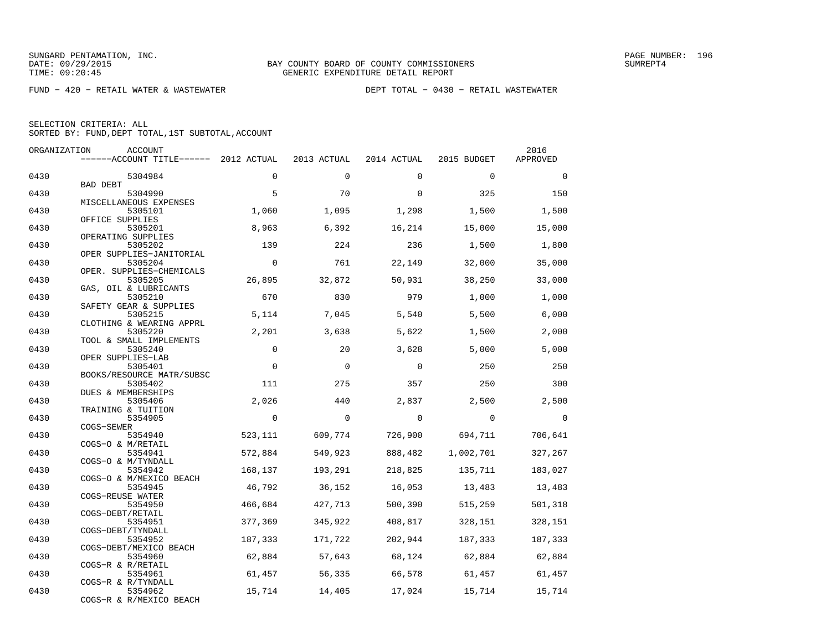|  | SELECTION CRITERIA: ALL                            |  |  |
|--|----------------------------------------------------|--|--|
|  | SORTED BY: FUND, DEPT TOTAL, 1ST SUBTOTAL, ACCOUNT |  |  |

| ORGANIZATION | ACCOUNT                               |             |             |             |             | 2016     |
|--------------|---------------------------------------|-------------|-------------|-------------|-------------|----------|
|              | ------ACCOUNT TITLE------ 2012 ACTUAL |             | 2013 ACTUAL | 2014 ACTUAL | 2015 BUDGET | APPROVED |
| 0430         | 5304984                               | $\Omega$    | $\Omega$    | $\Omega$    | $\Omega$    | $\Omega$ |
|              | BAD DEBT                              |             |             |             |             |          |
| 0430         | 5304990                               | 5           | 70          | $\Omega$    | 325         | 150      |
| 0430         | MISCELLANEOUS EXPENSES<br>5305101     | 1,060       | 1,095       | 1,298       | 1,500       | 1,500    |
|              | OFFICE SUPPLIES                       |             |             |             |             |          |
| 0430         | 5305201                               | 8,963       | 6,392       | 16,214      | 15,000      | 15,000   |
|              | OPERATING SUPPLIES                    |             |             |             |             |          |
| 0430         | 5305202                               | 139         | 224         | 236         | 1,500       | 1,800    |
|              | OPER SUPPLIES-JANITORIAL              |             |             |             |             |          |
| 0430         | 5305204                               | $\Omega$    | 761         | 22,149      | 32,000      | 35,000   |
| 0430         | OPER. SUPPLIES-CHEMICALS              | 26,895      | 32,872      | 50,931      | 38,250      | 33,000   |
|              | 5305205<br>GAS, OIL & LUBRICANTS      |             |             |             |             |          |
| 0430         | 5305210                               | 670         | 830         | 979         | 1,000       | 1,000    |
|              | SAFETY GEAR & SUPPLIES                |             |             |             |             |          |
| 0430         | 5305215                               | 5,114       | 7,045       | 5,540       | 5,500       | 6,000    |
|              | CLOTHING & WEARING APPRL              |             |             |             |             |          |
| 0430         | 5305220                               | 2,201       | 3,638       | 5,622       | 1,500       | 2,000    |
| 0430         | TOOL & SMALL IMPLEMENTS<br>5305240    | $\Omega$    | 20          | 3,628       | 5,000       | 5,000    |
|              | OPER SUPPLIES-LAB                     |             |             |             |             |          |
| 0430         | 5305401                               | $\mathbf 0$ | $\mathbf 0$ | $\Omega$    | 250         | 250      |
|              | BOOKS/RESOURCE MATR/SUBSC             |             |             |             |             |          |
| 0430         | 5305402                               | 111         | 275         | 357         | 250         | 300      |
|              | DUES & MEMBERSHIPS                    |             |             |             |             |          |
| 0430         | 5305406                               | 2,026       | 440         | 2,837       | 2,500       | 2,500    |
|              | TRAINING & TUITION                    | $\Omega$    | $\Omega$    | $\mathbf 0$ | $\Omega$    | $\Omega$ |
| 0430         | 5354905<br>COGS-SEWER                 |             |             |             |             |          |
| 0430         | 5354940                               | 523,111     | 609,774     | 726,900     | 694,711     | 706,641  |
|              | COGS-O & M/RETAIL                     |             |             |             |             |          |
| 0430         | 5354941                               | 572,884     | 549,923     | 888,482     | 1,002,701   | 327,267  |
|              | COGS-O & M/TYNDALL                    |             |             |             |             |          |
| 0430         | 5354942                               | 168,137     | 193,291     | 218,825     | 135,711     | 183,027  |
| 0430         | COGS-O & M/MEXICO BEACH<br>5354945    | 46,792      | 36,152      | 16,053      | 13,483      | 13,483   |
|              | COGS-REUSE WATER                      |             |             |             |             |          |
| 0430         | 5354950                               | 466,684     | 427,713     | 500,390     | 515,259     | 501,318  |
|              | COGS-DEBT/RETAIL                      |             |             |             |             |          |
| 0430         | 5354951                               | 377,369     | 345,922     | 408,817     | 328,151     | 328,151  |
|              | COGS-DEBT/TYNDALL                     |             |             |             |             |          |
| 0430         | 5354952                               | 187,333     | 171,722     | 202,944     | 187,333     | 187,333  |
| 0430         | COGS-DEBT/MEXICO BEACH<br>5354960     | 62,884      | 57,643      | 68,124      | 62,884      | 62,884   |
|              | COGS-R & R/RETAIL                     |             |             |             |             |          |
| 0430         | 5354961                               | 61,457      | 56,335      | 66,578      | 61,457      | 61,457   |
|              | COGS-R & R/TYNDALL                    |             |             |             |             |          |
| 0430         | 5354962                               | 15,714      | 14,405      | 17,024      | 15,714      | 15,714   |
|              | COGS-R & R/MEXICO BEACH               |             |             |             |             |          |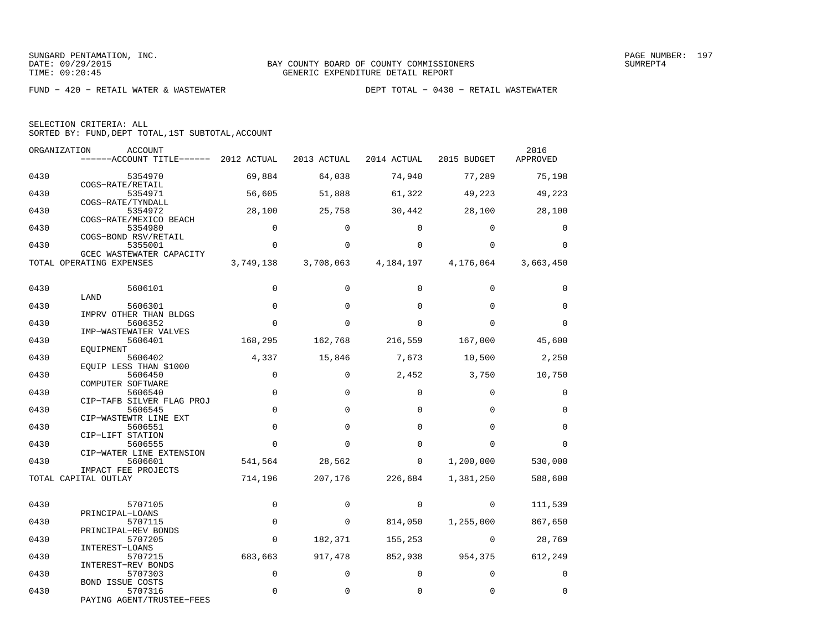| SELECTION CRITERIA: ALL |  |  |                                                    |  |
|-------------------------|--|--|----------------------------------------------------|--|
|                         |  |  | SORTED BY: FUND, DEPT TOTAL, 1ST SUBTOTAL, ACCOUNT |  |

| ORGANIZATION | <b>ACCOUNT</b><br>------ACCOUNT TITLE------ 2012 ACTUAL |             | 2013 ACTUAL | 2014 ACTUAL | 2015 BUDGET             | 2016<br>APPROVED |
|--------------|---------------------------------------------------------|-------------|-------------|-------------|-------------------------|------------------|
| 0430         | 5354970                                                 | 69,884      | 64,038      | 74,940      | 77,289                  | 75,198           |
| 0430         | COGS-RATE/RETAIL<br>5354971                             | 56,605      | 51,888      | 61,322      | 49,223                  | 49,223           |
| 0430         | COGS-RATE/TYNDALL<br>5354972<br>COGS-RATE/MEXICO BEACH  | 28,100      | 25,758      | 30,442      | 28,100                  | 28,100           |
| 0430         | 5354980<br>COGS-BOND RSV/RETAIL                         | $\mathbf 0$ | $\Omega$    | $\Omega$    | $\Omega$                | 0                |
| 0430         | 5355001<br>GCEC WASTEWATER CAPACITY                     | $\mathbf 0$ | $\Omega$    | $\Omega$    | $\Omega$                | $\mathbf 0$      |
|              | TOTAL OPERATING EXPENSES                                | 3,749,138   | 3,708,063   |             | 4, 184, 197 4, 176, 064 | 3,663,450        |
| 0430         | 5606101                                                 | $\Omega$    | $\Omega$    | $\Omega$    | $\Omega$                | $\Omega$         |
| 0430         | LAND<br>5606301<br>IMPRV OTHER THAN BLDGS               | $\mathbf 0$ | $\mathbf 0$ | $\Omega$    | $\Omega$                | $\mathbf 0$      |
| 0430         | 5606352<br>IMP-WASTEWATER VALVES                        | $\Omega$    | $\Omega$    | $\Omega$    | $\Omega$                | $\Omega$         |
| 0430         | 5606401<br>EOUIPMENT                                    | 168,295     | 162,768     | 216,559     | 167,000                 | 45,600           |
| 0430         | 5606402<br>EQUIP LESS THAN \$1000                       | 4,337       | 15,846      | 7,673       | 10,500                  | 2,250            |
| 0430         | 5606450<br>COMPUTER SOFTWARE                            | $\mathbf 0$ | $\Omega$    | 2,452       | 3,750                   | 10,750           |
| 0430         | 5606540<br>CIP-TAFB SILVER FLAG PROJ                    | $\mathbf 0$ | $\Omega$    | $\mathbf 0$ | $\mathbf 0$             | $\mathbf 0$      |
| 0430         | 5606545<br>CIP-WASTEWTR LINE EXT                        | $\mathbf 0$ | $\Omega$    | $\Omega$    | $\Omega$                | $\mathbf 0$      |
| 0430         | 5606551<br>CIP-LIFT STATION                             | $\mathbf 0$ | $\Omega$    | $\Omega$    | $\Omega$                | $\mathbf 0$      |
| 0430         | 5606555<br>CIP-WATER LINE EXTENSION                     | $\Omega$    | $\Omega$    | $\Omega$    | $\Omega$                | $\Omega$         |
| 0430         | 5606601<br>IMPACT FEE PROJECTS                          | 541,564     | 28,562      | $\mathbf 0$ | 1,200,000               | 530,000          |
|              | TOTAL CAPITAL OUTLAY                                    | 714,196     | 207,176     | 226,684     | 1,381,250               | 588,600          |
| 0430         | 5707105<br>PRINCIPAL-LOANS                              | $\Omega$    | $\Omega$    | 0           | $\Omega$                | 111,539          |
| 0430         | 5707115<br>PRINCIPAL-REV BONDS                          | 0           | $\mathbf 0$ | 814,050     | 1,255,000               | 867,650          |
| 0430         | 5707205<br>INTEREST-LOANS                               | $\Omega$    | 182,371     | 155,253     | $\Omega$                | 28,769           |
| 0430         | 5707215<br>INTEREST-REV BONDS                           | 683,663     | 917,478     | 852,938     | 954,375                 | 612,249          |
| 0430         | 5707303<br>BOND ISSUE COSTS                             | $\mathbf 0$ | $\Omega$    | $\Omega$    | $\mathbf 0$             | $\mathbf 0$      |
| 0430         | 5707316<br>PAYING AGENT/TRUSTEE-FEES                    | $\Omega$    | $\Omega$    | $\Omega$    | $\Omega$                | $\Omega$         |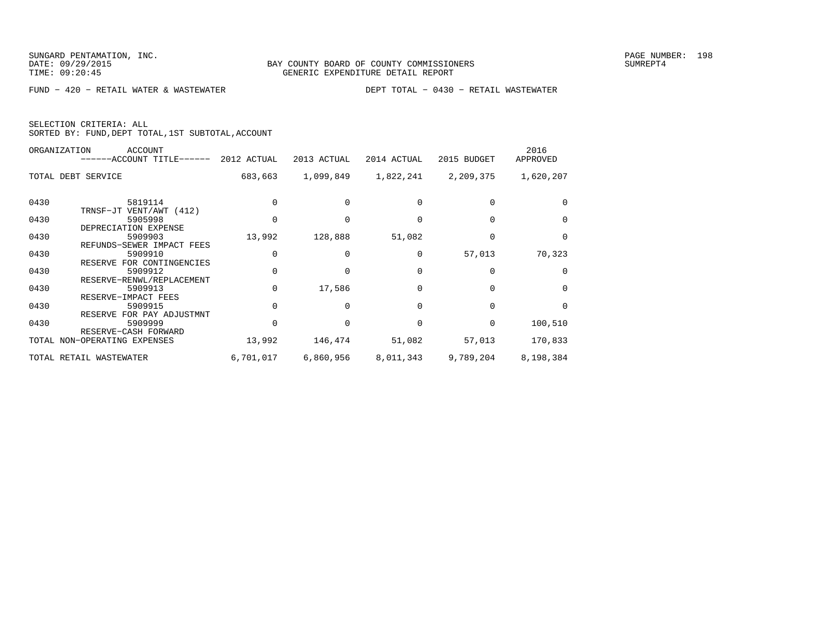|  | SELECTION CRITERIA: ALL                            |  |  |
|--|----------------------------------------------------|--|--|
|  | SORTED BY: FUND, DEPT TOTAL, 1ST SUBTOTAL, ACCOUNT |  |  |

|      | ORGANIZATION<br>ACCOUNT<br>------ACCOUNT TITLE------ | 2012 ACTUAL | 2013 ACTUAL | 2014 ACTUAL | 2015 BUDGET | 2016<br>APPROVED |
|------|------------------------------------------------------|-------------|-------------|-------------|-------------|------------------|
|      | TOTAL DEBT SERVICE                                   | 683,663     | 1,099,849   | 1,822,241   | 2,209,375   | 1,620,207        |
| 0430 | 5819114<br>TRNSF-JT VENT/AWT (412)                   |             |             |             |             | $\Omega$         |
| 0430 | 5905998<br>DEPRECIATION EXPENSE                      |             |             |             |             | $\Omega$         |
| 0430 | 5909903<br>REFUNDS-SEWER IMPACT FEES                 | 13,992      | 128,888     | 51,082      |             | 0                |
| 0430 | 5909910<br>RESERVE FOR CONTINGENCIES                 | $\Omega$    |             | 0           | 57,013      | 70,323           |
| 0430 | 5909912<br>RESERVE-RENWL/REPLACEMENT                 | $\Omega$    |             |             |             | $\Omega$         |
| 0430 | 5909913<br>RESERVE-IMPACT FEES                       | $\Omega$    | 17,586      |             |             | $\Omega$         |
| 0430 | 5909915<br>RESERVE FOR PAY ADJUSTMNT                 | $\Omega$    |             |             |             | $\Omega$         |
| 0430 | 5909999<br>RESERVE-CASH FORWARD                      | 0           |             |             | $\Omega$    | 100,510          |
|      | TOTAL NON-OPERATING EXPENSES                         | 13,992      | 146,474     | 51,082      | 57,013      | 170,833          |
|      | TOTAL RETAIL WASTEWATER                              | 6,701,017   | 6,860,956   | 8,011,343   | 9,789,204   | 8,198,384        |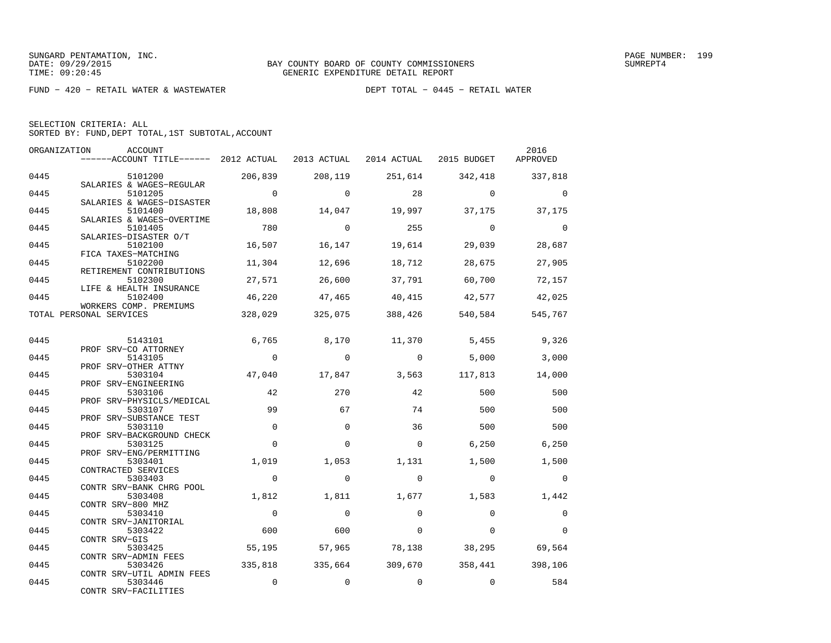| SELECTION CRITERIA: ALL |  |  |                                                    |  |
|-------------------------|--|--|----------------------------------------------------|--|
|                         |  |  | SORTED BY: FUND, DEPT TOTAL, 1ST SUBTOTAL, ACCOUNT |  |

|      | ORGANIZATION<br>ACCOUNT<br>------ACCOUNT TITLE------ 2012 ACTUAL |                | 2013 ACTUAL | 2014 ACTUAL | 2015 BUDGET | 2016<br>APPROVED |
|------|------------------------------------------------------------------|----------------|-------------|-------------|-------------|------------------|
| 0445 | 5101200                                                          | 206,839        | 208,119     | 251,614     | 342,418     | 337,818          |
| 0445 | SALARIES & WAGES-REGULAR<br>5101205                              | $\overline{0}$ | $\Omega$    | 28          | $\Omega$    | $\Omega$         |
| 0445 | SALARIES & WAGES-DISASTER<br>5101400                             | 18,808         | 14,047      | 19,997      | 37,175      | 37,175           |
| 0445 | SALARIES & WAGES-OVERTIME<br>5101405                             | 780            | $\Omega$    | 255         | $\Omega$    | $\Omega$         |
| 0445 | SALARIES-DISASTER O/T<br>5102100<br>FICA TAXES-MATCHING          | 16,507         | 16,147      | 19,614      | 29,039      | 28,687           |
| 0445 | 5102200<br>RETIREMENT CONTRIBUTIONS                              | 11,304         | 12,696      | 18,712      | 28,675      | 27,905           |
| 0445 | 5102300<br>LIFE & HEALTH INSURANCE                               | 27,571         | 26,600      | 37,791      | 60,700      | 72,157           |
| 0445 | 5102400<br>WORKERS COMP. PREMIUMS                                | 46,220         | 47,465      | 40,415      | 42,577      | 42,025           |
|      | TOTAL PERSONAL SERVICES                                          | 328,029        | 325,075     | 388,426     | 540,584     | 545,767          |
| 0445 | 5143101                                                          | 6,765          | 8,170       | 11,370      | 5,455       | 9,326            |
| 0445 | PROF SRV-CO ATTORNEY<br>5143105                                  | $\overline{0}$ | $\Omega$    | $\Omega$    | 5,000       | 3,000            |
|      | PROF SRV-OTHER ATTNY                                             |                |             |             |             |                  |
| 0445 | 5303104<br>PROF SRV-ENGINEERING                                  | 47,040         | 17,847      | 3,563       | 117,813     | 14,000           |
| 0445 | 5303106<br>PROF SRV-PHYSICLS/MEDICAL                             | 42             | 270         | 42          | 500         | 500              |
| 0445 | 5303107<br>PROF SRV-SUBSTANCE TEST                               | 99             | 67          | 74          | 500         | 500              |
| 0445 | 5303110<br>PROF SRV-BACKGROUND CHECK                             | $\mathbf 0$    | $\Omega$    | 36          | 500         | 500              |
| 0445 | 5303125<br>PROF SRV-ENG/PERMITTING                               | $\Omega$       | $\Omega$    | $\Omega$    | 6,250       | 6,250            |
| 0445 | 5303401<br>CONTRACTED SERVICES                                   | 1,019          | 1,053       | 1,131       | 1,500       | 1,500            |
| 0445 | 5303403<br>CONTR SRV-BANK CHRG POOL                              | $\mathbf 0$    | $\Omega$    | $\Omega$    | $\Omega$    | $\Omega$         |
| 0445 | 5303408<br>CONTR SRV-800 MHZ                                     | 1,812          | 1,811       | 1,677       | 1,583       | 1,442            |
| 0445 | 5303410                                                          | $\Omega$       | $\Omega$    | $\Omega$    | $\Omega$    | $\mathbf 0$      |
| 0445 | CONTR SRV-JANITORIAL<br>5303422                                  | 600            | 600         | $\Omega$    | $\Omega$    | $\Omega$         |
| 0445 | CONTR SRV-GIS<br>5303425                                         | 55,195         | 57,965      | 78,138      | 38,295      | 69,564           |
| 0445 | CONTR SRV-ADMIN FEES<br>5303426                                  | 335,818        | 335,664     | 309,670     |             | 358,441 398,106  |
| 0445 | CONTR SRV-UTIL ADMIN FEES<br>5303446<br>CONTR SRV-FACILITIES     | $\mathbf 0$    | $\mathbf 0$ | $\mathbf 0$ | $\mathbf 0$ | 584              |
|      |                                                                  |                |             |             |             |                  |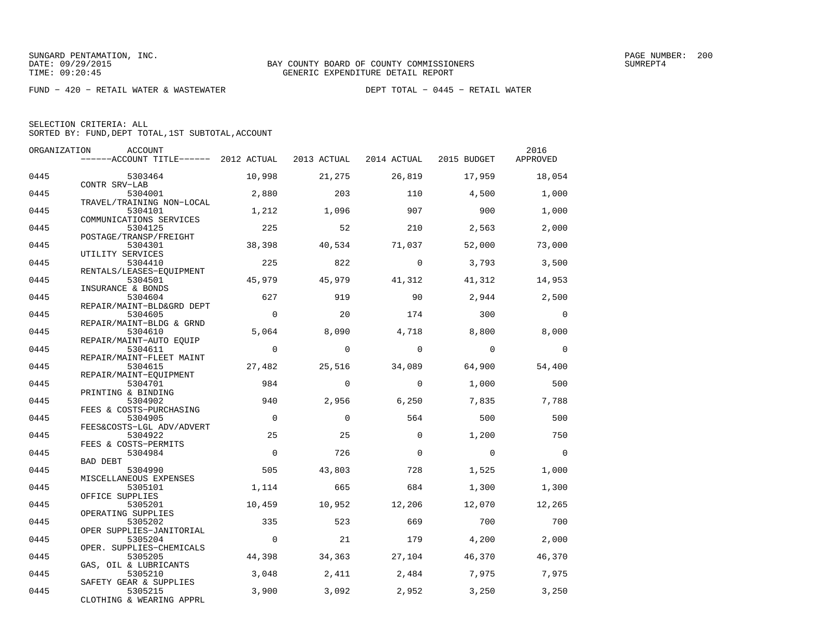| SELECTION CRITERIA: ALL |                                                    |
|-------------------------|----------------------------------------------------|
|                         | SORTED BY: FUND, DEPT TOTAL, 1ST SUBTOTAL, ACCOUNT |

| ORGANIZATION | ACCOUNT                               |                |             |             |             | 2016           |
|--------------|---------------------------------------|----------------|-------------|-------------|-------------|----------------|
|              | ------ACCOUNT TITLE------ 2012 ACTUAL |                | 2013 ACTUAL | 2014 ACTUAL | 2015 BUDGET | APPROVED       |
| 0445         | 5303464                               | 10,998         | 21,275      | 26,819      | 17,959      | 18,054         |
| 0445         | CONTR SRV-LAB<br>5304001              | 2,880          | 203         | 110         | 4,500       | 1,000          |
|              | TRAVEL/TRAINING NON-LOCAL             |                |             |             |             |                |
| 0445         | 5304101<br>COMMUNICATIONS SERVICES    | 1,212          | 1,096       | 907         | 900         | 1,000          |
| 0445         | 5304125                               | 225            | 52          | 210         | 2,563       | 2,000          |
| 0445         | POSTAGE/TRANSP/FREIGHT<br>5304301     | 38,398         | 40,534      | 71,037      | 52,000      | 73,000         |
|              | UTILITY SERVICES                      |                |             |             |             |                |
| 0445         | 5304410<br>RENTALS/LEASES-EQUIPMENT   | 225            | 822         | $\Omega$    | 3,793       | 3,500          |
| 0445         | 5304501                               | 45,979         | 45,979      | 41,312      | 41,312      | 14,953         |
| 0445         | INSURANCE & BONDS<br>5304604          | 627            | 919         | 90          | 2,944       | 2,500          |
|              | REPAIR/MAINT-BLD&GRD DEPT             |                |             |             |             |                |
| 0445         | 5304605<br>REPAIR/MAINT-BLDG & GRND   | $\overline{0}$ | 20          | 174         | 300         | $\Omega$       |
| 0445         | 5304610                               | 5,064          | 8,090       | 4,718       | 8,800       | 8,000          |
| 0445         | REPAIR/MAINT-AUTO EOUIP<br>5304611    | $\overline{0}$ | $\Omega$    | $\Omega$    | $\Omega$    | $\overline{0}$ |
| 0445         | REPAIR/MAINT-FLEET MAINT<br>5304615   | 27,482         | 25,516      | 34,089      | 64,900      | 54,400         |
|              | REPAIR/MAINT-EQUIPMENT                |                |             |             |             |                |
| 0445         | 5304701<br>PRINTING & BINDING         | 984            | $\Omega$    | $\Omega$    | 1,000       | 500            |
| 0445         | 5304902                               | 940            | 2,956       | 6,250       | 7,835       | 7,788          |
| 0445         | FEES & COSTS-PURCHASING<br>5304905    | $\overline{0}$ | $\Omega$    | 564         | 500         | 500            |
|              | FEES&COSTS-LGL ADV/ADVERT             |                |             |             |             |                |
| 0445         | 5304922<br>FEES & COSTS-PERMITS       | 25             | 25          | $\Omega$    | 1,200       | 750            |
| 0445         | 5304984                               | $\Omega$       | 726         | $\mathbf 0$ | $\mathbf 0$ | $\overline{0}$ |
| 0445         | BAD DEBT<br>5304990                   | 505            | 43,803      | 728         | 1,525       | 1,000          |
|              | MISCELLANEOUS EXPENSES                |                |             |             |             |                |
| 0445         | 5305101<br>OFFICE SUPPLIES            | 1,114          | 665         | 684         | 1,300       | 1,300          |
| 0445         | 5305201                               | 10,459         | 10,952      | 12,206      | 12,070      | 12,265         |
| 0445         | OPERATING SUPPLIES<br>5305202         | 335            | 523         | 669         | 700         | 700            |
| 0445         | OPER SUPPLIES-JANITORIAL<br>5305204   | $\overline{0}$ | 21          | 179         | 4,200       | 2,000          |
|              | OPER. SUPPLIES-CHEMICALS              |                |             |             |             |                |
| 0445         | 5305205                               | 44,398         | 34,363      | 27,104      | 46,370      | 46,370         |
| 0445         | GAS, OIL & LUBRICANTS<br>5305210      | 3,048          | 2,411       | 2,484       | 7,975       | 7,975          |
| 0445         | SAFETY GEAR & SUPPLIES<br>5305215     | 3,900          | 3,092       | 2,952       | 3,250       | 3,250          |
|              | CLOTHING & WEARING APPRL              |                |             |             |             |                |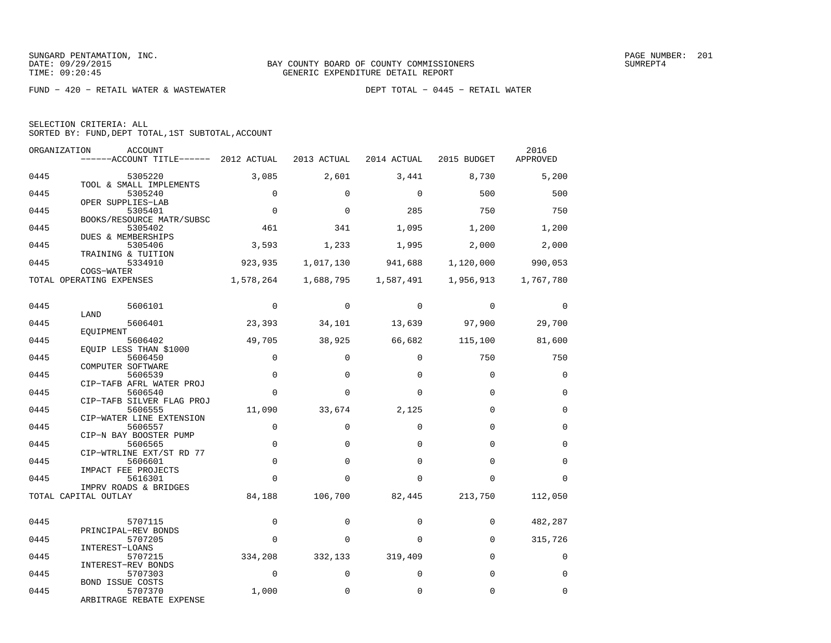| SELECTION CRITERIA: ALL |  |  |                                                    |  |
|-------------------------|--|--|----------------------------------------------------|--|
|                         |  |  | SORTED BY: FUND, DEPT TOTAL, 1ST SUBTOTAL, ACCOUNT |  |

| ORGANIZATION | ACCOUNT                                |             |             |             |               | 2016        |
|--------------|----------------------------------------|-------------|-------------|-------------|---------------|-------------|
|              | ------ACCOUNT TITLE------ 2012 ACTUAL  |             | 2013 ACTUAL | 2014 ACTUAL | 2015 BUDGET   | APPROVED    |
| 0445         | 5305220                                | 3,085       | 2,601       | 3,441       | 8,730         | 5,200       |
|              | TOOL & SMALL IMPLEMENTS                |             |             |             |               |             |
| 0445         | 5305240<br>OPER SUPPLIES-LAB           | $\Omega$    | $\Omega$    | $\Omega$    | 500           | 500         |
| 0445         | 5305401                                | $\Omega$    | $\Omega$    | 285         | 750           | 750         |
|              | BOOKS/RESOURCE MATR/SUBSC              |             |             |             |               |             |
| 0445         | 5305402<br>DUES & MEMBERSHIPS          | 461         | 341         | 1,095       | 1,200         | 1,200       |
| 0445         | 5305406                                | 3,593       | 1,233       | 1,995       | 2,000         | 2,000       |
|              | TRAINING & TUITION                     |             |             |             |               |             |
| 0445         | 5334910                                | 923,935     | 1,017,130   | 941,688     | 1,120,000     | 990,053     |
|              | COGS-WATER<br>TOTAL OPERATING EXPENSES | 1,578,264   | 1,688,795   | 1,587,491   | 1,956,913     | 1,767,780   |
|              |                                        |             |             |             |               |             |
|              |                                        | $\Omega$    | $\Omega$    | $\Omega$    | $\Omega$      |             |
| 0445         | 5606101<br>LAND                        |             |             |             |               | $\Omega$    |
| 0445         | 5606401                                | 23,393      | 34,101      |             | 13,639 97,900 | 29,700      |
| 0445         | EQUIPMENT<br>5606402                   |             |             | 66,682      |               |             |
|              | EOUIP LESS THAN \$1000                 | 49,705      | 38,925      |             | 115,100       | 81,600      |
| 0445         | 5606450                                | $\mathbf 0$ | $\Omega$    | $\Omega$    | 750           | 750         |
|              | COMPUTER SOFTWARE                      | $\Omega$    | $\Omega$    |             | $\Omega$      | $\Omega$    |
| 0445         | 5606539<br>CIP-TAFB AFRL WATER PROJ    |             |             | $\Omega$    |               |             |
| 0445         | 5606540                                | $\Omega$    | $\Omega$    | $\Omega$    | $\Omega$      | $\mathbf 0$ |
|              | CIP-TAFB SILVER FLAG PROJ              |             |             |             | $\Omega$      | $\Omega$    |
| 0445         | 5606555<br>CIP-WATER LINE EXTENSION    | 11,090      | 33,674      | 2,125       |               |             |
| 0445         | 5606557                                | $\mathbf 0$ | $\Omega$    | $\Omega$    | $\Omega$      | $\Omega$    |
| 0445         | CIP-N BAY BOOSTER PUMP<br>5606565      | $\mathbf 0$ | $\Omega$    | $\Omega$    | $\Omega$      | $\mathbf 0$ |
|              | CIP-WTRLINE EXT/ST RD 77               |             |             |             |               |             |
| 0445         | 5606601                                | $\mathbf 0$ | $\Omega$    | $\Omega$    | $\Omega$      | $\Omega$    |
| 0445         | IMPACT FEE PROJECTS<br>5616301         | $\Omega$    | $\Omega$    | $\Omega$    | $\Omega$      | $\Omega$    |
|              | IMPRV ROADS & BRIDGES                  |             |             |             |               |             |
|              | TOTAL CAPITAL OUTLAY                   | 84,188      | 106,700     | 82,445      | 213,750       | 112,050     |
|              |                                        |             |             |             |               |             |
| 0445         | 5707115                                | $\Omega$    | $\Omega$    | $\Omega$    | $\Omega$      | 482,287     |
| 0445         | PRINCIPAL-REV BONDS<br>5707205         | $\Omega$    | $\mathbf 0$ | $\Omega$    | $\mathbf 0$   | 315,726     |
|              | INTEREST-LOANS                         |             |             |             |               |             |
| 0445         | 5707215                                | 334,208     | 332,133     | 319,409     | $\Omega$      | $\Omega$    |
| 0445         | INTEREST-REV BONDS<br>5707303          | $\Omega$    | $\mathbf 0$ | $\Omega$    | $\Omega$      | $\Omega$    |
|              | <b>BOND ISSUE COSTS</b>                |             |             |             |               |             |
| 0445         | 5707370                                | 1,000       | 0           | $\Omega$    | $\Omega$      | $\Omega$    |
|              | ARBITRAGE REBATE EXPENSE               |             |             |             |               |             |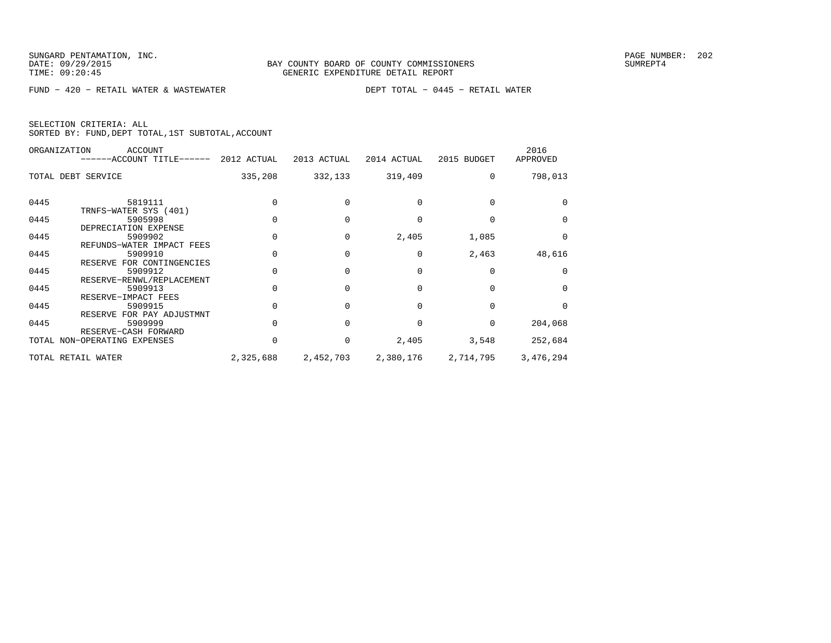| SELECTION CRITERIA: ALL |  |                                                    |  |
|-------------------------|--|----------------------------------------------------|--|
|                         |  | SORTED BY: FUND, DEPT TOTAL, 1ST SUBTOTAL, ACCOUNT |  |

|      | ORGANIZATION<br>ACCOUNT<br>------ACCOUNT TITLE------ 2012 ACTUAL |           | 2013 ACTUAL | 2014 ACTUAL | 2015 BUDGET | 2016<br>APPROVED |
|------|------------------------------------------------------------------|-----------|-------------|-------------|-------------|------------------|
|      | TOTAL DEBT SERVICE                                               | 335,208   | 332,133     | 319,409     | $\Omega$    | 798,013          |
| 0445 | 5819111<br>TRNFS-WATER SYS (401)                                 |           |             |             |             |                  |
| 0445 | 5905998<br>DEPRECIATION EXPENSE                                  |           |             |             |             | $\Omega$         |
| 0445 | 5909902<br>REFUNDS-WATER IMPACT FEES                             |           | 0           | 2,405       | 1,085       | $\Omega$         |
| 0445 | 5909910<br>RESERVE FOR CONTINGENCIES                             |           |             | $\Omega$    | 2,463       | 48,616           |
| 0445 | 5909912<br>RESERVE-RENWL/REPLACEMENT                             |           |             |             |             | $\Omega$         |
| 0445 | 5909913<br>RESERVE-IMPACT FEES                                   |           |             |             |             | $\Omega$         |
| 0445 | 5909915<br>RESERVE FOR PAY ADJUSTMNT                             |           |             |             |             | $\Omega$         |
| 0445 | 5909999<br>RESERVE-CASH FORWARD                                  |           |             |             |             | 204,068          |
|      | TOTAL NON-OPERATING EXPENSES                                     |           | 0           | 2,405       | 3,548       | 252,684          |
|      | TOTAL RETAIL WATER                                               | 2,325,688 | 2,452,703   | 2,380,176   | 2,714,795   | 3,476,294        |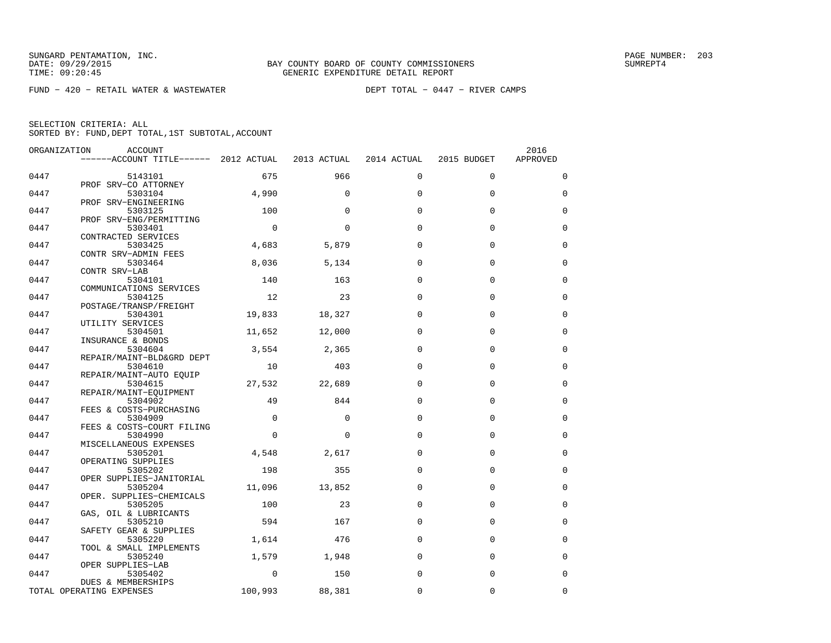FUND − 420 − RETAIL WATER & WASTEWATER DEPT TOTAL − 0447 − RIVER CAMPS

| ORGANIZATION | ACCOUNT                               |             |             |             |             | 2016        |
|--------------|---------------------------------------|-------------|-------------|-------------|-------------|-------------|
|              | ------ACCOUNT TITLE------ 2012 ACTUAL |             | 2013 ACTUAL | 2014 ACTUAL | 2015 BUDGET | APPROVED    |
| 0447         | 5143101                               | 675         | 966         | $\Omega$    | $\Omega$    | $\mathbf 0$ |
| 0447         | PROF SRV-CO ATTORNEY<br>5303104       | 4,990       | $\Omega$    | $\Omega$    | $\Omega$    | $\Omega$    |
| 0447         | PROF SRV-ENGINEERING<br>5303125       | 100         | $\Omega$    | $\Omega$    | $\Omega$    | 0           |
| 0447         | PROF SRV-ENG/PERMITTING<br>5303401    | $\mathbf 0$ | $\Omega$    | $\Omega$    | $\Omega$    | $\mathbf 0$ |
|              | CONTRACTED SERVICES                   |             |             |             |             |             |
| 0447         | 5303425<br>CONTR SRV-ADMIN FEES       | 4,683       | 5,879       | $\Omega$    | $\Omega$    | $\Omega$    |
| 0447         | 5303464<br>CONTR SRV-LAB              | 8,036       | 5,134       | $\Omega$    | $\Omega$    | $\mathbf 0$ |
| 0447         | 5304101                               | 140         | 163         | $\Omega$    | $\Omega$    | $\mathbf 0$ |
| 0447         | COMMUNICATIONS SERVICES<br>5304125    | 12          | 23          | $\Omega$    | $\Omega$    | $\mathbf 0$ |
| 0447         | POSTAGE/TRANSP/FREIGHT<br>5304301     | 19,833      | 18,327      | $\Omega$    | $\Omega$    | $\mathbf 0$ |
|              | UTILITY SERVICES                      |             |             | $\Omega$    | $\Omega$    | $\mathbf 0$ |
| 0447         | 5304501<br>INSURANCE & BONDS          | 11,652      | 12,000      |             |             |             |
| 0447         | 5304604<br>REPAIR/MAINT-BLD&GRD DEPT  | 3,554       | 2,365       | $\Omega$    | $\Omega$    | $\Omega$    |
| 0447         | 5304610<br>REPAIR/MAINT-AUTO EQUIP    | 10          | 403         | $\Omega$    | $\mathbf 0$ | 0           |
| 0447         | 5304615                               | 27,532      | 22,689      | $\Omega$    | $\Omega$    | $\mathbf 0$ |
| 0447         | REPAIR/MAINT-EOUIPMENT<br>5304902     | 49          | 844         | $\Omega$    | $\Omega$    | $\Omega$    |
| 0447         | FEES & COSTS-PURCHASING<br>5304909    | $\mathbf 0$ | $\Omega$    | $\Omega$    | $\Omega$    | $\mathbf 0$ |
| 0447         | FEES & COSTS-COURT FILING<br>5304990  | $\Omega$    | $\Omega$    | $\Omega$    | $\Omega$    | $\mathbf 0$ |
|              | MISCELLANEOUS EXPENSES                |             |             |             |             |             |
| 0447         | 5305201<br>OPERATING SUPPLIES         | 4,548       | 2,617       | $\Omega$    | $\Omega$    | $\mathbf 0$ |
| 0447         | 5305202<br>OPER SUPPLIES-JANITORIAL   | 198         | 355         | $\Omega$    | $\Omega$    | $\Omega$    |
| 0447         | 5305204<br>OPER. SUPPLIES-CHEMICALS   | 11,096      | 13,852      | $\Omega$    | $\Omega$    | $\mathbf 0$ |
| 0447         | 5305205                               | 100         | 23          | $\Omega$    | $\Omega$    | $\mathbf 0$ |
| 0447         | GAS, OIL & LUBRICANTS<br>5305210      | 594         | 167         | $\Omega$    | $\Omega$    | $\mathbf 0$ |
| 0447         | SAFETY GEAR & SUPPLIES<br>5305220     | 1,614       | 476         | $\Omega$    | $\Omega$    | $\mathbf 0$ |
| 0447         | TOOL & SMALL IMPLEMENTS<br>5305240    | 1,579       | 1,948       | $\Omega$    | $\Omega$    | $\mathbf 0$ |
|              | OPER SUPPLIES-LAB                     |             |             |             |             |             |
| 0447         | 5305402<br>DUES & MEMBERSHIPS         | $\Omega$    | 150         | $\Omega$    | $\Omega$    | $\mathbf 0$ |
|              | TOTAL OPERATING EXPENSES              | 100,993     | 88,381      | $\Omega$    | $\Omega$    | $\mathbf 0$ |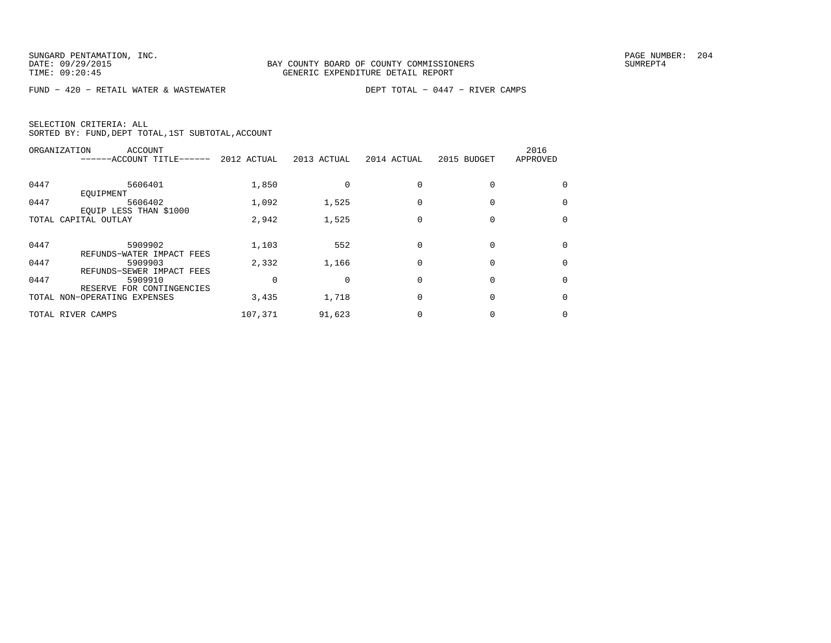FUND − 420 − RETAIL WATER & WASTEWATER DEPT TOTAL − 0447 − RIVER CAMPS

| ORGANIZATION | ACCOUNT<br>------ACCOUNT TITLE------                      | 2012 ACTUAL | 2013 ACTUAL | 2014 ACTUAL | 2015 BUDGET | 2016<br>APPROVED |
|--------------|-----------------------------------------------------------|-------------|-------------|-------------|-------------|------------------|
| 0447         | 5606401<br>EOUIPMENT                                      | 1,850       |             |             |             | $\Omega$         |
| 0447         | 5606402<br>EQUIP LESS THAN \$1000                         | 1,092       | 1,525       |             |             | 0                |
|              | TOTAL CAPITAL OUTLAY                                      | 2,942       | 1,525       |             |             | 0                |
| 0447         | 5909902<br>REFUNDS-WATER IMPACT FEES                      | 1,103       | 552         |             |             | $\Omega$         |
| 0447         | 5909903<br>REFUNDS-SEWER IMPACT FEES                      | 2,332       | 1,166       |             |             | $\Omega$         |
| 0447         | 5909910                                                   |             |             |             |             | $\Omega$         |
|              | RESERVE FOR CONTINGENCIES<br>TOTAL NON-OPERATING EXPENSES | 3,435       | 1,718       |             |             | 0                |
|              | TOTAL RIVER CAMPS                                         | 107,371     | 91,623      |             |             | 0                |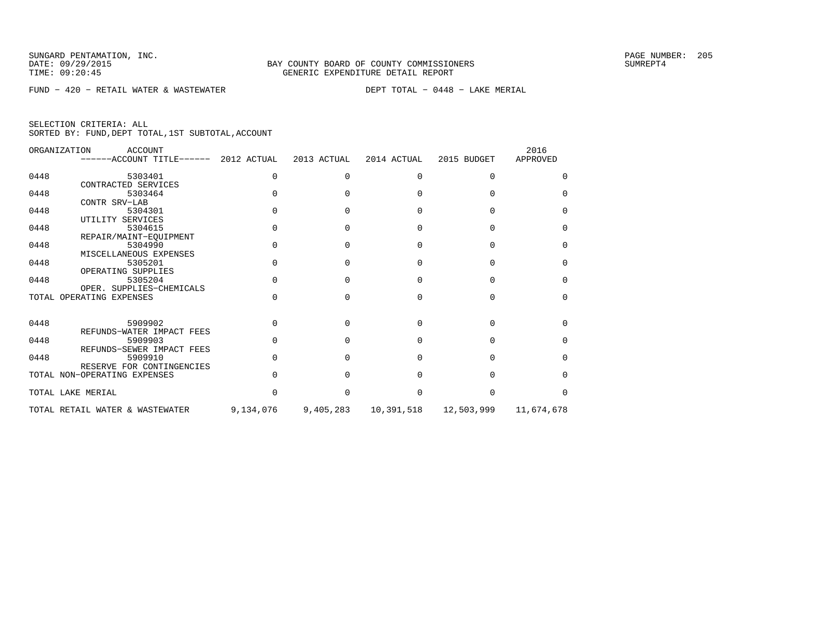FUND − 420 − RETAIL WATER & WASTEWATER DEPT TOTAL − 0448 − LAKE MERIAL

| SELECTION CRITERIA: ALL |  |  |                                                    |  |
|-------------------------|--|--|----------------------------------------------------|--|
|                         |  |  | SORTED BY: FUND, DEPT TOTAL, 1ST SUBTOTAL, ACCOUNT |  |

|      | ORGANIZATION<br><b>ACCOUNT</b><br>------ACCOUNT TITLE------ 2012 ACTUAL |           | 2013 ACTUAL | 2014 ACTUAL | 2015 BUDGET | 2016<br>APPROVED |
|------|-------------------------------------------------------------------------|-----------|-------------|-------------|-------------|------------------|
| 0448 | 5303401                                                                 | U         |             | U           |             |                  |
|      | CONTRACTED SERVICES                                                     |           |             |             |             |                  |
| 0448 | 5303464                                                                 |           |             |             |             |                  |
|      | CONTR SRV-LAB                                                           |           |             |             |             |                  |
| 0448 | 5304301                                                                 |           |             |             |             | $\cap$           |
|      | UTILITY SERVICES                                                        |           |             |             |             |                  |
| 0448 | 5304615                                                                 |           |             |             |             | ∩                |
|      | REPAIR/MAINT-EOUIPMENT                                                  |           |             |             |             |                  |
| 0448 | 5304990                                                                 |           |             |             |             | U                |
|      | MISCELLANEOUS EXPENSES                                                  |           |             |             |             |                  |
| 0448 | 5305201                                                                 |           |             |             |             | $\cap$           |
|      | OPERATING SUPPLIES                                                      |           |             |             |             |                  |
| 0448 | 5305204                                                                 |           |             |             |             | $\cap$           |
|      | OPER. SUPPLIES-CHEMICALS                                                |           |             |             |             |                  |
|      | TOTAL OPERATING EXPENSES                                                |           |             |             |             | $\cap$           |
|      |                                                                         |           |             |             |             |                  |
| 0448 | 5909902                                                                 |           |             |             |             | <sup>n</sup>     |
|      | REFUNDS-WATER IMPACT FEES                                               |           |             |             |             |                  |
| 0448 | 5909903                                                                 |           |             |             |             | n                |
|      | REFUNDS-SEWER IMPACT FEES                                               |           |             |             |             |                  |
| 0448 | 5909910                                                                 |           |             |             |             | U                |
|      | RESERVE FOR CONTINGENCIES                                               |           |             |             |             |                  |
|      | TOTAL NON-OPERATING EXPENSES                                            |           |             |             |             | n                |
|      | TOTAL LAKE MERIAL                                                       |           |             |             |             | ∩                |
|      |                                                                         |           |             |             |             |                  |
|      | TOTAL RETAIL WATER & WASTEWATER                                         | 9,134,076 | 9,405,283   | 10,391,518  | 12,503,999  | 11,674,678       |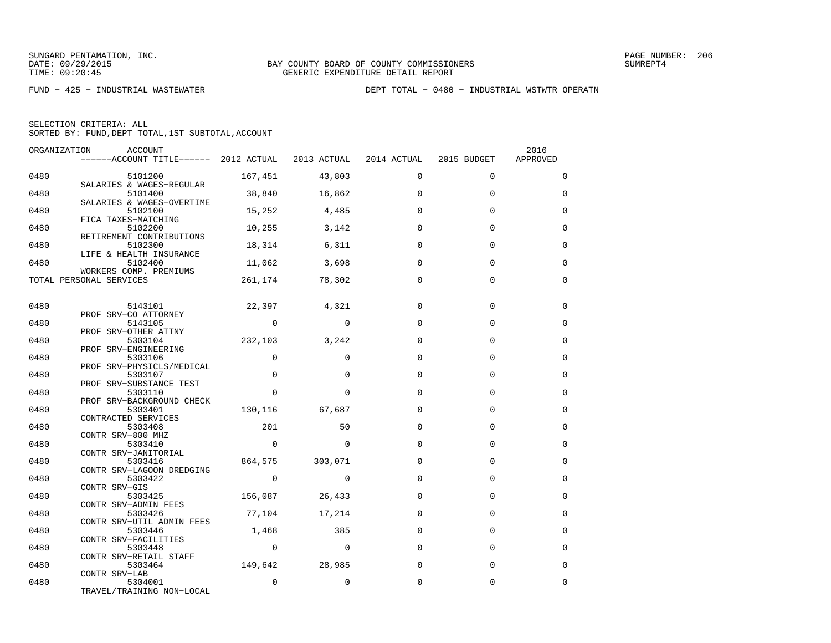|  | SELECTION CRITERIA: ALL |                                                    |  |
|--|-------------------------|----------------------------------------------------|--|
|  |                         | SORTED BY: FUND, DEPT TOTAL, 1ST SUBTOTAL, ACCOUNT |  |

| ORGANIZATION | ACCOUNT<br>------ACCOUNT TITLE------ 2012 ACTUAL 2013 ACTUAL 2014 ACTUAL |                |                 |             | 2015 BUDGET | 2016<br>APPROVED |
|--------------|--------------------------------------------------------------------------|----------------|-----------------|-------------|-------------|------------------|
| 0480         | 5101200                                                                  |                | 167,451 43,803  | 0           | 0           | 0                |
| 0480         | SALARIES & WAGES-REGULAR<br>5101400                                      |                | 38,840 16,862   | $\Omega$    | $\Omega$    | $\Omega$         |
| 0480         | SALARIES & WAGES-OVERTIME<br>5102100<br>FICA TAXES-MATCHING              |                | 15,252 4,485    | $\Omega$    | 0           | 0                |
| 0480         | 5102200<br>RETIREMENT CONTRIBUTIONS                                      |                | 10,255 3,142    | $\Omega$    | $\Omega$    | $\Omega$         |
| 0480         | 5102300<br>LIFE & HEALTH INSURANCE                                       |                | 18,314 6,311    | $\Omega$    | $\mathbf 0$ | $\Omega$         |
| 0480         | 5102400<br>WORKERS COMP. PREMIUMS                                        |                | 11,062 3,698    | $\Omega$    | $\Omega$    | $\Omega$         |
|              | TOTAL PERSONAL SERVICES                                                  |                | 261,174 78,302  | $\mathbf 0$ | $\mathbf 0$ | 0                |
| 0480         | 5143101                                                                  |                | 22,397 4,321    | $\Omega$    | $\mathbf 0$ | 0                |
| 0480         | PROF SRV-CO ATTORNEY<br>5143105                                          | $\overline{0}$ | $\Omega$        | $\Omega$    | $\Omega$    | $\Omega$         |
| 0480         | PROF SRV-OTHER ATTNY<br>5303104                                          |                | 232,103 3,242   | $\Omega$    | $\Omega$    | $\Omega$         |
| 0480         | PROF SRV-ENGINEERING<br>5303106                                          | $\mathbf 0$    | $\Omega$        | $\mathbf 0$ | $\Omega$    | 0                |
| 0480         | PROF SRV-PHYSICLS/MEDICAL<br>5303107<br>PROF SRV-SUBSTANCE TEST          | $\Omega$       | $\Omega$        | $\Omega$    | $\Omega$    | $\Omega$         |
| 0480         | 5303110<br>PROF SRV-BACKGROUND CHECK                                     | $\Omega$       | $\Omega$        | $\Omega$    | $\Omega$    | $\Omega$         |
| 0480         | 5303401<br>CONTRACTED SERVICES                                           | 130,116        | 67,687          | $\Omega$    | $\Omega$    | $\Omega$         |
| 0480         | 5303408<br>CONTR SRV-800 MHZ                                             | 201            | 50              | $\Omega$    | $\Omega$    | $\Omega$         |
| 0480         | 5303410<br>CONTR SRV-JANITORIAL                                          | $\overline{a}$ | $\Omega$        | $\Omega$    | $\Omega$    | $\Omega$         |
| 0480         | 5303416<br>CONTR SRV-LAGOON DREDGING                                     |                | 864,575 303,071 | $\Omega$    | $\Omega$    | $\Omega$         |
| 0480         | 5303422<br>CONTR SRV-GIS                                                 | $\overline{0}$ | $\Omega$        | $\Omega$    | $\mathbf 0$ | 0                |
| 0480         | 5303425<br>CONTR SRV-ADMIN FEES                                          | 156,087 26,433 |                 | $\Omega$    | $\Omega$    | $\Omega$         |
| 0480         | 5303426<br>CONTR SRV-UTIL ADMIN FEES                                     |                | 77,104 17,214   | $\Omega$    | $\Omega$    | $\Omega$         |
| 0480         | 5303446<br>CONTR SRV-FACILITIES                                          |                | 1,468<br>385    | $\Omega$    | $\Omega$    | $\Omega$         |
| 0480         | 5303448<br>CONTR SRV-RETAIL STAFF                                        | $\overline{0}$ | $\Omega$        | $\Omega$    | $\Omega$    | $\Omega$         |
| 0480         | 5303464<br>CONTR SRV-LAB                                                 |                | 149,642 28,985  | $\Omega$    | $\Omega$    | $\Omega$         |
| 0480         | 5304001<br>TRAVEL/TRAINING NON-LOCAL                                     | $\mathbf 0$    | 0               | $\mathbf 0$ | 0           | 0                |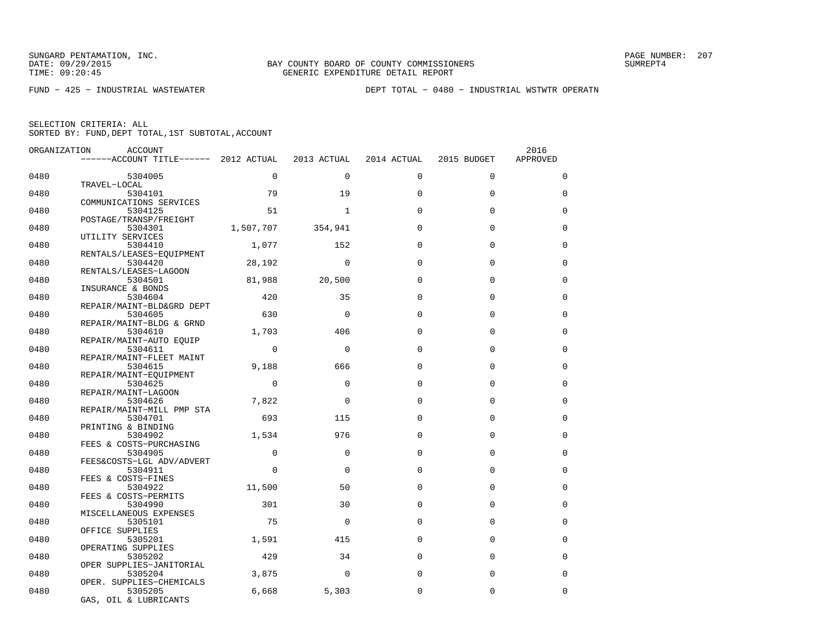FUND − 425 − INDUSTRIAL WASTEWATER DEPT TOTAL − 0480 − INDUSTRIAL WSTWTR OPERATN

| ORGANIZATION | <b>ACCOUNT</b>                        |           |              |             |             | 2016        |
|--------------|---------------------------------------|-----------|--------------|-------------|-------------|-------------|
|              | $----ACCOUNT$ TITLE $--- 2012$ ACTUAL |           | 2013 ACTUAL  | 2014 ACTUAL | 2015 BUDGET | APPROVED    |
| 0480         | 5304005                               | $\Omega$  | $\Omega$     | 0           | $\Omega$    | $\Omega$    |
|              | TRAVEL-LOCAL                          |           |              |             |             |             |
| 0480         | 5304101                               | 79        | 19           | $\Omega$    | $\Omega$    | $\Omega$    |
|              | COMMUNICATIONS SERVICES               |           |              |             |             |             |
| 0480         | 5304125                               | 51        | $\mathbf{1}$ | $\Omega$    | $\Omega$    | $\Omega$    |
|              | POSTAGE/TRANSP/FREIGHT                |           |              |             |             |             |
| 0480         | 5304301                               | 1,507,707 | 354,941      | $\Omega$    | $\mathbf 0$ | $\Omega$    |
|              | UTILITY SERVICES                      |           |              |             |             |             |
| 0480         | 5304410                               | 1,077     | 152          | $\Omega$    | $\Omega$    | $\Omega$    |
| 0480         | RENTALS/LEASES-EOUIPMENT              | 28,192    | $\Omega$     | $\Omega$    | $\Omega$    | $\Omega$    |
|              | 5304420<br>RENTALS/LEASES-LAGOON      |           |              |             |             |             |
| 0480         | 5304501                               | 81,988    | 20,500       | $\Omega$    | $\Omega$    | $\Omega$    |
|              | INSURANCE & BONDS                     |           |              |             |             |             |
| 0480         | 5304604                               | 420       | 35           | $\Omega$    | $\Omega$    | $\Omega$    |
|              | REPAIR/MAINT-BLD&GRD DEPT             |           |              |             |             |             |
| 0480         | 5304605                               | 630       | $\Omega$     | $\Omega$    | $\mathbf 0$ | $\mathbf 0$ |
|              | REPAIR/MAINT-BLDG & GRND              |           |              |             |             |             |
| 0480         | 5304610                               | 1,703     | 406          | $\Omega$    | $\Omega$    | $\Omega$    |
|              | REPAIR/MAINT-AUTO EOUIP               |           |              |             |             |             |
| 0480         | 5304611                               | $\Omega$  | 0            | $\Omega$    | $\mathbf 0$ | $\mathbf 0$ |
|              | REPAIR/MAINT-FLEET MAINT              |           |              |             |             |             |
| 0480         | 5304615                               | 9,188     | 666          | $\Omega$    | $\Omega$    | $\Omega$    |
|              | REPAIR/MAINT-EOUIPMENT                |           |              |             |             |             |
| 0480         | 5304625                               | $\Omega$  | $\Omega$     | $\Omega$    | $\Omega$    | $\Omega$    |
|              | REPAIR/MAINT-LAGOON                   |           |              |             |             |             |
| 0480         | 5304626                               | 7,822     | $\Omega$     | $\Omega$    | $\Omega$    | $\Omega$    |
| 0480         | REPAIR/MAINT-MILL PMP STA<br>5304701  | 693       | 115          | $\Omega$    | $\Omega$    | $\Omega$    |
|              | PRINTING & BINDING                    |           |              |             |             |             |
| 0480         | 5304902                               | 1,534     | 976          | $\Omega$    | $\Omega$    | $\Omega$    |
|              | FEES & COSTS-PURCHASING               |           |              |             |             |             |
| 0480         | 5304905                               | $\Omega$  | $\Omega$     | $\Omega$    | $\Omega$    | $\Omega$    |
|              | FEES&COSTS-LGL ADV/ADVERT             |           |              |             |             |             |
| 0480         | 5304911                               | $\Omega$  | $\Omega$     | $\Omega$    | $\Omega$    | $\Omega$    |
|              | FEES & COSTS-FINES                    |           |              |             |             |             |
| 0480         | 5304922                               | 11,500    | 50           | $\Omega$    | $\mathbf 0$ | $\Omega$    |
|              | FEES & COSTS-PERMITS                  |           |              |             |             |             |
| 0480         | 5304990                               | 301       | 30           | $\Omega$    | $\Omega$    | $\Omega$    |
|              | MISCELLANEOUS EXPENSES                |           |              |             |             |             |
| 0480         | 5305101                               | 75        | $\Omega$     | $\Omega$    | $\mathbf 0$ | $\Omega$    |
|              | OFFICE SUPPLIES                       |           |              | $\Omega$    | $\Omega$    | $\Omega$    |
| 0480         | 5305201<br>OPERATING SUPPLIES         | 1,591     | 415          |             |             |             |
| 0480         | 5305202                               | 429       | 34           | $\Omega$    | $\mathbf 0$ | $\Omega$    |
|              | OPER SUPPLIES-JANITORIAL              |           |              |             |             |             |
| 0480         | 5305204                               | 3,875     | $\Omega$     | $\Omega$    | $\mathbf 0$ | $\Omega$    |
|              | OPER. SUPPLIES-CHEMICALS              |           |              |             |             |             |
| 0480         | 5305205                               | 6,668     | 5,303        | $\Omega$    | $\Omega$    | $\Omega$    |
|              | GAS, OIL & LUBRICANTS                 |           |              |             |             |             |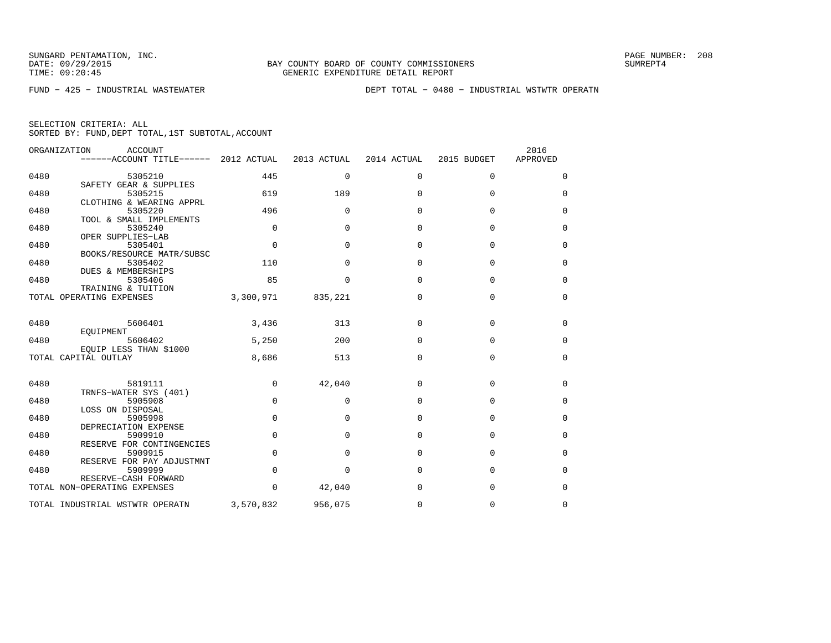FUND − 425 − INDUSTRIAL WASTEWATER DEPT TOTAL − 0480 − INDUSTRIAL WSTWTR OPERATN

|      | ORGANIZATION<br>ACCOUNT<br>------ACCOUNT TITLE------ | 2012 ACTUAL | 2013 ACTUAL  | 2014 ACTUAL | 2015 BUDGET | 2016<br>APPROVED |
|------|------------------------------------------------------|-------------|--------------|-------------|-------------|------------------|
| 0480 | 5305210                                              | 445         | $\mathbf{0}$ | $\mathbf 0$ | 0           | 0                |
| 0480 | SAFETY GEAR & SUPPLIES<br>5305215                    | 619         | 189          | $\Omega$    | $\Omega$    | $\Omega$         |
| 0480 | CLOTHING & WEARING APPRL<br>5305220                  | 496         | $\Omega$     | $\mathbf 0$ | $\mathbf 0$ | 0                |
| 0480 | TOOL & SMALL IMPLEMENTS<br>5305240                   | $\Omega$    | $\Omega$     | $\Omega$    | $\Omega$    | $\Omega$         |
| 0480 | OPER SUPPLIES-LAB<br>5305401                         | $\Omega$    | $\Omega$     | $\Omega$    | $\Omega$    | 0                |
| 0480 | BOOKS/RESOURCE MATR/SUBSC<br>5305402                 | 110         | $\Omega$     | $\Omega$    | $\mathbf 0$ | 0                |
| 0480 | DUES & MEMBERSHIPS<br>5305406                        | 85          | $\Omega$     | $\Omega$    | $\Omega$    | 0                |
|      | TRAINING & TUITION<br>TOTAL OPERATING EXPENSES       | 3,300,971   | 835,221      | $\mathbf 0$ | $\mathbf 0$ | 0                |
| 0480 | 5606401<br>EOUIPMENT                                 | 3,436       | 313          | 0           | 0           | 0                |
| 0480 | 5606402<br>EQUIP LESS THAN \$1000                    | 5,250       | 200          | $\mathbf 0$ | 0           | 0                |
|      | TOTAL CAPITAL OUTLAY                                 | 8,686       | 513          | $\mathbf 0$ | $\mathbf 0$ | $\mathbf 0$      |
| 0480 | 5819111<br>TRNFS-WATER SYS (401)                     | 0           | 42,040       | $\mathbf 0$ | $\mathbf 0$ | 0                |
| 0480 | 5905908<br>LOSS ON DISPOSAL                          | $\Omega$    | $\Omega$     | $\Omega$    | $\Omega$    | $\mathbf 0$      |
| 0480 | 5905998<br>DEPRECIATION EXPENSE                      | $\mathbf 0$ | $\Omega$     | $\mathbf 0$ | 0           | 0                |
| 0480 | 5909910<br>RESERVE FOR CONTINGENCIES                 | $\mathbf 0$ | $\Omega$     | $\Omega$    | 0           | 0                |
| 0480 | 5909915<br>RESERVE FOR PAY ADJUSTMNT                 | $\mathbf 0$ | $\Omega$     | $\Omega$    | $\Omega$    | 0                |
| 0480 | 5909999<br>RESERVE-CASH FORWARD                      | $\mathbf 0$ | $\mathbf 0$  | $\mathbf 0$ | $\mathbf 0$ | 0                |
|      | TOTAL NON-OPERATING EXPENSES                         | $\Omega$    | 42,040       | $\Omega$    | $\Omega$    | $\Omega$         |
|      | TOTAL INDUSTRIAL WSTWTR OPERATN                      | 3,570,832   | 956,075      | 0           | $\mathbf 0$ | 0                |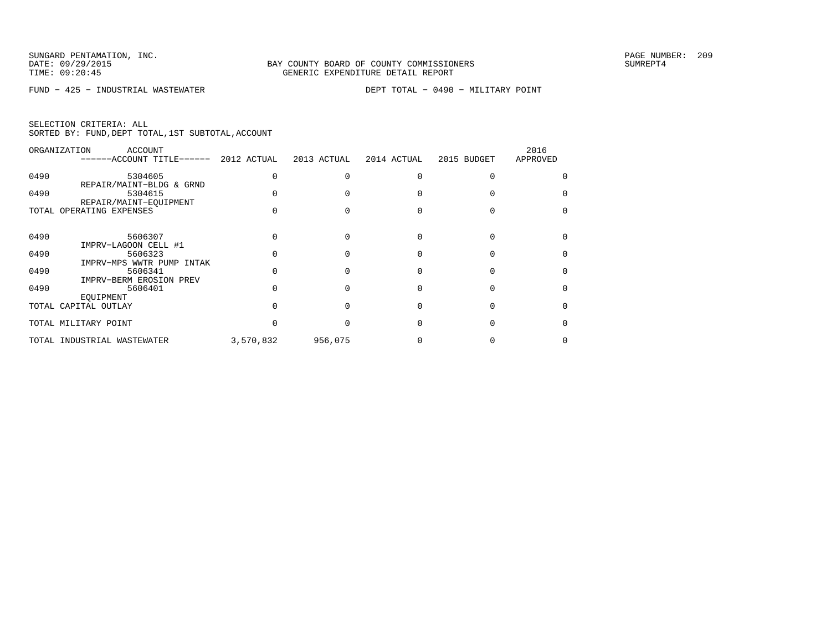FUND − 425 − INDUSTRIAL WASTEWATER DEPT TOTAL − 0490 − MILITARY POINT

|  | SELECTION CRITERIA: ALL |                                                    |
|--|-------------------------|----------------------------------------------------|
|  |                         | SORTED BY: FUND, DEPT TOTAL, 1ST SUBTOTAL, ACCOUNT |

|      | ORGANIZATION<br>ACCOUNT<br>------ACCOUNT TITLE------            | 2012 ACTUAL | 2013 ACTUAL | 2014 ACTUAL | 2015 BUDGET | 2016<br>APPROVED |
|------|-----------------------------------------------------------------|-------------|-------------|-------------|-------------|------------------|
| 0490 | 5304605                                                         |             |             |             |             |                  |
| 0490 | REPAIR/MAINT-BLDG & GRND<br>5304615<br>REPAIR/MAINT-EOUIPMENT   |             |             |             |             |                  |
|      | TOTAL OPERATING EXPENSES                                        |             |             |             |             |                  |
| 0490 | 5606307                                                         |             |             |             |             |                  |
| 0490 | IMPRV-LAGOON CELL #1<br>5606323<br>IMPRV-MPS WWTR PUMP<br>INTAK |             |             |             |             |                  |
| 0490 | 5606341<br>IMPRV-BERM EROSION PREV                              |             |             |             |             |                  |
| 0490 | 5606401<br>EOUIPMENT                                            |             |             |             |             |                  |
|      | TOTAL CAPITAL OUTLAY                                            |             |             |             |             |                  |
|      | TOTAL MILITARY POINT                                            |             |             |             |             |                  |
|      | TOTAL INDUSTRIAL WASTEWATER                                     | 3,570,832   | 956,075     |             |             |                  |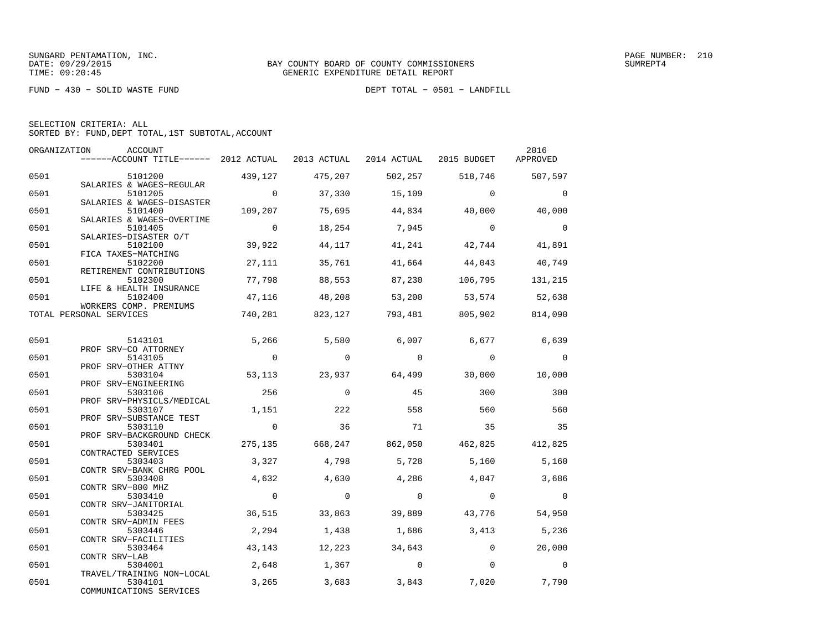FUND − 430 − SOLID WASTE FUND DEPT TOTAL − 0501 − LANDFILL

| SELECTION CRITERIA: ALL |  |  |                                                    |  |
|-------------------------|--|--|----------------------------------------------------|--|
|                         |  |  | SORTED BY: FUND, DEPT TOTAL, 1ST SUBTOTAL, ACCOUNT |  |

|      | ORGANIZATION<br>ACCOUNT<br>------ACCOUNT TITLE------ 2012 ACTUAL 2013 ACTUAL 2014 ACTUAL 2015 BUDGET |                |          |             |                 | 2016<br>APPROVED |
|------|------------------------------------------------------------------------------------------------------|----------------|----------|-------------|-----------------|------------------|
| 0501 | 5101200                                                                                              | 439,127        | 475,207  | 502,257     | 518,746         | 507,597          |
| 0501 | SALARIES & WAGES-REGULAR<br>5101205                                                                  | $\overline{0}$ | 37,330   | 15,109      | $\Omega$        | $\Omega$         |
| 0501 | SALARIES & WAGES-DISASTER<br>5101400                                                                 | 109,207        | 75,695   | 44,834      | 40,000          | 40,000           |
| 0501 | SALARIES & WAGES-OVERTIME<br>5101405                                                                 | $\overline{0}$ | 18,254   | 7,945       | $\overline{a}$  | $\Omega$         |
| 0501 | SALARIES-DISASTER O/T<br>5102100                                                                     | 39,922         | 44,117   | 41,241      | 42,744          | 41,891           |
| 0501 | FICA TAXES-MATCHING<br>5102200                                                                       | 27,111         | 35,761   | 41,664      | 44,043          | 40,749           |
| 0501 | RETIREMENT CONTRIBUTIONS<br>5102300                                                                  | 77,798         | 88,553   | 87,230      | 106,795         | 131,215          |
| 0501 | LIFE & HEALTH INSURANCE<br>5102400                                                                   | 47,116         | 48,208   | 53,200      | 53, 574         | 52,638           |
|      | WORKERS COMP. PREMIUMS<br>TOTAL PERSONAL SERVICES                                                    | 740,281        | 823, 127 |             | 793,481 805,902 | 814,090          |
| 0501 | 5143101                                                                                              | 5,266          | 5,580    | 6,007       | 6,677           | 6,639            |
| 0501 | PROF SRV-CO ATTORNEY<br>5143105                                                                      | $\overline{0}$ | $\circ$  | $\mathbf 0$ | $\mathbf 0$     | $\mathbf 0$      |
| 0501 | PROF SRV-OTHER ATTNY<br>5303104                                                                      | 53,113         | 23,937   | 64,499      | 30,000          | 10,000           |
| 0501 | PROF SRV-ENGINEERING<br>5303106                                                                      | 256            | $\Omega$ | 45          | 300             | 300              |
| 0501 | PROF SRV-PHYSICLS/MEDICAL<br>5303107                                                                 | 1,151          | 222      | 558         | 560             | 560              |
| 0501 | PROF SRV-SUBSTANCE TEST<br>5303110                                                                   | $\overline{0}$ | 36       | 71          | 35              | 35               |
| 0501 | PROF SRV-BACKGROUND CHECK<br>5303401                                                                 | 275,135        | 668,247  | 862,050     |                 | 462,825 412,825  |
| 0501 | CONTRACTED SERVICES<br>5303403                                                                       | 3,327          | 4,798    | 5,728       | 5,160           | 5,160            |
| 0501 | CONTR SRV-BANK CHRG POOL<br>5303408                                                                  | 4,632          | 4,630    | 4,286       | 4,047           | 3,686            |
| 0501 | CONTR SRV-800 MHZ<br>5303410                                                                         | $\Omega$       | $\Omega$ | $\Omega$    | $\Omega$        | $\Omega$         |
| 0501 | CONTR SRV-JANITORIAL<br>5303425<br>CONTR SRV-ADMIN FEES                                              | 36,515         | 33,863   | 39,889      | 43,776          | 54,950           |
| 0501 | 5303446<br>CONTR SRV-FACILITIES                                                                      | 2,294          | 1,438    | 1,686       | 3,413           | 5,236            |
| 0501 | 5303464<br>CONTR SRV-LAB                                                                             | 43,143         | 12,223   | 34,643      | $\Omega$        | 20,000           |
| 0501 | 5304001<br>TRAVEL/TRAINING NON-LOCAL                                                                 | 2,648          | 1,367    | $\mathbf 0$ | $\Omega$        | $\Omega$         |
| 0501 | 5304101<br>COMMUNICATIONS SERVICES                                                                   | 3,265          | 3,683    | 3,843       | 7,020           | 7,790            |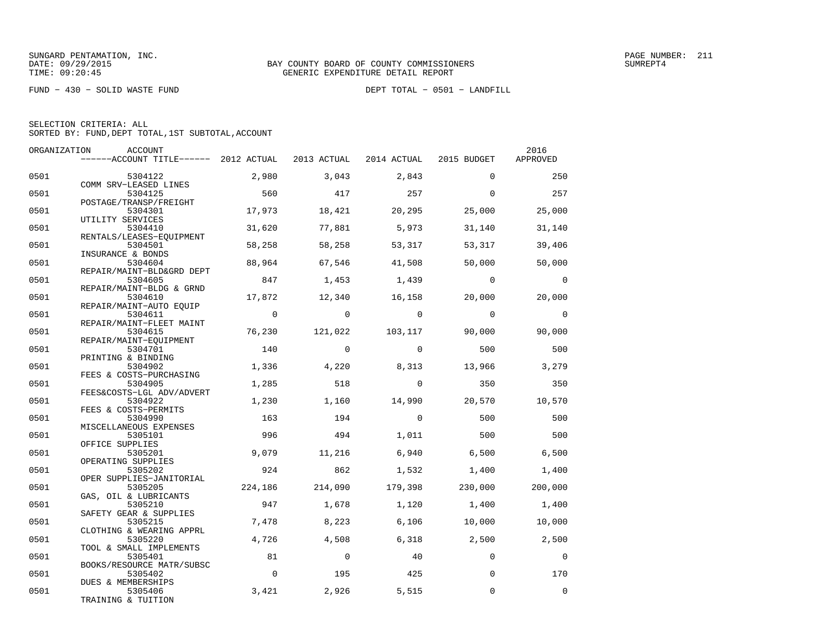FUND − 430 − SOLID WASTE FUND DEPT TOTAL − 0501 − LANDFILL

|  | SELECTION CRITERIA: ALL |                                                    |  |
|--|-------------------------|----------------------------------------------------|--|
|  |                         | SORTED BY: FUND, DEPT TOTAL, 1ST SUBTOTAL, ACCOUNT |  |

| ORGANIZATION | ACCOUNT                               |                |            |                                     |                | 2016           |
|--------------|---------------------------------------|----------------|------------|-------------------------------------|----------------|----------------|
|              | ------ACCOUNT TITLE------ 2012 ACTUAL |                |            | 2013 ACTUAL 2014 ACTUAL 2015 BUDGET |                | APPROVED       |
| 0501         | 5304122                               | 2,980          | 3,043      | 2,843                               | $\Omega$       | 250            |
|              | COMM SRV-LEASED LINES                 |                |            |                                     |                |                |
| 0501         | 5304125                               | 560            | 417        | 257                                 | $\Omega$       | 257            |
| 0501         | POSTAGE/TRANSP/FREIGHT<br>5304301     | 17,973         | 18,421     | 20,295                              | 25,000         | 25,000         |
|              | UTILITY SERVICES                      |                |            |                                     |                |                |
| 0501         | 5304410                               | 31,620         | 77,881     | 5,973                               | 31,140         | 31,140         |
| 0501         | RENTALS/LEASES-EQUIPMENT<br>5304501   | 58,258         | 58,258     | 53,317                              | 53,317         | 39,406         |
|              | INSURANCE & BONDS                     |                |            |                                     |                |                |
| 0501         | 5304604                               | 88,964         | 67,546     | 41,508                              | 50,000         | 50,000         |
|              | REPAIR/MAINT-BLD&GRD DEPT             |                |            |                                     |                |                |
| 0501         | 5304605                               | 847            | 1,453      | 1,439                               | $\overline{0}$ | $\overline{0}$ |
| 0501         | REPAIR/MAINT-BLDG & GRND<br>5304610   | 17,872         | 12,340     | 16,158                              | 20,000         | 20,000         |
|              | REPAIR/MAINT-AUTO EOUIP               |                |            |                                     |                |                |
| 0501         | 5304611                               | $\overline{0}$ | $\Omega$   | $\Omega$                            | $\Omega$       | $\Omega$       |
|              | REPAIR/MAINT-FLEET MAINT              |                |            |                                     |                |                |
| 0501         | 5304615                               | 76,230         | 121,022    | 103,117                             | 90,000         | 90,000         |
|              | REPAIR/MAINT-EQUIPMENT                |                |            |                                     |                |                |
| 0501         | 5304701                               | 140            | $\Omega$   | $\Omega$                            | 500            | 500            |
|              | PRINTING & BINDING                    |                |            |                                     |                |                |
| 0501         | 5304902                               | 1,336          | 4,220      | 8,313                               | 13,966         | 3,279          |
|              | FEES & COSTS-PURCHASING               |                |            |                                     |                |                |
| 0501         | 5304905                               | 1,285          | 518        | $\Omega$                            | 350            | 350            |
|              | FEES&COSTS-LGL ADV/ADVERT             |                |            |                                     |                |                |
| 0501         | 5304922                               | 1,230          | 1,160      | 14,990                              | 20,570         | 10,570         |
| 0501         | FEES & COSTS-PERMITS<br>5304990       | 163            | 194        | $\Omega$                            | 500            | 500            |
|              | MISCELLANEOUS EXPENSES                |                |            |                                     |                |                |
| 0501         | 5305101                               | 996            | 494        | 1,011                               | 500            | 500            |
|              | OFFICE SUPPLIES                       |                |            |                                     |                |                |
| 0501         | 5305201                               | 9,079          | 11,216     | 6,940                               | 6,500          | 6,500          |
|              | OPERATING SUPPLIES                    |                |            |                                     |                |                |
| 0501         | 5305202                               | 924            | 862        | 1,532                               | 1,400          | 1,400          |
|              | OPER SUPPLIES-JANITORIAL              |                |            |                                     |                |                |
| 0501         | 5305205                               | 224,186        | 214,090    | 179,398                             | 230,000        | 200,000        |
|              | GAS, OIL & LUBRICANTS                 |                |            |                                     |                |                |
| 0501         | 5305210                               | 947            | 1,678      | 1,120                               | 1,400          | 1,400          |
|              | SAFETY GEAR & SUPPLIES                |                |            |                                     |                |                |
| 0501         | 5305215<br>CLOTHING & WEARING APPRL   | 7,478          | 8,223      | 6,106                               | 10,000         | 10,000         |
| 0501         | 5305220                               | 4,726          | 4,508      | 6,318                               | 2,500          | 2,500          |
|              | TOOL & SMALL IMPLEMENTS               |                |            |                                     |                |                |
| 0501         | 5305401                               | 81             | $\bigcirc$ | 40                                  | $\Omega$       | $\mathbf 0$    |
|              | BOOKS/RESOURCE MATR/SUBSC             |                |            |                                     |                |                |
| 0501         | 5305402                               | $\overline{0}$ | 195        | 425                                 | $\Omega$       | 170            |
|              | DUES & MEMBERSHIPS                    |                |            |                                     |                |                |
| 0501         | 5305406                               | 3,421          | 2,926      | 5,515                               | $\Omega$       | $\Omega$       |
|              | TRAINING & TUITION                    |                |            |                                     |                |                |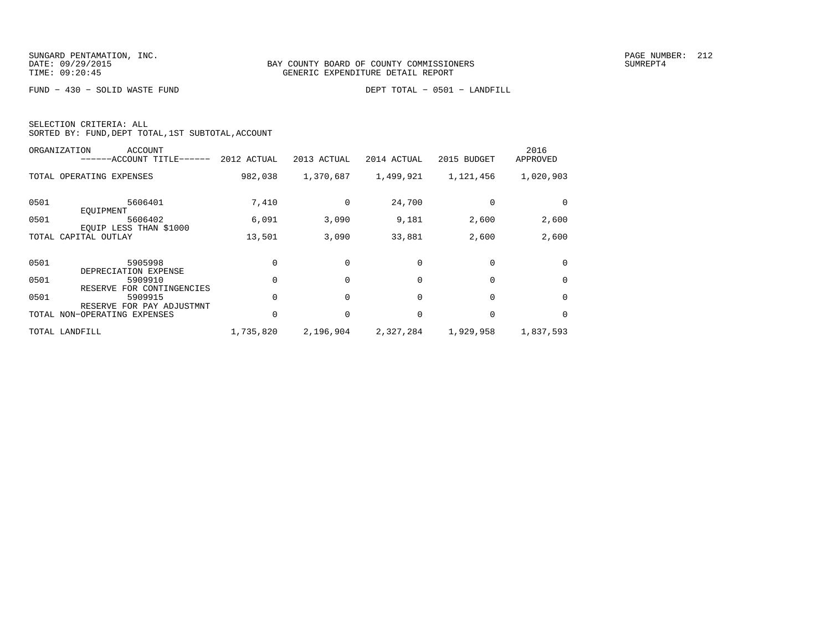FUND − 430 − SOLID WASTE FUND DEPT TOTAL − 0501 − LANDFILL

|  | SELECTION CRITERIA: ALL                            |  |  |
|--|----------------------------------------------------|--|--|
|  | SORTED BY: FUND, DEPT TOTAL, 1ST SUBTOTAL, ACCOUNT |  |  |

|      | ORGANIZATION<br>ACCOUNT<br>------ACCOUNT TITLE------ | 2012 ACTUAL | 2013 ACTUAL | 2014 ACTUAL | 2015 BUDGET | 2016<br>APPROVED |
|------|------------------------------------------------------|-------------|-------------|-------------|-------------|------------------|
|      | TOTAL OPERATING EXPENSES                             | 982,038     | 1,370,687   | 1,499,921   | 1,121,456   | 1,020,903        |
| 0501 | 5606401<br>EOUIPMENT                                 | 7,410       | $\Omega$    | 24,700      |             |                  |
| 0501 | 5606402<br>EOUIP LESS THAN \$1000                    | 6,091       | 3,090       | 9,181       | 2,600       | 2,600            |
|      | TOTAL CAPITAL OUTLAY                                 | 13,501      | 3,090       | 33,881      | 2,600       | 2,600            |
| 0501 | 5905998<br>DEPRECIATION EXPENSE                      |             |             | $\Omega$    | $\Omega$    | $\Omega$         |
| 0501 | 5909910<br>FOR CONTINGENCIES<br>RESERVE              |             |             | $\Omega$    | $\Omega$    | $\Omega$         |
| 0501 | 5909915<br>RESERVE FOR PAY ADJUSTMNT                 |             |             | $\Omega$    | 0           | $\Omega$         |
|      | TOTAL NON-OPERATING EXPENSES                         |             | $\Omega$    | $\Omega$    | $\Omega$    | $\Omega$         |
|      | TOTAL LANDFILL                                       | 1,735,820   | 2,196,904   | 2,327,284   | 1,929,958   | 1,837,593        |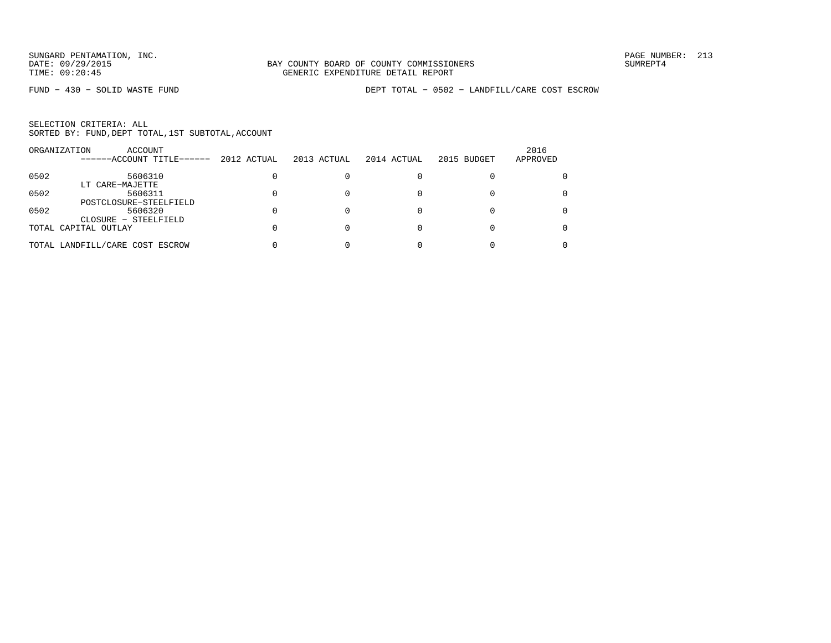FUND − 430 − SOLID WASTE FUND DEPT TOTAL − 0502 − LANDFILL/CARE COST ESCROW

|      | ORGANIZATION<br>ACCOUNT<br>------ACCOUNT TITLE------ | 2012 ACTUAL | 2013 ACTUAL | 2014 ACTUAL | 2015 BUDGET | 2016<br>APPROVED |
|------|------------------------------------------------------|-------------|-------------|-------------|-------------|------------------|
| 0502 | 5606310                                              |             |             |             |             |                  |
|      | LT CARE-MAJETTE                                      |             |             |             |             |                  |
| 0502 | 5606311                                              |             |             |             |             |                  |
|      | POSTCLOSURE-STEELFIELD                               |             |             |             |             |                  |
| 0502 | 5606320                                              |             |             |             |             |                  |
|      | CLOSURE - STEELFIELD                                 |             |             |             |             |                  |
|      | TOTAL CAPITAL OUTLAY                                 |             |             |             |             |                  |
|      | TOTAL LANDFILL/CARE COST ESCROW                      |             |             |             |             |                  |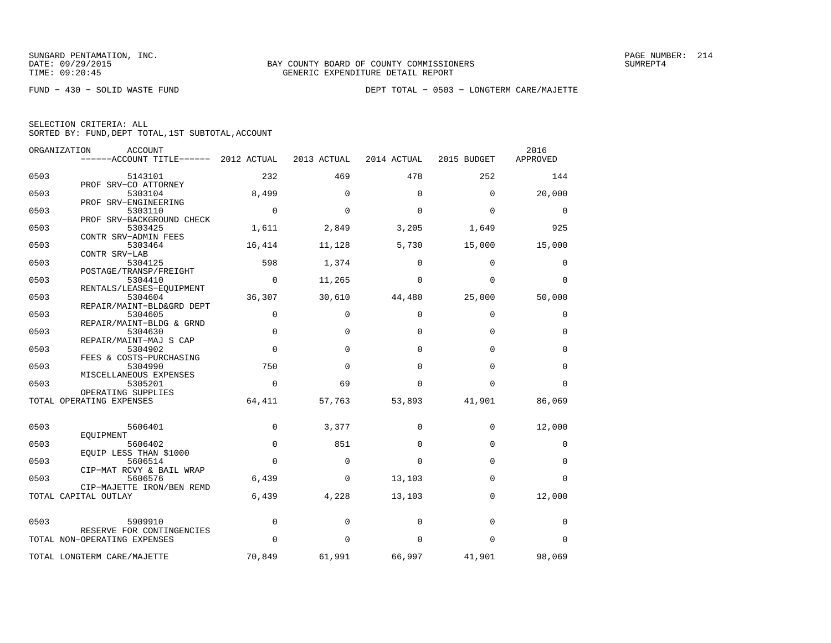FUND − 430 − SOLID WASTE FUND DEPT TOTAL − 0503 − LONGTERM CARE/MAJETTE

| SELECTION CRITERIA: ALL |  |  |                                                    |  |
|-------------------------|--|--|----------------------------------------------------|--|
|                         |  |  | SORTED BY: FUND, DEPT TOTAL, 1ST SUBTOTAL, ACCOUNT |  |

| ORGANIZATION | ACCOUNT<br>$----ACCOUNT$ TITLE $----2012$ ACTUAL             |             | 2013 ACTUAL | 2014 ACTUAL | 2015 BUDGET | 2016<br>APPROVED |
|--------------|--------------------------------------------------------------|-------------|-------------|-------------|-------------|------------------|
| 0503         | 5143101                                                      | 232         | 469         | 478         | 252         | 144              |
| 0503         | PROF SRV-CO ATTORNEY<br>5303104                              | 8,499       | 0           | $\mathbf 0$ | $\mathbf 0$ | 20,000           |
| 0503         | PROF SRV-ENGINEERING<br>5303110                              | $\mathbf 0$ | $\Omega$    | $\Omega$    | $\Omega$    | 0                |
| 0503         | PROF SRV-BACKGROUND CHECK<br>5303425<br>CONTR SRV-ADMIN FEES | 1,611       | 2,849       | 3,205       | 1,649       | 925              |
| 0503         | 5303464<br>CONTR SRV-LAB                                     | 16,414      | 11,128      | 5,730       | 15,000      | 15,000           |
| 0503         | 5304125<br>POSTAGE/TRANSP/FREIGHT                            | 598         | 1,374       | $\mathbf 0$ | 0           | 0                |
| 0503         | 5304410<br>RENTALS/LEASES-EOUIPMENT                          | $\mathbf 0$ | 11,265      | 0           | 0           | 0                |
| 0503         | 5304604<br>REPAIR/MAINT-BLD&GRD DEPT                         | 36,307      | 30,610      | 44,480      | 25,000      | 50,000           |
| 0503         | 5304605<br>REPAIR/MAINT-BLDG & GRND                          | 0           | 0           | 0           | $\mathbf 0$ | 0                |
| 0503         | 5304630<br>REPAIR/MAINT-MAJ S CAP                            | $\mathbf 0$ | 0           | $\Omega$    | $\Omega$    | 0                |
| 0503         | 5304902<br>FEES & COSTS-PURCHASING                           | $\mathbf 0$ | 0           | 0           | $\Omega$    | $\mathbf 0$      |
| 0503         | 5304990<br>MISCELLANEOUS EXPENSES                            | 750         | $\Omega$    | $\Omega$    | $\Omega$    | $\mathbf 0$      |
| 0503         | 5305201<br>OPERATING SUPPLIES                                | 0           | 69          | $\Omega$    | $\Omega$    | $\mathbf 0$      |
|              | TOTAL OPERATING EXPENSES                                     | 64,411      | 57,763      | 53,893      | 41,901      | 86,069           |
| 0503         | 5606401                                                      | $\Omega$    | 3,377       | $\Omega$    | $\Omega$    | 12,000           |
| 0503         | EQUIPMENT<br>5606402<br>EQUIP LESS THAN \$1000               | $\mathbf 0$ | 851         | $\Omega$    | $\mathbf 0$ | 0                |
| 0503         | 5606514<br>CIP-MAT RCVY & BAIL WRAP                          | 0           | 0           | $\Omega$    | $\mathbf 0$ | 0                |
| 0503         | 5606576<br>CIP-MAJETTE IRON/BEN REMD                         | 6,439       | 0           | 13,103      | 0           | 0                |
|              | TOTAL CAPITAL OUTLAY                                         | 6,439       | 4,228       | 13,103      | $\Omega$    | 12,000           |
| 0503         | 5909910                                                      | 0           | 0           | 0           | $\mathbf 0$ | 0                |
|              | RESERVE FOR CONTINGENCIES<br>TOTAL NON-OPERATING EXPENSES    | 0           | 0           | 0           | 0           | 0                |
|              | TOTAL LONGTERM CARE/MAJETTE                                  | 70,849      | 61,991      | 66,997      | 41,901      | 98,069           |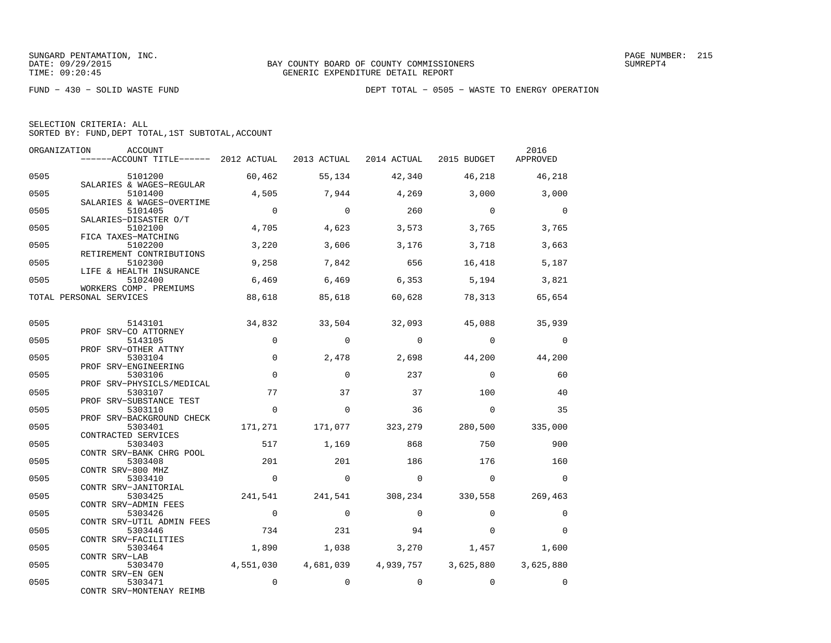|  | SELECTION CRITERIA: ALL                            |  |  |
|--|----------------------------------------------------|--|--|
|  | SORTED BY: FUND, DEPT TOTAL, 1ST SUBTOTAL, ACCOUNT |  |  |

| ORGANIZATION | ACCOUNT<br>------ACCOUNT TITLE------ 2012 ACTUAL 2013 ACTUAL 2014 ACTUAL 2015 BUDGET |                          |                |                 |                                          | 2016<br>APPROVED      |
|--------------|--------------------------------------------------------------------------------------|--------------------------|----------------|-----------------|------------------------------------------|-----------------------|
| 0505         | 5101200                                                                              | 60,462                   | 55,134         | 42,340          | 46,218                                   | 46,218                |
| 0505         | SALARIES & WAGES-REGULAR<br>5101400                                                  | 4,505                    | 7,944          | 4,269           | 3,000                                    | 3,000                 |
| 0505         | SALARIES & WAGES-OVERTIME<br>5101405                                                 | $\overline{0}$           | $\mathbf 0$    | 260             | $\overline{0}$                           | $\mathbf 0$           |
| 0505         | SALARIES-DISASTER O/T<br>5102100<br>FICA TAXES-MATCHING                              | 4,705                    | 4,623          | 3,573           | 3,765                                    | 3,765                 |
| 0505         | 5102200<br>RETIREMENT CONTRIBUTIONS                                                  | 3,220                    | 3,606          | 3,176           | 3,718                                    | 3,663                 |
| 0505         | 5102300<br>LIFE & HEALTH INSURANCE                                                   | 9,258                    | 7,842          | 656             | 16,418                                   | 5,187                 |
| 0505         | 5102400<br>WORKERS COMP. PREMIUMS                                                    | 6,469                    | 6,469          | 6, 353          | 5,194                                    | 3,821                 |
|              | TOTAL PERSONAL SERVICES                                                              | 88,618                   | 85,618         | 60,628          | 78,313                                   | 65,654                |
| 0505         | 5143101                                                                              | 34,832                   | 33,504         | 32,093          | 45,088                                   | 35,939                |
| 0505         | PROF SRV-CO ATTORNEY<br>5143105                                                      | $\Omega$                 | $\Omega$       | $\Omega$        | $\Omega$                                 | $\Omega$              |
| 0505         | PROF SRV-OTHER ATTNY<br>5303104                                                      | $\mathbf 0$              | 2,478          | 2,698           | 44,200                                   | 44,200                |
| 0505         | PROF SRV-ENGINEERING<br>5303106<br>PROF SRV-PHYSICLS/MEDICAL                         | $\Omega$                 | $\Omega$       | 237             | $\Omega$                                 | 60                    |
| 0505         | 5303107<br>PROF SRV-SUBSTANCE TEST                                                   | 77                       | 37             | 37              | 100                                      | 40                    |
| 0505         | 5303110<br>PROF SRV-BACKGROUND CHECK                                                 | $\mathbf 0$              | $\mathbf 0$    | 36              | $\mathbf{0}$                             | 35                    |
| 0505         | 5303401<br>CONTRACTED SERVICES                                                       | 171,271                  | 171,077        | 323,279 280,500 |                                          | 335,000               |
| 0505         | 5303403<br>CONTR SRV-BANK CHRG POOL                                                  | 517                      | 1,169          | 868             | 750                                      | 900                   |
| 0505         | 5303408<br>CONTR SRV-800 MHZ                                                         | 201                      | 201            | 186             | 176                                      | 160                   |
| 0505         | 5303410<br>CONTR SRV-JANITORIAL                                                      | $\mathbf 0$              | $\overline{0}$ | $\circ$         | $\overline{0}$                           | $\mathbf 0$           |
| 0505         | 5303425<br>CONTR SRV-ADMIN FEES                                                      | 241,541                  |                | 241,541 308,234 | 330,558                                  | 269,463               |
| 0505         | 5303426<br>CONTR SRV-UTIL ADMIN FEES                                                 | $\overline{\phantom{0}}$ | $\Omega$       | $\Omega$        | $\Omega$                                 | 0                     |
| 0505         | 5303446<br>CONTR SRV-FACILITIES                                                      | 734                      | 231            | 94              | $\Omega$                                 | $\Omega$              |
| 0505         | 5303464<br>CONTR SRV-LAB                                                             | 1,890                    | 1,038          | 3,270           | 1,457<br>4,681,039  4,939,757  3,625,880 | 1,600                 |
| 0505<br>0505 | 5303470<br>CONTR SRV-EN GEN<br>5303471                                               | 4,551,030<br>$\mathbf 0$ | $\mathbf 0$    | $\mathbf 0$     | $\mathbf 0$                              | 3,625,880<br>$\Omega$ |
|              | CONTR SRV-MONTENAY REIMB                                                             |                          |                |                 |                                          |                       |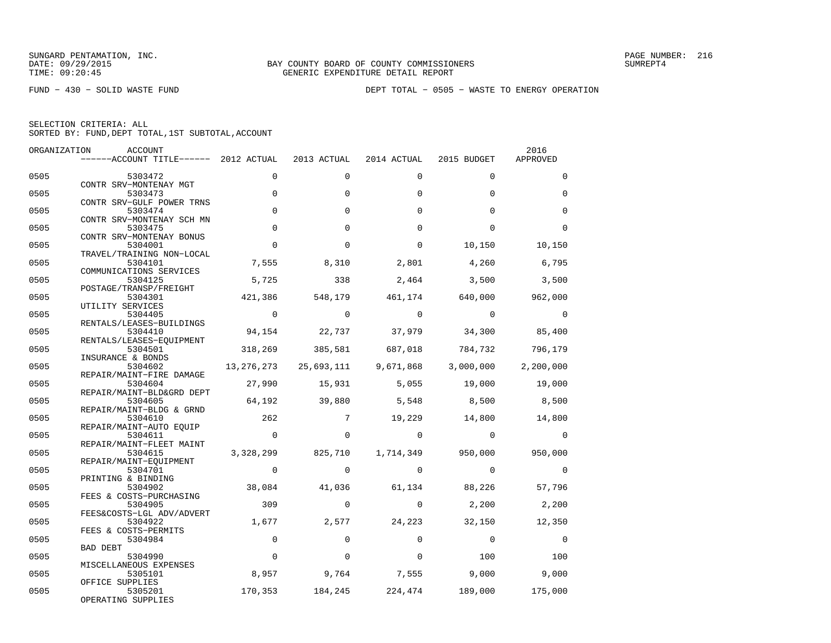FUND − 430 − SOLID WASTE FUND DEPT TOTAL − 0505 − WASTE TO ENERGY OPERATION

| ORGANIZATION | ACCOUNT                               |                |                 |                   |                   | 2016        |
|--------------|---------------------------------------|----------------|-----------------|-------------------|-------------------|-------------|
|              | ------ACCOUNT TITLE------ 2012 ACTUAL |                | 2013 ACTUAL     | 2014 ACTUAL       | 2015 BUDGET       | APPROVED    |
| 0505         | 5303472                               | $\Omega$       | $\Omega$        | $\Omega$          | $\Omega$          | $\Omega$    |
| 0505         | CONTR SRV-MONTENAY MGT<br>5303473     | $\mathbf 0$    | $\Omega$        | $\Omega$          | $\Omega$          | $\mathbf 0$ |
| 0505         | CONTR SRV-GULF POWER TRNS<br>5303474  | $\Omega$       | $\Omega$        | $\Omega$          | $\Omega$          | $\Omega$    |
|              | CONTR SRV-MONTENAY SCH MN             |                |                 |                   |                   |             |
| 0505         | 5303475<br>CONTR SRV-MONTENAY BONUS   | $\Omega$       | $\Omega$        | $\Omega$          | $\Omega$          | $\Omega$    |
| 0505         | 5304001<br>TRAVEL/TRAINING NON-LOCAL  | $\Omega$       | $\Omega$        | $\Omega$          | 10,150            | 10,150      |
| 0505         | 5304101<br>COMMUNICATIONS SERVICES    | 7,555          | 8,310           | 2,801             | 4,260             | 6,795       |
| 0505         | 5304125                               | 5,725          | 338             | 2,464             | 3,500             | 3,500       |
| 0505         | POSTAGE/TRANSP/FREIGHT<br>5304301     | 421,386        | 548,179         | 461,174           | 640,000           | 962,000     |
| 0505         | UTILITY SERVICES<br>5304405           | $\Omega$       | $\Omega$        | $\Omega$          | $\Omega$          | $\Omega$    |
| 0505         | RENTALS/LEASES-BUILDINGS<br>5304410   | 94,154         | 22,737          | 37,979            | 34,300            | 85,400      |
| 0505         | RENTALS/LEASES-EQUIPMENT<br>5304501   | 318,269        | 385,581         | 687,018           | 784,732           | 796,179     |
| 0505         | INSURANCE & BONDS<br>5304602          | 13, 276, 273   | 25,693,111      | 9,671,868         | 3,000,000         | 2,200,000   |
|              | REPAIR/MAINT-FIRE DAMAGE              |                |                 |                   |                   |             |
| 0505         | 5304604<br>REPAIR/MAINT-BLD&GRD DEPT  | 27,990         | 15,931          | 5,055             | 19,000            | 19,000      |
| 0505         | 5304605<br>REPAIR/MAINT-BLDG & GRND   | 64,192         | 39,880          | 5,548             | 8,500             | 8,500       |
| 0505         | 5304610<br>REPAIR/MAINT-AUTO EOUIP    | 262            | $7\phantom{.0}$ | 19,229            | 14,800            | 14,800      |
| 0505         | 5304611                               | $\overline{0}$ | $\Omega$        | $\Omega$          | $\Omega$          | $\Omega$    |
| 0505         | REPAIR/MAINT-FLEET MAINT<br>5304615   | 3,328,299      | 825,710         |                   | 1,714,349 950,000 | 950,000     |
| 0505         | REPAIR/MAINT-EQUIPMENT<br>5304701     | $\mathbf 0$    | $\Omega$        | $\Omega$          | $\Omega$          | $\mathbf 0$ |
| 0505         | PRINTING & BINDING<br>5304902         | 38,084         | 41,036          | 61,134            | 88,226            | 57,796      |
| 0505         | FEES & COSTS-PURCHASING<br>5304905    | 309            | $\Omega$        | $\Omega$          | 2,200             | 2,200       |
| 0505         | FEES&COSTS-LGL ADV/ADVERT<br>5304922  | 1,677          | 2,577           | 24,223            | 32,150            | 12,350      |
| 0505         | FEES & COSTS-PERMITS<br>5304984       | $\Omega$       | $\Omega$        | $\Omega$          | $\Omega$          | $\Omega$    |
|              | BAD DEBT                              |                |                 |                   |                   |             |
| 0505         | 5304990<br>MISCELLANEOUS EXPENSES     | $\Omega$       | $\Omega$        | $\Omega$          | 100               | 100         |
| 0505         | 5305101<br>OFFICE SUPPLIES            | 8,957          | 9,764           | 7,555             | 9,000             | 9,000       |
| 0505         | 5305201<br>OPERATING SUPPLIES         | 170,353        |                 | 184, 245 224, 474 | 189,000           | 175,000     |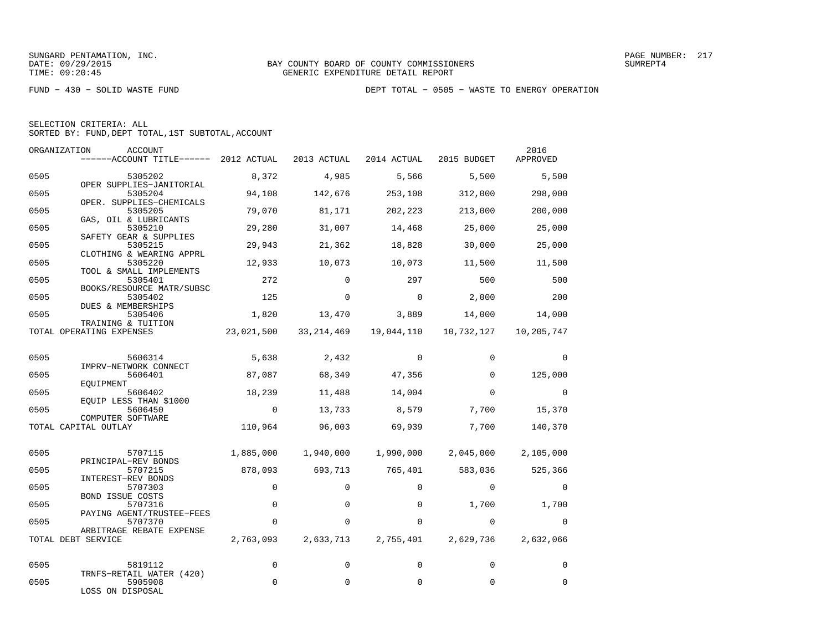FUND − 430 − SOLID WASTE FUND DEPT TOTAL − 0505 − WASTE TO ENERGY OPERATION

| SELECTION CRITERIA: ALL                            |  |
|----------------------------------------------------|--|
| SORTED BY: FUND, DEPT TOTAL, 1ST SUBTOTAL, ACCOUNT |  |

| ORGANIZATION | ACCOUNT<br>------ACCOUNT TITLE------ 2012 ACTUAL             |             | 2013 ACTUAL | 2014 ACTUAL | 2015 BUDGET | 2016<br>APPROVED |
|--------------|--------------------------------------------------------------|-------------|-------------|-------------|-------------|------------------|
| 0505         | 5305202                                                      | 8,372       | 4,985       | 5,566       | 5,500       | 5,500            |
| 0505         | OPER SUPPLIES-JANITORIAL<br>5305204                          | 94,108      | 142,676     | 253,108     | 312,000     | 298,000          |
| 0505         | OPER. SUPPLIES-CHEMICALS<br>5305205<br>GAS, OIL & LUBRICANTS | 79,070      | 81,171      | 202,223     | 213,000     | 200,000          |
| 0505         | 5305210<br>SAFETY GEAR & SUPPLIES                            | 29,280      | 31,007      | 14,468      | 25,000      | 25,000           |
| 0505         | 5305215<br>CLOTHING & WEARING APPRL                          | 29,943      | 21,362      | 18,828      | 30,000      | 25,000           |
| 0505         | 5305220<br>TOOL & SMALL IMPLEMENTS                           | 12,933      | 10,073      | 10,073      | 11,500      | 11,500           |
| 0505         | 5305401<br>BOOKS/RESOURCE MATR/SUBSC                         | 272         | $\Omega$    | 297         | 500         | 500              |
| 0505         | 5305402<br>DUES & MEMBERSHIPS                                | 125         | $\Omega$    | $\Omega$    | 2,000       | 200              |
| 0505         | 5305406<br>TRAINING & TUITION                                | 1,820       | 13,470      | 3,889       | 14,000      | 14,000           |
|              | TOTAL OPERATING EXPENSES                                     | 23,021,500  | 33,214,469  | 19,044,110  | 10,732,127  | 10,205,747       |
| 0505         | 5606314                                                      | 5,638       | 2,432       | $\Omega$    | $\Omega$    | $\Omega$         |
| 0505         | IMPRV-NETWORK CONNECT<br>5606401                             | 87,087      | 68,349      | 47,356      | $\Omega$    | 125,000          |
| 0505         | EOUIPMENT<br>5606402                                         | 18,239      | 11,488      | 14,004      | $\Omega$    | $\Omega$         |
| 0505         | EQUIP LESS THAN \$1000<br>5606450<br>COMPUTER SOFTWARE       | $\mathbf 0$ | 13,733      | 8,579       | 7,700       | 15,370           |
|              | TOTAL CAPITAL OUTLAY                                         | 110,964     | 96,003      | 69,939      | 7,700       | 140,370          |
| 0505         | 5707115                                                      | 1,885,000   | 1,940,000   | 1,990,000   | 2,045,000   | 2,105,000        |
| 0505         | PRINCIPAL-REV BONDS<br>5707215                               | 878,093     | 693,713     | 765,401     | 583,036     | 525,366          |
| 0505         | INTEREST-REV BONDS<br>5707303<br><b>BOND ISSUE COSTS</b>     | 0           | $\mathbf 0$ | $\Omega$    | $\mathbf 0$ | 0                |
| 0505         | 5707316<br>PAYING AGENT/TRUSTEE-FEES                         | $\Omega$    | $\Omega$    | $\Omega$    | 1,700       | 1,700            |
| 0505         | 5707370<br>ARBITRAGE REBATE EXPENSE                          | $\mathbf 0$ | $\mathbf 0$ | 0           | $\mathbf 0$ | $\Omega$         |
|              | TOTAL DEBT SERVICE                                           | 2,763,093   | 2,633,713   | 2,755,401   | 2,629,736   | 2,632,066        |
| 0505         | 5819112                                                      | 0           | $\mathbf 0$ | $\Omega$    | $\Omega$    | $\Omega$         |
| 0505         | TRNFS-RETAIL WATER (420)<br>5905908<br>LOSS ON DISPOSAL      | 0           | $\mathbf 0$ | $\mathbf 0$ | 0           | $\mathbf 0$      |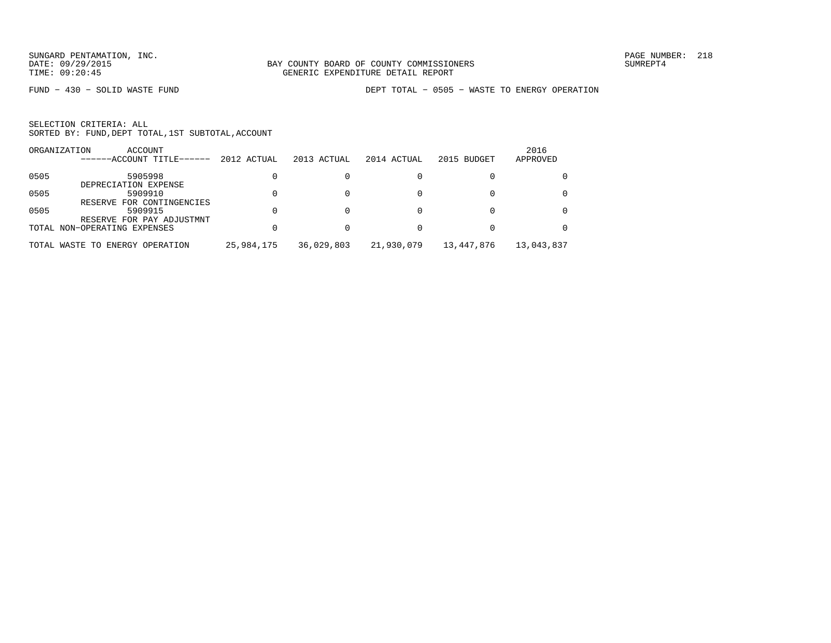FUND − 430 − SOLID WASTE FUND DEPT TOTAL − 0505 − WASTE TO ENERGY OPERATION

|      | ORGANIZATION<br>ACCOUNT<br>------ACCOUNT TITLE------      | 2012 ACTUAL | 2013 ACTUAL | 2014 ACTUAL | 2015 BUDGET | 2016<br>APPROVED |
|------|-----------------------------------------------------------|-------------|-------------|-------------|-------------|------------------|
| 0505 | 5905998                                                   |             |             |             |             |                  |
| 0505 | DEPRECIATION EXPENSE<br>5909910                           |             |             |             |             |                  |
| 0505 | RESERVE FOR CONTINGENCIES<br>5909915                      |             |             |             |             |                  |
|      | RESERVE FOR PAY ADJUSTMNT<br>TOTAL NON-OPERATING EXPENSES |             |             |             |             |                  |
|      | TOTAL WASTE TO ENERGY OPERATION                           | 25,984,175  | 36,029,803  | 21,930,079  | 13,447,876  | 13,043,837       |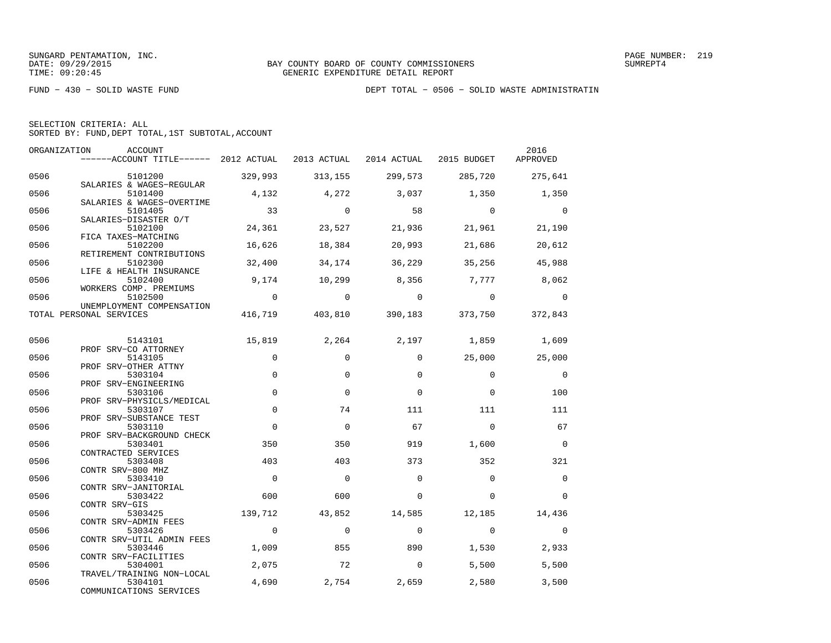FUND − 430 − SOLID WASTE FUND DEPT TOTAL − 0506 − SOLID WASTE ADMINISTRATIN

| SELECTION CRITERIA: ALL                            |  |
|----------------------------------------------------|--|
| SORTED BY: FUND, DEPT TOTAL, 1ST SUBTOTAL, ACCOUNT |  |

| ORGANIZATION | ACCOUNT<br>------ACCOUNT TITLE------ 2012 ACTUAL 2013 ACTUAL 2014 ACTUAL 2015 BUDGET |                |                |                |                                         | 2016<br>APPROVED |
|--------------|--------------------------------------------------------------------------------------|----------------|----------------|----------------|-----------------------------------------|------------------|
| 0506         | 5101200                                                                              | 329,993        | 313,155        | 299,573        | 285,720                                 | 275,641          |
| 0506         | SALARIES & WAGES-REGULAR<br>5101400                                                  | 4,132          | 4,272          | 3,037          | 1,350                                   | 1,350            |
| 0506         | SALARIES & WAGES-OVERTIME<br>5101405                                                 | 33             | $\overline{0}$ | 58             | $\overline{0}$                          | $\overline{0}$   |
| 0506         | SALARIES-DISASTER O/T<br>5102100                                                     | 24,361         | 23,527         | 21,936         | 21,961                                  | 21,190           |
| 0506         | FICA TAXES-MATCHING<br>5102200                                                       | 16,626         | 18,384         | 20,993         | 21,686                                  | 20,612           |
| 0506         | RETIREMENT CONTRIBUTIONS<br>5102300<br>LIFE & HEALTH INSURANCE                       | 32,400         | 34,174         | 36,229         | 35,256                                  | 45,988           |
| 0506         | 5102400<br>WORKERS COMP. PREMIUMS                                                    | 9,174          | 10,299         | 8,356          | 7,777                                   | 8,062            |
| 0506         | 5102500<br>UNEMPLOYMENT COMPENSATION                                                 | $\overline{0}$ | $\overline{0}$ | $\overline{0}$ | $\sim$ 0                                | $\overline{0}$   |
|              | TOTAL PERSONAL SERVICES                                                              |                |                |                | 416,719 403,810 390,183 373,750 372,843 |                  |
| 0506         | 5143101                                                                              | 15,819         | 2,264          | 2,197          | 1,859                                   | 1,609            |
| 0506         | PROF SRV-CO ATTORNEY<br>5143105                                                      | $\mathbf 0$    | $\mathbf 0$    | $\Omega$       |                                         | 25,000 25,000    |
| 0506         | PROF SRV-OTHER ATTNY<br>5303104                                                      | $\Omega$       | $\Omega$       | $\Omega$       | $\Omega$                                | $\overline{0}$   |
| 0506         | PROF SRV-ENGINEERING<br>5303106                                                      | $\mathbf 0$    | $\Omega$       | $\Omega$       | $\Omega$                                | 100              |
| 0506         | PROF SRV-PHYSICLS/MEDICAL<br>5303107                                                 | $\mathsf 0$    | 74             | 111            | 111                                     | 111              |
|              | PROF SRV-SUBSTANCE TEST                                                              |                |                |                |                                         |                  |
| 0506         | 5303110<br>PROF SRV-BACKGROUND CHECK                                                 | $\Omega$       | $\Omega$       | 67             | $\Omega$                                | 67               |
| 0506         | 5303401<br>CONTRACTED SERVICES                                                       | 350            | 350            | 919            | 1,600                                   | $\overline{0}$   |
| 0506         | 5303408<br>CONTR SRV-800 MHZ                                                         | 403            | 403            | 373            | 352                                     | 321              |
| 0506         | 5303410<br>CONTR SRV-JANITORIAL                                                      | $\overline{0}$ | $\overline{0}$ | $\Omega$       | $\Omega$                                | $\mathbf 0$      |
| 0506         | 5303422<br>CONTR SRV-GIS                                                             | 600            | 600            | $\Omega$       | $\Omega$                                | $\Omega$         |
| 0506         | 5303425<br>CONTR SRV-ADMIN FEES                                                      | 139,712        | 43,852         | 14,585         | 12,185                                  | 14,436           |
| 0506         | 5303426<br>CONTR SRV-UTIL ADMIN FEES                                                 | $\overline{0}$ | $\mathbf 0$    | $\mathbf 0$    | $\overline{0}$                          | $\overline{0}$   |
| 0506         | 5303446<br>CONTR SRV-FACILITIES                                                      | 1,009          | 855            | 890            | 1,530                                   | 2,933            |
| 0506         | 5304001                                                                              | 2,075          | 72             | $\overline{0}$ | 5,500                                   | 5,500            |
| 0506         | TRAVEL/TRAINING NON-LOCAL<br>5304101<br>COMMUNICATIONS SERVICES                      | 4,690          | 2,754          | 2,659          | 2,580                                   | 3,500            |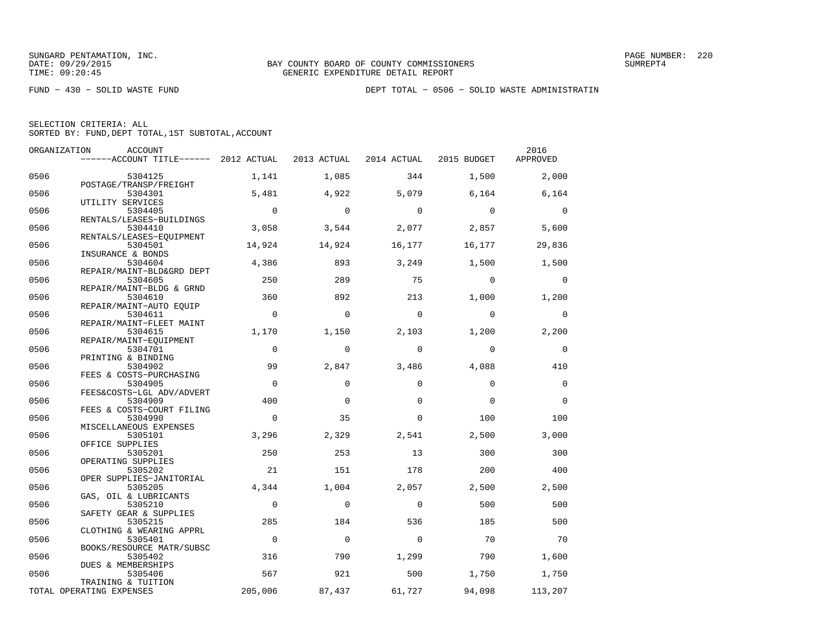FUND − 430 − SOLID WASTE FUND DEPT TOTAL − 0506 − SOLID WASTE ADMINISTRATIN

|  | SELECTION CRITERIA: ALL                            |  |  |
|--|----------------------------------------------------|--|--|
|  | SORTED BY: FUND, DEPT TOTAL, 1ST SUBTOTAL, ACCOUNT |  |  |

|      | ORGANIZATION<br>ACCOUNT               |                |                |             |                | 2016        |
|------|---------------------------------------|----------------|----------------|-------------|----------------|-------------|
|      | ------ACCOUNT TITLE------ 2012 ACTUAL |                | 2013 ACTUAL    | 2014 ACTUAL | 2015 BUDGET    | APPROVED    |
| 0506 | 5304125                               | 1,141          | 1,085          | 344         | 1,500          | 2,000       |
| 0506 | POSTAGE/TRANSP/FREIGHT<br>5304301     | 5,481          | 4,922          | 5,079       | 6,164          | 6,164       |
| 0506 | UTILITY SERVICES                      | $\overline{0}$ | $\mathbf 0$    | $\mathbf 0$ | $\overline{0}$ | $\mathbf 0$ |
|      | 5304405<br>RENTALS/LEASES-BUILDINGS   |                |                |             |                |             |
| 0506 | 5304410                               | 3,058          | 3,544          | 2,077       | 2,857          | 5,600       |
|      | RENTALS/LEASES-EQUIPMENT              |                |                |             |                |             |
| 0506 | 5304501<br>INSURANCE & BONDS          | 14,924         | 14,924         | 16,177      | 16,177         | 29,836      |
| 0506 | 5304604                               | 4,386          | 893            | 3,249       | 1,500          | 1,500       |
|      | REPAIR/MAINT-BLD&GRD DEPT             |                |                |             |                |             |
| 0506 | 5304605                               | 250            | 289            | 75          | $\Omega$       | $\Omega$    |
|      | REPAIR/MAINT-BLDG & GRND              |                |                |             |                |             |
| 0506 | 5304610                               | 360            | 892            | 213         | 1,000          | 1,200       |
|      | REPAIR/MAINT-AUTO EQUIP               |                |                |             |                |             |
| 0506 | 5304611                               | $\overline{0}$ | $\Omega$       | $\Omega$    | $\Omega$       | $\mathbf 0$ |
|      | REPAIR/MAINT-FLEET MAINT              |                |                |             |                |             |
| 0506 | 5304615                               | 1,170          | 1,150          | 2,103       | 1,200          | 2,200       |
| 0506 | REPAIR/MAINT-EOUIPMENT                | $\Omega$       | $\Omega$       | $\Omega$    | $\Omega$       | $\mathbf 0$ |
|      | 5304701                               |                |                |             |                |             |
| 0506 | PRINTING & BINDING<br>5304902         | 99             | 2,847          | 3,486       | 4,088          | 410         |
|      | FEES & COSTS-PURCHASING               |                |                |             |                |             |
| 0506 | 5304905                               | $\Omega$       | $\Omega$       | $\Omega$    | $\Omega$       | $\mathbf 0$ |
|      | FEES&COSTS-LGL ADV/ADVERT             |                |                |             |                |             |
| 0506 | 5304909                               | 400            | $\Omega$       | $\Omega$    | $\Omega$       | $\Omega$    |
|      | FEES & COSTS-COURT FILING             |                |                |             |                |             |
| 0506 | 5304990                               | $\Omega$       | 35             | $\Omega$    | 100            | 100         |
|      | MISCELLANEOUS EXPENSES                |                |                |             |                |             |
| 0506 | 5305101                               | 3,296          | 2,329          | 2,541       | 2,500          | 3,000       |
|      | OFFICE SUPPLIES                       |                |                |             |                |             |
| 0506 | 5305201                               | 250            | 253            | 13          | 300            | 300         |
|      | OPERATING SUPPLIES                    |                |                |             |                |             |
| 0506 | 5305202                               | 21             | 151            | 178         | 200            | 400         |
|      | OPER SUPPLIES-JANITORIAL              |                |                |             |                |             |
| 0506 | 5305205                               | 4,344          | 1,004          | 2,057       | 2,500          | 2,500       |
|      | GAS, OIL & LUBRICANTS                 |                |                |             |                |             |
| 0506 | 5305210                               | $\mathbf 0$    | $\mathbf 0$    | $\Omega$    | 500            | 500         |
| 0506 | SAFETY GEAR & SUPPLIES<br>5305215     | 285            | 184            | 536         | 185            | 500         |
|      | CLOTHING & WEARING APPRL              |                |                |             |                |             |
| 0506 | 5305401                               | $\overline{0}$ | $\overline{0}$ | $\Omega$    | 70             | 70          |
|      | BOOKS/RESOURCE MATR/SUBSC             |                |                |             |                |             |
| 0506 | 5305402                               | 316            | 790            | 1,299       | 790            | 1,600       |
|      | DUES & MEMBERSHIPS                    |                |                |             |                |             |
| 0506 | 5305406                               | 567            | 921            | 500         | 1,750          | 1,750       |
|      | TRAINING & TUITION                    |                |                |             |                |             |
|      | TOTAL OPERATING EXPENSES              | 205,006        | 87,437         | 61,727      | 94,098         | 113,207     |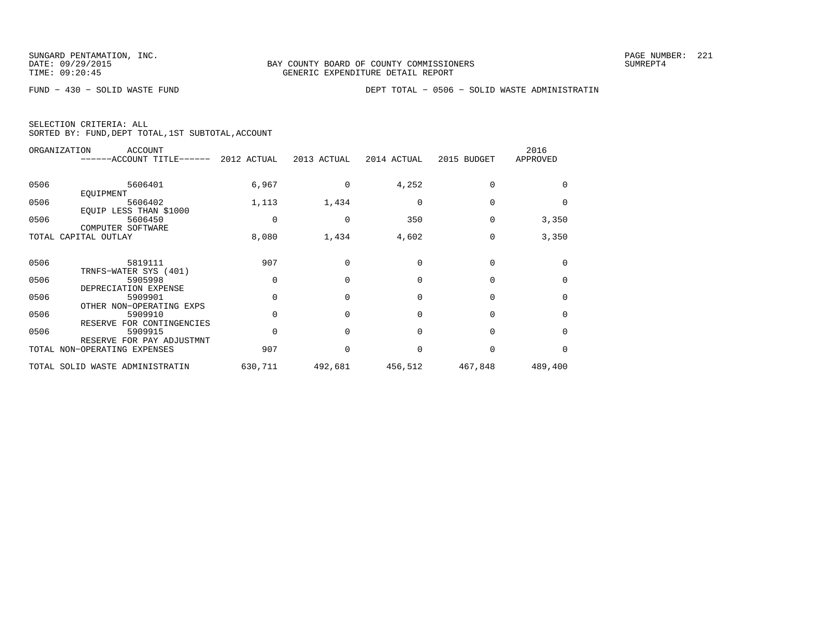FUND − 430 − SOLID WASTE FUND DEPT TOTAL − 0506 − SOLID WASTE ADMINISTRATIN

|  | SELECTION CRITERIA: ALL |                                                    |  |
|--|-------------------------|----------------------------------------------------|--|
|  |                         | SORTED BY: FUND, DEPT TOTAL, 1ST SUBTOTAL, ACCOUNT |  |

|      | ORGANIZATION<br><b>ACCOUNT</b><br>------ACCOUNT TITLE------ | 2012 ACTUAL | 2013 ACTUAL | 2014 ACTUAL | 2015 BUDGET | 2016<br>APPROVED |
|------|-------------------------------------------------------------|-------------|-------------|-------------|-------------|------------------|
| 0506 | 5606401                                                     | 6,967       | 0           | 4,252       | $\Omega$    |                  |
| 0506 | EOUIPMENT<br>5606402<br>EQUIP LESS THAN \$1000              | 1,113       | 1,434       | $\Omega$    | $\Omega$    | $\Omega$         |
| 0506 | 5606450<br>COMPUTER SOFTWARE                                | $\Omega$    | 0           | 350         | $\Omega$    | 3,350            |
|      | TOTAL CAPITAL OUTLAY                                        | 8,080       | 1,434       | 4,602       | 0           | 3,350            |
| 0506 | 5819111                                                     | 907         | $\Omega$    | $\Omega$    | $\Omega$    | $\Omega$         |
| 0506 | TRNFS-WATER SYS (401)<br>5905998<br>DEPRECIATION EXPENSE    | $\Omega$    | $\Omega$    | $\Omega$    | $\Omega$    | $\Omega$         |
| 0506 | 5909901<br>OTHER NON-OPERATING EXPS                         | $\Omega$    | $\Omega$    | 0           | $\Omega$    | $\Omega$         |
| 0506 | 5909910<br>RESERVE FOR CONTINGENCIES                        | $\Omega$    |             | 0           | $\Omega$    | $\Omega$         |
| 0506 | 5909915<br>RESERVE FOR PAY ADJUSTMNT                        | $\Omega$    |             | $\Omega$    | $\Omega$    | $\Omega$         |
|      | TOTAL NON-OPERATING EXPENSES                                | 907         |             | $\Omega$    |             | $\Omega$         |
|      | TOTAL SOLID WASTE ADMINISTRATIN                             | 630,711     | 492,681     | 456,512     | 467,848     | 489,400          |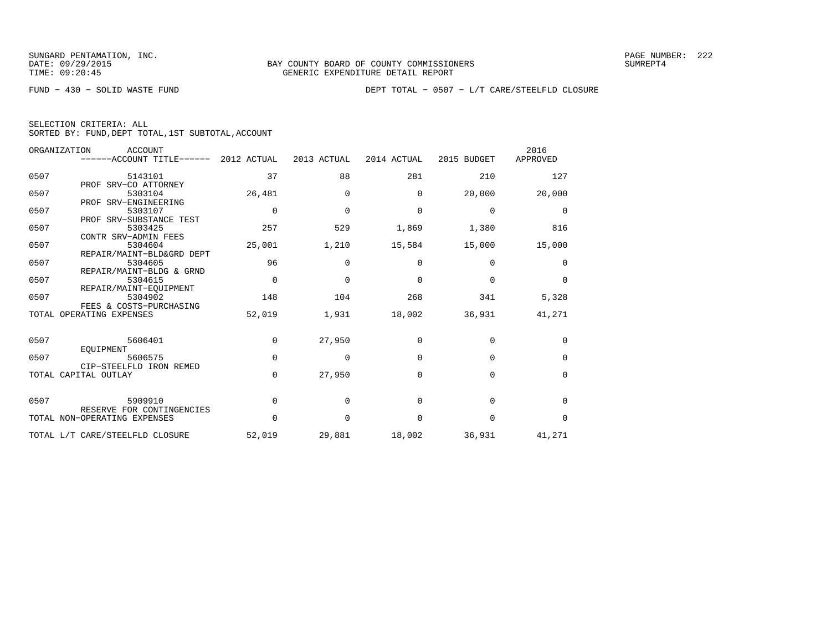FUND − 430 − SOLID WASTE FUND DEPT TOTAL − 0507 − L/T CARE/STEELFLD CLOSURE

|  | SELECTION CRITERIA: ALL |                                                    |
|--|-------------------------|----------------------------------------------------|
|  |                         | SORTED BY: FUND, DEPT TOTAL, 1ST SUBTOTAL, ACCOUNT |

|      | ORGANIZATION<br>ACCOUNT              |             |             |             |             | 2016        |
|------|--------------------------------------|-------------|-------------|-------------|-------------|-------------|
|      | ------ACCOUNT TITLE------            | 2012 ACTUAL | 2013 ACTUAL | 2014 ACTUAL | 2015 BUDGET | APPROVED    |
|      |                                      |             |             |             |             |             |
| 0507 | 5143101                              | 37          | 88          | 281         | 210         | 127         |
|      | PROF SRV-CO ATTORNEY                 |             |             |             |             |             |
| 0507 | 5303104                              | 26,481      | $\Omega$    | $\Omega$    | 20,000      | 20,000      |
|      | PROF SRV-ENGINEERING                 |             |             |             |             |             |
| 0507 | 5303107                              | $\Omega$    | $\Omega$    | $\mathbf 0$ | $\mathbf 0$ | $\mathbf 0$ |
|      | PROF SRV-SUBSTANCE TEST              |             |             |             |             |             |
| 0507 | 5303425                              | 257         | 529         | 1,869       | 1,380       | 816         |
|      | CONTR SRV-ADMIN FEES                 |             |             |             |             |             |
| 0507 | 5304604                              | 25,001      | 1,210       | 15,584      | 15,000      | 15,000      |
| 0507 | REPAIR/MAINT-BLD&GRD DEPT<br>5304605 | 96          | $\Omega$    | $\Omega$    | $\Omega$    |             |
|      | REPAIR/MAINT-BLDG & GRND             |             |             |             |             | $\Omega$    |
| 0507 | 5304615                              | $\Omega$    | $\Omega$    | $\Omega$    | $\Omega$    | $\Omega$    |
|      | REPAIR/MAINT-EOUIPMENT               |             |             |             |             |             |
| 0507 | 5304902                              | 148         | 104         | 268         | 341         | 5,328       |
|      | FEES & COSTS-PURCHASING              |             |             |             |             |             |
|      | TOTAL OPERATING EXPENSES             | 52,019      | 1,931       | 18,002      | 36,931      | 41,271      |
|      |                                      |             |             |             |             |             |
|      |                                      |             |             |             |             |             |
| 0507 | 5606401                              | $\Omega$    | 27,950      | $\Omega$    | $\mathbf 0$ | $\Omega$    |
|      | EOUIPMENT                            |             |             |             |             |             |
| 0507 | 5606575                              | $\Omega$    | $\Omega$    | $\Omega$    | $\Omega$    | $\mathbf 0$ |
|      | CIP-STEELFLD IRON REMED              |             |             |             |             |             |
|      | TOTAL CAPITAL OUTLAY                 | $\Omega$    | 27,950      | $\Omega$    | $\Omega$    | $\mathbf 0$ |
|      |                                      |             |             |             |             |             |
|      |                                      |             |             |             |             |             |
| 0507 | 5909910                              | $\Omega$    | $\Omega$    | $\Omega$    | $\Omega$    | $\Omega$    |
|      | RESERVE FOR CONTINGENCIES            |             |             |             |             |             |
|      | TOTAL NON-OPERATING EXPENSES         | $\Omega$    | $\Omega$    | $\Omega$    | $\Omega$    | $\Omega$    |
|      | TOTAL L/T CARE/STEELFLD CLOSURE      | 52,019      | 29,881      | 18,002      | 36,931      | 41,271      |
|      |                                      |             |             |             |             |             |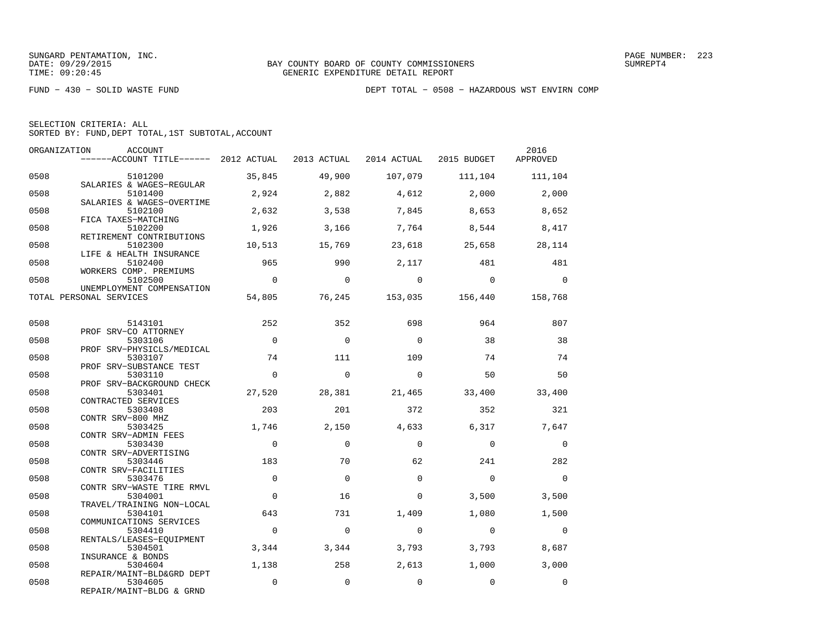FUND − 430 − SOLID WASTE FUND DEPT TOTAL − 0508 − HAZARDOUS WST ENVIRN COMP

| SELECTION CRITERIA: ALL                            |  |
|----------------------------------------------------|--|
| SORTED BY: FUND, DEPT TOTAL, 1ST SUBTOTAL, ACCOUNT |  |

| ORGANIZATION | ACCOUNT<br>------ACCOUNT TITLE------ 2012 ACTUAL 2013 ACTUAL    |                |             | 2014 ACTUAL | 2015 BUDGET     | 2016<br>APPROVED |
|--------------|-----------------------------------------------------------------|----------------|-------------|-------------|-----------------|------------------|
| 0508         | 5101200<br>SALARIES & WAGES-REGULAR                             | 35,845         | 49,900      | 107,079     | 111,104         | 111,104          |
| 0508         | 5101400<br>SALARIES & WAGES-OVERTIME                            | 2,924          | 2,882       | 4,612       | 2,000           | 2,000            |
| 0508         | 5102100<br>FICA TAXES-MATCHING                                  | 2,632          | 3,538       | 7,845       | 8,653           | 8,652            |
| 0508         | 5102200<br>RETIREMENT CONTRIBUTIONS                             | 1,926          | 3,166       | 7,764       | 8,544           | 8,417            |
| 0508         | 5102300<br>LIFE & HEALTH INSURANCE                              | 10,513         | 15,769      | 23,618      | 25,658          | 28,114           |
| 0508         | 5102400<br>WORKERS COMP. PREMIUMS                               | 965            | 990         | 2,117       | 481             | 481              |
| 0508         | 5102500<br>UNEMPLOYMENT COMPENSATION                            | $\bigcap$      | $\Omega$    | $\Omega$    | $\Omega$        | $\Omega$         |
|              | TOTAL PERSONAL SERVICES                                         | 54,805         | 76,245      |             | 153,035 156,440 | 158,768          |
| 0508         | 5143101                                                         | 252            | 352         | 698         | 964             | 807              |
| 0508         | PROF SRV-CO ATTORNEY<br>5303106                                 | $\Omega$       | $\Omega$    | $\Omega$    | 38              | 38               |
| 0508         | PROF SRV-PHYSICLS/MEDICAL<br>5303107                            | 74             | 111         | 109         | 74              | 74               |
| 0508         | PROF SRV-SUBSTANCE TEST<br>5303110<br>PROF SRV-BACKGROUND CHECK | $\Omega$       | $\Omega$    | $\Omega$    | 50              | 50               |
| 0508         | 5303401<br>CONTRACTED SERVICES                                  | 27,520         | 28,381      | 21,465      | 33,400          | 33,400           |
| 0508         | 5303408<br>CONTR SRV-800 MHZ                                    | 203            | 201         | 372         | 352             | 321              |
| 0508         | 5303425<br>CONTR SRV-ADMIN FEES                                 | 1,746          | 2,150       | 4,633       | 6,317           | 7,647            |
| 0508         | 5303430<br>CONTR SRV-ADVERTISING                                | $\Omega$       | $\Omega$    | $\Omega$    | $\Omega$        | $\mathbf{0}$     |
| 0508         | 5303446<br>CONTR SRV-FACILITIES                                 | 183            | 70          | 62          | 241             | 282              |
| 0508         | 5303476<br>CONTR SRV-WASTE TIRE RMVL                            | $\Omega$       | $\Omega$    | $\Omega$    | $\Omega$        | $\Omega$         |
| 0508         | 5304001<br>TRAVEL/TRAINING NON-LOCAL                            | $\Omega$       | 16          | $\Omega$    | 3,500           | 3,500            |
| 0508         | 5304101<br>COMMUNICATIONS SERVICES                              | 643            | 731         | 1,409       | 1,080           | 1,500            |
| 0508         | 5304410<br>RENTALS/LEASES-EQUIPMENT                             | $\overline{0}$ | $\mathbf 0$ | $\Omega$    | $\mathbf 0$     | $\mathbf 0$      |
| 0508         | 5304501<br>INSURANCE & BONDS                                    | 3,344          | 3,344       | 3,793       | 3,793           | 8,687            |
| 0508         | 5304604<br>REPAIR/MAINT-BLD&GRD DEPT                            | 1,138          | 258         | 2,613       | 1,000           | 3,000            |
| 0508         | 5304605<br>REPAIR/MAINT-BLDG & GRND                             | $\Omega$       | $\Omega$    | $\Omega$    | $\Omega$        | $\Omega$         |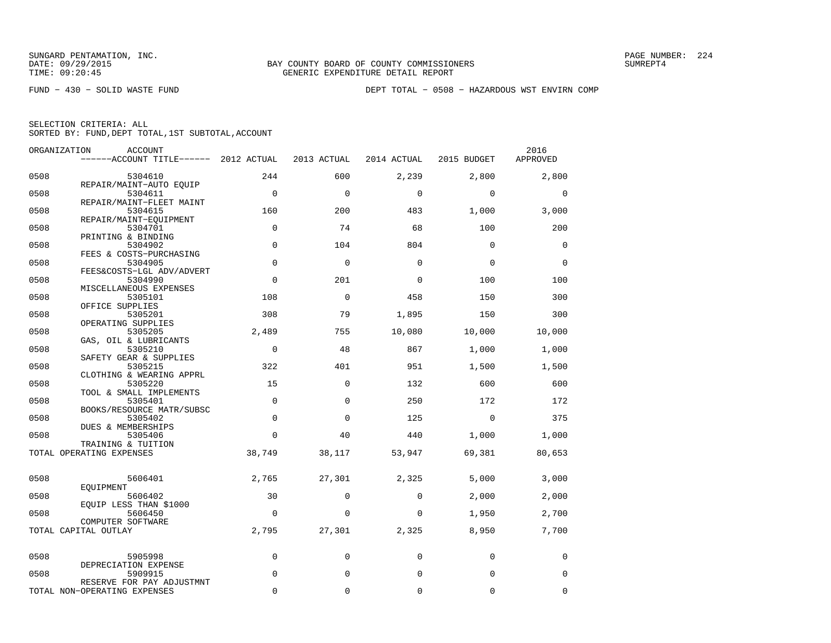FUND − 430 − SOLID WASTE FUND DEPT TOTAL − 0508 − HAZARDOUS WST ENVIRN COMP

| ORGANIZATION | <b>ACCOUNT</b>                                            |             |             |             |             | 2016        |
|--------------|-----------------------------------------------------------|-------------|-------------|-------------|-------------|-------------|
|              | ------ACCOUNT TITLE------ 2012 ACTUAL                     |             | 2013 ACTUAL | 2014 ACTUAL | 2015 BUDGET | APPROVED    |
| 0508         | 5304610                                                   | 244         | 600         | 2,239       | 2,800       | 2,800       |
| 0508         | REPAIR/MAINT-AUTO EOUIP<br>5304611                        | $\mathbf 0$ | $\Omega$    | $\Omega$    | $\mathbf 0$ | $\mathbf 0$ |
| 0508         | REPAIR/MAINT-FLEET MAINT<br>5304615                       | 160         | 200         | 483         | 1,000       | 3,000       |
| 0508         | REPAIR/MAINT-EQUIPMENT<br>5304701                         | $\mathbf 0$ | 74          | 68          | 100         | 200         |
| 0508         | PRINTING & BINDING<br>5304902                             | $\Omega$    | 104         | 804         | $\Omega$    | $\mathbf 0$ |
| 0508         | FEES & COSTS-PURCHASING<br>5304905                        | $\mathbf 0$ | $\Omega$    | $\Omega$    | $\Omega$    | $\Omega$    |
| 0508         | FEES&COSTS-LGL ADV/ADVERT<br>5304990                      | 0           | 201         | $\Omega$    | 100         | 100         |
| 0508         | MISCELLANEOUS EXPENSES<br>5305101                         | 108         | $\Omega$    | 458         | 150         | 300         |
| 0508         | OFFICE SUPPLIES<br>5305201                                | 308         | 79          | 1,895       | 150         | 300         |
| 0508         | OPERATING SUPPLIES<br>5305205                             | 2,489       | 755         | 10,080      | 10,000      | 10,000      |
| 0508         | GAS, OIL & LUBRICANTS<br>5305210                          | 0           | 48          | 867         | 1,000       | 1,000       |
| 0508         | SAFETY GEAR & SUPPLIES<br>5305215                         | 322         | 401         | 951         | 1,500       | 1,500       |
| 0508         | CLOTHING & WEARING APPRL<br>5305220                       | 15          | $\Omega$    | 132         | 600         | 600         |
| 0508         | TOOL & SMALL IMPLEMENTS<br>5305401                        | $\Omega$    | $\Omega$    | 250         | 172         | 172         |
| 0508         | BOOKS/RESOURCE MATR/SUBSC<br>5305402                      | 0           | $\Omega$    | 125         | $\mathbf 0$ | 375         |
| 0508         | DUES & MEMBERSHIPS<br>5305406                             | 0           | 40          | 440         | 1,000       | 1,000       |
|              | TRAINING & TUITION<br>TOTAL OPERATING EXPENSES            | 38,749      | 38,117      | 53,947      | 69,381      | 80,653      |
|              |                                                           |             |             |             |             |             |
| 0508         | 5606401<br>EOUIPMENT                                      | 2,765       | 27,301      | 2,325       | 5,000       | 3,000       |
| 0508         | 5606402<br>EQUIP LESS THAN \$1000                         | 30          | $\Omega$    | $\mathbf 0$ | 2,000       | 2,000       |
| 0508         | 5606450<br>COMPUTER SOFTWARE                              | 0           | 0           | 0           | 1,950       | 2,700       |
|              | TOTAL CAPITAL OUTLAY                                      | 2,795       | 27,301      | 2,325       | 8,950       | 7,700       |
| 0508         | 5905998                                                   | 0           | $\mathbf 0$ | 0           | $\mathbf 0$ | 0           |
| 0508         | DEPRECIATION EXPENSE<br>5909915                           | 0           | $\mathbf 0$ | $\mathbf 0$ | $\mathbf 0$ | 0           |
|              | RESERVE FOR PAY ADJUSTMNT<br>TOTAL NON-OPERATING EXPENSES | $\Omega$    | 0           | 0           | $\mathbf 0$ | 0           |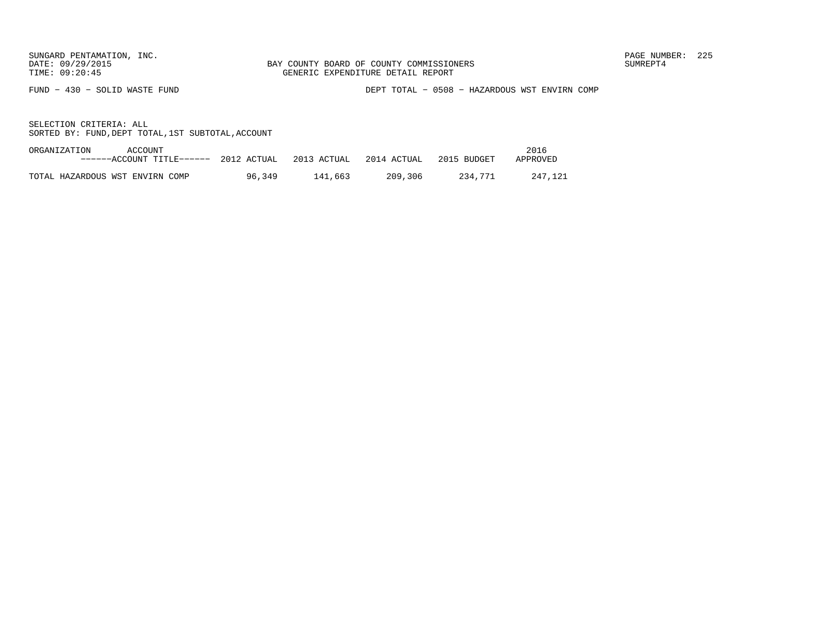FUND − 430 − SOLID WASTE FUND DEPT TOTAL − 0508 − HAZARDOUS WST ENVIRN COMP

| ORGANIZATION<br>ACCOUNT         |                                                                          |         |         |         | 2016     |
|---------------------------------|--------------------------------------------------------------------------|---------|---------|---------|----------|
|                                 | $---ACCOUNT$ TITLE $---$ 2012 ACTUAL 2013 ACTUAL 2014 ACTUAL 2015 BUDGET |         |         |         | APPROVED |
|                                 |                                                                          |         |         |         |          |
| TOTAL HAZARDOUS WST ENVIRN COMP | 96,349                                                                   | 141.663 | 209,306 | 234.771 | 247.121  |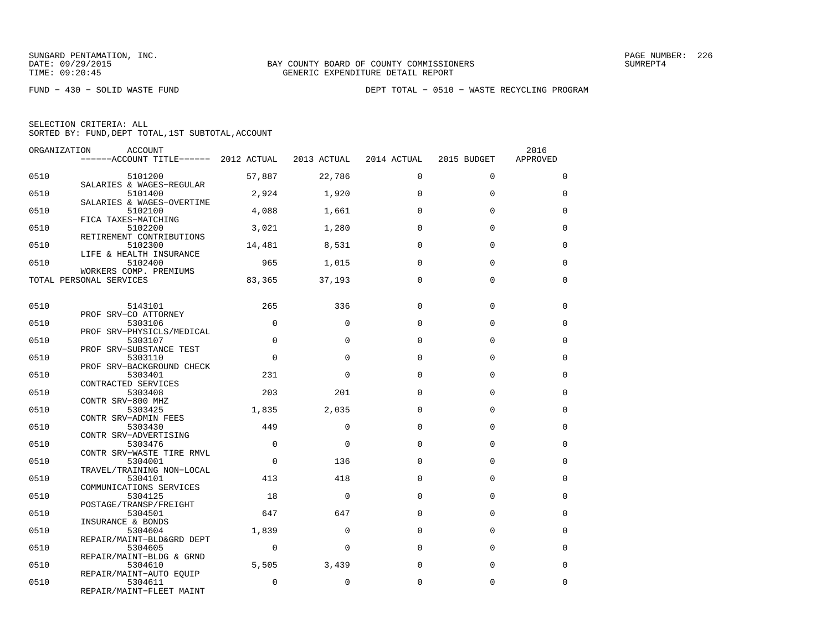FUND − 430 − SOLID WASTE FUND DEPT TOTAL − 0510 − WASTE RECYCLING PROGRAM

| SELECTION CRITERIA: ALL |  |  |                                                    |  |
|-------------------------|--|--|----------------------------------------------------|--|
|                         |  |  | SORTED BY: FUND, DEPT TOTAL, 1ST SUBTOTAL, ACCOUNT |  |

| ORGANIZATION | ACCOUNT<br>------ACCOUNT TITLE------ 2012 ACTUAL 2013 ACTUAL 2014 ACTUAL |                |             |             | 2015 BUDGET | 2016<br>APPROVED |
|--------------|--------------------------------------------------------------------------|----------------|-------------|-------------|-------------|------------------|
|              |                                                                          |                |             |             |             |                  |
| 0510         | 5101200<br>SALARIES & WAGES-REGULAR                                      | 57,887         | 22,786      | $\Omega$    | $\Omega$    | $\Omega$         |
| 0510         | 5101400                                                                  | 2,924          | 1,920       | $\Omega$    | $\Omega$    | $\Omega$         |
| 0510         | SALARIES & WAGES-OVERTIME<br>5102100                                     | 4,088          | 1,661       | $\Omega$    | 0           | $\mathbf 0$      |
| 0510         | FICA TAXES-MATCHING<br>5102200                                           | 3,021          | 1,280       | $\Omega$    | $\Omega$    | $\Omega$         |
| 0510         | RETIREMENT CONTRIBUTIONS<br>5102300                                      | 14,481         | 8,531       | $\Omega$    | $\Omega$    | $\Omega$         |
| 0510         | LIFE & HEALTH INSURANCE<br>5102400                                       | 965            | 1,015       | $\Omega$    | $\Omega$    | $\Omega$         |
|              | WORKERS COMP. PREMIUMS<br>TOTAL PERSONAL SERVICES                        | 83,365         | 37,193      | $\Omega$    | $\Omega$    | $\Omega$         |
|              |                                                                          |                |             |             |             |                  |
| 0510         | 5143101                                                                  | 265            | 336         | $\Omega$    | $\Omega$    | 0                |
| 0510         | PROF SRV-CO ATTORNEY<br>5303106                                          | $\Omega$       | $\Omega$    | $\Omega$    | $\Omega$    | $\mathbf 0$      |
| 0510         | PROF SRV-PHYSICLS/MEDICAL<br>5303107                                     | $\Omega$       | $\Omega$    | $\Omega$    | $\Omega$    | $\Omega$         |
| 0510         | PROF SRV-SUBSTANCE TEST<br>5303110                                       | $\Omega$       | $\Omega$    | $\Omega$    | $\Omega$    | $\Omega$         |
| 0510         | PROF SRV-BACKGROUND CHECK<br>5303401                                     | 231            | $\Omega$    | $\Omega$    | $\Omega$    | $\Omega$         |
| 0510         | CONTRACTED SERVICES<br>5303408                                           | 203            | 201         | $\Omega$    | $\Omega$    | $\Omega$         |
| 0510         | CONTR SRV-800 MHZ<br>5303425                                             | 1,835          | 2,035       | $\Omega$    | $\Omega$    | $\Omega$         |
| 0510         | CONTR SRV-ADMIN FEES<br>5303430                                          | 449            | $\Omega$    | $\Omega$    | $\Omega$    | 0                |
| 0510         | CONTR SRV-ADVERTISING<br>5303476                                         | $\overline{0}$ | $\Omega$    | $\Omega$    | 0           | $\mathbf 0$      |
| 0510         | CONTR SRV-WASTE TIRE RMVL<br>5304001                                     | $\Omega$       | 136         | $\Omega$    | $\Omega$    | $\Omega$         |
| 0510         | TRAVEL/TRAINING NON-LOCAL<br>5304101                                     | 413            | 418         | $\Omega$    | $\Omega$    | 0                |
| 0510         | COMMUNICATIONS SERVICES<br>5304125                                       | 18             | $\mathbf 0$ | $\Omega$    | $\Omega$    | $\mathbf 0$      |
| 0510         | POSTAGE/TRANSP/FREIGHT<br>5304501                                        | 647            | 647         | $\Omega$    | $\Omega$    | $\Omega$         |
|              | INSURANCE & BONDS                                                        |                |             |             |             |                  |
| 0510         | 5304604<br>REPAIR/MAINT-BLD&GRD DEPT                                     | 1,839          | $\Omega$    | $\Omega$    | $\Omega$    | $\Omega$         |
| 0510         | 5304605<br>REPAIR/MAINT-BLDG & GRND                                      | $\mathbf 0$    | $\mathbf 0$ | $\mathbf 0$ | 0           | $\mathbf 0$      |
| 0510         | 5304610                                                                  | 5,505          | 3,439       | $\Omega$    | $\Omega$    | $\Omega$         |
| 0510         | REPAIR/MAINT-AUTO EQUIP<br>5304611<br>REPAIR/MAINT-FLEET MAINT           | $\Omega$       | $\Omega$    | 0           | 0           | $\mathbf 0$      |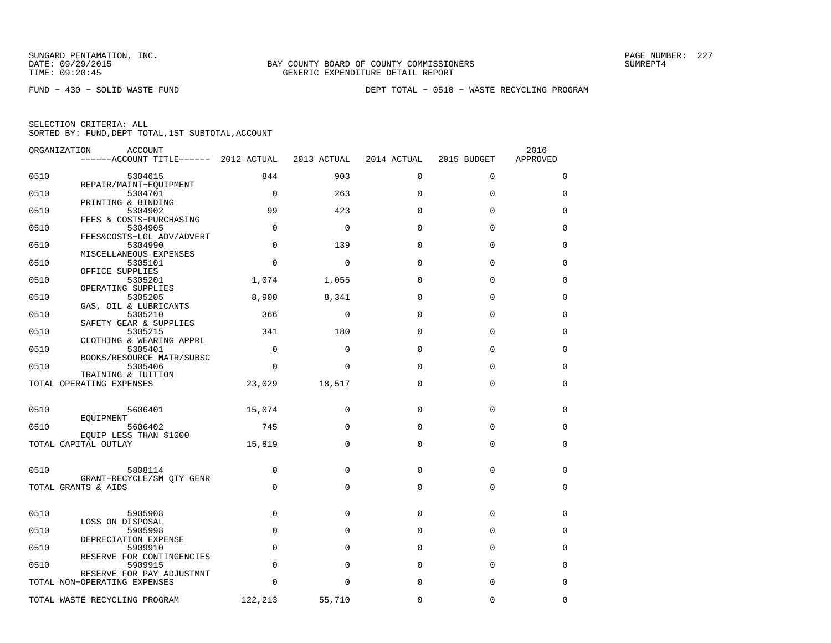FUND − 430 − SOLID WASTE FUND DEPT TOTAL − 0510 − WASTE RECYCLING PROGRAM

| SELECTION CRITERIA: ALL |  |  |                                                    |  |
|-------------------------|--|--|----------------------------------------------------|--|
|                         |  |  | SORTED BY: FUND, DEPT TOTAL, 1ST SUBTOTAL, ACCOUNT |  |

|      | ORGANIZATION<br><b>ACCOUNT</b>                                 |             |              |             |             | 2016     |
|------|----------------------------------------------------------------|-------------|--------------|-------------|-------------|----------|
|      | ------ACCOUNT TITLE------ 2012 ACTUAL                          |             | 2013 ACTUAL  | 2014 ACTUAL | 2015 BUDGET | APPROVED |
| 0510 | 5304615<br>REPAIR/MAINT-EQUIPMENT                              | 844         | 903          | $\mathbf 0$ | $\mathbf 0$ | 0        |
| 0510 | 5304701                                                        | $\Omega$    | 263          | $\Omega$    | $\Omega$    | 0        |
| 0510 | PRINTING & BINDING<br>5304902                                  | 99          | 423          | $\Omega$    | $\Omega$    | 0        |
| 0510 | FEES & COSTS-PURCHASING<br>5304905                             | $\Omega$    | $\mathbf 0$  | $\Omega$    | $\Omega$    | 0        |
| 0510 | FEES&COSTS-LGL ADV/ADVERT<br>5304990<br>MISCELLANEOUS EXPENSES | $\Omega$    | 139          | $\Omega$    | $\Omega$    | 0        |
| 0510 | 5305101<br>OFFICE SUPPLIES                                     | $\mathbf 0$ | $\mathbf 0$  | $\Omega$    | $\mathbf 0$ | 0        |
| 0510 | 5305201<br>OPERATING SUPPLIES                                  | 1,074       | 1,055        | $\Omega$    | $\Omega$    | 0        |
| 0510 | 5305205<br>GAS, OIL & LUBRICANTS                               | 8,900       | 8,341        | $\Omega$    | $\Omega$    | $\Omega$ |
| 0510 | 5305210<br>SAFETY GEAR & SUPPLIES                              | 366         | $\mathbf{0}$ | $\Omega$    | $\Omega$    | 0        |
| 0510 | 5305215<br>CLOTHING & WEARING APPRL                            | 341         | 180          | $\Omega$    | $\Omega$    | 0        |
| 0510 | 5305401<br>BOOKS/RESOURCE MATR/SUBSC                           | $\mathbf 0$ | $\mathbf{0}$ | 0           | $\mathbf 0$ | 0        |
| 0510 | 5305406<br>TRAINING & TUITION                                  | $\Omega$    | $\Omega$     | $\Omega$    | $\Omega$    | $\Omega$ |
|      | TOTAL OPERATING EXPENSES                                       | 23,029      | 18,517       | $\Omega$    | $\Omega$    | $\Omega$ |
| 0510 | 5606401                                                        | 15,074      | 0            | 0           | $\Omega$    | 0        |
| 0510 | EOUIPMENT<br>5606402<br>EQUIP LESS THAN \$1000                 | 745         | $\Omega$     | $\Omega$    | $\Omega$    | $\Omega$ |
|      | TOTAL CAPITAL OUTLAY                                           | 15,819      | $\Omega$     | 0           | $\mathbf 0$ | 0        |
| 0510 | 5808114                                                        | $\mathbf 0$ | $\mathbf{0}$ | $\mathbf 0$ | $\mathbf 0$ | 0        |
|      | GRANT-RECYCLE/SM QTY GENR<br>TOTAL GRANTS & AIDS               | $\Omega$    | $\Omega$     | $\Omega$    | $\mathbf 0$ | 0        |
|      |                                                                |             |              |             |             |          |
| 0510 | 5905908<br>LOSS ON DISPOSAL                                    | $\mathbf 0$ | $\mathbf{0}$ | $\mathbf 0$ | $\mathbf 0$ | 0        |
| 0510 | 5905998<br>DEPRECIATION EXPENSE                                | $\Omega$    | $\Omega$     | $\Omega$    | $\Omega$    | 0        |
| 0510 | 5909910<br>RESERVE FOR CONTINGENCIES                           | $\Omega$    | $\Omega$     | $\Omega$    | $\Omega$    | $\Omega$ |
| 0510 | 5909915<br>RESERVE FOR PAY ADJUSTMNT                           | $\Omega$    | $\mathbf{0}$ | $\Omega$    | $\mathbf 0$ | 0        |
|      | TOTAL NON-OPERATING EXPENSES                                   | $\Omega$    | $\Omega$     | 0           | $\Omega$    | $\Omega$ |
|      | TOTAL WASTE RECYCLING PROGRAM                                  | 122,213     | 55,710       | 0           | $\mathbf 0$ | 0        |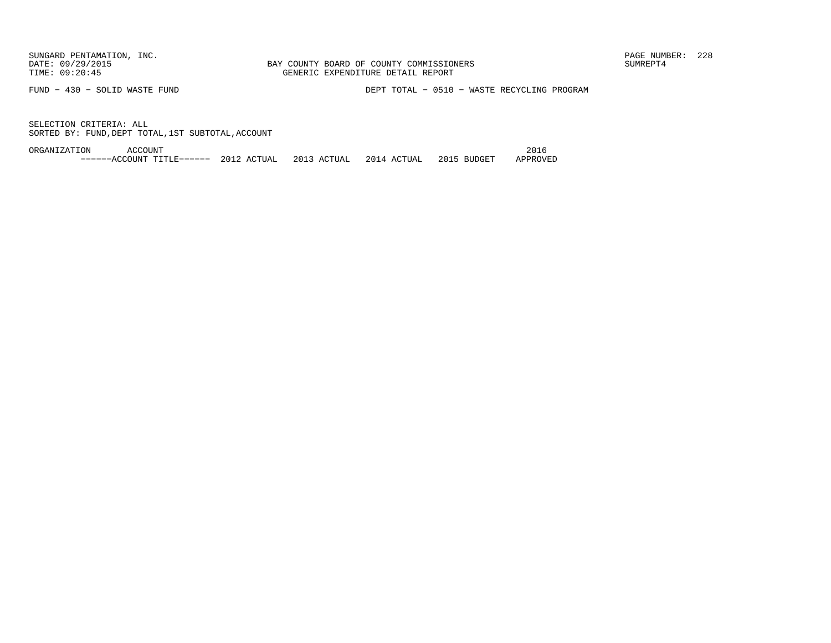FUND − 430 − SOLID WASTE FUND DEPT TOTAL − 0510 − WASTE RECYCLING PROGRAM

SELECTION CRITERIA: ALLSORTED BY: FUND,DEPT TOTAL,1ST SUBTOTAL,ACCOUNT

ORGANIZATION ACCOUNT 2016−−−−−−ACCOUNT TITLE−−−−−− 2012 ACTUAL 2013 ACTUAL 2014 ACTUAL 2015 BUDGET APPROVED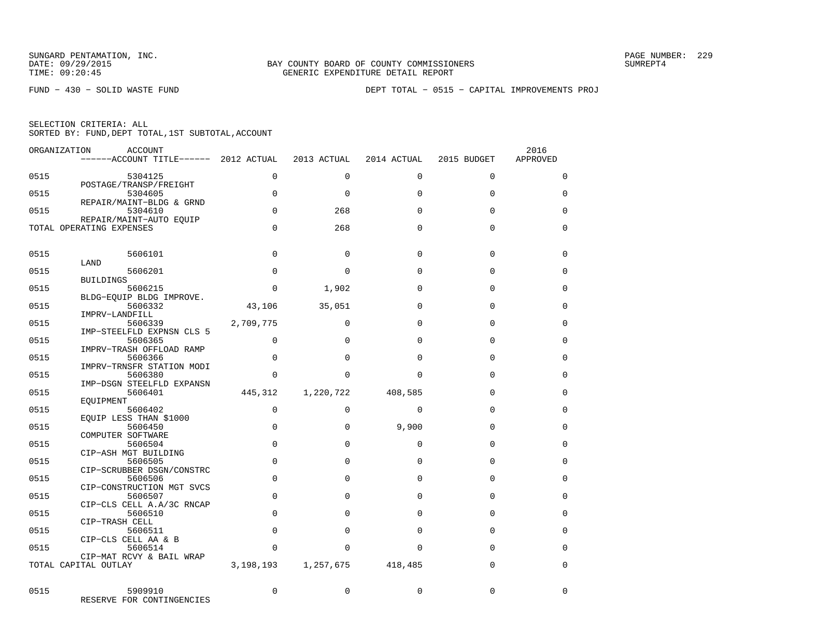FUND − 430 − SOLID WASTE FUND DEPT TOTAL − 0515 − CAPITAL IMPROVEMENTS PROJ

| ORGANIZATION | ACCOUNT<br>$----ACCOUNT$ TITLE $--- 2012$ ACTUAL    |             | 2013 ACTUAL | 2014 ACTUAL | 2015 BUDGET | 2016<br>APPROVED |
|--------------|-----------------------------------------------------|-------------|-------------|-------------|-------------|------------------|
| 0515         | 5304125<br>POSTAGE/TRANSP/FREIGHT                   | 0           | $\Omega$    | $\mathbf 0$ | $\mathbf 0$ | 0                |
| 0515         | 5304605                                             | $\Omega$    | $\Omega$    | $\Omega$    | $\Omega$    | $\Omega$         |
| 0515         | REPAIR/MAINT-BLDG & GRND<br>5304610                 | $\Omega$    | 268         | $\Omega$    | $\Omega$    | $\Omega$         |
|              | REPAIR/MAINT-AUTO EQUIP<br>TOTAL OPERATING EXPENSES | $\Omega$    | 268         | $\Omega$    | $\Omega$    | $\Omega$         |
| 0515         | 5606101                                             | $\Omega$    | $\Omega$    | $\Omega$    | $\Omega$    | $\Omega$         |
| 0515         | LAND<br>5606201                                     | $\Omega$    | $\Omega$    | $\mathbf 0$ | 0           | 0                |
|              | <b>BUILDINGS</b>                                    |             |             |             |             |                  |
| 0515         | 5606215<br>BLDG-EOUIP BLDG IMPROVE.                 | $\Omega$    | 1,902       | $\Omega$    | $\Omega$    | 0                |
| 0515         | 5606332<br>IMPRV-LANDFILL                           | 43,106      | 35,051      | $\Omega$    | $\Omega$    | $\Omega$         |
| 0515         | 5606339                                             | 2,709,775   | $\Omega$    | $\Omega$    | $\Omega$    | $\Omega$         |
| 0515         | IMP-STEELFLD EXPNSN CLS 5<br>5606365                | $\Omega$    | $\Omega$    | $\Omega$    | $\Omega$    | 0                |
| 0515         | IMPRV-TRASH OFFLOAD RAMP<br>5606366                 | $\Omega$    | $\Omega$    | $\Omega$    | $\Omega$    | $\Omega$         |
| 0515         | IMPRV-TRNSFR STATION MODI<br>5606380                | $\Omega$    | $\Omega$    | $\Omega$    | $\Omega$    | $\Omega$         |
| 0515         | IMP-DSGN STEELFLD EXPANSN<br>5606401                | 445,312     | 1,220,722   | 408,585     | $\Omega$    | $\Omega$         |
| 0515         | EOUIPMENT<br>5606402                                | $\mathbf 0$ | $\Omega$    | $\mathbf 0$ | $\Omega$    | $\Omega$         |
|              | EQUIP LESS THAN \$1000                              | $\Omega$    |             |             |             |                  |
| 0515         | 5606450<br>COMPUTER SOFTWARE                        |             | $\Omega$    | 9,900       | $\Omega$    | $\Omega$         |
| 0515         | 5606504<br>CIP-ASH MGT BUILDING                     | $\Omega$    | $\Omega$    | $\Omega$    | $\Omega$    | $\Omega$         |
| 0515         | 5606505<br>CIP-SCRUBBER DSGN/CONSTRC                | $\Omega$    | $\Omega$    | $\Omega$    | $\Omega$    | <sup>0</sup>     |
| 0515         | 5606506                                             | $\mathbf 0$ | $\Omega$    | $\Omega$    | $\Omega$    | $\Omega$         |
| 0515         | CIP-CONSTRUCTION MGT SVCS<br>5606507                | $\mathbf 0$ | $\Omega$    | $\mathbf 0$ | $\mathbf 0$ | 0                |
| 0515         | CIP-CLS CELL A.A/3C RNCAP<br>5606510                | $\Omega$    | $\Omega$    | $\Omega$    | $\Omega$    | $\Omega$         |
| 0515         | CIP-TRASH CELL<br>5606511                           | $\Omega$    | $\Omega$    | $\mathbf 0$ | 0           | 0                |
| 0515         | CIP-CLS CELL AA & B<br>5606514                      | $\Omega$    | $\Omega$    | $\Omega$    | $\Omega$    | 0                |
|              | CIP-MAT RCVY & BAIL WRAP                            |             |             |             |             |                  |
|              | TOTAL CAPITAL OUTLAY                                | 3,198,193   | 1,257,675   | 418,485     | 0           | $\Omega$         |
| 0515         | 5909910<br>RESERVE FOR CONTINGENCIES                | $\mathbf 0$ | $\Omega$    | $\mathbf 0$ | $\Omega$    | $\Omega$         |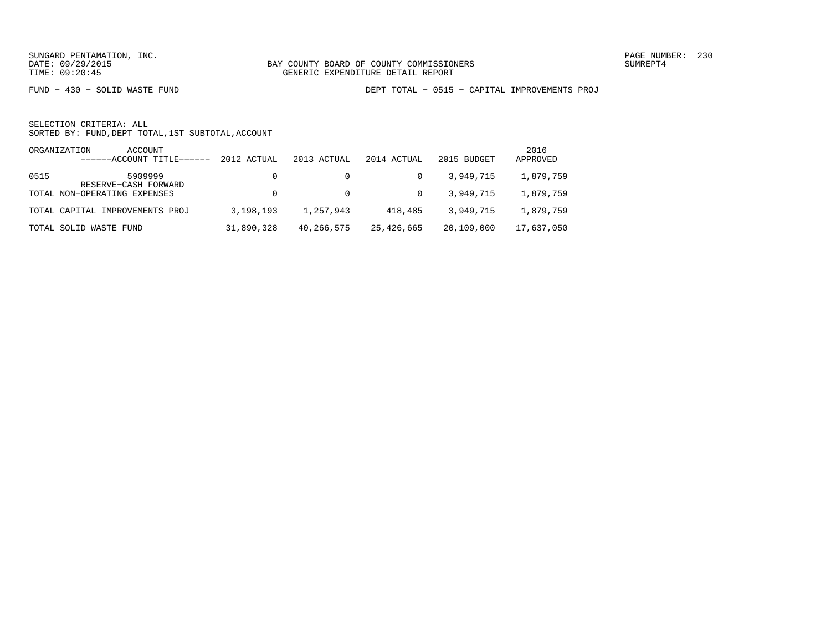FUND − 430 − SOLID WASTE FUND DEPT TOTAL − 0515 − CAPITAL IMPROVEMENTS PROJ

|      | ACCOUNT<br>ORGANIZATION<br>$---ACCOINT TITLE---$ | 2012 ACTUAL | 2013 ACTUAL | 2014 ACTUAL | 2015 BUDGET | 2016<br>APPROVED |
|------|--------------------------------------------------|-------------|-------------|-------------|-------------|------------------|
| 0515 | 5909999<br>RESERVE-CASH FORWARD                  |             |             |             | 3,949,715   | 1,879,759        |
|      | TOTAL NON-OPERATING EXPENSES                     |             |             | $\Omega$    | 3,949,715   | 1,879,759        |
|      | TOTAL CAPITAL IMPROVEMENTS PROJ                  | 3,198,193   | 1,257,943   | 418,485     | 3,949,715   | 1,879,759        |
|      | TOTAL SOLID WASTE FUND                           | 31,890,328  | 40,266,575  | 25,426,665  | 20,109,000  | 17,637,050       |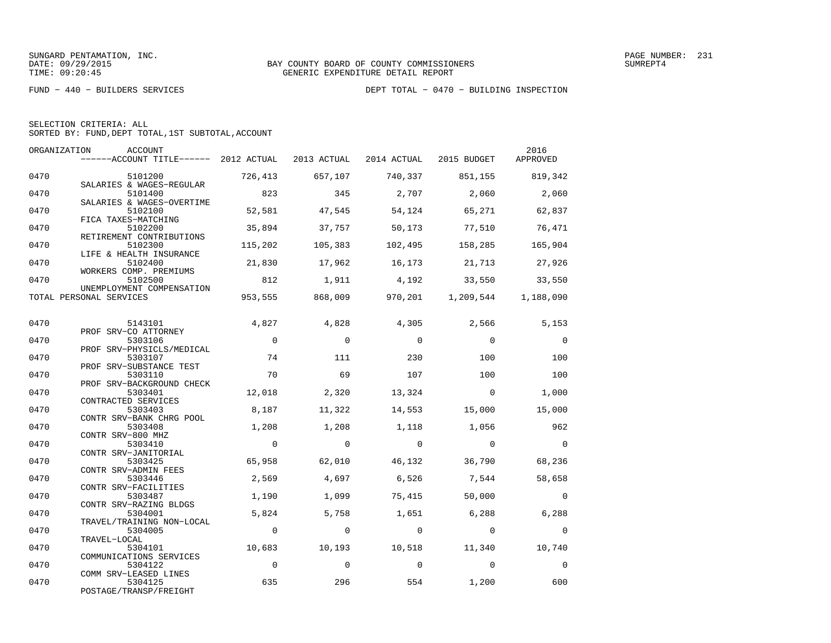| SELECTION CRITERIA: ALL |                                                    |
|-------------------------|----------------------------------------------------|
|                         | SORTED BY: FUND, DEPT TOTAL, 1ST SUBTOTAL, ACCOUNT |

| ORGANIZATION | ACCOUNT                                                                   |                |                |                |                                             | 2016           |
|--------------|---------------------------------------------------------------------------|----------------|----------------|----------------|---------------------------------------------|----------------|
|              | ------ACCOUNT TITLE------ 2012 ACTUAL 2013 ACTUAL 2014 ACTUAL 2015 BUDGET |                |                |                |                                             | APPROVED       |
| 0470         | 5101200                                                                   | 726,413        | 657,107        |                | 740,337 851,155 819,342                     |                |
| 0470         | SALARIES & WAGES-REGULAR<br>5101400                                       | 823            | 345            | 2,707          | 2,060                                       | 2,060          |
| 0470         | SALARIES & WAGES-OVERTIME<br>5102100                                      | 52,581         | 47,545         | 54,124         | 65,271                                      | 62,837         |
|              | FICA TAXES-MATCHING                                                       |                |                |                |                                             |                |
| 0470         | 5102200                                                                   | 35,894         | 37,757         |                | 50,173 77,510                               | 76,471         |
| 0470         | RETIREMENT CONTRIBUTIONS<br>5102300                                       | 115,202        | 105,383        | 102,495        | 158,285                                     | 165,904        |
|              | LIFE & HEALTH INSURANCE                                                   |                |                |                |                                             |                |
| 0470         | 5102400<br>WORKERS COMP. PREMIUMS                                         | 21,830         | 17,962         | 16,173         | 21,713 27,926                               |                |
| 0470         | 5102500                                                                   | 812            | 1,911          |                | 4,192 33,550                                | 33,550         |
|              | UNEMPLOYMENT COMPENSATION                                                 |                |                |                |                                             |                |
|              | TOTAL PERSONAL SERVICES                                                   |                |                |                | 953,555 868,009 970,201 1,209,544 1,188,090 |                |
|              |                                                                           |                |                |                |                                             |                |
| 0470         | 5143101                                                                   | 4,827          | 4,828          | 4,305          | 2,566                                       | 5,153          |
|              | PROF SRV-CO ATTORNEY                                                      |                |                |                |                                             |                |
| 0470         | 5303106                                                                   | $\overline{0}$ | $\Omega$       | $\Omega$       | $\Omega$                                    | $\overline{0}$ |
| 0470         | PROF SRV-PHYSICLS/MEDICAL<br>5303107                                      | 74             | 111            | 230            | 100                                         | 100            |
|              | PROF SRV-SUBSTANCE TEST                                                   |                |                |                |                                             |                |
| 0470         | 5303110                                                                   | 70             | 69             | 107            | 100                                         | 100            |
|              | PROF SRV-BACKGROUND CHECK                                                 |                |                |                |                                             |                |
| 0470         | 5303401                                                                   | 12,018         | 2,320          | 13,324         | $\overline{0}$                              | 1,000          |
|              | CONTRACTED SERVICES                                                       |                |                |                |                                             |                |
| 0470         | 5303403                                                                   | 8,187          | 11,322         | 14,553         | 15,000                                      | 15,000         |
| 0470         | CONTR SRV-BANK CHRG POOL<br>5303408                                       | 1,208          | 1,208          | 1,118          | 1,056                                       | 962            |
|              | CONTR SRV-800 MHZ                                                         |                |                |                |                                             |                |
| 0470         | 5303410                                                                   | $\overline{0}$ | $\overline{0}$ | $\overline{0}$ | $\overline{0}$                              | $\overline{0}$ |
|              | CONTR SRV-JANITORIAL                                                      |                |                |                |                                             |                |
| 0470         | 5303425                                                                   | 65,958         | 62,010         | 46,132         | 36,790                                      | 68,236         |
|              | CONTR SRV-ADMIN FEES                                                      |                |                |                |                                             |                |
| 0470         | 5303446                                                                   | 2,569          | 4,697          | 6,526          | 7,544                                       | 58,658         |
| 0470         | CONTR SRV-FACILITIES<br>5303487                                           | 1,190          | 1,099          | 75,415         | 50,000                                      | $\Omega$       |
|              | CONTR SRV-RAZING BLDGS                                                    |                |                |                |                                             |                |
| 0470         | 5304001                                                                   | 5,824          | 5,758          | 1,651          | 6,288                                       | 6,288          |
|              | TRAVEL/TRAINING NON-LOCAL                                                 |                |                |                |                                             |                |
| 0470         | 5304005                                                                   | $\overline{0}$ | $\overline{0}$ | $\overline{0}$ | $\overline{0}$                              | $\overline{0}$ |
|              | TRAVEL-LOCAL                                                              |                |                |                |                                             |                |
| 0470         | 5304101                                                                   | 10,683         | 10,193         | 10,518         | 11,340                                      | 10,740         |
| 0470         | COMMUNICATIONS SERVICES                                                   | $\overline{0}$ | $\Omega$       | $\overline{0}$ | $\overline{0}$                              |                |
|              | 5304122<br>COMM SRV-LEASED LINES                                          |                |                |                |                                             | $\overline{0}$ |
| 0470         | 5304125                                                                   | 635            | 296            | 554            | 1,200                                       | 600            |
|              | POSTAGE/TRANSP/FREIGHT                                                    |                |                |                |                                             |                |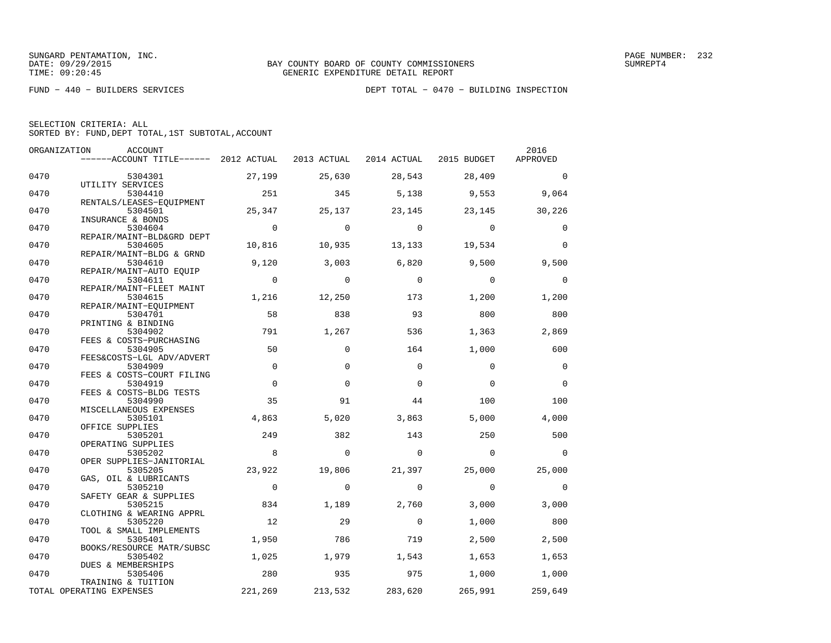|      | ORGANIZATION<br>ACCOUNT                                 |                |             |                         |             | 2016        |
|------|---------------------------------------------------------|----------------|-------------|-------------------------|-------------|-------------|
|      | $---ACCOUNT$ TITLE $--- 2012$ ACTUAL                    |                | 2013 ACTUAL | 2014 ACTUAL 2015 BUDGET |             | APPROVED    |
| 0470 | 5304301                                                 | 27,199         | 25,630      | 28,543                  | 28,409      | $\Omega$    |
| 0470 | UTILITY SERVICES<br>5304410<br>RENTALS/LEASES-EOUIPMENT | 251            | 345         | 5,138                   | 9,553       | 9,064       |
| 0470 | 5304501<br>INSURANCE & BONDS                            | 25,347         | 25,137      | 23,145                  | 23,145      | 30,226      |
| 0470 | 5304604<br>REPAIR/MAINT-BLD&GRD DEPT                    | $\overline{0}$ | $\Omega$    | $\Omega$                | $\Omega$    | $\Omega$    |
| 0470 | 5304605<br>REPAIR/MAINT-BLDG & GRND                     | 10,816         | 10,935      | 13,133                  | 19,534      | $\Omega$    |
| 0470 | 5304610<br>REPAIR/MAINT-AUTO EQUIP                      | 9,120          | 3,003       | 6,820                   | 9,500       | 9,500       |
| 0470 | 5304611<br>REPAIR/MAINT-FLEET MAINT                     | $\overline{0}$ | $\mathbf 0$ | $\mathbf 0$             | $\mathbf 0$ | $\mathbf 0$ |
| 0470 | 5304615<br>REPAIR/MAINT-EOUIPMENT                       | 1,216          | 12,250      | 173                     | 1,200       | 1,200       |
| 0470 | 5304701<br>PRINTING & BINDING                           | 58             | 838         | 93                      | 800         | 800         |
| 0470 | 5304902<br>FEES & COSTS-PURCHASING                      | 791            | 1,267       | 536                     | 1,363       | 2,869       |
| 0470 | 5304905<br>FEES&COSTS-LGL ADV/ADVERT                    | 50             | $\Omega$    | 164                     | 1,000       | 600         |
| 0470 | 5304909<br>FEES & COSTS-COURT FILING                    | $\mathbf 0$    | $\Omega$    | $\Omega$                | $\Omega$    | 0           |
| 0470 | 5304919<br>FEES & COSTS-BLDG TESTS                      | $\mathbf 0$    | $\Omega$    | $\Omega$                | $\Omega$    | $\Omega$    |
| 0470 | 5304990<br>MISCELLANEOUS EXPENSES                       | 35             | 91          | 44                      | 100         | 100         |
| 0470 | 5305101<br>OFFICE SUPPLIES                              | 4,863          | 5,020       | 3,863                   | 5,000       | 4,000       |
| 0470 | 5305201<br>OPERATING SUPPLIES                           | 249            | 382         | 143                     | 250         | 500         |
| 0470 | 5305202<br>OPER SUPPLIES-JANITORIAL                     | 8              | $\Omega$    | $\Omega$                | $\Omega$    | $\Omega$    |
| 0470 | 5305205<br>GAS, OIL & LUBRICANTS                        | 23,922         | 19,806      | 21,397                  | 25,000      | 25,000      |
| 0470 | 5305210<br>SAFETY GEAR & SUPPLIES                       | $\mathbf 0$    | $\Omega$    | 0                       | $\mathbf 0$ | 0           |
| 0470 | 5305215<br>CLOTHING & WEARING APPRL                     | 834            | 1,189       | 2,760                   | 3,000       | 3,000       |
| 0470 | 5305220<br>TOOL & SMALL IMPLEMENTS                      | 12             | 29          | $\mathbf 0$             | 1,000       | 800         |
| 0470 | 5305401<br>BOOKS/RESOURCE MATR/SUBSC                    | 1,950          | 786         | 719                     | 2,500       | 2,500       |
| 0470 | 5305402<br>DUES & MEMBERSHIPS                           | 1,025          | 1,979       | 1,543                   | 1,653       | 1,653       |
| 0470 | 5305406<br>TRAINING & TUITION                           | 280            | 935         | 975                     | 1,000       | 1,000       |
|      | TOTAL OPERATING EXPENSES                                | 221,269        | 213,532     | 283,620                 | 265,991     | 259,649     |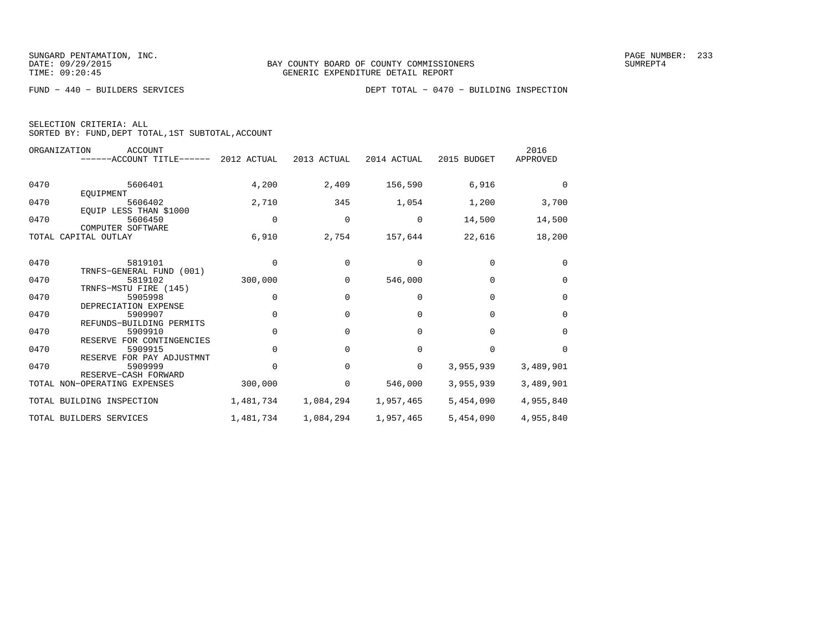|  | SELECTION CRITERIA: ALL |                                                    |  |
|--|-------------------------|----------------------------------------------------|--|
|  |                         | SORTED BY: FUND, DEPT TOTAL, 1ST SUBTOTAL, ACCOUNT |  |

|      | ORGANIZATION<br><b>ACCOUNT</b><br>$----ACCOUNT$ TITLE $----2012$ ACTUAL |             | 2013 ACTUAL | 2014 ACTUAL | 2015 BUDGET | 2016<br>APPROVED |
|------|-------------------------------------------------------------------------|-------------|-------------|-------------|-------------|------------------|
| 0470 | 5606401<br>EQUIPMENT                                                    | 4,200       | 2,409       | 156,590     | 6,916       | $\Omega$         |
| 0470 | 5606402<br>EOUIP LESS THAN \$1000                                       | 2,710       | 345         | 1,054       | 1,200       | 3,700            |
| 0470 | 5606450<br>COMPUTER SOFTWARE                                            | $\mathbf 0$ | 0           | 0           | 14,500      | 14,500           |
|      | TOTAL CAPITAL OUTLAY                                                    | 6,910       | 2,754       | 157,644     | 22,616      | 18,200           |
| 0470 | 5819101<br>TRNFS-GENERAL FUND (001)                                     | $\Omega$    | $\Omega$    | $\Omega$    | $\Omega$    | $\Omega$         |
| 0470 | 5819102                                                                 | 300,000     | $\Omega$    | 546,000     | $\Omega$    | $\mathbf 0$      |
| 0470 | TRNFS-MSTU FIRE (145)<br>5905998<br>DEPRECIATION EXPENSE                | $\Omega$    | $\Omega$    | $\Omega$    | $\Omega$    | $\Omega$         |
| 0470 | 5909907<br>REFUNDS-BUILDING PERMITS                                     | $\Omega$    | $\Omega$    | $\Omega$    | $\Omega$    | $\mathbf 0$      |
| 0470 | 5909910<br>RESERVE FOR CONTINGENCIES                                    | $\mathbf 0$ | $\Omega$    | $\Omega$    | $\Omega$    | $\mathbf 0$      |
| 0470 | 5909915<br>RESERVE FOR PAY ADJUSTMNT                                    | $\Omega$    | $\Omega$    | $\Omega$    | $\Omega$    | $\Omega$         |
| 0470 | 5909999<br>RESERVE-CASH FORWARD                                         | $\cap$      | $\Omega$    | 0           | 3,955,939   | 3,489,901        |
|      | TOTAL NON-OPERATING EXPENSES                                            | 300,000     | 0           | 546,000     | 3,955,939   | 3,489,901        |
|      | TOTAL BUILDING INSPECTION                                               | 1,481,734   | 1,084,294   | 1,957,465   | 5,454,090   | 4,955,840        |
|      | TOTAL BUILDERS SERVICES                                                 | 1,481,734   | 1,084,294   | 1,957,465   | 5,454,090   | 4,955,840        |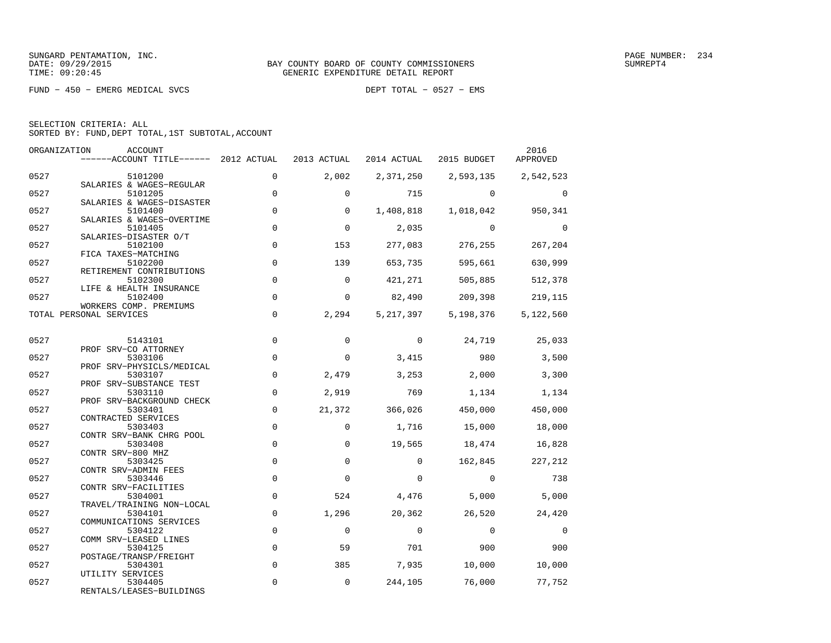FUND − 450 − EMERG MEDICAL SVCS DEPT TOTAL − 0527 − EMS

| SELECTION CRITERIA: ALL |  |  |                                                    |  |
|-------------------------|--|--|----------------------------------------------------|--|
|                         |  |  | SORTED BY: FUND, DEPT TOTAL, 1ST SUBTOTAL, ACCOUNT |  |

| ORGANIZATION | ACCOUNT<br>------ACCOUNT TITLE------ 2012 ACTUAL               |                | 2013 ACTUAL         | 2014 ACTUAL  | 2015 BUDGET | 2016<br>APPROVED |
|--------------|----------------------------------------------------------------|----------------|---------------------|--------------|-------------|------------------|
| 0527         | 5101200                                                        | $\Omega$       | 2,002               | 2,371,250    | 2,593,135   | 2,542,523        |
| 0527         | SALARIES & WAGES-REGULAR<br>5101205                            | $\mathbf 0$    | $\Omega$            | 715          | $\Omega$    | $\Omega$         |
| 0527         | SALARIES & WAGES-DISASTER<br>5101400                           | $\mathbf 0$    | 0                   | 1,408,818    | 1,018,042   | 950,341          |
| 0527         | SALARIES & WAGES-OVERTIME<br>5101405                           | $\overline{0}$ | $\Omega$            | 2,035        | $\Omega$    | $\Omega$         |
| 0527         | SALARIES-DISASTER O/T<br>5102100                               | $\Omega$       | 153                 | 277,083      | 276,255     | 267,204          |
| 0527         | FICA TAXES-MATCHING<br>5102200                                 | $\mathbf 0$    | 139                 | 653,735      | 595,661     | 630,999          |
| 0527         | RETIREMENT CONTRIBUTIONS<br>5102300<br>LIFE & HEALTH INSURANCE | $\mathbf 0$    | $\mathbf 0$         | 421,271      | 505,885     | 512,378          |
| 0527         | 5102400<br>WORKERS COMP. PREMIUMS                              | $\Omega$       | $\Omega$            | 82,490       | 209,398     | 219,115          |
|              | TOTAL PERSONAL SERVICES                                        | $\mathbf 0$    | 2,294               | 5,217,397    | 5,198,376   | 5,122,560        |
| 0527         | 5143101                                                        | $\mathbf 0$    | 0                   | $\mathbf{0}$ | 24,719      | 25,033           |
| 0527         | PROF SRV-CO ATTORNEY<br>5303106                                | $\mathbf 0$    | $\mathbf 0$         | 3,415        | 980         | 3,500            |
| 0527         | PROF SRV-PHYSICLS/MEDICAL<br>5303107                           | $\overline{0}$ | 2,479               | 3,253        | 2,000       | 3,300            |
| 0527         | PROF SRV-SUBSTANCE TEST<br>5303110                             | $\mathbf 0$    | 2,919               | 769          | 1,134       | 1,134            |
| 0527         | PROF SRV-BACKGROUND CHECK<br>5303401                           | $\mathbf 0$    | 21,372              | 366,026      | 450,000     | 450,000          |
| 0527         | CONTRACTED SERVICES<br>5303403                                 | $\Omega$       | $\Omega$            | 1,716        | 15,000      | 18,000           |
| 0527         | CONTR SRV-BANK CHRG POOL<br>5303408                            | $\mathbf 0$    | $\Omega$            | 19,565       | 18,474      | 16,828           |
| 0527         | CONTR SRV-800 MHZ<br>5303425                                   | $\mathbf 0$    | $\Omega$            | $\Omega$     | 162,845     | 227,212          |
| 0527         | CONTR SRV-ADMIN FEES<br>5303446                                | $\mathsf 0$    | $\mathbf 0$         | $\mathbf 0$  | $\Omega$    | 738              |
| 0527         | CONTR SRV-FACILITIES<br>5304001                                | $\mathbf 0$    | 524                 | 4,476        | 5,000       | 5,000            |
| 0527         | TRAVEL/TRAINING NON-LOCAL<br>5304101                           | $\mathbf 0$    | 1,296               | 20,362       | 26,520      | 24,420           |
| 0527         | COMMUNICATIONS SERVICES<br>5304122                             | $\mathbf 0$    | $\mathbf 0$         | $\mathbf 0$  | $\mathbf 0$ | $\mathbf 0$      |
| 0527         | COMM SRV-LEASED LINES<br>5304125                               | $\mathbf 0$    | 59                  | 701          | 900         | 900              |
| 0527         | POSTAGE/TRANSP/FREIGHT<br>5304301                              | $\mathbf 0$    | 385                 | 7,935        | 10,000      | 10,000           |
| 0527         | UTILITY SERVICES<br>5304405<br>RENTALS/LEASES-BUILDINGS        | 0              | $\mathsf{O}\xspace$ | 244,105      | 76,000      | 77,752           |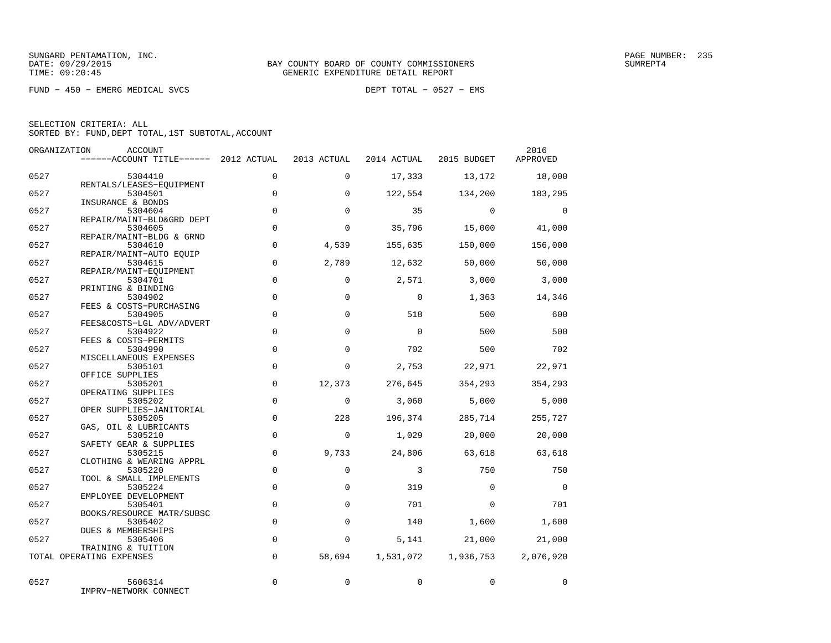FUND − 450 − EMERG MEDICAL SVCS DEPT TOTAL − 0527 − EMS

|              | ORGANIZATION<br>ACCOUNT<br>------ACCOUNT TITLE------ 2012 ACTUAL |                            | 2013 ACTUAL     | 2014 ACTUAL      | 2015 BUDGET       | 2016<br>APPROVED |
|--------------|------------------------------------------------------------------|----------------------------|-----------------|------------------|-------------------|------------------|
| 0527         | 5304410                                                          | $\Omega$                   | $\Omega$        | 17,333           | 13,172            | 18,000           |
| 0527         | RENTALS/LEASES-EQUIPMENT<br>5304501<br>INSURANCE & BONDS         | $\mathbf 0$                | $\mathbf 0$     | 122,554          | 134,200           | 183,295          |
| 0527         | 5304604<br>REPAIR/MAINT-BLD&GRD DEPT                             | $\mathbf 0$                | $\Omega$        | 35               | $\mathbf 0$       | $\overline{0}$   |
| 0527         | 5304605<br>REPAIR/MAINT-BLDG & GRND                              | $\mathbf 0$                | $\Omega$        | 35,796           | 15,000            | 41,000           |
| 0527         | 5304610<br>REPAIR/MAINT-AUTO EQUIP                               | $\Omega$                   | 4,539           | 155,635          | 150,000           | 156,000          |
| 0527         | 5304615<br>REPAIR/MAINT-EQUIPMENT                                | $\mathbf 0$                | 2,789           | 12,632           | 50,000            | 50,000           |
| 0527         | 5304701<br>PRINTING & BINDING                                    | $\mathbf 0$                | $\mathbf 0$     | 2,571            | 3,000             | 3,000            |
| 0527         | 5304902<br>FEES & COSTS-PURCHASING                               | $\mathbf 0$                | $\Omega$        | $\Omega$         | 1,363             | 14,346           |
| 0527         | 5304905<br>FEES&COSTS-LGL ADV/ADVERT                             | $\mathbf 0$                | $\Omega$        | 518              | 500               | 600              |
| 0527         | 5304922<br>FEES & COSTS-PERMITS                                  | $\mathbf 0$                | $\Omega$        | $\mathbf 0$      | 500               | 500              |
| 0527         | 5304990<br>MISCELLANEOUS EXPENSES                                | $\mathsf 0$                | $\mathbf 0$     | 702              | 500               | 702              |
| 0527         | 5305101<br>OFFICE SUPPLIES                                       | $\Omega$                   | $\Omega$        | 2,753            | 22,971            | 22,971           |
| 0527         | 5305201<br>OPERATING SUPPLIES                                    | $\mathbf 0$                | 12,373          | 276,645          | 354,293           | 354,293          |
| 0527         | 5305202<br>OPER SUPPLIES-JANITORIAL                              | $\mathbf 0$                | $\Omega$        | 3,060            | $5,000$           | 5,000            |
| 0527         | 5305205<br>GAS, OIL & LUBRICANTS                                 | $\mathbf 0$<br>$\mathbf 0$ | 228<br>$\Omega$ | 196,374<br>1,029 | 285,714<br>20,000 | 255,727          |
| 0527<br>0527 | 5305210<br>SAFETY GEAR & SUPPLIES<br>5305215                     | $\mathbf 0$                | 9,733           | 24,806           | 63,618            | 20,000<br>63,618 |
| 0527         | CLOTHING & WEARING APPRL<br>5305220                              | $\mathbf 0$                | $\mathbf 0$     | $\overline{3}$   | 750               | 750              |
| 0527         | TOOL & SMALL IMPLEMENTS<br>5305224                               | $\mathbf 0$                | $\Omega$        | 319              | $\Omega$          | $\overline{0}$   |
| 0527         | EMPLOYEE DEVELOPMENT<br>5305401                                  | $\mathbf 0$                | $\Omega$        | 701              | $\Omega$          | 701              |
| 0527         | BOOKS/RESOURCE MATR/SUBSC<br>5305402                             | $\mathbf 0$                | $\Omega$        | 140              | 1,600             | 1,600            |
| 0527         | DUES & MEMBERSHIPS<br>5305406                                    | $\mathbf 0$                | $\mathbf 0$     | 5,141            | 21,000            | 21,000           |
|              | TRAINING & TUITION<br>TOTAL OPERATING EXPENSES                   | $\Omega$                   | 58,694          | 1,531,072        | 1,936,753         | 2,076,920        |
|              |                                                                  |                            |                 |                  |                   |                  |
| 0527         | 5606314<br>IMPRV-NETWORK CONNECT                                 | 0                          | 0               | $\mathbf 0$      | $\mathbf 0$       | 0                |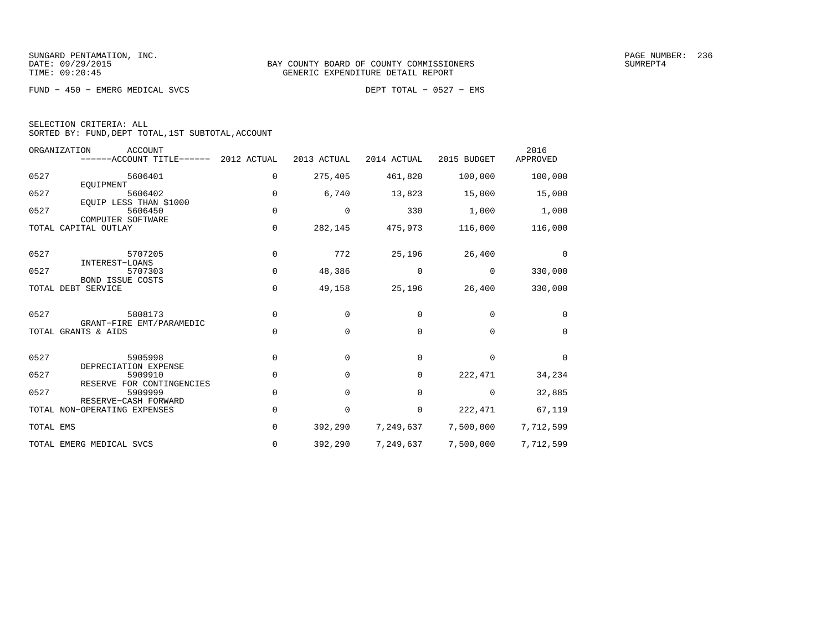FUND − 450 − EMERG MEDICAL SVCS DEPT TOTAL − 0527 − EMS

|  | SELECTION CRITERIA: ALL                            |  |  |
|--|----------------------------------------------------|--|--|
|  | SORTED BY: FUND, DEPT TOTAL, 1ST SUBTOTAL, ACCOUNT |  |  |

|           | ORGANIZATION<br><b>ACCOUNT</b><br>------ACCOUNT TITLE------ | 2012 ACTUAL | 2013 ACTUAL | 2014 ACTUAL | 2015 BUDGET | 2016<br>APPROVED |
|-----------|-------------------------------------------------------------|-------------|-------------|-------------|-------------|------------------|
| 0527      | 5606401                                                     | 0           | 275,405     | 461,820     | 100,000     | 100,000          |
| 0527      | EOUIPMENT<br>5606402                                        | $\mathbf 0$ | 6,740       | 13,823      | 15,000      | 15,000           |
| 0527      | EOUIP LESS THAN \$1000<br>5606450                           | 0           | 0           | 330         | 1,000       | 1,000            |
|           | COMPUTER SOFTWARE<br>TOTAL CAPITAL OUTLAY                   | $\mathbf 0$ | 282,145     | 475,973     | 116,000     | 116,000          |
| 0527      | 5707205                                                     | 0           | 772         | 25,196      | 26,400      | $\Omega$         |
| 0527      | INTEREST-LOANS<br>5707303                                   | 0           | 48,386      | 0           | $\mathbf 0$ | 330,000          |
|           | BOND ISSUE COSTS<br>TOTAL DEBT SERVICE                      | 0           | 49,158      | 25,196      | 26,400      | 330,000          |
| 0527      | 5808173                                                     | 0           | $\Omega$    | $\Omega$    | $\Omega$    | $\Omega$         |
|           | GRANT-FIRE EMT/PARAMEDIC<br>TOTAL GRANTS & AIDS             | 0           | $\mathbf 0$ | 0           | $\Omega$    | $\Omega$         |
| 0527      | 5905998                                                     | $\mathbf 0$ | $\mathbf 0$ | 0           | $\mathbf 0$ | $\mathbf 0$      |
| 0527      | DEPRECIATION EXPENSE<br>5909910                             | $\mathbf 0$ | 0           | 0           | 222,471     | 34,234           |
| 0527      | RESERVE FOR CONTINGENCIES<br>5909999                        | $\Omega$    | $\Omega$    | $\Omega$    | $\Omega$    | 32,885           |
|           | RESERVE-CASH FORWARD<br>TOTAL NON-OPERATING EXPENSES        | $\Omega$    | 0           | 0           | 222,471     | 67,119           |
| TOTAL EMS |                                                             | 0           | 392,290     | 7,249,637   | 7,500,000   | 7,712,599        |
|           | TOTAL EMERG MEDICAL SVCS                                    | 0           | 392,290     | 7,249,637   | 7,500,000   | 7,712,599        |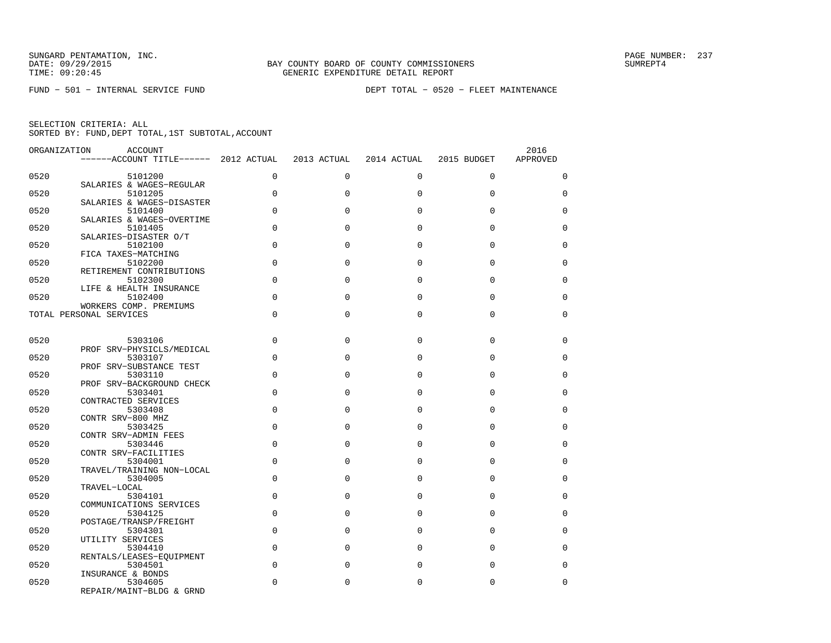| ORGANIZATION | <b>ACCOUNT</b><br>------ACCOUNT TITLE------ 2012 ACTUAL |                | 2013 ACTUAL | 2014 ACTUAL | 2015 BUDGET | 2016<br>APPROVED |
|--------------|---------------------------------------------------------|----------------|-------------|-------------|-------------|------------------|
| 0520         | 5101200                                                 | $\Omega$       | $\Omega$    | $\Omega$    | $\Omega$    | $\mathbf 0$      |
| 0520         | SALARIES & WAGES-REGULAR<br>5101205                     | $\mathbf 0$    | 0           | $\Omega$    | $\Omega$    | $\mathbf 0$      |
|              | SALARIES & WAGES-DISASTER                               |                |             |             |             |                  |
| 0520         | 5101400<br>SALARIES & WAGES-OVERTIME                    | $\mathbf 0$    | $\Omega$    | $\Omega$    | $\Omega$    | $\mathbf 0$      |
| 0520         | 5101405<br>SALARIES-DISASTER O/T                        | $\mathbf 0$    | $\mathbf 0$ | $\Omega$    | $\Omega$    | 0                |
| 0520         | 5102100<br>FICA TAXES-MATCHING                          | $\Omega$       | $\Omega$    | $\Omega$    | $\Omega$    | $\Omega$         |
| 0520         | 5102200                                                 | $\Omega$       | $\Omega$    | $\Omega$    | $\Omega$    | $\Omega$         |
| 0520         | RETIREMENT CONTRIBUTIONS<br>5102300                     | $\overline{0}$ | $\mathbf 0$ | $\Omega$    | $\Omega$    | $\mathbf 0$      |
| 0520         | LIFE & HEALTH INSURANCE<br>5102400                      | $\Omega$       | $\Omega$    | $\Omega$    | $\Omega$    | $\Omega$         |
|              | WORKERS COMP. PREMIUMS<br>TOTAL PERSONAL SERVICES       | $\mathbf 0$    | 0           | $\mathbf 0$ | $\mathbf 0$ | $\mathbf 0$      |
|              |                                                         |                |             |             |             |                  |
| 0520         | 5303106                                                 | $\Omega$       | $\Omega$    | $\Omega$    | $\Omega$    | $\Omega$         |
| 0520         | PROF SRV-PHYSICLS/MEDICAL<br>5303107                    | $\mathbf 0$    | $\Omega$    | $\Omega$    | $\Omega$    | 0                |
| 0520         | PROF SRV-SUBSTANCE TEST<br>5303110                      | $\Omega$       | $\Omega$    | $\Omega$    | $\Omega$    | $\Omega$         |
| 0520         | PROF SRV-BACKGROUND CHECK<br>5303401                    | $\Omega$       | $\Omega$    | $\Omega$    | $\Omega$    | $\Omega$         |
|              | CONTRACTED SERVICES                                     |                |             | $\Omega$    |             |                  |
| 0520         | 5303408<br>CONTR SRV-800 MHZ                            | $\mathbf 0$    | 0           |             | $\mathbf 0$ | $\mathbf 0$      |
| 0520         | 5303425<br>CONTR SRV-ADMIN FEES                         | $\Omega$       | 0           | $\Omega$    | $\Omega$    | $\Omega$         |
| 0520         | 5303446<br>CONTR SRV-FACILITIES                         | $\Omega$       | $\Omega$    | $\Omega$    | $\Omega$    | $\mathbf 0$      |
| 0520         | 5304001<br>TRAVEL/TRAINING NON-LOCAL                    | $\Omega$       | $\Omega$    | $\Omega$    | $\Omega$    | $\Omega$         |
| 0520         | 5304005<br>TRAVEL-LOCAL                                 | $\Omega$       | $\Omega$    | $\Omega$    | $\Omega$    | $\Omega$         |
| 0520         | 5304101                                                 | $\mathbf 0$    | $\Omega$    | $\Omega$    | $\Omega$    | 0                |
| 0520         | COMMUNICATIONS SERVICES<br>5304125                      | $\Omega$       | $\Omega$    | $\Omega$    | $\Omega$    | $\Omega$         |
| 0520         | POSTAGE/TRANSP/FREIGHT<br>5304301                       | $\mathbf 0$    | 0           | $\Omega$    | $\Omega$    | 0                |
| 0520         | UTILITY SERVICES<br>5304410                             | $\mathbf 0$    | 0           | $\Omega$    | $\Omega$    | $\mathbf 0$      |
| 0520         | RENTALS/LEASES-EOUIPMENT<br>5304501                     | $\Omega$       | 0           | $\Omega$    | $\Omega$    | $\Omega$         |
|              | INSURANCE & BONDS                                       |                |             |             |             |                  |
| 0520         | 5304605<br>REPAIR/MAINT-BLDG & GRND                     | $\Omega$       | 0           | 0           | $\mathbf 0$ | 0                |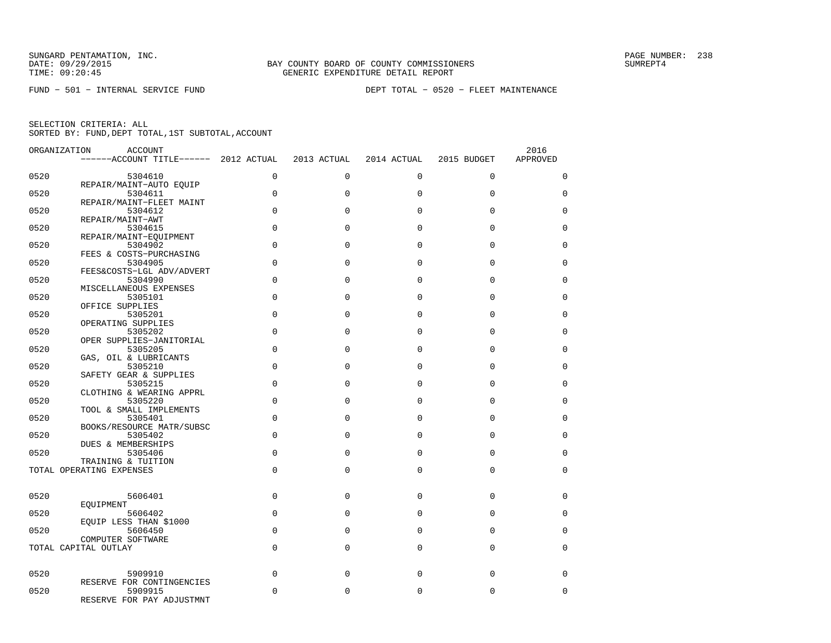| ORGANIZATION | <b>ACCOUNT</b>                        |                |              |             |             | 2016        |
|--------------|---------------------------------------|----------------|--------------|-------------|-------------|-------------|
|              | ------ACCOUNT TITLE------ 2012 ACTUAL |                | 2013 ACTUAL  | 2014 ACTUAL | 2015 BUDGET | APPROVED    |
| 0520         | 5304610                               | $\mathbf 0$    | $\mathbf 0$  | 0           | $\mathbf 0$ | $\mathbf 0$ |
|              | REPAIR/MAINT-AUTO EQUIP               |                |              |             |             |             |
| 0520         | 5304611                               | $\mathbf 0$    | $\Omega$     | $\Omega$    | $\Omega$    | $\Omega$    |
|              | REPAIR/MAINT-FLEET MAINT              |                |              |             |             |             |
| 0520         | 5304612                               | $\mathbf 0$    | 0            | $\mathbf 0$ | $\mathbf 0$ | $\mathbf 0$ |
|              | REPAIR/MAINT-AWT                      |                |              |             |             |             |
| 0520         | 5304615                               | $\Omega$       | $\Omega$     | $\Omega$    | $\Omega$    | $\Omega$    |
| 0520         | REPAIR/MAINT-EOUIPMENT<br>5304902     | $\mathbf 0$    | $\mathbf{0}$ | $\Omega$    | $\mathbf 0$ | $\mathbf 0$ |
|              | FEES & COSTS-PURCHASING               |                |              |             |             |             |
| 0520         | 5304905                               | 0              | $\Omega$     | $\Omega$    | $\Omega$    | 0           |
|              | FEES&COSTS-LGL ADV/ADVERT             |                |              |             |             |             |
| 0520         | 5304990                               | 0              | $\Omega$     | $\Omega$    | $\Omega$    | $\mathbf 0$ |
|              | MISCELLANEOUS EXPENSES                |                |              |             |             |             |
| 0520         | 5305101                               | $\mathbf 0$    | $\Omega$     | $\Omega$    | $\Omega$    | 0           |
|              | OFFICE SUPPLIES                       |                |              |             |             |             |
| 0520         | 5305201                               | $\overline{0}$ | 0            | $\mathbf 0$ | $\mathbf 0$ | $\mathbf 0$ |
| 0520         | OPERATING SUPPLIES<br>5305202         | $\Omega$       | $\Omega$     | $\Omega$    | $\Omega$    | $\Omega$    |
|              | OPER SUPPLIES-JANITORIAL              |                |              |             |             |             |
| 0520         | 5305205                               | $\mathbf 0$    | $\mathbf{0}$ | $\Omega$    | $\mathbf 0$ | 0           |
|              | GAS, OIL & LUBRICANTS                 |                |              |             |             |             |
| 0520         | 5305210                               | $\mathbf 0$    | $\Omega$     | $\Omega$    | $\Omega$    | $\mathbf 0$ |
|              | SAFETY GEAR & SUPPLIES                |                |              |             |             |             |
| 0520         | 5305215                               | $\Omega$       | $\Omega$     | $\Omega$    | $\Omega$    | $\Omega$    |
|              | CLOTHING & WEARING APPRL              |                |              |             |             |             |
| 0520         | 5305220                               | $\mathbf 0$    | $\Omega$     | $\Omega$    | $\Omega$    | $\mathbf 0$ |
|              | TOOL & SMALL IMPLEMENTS               |                |              |             |             |             |
| 0520         | 5305401                               | $\Omega$       | $\Omega$     | $\Omega$    | $\Omega$    | $\Omega$    |
| 0520         | BOOKS/RESOURCE MATR/SUBSC<br>5305402  | $\mathbf 0$    | $\Omega$     | $\Omega$    | $\Omega$    | $\mathbf 0$ |
|              | DUES & MEMBERSHIPS                    |                |              |             |             |             |
| 0520         | 5305406                               | $\Omega$       | $\Omega$     | $\Omega$    | $\Omega$    | $\Omega$    |
|              | TRAINING & TUITION                    |                |              |             |             |             |
|              | TOTAL OPERATING EXPENSES              | $\mathbf 0$    | $\Omega$     | $\mathbf 0$ | $\mathbf 0$ | $\mathbf 0$ |
|              |                                       |                |              |             |             |             |
|              |                                       |                |              |             |             |             |
| 0520         | 5606401                               | $\mathbf 0$    | $\Omega$     | $\Omega$    | $\Omega$    | $\mathbf 0$ |
|              | EOUIPMENT                             |                |              |             |             |             |
| 0520         | 5606402                               | $\mathbf 0$    | $\Omega$     | $\Omega$    | $\Omega$    | 0           |
| 0520         | EOUIP LESS THAN \$1000<br>5606450     | 0              | 0            | $\mathbf 0$ | $\mathbf 0$ | $\mathbf 0$ |
|              | COMPUTER SOFTWARE                     |                |              |             |             |             |
|              | TOTAL CAPITAL OUTLAY                  | $\Omega$       | $\Omega$     | $\Omega$    | $\Omega$    | $\Omega$    |
|              |                                       |                |              |             |             |             |
|              |                                       |                |              |             |             |             |
| 0520         | 5909910                               | $\mathbf 0$    | $\Omega$     | $\Omega$    | $\Omega$    | $\mathbf 0$ |
|              | RESERVE FOR CONTINGENCIES             |                |              |             |             |             |
| 0520         | 5909915                               | $\Omega$       | $\Omega$     | $\Omega$    | $\Omega$    | $\mathbf 0$ |
|              | RESERVE FOR PAY ADJUSTMNT             |                |              |             |             |             |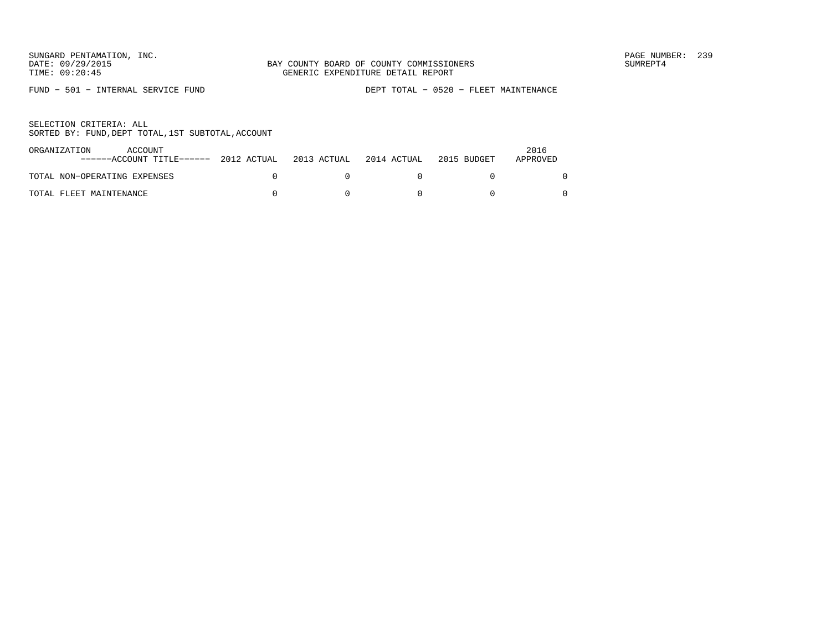FUND − 501 − INTERNAL SERVICE FUND DEPT TOTAL − 0520 − FLEET MAINTENANCE

| ORGANIZATION<br>ACCOUNT<br>------ACCOUNT TITLE------ 2012 ACTUAL | 2013 ACTUAL | 2014 ACTUAL | 2015 BUDGET | 2016<br>APPROVED |
|------------------------------------------------------------------|-------------|-------------|-------------|------------------|
| TOTAL NON-OPERATING EXPENSES                                     |             |             |             |                  |
| TOTAL FLEET MAINTENANCE                                          |             |             |             |                  |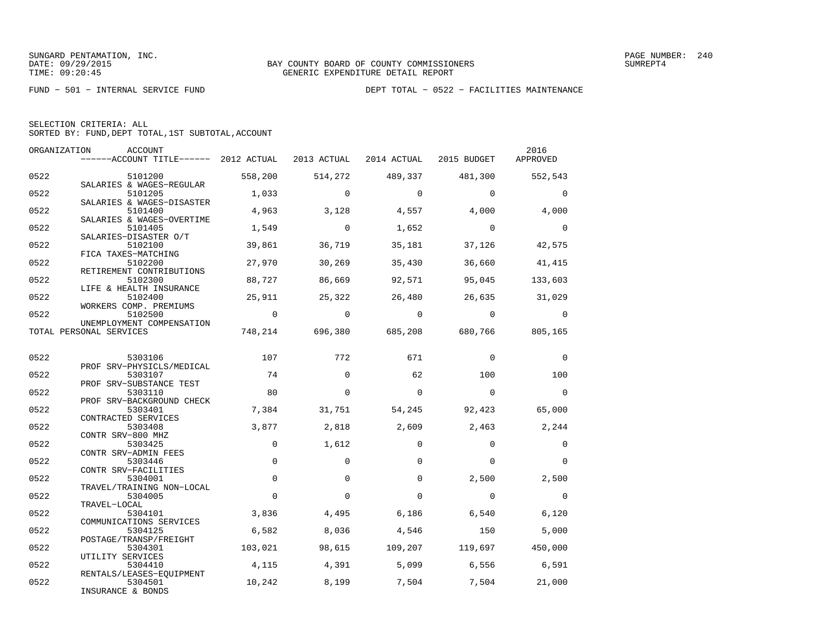FUND − 501 − INTERNAL SERVICE FUND DEPT TOTAL − 0522 − FACILITIES MAINTENANCE

| SELECTION CRITERIA: ALL                            |  |
|----------------------------------------------------|--|
| SORTED BY: FUND, DEPT TOTAL, 1ST SUBTOTAL, ACCOUNT |  |

|      | ORGANIZATION<br>ACCOUNT<br>------ACCOUNT TITLE------ 2012 ACTUAL 2013 ACTUAL 2014 ACTUAL 2015 BUDGET |                |                |                         |                                         | 2016<br>APPROVED |
|------|------------------------------------------------------------------------------------------------------|----------------|----------------|-------------------------|-----------------------------------------|------------------|
| 0522 | 5101200                                                                                              | 558,200        |                | 514,272 489,337 481,300 |                                         | 552,543          |
| 0522 | SALARIES & WAGES-REGULAR<br>5101205                                                                  | 1,033          | $\mathbf 0$    | $\overline{0}$          | $\Omega$                                | $\mathbf{0}$     |
| 0522 | SALARIES & WAGES-DISASTER<br>5101400<br>SALARIES & WAGES-OVERTIME                                    | 4,963          | 3,128          | $4,557$ $4,000$         |                                         | 4,000            |
| 0522 | 5101405<br>SALARIES-DISASTER O/T                                                                     | 1,549          | $\overline{0}$ | 1,652                   | $\overline{0}$                          | $\overline{0}$   |
| 0522 | 5102100<br>FICA TAXES-MATCHING                                                                       | 39,861         | 36,719         | 35,181                  | 37,126                                  | 42,575           |
| 0522 | 5102200<br>RETIREMENT CONTRIBUTIONS                                                                  | 27,970         | 30,269         | 35,430                  | 36,660                                  | 41,415           |
| 0522 | 5102300<br>LIFE & HEALTH INSURANCE                                                                   | 88,727         | 86,669         | 92,571                  | 95,045                                  | 133,603          |
| 0522 | 5102400<br>WORKERS COMP. PREMIUMS                                                                    | 25,911         | 25,322         | 26,480                  |                                         | 26,635 31,029    |
| 0522 | 5102500<br>UNEMPLOYMENT COMPENSATION                                                                 | $\overline{0}$ | $\overline{0}$ | $\overline{0}$          | $\overline{0}$                          | $\mathbf{0}$     |
|      | TOTAL PERSONAL SERVICES                                                                              |                |                |                         | 748,214 696,380 685,208 680,766 805,165 |                  |
| 0522 | 5303106                                                                                              | 107            | 772            | 671                     | $\mathbf 0$                             | $\mathbf 0$      |
| 0522 | PROF SRV-PHYSICLS/MEDICAL<br>5303107                                                                 | 74             | $\Omega$       | 62                      | 100                                     | 100              |
| 0522 | PROF SRV-SUBSTANCE TEST<br>5303110                                                                   | 80             | $\mathbf 0$    | $\mathbf 0$             | $\overline{0}$                          | $\overline{0}$   |
| 0522 | PROF SRV-BACKGROUND CHECK<br>5303401<br>CONTRACTED SERVICES                                          | 7,384          | 31,751         | 54,245                  | 92,423                                  | 65,000           |
| 0522 | 5303408<br>CONTR SRV-800 MHZ                                                                         | 3,877          | 2,818          | 2,609                   | 2,463                                   | 2,244            |
| 0522 | 5303425<br>CONTR SRV-ADMIN FEES                                                                      | $\Omega$       | 1,612          | $\Omega$                | $\Omega$                                | $\mathbf 0$      |
| 0522 | 5303446<br>CONTR SRV-FACILITIES                                                                      | $\Omega$       | $\Omega$       | $\Omega$                | $\Omega$                                | $\Omega$         |
| 0522 | 5304001<br>TRAVEL/TRAINING NON-LOCAL                                                                 | $\mathbf 0$    | $\Omega$       | $\Omega$                | 2,500                                   | 2,500            |
| 0522 | 5304005<br>TRAVEL-LOCAL                                                                              | $\Omega$       | $\Omega$       | $\Omega$                | $\Omega$                                | $\overline{0}$   |
| 0522 | 5304101<br>COMMUNICATIONS SERVICES                                                                   | 3,836          | 4,495          | 6,186                   | 6,540                                   | 6,120            |
| 0522 | 5304125<br>POSTAGE/TRANSP/FREIGHT                                                                    | 6,582          | 8,036          | 4,546                   | 150                                     | 5,000            |
| 0522 | 5304301<br>UTILITY SERVICES                                                                          | 103,021        |                |                         | 98,615 109,207 119,697 450,000          |                  |
| 0522 | 5304410<br>RENTALS/LEASES-EQUIPMENT                                                                  | 4,115          | 4,391          | 5,099                   | 6,556                                   | 6,591            |
| 0522 | 5304501<br>INSURANCE & BONDS                                                                         | 10,242         | 8,199          | 7,504                   | 7,504                                   | 21,000           |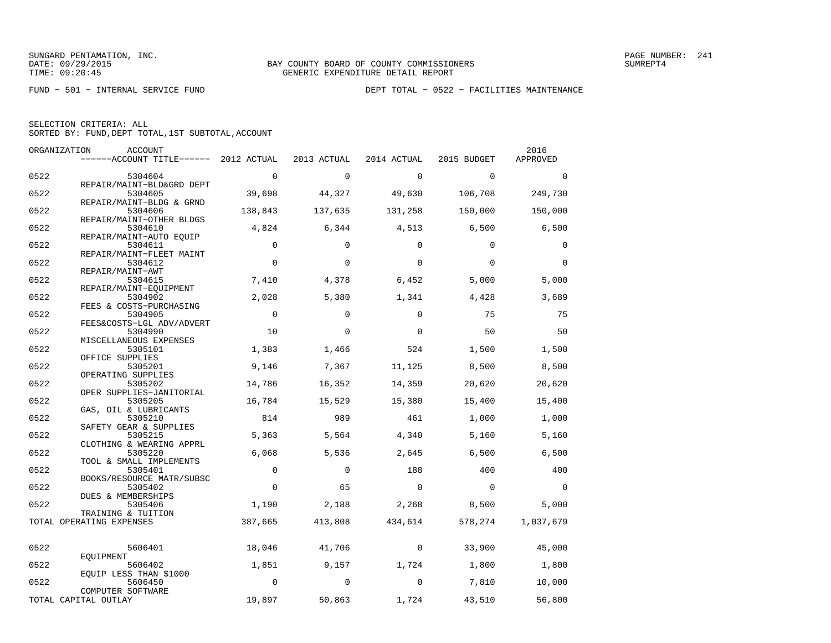FUND − 501 − INTERNAL SERVICE FUND DEPT TOTAL − 0522 − FACILITIES MAINTENANCE

| SELECTION CRITERIA: ALL |  |  |                                                    |  |
|-------------------------|--|--|----------------------------------------------------|--|
|                         |  |  | SORTED BY: FUND, DEPT TOTAL, 1ST SUBTOTAL, ACCOUNT |  |

|      | ORGANIZATION<br>ACCOUNT               |              |             |                |             | 2016         |
|------|---------------------------------------|--------------|-------------|----------------|-------------|--------------|
|      | ------ACCOUNT TITLE------ 2012 ACTUAL |              | 2013 ACTUAL | 2014 ACTUAL    | 2015 BUDGET | APPROVED     |
| 0522 | 5304604                               | $\mathbf{0}$ | $\mathbf 0$ | $\mathbf 0$    | $\mathbf 0$ | $\mathbf{0}$ |
|      | REPAIR/MAINT-BLD&GRD DEPT             |              |             |                |             |              |
| 0522 | 5304605<br>REPAIR/MAINT-BLDG & GRND   | 39,698       | 44,327      | 49,630         | 106,708     | 249,730      |
| 0522 | 5304606                               | 138,843      | 137,635     | 131,258        | 150,000     | 150,000      |
| 0522 | REPAIR/MAINT-OTHER BLDGS<br>5304610   | 4,824        | 6,344       | 4,513          | 6,500       | 6,500        |
|      | REPAIR/MAINT-AUTO EQUIP               |              |             |                |             |              |
| 0522 | 5304611<br>REPAIR/MAINT-FLEET MAINT   | $\Omega$     | $\Omega$    | $\Omega$       | $\Omega$    | 0            |
| 0522 | 5304612                               | $\mathbf 0$  | $\mathbf 0$ | $\Omega$       | $\Omega$    | $\Omega$     |
|      | REPAIR/MAINT-AWT                      |              |             |                |             |              |
| 0522 | 5304615<br>REPAIR/MAINT-EOUIPMENT     | 7,410        | 4,378       | 6,452          | 5,000       | 5,000        |
| 0522 | 5304902                               | 2,028        | 5,380       | 1,341          | 4,428       | 3,689        |
|      | FEES & COSTS-PURCHASING               |              |             |                |             |              |
| 0522 | 5304905                               | $\Omega$     | $\Omega$    | $\Omega$       | 75          | 75           |
| 0522 | FEES&COSTS-LGL ADV/ADVERT<br>5304990  | 10           | $\Omega$    | $\Omega$       | 50          | 50           |
|      | MISCELLANEOUS EXPENSES                |              |             |                |             |              |
| 0522 | 5305101                               | 1,383        | 1,466       | 524            | 1,500       | 1,500        |
| 0522 | OFFICE SUPPLIES<br>5305201            | 9,146        | 7,367       | 11,125         | 8,500       | 8,500        |
|      | OPERATING SUPPLIES                    |              |             |                |             |              |
| 0522 | 5305202                               | 14,786       | 16,352      | 14,359         | 20,620      | 20,620       |
| 0522 | OPER SUPPLIES-JANITORIAL<br>5305205   | 16,784       | 15,529      | 15,380         | 15,400      | 15,400       |
|      | GAS, OIL & LUBRICANTS                 |              |             |                |             |              |
| 0522 | 5305210                               | 814          | 989         | 461            | 1,000       | 1,000        |
| 0522 | SAFETY GEAR & SUPPLIES<br>5305215     | 5,363        | 5,564       | 4,340          | 5,160       | 5,160        |
|      | CLOTHING & WEARING APPRL              |              |             |                |             |              |
| 0522 | 5305220                               | 6,068        | 5,536       | 2,645          | 6,500       | 6,500        |
| 0522 | TOOL & SMALL IMPLEMENTS<br>5305401    | $\mathbf{0}$ | $\Omega$    | 188            | 400         | 400          |
|      | BOOKS/RESOURCE MATR/SUBSC             |              |             |                |             |              |
| 0522 | 5305402<br>DUES & MEMBERSHIPS         | $\mathbf{0}$ | 65          | $\overline{0}$ | $\mathbf 0$ | $\Omega$     |
| 0522 | 5305406                               | 1,190        | 2,188       | 2,268          | 8,500       | 5,000        |
|      | TRAINING & TUITION                    |              |             |                |             |              |
|      | TOTAL OPERATING EXPENSES              | 387,665      | 413,808     | 434,614        | 578,274     | 1,037,679    |
| 0522 | 5606401                               | 18,046       | 41,706      | $\mathbf 0$    | 33,900      | 45,000       |
|      | EOUIPMENT                             |              |             |                |             |              |
| 0522 | 5606402                               | 1,851        | 9,157       | 1,724          | 1,800       | 1,800        |
| 0522 | EQUIP LESS THAN \$1000<br>5606450     | $\Omega$     | $\Omega$    | $\mathbf 0$    | 7,810       | 10,000       |
|      | COMPUTER SOFTWARE                     |              |             |                |             |              |
|      | TOTAL CAPITAL OUTLAY                  | 19,897       | 50,863      | 1,724          | 43,510      | 56,800       |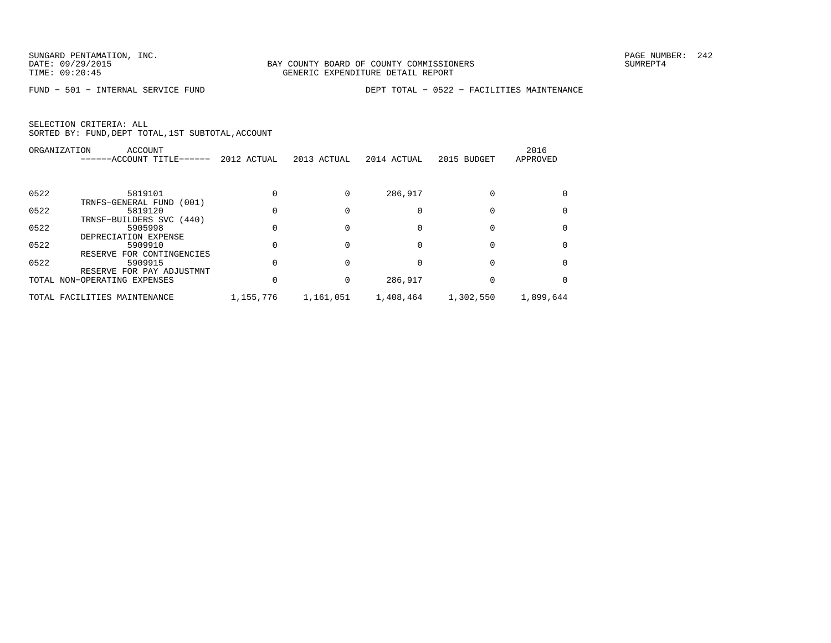FUND − 501 − INTERNAL SERVICE FUND DEPT TOTAL − 0522 − FACILITIES MAINTENANCE

|      | <b>ACCOUNT</b><br>ORGANIZATION          |             |             |             |             | 2016      |
|------|-----------------------------------------|-------------|-------------|-------------|-------------|-----------|
|      | ------ACCOUNT TITLE------               | 2012 ACTUAL | 2013 ACTUAL | 2014 ACTUAL | 2015 BUDGET | APPROVED  |
| 0522 | 5819101                                 |             |             | 286,917     |             |           |
|      | TRNFS-GENERAL FUND<br>(001)             |             |             |             |             |           |
| 0522 | 5819120                                 |             |             |             |             |           |
| 0522 | TRNSF-BUILDERS SVC (440)<br>5905998     |             |             |             |             |           |
|      | DEPRECIATION EXPENSE                    |             |             |             |             |           |
| 0522 | 5909910<br>FOR CONTINGENCIES<br>RESERVE |             |             |             |             |           |
| 0522 | 5909915<br>RESERVE FOR PAY ADJUSTMNT    |             |             |             |             |           |
|      | TOTAL NON-OPERATING EXPENSES            |             |             | 286,917     |             |           |
|      | TOTAL FACILITIES MAINTENANCE            | 1,155,776   | 1,161,051   | 1,408,464   | 1,302,550   | 1,899,644 |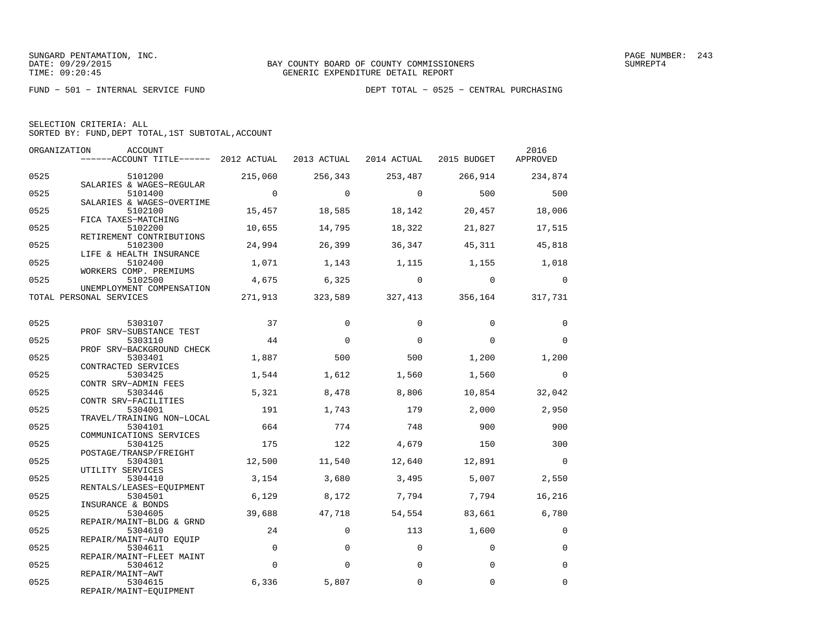|  | SELECTION CRITERIA: ALL                            |  |  |
|--|----------------------------------------------------|--|--|
|  | SORTED BY: FUND, DEPT TOTAL, 1ST SUBTOTAL, ACCOUNT |  |  |

| ORGANIZATION | ACCOUNT<br>------ACCOUNT TITLE------ 2012 ACTUAL 2013 ACTUAL 2014 ACTUAL 2015 BUDGET |                |                |                |                                 | 2016<br>APPROVED |
|--------------|--------------------------------------------------------------------------------------|----------------|----------------|----------------|---------------------------------|------------------|
| 0525         | 5101200                                                                              | 215,060        | 256,343        | 253,487        | 266,914                         | 234,874          |
| 0525         | SALARIES & WAGES-REGULAR<br>5101400                                                  | $\overline{0}$ | $\overline{0}$ | $\overline{0}$ | 500                             | 500              |
| 0525         | SALARIES & WAGES-OVERTIME<br>5102100<br>FICA TAXES-MATCHING                          | 15,457         | 18,585         | 18,142         | 20,457                          | 18,006           |
| 0525         | 5102200<br>RETIREMENT CONTRIBUTIONS                                                  | 10,655         | 14,795         | 18,322         | 21,827                          | 17,515           |
| 0525         | 5102300<br>LIFE & HEALTH INSURANCE                                                   | 24,994         | 26,399         | 36,347         | 45,311                          | 45,818           |
| 0525         | 5102400<br>WORKERS COMP. PREMIUMS                                                    | 1,071          | 1,143          | 1,115          | 1,155 1,018                     |                  |
| 0525         | 5102500<br>UNEMPLOYMENT COMPENSATION                                                 | 4,675          | 6,325          | $\overline{0}$ | $\overline{0}$                  | $\Omega$         |
|              | TOTAL PERSONAL SERVICES                                                              | 271,913        |                |                | 323,589 327,413 356,164 317,731 |                  |
| 0525         | 5303107                                                                              | 37             | $\Omega$       | $\Omega$       | $\Omega$                        | $\Omega$         |
| 0525         | PROF SRV-SUBSTANCE TEST<br>5303110                                                   | 44             | $\mathbf 0$    | $\Omega$       | $\Omega$                        | $\Omega$         |
| 0525         | PROF SRV-BACKGROUND CHECK<br>5303401                                                 | 1,887          | 500            | 500            | 1,200                           | 1,200            |
| 0525         | CONTRACTED SERVICES<br>5303425                                                       | 1,544          | 1,612          | 1,560          | 1,560                           | $\mathbf 0$      |
| 0525         | CONTR SRV-ADMIN FEES<br>5303446<br>CONTR SRV-FACILITIES                              | 5,321          | 8,478          | 8,806          | 10,854                          | 32,042           |
| 0525         | 5304001<br>TRAVEL/TRAINING NON-LOCAL                                                 | 191            | 1,743          | 179            | 2,000                           | 2,950            |
| 0525         | 5304101<br>COMMUNICATIONS SERVICES                                                   | 664            | 774            | 748            | 900                             | 900              |
| 0525         | 5304125<br>POSTAGE/TRANSP/FREIGHT                                                    | 175            | 122            | 4,679          | 150                             | 300              |
| 0525         | 5304301<br>UTILITY SERVICES                                                          | 12,500         | 11,540         | 12,640         | 12,891                          | $\bigcirc$       |
| 0525         | 5304410<br>RENTALS/LEASES-EQUIPMENT                                                  | 3,154          | 3,680          | 3,495          | 5,007                           | 2,550            |
| 0525         | 5304501<br>INSURANCE & BONDS                                                         | 6,129          | 8,172          | 7,794          | 7,794                           | 16,216           |
| 0525         | 5304605<br>REPAIR/MAINT-BLDG & GRND                                                  | 39,688         | 47,718         | 54,554         | 83,661                          | 6,780            |
| 0525         | 5304610<br>REPAIR/MAINT-AUTO EQUIP                                                   | 24             | $\mathbf 0$    | 113            | 1,600                           | 0                |
| 0525         | 5304611<br>REPAIR/MAINT-FLEET MAINT                                                  | $\mathbf 0$    | $\mathbf 0$    | $\mathbf 0$    | $\mathbf 0$                     | $\mathbf 0$      |
| 0525         | 5304612<br>REPAIR/MAINT-AWT                                                          | $\Omega$       | $\Omega$       | $\Omega$       | $\Omega$                        | $\Omega$         |
| 0525         | 5304615<br>REPAIR/MAINT-EQUIPMENT                                                    | 6,336          | 5,807          | $\Omega$       | $\Omega$                        | $\mathbf 0$      |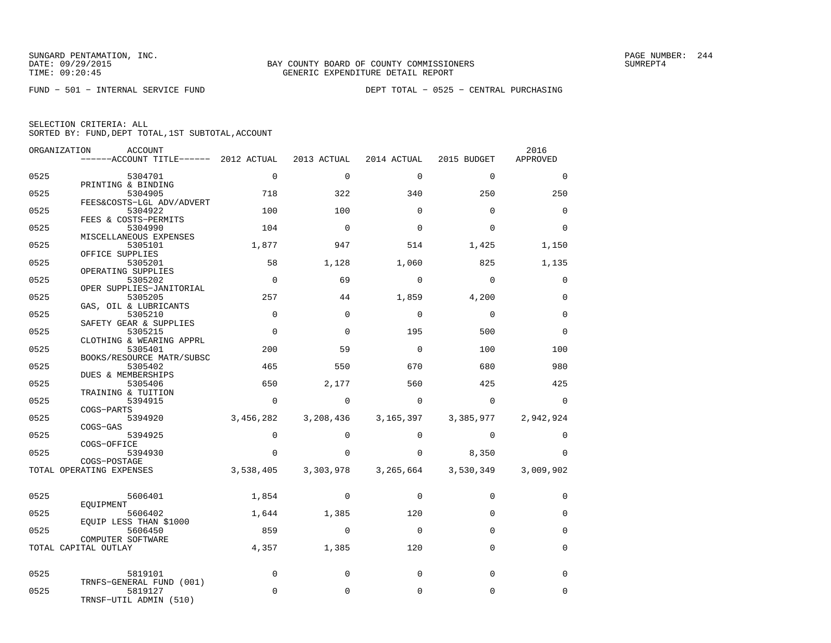| ORGANIZATION | ACCOUNT                                  |             |             |             |             | 2016        |
|--------------|------------------------------------------|-------------|-------------|-------------|-------------|-------------|
|              | ------ACCOUNT TITLE------ 2012 ACTUAL    |             | 2013 ACTUAL | 2014 ACTUAL | 2015 BUDGET | APPROVED    |
| 0525         | 5304701                                  | $\mathbf 0$ | $\mathbf 0$ | $\mathbf 0$ | $\mathbf 0$ | $\mathbf 0$ |
| 0525         | PRINTING & BINDING<br>5304905            | 718         | 322         | 340         | 250         | 250         |
| 0525         | FEES&COSTS-LGL ADV/ADVERT<br>5304922     | 100         | 100         | $\Omega$    | $\mathbf 0$ | $\mathbf 0$ |
| 0525         | FEES & COSTS-PERMITS<br>5304990          | 104         | $\Omega$    | $\Omega$    | $\Omega$    | $\Omega$    |
|              | MISCELLANEOUS EXPENSES                   |             |             |             |             |             |
| 0525         | 5305101<br>OFFICE SUPPLIES               | 1,877       | 947         | 514         | 1,425       | 1,150       |
| 0525         | 5305201<br>OPERATING SUPPLIES            | 58          | 1,128       | 1,060       | 825         | 1,135       |
| 0525         | 5305202                                  | $\Omega$    | 69          | $\Omega$    | $\Omega$    | $\mathbf 0$ |
| 0525         | OPER SUPPLIES-JANITORIAL<br>5305205      | 257         | 44          | 1,859       | 4,200       | $\mathbf 0$ |
| 0525         | GAS, OIL & LUBRICANTS<br>5305210         | $\mathbf 0$ | $\Omega$    | $\Omega$    | $\mathbf 0$ | $\mathbf 0$ |
| 0525         | SAFETY GEAR & SUPPLIES<br>5305215        | $\Omega$    | $\Omega$    | 195         | 500         | $\Omega$    |
| 0525         | CLOTHING & WEARING APPRL<br>5305401      | 200         | 59          | $\Omega$    | 100         | 100         |
|              | BOOKS/RESOURCE MATR/SUBSC                |             |             |             |             |             |
| 0525         | 5305402<br>DUES & MEMBERSHIPS            | 465         | 550         | 670         | 680         | 980         |
| 0525         | 5305406<br>TRAINING & TUITION            | 650         | 2,177       | 560         | 425         | 425         |
| 0525         | 5394915<br>COGS-PARTS                    | $\mathbf 0$ | $\Omega$    | $\mathbf 0$ | $\Omega$    | $\mathbf 0$ |
| 0525         | 5394920                                  | 3,456,282   | 3,208,436   | 3,165,397   | 3,385,977   | 2,942,924   |
| 0525         | $COGS-GAS$<br>5394925                    | $\Omega$    | $\Omega$    | $\Omega$    | $\Omega$    | $\mathbf 0$ |
| 0525         | COGS-OFFICE<br>5394930                   | $\Omega$    | $\Omega$    | $\Omega$    | 8,350       | $\Omega$    |
|              | COGS-POSTAGE<br>TOTAL OPERATING EXPENSES | 3,538,405   | 3,303,978   | 3,265,664   | 3,530,349   | 3,009,902   |
|              |                                          |             |             |             |             |             |
| 0525         | 5606401                                  | 1,854       | $\Omega$    | $\Omega$    | $\Omega$    | $\Omega$    |
| 0525         | EOUIPMENT<br>5606402                     | 1,644       | 1,385       | 120         | $\Omega$    | $\mathbf 0$ |
| 0525         | EOUIP LESS THAN \$1000<br>5606450        | 859         | $\Omega$    | $\Omega$    | $\Omega$    | $\Omega$    |
|              | COMPUTER SOFTWARE                        |             |             |             |             |             |
|              | TOTAL CAPITAL OUTLAY                     | 4,357       | 1,385       | 120         | $\Omega$    | $\mathbf 0$ |
| 0525         | 5819101                                  | $\mathbf 0$ | $\mathbf 0$ | $\mathbf 0$ | $\mathbf 0$ | $\mathbf 0$ |
| 0525         | TRNFS-GENERAL FUND (001)<br>5819127      | $\Omega$    | $\Omega$    | $\Omega$    | $\Omega$    | $\mathbf 0$ |
|              | TRNSF-UTIL ADMIN (510)                   |             |             |             |             |             |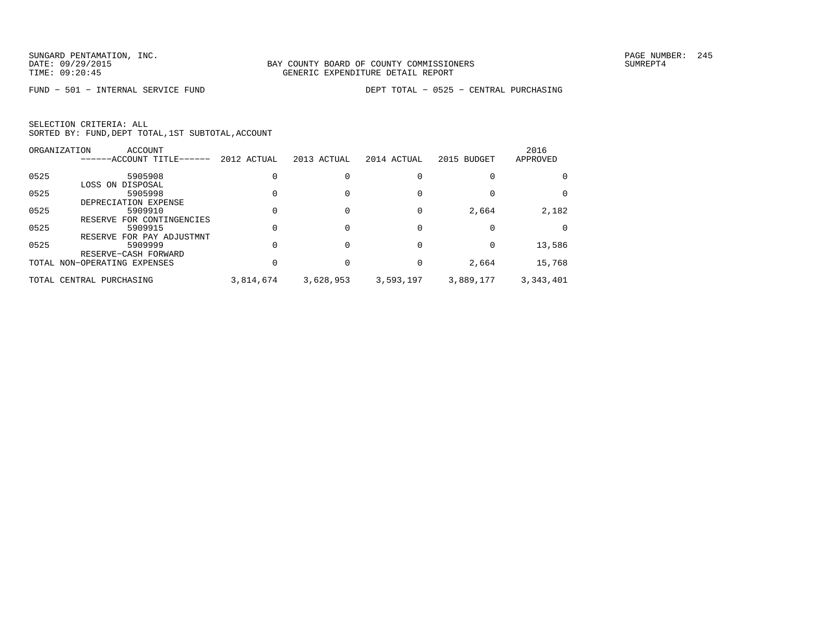|      | ORGANIZATION<br>ACCOUNT      |             |             |             |             | 2016      |
|------|------------------------------|-------------|-------------|-------------|-------------|-----------|
|      | ------ACCOUNT TITLE------    | 2012 ACTUAL | 2013 ACTUAL | 2014 ACTUAL | 2015 BUDGET | APPROVED  |
| 0525 | 5905908                      |             |             |             |             | 0         |
|      | LOSS ON DISPOSAL             |             |             |             |             |           |
| 0525 | 5905998                      |             |             |             |             | 0         |
|      | DEPRECIATION EXPENSE         |             |             |             |             |           |
| 0525 | 5909910                      |             |             |             | 2,664       | 2,182     |
|      | RESERVE FOR CONTINGENCIES    |             |             |             |             |           |
| 0525 | 5909915                      |             |             |             |             |           |
|      | RESERVE FOR PAY ADJUSTMNT    |             |             |             |             |           |
| 0525 | 5909999                      |             |             |             |             | 13,586    |
|      | RESERVE-CASH FORWARD         |             |             |             |             |           |
|      | TOTAL NON-OPERATING EXPENSES |             |             |             | 2,664       | 15,768    |
|      | TOTAL CENTRAL PURCHASING     | 3,814,674   | 3,628,953   | 3,593,197   | 3,889,177   | 3,343,401 |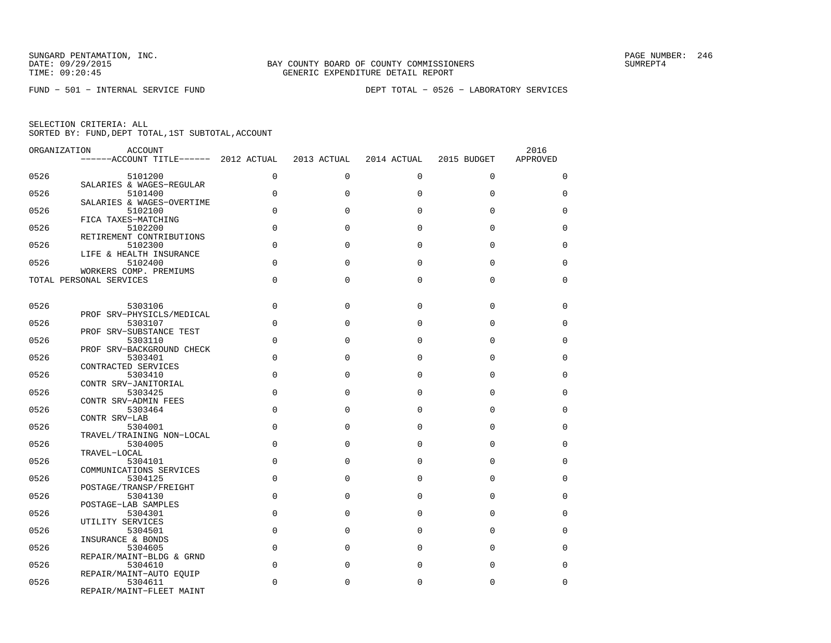FUND − 501 − INTERNAL SERVICE FUND DEPT TOTAL − 0526 − LABORATORY SERVICES

| ORGANIZATION | ACCOUNT<br>------ACCOUNT TITLE------ 2012 ACTUAL  |             | 2013 ACTUAL | 2014 ACTUAL | 2015 BUDGET | 2016<br>APPROVED |
|--------------|---------------------------------------------------|-------------|-------------|-------------|-------------|------------------|
| 0526         | 5101200                                           | 0           | $\mathbf 0$ | $\mathbf 0$ | $\mathbf 0$ | 0                |
| 0526         | SALARIES & WAGES-REGULAR<br>5101400               | $\Omega$    | $\Omega$    | $\Omega$    | $\Omega$    | $\Omega$         |
| 0526         | SALARIES & WAGES-OVERTIME<br>5102100              | $\Omega$    | $\Omega$    | $\Omega$    | 0           | 0                |
| 0526         | FICA TAXES-MATCHING<br>5102200                    | $\Omega$    | $\Omega$    | $\Omega$    | $\Omega$    | $\Omega$         |
| 0526         | RETIREMENT CONTRIBUTIONS<br>5102300               | $\Omega$    | $\Omega$    | $\Omega$    | $\Omega$    | 0                |
| 0526         | LIFE & HEALTH INSURANCE<br>5102400                | $\Omega$    | $\Omega$    | $\Omega$    | $\Omega$    | $\Omega$         |
|              | WORKERS COMP. PREMIUMS<br>TOTAL PERSONAL SERVICES | $\mathbf 0$ | $\Omega$    | $\mathbf 0$ | 0           | 0                |
|              |                                                   |             |             |             |             |                  |
| 0526         | 5303106<br>PROF SRV-PHYSICLS/MEDICAL              | $\Omega$    | $\Omega$    | $\Omega$    | $\mathbf 0$ | 0                |
| 0526         | 5303107<br>PROF SRV-SUBSTANCE TEST                | $\Omega$    | $\Omega$    | $\Omega$    | 0           | 0                |
| 0526         | 5303110<br>PROF SRV-BACKGROUND CHECK              | $\Omega$    | $\Omega$    | $\Omega$    | $\Omega$    | $\Omega$         |
| 0526         | 5303401<br>CONTRACTED SERVICES                    | $\mathbf 0$ | $\Omega$    | $\mathbf 0$ | 0           | 0                |
| 0526         | 5303410<br>CONTR SRV-JANITORIAL                   | $\Omega$    | $\Omega$    | $\Omega$    | $\Omega$    | $\Omega$         |
| 0526         | 5303425<br>CONTR SRV-ADMIN FEES                   | $\Omega$    | $\Omega$    | $\Omega$    | $\Omega$    | 0                |
| 0526         | 5303464<br>CONTR SRV-LAB                          | $\Omega$    | $\Omega$    | $\Omega$    | $\Omega$    | $\Omega$         |
| 0526         | 5304001<br>TRAVEL/TRAINING NON-LOCAL              | $\Omega$    | $\Omega$    | $\Omega$    | $\Omega$    | $\Omega$         |
| 0526         | 5304005<br>TRAVEL-LOCAL                           | $\Omega$    | $\Omega$    | $\Omega$    | $\Omega$    | $\Omega$         |
| 0526         | 5304101<br>COMMUNICATIONS SERVICES                | $\Omega$    | $\Omega$    | $\Omega$    | $\Omega$    | $\Omega$         |
| 0526         | 5304125                                           | $\Omega$    | $\Omega$    | $\Omega$    | $\Omega$    | $\Omega$         |
| 0526         | POSTAGE/TRANSP/FREIGHT<br>5304130                 | $\Omega$    | $\Omega$    | $\Omega$    | $\Omega$    | 0                |
| 0526         | POSTAGE-LAB SAMPLES<br>5304301                    | $\Omega$    | $\Omega$    | $\Omega$    | 0           | $\Omega$         |
| 0526         | UTILITY SERVICES<br>5304501                       | $\Omega$    | $\Omega$    | $\Omega$    | $\Omega$    | $\Omega$         |
| 0526         | INSURANCE & BONDS<br>5304605                      | $\Omega$    | $\Omega$    | $\Omega$    | 0           | 0                |
| 0526         | REPAIR/MAINT-BLDG & GRND<br>5304610               | $\Omega$    | $\Omega$    | $\Omega$    | $\Omega$    | $\Omega$         |
| 0526         | REPAIR/MAINT-AUTO EQUIP<br>5304611                | $\Omega$    | 0           | $\mathbf 0$ | 0           | $\Omega$         |
|              | REPAIR/MAINT-FLEET MAINT                          |             |             |             |             |                  |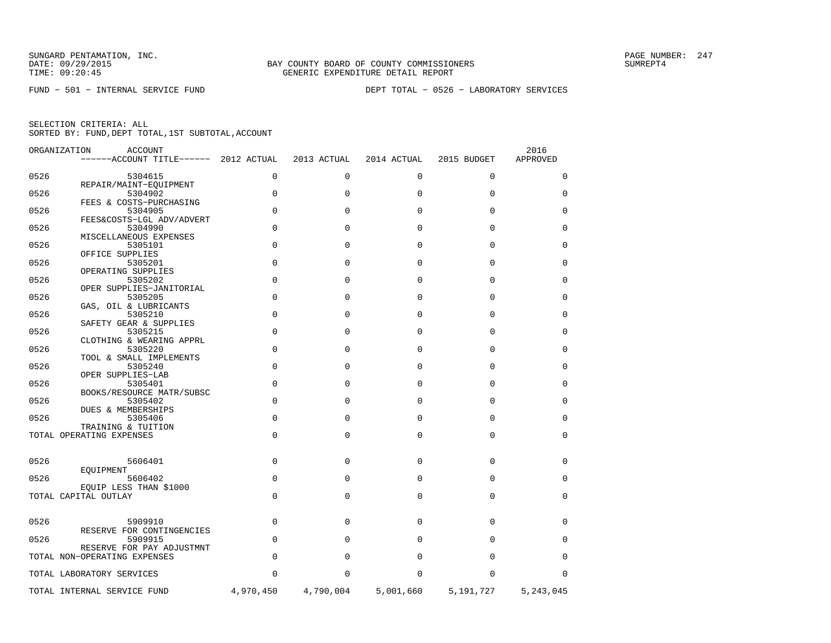FUND − 501 − INTERNAL SERVICE FUND DEPT TOTAL − 0526 − LABORATORY SERVICES

|      | ORGANIZATION<br>ACCOUNT<br>------ACCOUNT TITLE------ 2012 ACTUAL |             | 2013 ACTUAL | 2014 ACTUAL | 2015 BUDGET | 2016<br>APPROVED |
|------|------------------------------------------------------------------|-------------|-------------|-------------|-------------|------------------|
| 0526 | 5304615                                                          | $\mathbf 0$ | 0           | 0           | 0           | 0                |
| 0526 | REPAIR/MAINT-EQUIPMENT<br>5304902                                | $\mathbf 0$ | $\Omega$    | $\Omega$    | 0           | 0                |
| 0526 | FEES & COSTS-PURCHASING<br>5304905                               | $\Omega$    | $\Omega$    | $\Omega$    | $\Omega$    | $\Omega$         |
| 0526 | FEES&COSTS-LGL ADV/ADVERT<br>5304990                             | $\Omega$    | $\Omega$    | $\Omega$    | $\Omega$    | 0                |
| 0526 | MISCELLANEOUS EXPENSES<br>5305101                                | $\mathbf 0$ | $\Omega$    | $\mathbf 0$ | $\mathbf 0$ | 0                |
| 0526 | OFFICE SUPPLIES<br>5305201                                       | $\mathbf 0$ | $\Omega$    | $\Omega$    | $\Omega$    | 0                |
| 0526 | OPERATING SUPPLIES<br>5305202<br>OPER SUPPLIES-JANITORIAL        | $\mathbf 0$ | $\Omega$    | $\Omega$    | $\Omega$    | 0                |
| 0526 | 5305205<br>GAS, OIL & LUBRICANTS                                 | $\Omega$    | $\Omega$    | $\Omega$    | $\Omega$    | $\Omega$         |
| 0526 | 5305210<br>SAFETY GEAR & SUPPLIES                                | $\Omega$    | $\Omega$    | $\Omega$    | $\Omega$    | 0                |
| 0526 | 5305215<br>CLOTHING & WEARING APPRL                              | $\mathbf 0$ | $\Omega$    | $\mathbf 0$ | 0           | $\mathbf 0$      |
| 0526 | 5305220<br>TOOL & SMALL IMPLEMENTS                               | $\Omega$    | $\Omega$    | $\Omega$    | $\Omega$    | 0                |
| 0526 | 5305240<br>OPER SUPPLIES-LAB                                     | $\mathbf 0$ | $\Omega$    | $\Omega$    | 0           | 0                |
| 0526 | 5305401<br>BOOKS/RESOURCE MATR/SUBSC                             | $\Omega$    | $\Omega$    | $\Omega$    | $\Omega$    | $\Omega$         |
| 0526 | 5305402<br>DUES & MEMBERSHIPS                                    | $\Omega$    | $\Omega$    | $\Omega$    | $\Omega$    | $\Omega$         |
| 0526 | 5305406<br>TRAINING & TUITION                                    | $\mathbf 0$ | $\Omega$    | $\mathbf 0$ | $\mathbf 0$ | 0                |
|      | TOTAL OPERATING EXPENSES                                         | $\Omega$    | $\Omega$    | $\mathbf 0$ | $\mathbf 0$ | $\mathbf 0$      |
| 0526 | 5606401                                                          | $\mathbf 0$ | $\Omega$    | $\mathbf 0$ | 0           | 0                |
| 0526 | EOUIPMENT<br>5606402<br>EQUIP LESS THAN \$1000                   | $\Omega$    | $\Omega$    | $\Omega$    | $\Omega$    | $\Omega$         |
|      | TOTAL CAPITAL OUTLAY                                             | $\mathbf 0$ | 0           | 0           | 0           | 0                |
| 0526 | 5909910                                                          | $\Omega$    | $\Omega$    | $\Omega$    | $\Omega$    | $\Omega$         |
| 0526 | RESERVE FOR CONTINGENCIES<br>5909915                             | $\mathbf 0$ | $\Omega$    | $\Omega$    | $\Omega$    | $\Omega$         |
|      | RESERVE FOR PAY ADJUSTMNT<br>TOTAL NON-OPERATING EXPENSES        | $\mathbf 0$ | $\Omega$    | $\Omega$    | $\mathbf 0$ | 0                |
|      | TOTAL LABORATORY SERVICES                                        | $\Omega$    | O           | $\Omega$    | $\Omega$    | $\Omega$         |
|      | TOTAL INTERNAL SERVICE FUND                                      | 4,970,450   | 4,790,004   | 5,001,660   | 5,191,727   | 5,243,045        |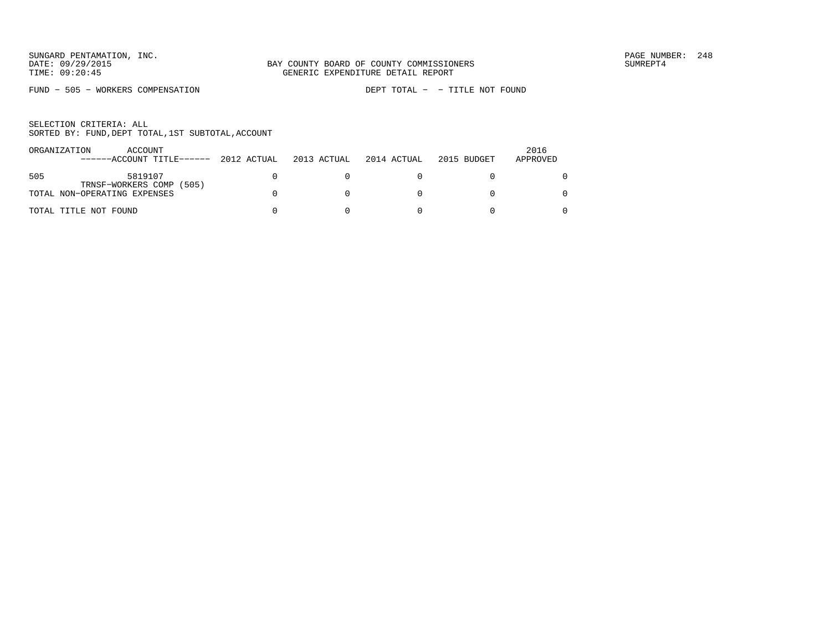FUND − 505 − WORKERS COMPENSATION DEPT TOTAL − − TITLE NOT FOUND

| ORGANIZATION | ACCOUNT<br>------ACCOUNT TITLE------ 2012 ACTUAL | 2013 ACTUAL | 2014 ACTUAL | 2015 BUDGET | 2016<br>APPROVED |
|--------------|--------------------------------------------------|-------------|-------------|-------------|------------------|
| 505          | 5819107                                          |             |             |             |                  |
|              | TRNSF-WORKERS COMP (505)                         |             |             |             |                  |
|              | TOTAL NON-OPERATING EXPENSES                     |             |             |             |                  |
|              | TOTAL TITLE NOT FOUND                            |             |             |             |                  |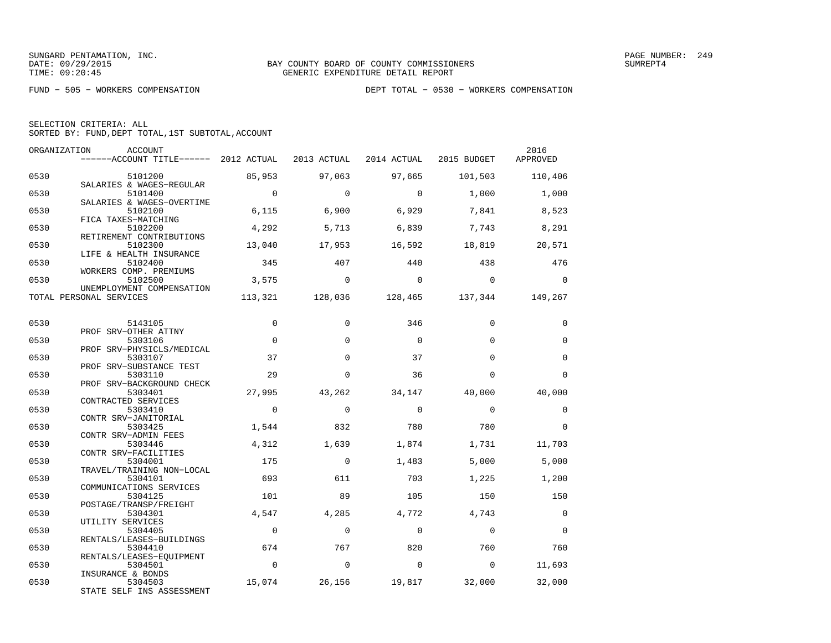| SELECTION CRITERIA: ALL |  |  |                                                    |  |
|-------------------------|--|--|----------------------------------------------------|--|
|                         |  |  | SORTED BY: FUND, DEPT TOTAL, 1ST SUBTOTAL, ACCOUNT |  |

| ORGANIZATION | ACCOUNT<br>------ACCOUNT TITLE------ 2012 ACTUAL            |                | 2013 ACTUAL | 2014 ACTUAL | 2015 BUDGET | 2016<br>APPROVED |
|--------------|-------------------------------------------------------------|----------------|-------------|-------------|-------------|------------------|
| 0530         | 5101200                                                     | 85,953         | 97,063      | 97,665      | 101,503     | 110,406          |
| 0530         | SALARIES & WAGES-REGULAR<br>5101400                         | $\Omega$       | $\Omega$    | $\mathbf 0$ | 1,000       | 1,000            |
| 0530         | SALARIES & WAGES-OVERTIME<br>5102100                        | 6,115          | 6,900       | 6,929       | 7,841       | 8,523            |
| 0530         | FICA TAXES-MATCHING<br>5102200<br>RETIREMENT CONTRIBUTIONS  | 4,292          | 5,713       | 6,839       | 7,743       | 8,291            |
| 0530         | 5102300<br>LIFE & HEALTH INSURANCE                          | 13,040         | 17,953      | 16,592      | 18,819      | 20,571           |
| 0530         | 5102400<br>WORKERS COMP. PREMIUMS                           | 345            | 407         | 440         | 438         | 476              |
| 0530         | 5102500<br>UNEMPLOYMENT COMPENSATION                        | 3,575          | $\Omega$    | $\Omega$    | $\Omega$    | $\Omega$         |
|              | TOTAL PERSONAL SERVICES                                     | 113,321        | 128,036     | 128,465     | 137,344     | 149,267          |
| 0530         | 5143105                                                     | $\Omega$       | $\Omega$    | 346         | $\Omega$    | $\Omega$         |
| 0530         | PROF SRV-OTHER ATTNY<br>5303106                             | $\mathbf 0$    | $\Omega$    | $\Omega$    | $\Omega$    | $\mathbf 0$      |
| 0530         | PROF SRV-PHYSICLS/MEDICAL<br>5303107                        | 37             | $\Omega$    | 37          | $\Omega$    | $\mathbf 0$      |
| 0530         | PROF SRV-SUBSTANCE TEST<br>5303110                          | 29             | $\Omega$    | 36          | $\Omega$    | $\Omega$         |
| 0530         | PROF SRV-BACKGROUND CHECK<br>5303401<br>CONTRACTED SERVICES | 27,995         | 43,262      | 34,147      | 40,000      | 40,000           |
| 0530         | 5303410<br>CONTR SRV-JANITORIAL                             | $\Omega$       | $\Omega$    | $\Omega$    | $\Omega$    | $\Omega$         |
| 0530         | 5303425<br>CONTR SRV-ADMIN FEES                             | 1,544          | 832         | 780         | 780         | $\Omega$         |
| 0530         | 5303446<br>CONTR SRV-FACILITIES                             | 4,312          | 1,639       | 1,874       | 1,731       | 11,703           |
| 0530         | 5304001<br>TRAVEL/TRAINING NON-LOCAL                        | 175            | $\Omega$    | 1,483       | 5,000       | 5,000            |
| 0530         | 5304101<br>COMMUNICATIONS SERVICES                          | 693            | 611         | 703         | 1,225       | 1,200            |
| 0530         | 5304125<br>POSTAGE/TRANSP/FREIGHT                           | 101            | 89          | 105         | 150         | 150              |
| 0530         | 5304301<br>UTILITY SERVICES                                 | 4,547          | 4,285       | 4,772       | 4,743       | $\mathbf 0$      |
| 0530         | 5304405<br>RENTALS/LEASES-BUILDINGS                         | $\mathbf 0$    | $\Omega$    | $\Omega$    | $\Omega$    | $\Omega$         |
| 0530         | 5304410<br>RENTALS/LEASES-EOUIPMENT                         | 674            | 767         | 820         | 760         | 760              |
| 0530         | 5304501<br>INSURANCE & BONDS                                | $\overline{0}$ | $\Omega$    | $\mathbf 0$ | $\Omega$    | 11,693           |
| 0530         | 5304503<br>STATE SELF INS ASSESSMENT                        | 15,074         | 26,156      | 19,817      | 32,000      | 32,000           |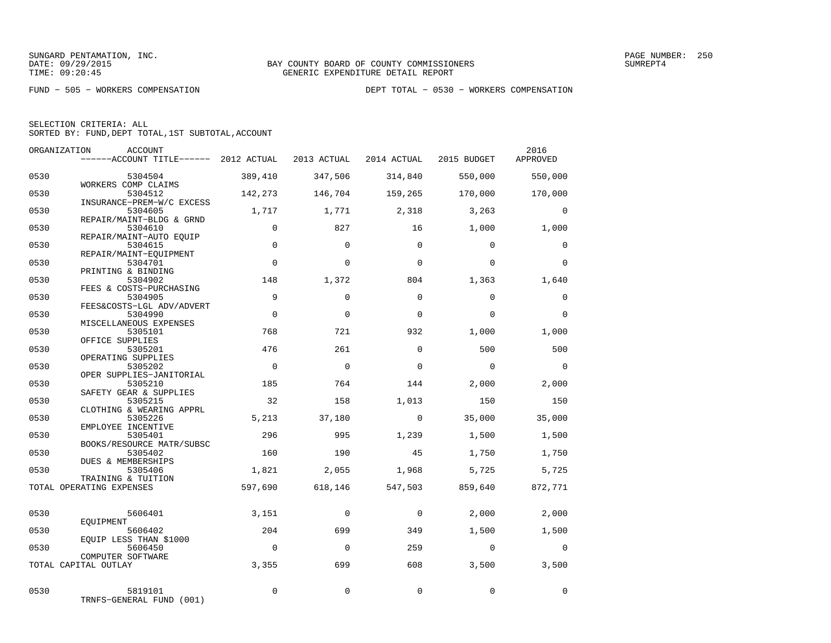| SELECTION CRITERIA: ALL                            |  |
|----------------------------------------------------|--|
| SORTED BY: FUND, DEPT TOTAL, 1ST SUBTOTAL, ACCOUNT |  |

| ORGANIZATION | <b>ACCOUNT</b><br>------ACCOUNT TITLE------ 2012 ACTUAL         |                | 2013 ACTUAL | 2014 ACTUAL | 2015 BUDGET | 2016<br>APPROVED |
|--------------|-----------------------------------------------------------------|----------------|-------------|-------------|-------------|------------------|
| 0530         | 5304504                                                         | 389,410        | 347,506     | 314,840     | 550,000     | 550,000          |
| 0530         | WORKERS COMP CLAIMS<br>5304512                                  | 142,273        | 146,704     | 159,265     | 170,000     | 170,000          |
| 0530         | INSURANCE-PREM-W/C EXCESS<br>5304605                            | 1,717          | 1,771       | 2,318       | 3,263       | $\Omega$         |
| 0530         | REPAIR/MAINT-BLDG & GRND<br>5304610                             | $\mathbf 0$    | 827         | 16          | 1,000       | 1,000            |
| 0530         | REPAIR/MAINT-AUTO EQUIP<br>5304615                              | $\Omega$       | $\Omega$    | $\Omega$    | $\Omega$    | $\Omega$         |
| 0530         | REPAIR/MAINT-EQUIPMENT<br>5304701                               | $\Omega$       | $\Omega$    | $\Omega$    | $\Omega$    | $\Omega$         |
| 0530         | PRINTING & BINDING<br>5304902                                   | 148            | 1,372       | 804         | 1,363       | 1,640            |
| 0530         | FEES & COSTS-PURCHASING<br>5304905<br>FEES&COSTS-LGL ADV/ADVERT | 9              | $\Omega$    | $\Omega$    | $\Omega$    | $\mathbf 0$      |
| 0530         | 5304990<br>MISCELLANEOUS EXPENSES                               | $\Omega$       | $\Omega$    | $\Omega$    | $\Omega$    | $\Omega$         |
| 0530         | 5305101<br>OFFICE SUPPLIES                                      | 768            | 721         | 932         | 1,000       | 1,000            |
| 0530         | 5305201<br>OPERATING SUPPLIES                                   | 476            | 261         | $\Omega$    | 500         | 500              |
| 0530         | 5305202<br>OPER SUPPLIES-JANITORIAL                             | $\Omega$       | $\mathbf 0$ | $\Omega$    | $\Omega$    | $\Omega$         |
| 0530         | 5305210<br>SAFETY GEAR & SUPPLIES                               | 185            | 764         | 144         | 2,000       | 2,000            |
| 0530         | 5305215<br>CLOTHING & WEARING APPRL                             | 32             | 158         | 1,013       | 150         | 150              |
| 0530         | 5305226<br>EMPLOYEE INCENTIVE                                   | 5,213          | 37,180      | $\Omega$    | 35,000      | 35,000           |
| 0530         | 5305401<br>BOOKS/RESOURCE MATR/SUBSC                            | 296            | 995         | 1,239       | 1,500       | 1,500            |
| 0530         | 5305402<br>DUES & MEMBERSHIPS                                   | 160            | 190         | 45          | 1,750       | 1,750            |
| 0530         | 5305406<br>TRAINING & TUITION                                   | 1,821          | 2,055       | 1,968       | 5,725       | 5,725            |
|              | TOTAL OPERATING EXPENSES                                        | 597,690        | 618,146     | 547,503     | 859,640     | 872,771          |
| 0530         | 5606401<br>EOUIPMENT                                            | 3,151          | $\mathbf 0$ | $\mathbf 0$ | 2,000       | 2,000            |
| 0530         | 5606402<br>EOUIP LESS THAN \$1000                               | 204            | 699         | 349         | 1,500       | 1,500            |
| 0530         | 5606450<br>COMPUTER SOFTWARE                                    | $\overline{0}$ | $\Omega$    | 259         | $\mathbf 0$ | $\mathbf 0$      |
|              | TOTAL CAPITAL OUTLAY                                            | 3,355          | 699         | 608         | 3,500       | 3,500            |
| 0530         | 5819101<br>TRNFS-GENERAL FUND (001)                             | $\mathbf 0$    | $\Omega$    | $\mathbf 0$ | $\Omega$    | $\Omega$         |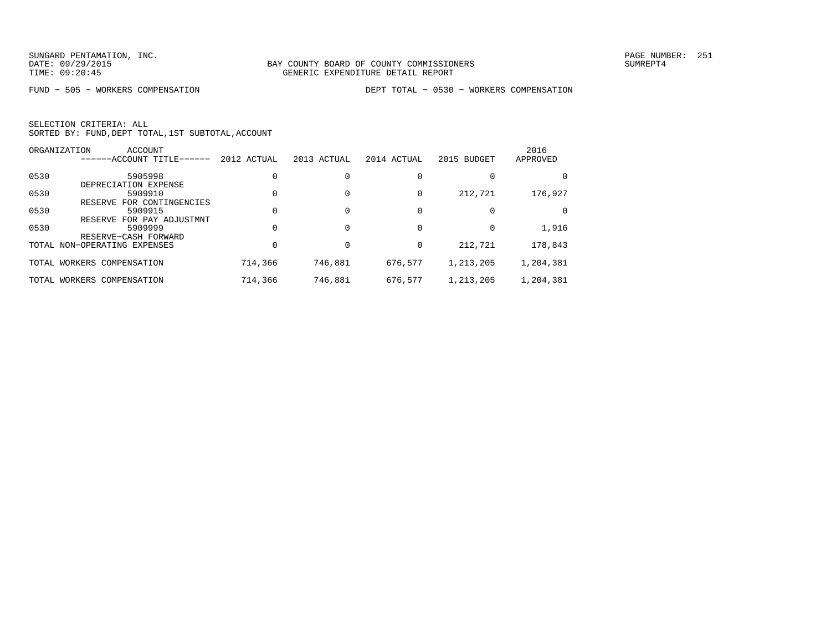FUND − 505 − WORKERS COMPENSATION DEPT TOTAL − 0530 − WORKERS COMPENSATION

|      | ORGANIZATION<br>ACCOUNT             |             |             |             |             | 2016      |
|------|-------------------------------------|-------------|-------------|-------------|-------------|-----------|
|      | ------ACCOUNT TITLE------           | 2012 ACTUAL | 2013 ACTUAL | 2014 ACTUAL | 2015 BUDGET | APPROVED  |
| 0530 | 5905998                             |             |             |             |             | 0         |
|      | DEPRECIATION EXPENSE                |             |             |             |             |           |
| 0530 | 5909910                             |             |             | 0           | 212,721     | 176,927   |
|      | FOR CONTINGENCIES<br><b>RESERVE</b> |             |             |             |             |           |
| 0530 | 5909915                             |             |             |             |             | $\Omega$  |
|      | FOR PAY ADJUSTMNT<br>RESERVE        |             |             |             |             |           |
| 0530 | 5909999                             |             |             |             |             | 1,916     |
|      | RESERVE-CASH FORWARD                |             |             |             |             |           |
|      | TOTAL NON-OPERATING EXPENSES        |             |             | $\Omega$    | 212,721     | 178,843   |
|      |                                     |             |             |             |             |           |
|      | TOTAL WORKERS COMPENSATION          | 714,366     | 746,881     | 676,577     | 1,213,205   | 1,204,381 |
|      |                                     |             |             |             |             |           |
|      | TOTAL WORKERS COMPENSATION          | 714,366     | 746,881     | 676,577     | 1,213,205   | 1,204,381 |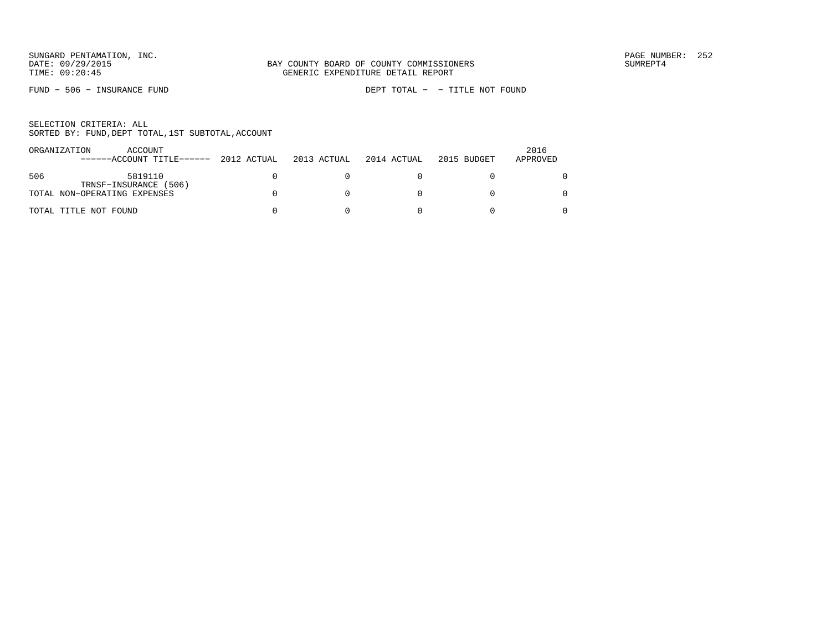FUND − 506 − INSURANCE FUND DEPT TOTAL − − TITLE NOT FOUND

| ORGANIZATION | ACCOUNT<br>------ACCOUNT TITLE------ 2012 ACTUAL      | 2013 ACTUAL | 2014 ACTUAL | 2015 BUDGET | 2016<br>APPROVED |
|--------------|-------------------------------------------------------|-------------|-------------|-------------|------------------|
| 506          | 5819110                                               |             |             |             |                  |
|              | TRNSF-INSURANCE (506)<br>TOTAL NON-OPERATING EXPENSES |             |             |             |                  |
|              | TOTAL TITLE NOT FOUND                                 |             |             |             |                  |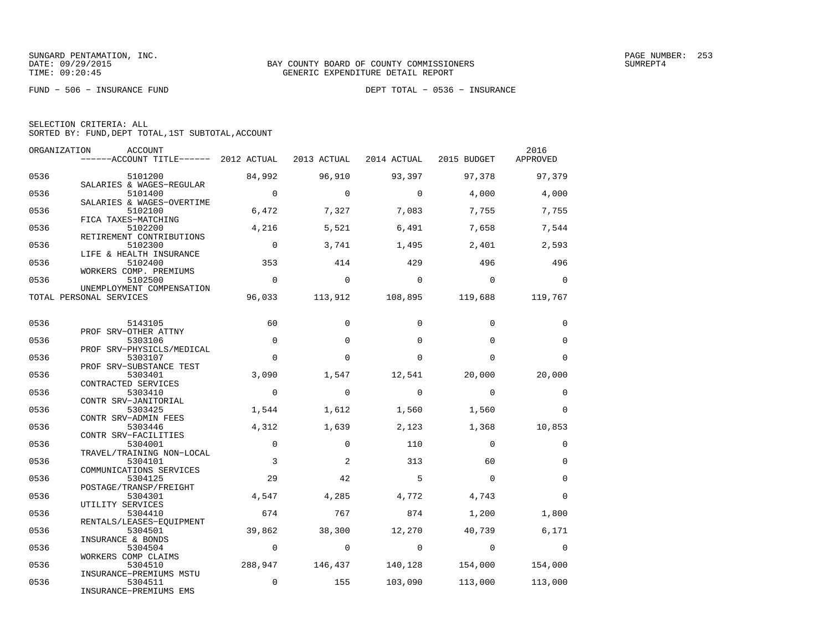FUND − 506 − INSURANCE FUND DEPT TOTAL − 0536 − INSURANCE

| SELECTION CRITERIA: ALL |  |  |                                                    |  |
|-------------------------|--|--|----------------------------------------------------|--|
|                         |  |  | SORTED BY: FUND, DEPT TOTAL, 1ST SUBTOTAL, ACCOUNT |  |

|      | ORGANIZATION<br>ACCOUNT<br>------ACCOUNT TITLE------ 2012 ACTUAL |                | 2013 ACTUAL | 2014 ACTUAL  |                                         | 2016         |
|------|------------------------------------------------------------------|----------------|-------------|--------------|-----------------------------------------|--------------|
|      |                                                                  |                |             |              | 2015 BUDGET                             | APPROVED     |
| 0536 | 5101200                                                          | 84,992         | 96,910      | 93,397       | 97,378                                  | 97,379       |
| 0536 | SALARIES & WAGES-REGULAR<br>5101400                              | $\overline{0}$ | $\Omega$    | $\Omega$     | 4,000                                   | 4,000        |
| 0536 | SALARIES & WAGES-OVERTIME<br>5102100                             | 6,472          | 7,327       | 7,083        | 7,755                                   | 7,755        |
| 0536 | FICA TAXES-MATCHING<br>5102200                                   | 4,216          | 5,521       | 6,491        | 7,658                                   | 7,544        |
|      | RETIREMENT CONTRIBUTIONS                                         |                |             |              |                                         |              |
| 0536 | 5102300<br>LIFE & HEALTH INSURANCE                               | $\overline{0}$ | 3,741       | 1,495        | 2,401                                   | 2,593        |
| 0536 | 5102400                                                          | 353            | 414         | 429          | 496                                     | 496          |
| 0536 | WORKERS COMP. PREMIUMS<br>5102500                                | $\overline{0}$ | $\Omega$    | $\bigcirc$   | $\overline{0}$                          | $\Omega$     |
|      | UNEMPLOYMENT COMPENSATION                                        |                |             |              |                                         |              |
|      | TOTAL PERSONAL SERVICES                                          | 96,033         |             |              | $113,912$ $108,895$ $119,688$ $119,767$ |              |
| 0536 | 5143105                                                          | 60             | $\Omega$    | $\Omega$     | $\Omega$                                | 0            |
| 0536 | PROF SRV-OTHER ATTNY<br>5303106                                  | $\Omega$       | $\Omega$    | $\Omega$     | $\Omega$                                | $\Omega$     |
|      | PROF SRV-PHYSICLS/MEDICAL                                        |                |             |              |                                         |              |
| 0536 | 5303107<br>PROF SRV-SUBSTANCE TEST                               | $\Omega$       | $\Omega$    | $\Omega$     | $\Omega$                                | $\Omega$     |
| 0536 | 5303401                                                          | 3,090          | 1,547       | 12,541       | 20,000                                  | 20,000       |
| 0536 | CONTRACTED SERVICES<br>5303410                                   | $\overline{0}$ | $\mathbf 0$ | $\mathbf 0$  | $\mathbf 0$                             | $\mathbf{0}$ |
| 0536 | CONTR SRV-JANITORIAL<br>5303425                                  | 1,544          | 1,612       | 1,560        | 1,560                                   | $\Omega$     |
|      | CONTR SRV-ADMIN FEES                                             |                |             |              |                                         |              |
| 0536 | 5303446<br>CONTR SRV-FACILITIES                                  | 4,312          | 1,639       | 2,123        | 1,368                                   | 10,853       |
| 0536 | 5304001                                                          | $\mathbf 0$    | $\Omega$    | 110          | $\Omega$                                | $\Omega$     |
| 0536 | TRAVEL/TRAINING NON-LOCAL<br>5304101                             | 3              | 2           | 313          | 60                                      | $\mathbf 0$  |
|      | COMMUNICATIONS SERVICES                                          |                |             |              |                                         |              |
| 0536 | 5304125<br>POSTAGE/TRANSP/FREIGHT                                | 29             | 42          | 5            | $\Omega$                                | $\Omega$     |
| 0536 | 5304301                                                          | 4,547          | 4,285       | 4,772        | 4,743                                   | $\Omega$     |
| 0536 | UTILITY SERVICES<br>5304410                                      | 674            | 767         | 874          | 1,200                                   | 1,800        |
| 0536 | RENTALS/LEASES-EQUIPMENT<br>5304501                              | 39,862         | 38,300      | 12,270       | 40,739                                  | 6,171        |
|      | INSURANCE & BONDS                                                |                |             |              |                                         |              |
| 0536 | 5304504<br>WORKERS COMP CLAIMS                                   | $\overline{0}$ | $\circ$     | $\mathbf{0}$ | $\overline{0}$                          | $\mathbf 0$  |
| 0536 | 5304510                                                          | 288,947        | 146,437     | 140,128      | 154,000                                 | 154,000      |
| 0536 | INSURANCE-PREMIUMS MSTU<br>5304511                               | $\mathbf 0$    | 155         | 103,090      | 113,000                                 | 113,000      |
|      | INSURANCE-PREMIUMS EMS                                           |                |             |              |                                         |              |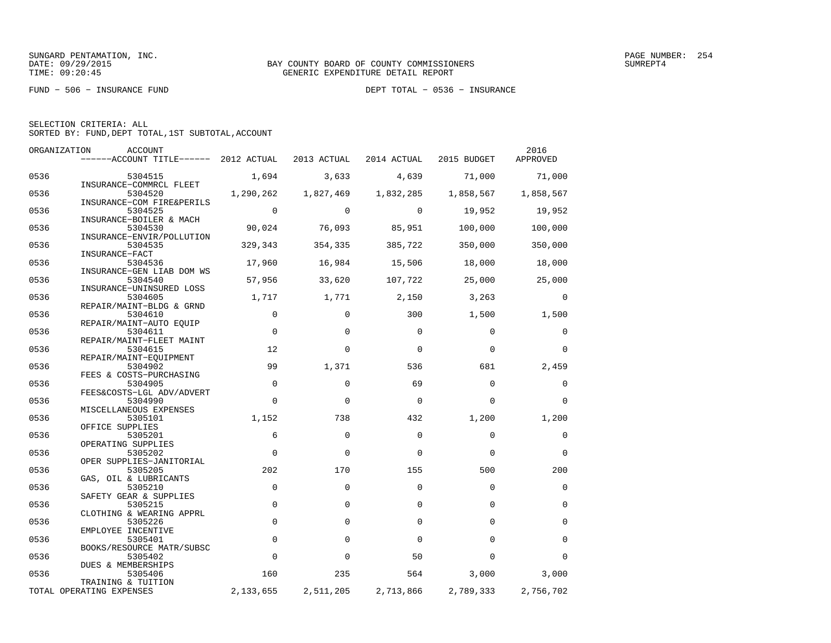FUND − 506 − INSURANCE FUND DEPT TOTAL − 0536 − INSURANCE

|      | 2016<br>ORGANIZATION<br>ACCOUNT       |             |             |             |             |                |  |  |
|------|---------------------------------------|-------------|-------------|-------------|-------------|----------------|--|--|
|      | ------ACCOUNT TITLE------ 2012 ACTUAL |             | 2013 ACTUAL | 2014 ACTUAL | 2015 BUDGET | APPROVED       |  |  |
| 0536 | 5304515                               | 1,694       | 3,633       | 4,639       | 71,000      | 71,000         |  |  |
|      | INSURANCE-COMMRCL FLEET               |             |             |             |             |                |  |  |
| 0536 | 5304520<br>INSURANCE-COM FIRE&PERILS  | 1,290,262   | 1,827,469   | 1,832,285   | 1,858,567   | 1,858,567      |  |  |
| 0536 | 5304525                               | $\Omega$    | $\Omega$    | $\Omega$    | 19,952      | 19,952         |  |  |
|      | INSURANCE-BOILER & MACH               |             |             |             |             |                |  |  |
| 0536 | 5304530                               | 90,024      | 76,093      | 85,951      | 100,000     | 100,000        |  |  |
|      | INSURANCE-ENVIR/POLLUTION             |             |             |             |             |                |  |  |
| 0536 | 5304535<br>INSURANCE-FACT             | 329,343     | 354,335     | 385,722     | 350,000     | 350,000        |  |  |
| 0536 | 5304536                               | 17,960      | 16,984      | 15,506      | 18,000      | 18,000         |  |  |
|      | INSURANCE-GEN LIAB DOM WS             |             |             |             |             |                |  |  |
| 0536 | 5304540                               | 57,956      | 33,620      | 107,722     | 25,000      | 25,000         |  |  |
|      | INSURANCE-UNINSURED LOSS              |             |             |             |             |                |  |  |
| 0536 | 5304605                               | 1,717       | 1,771       | 2,150       | 3,263       | $\overline{0}$ |  |  |
| 0536 | REPAIR/MAINT-BLDG & GRND<br>5304610   | $\mathbf 0$ | $\mathbf 0$ | 300         | 1,500       | 1,500          |  |  |
|      | REPAIR/MAINT-AUTO EOUIP               |             |             |             |             |                |  |  |
| 0536 | 5304611                               | $\mathbf 0$ | $\Omega$    | $\mathbf 0$ | 0           | 0              |  |  |
|      | REPAIR/MAINT-FLEET MAINT              |             |             |             |             |                |  |  |
| 0536 | 5304615                               | 12          | $\Omega$    | $\mathbf 0$ | $\Omega$    | $\Omega$       |  |  |
|      | REPAIR/MAINT-EQUIPMENT                |             |             |             |             |                |  |  |
| 0536 | 5304902                               | 99          | 1,371       | 536         | 681         | 2,459          |  |  |
| 0536 | FEES & COSTS-PURCHASING<br>5304905    | $\mathbf 0$ | $\Omega$    | 69          | $\Omega$    | $\mathbf 0$    |  |  |
|      | FEES&COSTS-LGL ADV/ADVERT             |             |             |             |             |                |  |  |
| 0536 | 5304990                               | $\mathbf 0$ | $\mathbf 0$ | $\Omega$    | $\Omega$    | $\Omega$       |  |  |
|      | MISCELLANEOUS EXPENSES                |             |             |             |             |                |  |  |
| 0536 | 5305101                               | 1,152       | 738         | 432         | 1,200       | 1,200          |  |  |
|      | OFFICE SUPPLIES                       |             |             |             |             |                |  |  |
| 0536 | 5305201<br>OPERATING SUPPLIES         | 6           | $\mathbf 0$ | $\mathbf 0$ | $\mathbf 0$ | $\mathbf 0$    |  |  |
| 0536 | 5305202                               | $\Omega$    | $\Omega$    | $\Omega$    | $\Omega$    | $\Omega$       |  |  |
|      | OPER SUPPLIES-JANITORIAL              |             |             |             |             |                |  |  |
| 0536 | 5305205                               | 202         | 170         | 155         | 500         | 200            |  |  |
|      | GAS, OIL & LUBRICANTS                 |             |             |             |             |                |  |  |
| 0536 | 5305210                               | $\Omega$    | $\Omega$    | $\Omega$    | $\Omega$    | $\Omega$       |  |  |
| 0536 | SAFETY GEAR & SUPPLIES<br>5305215     | $\mathbf 0$ | $\Omega$    | $\Omega$    | $\Omega$    | $\mathbf 0$    |  |  |
|      | CLOTHING & WEARING APPRL              |             |             |             |             |                |  |  |
| 0536 | 5305226                               | $\Omega$    | $\Omega$    | $\Omega$    | $\Omega$    | $\Omega$       |  |  |
|      | EMPLOYEE INCENTIVE                    |             |             |             |             |                |  |  |
| 0536 | 5305401                               | $\mathbf 0$ | $\Omega$    | $\Omega$    | $\Omega$    | $\mathbf 0$    |  |  |
|      | BOOKS/RESOURCE MATR/SUBSC             |             |             |             |             |                |  |  |
| 0536 | 5305402                               | $\Omega$    | $\Omega$    | 50          | $\Omega$    | $\Omega$       |  |  |
| 0536 | DUES & MEMBERSHIPS<br>5305406         | 160         | 235         | 564         | 3,000       | 3,000          |  |  |
|      | TRAINING & TUITION                    |             |             |             |             |                |  |  |
|      | TOTAL OPERATING EXPENSES              | 2,133,655   | 2,511,205   | 2,713,866   | 2,789,333   | 2,756,702      |  |  |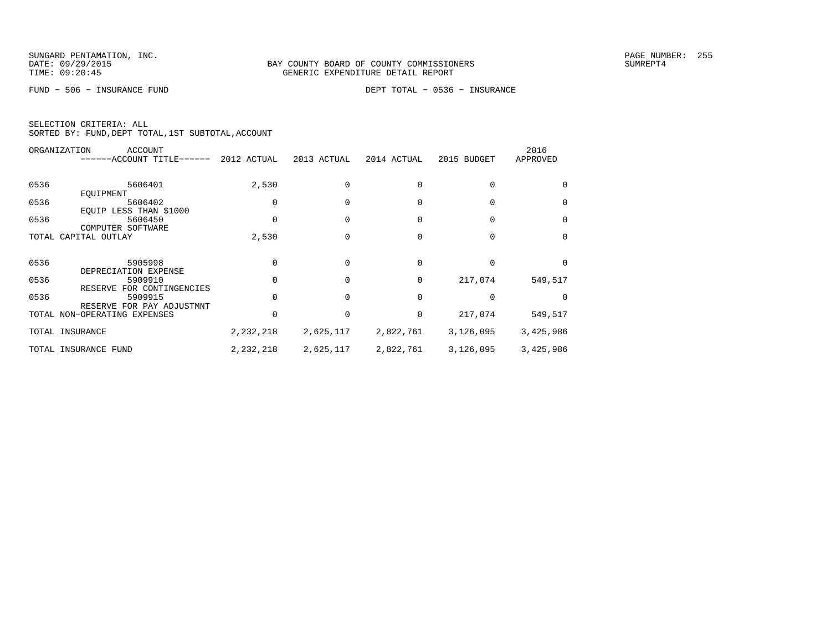FUND − 506 − INSURANCE FUND DEPT TOTAL − 0536 − INSURANCE

|      | ORGANIZATION<br>ACCOUNT<br>------ACCOUNT TITLE------ | 2012 ACTUAL | 2013 ACTUAL | 2014 ACTUAL | 2015 BUDGET | 2016<br>APPROVED |
|------|------------------------------------------------------|-------------|-------------|-------------|-------------|------------------|
| 0536 | 5606401                                              | 2,530       |             |             |             |                  |
| 0536 | EQUIPMENT<br>5606402<br>EQUIP LESS THAN \$1000       |             |             |             |             | $\Omega$         |
| 0536 | 5606450<br>COMPUTER SOFTWARE                         |             |             |             |             | $\Omega$         |
|      | TOTAL CAPITAL OUTLAY                                 | 2,530       |             |             |             | $\Omega$         |
| 0536 | 5905998<br>DEPRECIATION EXPENSE                      |             |             | 0           |             | $\Omega$         |
| 0536 | 5909910<br>RESERVE FOR CONTINGENCIES                 |             |             | 0           | 217,074     | 549,517          |
| 0536 | 5909915<br>RESERVE FOR PAY ADJUSTMNT                 |             |             | $\Omega$    |             |                  |
|      | TOTAL NON-OPERATING EXPENSES                         |             |             | 0           | 217,074     | 549,517          |
|      | TOTAL INSURANCE                                      | 2,232,218   | 2,625,117   | 2,822,761   | 3,126,095   | 3,425,986        |
|      | TOTAL INSURANCE FUND                                 | 2,232,218   | 2,625,117   | 2,822,761   | 3,126,095   | 3,425,986        |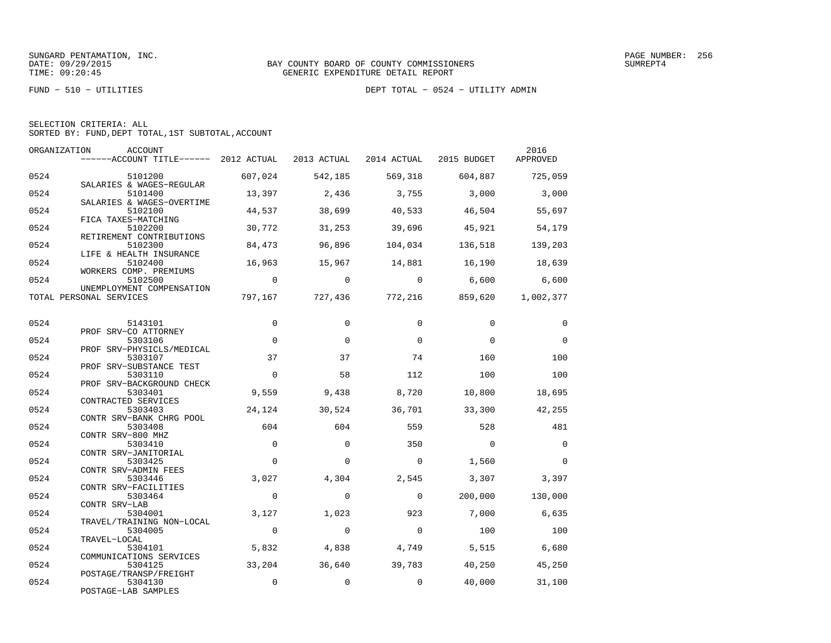FUND − 510 − UTILITIES DEPT TOTAL − 0524 − UTILITY ADMIN

| SELECTION CRITERIA: ALL |  |  |                                                    |  |
|-------------------------|--|--|----------------------------------------------------|--|
|                         |  |  | SORTED BY: FUND, DEPT TOTAL, 1ST SUBTOTAL, ACCOUNT |  |

| ORGANIZATION | ACCOUNT<br>------ACCOUNT TITLE------ 2012 ACTUAL 2013 ACTUAL 2014 ACTUAL 2015 BUDGET |                          |                |                |                         | 2016<br>APPROVED |
|--------------|--------------------------------------------------------------------------------------|--------------------------|----------------|----------------|-------------------------|------------------|
|              |                                                                                      |                          |                |                |                         |                  |
| 0524         | 5101200<br>SALARIES & WAGES-REGULAR                                                  | 607,024                  | 542,185        | 569,318        | 604,887                 | 725,059          |
| 0524         | 5101400<br>SALARIES & WAGES-OVERTIME                                                 | 13,397                   | 2,436          | 3,755          | 3,000                   | 3,000            |
| 0524         | 5102100<br>FICA TAXES-MATCHING                                                       | 44,537                   | 38,699         | 40,533         | 46,504                  | 55,697           |
| 0524         | 5102200<br>RETIREMENT CONTRIBUTIONS                                                  | 30,772                   | 31,253         | 39,696         | 45,921                  | 54,179           |
| 0524         | 5102300<br>LIFE & HEALTH INSURANCE                                                   | 84,473                   | 96,896         | 104,034        | 136,518                 | 139,203          |
| 0524         | 5102400<br>WORKERS COMP. PREMIUMS                                                    | 16,963                   | 15,967         | 14,881 16,190  |                         | 18,639           |
| 0524         | 5102500<br>UNEMPLOYMENT COMPENSATION                                                 | $\overline{\phantom{0}}$ | $\overline{0}$ | $\overline{0}$ | 6,600                   | 6,600            |
|              | TOTAL PERSONAL SERVICES                                                              | 797,167                  |                |                | 727,436 772,216 859,620 | 1,002,377        |
| 0524         | 5143101                                                                              | 0                        | $\Omega$       | $\Omega$       | $\Omega$                | $\Omega$         |
| 0524         | PROF SRV-CO ATTORNEY<br>5303106                                                      | $\Omega$                 | $\Omega$       | $\Omega$       | $\Omega$                | $\mathbf 0$      |
| 0524         | PROF SRV-PHYSICLS/MEDICAL<br>5303107                                                 | 37                       | 37             | 74             | 160                     | 100              |
| 0524         | PROF SRV-SUBSTANCE TEST<br>5303110                                                   | $\Omega$                 | 58             | 112            | 100                     | 100              |
| 0524         | PROF SRV-BACKGROUND CHECK<br>5303401                                                 | 9,559                    | 9,438          | 8,720          | 10,800                  | 18,695           |
| 0524         | CONTRACTED SERVICES<br>5303403                                                       | 24,124                   | 30,524         | 36,701         | 33,300                  | 42,255           |
| 0524         | CONTR SRV-BANK CHRG POOL<br>5303408                                                  | 604                      | 604            | 559            | 528                     | 481              |
| 0524         | CONTR SRV-800 MHZ<br>5303410                                                         | $\Omega$                 | $\Omega$       | 350            | $\overline{0}$          | $\Omega$         |
| 0524         | CONTR SRV-JANITORIAL<br>5303425                                                      | $\Omega$                 | $\Omega$       | $\Omega$       | 1,560                   | $\Omega$         |
| 0524         | CONTR SRV-ADMIN FEES<br>5303446                                                      | 3,027                    | 4,304          | 2,545          | 3,307                   | 3,397            |
| 0524         | CONTR SRV-FACILITIES<br>5303464                                                      | $\mathbf{0}$             | $\mathbf 0$    | $\overline{0}$ | 200,000                 | 130,000          |
| 0524         | CONTR SRV-LAB<br>5304001                                                             | 3,127                    | 1,023          | 923            | 7,000                   | 6,635            |
| 0524         | TRAVEL/TRAINING NON-LOCAL<br>5304005                                                 | $\overline{0}$           | $\Omega$       | $\bigcirc$     | 100                     | 100              |
| 0524         | TRAVEL-LOCAL<br>5304101                                                              | 5,832                    | 4,838          | 4,749          | 5,515                   | 6,680            |
| 0524         | COMMUNICATIONS SERVICES<br>5304125                                                   | 33,204                   | 36,640         | 39,783         | 40,250                  | 45,250           |
| 0524         | POSTAGE/TRANSP/FREIGHT<br>5304130<br>POSTAGE-LAB SAMPLES                             | $\mathbf 0$              | $\Omega$       | $\Omega$       | 40,000                  | 31,100           |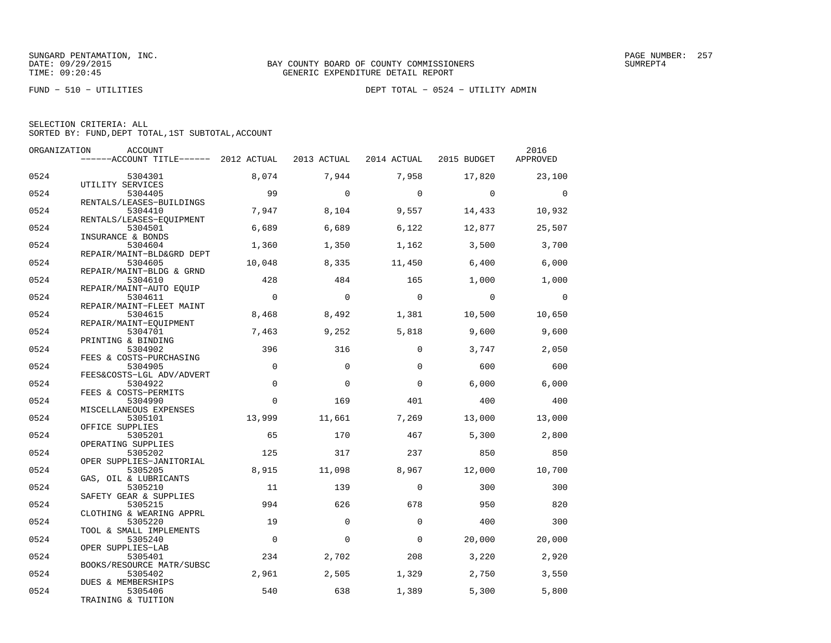FUND − 510 − UTILITIES DEPT TOTAL − 0524 − UTILITY ADMIN

| ORGANIZATION | <b>ACCOUNT</b>                           |                |             |                | 2016           |                |
|--------------|------------------------------------------|----------------|-------------|----------------|----------------|----------------|
|              | ------ACCOUNT TITLE------ 2012 ACTUAL    |                | 2013 ACTUAL | 2014 ACTUAL    | 2015 BUDGET    | APPROVED       |
| 0524         | 5304301                                  | 8,074          | 7,944       | 7,958          | 17,820         | 23,100         |
| 0524         | UTILITY SERVICES<br>5304405              | 99             | $\Omega$    | $\overline{0}$ | $\overline{0}$ | $\overline{0}$ |
| 0524         | RENTALS/LEASES-BUILDINGS<br>5304410      | 7,947          | 8,104       | 9,557          | 14,433         | 10,932         |
|              | RENTALS/LEASES-EOUIPMENT                 |                |             |                |                |                |
| 0524         | 5304501<br>INSURANCE & BONDS             | 6,689          | 6,689       | 6,122          | 12,877         | 25,507         |
| 0524         | 5304604                                  | 1,360          | 1,350       | 1,162          | 3,500          | 3,700          |
| 0524         | REPAIR/MAINT-BLD&GRD DEPT<br>5304605     | 10,048         | 8,335       | 11,450         | 6,400          | 6,000          |
| 0524         | REPAIR/MAINT-BLDG & GRND<br>5304610      | 428            | 484         | 165            | 1,000          | 1,000          |
| 0524         | REPAIR/MAINT-AUTO EOUIP<br>5304611       | $\Omega$       | $\Omega$    | $\overline{0}$ | $\Omega$       | $\overline{0}$ |
|              | REPAIR/MAINT-FLEET MAINT                 |                |             |                |                |                |
| 0524         | 5304615<br>REPAIR/MAINT-EQUIPMENT        | 8,468          | 8,492       | 1,381          | 10,500         | 10,650         |
| 0524         | 5304701                                  | 7,463          | 9,252       | 5,818          | 9,600          | 9,600          |
| 0524         | PRINTING & BINDING<br>5304902            | 396            | 316         | 0              | 3,747          | 2,050          |
| 0524         | FEES & COSTS-PURCHASING<br>5304905       | $\mathbf 0$    | $\Omega$    | $\Omega$       | 600            | 600            |
| 0524         | FEES&COSTS-LGL ADV/ADVERT<br>5304922     | $\Omega$       | $\Omega$    | $\Omega$       | 6.000          | 6,000          |
|              | FEES & COSTS-PERMITS                     |                |             |                |                |                |
| 0524         | 5304990<br>MISCELLANEOUS EXPENSES        | $\mathbf 0$    | 169         | 401            | 400            | 400            |
| 0524         | 5305101                                  | 13,999         | 11,661      | 7,269          | 13,000         | 13,000         |
| 0524         | OFFICE SUPPLIES<br>5305201               | 65             | 170         | 467            | 5,300          | 2,800          |
| 0524         | OPERATING SUPPLIES<br>5305202            | 125            | 317         | 237            | 850            | 850            |
|              | OPER SUPPLIES-JANITORIAL                 |                |             |                |                |                |
| 0524         | 5305205<br>GAS, OIL & LUBRICANTS         | 8,915          | 11,098      | 8,967          | 12,000         | 10,700         |
| 0524         | 5305210                                  | 11             | 139         | $\Omega$       | 300            | 300            |
| 0524         | SAFETY GEAR & SUPPLIES<br>5305215        | 994            | 626         | 678            | 950            | 820            |
| 0524         | CLOTHING & WEARING APPRL<br>5305220      | 19             | $\mathbf 0$ | $\mathbf 0$    | 400            | 300            |
|              | TOOL & SMALL IMPLEMENTS                  |                |             |                |                |                |
| 0524         | 5305240<br>OPER SUPPLIES-LAB             | $\overline{0}$ | 0           | $\Omega$       | 20,000         | 20,000         |
| 0524         | 5305401                                  | 234            | 2,702       | 208            | 3,220          | 2,920          |
| 0524         | BOOKS/RESOURCE MATR/SUBSC<br>5305402     | 2,961          | 2,505       | 1,329          | 2,750          | 3,550          |
| 0524         | <b>DUES &amp; MEMBERSHIPS</b><br>5305406 | 540            | 638         | 1,389          | 5,300          | 5,800          |
|              | TRAINING & TUITION                       |                |             |                |                |                |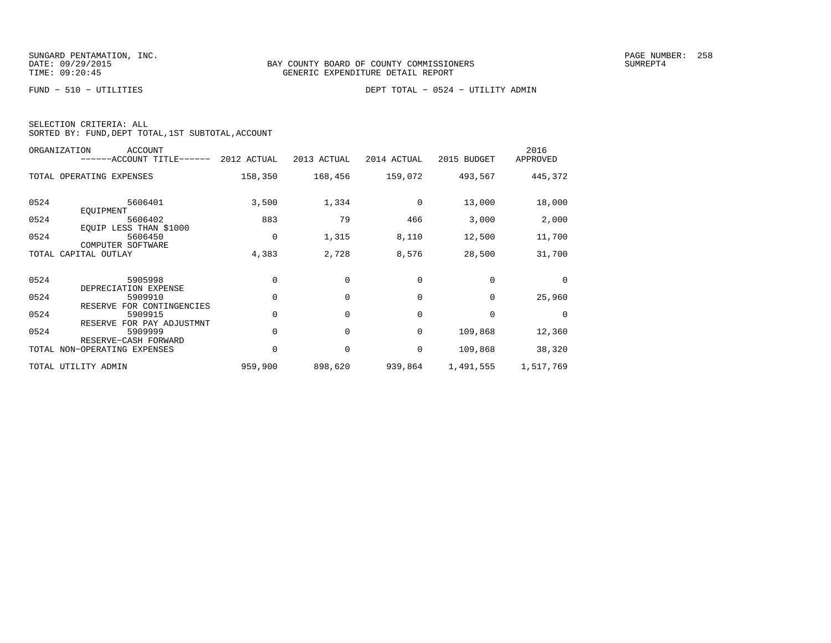FUND − 510 − UTILITIES DEPT TOTAL − 0524 − UTILITY ADMIN

| SELECTION CRITERIA: ALL |  |  |                                                    |  |
|-------------------------|--|--|----------------------------------------------------|--|
|                         |  |  | SORTED BY: FUND, DEPT TOTAL, 1ST SUBTOTAL, ACCOUNT |  |

|      | ORGANIZATION<br>ACCOUNT<br>------ACCOUNT TITLE------              | 2012 ACTUAL | 2013 ACTUAL | 2014 ACTUAL | 2015 BUDGET | 2016<br>APPROVED |
|------|-------------------------------------------------------------------|-------------|-------------|-------------|-------------|------------------|
|      | TOTAL OPERATING EXPENSES                                          | 158,350     | 168,456     | 159,072     | 493,567     | 445,372          |
| 0524 | 5606401<br>EOUIPMENT                                              | 3,500       | 1,334       | $\Omega$    | 13,000      | 18,000           |
| 0524 | 5606402                                                           | 883         | 79          | 466         | 3,000       | 2,000            |
| 0524 | EQUIP LESS THAN \$1000<br>5606450<br>COMPUTER SOFTWARE            | 0           | 1,315       | 8,110       | 12,500      | 11,700           |
|      | TOTAL CAPITAL OUTLAY                                              | 4,383       | 2,728       | 8,576       | 28,500      | 31,700           |
| 0524 | 5905998<br>DEPRECIATION EXPENSE                                   | 0           | $\Omega$    | $\Omega$    | $\Omega$    | 0                |
| 0524 | 5909910                                                           | $\Omega$    | $\Omega$    | $\Omega$    | $\Omega$    | 25,960           |
| 0524 | RESERVE FOR CONTINGENCIES<br>5909915<br>RESERVE FOR PAY ADJUSTMNT | $\Omega$    | $\Omega$    | $\Omega$    | $\Omega$    | $\Omega$         |
| 0524 | 5909999                                                           | $\Omega$    | $\Omega$    | $\mathbf 0$ | 109,868     | 12,360           |
|      | RESERVE-CASH FORWARD<br>TOTAL NON-OPERATING EXPENSES              | 0           | $\mathbf 0$ | 0           | 109,868     | 38,320           |
|      | TOTAL UTILITY ADMIN                                               | 959,900     | 898,620     | 939,864     | 1,491,555   | 1,517,769        |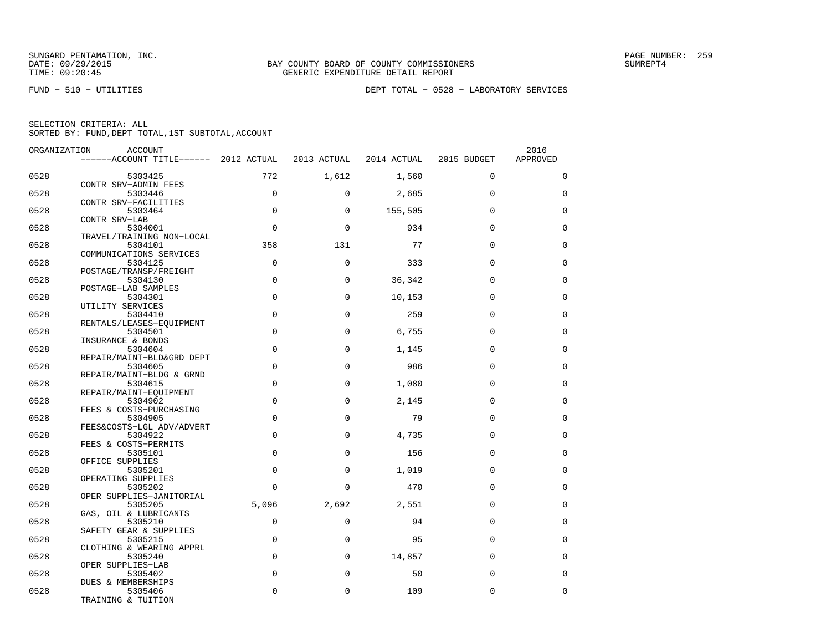| SELECTION CRITERIA: ALL |  |  |                                                    |  |
|-------------------------|--|--|----------------------------------------------------|--|
|                         |  |  | SORTED BY: FUND, DEPT TOTAL, 1ST SUBTOTAL, ACCOUNT |  |

| ORGANIZATION | ACCOUNT                                  |             |             |             |             | 2016        |
|--------------|------------------------------------------|-------------|-------------|-------------|-------------|-------------|
|              | ------ACCOUNT TITLE------ 2012 ACTUAL    |             | 2013 ACTUAL | 2014 ACTUAL | 2015 BUDGET | APPROVED    |
| 0528         | 5303425                                  | 772         | 1,612       | 1,560       | $\mathbf 0$ | $\mathbf 0$ |
| 0528         | CONTR SRV-ADMIN FEES<br>5303446          | $\mathbf 0$ | $\Omega$    | 2,685       | $\Omega$    | 0           |
|              | CONTR SRV-FACILITIES                     | $\Omega$    |             |             |             |             |
| 0528         | 5303464<br>CONTR SRV-LAB                 |             | $\Omega$    | 155,505     | $\Omega$    | $\Omega$    |
| 0528         | 5304001<br>TRAVEL/TRAINING NON-LOCAL     | $\mathbf 0$ | $\Omega$    | 934         | $\mathbf 0$ | $\mathbf 0$ |
| 0528         | 5304101                                  | 358         | 131         | 77          | $\Omega$    | $\mathbf 0$ |
| 0528         | COMMUNICATIONS SERVICES<br>5304125       | $\mathbf 0$ | $\mathbf 0$ | 333         | $\Omega$    | $\mathbf 0$ |
| 0528         | POSTAGE/TRANSP/FREIGHT<br>5304130        | $\mathbf 0$ | $\mathbf 0$ | 36,342      | $\Omega$    | $\mathbf 0$ |
|              | POSTAGE-LAB SAMPLES                      |             |             |             |             |             |
| 0528         | 5304301<br>UTILITY SERVICES              | $\Omega$    | $\Omega$    | 10,153      | $\Omega$    | $\Omega$    |
| 0528         | 5304410                                  | $\mathbf 0$ | $\Omega$    | 259         | $\Omega$    | $\mathbf 0$ |
| 0528         | RENTALS/LEASES-EQUIPMENT<br>5304501      | $\mathbf 0$ | $\Omega$    | 6,755       | $\Omega$    | $\mathbf 0$ |
| 0528         | INSURANCE & BONDS<br>5304604             | $\mathbf 0$ | $\mathbf 0$ | 1,145       | $\Omega$    | 0           |
| 0528         | REPAIR/MAINT-BLD&GRD DEPT<br>5304605     | $\mathbf 0$ | $\mathbf 0$ | 986         | $\Omega$    | $\mathbf 0$ |
|              | REPAIR/MAINT-BLDG & GRND                 |             |             |             |             |             |
| 0528         | 5304615<br>REPAIR/MAINT-EQUIPMENT        | $\Omega$    | $\Omega$    | 1,080       | $\Omega$    | $\Omega$    |
| 0528         | 5304902<br>FEES & COSTS-PURCHASING       | $\mathbf 0$ | $\mathbf 0$ | 2,145       | $\Omega$    | $\mathbf 0$ |
| 0528         | 5304905                                  | $\mathbf 0$ | $\Omega$    | 79          | $\Omega$    | $\mathbf 0$ |
| 0528         | FEES&COSTS-LGL ADV/ADVERT<br>5304922     | $\mathbf 0$ | $\mathbf 0$ | 4,735       | $\Omega$    | $\mathbf 0$ |
| 0528         | FEES & COSTS-PERMITS<br>5305101          | $\mathbf 0$ | $\Omega$    | 156         | $\mathbf 0$ | $\mathbf 0$ |
|              | OFFICE SUPPLIES                          |             |             |             |             |             |
| 0528         | 5305201<br>OPERATING SUPPLIES            | $\mathbf 0$ | $\mathbf 0$ | 1,019       | $\mathbf 0$ | $\mathbf 0$ |
| 0528         | 5305202<br>OPER SUPPLIES-JANITORIAL      | $\Omega$    | $\Omega$    | 470         | $\Omega$    | $\mathbf 0$ |
| 0528         | 5305205                                  | 5,096       | 2,692       | 2,551       | $\Omega$    | $\mathbf 0$ |
| 0528         | GAS, OIL & LUBRICANTS<br>5305210         | $\mathbf 0$ | $\mathbf 0$ | 94          | $\mathbf 0$ | 0           |
| 0528         | SAFETY GEAR & SUPPLIES<br>5305215        | $\Omega$    | $\Omega$    | 95          | $\Omega$    | $\mathbf 0$ |
|              | CLOTHING & WEARING APPRL                 |             |             |             |             |             |
| 0528         | 5305240<br>OPER SUPPLIES-LAB             | $\mathbf 0$ | $\mathbf 0$ | 14,857      | $\mathbf 0$ | $\mathbf 0$ |
| 0528         | 5305402                                  | $\mathbf 0$ | $\mathbf 0$ | 50          | $\mathbf 0$ | $\mathbf 0$ |
| 0528         | 5305406                                  | $\Omega$    | $\mathbf 0$ | 109         | $\mathbf 0$ | $\mathbf 0$ |
|              | DUES & MEMBERSHIPS<br>TRAINING & TUITION |             |             |             |             |             |